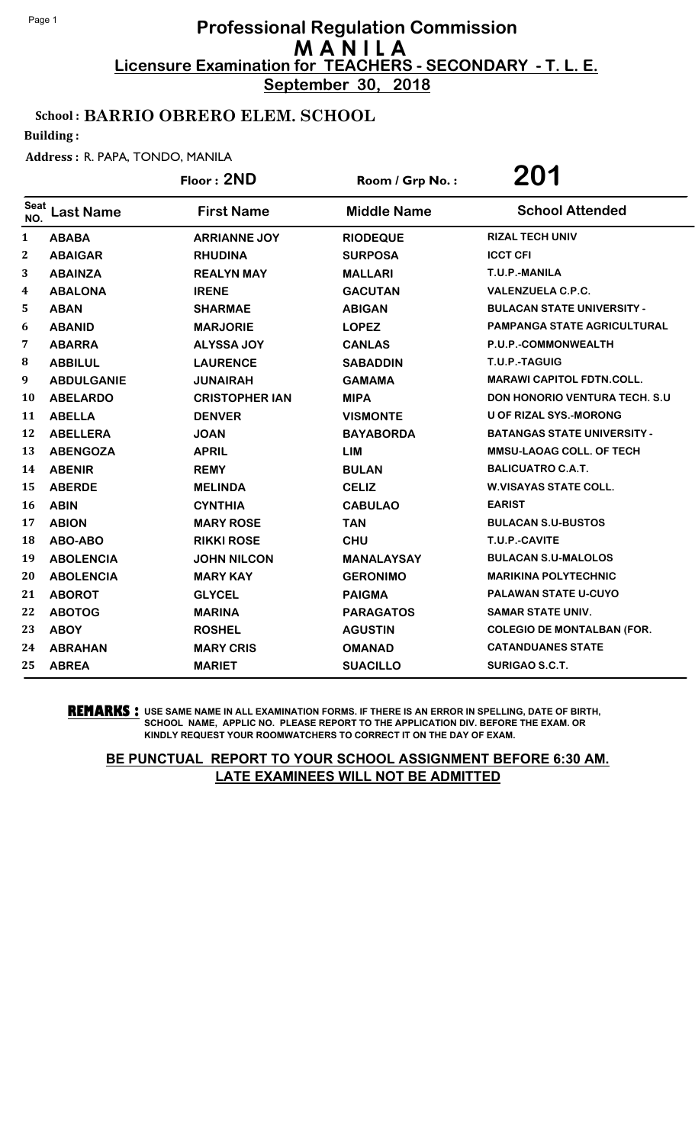**September 30, 2018**

## School : BARRIO OBRERO ELEM. SCHOOL

Building :

#### Address : R. PAPA, TONDO, MANILA

|                  |                   | Floor: 2ND            | Room / Grp No.:    | 201                                  |
|------------------|-------------------|-----------------------|--------------------|--------------------------------------|
| Seat<br>NO.      | <b>Last Name</b>  | <b>First Name</b>     | <b>Middle Name</b> | <b>School Attended</b>               |
| $\mathbf{1}$     | <b>ABABA</b>      | <b>ARRIANNE JOY</b>   | <b>RIODEQUE</b>    | <b>RIZAL TECH UNIV</b>               |
| $\boldsymbol{2}$ | <b>ABAIGAR</b>    | <b>RHUDINA</b>        | <b>SURPOSA</b>     | <b>ICCT CFI</b>                      |
| 3                | <b>ABAINZA</b>    | <b>REALYN MAY</b>     | <b>MALLARI</b>     | T.U.P.-MANILA                        |
| 4                | <b>ABALONA</b>    | <b>IRENE</b>          | <b>GACUTAN</b>     | <b>VALENZUELA C.P.C.</b>             |
| 5                | <b>ABAN</b>       | <b>SHARMAE</b>        | <b>ABIGAN</b>      | <b>BULACAN STATE UNIVERSITY -</b>    |
| 6                | <b>ABANID</b>     | <b>MARJORIE</b>       | <b>LOPEZ</b>       | PAMPANGA STATE AGRICULTURAL          |
| 7                | <b>ABARRA</b>     | <b>ALYSSA JOY</b>     | <b>CANLAS</b>      | P.U.P.-COMMONWEALTH                  |
| 8                | <b>ABBILUL</b>    | <b>LAURENCE</b>       | <b>SABADDIN</b>    | T.U.P.-TAGUIG                        |
| 9                | <b>ABDULGANIE</b> | <b>JUNAIRAH</b>       | <b>GAMAMA</b>      | <b>MARAWI CAPITOL FDTN.COLL.</b>     |
| 10               | <b>ABELARDO</b>   | <b>CRISTOPHER IAN</b> | <b>MIPA</b>        | <b>DON HONORIO VENTURA TECH. S.U</b> |
| 11               | <b>ABELLA</b>     | <b>DENVER</b>         | <b>VISMONTE</b>    | <b>U OF RIZAL SYS.-MORONG</b>        |
| 12               | <b>ABELLERA</b>   | <b>JOAN</b>           | <b>BAYABORDA</b>   | <b>BATANGAS STATE UNIVERSITY -</b>   |
| 13               | <b>ABENGOZA</b>   | <b>APRIL</b>          | <b>LIM</b>         | <b>MMSU-LAOAG COLL. OF TECH</b>      |
| 14               | <b>ABENIR</b>     | <b>REMY</b>           | <b>BULAN</b>       | <b>BALICUATRO C.A.T.</b>             |
| 15               | <b>ABERDE</b>     | <b>MELINDA</b>        | <b>CELIZ</b>       | <b>W.VISAYAS STATE COLL.</b>         |
| 16               | <b>ABIN</b>       | <b>CYNTHIA</b>        | <b>CABULAO</b>     | <b>EARIST</b>                        |
| 17               | <b>ABION</b>      | <b>MARY ROSE</b>      | <b>TAN</b>         | <b>BULACAN S.U-BUSTOS</b>            |
| 18               | ABO-ABO           | <b>RIKKI ROSE</b>     | <b>CHU</b>         | T.U.P.-CAVITE                        |
| 19               | <b>ABOLENCIA</b>  | <b>JOHN NILCON</b>    | <b>MANALAYSAY</b>  | <b>BULACAN S.U-MALOLOS</b>           |
| 20               | <b>ABOLENCIA</b>  | <b>MARY KAY</b>       | <b>GERONIMO</b>    | <b>MARIKINA POLYTECHNIC</b>          |
| 21               | <b>ABOROT</b>     | <b>GLYCEL</b>         | <b>PAIGMA</b>      | <b>PALAWAN STATE U-CUYO</b>          |
| 22               | <b>ABOTOG</b>     | <b>MARINA</b>         | <b>PARAGATOS</b>   | <b>SAMAR STATE UNIV.</b>             |
| 23               | <b>ABOY</b>       | <b>ROSHEL</b>         | <b>AGUSTIN</b>     | <b>COLEGIO DE MONTALBAN (FOR.</b>    |
| 24               | <b>ABRAHAN</b>    | <b>MARY CRIS</b>      | <b>OMANAD</b>      | <b>CATANDUANES STATE</b>             |
| 25               | <b>ABREA</b>      | <b>MARIET</b>         | <b>SUACILLO</b>    | SURIGAO S.C.T.                       |

**REMARKS :** USE SAME NAME IN ALL EXAMINATION FORMS. IF THERE IS AN ERROR IN SPELLING, DATE OF BIRTH, SCHOOL NAME, APPLIC NO. PLEASE REPORT TO THE APPLICATION DIV. BEFORE THE EXAM. OR KINDLY REQUEST YOUR ROOMWATCHERS TO CORRECT IT ON THE DAY OF EXAM.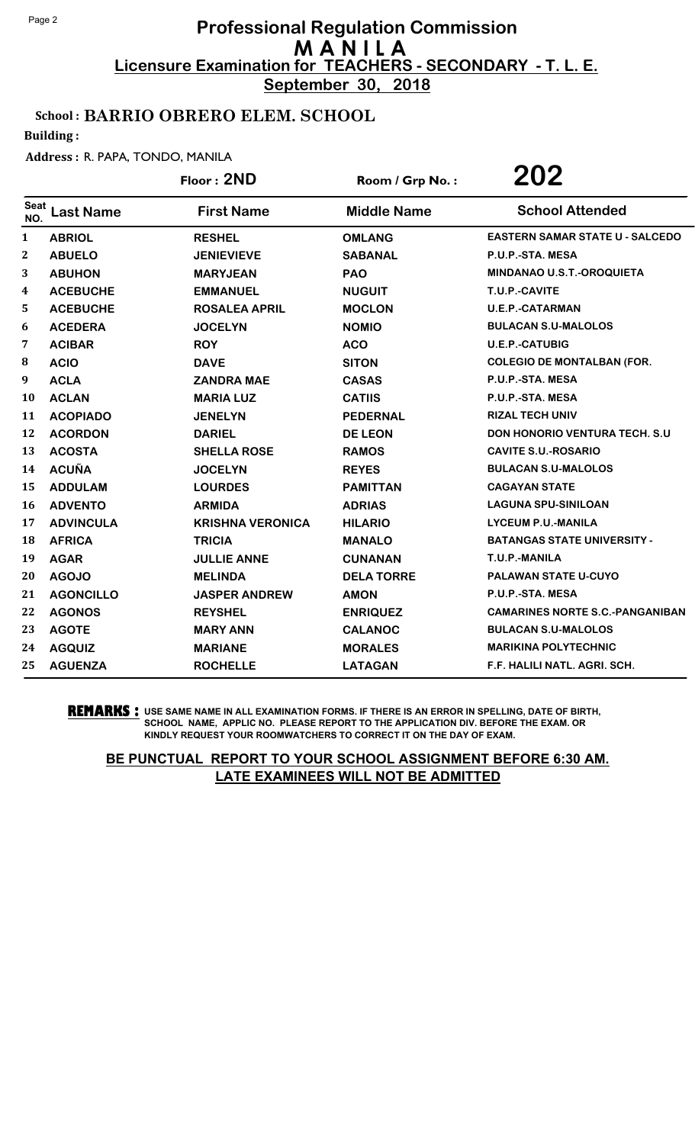**September 30, 2018**

## School : BARRIO OBRERO ELEM. SCHOOL

Building :

#### Address : R. PAPA, TONDO, MANILA

|                  |                  | Floor: 2ND              | Room / Grp No.:    | 202                                    |
|------------------|------------------|-------------------------|--------------------|----------------------------------------|
| Seat<br>NO.      | <b>Last Name</b> | <b>First Name</b>       | <b>Middle Name</b> | <b>School Attended</b>                 |
| $\mathbf{1}$     | <b>ABRIOL</b>    | <b>RESHEL</b>           | <b>OMLANG</b>      | <b>EASTERN SAMAR STATE U - SALCEDO</b> |
| $\boldsymbol{2}$ | <b>ABUELO</b>    | <b>JENIEVIEVE</b>       | <b>SABANAL</b>     | P.U.P.-STA. MESA                       |
| 3                | <b>ABUHON</b>    | <b>MARYJEAN</b>         | <b>PAO</b>         | MINDANAO U.S.T.-OROQUIETA              |
| $\boldsymbol{4}$ | <b>ACEBUCHE</b>  | <b>EMMANUEL</b>         | <b>NUGUIT</b>      | T.U.P.-CAVITE                          |
| 5.               | <b>ACEBUCHE</b>  | <b>ROSALEA APRIL</b>    | <b>MOCLON</b>      | <b>U.E.P.-CATARMAN</b>                 |
| 6                | <b>ACEDERA</b>   | <b>JOCELYN</b>          | <b>NOMIO</b>       | <b>BULACAN S.U-MALOLOS</b>             |
| 7                | <b>ACIBAR</b>    | <b>ROY</b>              | <b>ACO</b>         | <b>U.E.P.-CATUBIG</b>                  |
| 8                | <b>ACIO</b>      | <b>DAVE</b>             | <b>SITON</b>       | <b>COLEGIO DE MONTALBAN (FOR.</b>      |
| 9                | <b>ACLA</b>      | <b>ZANDRA MAE</b>       | <b>CASAS</b>       | P.U.P.-STA. MESA                       |
| 10               | <b>ACLAN</b>     | <b>MARIA LUZ</b>        | <b>CATIIS</b>      | P.U.P.-STA. MESA                       |
| 11               | <b>ACOPIADO</b>  | <b>JENELYN</b>          | <b>PEDERNAL</b>    | <b>RIZAL TECH UNIV</b>                 |
| 12               | <b>ACORDON</b>   | <b>DARIEL</b>           | <b>DE LEON</b>     | <b>DON HONORIO VENTURA TECH. S.U</b>   |
| 13               | <b>ACOSTA</b>    | <b>SHELLA ROSE</b>      | <b>RAMOS</b>       | <b>CAVITE S.U.-ROSARIO</b>             |
| 14               | <b>ACUÑA</b>     | <b>JOCELYN</b>          | <b>REYES</b>       | <b>BULACAN S.U-MALOLOS</b>             |
| 15               | <b>ADDULAM</b>   | <b>LOURDES</b>          | <b>PAMITTAN</b>    | <b>CAGAYAN STATE</b>                   |
| <b>16</b>        | <b>ADVENTO</b>   | <b>ARMIDA</b>           | <b>ADRIAS</b>      | <b>LAGUNA SPU-SINILOAN</b>             |
| 17               | <b>ADVINCULA</b> | <b>KRISHNA VERONICA</b> | <b>HILARIO</b>     | <b>LYCEUM P.U.-MANILA</b>              |
| 18               | <b>AFRICA</b>    | <b>TRICIA</b>           | <b>MANALO</b>      | <b>BATANGAS STATE UNIVERSITY -</b>     |
| 19               | <b>AGAR</b>      | <b>JULLIE ANNE</b>      | <b>CUNANAN</b>     | T.U.P.-MANILA                          |
| 20               | <b>AGOJO</b>     | <b>MELINDA</b>          | <b>DELA TORRE</b>  | PALAWAN STATE U-CUYO                   |
| 21               | <b>AGONCILLO</b> | <b>JASPER ANDREW</b>    | <b>AMON</b>        | P.U.P.-STA. MESA                       |
| 22               | <b>AGONOS</b>    | <b>REYSHEL</b>          | <b>ENRIQUEZ</b>    | <b>CAMARINES NORTE S.C.-PANGANIBAN</b> |
| 23               | <b>AGOTE</b>     | <b>MARY ANN</b>         | <b>CALANOC</b>     | <b>BULACAN S.U-MALOLOS</b>             |
| 24               | <b>AGQUIZ</b>    | <b>MARIANE</b>          | <b>MORALES</b>     | <b>MARIKINA POLYTECHNIC</b>            |
| 25               | <b>AGUENZA</b>   | <b>ROCHELLE</b>         | <b>LATAGAN</b>     | F.F. HALILI NATL. AGRI. SCH.           |

**REMARKS :** USE SAME NAME IN ALL EXAMINATION FORMS. IF THERE IS AN ERROR IN SPELLING, DATE OF BIRTH, SCHOOL NAME, APPLIC NO. PLEASE REPORT TO THE APPLICATION DIV. BEFORE THE EXAM. OR KINDLY REQUEST YOUR ROOMWATCHERS TO CORRECT IT ON THE DAY OF EXAM.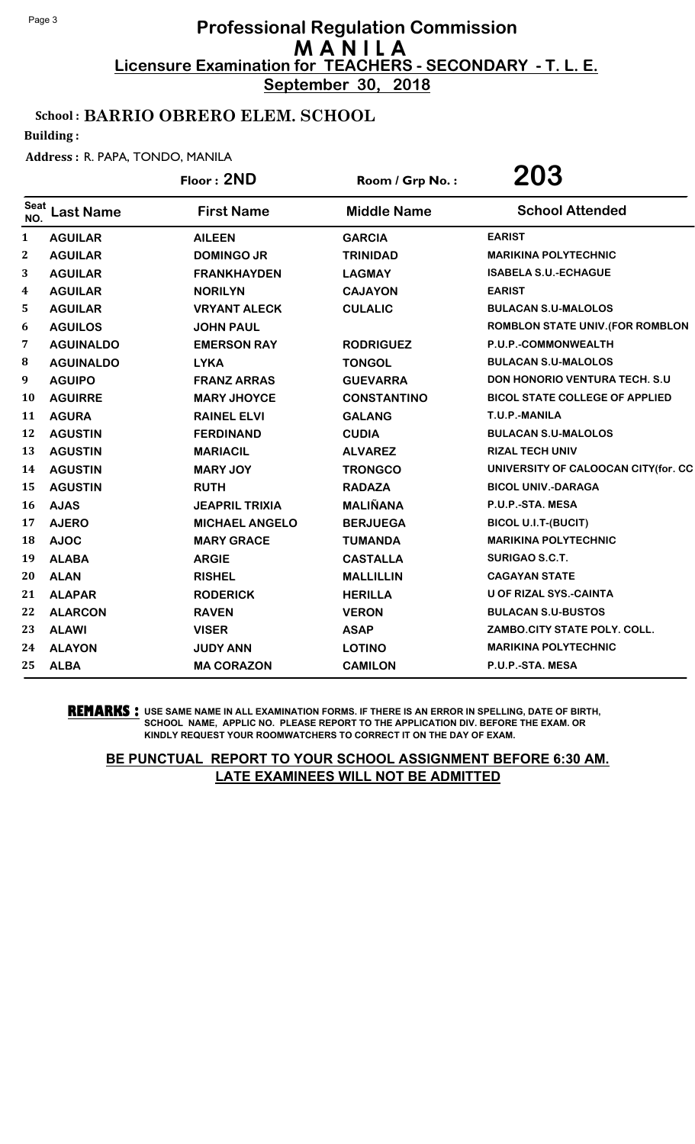**September 30, 2018**

## School : BARRIO OBRERO ELEM. SCHOOL

Building :

#### Address : R. PAPA, TONDO, MANILA

|                    |                  | Floor: 2ND            | Room / Grp No.:    | <b>203</b>                              |
|--------------------|------------------|-----------------------|--------------------|-----------------------------------------|
| <b>Seat</b><br>NO. | <b>Last Name</b> | <b>First Name</b>     | <b>Middle Name</b> | <b>School Attended</b>                  |
| 1                  | <b>AGUILAR</b>   | <b>AILEEN</b>         | <b>GARCIA</b>      | <b>EARIST</b>                           |
| 2                  | <b>AGUILAR</b>   | <b>DOMINGO JR</b>     | <b>TRINIDAD</b>    | <b>MARIKINA POLYTECHNIC</b>             |
| 3                  | <b>AGUILAR</b>   | <b>FRANKHAYDEN</b>    | <b>LAGMAY</b>      | <b>ISABELA S.U.-ECHAGUE</b>             |
| 4                  | <b>AGUILAR</b>   | <b>NORILYN</b>        | <b>CAJAYON</b>     | <b>EARIST</b>                           |
| 5                  | <b>AGUILAR</b>   | <b>VRYANT ALECK</b>   | <b>CULALIC</b>     | <b>BULACAN S.U-MALOLOS</b>              |
| 6                  | <b>AGUILOS</b>   | <b>JOHN PAUL</b>      |                    | <b>ROMBLON STATE UNIV. (FOR ROMBLON</b> |
| 7                  | <b>AGUINALDO</b> | <b>EMERSON RAY</b>    | <b>RODRIGUEZ</b>   | P.U.P.-COMMONWEALTH                     |
| 8                  | <b>AGUINALDO</b> | <b>LYKA</b>           | <b>TONGOL</b>      | <b>BULACAN S.U-MALOLOS</b>              |
| 9                  | <b>AGUIPO</b>    | <b>FRANZ ARRAS</b>    | <b>GUEVARRA</b>    | <b>DON HONORIO VENTURA TECH. S.U.</b>   |
| 10                 | <b>AGUIRRE</b>   | <b>MARY JHOYCE</b>    | <b>CONSTANTINO</b> | <b>BICOL STATE COLLEGE OF APPLIED</b>   |
| 11                 | <b>AGURA</b>     | <b>RAINEL ELVI</b>    | <b>GALANG</b>      | T.U.P.-MANILA                           |
| 12                 | <b>AGUSTIN</b>   | <b>FERDINAND</b>      | <b>CUDIA</b>       | <b>BULACAN S.U-MALOLOS</b>              |
| 13                 | <b>AGUSTIN</b>   | <b>MARIACIL</b>       | <b>ALVAREZ</b>     | <b>RIZAL TECH UNIV</b>                  |
| 14                 | <b>AGUSTIN</b>   | <b>MARY JOY</b>       | <b>TRONGCO</b>     | UNIVERSITY OF CALOOCAN CITY(for. CC     |
| 15                 | <b>AGUSTIN</b>   | <b>RUTH</b>           | <b>RADAZA</b>      | <b>BICOL UNIV.-DARAGA</b>               |
| 16                 | <b>AJAS</b>      | <b>JEAPRIL TRIXIA</b> | <b>MALIÑANA</b>    | P.U.P.-STA. MESA                        |
| 17                 | <b>AJERO</b>     | <b>MICHAEL ANGELO</b> | <b>BERJUEGA</b>    | <b>BICOL U.I.T-(BUCIT)</b>              |
| 18                 | <b>AJOC</b>      | <b>MARY GRACE</b>     | <b>TUMANDA</b>     | <b>MARIKINA POLYTECHNIC</b>             |
| 19                 | <b>ALABA</b>     | <b>ARGIE</b>          | <b>CASTALLA</b>    | <b>SURIGAO S.C.T.</b>                   |
| 20                 | <b>ALAN</b>      | <b>RISHEL</b>         | <b>MALLILLIN</b>   | <b>CAGAYAN STATE</b>                    |
| 21                 | <b>ALAPAR</b>    | <b>RODERICK</b>       | <b>HERILLA</b>     | <b>U OF RIZAL SYS.-CAINTA</b>           |
| 22                 | <b>ALARCON</b>   | <b>RAVEN</b>          | <b>VERON</b>       | <b>BULACAN S.U-BUSTOS</b>               |
| 23                 | <b>ALAWI</b>     | <b>VISER</b>          | <b>ASAP</b>        | ZAMBO.CITY STATE POLY. COLL.            |
| 24                 | <b>ALAYON</b>    | <b>JUDY ANN</b>       | <b>LOTINO</b>      | <b>MARIKINA POLYTECHNIC</b>             |
| 25                 | <b>ALBA</b>      | <b>MA CORAZON</b>     | <b>CAMILON</b>     | P.U.P.-STA. MESA                        |
|                    |                  |                       |                    |                                         |

**REMARKS :** USE SAME NAME IN ALL EXAMINATION FORMS. IF THERE IS AN ERROR IN SPELLING, DATE OF BIRTH, SCHOOL NAME, APPLIC NO. PLEASE REPORT TO THE APPLICATION DIV. BEFORE THE EXAM. OR KINDLY REQUEST YOUR ROOMWATCHERS TO CORRECT IT ON THE DAY OF EXAM.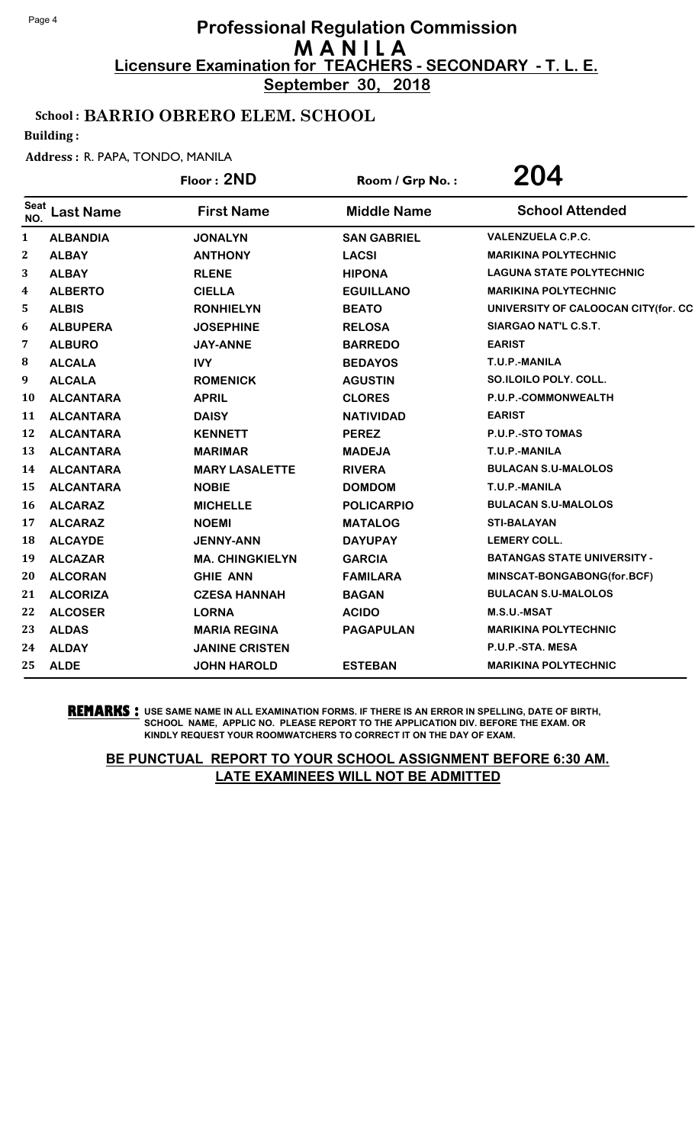**September 30, 2018**

## School : BARRIO OBRERO ELEM. SCHOOL

Building :

#### Address : R. PAPA, TONDO, MANILA

|                    |                  | Floor: 2ND             | Room / Grp No.:    | 204                                 |
|--------------------|------------------|------------------------|--------------------|-------------------------------------|
| <b>Seat</b><br>NO. | <b>Last Name</b> | <b>First Name</b>      | <b>Middle Name</b> | <b>School Attended</b>              |
| 1                  | <b>ALBANDIA</b>  | <b>JONALYN</b>         | <b>SAN GABRIEL</b> | <b>VALENZUELA C.P.C.</b>            |
| $\mathbf{2}$       | <b>ALBAY</b>     | <b>ANTHONY</b>         | <b>LACSI</b>       | <b>MARIKINA POLYTECHNIC</b>         |
| 3                  | <b>ALBAY</b>     | <b>RLENE</b>           | <b>HIPONA</b>      | <b>LAGUNA STATE POLYTECHNIC</b>     |
| 4                  | <b>ALBERTO</b>   | <b>CIELLA</b>          | <b>EGUILLANO</b>   | <b>MARIKINA POLYTECHNIC</b>         |
| 5                  | <b>ALBIS</b>     | <b>RONHIELYN</b>       | <b>BEATO</b>       | UNIVERSITY OF CALOOCAN CITY(for. CC |
| 6                  | <b>ALBUPERA</b>  | <b>JOSEPHINE</b>       | <b>RELOSA</b>      | SIARGAO NAT'L C.S.T.                |
| 7                  | <b>ALBURO</b>    | <b>JAY-ANNE</b>        | <b>BARREDO</b>     | <b>EARIST</b>                       |
| 8                  | <b>ALCALA</b>    | <b>IVY</b>             | <b>BEDAYOS</b>     | T.U.P.-MANILA                       |
| 9                  | <b>ALCALA</b>    | <b>ROMENICK</b>        | <b>AGUSTIN</b>     | SO.ILOILO POLY. COLL.               |
| 10                 | <b>ALCANTARA</b> | <b>APRIL</b>           | <b>CLORES</b>      | P.U.P.-COMMONWEALTH                 |
| 11                 | <b>ALCANTARA</b> | <b>DAISY</b>           | <b>NATIVIDAD</b>   | <b>EARIST</b>                       |
| 12                 | <b>ALCANTARA</b> | <b>KENNETT</b>         | <b>PEREZ</b>       | P.U.P.-STO TOMAS                    |
| 13                 | <b>ALCANTARA</b> | <b>MARIMAR</b>         | <b>MADEJA</b>      | T.U.P.-MANILA                       |
| 14                 | <b>ALCANTARA</b> | <b>MARY LASALETTE</b>  | <b>RIVERA</b>      | <b>BULACAN S.U-MALOLOS</b>          |
| 15                 | <b>ALCANTARA</b> | <b>NOBIE</b>           | <b>DOMDOM</b>      | T.U.P.-MANILA                       |
| 16                 | <b>ALCARAZ</b>   | <b>MICHELLE</b>        | <b>POLICARPIO</b>  | <b>BULACAN S.U-MALOLOS</b>          |
| 17                 | <b>ALCARAZ</b>   | <b>NOEMI</b>           | <b>MATALOG</b>     | <b>STI-BALAYAN</b>                  |
| 18                 | <b>ALCAYDE</b>   | <b>JENNY-ANN</b>       | <b>DAYUPAY</b>     | <b>LEMERY COLL.</b>                 |
| 19                 | <b>ALCAZAR</b>   | <b>MA. CHINGKIELYN</b> | <b>GARCIA</b>      | <b>BATANGAS STATE UNIVERSITY -</b>  |
| 20                 | <b>ALCORAN</b>   | <b>GHIE ANN</b>        | <b>FAMILARA</b>    | MINSCAT-BONGABONG(for.BCF)          |
| 21                 | <b>ALCORIZA</b>  | <b>CZESA HANNAH</b>    | <b>BAGAN</b>       | <b>BULACAN S.U-MALOLOS</b>          |
| 22                 | <b>ALCOSER</b>   | <b>LORNA</b>           | <b>ACIDO</b>       | M.S.U.-MSAT                         |
| 23                 | <b>ALDAS</b>     | <b>MARIA REGINA</b>    | <b>PAGAPULAN</b>   | <b>MARIKINA POLYTECHNIC</b>         |
| 24                 | <b>ALDAY</b>     | <b>JANINE CRISTEN</b>  |                    | P.U.P.-STA. MESA                    |
| 25                 | <b>ALDE</b>      | <b>JOHN HAROLD</b>     | <b>ESTEBAN</b>     | <b>MARIKINA POLYTECHNIC</b>         |

**REMARKS :** USE SAME NAME IN ALL EXAMINATION FORMS. IF THERE IS AN ERROR IN SPELLING, DATE OF BIRTH, SCHOOL NAME, APPLIC NO. PLEASE REPORT TO THE APPLICATION DIV. BEFORE THE EXAM. OR KINDLY REQUEST YOUR ROOMWATCHERS TO CORRECT IT ON THE DAY OF EXAM.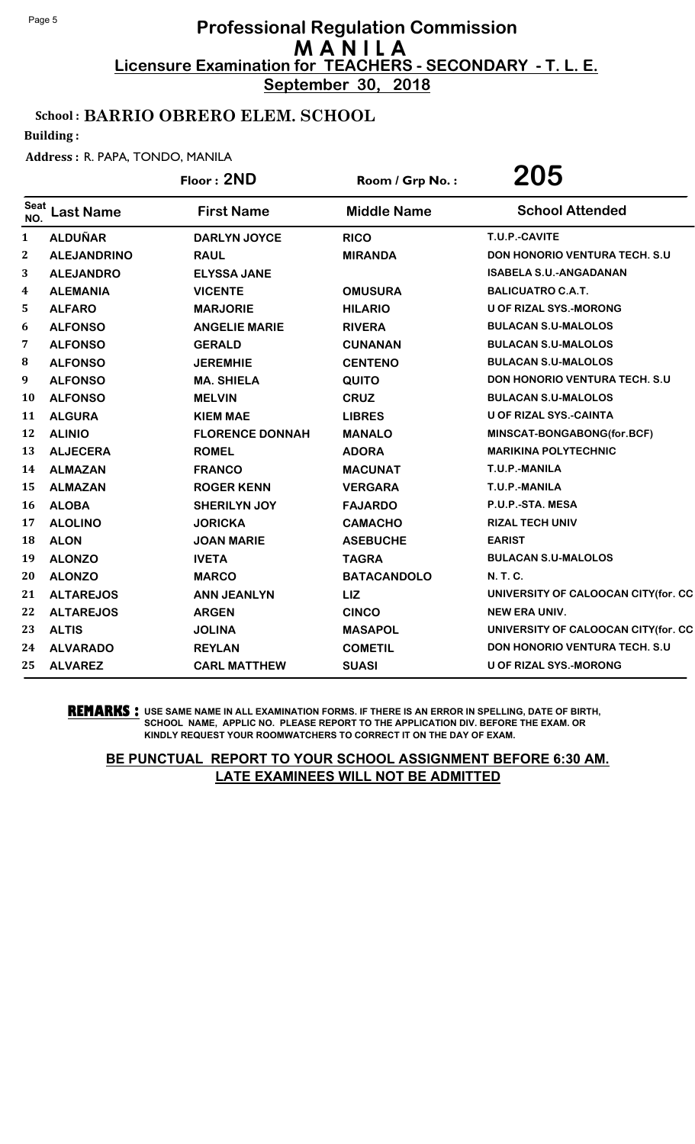**September 30, 2018**

## School : BARRIO OBRERO ELEM. SCHOOL

Building :

#### Address : R. PAPA, TONDO, MANILA

|              |                    | Floor: 2ND             | Room / Grp No.:    | 205                                   |
|--------------|--------------------|------------------------|--------------------|---------------------------------------|
| Seat<br>NO.  | <b>Last Name</b>   | <b>First Name</b>      | <b>Middle Name</b> | <b>School Attended</b>                |
| $\mathbf{1}$ | <b>ALDUÑAR</b>     | <b>DARLYN JOYCE</b>    | <b>RICO</b>        | T.U.P.-CAVITE                         |
| $\mathbf{2}$ | <b>ALEJANDRINO</b> | <b>RAUL</b>            | <b>MIRANDA</b>     | <b>DON HONORIO VENTURA TECH. S.U.</b> |
| 3            | <b>ALEJANDRO</b>   | <b>ELYSSA JANE</b>     |                    | <b>ISABELA S.U.-ANGADANAN</b>         |
| 4            | <b>ALEMANIA</b>    | <b>VICENTE</b>         | <b>OMUSURA</b>     | <b>BALICUATRO C.A.T.</b>              |
| 5            | <b>ALFARO</b>      | <b>MARJORIE</b>        | <b>HILARIO</b>     | <b>U OF RIZAL SYS.-MORONG</b>         |
| 6            | <b>ALFONSO</b>     | <b>ANGELIE MARIE</b>   | <b>RIVERA</b>      | <b>BULACAN S.U-MALOLOS</b>            |
| 7            | <b>ALFONSO</b>     | <b>GERALD</b>          | <b>CUNANAN</b>     | <b>BULACAN S.U-MALOLOS</b>            |
| 8            | <b>ALFONSO</b>     | <b>JEREMHIE</b>        | <b>CENTENO</b>     | <b>BULACAN S.U-MALOLOS</b>            |
| 9            | <b>ALFONSO</b>     | <b>MA. SHIELA</b>      | <b>QUITO</b>       | <b>DON HONORIO VENTURA TECH. S.U.</b> |
| 10           | <b>ALFONSO</b>     | <b>MELVIN</b>          | <b>CRUZ</b>        | <b>BULACAN S.U-MALOLOS</b>            |
| 11           | <b>ALGURA</b>      | <b>KIEM MAE</b>        | <b>LIBRES</b>      | <b>U OF RIZAL SYS.-CAINTA</b>         |
| 12           | <b>ALINIO</b>      | <b>FLORENCE DONNAH</b> | <b>MANALO</b>      | MINSCAT-BONGABONG(for.BCF)            |
| 13           | <b>ALJECERA</b>    | <b>ROMEL</b>           | <b>ADORA</b>       | <b>MARIKINA POLYTECHNIC</b>           |
| 14           | <b>ALMAZAN</b>     | <b>FRANCO</b>          | <b>MACUNAT</b>     | T.U.P.-MANILA                         |
| 15           | <b>ALMAZAN</b>     | <b>ROGER KENN</b>      | <b>VERGARA</b>     | T.U.P.-MANILA                         |
| 16           | <b>ALOBA</b>       | <b>SHERILYN JOY</b>    | <b>FAJARDO</b>     | P.U.P.-STA. MESA                      |
| 17           | <b>ALOLINO</b>     | <b>JORICKA</b>         | <b>CAMACHO</b>     | <b>RIZAL TECH UNIV</b>                |
| 18           | <b>ALON</b>        | <b>JOAN MARIE</b>      | <b>ASEBUCHE</b>    | <b>EARIST</b>                         |
| 19           | <b>ALONZO</b>      | <b>IVETA</b>           | <b>TAGRA</b>       | <b>BULACAN S.U-MALOLOS</b>            |
| 20           | <b>ALONZO</b>      | <b>MARCO</b>           | <b>BATACANDOLO</b> | <b>N.T.C.</b>                         |
| 21           | <b>ALTAREJOS</b>   | <b>ANN JEANLYN</b>     | LIZ                | UNIVERSITY OF CALOOCAN CITY(for. CC   |
| 22           | <b>ALTAREJOS</b>   | <b>ARGEN</b>           | <b>CINCO</b>       | <b>NEW ERA UNIV.</b>                  |
| 23           | <b>ALTIS</b>       | <b>JOLINA</b>          | <b>MASAPOL</b>     | UNIVERSITY OF CALOOCAN CITY(for. CC   |
| 24           | <b>ALVARADO</b>    | <b>REYLAN</b>          | <b>COMETIL</b>     | <b>DON HONORIO VENTURA TECH. S.U</b>  |
| 25           | <b>ALVAREZ</b>     | <b>CARL MATTHEW</b>    | <b>SUASI</b>       | <b>U OF RIZAL SYS.-MORONG</b>         |

**REMARKS :** USE SAME NAME IN ALL EXAMINATION FORMS. IF THERE IS AN ERROR IN SPELLING, DATE OF BIRTH, SCHOOL NAME, APPLIC NO. PLEASE REPORT TO THE APPLICATION DIV. BEFORE THE EXAM. OR KINDLY REQUEST YOUR ROOMWATCHERS TO CORRECT IT ON THE DAY OF EXAM.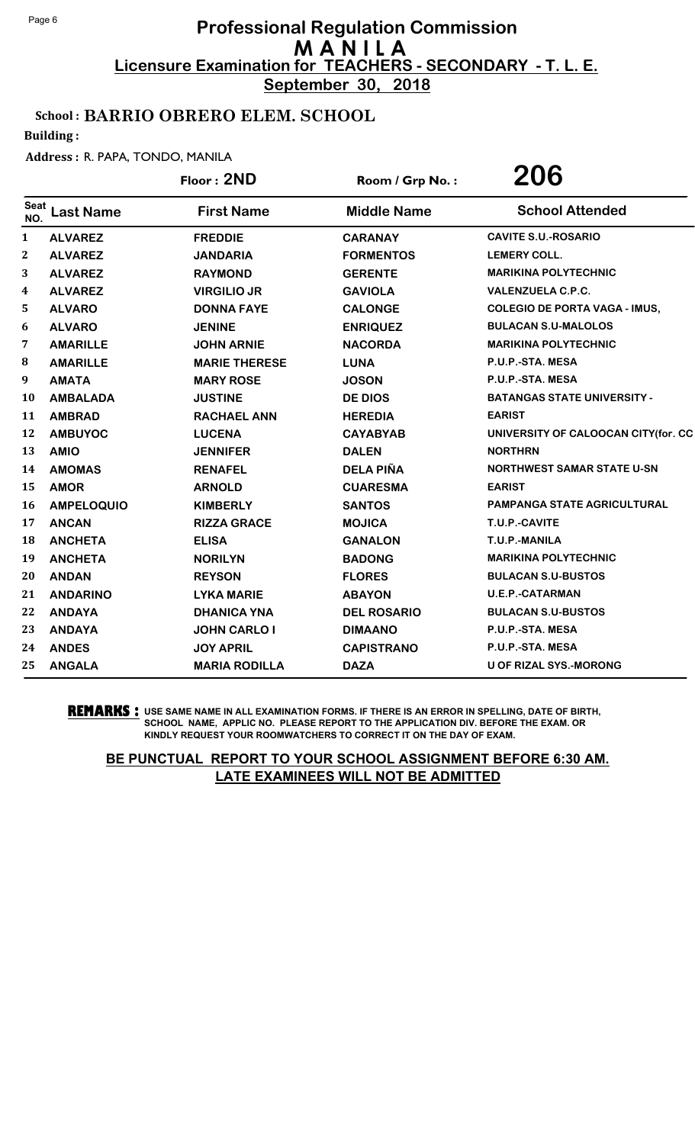**September 30, 2018**

## School : BARRIO OBRERO ELEM. SCHOOL

Building :

#### Address : R. PAPA, TONDO, MANILA

|                    |                   | Floor: 2ND           | Room / Grp No.:    | 206                                  |
|--------------------|-------------------|----------------------|--------------------|--------------------------------------|
| <b>Seat</b><br>NO. | <b>Last Name</b>  | <b>First Name</b>    | <b>Middle Name</b> | <b>School Attended</b>               |
| 1                  | <b>ALVAREZ</b>    | <b>FREDDIE</b>       | <b>CARANAY</b>     | <b>CAVITE S.U.-ROSARIO</b>           |
| $\boldsymbol{2}$   | <b>ALVAREZ</b>    | <b>JANDARIA</b>      | <b>FORMENTOS</b>   | <b>LEMERY COLL.</b>                  |
| 3                  | <b>ALVAREZ</b>    | <b>RAYMOND</b>       | <b>GERENTE</b>     | <b>MARIKINA POLYTECHNIC</b>          |
| 4                  | <b>ALVAREZ</b>    | <b>VIRGILIO JR</b>   | <b>GAVIOLA</b>     | <b>VALENZUELA C.P.C.</b>             |
| 5                  | <b>ALVARO</b>     | <b>DONNA FAYE</b>    | <b>CALONGE</b>     | <b>COLEGIO DE PORTA VAGA - IMUS,</b> |
| 6                  | <b>ALVARO</b>     | <b>JENINE</b>        | <b>ENRIQUEZ</b>    | <b>BULACAN S.U-MALOLOS</b>           |
| 7                  | <b>AMARILLE</b>   | <b>JOHN ARNIE</b>    | <b>NACORDA</b>     | <b>MARIKINA POLYTECHNIC</b>          |
| 8                  | <b>AMARILLE</b>   | <b>MARIE THERESE</b> | <b>LUNA</b>        | P.U.P.-STA. MESA                     |
| 9                  | <b>AMATA</b>      | <b>MARY ROSE</b>     | <b>JOSON</b>       | P.U.P.-STA. MESA                     |
| 10                 | <b>AMBALADA</b>   | <b>JUSTINE</b>       | <b>DE DIOS</b>     | <b>BATANGAS STATE UNIVERSITY -</b>   |
| 11                 | <b>AMBRAD</b>     | <b>RACHAEL ANN</b>   | <b>HEREDIA</b>     | <b>EARIST</b>                        |
| 12                 | <b>AMBUYOC</b>    | <b>LUCENA</b>        | <b>CAYABYAB</b>    | UNIVERSITY OF CALOOCAN CITY(for. CC  |
| 13                 | <b>AMIO</b>       | <b>JENNIFER</b>      | <b>DALEN</b>       | <b>NORTHRN</b>                       |
| 14                 | <b>AMOMAS</b>     | <b>RENAFEL</b>       | <b>DELA PIÑA</b>   | <b>NORTHWEST SAMAR STATE U-SN</b>    |
| 15                 | <b>AMOR</b>       | <b>ARNOLD</b>        | <b>CUARESMA</b>    | <b>EARIST</b>                        |
| 16                 | <b>AMPELOQUIO</b> | <b>KIMBERLY</b>      | <b>SANTOS</b>      | PAMPANGA STATE AGRICULTURAL          |
| 17                 | <b>ANCAN</b>      | <b>RIZZA GRACE</b>   | <b>MOJICA</b>      | T.U.P.-CAVITE                        |
| 18                 | <b>ANCHETA</b>    | <b>ELISA</b>         | <b>GANALON</b>     | T.U.P.-MANILA                        |
| 19                 | <b>ANCHETA</b>    | <b>NORILYN</b>       | <b>BADONG</b>      | <b>MARIKINA POLYTECHNIC</b>          |
| 20                 | <b>ANDAN</b>      | <b>REYSON</b>        | <b>FLORES</b>      | <b>BULACAN S.U-BUSTOS</b>            |
| 21                 | <b>ANDARINO</b>   | <b>LYKA MARIE</b>    | <b>ABAYON</b>      | <b>U.E.P.-CATARMAN</b>               |
| 22                 | <b>ANDAYA</b>     | <b>DHANICA YNA</b>   | <b>DEL ROSARIO</b> | <b>BULACAN S.U-BUSTOS</b>            |
| 23                 | <b>ANDAYA</b>     | <b>JOHN CARLO I</b>  | <b>DIMAANO</b>     | P.U.P.-STA. MESA                     |
| 24                 | <b>ANDES</b>      | <b>JOY APRIL</b>     | <b>CAPISTRANO</b>  | P.U.P.-STA. MESA                     |
| 25                 | <b>ANGALA</b>     | <b>MARIA RODILLA</b> | <b>DAZA</b>        | <b>U OF RIZAL SYS.-MORONG</b>        |
|                    |                   |                      |                    |                                      |

**REMARKS :** USE SAME NAME IN ALL EXAMINATION FORMS. IF THERE IS AN ERROR IN SPELLING, DATE OF BIRTH, SCHOOL NAME, APPLIC NO. PLEASE REPORT TO THE APPLICATION DIV. BEFORE THE EXAM. OR KINDLY REQUEST YOUR ROOMWATCHERS TO CORRECT IT ON THE DAY OF EXAM.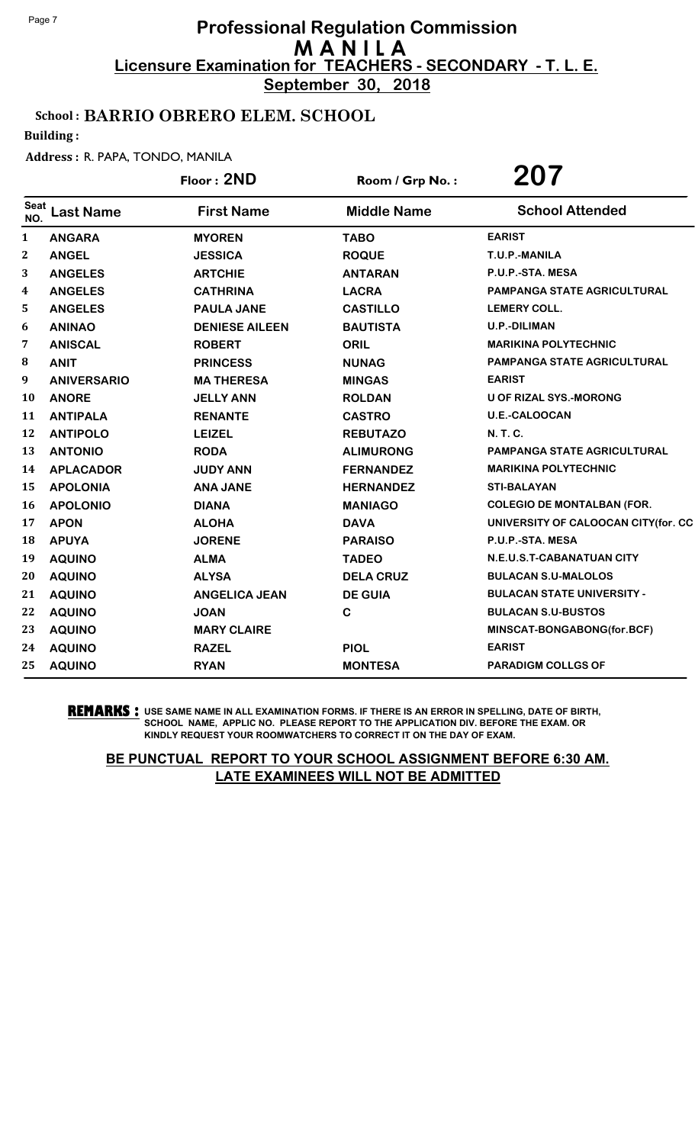**September 30, 2018**

## School : BARRIO OBRERO ELEM. SCHOOL

Building :

#### Address : R. PAPA, TONDO, MANILA

|                    |                    | Floor: 2ND            | Room / Grp No.:    | 207                                 |
|--------------------|--------------------|-----------------------|--------------------|-------------------------------------|
| <b>Seat</b><br>NO. | <b>Last Name</b>   | <b>First Name</b>     | <b>Middle Name</b> | <b>School Attended</b>              |
| 1                  | <b>ANGARA</b>      | <b>MYOREN</b>         | <b>TABO</b>        | <b>EARIST</b>                       |
| 2                  | <b>ANGEL</b>       | <b>JESSICA</b>        | <b>ROQUE</b>       | T.U.P.-MANILA                       |
| 3                  | <b>ANGELES</b>     | <b>ARTCHIE</b>        | <b>ANTARAN</b>     | P.U.P.-STA. MESA                    |
| 4                  | <b>ANGELES</b>     | <b>CATHRINA</b>       | <b>LACRA</b>       | <b>PAMPANGA STATE AGRICULTURAL</b>  |
| 5                  | <b>ANGELES</b>     | <b>PAULA JANE</b>     | <b>CASTILLO</b>    | <b>LEMERY COLL.</b>                 |
| 6                  | <b>ANINAO</b>      | <b>DENIESE AILEEN</b> | <b>BAUTISTA</b>    | U.P.-DILIMAN                        |
| 7                  | <b>ANISCAL</b>     | <b>ROBERT</b>         | <b>ORIL</b>        | <b>MARIKINA POLYTECHNIC</b>         |
| 8                  | <b>ANIT</b>        | <b>PRINCESS</b>       | <b>NUNAG</b>       | PAMPANGA STATE AGRICULTURAL         |
| 9                  | <b>ANIVERSARIO</b> | <b>MA THERESA</b>     | <b>MINGAS</b>      | <b>EARIST</b>                       |
| 10                 | <b>ANORE</b>       | <b>JELLY ANN</b>      | <b>ROLDAN</b>      | <b>U OF RIZAL SYS.-MORONG</b>       |
| 11                 | <b>ANTIPALA</b>    | <b>RENANTE</b>        | <b>CASTRO</b>      | <b>U.E.-CALOOCAN</b>                |
| 12                 | <b>ANTIPOLO</b>    | <b>LEIZEL</b>         | <b>REBUTAZO</b>    | <b>N.T.C.</b>                       |
| 13                 | <b>ANTONIO</b>     | <b>RODA</b>           | <b>ALIMURONG</b>   | <b>PAMPANGA STATE AGRICULTURAL</b>  |
| 14                 | <b>APLACADOR</b>   | <b>JUDY ANN</b>       | <b>FERNANDEZ</b>   | <b>MARIKINA POLYTECHNIC</b>         |
| 15                 | <b>APOLONIA</b>    | <b>ANA JANE</b>       | <b>HERNANDEZ</b>   | <b>STI-BALAYAN</b>                  |
| 16                 | <b>APOLONIO</b>    | <b>DIANA</b>          | <b>MANIAGO</b>     | <b>COLEGIO DE MONTALBAN (FOR.</b>   |
| 17                 | <b>APON</b>        | <b>ALOHA</b>          | <b>DAVA</b>        | UNIVERSITY OF CALOOCAN CITY(for. CC |
| 18                 | <b>APUYA</b>       | <b>JORENE</b>         | <b>PARAISO</b>     | P.U.P.-STA. MESA                    |
| 19                 | <b>AQUINO</b>      | <b>ALMA</b>           | <b>TADEO</b>       | N.E.U.S.T-CABANATUAN CITY           |
| 20                 | <b>AQUINO</b>      | <b>ALYSA</b>          | <b>DELA CRUZ</b>   | <b>BULACAN S.U-MALOLOS</b>          |
| 21                 | <b>AQUINO</b>      | <b>ANGELICA JEAN</b>  | <b>DE GUIA</b>     | <b>BULACAN STATE UNIVERSITY -</b>   |
| 22                 | <b>AQUINO</b>      | <b>JOAN</b>           | $\mathbf C$        | <b>BULACAN S.U-BUSTOS</b>           |
| 23                 | <b>AQUINO</b>      | <b>MARY CLAIRE</b>    |                    | MINSCAT-BONGABONG(for.BCF)          |
| 24                 | <b>AQUINO</b>      | <b>RAZEL</b>          | <b>PIOL</b>        | <b>EARIST</b>                       |
| 25                 | <b>AQUINO</b>      | <b>RYAN</b>           | <b>MONTESA</b>     | <b>PARADIGM COLLGS OF</b>           |

**REMARKS :** USE SAME NAME IN ALL EXAMINATION FORMS. IF THERE IS AN ERROR IN SPELLING, DATE OF BIRTH, SCHOOL NAME, APPLIC NO. PLEASE REPORT TO THE APPLICATION DIV. BEFORE THE EXAM. OR KINDLY REQUEST YOUR ROOMWATCHERS TO CORRECT IT ON THE DAY OF EXAM.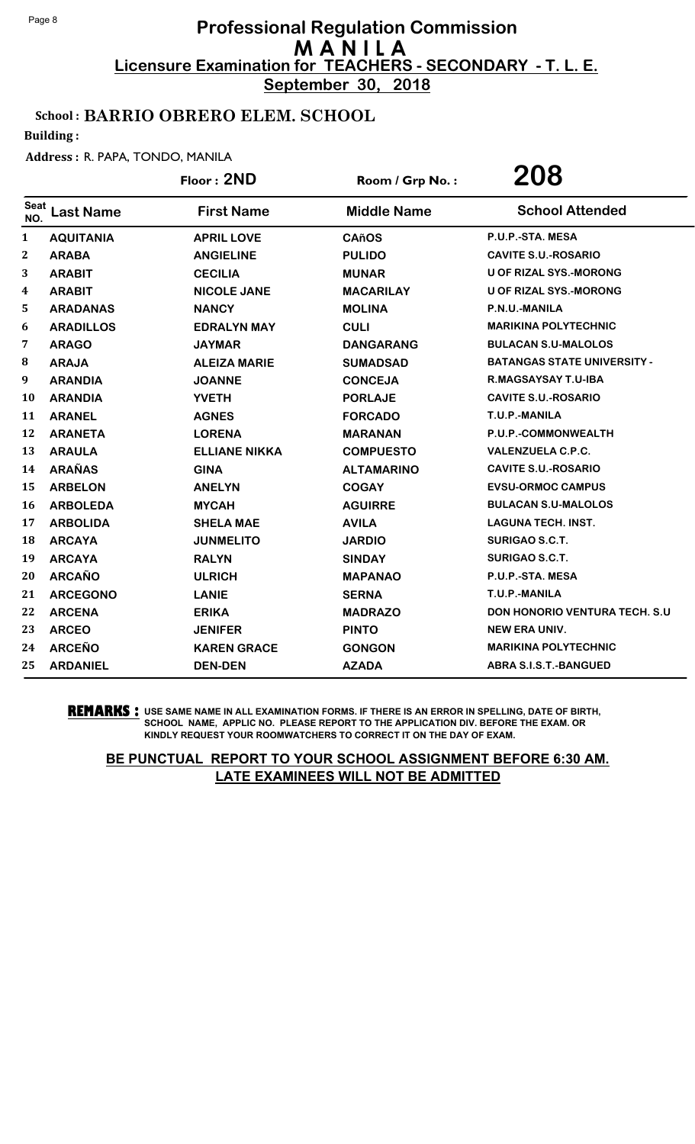**September 30, 2018**

## School : BARRIO OBRERO ELEM. SCHOOL

Building :

#### Address : R. PAPA, TONDO, MANILA

|                    |                  | Floor: 2ND           | Room / Grp No.:    | 208                                  |
|--------------------|------------------|----------------------|--------------------|--------------------------------------|
| <b>Seat</b><br>NO. | <b>Last Name</b> | <b>First Name</b>    | <b>Middle Name</b> | <b>School Attended</b>               |
| 1                  | <b>AQUITANIA</b> | <b>APRIL LOVE</b>    | <b>CAñOS</b>       | P.U.P.-STA. MESA                     |
| 2                  | <b>ARABA</b>     | <b>ANGIELINE</b>     | <b>PULIDO</b>      | <b>CAVITE S.U.-ROSARIO</b>           |
| 3                  | <b>ARABIT</b>    | <b>CECILIA</b>       | <b>MUNAR</b>       | <b>U OF RIZAL SYS.-MORONG</b>        |
| 4                  | <b>ARABIT</b>    | <b>NICOLE JANE</b>   | <b>MACARILAY</b>   | <b>U OF RIZAL SYS.-MORONG</b>        |
| 5                  | <b>ARADANAS</b>  | <b>NANCY</b>         | <b>MOLINA</b>      | P.N.U.-MANILA                        |
| 6                  | <b>ARADILLOS</b> | <b>EDRALYN MAY</b>   | <b>CULI</b>        | <b>MARIKINA POLYTECHNIC</b>          |
| 7                  | <b>ARAGO</b>     | <b>JAYMAR</b>        | <b>DANGARANG</b>   | <b>BULACAN S.U-MALOLOS</b>           |
| 8                  | <b>ARAJA</b>     | <b>ALEIZA MARIE</b>  | <b>SUMADSAD</b>    | <b>BATANGAS STATE UNIVERSITY -</b>   |
| 9                  | <b>ARANDIA</b>   | <b>JOANNE</b>        | <b>CONCEJA</b>     | R.MAGSAYSAY T.U-IBA                  |
| 10                 | <b>ARANDIA</b>   | <b>YVETH</b>         | <b>PORLAJE</b>     | <b>CAVITE S.U.-ROSARIO</b>           |
| 11                 | <b>ARANEL</b>    | <b>AGNES</b>         | <b>FORCADO</b>     | T.U.P.-MANILA                        |
| 12                 | <b>ARANETA</b>   | <b>LORENA</b>        | <b>MARANAN</b>     | P.U.P.-COMMONWEALTH                  |
| 13                 | <b>ARAULA</b>    | <b>ELLIANE NIKKA</b> | <b>COMPUESTO</b>   | <b>VALENZUELA C.P.C.</b>             |
| 14                 | <b>ARAÑAS</b>    | <b>GINA</b>          | <b>ALTAMARINO</b>  | <b>CAVITE S.U.-ROSARIO</b>           |
| 15                 | <b>ARBELON</b>   | <b>ANELYN</b>        | <b>COGAY</b>       | <b>EVSU-ORMOC CAMPUS</b>             |
| 16                 | <b>ARBOLEDA</b>  | <b>MYCAH</b>         | <b>AGUIRRE</b>     | <b>BULACAN S.U-MALOLOS</b>           |
| 17                 | <b>ARBOLIDA</b>  | <b>SHELA MAE</b>     | <b>AVILA</b>       | <b>LAGUNA TECH. INST.</b>            |
| 18                 | <b>ARCAYA</b>    | <b>JUNMELITO</b>     | <b>JARDIO</b>      | <b>SURIGAO S.C.T.</b>                |
| 19                 | <b>ARCAYA</b>    | <b>RALYN</b>         | <b>SINDAY</b>      | <b>SURIGAO S.C.T.</b>                |
| 20                 | <b>ARCAÑO</b>    | <b>ULRICH</b>        | <b>MAPANAO</b>     | P.U.P.-STA. MESA                     |
| 21                 | <b>ARCEGONO</b>  | <b>LANIE</b>         | <b>SERNA</b>       | T.U.P.-MANILA                        |
| 22                 | <b>ARCENA</b>    | <b>ERIKA</b>         | <b>MADRAZO</b>     | <b>DON HONORIO VENTURA TECH. S.U</b> |
| 23                 | <b>ARCEO</b>     | <b>JENIFER</b>       | <b>PINTO</b>       | <b>NEW ERA UNIV.</b>                 |
| 24                 | <b>ARCEÑO</b>    | <b>KAREN GRACE</b>   | <b>GONGON</b>      | <b>MARIKINA POLYTECHNIC</b>          |
| 25                 | <b>ARDANIEL</b>  | <b>DEN-DEN</b>       | <b>AZADA</b>       | <b>ABRA S.I.S.T.-BANGUED</b>         |

**REMARKS :** USE SAME NAME IN ALL EXAMINATION FORMS. IF THERE IS AN ERROR IN SPELLING, DATE OF BIRTH, SCHOOL NAME, APPLIC NO. PLEASE REPORT TO THE APPLICATION DIV. BEFORE THE EXAM. OR KINDLY REQUEST YOUR ROOMWATCHERS TO CORRECT IT ON THE DAY OF EXAM.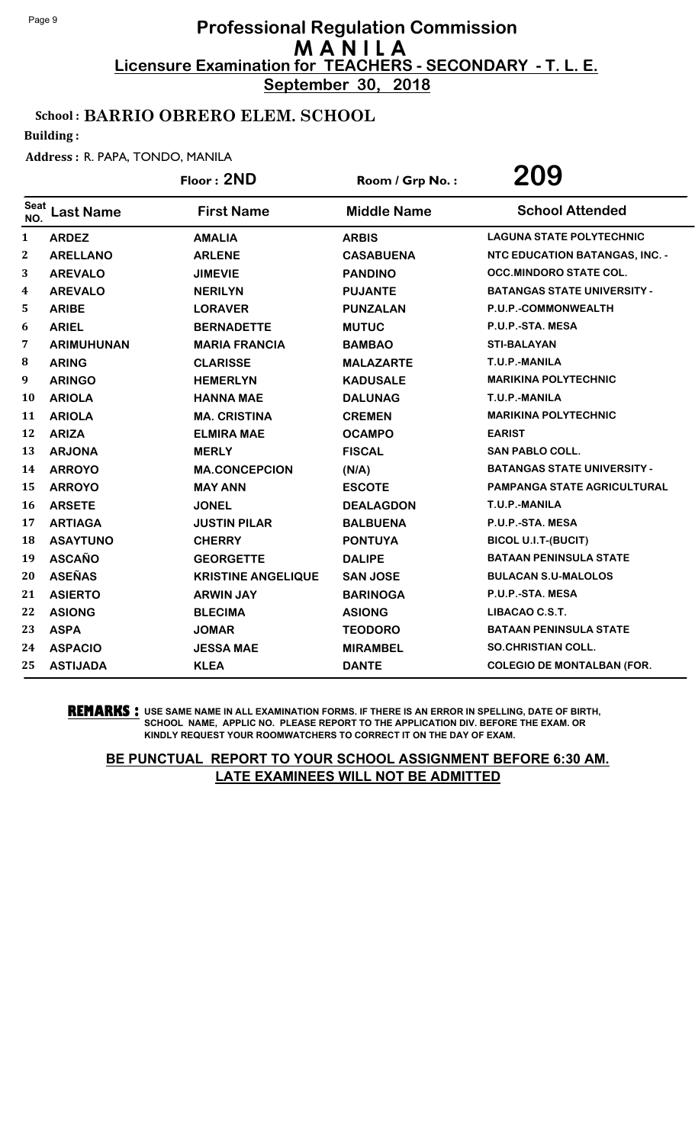**September 30, 2018**

## School : BARRIO OBRERO ELEM. SCHOOL

Building :

#### Address : R. PAPA, TONDO, MANILA

|             |                   | Floor: 2ND                | Room / Grp No.:    | 209                                   |
|-------------|-------------------|---------------------------|--------------------|---------------------------------------|
| Seat<br>NO. | <b>Last Name</b>  | <b>First Name</b>         | <b>Middle Name</b> | <b>School Attended</b>                |
| 1           | <b>ARDEZ</b>      | <b>AMALIA</b>             | <b>ARBIS</b>       | <b>LAGUNA STATE POLYTECHNIC</b>       |
| 2           | <b>ARELLANO</b>   | <b>ARLENE</b>             | <b>CASABUENA</b>   | <b>NTC EDUCATION BATANGAS, INC. -</b> |
| 3           | <b>AREVALO</b>    | <b>JIMEVIE</b>            | <b>PANDINO</b>     | <b>OCC.MINDORO STATE COL.</b>         |
| 4           | <b>AREVALO</b>    | <b>NERILYN</b>            | <b>PUJANTE</b>     | <b>BATANGAS STATE UNIVERSITY -</b>    |
| 5           | <b>ARIBE</b>      | <b>LORAVER</b>            | <b>PUNZALAN</b>    | P.U.P.-COMMONWEALTH                   |
| 6           | <b>ARIEL</b>      | <b>BERNADETTE</b>         | <b>MUTUC</b>       | P.U.P.-STA. MESA                      |
| 7           | <b>ARIMUHUNAN</b> | <b>MARIA FRANCIA</b>      | <b>BAMBAO</b>      | <b>STI-BALAYAN</b>                    |
| 8           | <b>ARING</b>      | <b>CLARISSE</b>           | <b>MALAZARTE</b>   | T.U.P.-MANILA                         |
| 9           | <b>ARINGO</b>     | <b>HEMERLYN</b>           | <b>KADUSALE</b>    | <b>MARIKINA POLYTECHNIC</b>           |
| 10          | <b>ARIOLA</b>     | <b>HANNA MAE</b>          | <b>DALUNAG</b>     | T.U.P.-MANILA                         |
| 11          | <b>ARIOLA</b>     | <b>MA. CRISTINA</b>       | <b>CREMEN</b>      | <b>MARIKINA POLYTECHNIC</b>           |
| 12          | <b>ARIZA</b>      | <b>ELMIRA MAE</b>         | <b>OCAMPO</b>      | <b>EARIST</b>                         |
| 13          | <b>ARJONA</b>     | <b>MERLY</b>              | <b>FISCAL</b>      | <b>SAN PABLO COLL.</b>                |
| 14          | <b>ARROYO</b>     | <b>MA.CONCEPCION</b>      | (N/A)              | <b>BATANGAS STATE UNIVERSITY -</b>    |
| 15          | <b>ARROYO</b>     | <b>MAY ANN</b>            | <b>ESCOTE</b>      | PAMPANGA STATE AGRICULTURAL           |
| 16          | <b>ARSETE</b>     | <b>JONEL</b>              | <b>DEALAGDON</b>   | T.U.P.-MANILA                         |
| 17          | <b>ARTIAGA</b>    | <b>JUSTIN PILAR</b>       | <b>BALBUENA</b>    | P.U.P.-STA. MESA                      |
| 18          | <b>ASAYTUNO</b>   | <b>CHERRY</b>             | <b>PONTUYA</b>     | <b>BICOL U.I.T-(BUCIT)</b>            |
| 19          | <b>ASCAÑO</b>     | <b>GEORGETTE</b>          | <b>DALIPE</b>      | <b>BATAAN PENINSULA STATE</b>         |
| 20          | <b>ASEÑAS</b>     | <b>KRISTINE ANGELIQUE</b> | <b>SAN JOSE</b>    | <b>BULACAN S.U-MALOLOS</b>            |
| 21          | <b>ASIERTO</b>    | <b>ARWIN JAY</b>          | <b>BARINOGA</b>    | P.U.P.-STA. MESA                      |
| 22          | <b>ASIONG</b>     | <b>BLECIMA</b>            | <b>ASIONG</b>      | LIBACAO C.S.T.                        |
| 23          | <b>ASPA</b>       | <b>JOMAR</b>              | <b>TEODORO</b>     | <b>BATAAN PENINSULA STATE</b>         |
| 24          | <b>ASPACIO</b>    | <b>JESSA MAE</b>          | <b>MIRAMBEL</b>    | <b>SO.CHRISTIAN COLL.</b>             |
| 25          | <b>ASTIJADA</b>   | <b>KLEA</b>               | <b>DANTE</b>       | <b>COLEGIO DE MONTALBAN (FOR.</b>     |

**REMARKS :** USE SAME NAME IN ALL EXAMINATION FORMS. IF THERE IS AN ERROR IN SPELLING, DATE OF BIRTH, SCHOOL NAME, APPLIC NO. PLEASE REPORT TO THE APPLICATION DIV. BEFORE THE EXAM. OR KINDLY REQUEST YOUR ROOMWATCHERS TO CORRECT IT ON THE DAY OF EXAM.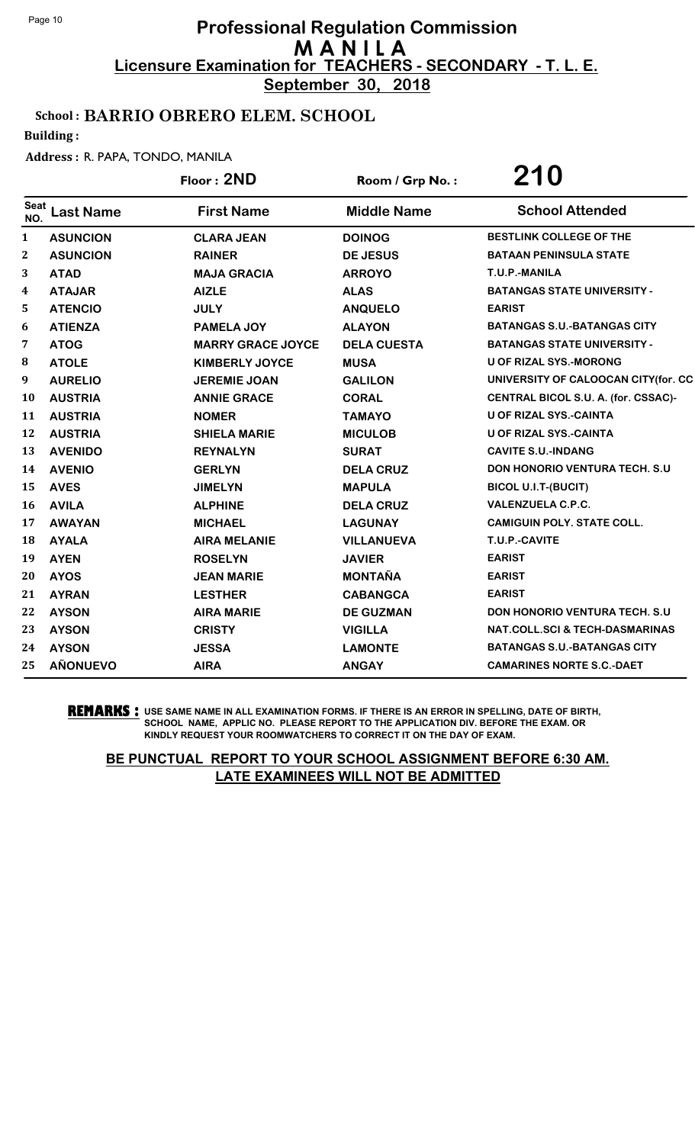**September 30, 2018**

## School : BARRIO OBRERO ELEM. SCHOOL

Building :

#### Address : R. PAPA, TONDO, MANILA

|              |                  | Floor: 2ND               | Room / Grp No.:    | 210                                       |
|--------------|------------------|--------------------------|--------------------|-------------------------------------------|
| Seat<br>NO.  | <b>Last Name</b> | <b>First Name</b>        | <b>Middle Name</b> | <b>School Attended</b>                    |
| $\mathbf{1}$ | <b>ASUNCION</b>  | <b>CLARA JEAN</b>        | <b>DOINOG</b>      | <b>BESTLINK COLLEGE OF THE</b>            |
| $\mathbf{2}$ | <b>ASUNCION</b>  | <b>RAINER</b>            | <b>DE JESUS</b>    | <b>BATAAN PENINSULA STATE</b>             |
| 3            | <b>ATAD</b>      | <b>MAJA GRACIA</b>       | <b>ARROYO</b>      | T.U.P.-MANILA                             |
| 4            | <b>ATAJAR</b>    | <b>AIZLE</b>             | <b>ALAS</b>        | <b>BATANGAS STATE UNIVERSITY -</b>        |
| 5            | <b>ATENCIO</b>   | <b>JULY</b>              | <b>ANQUELO</b>     | <b>EARIST</b>                             |
| 6            | <b>ATIENZA</b>   | PAMELA JOY               | <b>ALAYON</b>      | <b>BATANGAS S.U.-BATANGAS CITY</b>        |
| 7            | <b>ATOG</b>      | <b>MARRY GRACE JOYCE</b> | <b>DELA CUESTA</b> | <b>BATANGAS STATE UNIVERSITY -</b>        |
| 8            | <b>ATOLE</b>     | <b>KIMBERLY JOYCE</b>    | <b>MUSA</b>        | <b>U OF RIZAL SYS.-MORONG</b>             |
| 9            | <b>AURELIO</b>   | <b>JEREMIE JOAN</b>      | <b>GALILON</b>     | UNIVERSITY OF CALOOCAN CITY(for. CC       |
| 10           | <b>AUSTRIA</b>   | <b>ANNIE GRACE</b>       | <b>CORAL</b>       | CENTRAL BICOL S.U. A. (for. CSSAC)-       |
| 11           | <b>AUSTRIA</b>   | <b>NOMER</b>             | <b>TAMAYO</b>      | <b>U OF RIZAL SYS.-CAINTA</b>             |
| 12           | <b>AUSTRIA</b>   | <b>SHIELA MARIE</b>      | <b>MICULOB</b>     | <b>U OF RIZAL SYS.-CAINTA</b>             |
| 13           | <b>AVENIDO</b>   | <b>REYNALYN</b>          | <b>SURAT</b>       | <b>CAVITE S.U.-INDANG</b>                 |
| 14           | <b>AVENIO</b>    | <b>GERLYN</b>            | <b>DELA CRUZ</b>   | <b>DON HONORIO VENTURA TECH. S.U</b>      |
| 15           | <b>AVES</b>      | <b>JIMELYN</b>           | <b>MAPULA</b>      | <b>BICOL U.I.T-(BUCIT)</b>                |
| 16           | <b>AVILA</b>     | <b>ALPHINE</b>           | <b>DELA CRUZ</b>   | <b>VALENZUELA C.P.C.</b>                  |
| 17           | <b>AWAYAN</b>    | <b>MICHAEL</b>           | <b>LAGUNAY</b>     | <b>CAMIGUIN POLY. STATE COLL.</b>         |
| 18           | <b>AYALA</b>     | <b>AIRA MELANIE</b>      | <b>VILLANUEVA</b>  | T.U.P.-CAVITE                             |
| 19           | <b>AYEN</b>      | <b>ROSELYN</b>           | <b>JAVIER</b>      | <b>EARIST</b>                             |
| 20           | <b>AYOS</b>      | <b>JEAN MARIE</b>        | <b>MONTAÑA</b>     | <b>EARIST</b>                             |
| 21           | <b>AYRAN</b>     | <b>LESTHER</b>           | <b>CABANGCA</b>    | <b>EARIST</b>                             |
| 22           | <b>AYSON</b>     | <b>AIRA MARIE</b>        | <b>DE GUZMAN</b>   | <b>DON HONORIO VENTURA TECH. S.U</b>      |
| 23           | <b>AYSON</b>     | <b>CRISTY</b>            | <b>VIGILLA</b>     | <b>NAT.COLL.SCI &amp; TECH-DASMARINAS</b> |
| 24           | <b>AYSON</b>     | <b>JESSA</b>             | <b>LAMONTE</b>     | <b>BATANGAS S.U.-BATANGAS CITY</b>        |
| 25           | <b>AÑONUEVO</b>  | <b>AIRA</b>              | <b>ANGAY</b>       | <b>CAMARINES NORTE S.C.-DAET</b>          |

**REMARKS :** USE SAME NAME IN ALL EXAMINATION FORMS. IF THERE IS AN ERROR IN SPELLING, DATE OF BIRTH, SCHOOL NAME, APPLIC NO. PLEASE REPORT TO THE APPLICATION DIV. BEFORE THE EXAM. OR KINDLY REQUEST YOUR ROOMWATCHERS TO CORRECT IT ON THE DAY OF EXAM.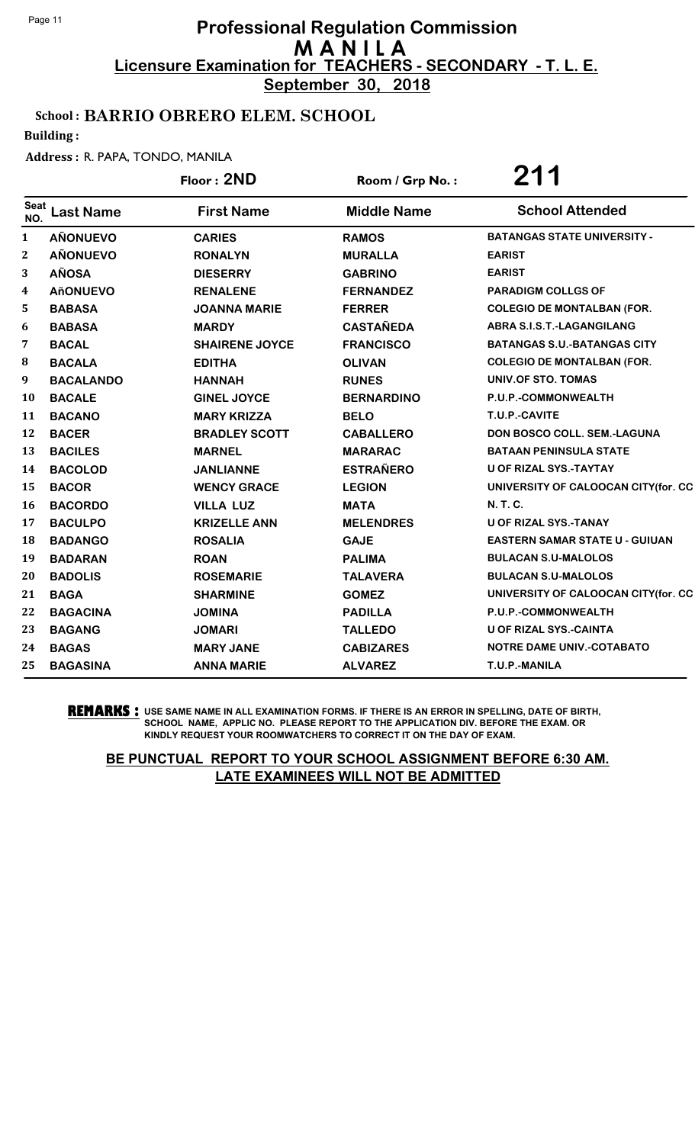**September 30, 2018**

## School : BARRIO OBRERO ELEM. SCHOOL

Building :

#### Address : R. PAPA, TONDO, MANILA

|              |                  | Floor: 2ND            | Room / Grp No.:    | 211                                   |
|--------------|------------------|-----------------------|--------------------|---------------------------------------|
| Seat<br>NO.  | <b>Last Name</b> | <b>First Name</b>     | <b>Middle Name</b> | <b>School Attended</b>                |
| $\mathbf{1}$ | <b>AÑONUEVO</b>  | <b>CARIES</b>         | <b>RAMOS</b>       | <b>BATANGAS STATE UNIVERSITY -</b>    |
| 2            | <b>AÑONUEVO</b>  | <b>RONALYN</b>        | <b>MURALLA</b>     | <b>EARIST</b>                         |
| 3            | <b>AÑOSA</b>     | <b>DIESERRY</b>       | <b>GABRINO</b>     | <b>EARIST</b>                         |
| 4            | <b>AñONUEVO</b>  | <b>RENALENE</b>       | <b>FERNANDEZ</b>   | <b>PARADIGM COLLGS OF</b>             |
| 5            | <b>BABASA</b>    | <b>JOANNA MARIE</b>   | <b>FERRER</b>      | <b>COLEGIO DE MONTALBAN (FOR.</b>     |
| 6            | <b>BABASA</b>    | <b>MARDY</b>          | <b>CASTAÑEDA</b>   | ABRA S.I.S.T.-LAGANGILANG             |
| 7            | <b>BACAL</b>     | <b>SHAIRENE JOYCE</b> | <b>FRANCISCO</b>   | <b>BATANGAS S.U.-BATANGAS CITY</b>    |
| 8            | <b>BACALA</b>    | <b>EDITHA</b>         | <b>OLIVAN</b>      | <b>COLEGIO DE MONTALBAN (FOR.</b>     |
| 9            | <b>BACALANDO</b> | <b>HANNAH</b>         | <b>RUNES</b>       | UNIV.OF STO. TOMAS                    |
| <b>10</b>    | <b>BACALE</b>    | <b>GINEL JOYCE</b>    | <b>BERNARDINO</b>  | P.U.P.-COMMONWEALTH                   |
| 11           | <b>BACANO</b>    | <b>MARY KRIZZA</b>    | <b>BELO</b>        | T.U.P.-CAVITE                         |
| 12           | <b>BACER</b>     | <b>BRADLEY SCOTT</b>  | <b>CABALLERO</b>   | DON BOSCO COLL. SEM.-LAGUNA           |
| 13           | <b>BACILES</b>   | <b>MARNEL</b>         | <b>MARARAC</b>     | <b>BATAAN PENINSULA STATE</b>         |
| 14           | <b>BACOLOD</b>   | <b>JANLIANNE</b>      | <b>ESTRAÑERO</b>   | <b>U OF RIZAL SYS.-TAYTAY</b>         |
| 15           | <b>BACOR</b>     | <b>WENCY GRACE</b>    | <b>LEGION</b>      | UNIVERSITY OF CALOOCAN CITY(for. CC   |
| <b>16</b>    | <b>BACORDO</b>   | <b>VILLA LUZ</b>      | <b>MATA</b>        | N. T. C.                              |
| 17           | <b>BACULPO</b>   | <b>KRIZELLE ANN</b>   | <b>MELENDRES</b>   | <b>U OF RIZAL SYS.-TANAY</b>          |
| 18           | <b>BADANGO</b>   | <b>ROSALIA</b>        | <b>GAJE</b>        | <b>EASTERN SAMAR STATE U - GUIUAN</b> |
| 19           | <b>BADARAN</b>   | <b>ROAN</b>           | <b>PALIMA</b>      | <b>BULACAN S.U-MALOLOS</b>            |
| 20           | <b>BADOLIS</b>   | <b>ROSEMARIE</b>      | <b>TALAVERA</b>    | <b>BULACAN S.U-MALOLOS</b>            |
| 21           | <b>BAGA</b>      | <b>SHARMINE</b>       | <b>GOMEZ</b>       | UNIVERSITY OF CALOOCAN CITY(for. CC   |
| 22           | <b>BAGACINA</b>  | <b>JOMINA</b>         | <b>PADILLA</b>     | P.U.P.-COMMONWEALTH                   |
| 23           | <b>BAGANG</b>    | <b>JOMARI</b>         | <b>TALLEDO</b>     | <b>U OF RIZAL SYS.-CAINTA</b>         |
| 24           | <b>BAGAS</b>     | <b>MARY JANE</b>      | <b>CABIZARES</b>   | <b>NOTRE DAME UNIV.-COTABATO</b>      |
| 25           | <b>BAGASINA</b>  | <b>ANNA MARIE</b>     | <b>ALVAREZ</b>     | T.U.P.-MANILA                         |

**REMARKS :** USE SAME NAME IN ALL EXAMINATION FORMS. IF THERE IS AN ERROR IN SPELLING, DATE OF BIRTH, SCHOOL NAME, APPLIC NO. PLEASE REPORT TO THE APPLICATION DIV. BEFORE THE EXAM. OR KINDLY REQUEST YOUR ROOMWATCHERS TO CORRECT IT ON THE DAY OF EXAM.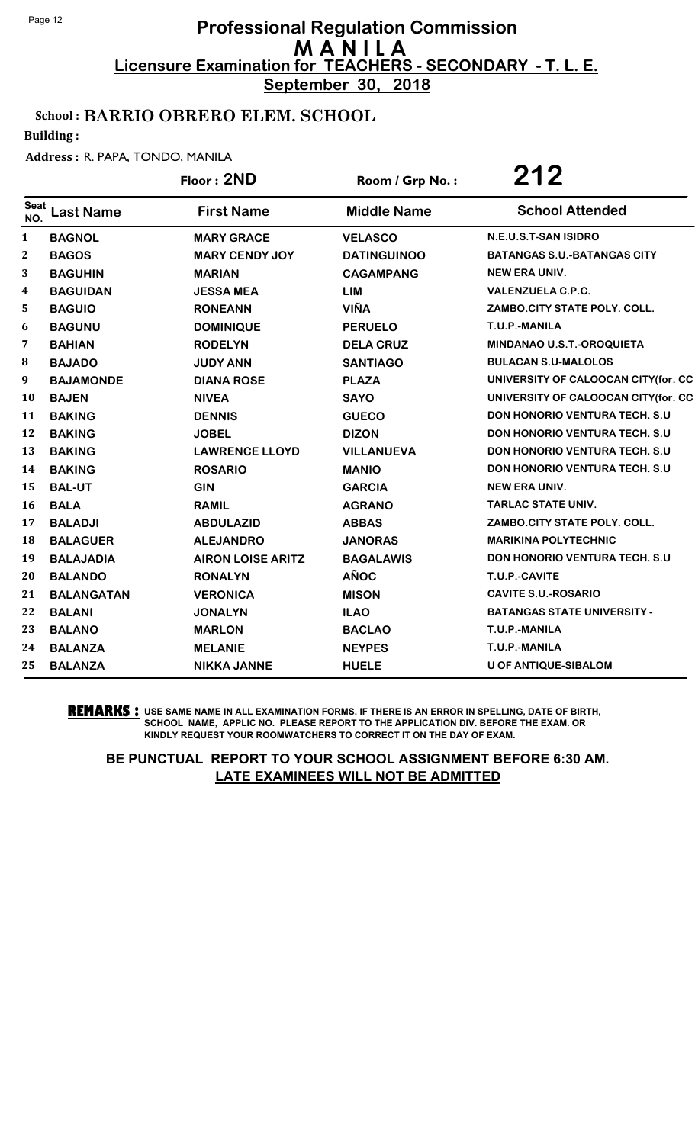**September 30, 2018**

## School : BARRIO OBRERO ELEM. SCHOOL

Building :

#### Address : R. PAPA, TONDO, MANILA

|                    |                   | Floor: 2ND               | Room / Grp No.:    | 212                                   |
|--------------------|-------------------|--------------------------|--------------------|---------------------------------------|
| <b>Seat</b><br>NO. | <b>Last Name</b>  | <b>First Name</b>        | <b>Middle Name</b> | <b>School Attended</b>                |
| $\mathbf{1}$       | <b>BAGNOL</b>     | <b>MARY GRACE</b>        | <b>VELASCO</b>     | N.E.U.S.T-SAN ISIDRO                  |
| $\boldsymbol{2}$   | <b>BAGOS</b>      | <b>MARY CENDY JOY</b>    | <b>DATINGUINOO</b> | <b>BATANGAS S.U.-BATANGAS CITY</b>    |
| 3                  | <b>BAGUHIN</b>    | <b>MARIAN</b>            | <b>CAGAMPANG</b>   | <b>NEW ERA UNIV.</b>                  |
| 4                  | <b>BAGUIDAN</b>   | <b>JESSA MEA</b>         | <b>LIM</b>         | <b>VALENZUELA C.P.C.</b>              |
| 5                  | <b>BAGUIO</b>     | <b>RONEANN</b>           | <b>VIÑA</b>        | ZAMBO.CITY STATE POLY. COLL.          |
| 6                  | <b>BAGUNU</b>     | <b>DOMINIQUE</b>         | <b>PERUELO</b>     | T.U.P.-MANILA                         |
| 7                  | <b>BAHIAN</b>     | <b>RODELYN</b>           | <b>DELA CRUZ</b>   | <b>MINDANAO U.S.T.-OROQUIETA</b>      |
| 8                  | <b>BAJADO</b>     | <b>JUDY ANN</b>          | <b>SANTIAGO</b>    | <b>BULACAN S.U-MALOLOS</b>            |
| 9                  | <b>BAJAMONDE</b>  | <b>DIANA ROSE</b>        | <b>PLAZA</b>       | UNIVERSITY OF CALOOCAN CITY(for. CC   |
| <b>10</b>          | <b>BAJEN</b>      | <b>NIVEA</b>             | <b>SAYO</b>        | UNIVERSITY OF CALOOCAN CITY(for. CC   |
| 11                 | <b>BAKING</b>     | <b>DENNIS</b>            | <b>GUECO</b>       | <b>DON HONORIO VENTURA TECH. S.U.</b> |
| 12                 | <b>BAKING</b>     | <b>JOBEL</b>             | <b>DIZON</b>       | <b>DON HONORIO VENTURA TECH. S.U.</b> |
| 13                 | <b>BAKING</b>     | <b>LAWRENCE LLOYD</b>    | <b>VILLANUEVA</b>  | DON HONORIO VENTURA TECH. S.U         |
| 14                 | <b>BAKING</b>     | <b>ROSARIO</b>           | <b>MANIO</b>       | <b>DON HONORIO VENTURA TECH. S.U.</b> |
| 15                 | <b>BAL-UT</b>     | <b>GIN</b>               | <b>GARCIA</b>      | <b>NEW ERA UNIV.</b>                  |
| <b>16</b>          | <b>BALA</b>       | <b>RAMIL</b>             | <b>AGRANO</b>      | <b>TARLAC STATE UNIV.</b>             |
| 17                 | <b>BALADJI</b>    | <b>ABDULAZID</b>         | <b>ABBAS</b>       | ZAMBO.CITY STATE POLY. COLL.          |
| 18                 | <b>BALAGUER</b>   | <b>ALEJANDRO</b>         | <b>JANORAS</b>     | <b>MARIKINA POLYTECHNIC</b>           |
| 19                 | <b>BALAJADIA</b>  | <b>AIRON LOISE ARITZ</b> | <b>BAGALAWIS</b>   | DON HONORIO VENTURA TECH. S.U         |
| 20                 | <b>BALANDO</b>    | <b>RONALYN</b>           | <b>AÑOC</b>        | T.U.P.-CAVITE                         |
| 21                 | <b>BALANGATAN</b> | <b>VERONICA</b>          | <b>MISON</b>       | <b>CAVITE S.U.-ROSARIO</b>            |
| 22                 | <b>BALANI</b>     | <b>JONALYN</b>           | <b>ILAO</b>        | <b>BATANGAS STATE UNIVERSITY -</b>    |
| 23                 | <b>BALANO</b>     | <b>MARLON</b>            | <b>BACLAO</b>      | T.U.P.-MANILA                         |
| 24                 | <b>BALANZA</b>    | <b>MELANIE</b>           | <b>NEYPES</b>      | T.U.P.-MANILA                         |
| 25                 | <b>BALANZA</b>    | <b>NIKKA JANNE</b>       | <b>HUELE</b>       | <b>U OF ANTIQUE-SIBALOM</b>           |

**REMARKS :** USE SAME NAME IN ALL EXAMINATION FORMS. IF THERE IS AN ERROR IN SPELLING, DATE OF BIRTH, SCHOOL NAME, APPLIC NO. PLEASE REPORT TO THE APPLICATION DIV. BEFORE THE EXAM. OR KINDLY REQUEST YOUR ROOMWATCHERS TO CORRECT IT ON THE DAY OF EXAM.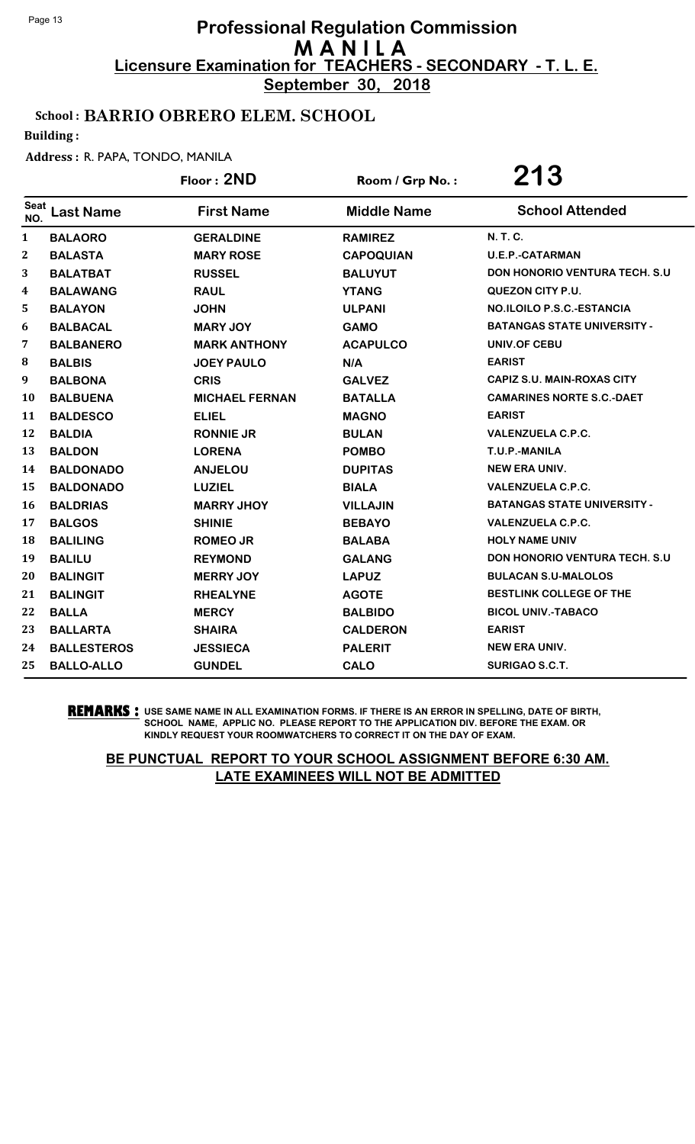**September 30, 2018**

## School : BARRIO OBRERO ELEM. SCHOOL

Building :

#### Address : R. PAPA, TONDO, MANILA

|              |                    | Floor: 2ND            | Room / Grp No.:    | 213                                   |
|--------------|--------------------|-----------------------|--------------------|---------------------------------------|
| Seat<br>NO.  | <b>Last Name</b>   | <b>First Name</b>     | <b>Middle Name</b> | <b>School Attended</b>                |
| $\mathbf{1}$ | <b>BALAORO</b>     | <b>GERALDINE</b>      | <b>RAMIREZ</b>     | <b>N. T. C.</b>                       |
| 2            | <b>BALASTA</b>     | <b>MARY ROSE</b>      | <b>CAPOQUIAN</b>   | <b>U.E.P.-CATARMAN</b>                |
| 3            | <b>BALATBAT</b>    | <b>RUSSEL</b>         | <b>BALUYUT</b>     | <b>DON HONORIO VENTURA TECH. S.U.</b> |
| 4            | <b>BALAWANG</b>    | <b>RAUL</b>           | <b>YTANG</b>       | <b>QUEZON CITY P.U.</b>               |
| 5            | <b>BALAYON</b>     | <b>JOHN</b>           | <b>ULPANI</b>      | <b>NO.ILOILO P.S.C.-ESTANCIA</b>      |
| 6            | <b>BALBACAL</b>    | <b>MARY JOY</b>       | <b>GAMO</b>        | <b>BATANGAS STATE UNIVERSITY -</b>    |
| 7            | <b>BALBANERO</b>   | <b>MARK ANTHONY</b>   | <b>ACAPULCO</b>    | UNIV.OF CEBU                          |
| 8            | <b>BALBIS</b>      | <b>JOEY PAULO</b>     | N/A                | <b>EARIST</b>                         |
| 9            | <b>BALBONA</b>     | <b>CRIS</b>           | <b>GALVEZ</b>      | <b>CAPIZ S.U. MAIN-ROXAS CITY</b>     |
| 10           | <b>BALBUENA</b>    | <b>MICHAEL FERNAN</b> | <b>BATALLA</b>     | <b>CAMARINES NORTE S.C.-DAET</b>      |
| 11           | <b>BALDESCO</b>    | <b>ELIEL</b>          | <b>MAGNO</b>       | <b>EARIST</b>                         |
| 12           | <b>BALDIA</b>      | <b>RONNIE JR</b>      | <b>BULAN</b>       | <b>VALENZUELA C.P.C.</b>              |
| 13           | <b>BALDON</b>      | <b>LORENA</b>         | <b>POMBO</b>       | T.U.P.-MANILA                         |
| 14           | <b>BALDONADO</b>   | <b>ANJELOU</b>        | <b>DUPITAS</b>     | <b>NEW ERA UNIV.</b>                  |
| 15           | <b>BALDONADO</b>   | <b>LUZIEL</b>         | <b>BIALA</b>       | <b>VALENZUELA C.P.C.</b>              |
| <b>16</b>    | <b>BALDRIAS</b>    | <b>MARRY JHOY</b>     | <b>VILLAJIN</b>    | <b>BATANGAS STATE UNIVERSITY -</b>    |
| 17           | <b>BALGOS</b>      | <b>SHINIE</b>         | <b>BEBAYO</b>      | <b>VALENZUELA C.P.C.</b>              |
| <b>18</b>    | <b>BALILING</b>    | <b>ROMEO JR</b>       | <b>BALABA</b>      | <b>HOLY NAME UNIV</b>                 |
| 19           | <b>BALILU</b>      | <b>REYMOND</b>        | <b>GALANG</b>      | <b>DON HONORIO VENTURA TECH. S.U.</b> |
| 20           | <b>BALINGIT</b>    | <b>MERRY JOY</b>      | <b>LAPUZ</b>       | <b>BULACAN S.U-MALOLOS</b>            |
| 21           | <b>BALINGIT</b>    | <b>RHEALYNE</b>       | <b>AGOTE</b>       | <b>BESTLINK COLLEGE OF THE</b>        |
| 22           | <b>BALLA</b>       | <b>MERCY</b>          | <b>BALBIDO</b>     | <b>BICOL UNIV.-TABACO</b>             |
| 23           | <b>BALLARTA</b>    | <b>SHAIRA</b>         | <b>CALDERON</b>    | <b>EARIST</b>                         |
| 24           | <b>BALLESTEROS</b> | <b>JESSIECA</b>       | <b>PALERIT</b>     | <b>NEW ERA UNIV.</b>                  |
| 25           | <b>BALLO-ALLO</b>  | <b>GUNDEL</b>         | <b>CALO</b>        | <b>SURIGAO S.C.T.</b>                 |

**REMARKS :** USE SAME NAME IN ALL EXAMINATION FORMS. IF THERE IS AN ERROR IN SPELLING, DATE OF BIRTH, SCHOOL NAME, APPLIC NO. PLEASE REPORT TO THE APPLICATION DIV. BEFORE THE EXAM. OR KINDLY REQUEST YOUR ROOMWATCHERS TO CORRECT IT ON THE DAY OF EXAM.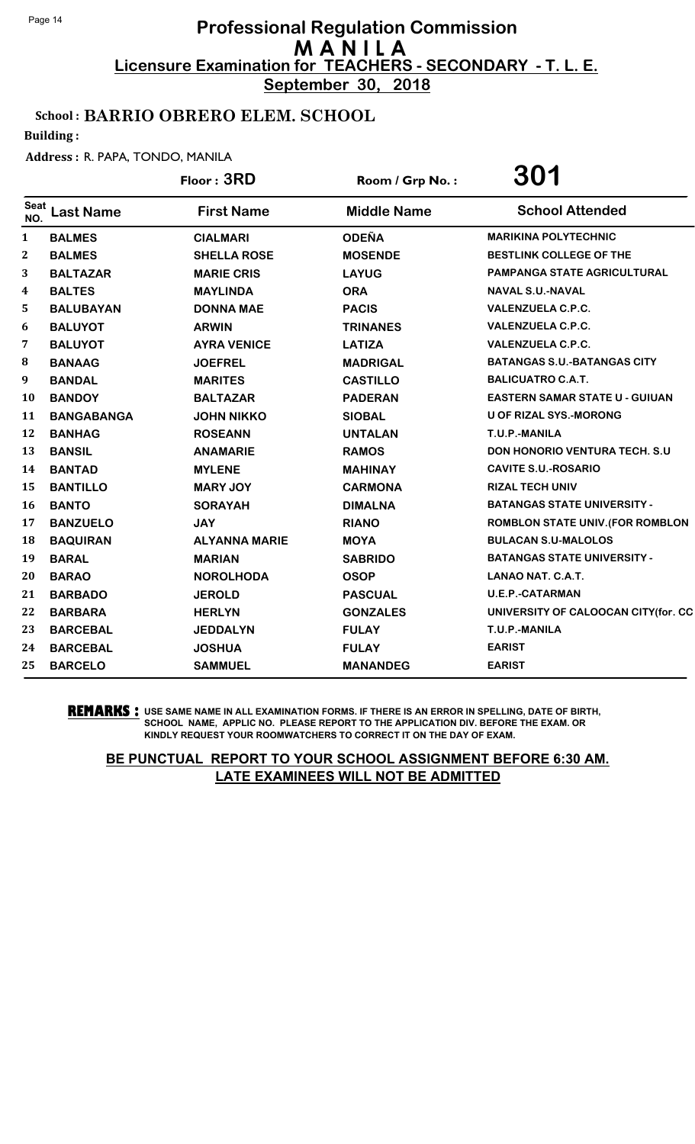**September 30, 2018**

## School : BARRIO OBRERO ELEM. SCHOOL

Building :

#### Address : R. PAPA, TONDO, MANILA

|              |                   | Floor: 3RD           | Room / Grp No.:    | <b>301</b>                              |
|--------------|-------------------|----------------------|--------------------|-----------------------------------------|
| Seat<br>NO.  | <b>Last Name</b>  | <b>First Name</b>    | <b>Middle Name</b> | <b>School Attended</b>                  |
| $\mathbf{1}$ | <b>BALMES</b>     | <b>CIALMARI</b>      | <b>ODEÑA</b>       | <b>MARIKINA POLYTECHNIC</b>             |
| 2            | <b>BALMES</b>     | <b>SHELLA ROSE</b>   | <b>MOSENDE</b>     | <b>BESTLINK COLLEGE OF THE</b>          |
| 3            | <b>BALTAZAR</b>   | <b>MARIE CRIS</b>    | <b>LAYUG</b>       | PAMPANGA STATE AGRICULTURAL             |
| 4            | <b>BALTES</b>     | <b>MAYLINDA</b>      | <b>ORA</b>         | <b>NAVAL S.U.-NAVAL</b>                 |
| 5            | <b>BALUBAYAN</b>  | <b>DONNA MAE</b>     | <b>PACIS</b>       | <b>VALENZUELA C.P.C.</b>                |
| 6            | <b>BALUYOT</b>    | <b>ARWIN</b>         | <b>TRINANES</b>    | <b>VALENZUELA C.P.C.</b>                |
| 7            | <b>BALUYOT</b>    | <b>AYRA VENICE</b>   | <b>LATIZA</b>      | <b>VALENZUELA C.P.C.</b>                |
| 8            | <b>BANAAG</b>     | <b>JOEFREL</b>       | <b>MADRIGAL</b>    | <b>BATANGAS S.U.-BATANGAS CITY</b>      |
| 9            | <b>BANDAL</b>     | <b>MARITES</b>       | <b>CASTILLO</b>    | <b>BALICUATRO C.A.T.</b>                |
| 10           | <b>BANDOY</b>     | <b>BALTAZAR</b>      | <b>PADERAN</b>     | <b>EASTERN SAMAR STATE U - GUIUAN</b>   |
| 11           | <b>BANGABANGA</b> | <b>JOHN NIKKO</b>    | <b>SIOBAL</b>      | <b>U OF RIZAL SYS.-MORONG</b>           |
| 12           | <b>BANHAG</b>     | <b>ROSEANN</b>       | <b>UNTALAN</b>     | T.U.P.-MANILA                           |
| 13           | <b>BANSIL</b>     | <b>ANAMARIE</b>      | <b>RAMOS</b>       | <b>DON HONORIO VENTURA TECH. S.U.</b>   |
| 14           | <b>BANTAD</b>     | <b>MYLENE</b>        | <b>MAHINAY</b>     | <b>CAVITE S.U.-ROSARIO</b>              |
| 15           | <b>BANTILLO</b>   | <b>MARY JOY</b>      | <b>CARMONA</b>     | <b>RIZAL TECH UNIV</b>                  |
| 16           | <b>BANTO</b>      | <b>SORAYAH</b>       | <b>DIMALNA</b>     | <b>BATANGAS STATE UNIVERSITY -</b>      |
| 17           | <b>BANZUELO</b>   | <b>JAY</b>           | <b>RIANO</b>       | <b>ROMBLON STATE UNIV. (FOR ROMBLON</b> |
| 18           | <b>BAQUIRAN</b>   | <b>ALYANNA MARIE</b> | <b>MOYA</b>        | <b>BULACAN S.U-MALOLOS</b>              |
| 19           | <b>BARAL</b>      | <b>MARIAN</b>        | <b>SABRIDO</b>     | <b>BATANGAS STATE UNIVERSITY -</b>      |
| 20           | <b>BARAO</b>      | <b>NOROLHODA</b>     | <b>OSOP</b>        | LANAO NAT. C.A.T.                       |
| 21           | <b>BARBADO</b>    | <b>JEROLD</b>        | <b>PASCUAL</b>     | <b>U.E.P.-CATARMAN</b>                  |
| 22           | <b>BARBARA</b>    | <b>HERLYN</b>        | <b>GONZALES</b>    | UNIVERSITY OF CALOOCAN CITY(for. CC     |
| 23           | <b>BARCEBAL</b>   | <b>JEDDALYN</b>      | <b>FULAY</b>       | T.U.P.-MANILA                           |
| 24           | <b>BARCEBAL</b>   | <b>JOSHUA</b>        | <b>FULAY</b>       | <b>EARIST</b>                           |
| 25           | <b>BARCELO</b>    | <b>SAMMUEL</b>       | <b>MANANDEG</b>    | <b>EARIST</b>                           |

**REMARKS :** USE SAME NAME IN ALL EXAMINATION FORMS. IF THERE IS AN ERROR IN SPELLING, DATE OF BIRTH, SCHOOL NAME, APPLIC NO. PLEASE REPORT TO THE APPLICATION DIV. BEFORE THE EXAM. OR KINDLY REQUEST YOUR ROOMWATCHERS TO CORRECT IT ON THE DAY OF EXAM.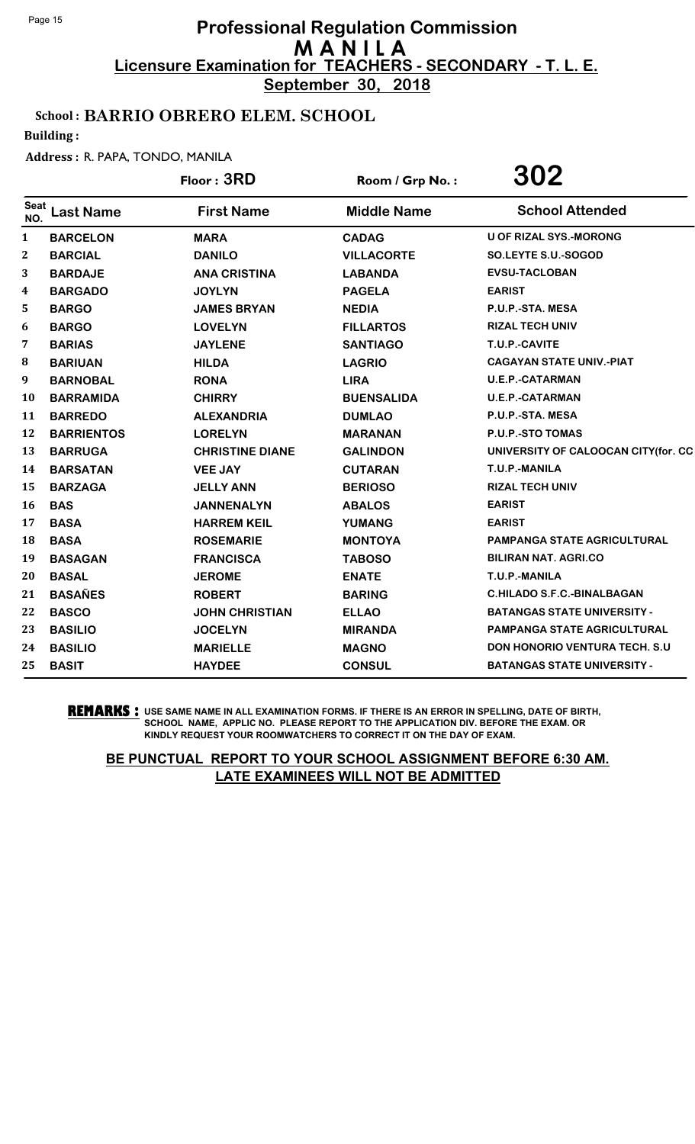**September 30, 2018**

## School : BARRIO OBRERO ELEM. SCHOOL

Building :

#### Address : R. PAPA, TONDO, MANILA

|              |                   | Floor: 3RD             | Room / Grp No.:    | 302                                   |
|--------------|-------------------|------------------------|--------------------|---------------------------------------|
| Seat<br>NO.  | <b>Last Name</b>  | <b>First Name</b>      | <b>Middle Name</b> | <b>School Attended</b>                |
| 1            | <b>BARCELON</b>   | <b>MARA</b>            | <b>CADAG</b>       | <b>U OF RIZAL SYS.-MORONG</b>         |
| $\mathbf{2}$ | <b>BARCIAL</b>    | <b>DANILO</b>          | <b>VILLACORTE</b>  | SO.LEYTE S.U.-SOGOD                   |
| 3            | <b>BARDAJE</b>    | <b>ANA CRISTINA</b>    | <b>LABANDA</b>     | <b>EVSU-TACLOBAN</b>                  |
| 4            | <b>BARGADO</b>    | <b>JOYLYN</b>          | <b>PAGELA</b>      | <b>EARIST</b>                         |
| 5            | <b>BARGO</b>      | <b>JAMES BRYAN</b>     | <b>NEDIA</b>       | P.U.P.-STA. MESA                      |
| 6            | <b>BARGO</b>      | <b>LOVELYN</b>         | <b>FILLARTOS</b>   | <b>RIZAL TECH UNIV</b>                |
| 7            | <b>BARIAS</b>     | <b>JAYLENE</b>         | <b>SANTIAGO</b>    | T.U.P.-CAVITE                         |
| 8            | <b>BARIUAN</b>    | <b>HILDA</b>           | <b>LAGRIO</b>      | <b>CAGAYAN STATE UNIV.-PIAT</b>       |
| 9            | <b>BARNOBAL</b>   | <b>RONA</b>            | <b>LIRA</b>        | <b>U.E.P.-CATARMAN</b>                |
| 10           | <b>BARRAMIDA</b>  | <b>CHIRRY</b>          | <b>BUENSALIDA</b>  | <b>U.E.P.-CATARMAN</b>                |
| 11           | <b>BARREDO</b>    | <b>ALEXANDRIA</b>      | <b>DUMLAO</b>      | P.U.P.-STA. MESA                      |
| 12           | <b>BARRIENTOS</b> | <b>LORELYN</b>         | <b>MARANAN</b>     | P.U.P.-STO TOMAS                      |
| 13           | <b>BARRUGA</b>    | <b>CHRISTINE DIANE</b> | <b>GALINDON</b>    | UNIVERSITY OF CALOOCAN CITY(for. CC   |
| 14           | <b>BARSATAN</b>   | <b>VEE JAY</b>         | <b>CUTARAN</b>     | T.U.P.-MANILA                         |
| 15           | <b>BARZAGA</b>    | <b>JELLY ANN</b>       | <b>BERIOSO</b>     | <b>RIZAL TECH UNIV</b>                |
| 16           | <b>BAS</b>        | <b>JANNENALYN</b>      | <b>ABALOS</b>      | <b>EARIST</b>                         |
| 17           | <b>BASA</b>       | <b>HARREM KEIL</b>     | <b>YUMANG</b>      | <b>EARIST</b>                         |
| 18           | <b>BASA</b>       | <b>ROSEMARIE</b>       | <b>MONTOYA</b>     | <b>PAMPANGA STATE AGRICULTURAL</b>    |
| 19           | <b>BASAGAN</b>    | <b>FRANCISCA</b>       | <b>TABOSO</b>      | <b>BILIRAN NAT. AGRI.CO</b>           |
| 20           | <b>BASAL</b>      | <b>JEROME</b>          | <b>ENATE</b>       | T.U.P.-MANILA                         |
| 21           | <b>BASAÑES</b>    | <b>ROBERT</b>          | <b>BARING</b>      | <b>C.HILADO S.F.C.-BINALBAGAN</b>     |
| 22           | <b>BASCO</b>      | <b>JOHN CHRISTIAN</b>  | <b>ELLAO</b>       | <b>BATANGAS STATE UNIVERSITY -</b>    |
| 23           | <b>BASILIO</b>    | <b>JOCELYN</b>         | <b>MIRANDA</b>     | <b>PAMPANGA STATE AGRICULTURAL</b>    |
| 24           | <b>BASILIO</b>    | <b>MARIELLE</b>        | <b>MAGNO</b>       | <b>DON HONORIO VENTURA TECH. S.U.</b> |
| 25           | <b>BASIT</b>      | <b>HAYDEE</b>          | <b>CONSUL</b>      | <b>BATANGAS STATE UNIVERSITY -</b>    |
|              |                   |                        |                    |                                       |

**REMARKS :** USE SAME NAME IN ALL EXAMINATION FORMS. IF THERE IS AN ERROR IN SPELLING, DATE OF BIRTH, SCHOOL NAME, APPLIC NO. PLEASE REPORT TO THE APPLICATION DIV. BEFORE THE EXAM. OR KINDLY REQUEST YOUR ROOMWATCHERS TO CORRECT IT ON THE DAY OF EXAM.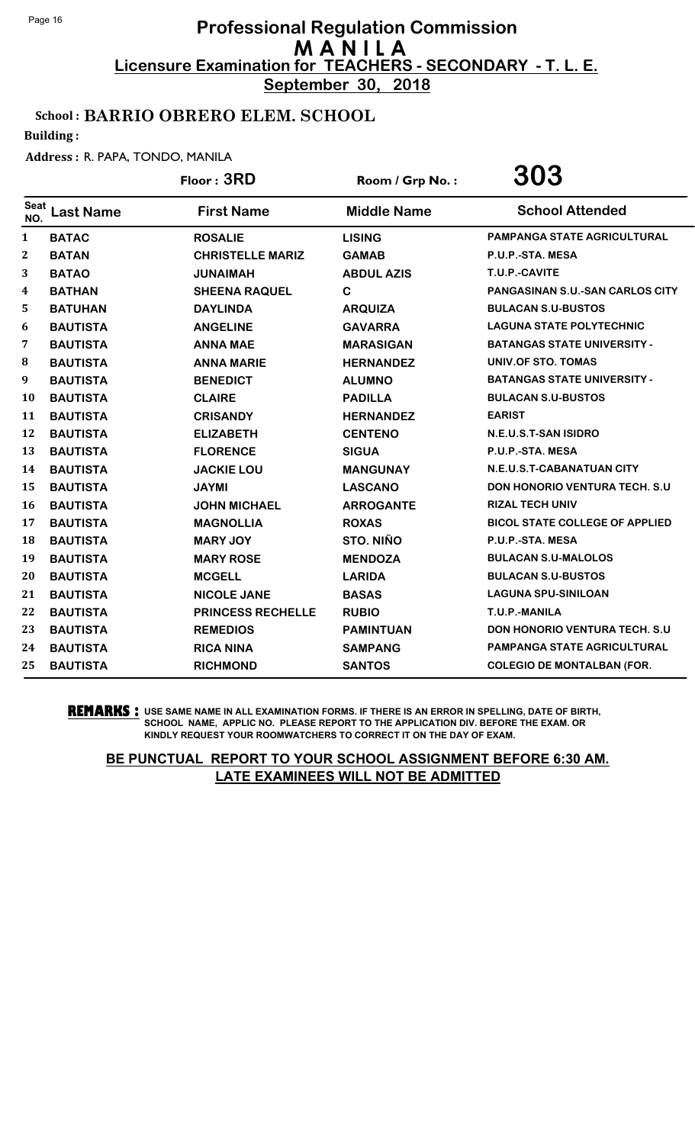**September 30, 2018**

## School : BARRIO OBRERO ELEM. SCHOOL

Building :

#### Address : R. PAPA, TONDO, MANILA

|                    |                  | Floor: 3RD               | Room / Grp No.:    | 303                                    |
|--------------------|------------------|--------------------------|--------------------|----------------------------------------|
| <b>Seat</b><br>NO. | <b>Last Name</b> | <b>First Name</b>        | <b>Middle Name</b> | <b>School Attended</b>                 |
| $\mathbf{1}$       | <b>BATAC</b>     | <b>ROSALIE</b>           | <b>LISING</b>      | <b>PAMPANGA STATE AGRICULTURAL</b>     |
| $\boldsymbol{2}$   | <b>BATAN</b>     | <b>CHRISTELLE MARIZ</b>  | <b>GAMAB</b>       | P.U.P.-STA. MESA                       |
| 3                  | <b>BATAO</b>     | <b>JUNAIMAH</b>          | <b>ABDUL AZIS</b>  | T.U.P.-CAVITE                          |
| 4                  | <b>BATHAN</b>    | <b>SHEENA RAQUEL</b>     | $\mathbf C$        | <b>PANGASINAN S.U.-SAN CARLOS CITY</b> |
| 5                  | <b>BATUHAN</b>   | <b>DAYLINDA</b>          | <b>ARQUIZA</b>     | <b>BULACAN S.U-BUSTOS</b>              |
| 6                  | <b>BAUTISTA</b>  | <b>ANGELINE</b>          | <b>GAVARRA</b>     | <b>LAGUNA STATE POLYTECHNIC</b>        |
| 7                  | <b>BAUTISTA</b>  | <b>ANNA MAE</b>          | <b>MARASIGAN</b>   | <b>BATANGAS STATE UNIVERSITY -</b>     |
| 8                  | <b>BAUTISTA</b>  | <b>ANNA MARIE</b>        | <b>HERNANDEZ</b>   | UNIV.OF STO. TOMAS                     |
| 9                  | <b>BAUTISTA</b>  | <b>BENEDICT</b>          | <b>ALUMNO</b>      | <b>BATANGAS STATE UNIVERSITY -</b>     |
| <b>10</b>          | <b>BAUTISTA</b>  | <b>CLAIRE</b>            | <b>PADILLA</b>     | <b>BULACAN S.U-BUSTOS</b>              |
| 11                 | <b>BAUTISTA</b>  | <b>CRISANDY</b>          | <b>HERNANDEZ</b>   | <b>EARIST</b>                          |
| 12                 | <b>BAUTISTA</b>  | <b>ELIZABETH</b>         | <b>CENTENO</b>     | N.E.U.S.T-SAN ISIDRO                   |
| 13                 | <b>BAUTISTA</b>  | <b>FLORENCE</b>          | <b>SIGUA</b>       | P.U.P.-STA. MESA                       |
| 14                 | <b>BAUTISTA</b>  | <b>JACKIE LOU</b>        | <b>MANGUNAY</b>    | N.E.U.S.T-CABANATUAN CITY              |
| 15                 | <b>BAUTISTA</b>  | <b>JAYMI</b>             | <b>LASCANO</b>     | <b>DON HONORIO VENTURA TECH. S.U</b>   |
| <b>16</b>          | <b>BAUTISTA</b>  | <b>JOHN MICHAEL</b>      | <b>ARROGANTE</b>   | <b>RIZAL TECH UNIV</b>                 |
| 17                 | <b>BAUTISTA</b>  | <b>MAGNOLLIA</b>         | <b>ROXAS</b>       | <b>BICOL STATE COLLEGE OF APPLIED</b>  |
| 18                 | <b>BAUTISTA</b>  | <b>MARY JOY</b>          | STO. NIÑO          | P.U.P.-STA. MESA                       |
| 19                 | <b>BAUTISTA</b>  | <b>MARY ROSE</b>         | <b>MENDOZA</b>     | <b>BULACAN S.U-MALOLOS</b>             |
| 20                 | <b>BAUTISTA</b>  | <b>MCGELL</b>            | <b>LARIDA</b>      | <b>BULACAN S.U-BUSTOS</b>              |
| 21                 | <b>BAUTISTA</b>  | <b>NICOLE JANE</b>       | <b>BASAS</b>       | <b>LAGUNA SPU-SINILOAN</b>             |
| 22                 | <b>BAUTISTA</b>  | <b>PRINCESS RECHELLE</b> | <b>RUBIO</b>       | T.U.P.-MANILA                          |
| 23                 | <b>BAUTISTA</b>  | <b>REMEDIOS</b>          | <b>PAMINTUAN</b>   | <b>DON HONORIO VENTURA TECH. S.U</b>   |
| 24                 | <b>BAUTISTA</b>  | <b>RICA NINA</b>         | <b>SAMPANG</b>     | PAMPANGA STATE AGRICULTURAL            |
| 25                 | <b>BAUTISTA</b>  | <b>RICHMOND</b>          | <b>SANTOS</b>      | <b>COLEGIO DE MONTALBAN (FOR.</b>      |

**REMARKS :** USE SAME NAME IN ALL EXAMINATION FORMS. IF THERE IS AN ERROR IN SPELLING, DATE OF BIRTH, SCHOOL NAME, APPLIC NO. PLEASE REPORT TO THE APPLICATION DIV. BEFORE THE EXAM. OR KINDLY REQUEST YOUR ROOMWATCHERS TO CORRECT IT ON THE DAY OF EXAM.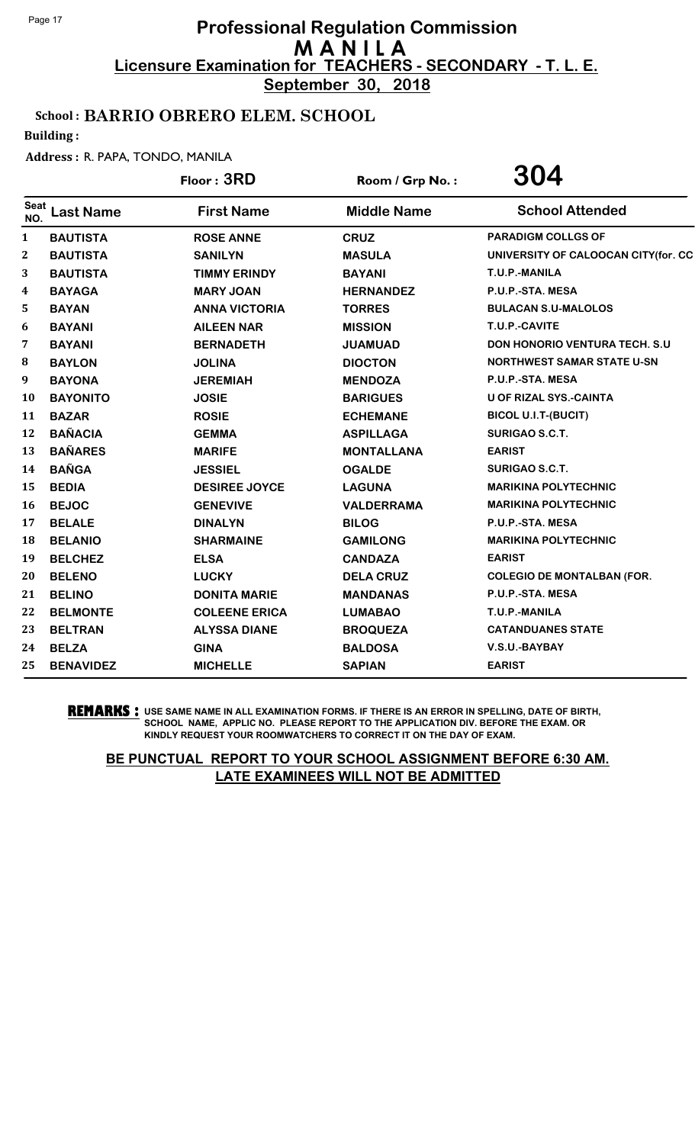**September 30, 2018**

## School : BARRIO OBRERO ELEM. SCHOOL

Building :

#### Address : R. PAPA, TONDO, MANILA

|                    |                  | Floor: 3RD           | Room / Grp No.:    | 304                                  |
|--------------------|------------------|----------------------|--------------------|--------------------------------------|
| <b>Seat</b><br>NO. | <b>Last Name</b> | <b>First Name</b>    | <b>Middle Name</b> | <b>School Attended</b>               |
| $\mathbf{1}$       | <b>BAUTISTA</b>  | <b>ROSE ANNE</b>     | <b>CRUZ</b>        | <b>PARADIGM COLLGS OF</b>            |
| $\boldsymbol{2}$   | <b>BAUTISTA</b>  | <b>SANILYN</b>       | <b>MASULA</b>      | UNIVERSITY OF CALOOCAN CITY(for. CC  |
| 3                  | <b>BAUTISTA</b>  | <b>TIMMY ERINDY</b>  | <b>BAYANI</b>      | T.U.P.-MANILA                        |
| 4                  | <b>BAYAGA</b>    | <b>MARY JOAN</b>     | <b>HERNANDEZ</b>   | P.U.P.-STA. MESA                     |
| 5                  | <b>BAYAN</b>     | <b>ANNA VICTORIA</b> | <b>TORRES</b>      | <b>BULACAN S.U-MALOLOS</b>           |
| 6                  | <b>BAYANI</b>    | <b>AILEEN NAR</b>    | <b>MISSION</b>     | T.U.P.-CAVITE                        |
| 7                  | <b>BAYANI</b>    | <b>BERNADETH</b>     | <b>JUAMUAD</b>     | <b>DON HONORIO VENTURA TECH. S.U</b> |
| 8                  | <b>BAYLON</b>    | <b>JOLINA</b>        | <b>DIOCTON</b>     | <b>NORTHWEST SAMAR STATE U-SN</b>    |
| 9                  | <b>BAYONA</b>    | <b>JEREMIAH</b>      | <b>MENDOZA</b>     | P.U.P.-STA. MESA                     |
| 10                 | <b>BAYONITO</b>  | <b>JOSIE</b>         | <b>BARIGUES</b>    | <b>U OF RIZAL SYS.-CAINTA</b>        |
| 11                 | <b>BAZAR</b>     | <b>ROSIE</b>         | <b>ECHEMANE</b>    | <b>BICOL U.I.T-(BUCIT)</b>           |
| 12                 | <b>BAÑACIA</b>   | <b>GEMMA</b>         | <b>ASPILLAGA</b>   | <b>SURIGAO S.C.T.</b>                |
| 13                 | <b>BAÑARES</b>   | <b>MARIFE</b>        | <b>MONTALLANA</b>  | <b>EARIST</b>                        |
| 14                 | <b>BAÑGA</b>     | <b>JESSIEL</b>       | <b>OGALDE</b>      | <b>SURIGAO S.C.T.</b>                |
| 15                 | <b>BEDIA</b>     | <b>DESIREE JOYCE</b> | <b>LAGUNA</b>      | <b>MARIKINA POLYTECHNIC</b>          |
| 16                 | <b>BEJOC</b>     | <b>GENEVIVE</b>      | <b>VALDERRAMA</b>  | <b>MARIKINA POLYTECHNIC</b>          |
| 17                 | <b>BELALE</b>    | <b>DINALYN</b>       | <b>BILOG</b>       | P.U.P.-STA. MESA                     |
| 18                 | <b>BELANIO</b>   | <b>SHARMAINE</b>     | <b>GAMILONG</b>    | <b>MARIKINA POLYTECHNIC</b>          |
| 19                 | <b>BELCHEZ</b>   | <b>ELSA</b>          | <b>CANDAZA</b>     | <b>EARIST</b>                        |
| 20                 | <b>BELENO</b>    | <b>LUCKY</b>         | <b>DELA CRUZ</b>   | <b>COLEGIO DE MONTALBAN (FOR.</b>    |
| 21                 | <b>BELINO</b>    | <b>DONITA MARIE</b>  | <b>MANDANAS</b>    | P.U.P.-STA. MESA                     |
| 22                 | <b>BELMONTE</b>  | <b>COLEENE ERICA</b> | <b>LUMABAO</b>     | T.U.P.-MANILA                        |
| 23                 | <b>BELTRAN</b>   | <b>ALYSSA DIANE</b>  | <b>BROQUEZA</b>    | <b>CATANDUANES STATE</b>             |
| 24                 | <b>BELZA</b>     | <b>GINA</b>          | <b>BALDOSA</b>     | V.S.U.-BAYBAY                        |
| 25                 | <b>BENAVIDEZ</b> | <b>MICHELLE</b>      | <b>SAPIAN</b>      | <b>EARIST</b>                        |

**REMARKS :** USE SAME NAME IN ALL EXAMINATION FORMS. IF THERE IS AN ERROR IN SPELLING, DATE OF BIRTH, SCHOOL NAME, APPLIC NO. PLEASE REPORT TO THE APPLICATION DIV. BEFORE THE EXAM. OR KINDLY REQUEST YOUR ROOMWATCHERS TO CORRECT IT ON THE DAY OF EXAM.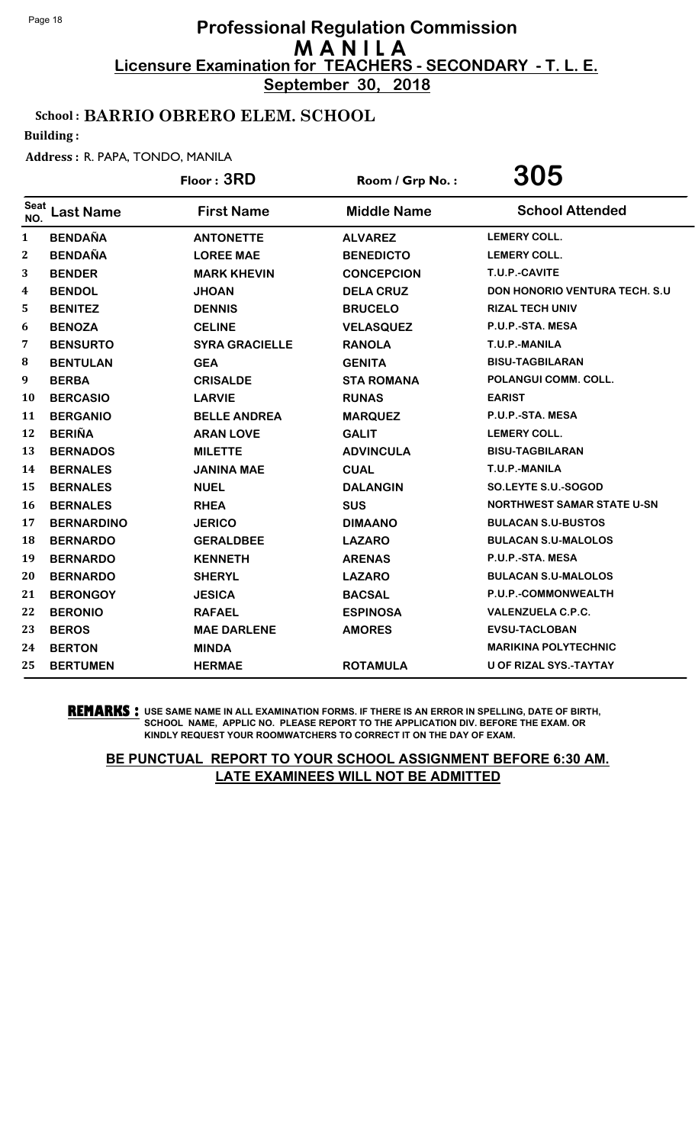**September 30, 2018**

## School : BARRIO OBRERO ELEM. SCHOOL

Building :

#### Address : R. PAPA, TONDO, MANILA

|                  |                   | Floor: 3RD            | Room / Grp No.:    | 305                                  |
|------------------|-------------------|-----------------------|--------------------|--------------------------------------|
| Seat<br>NO.      | <b>Last Name</b>  | <b>First Name</b>     | <b>Middle Name</b> | <b>School Attended</b>               |
| 1                | <b>BENDAÑA</b>    | <b>ANTONETTE</b>      | <b>ALVAREZ</b>     | <b>LEMERY COLL.</b>                  |
| $\boldsymbol{2}$ | <b>BENDAÑA</b>    | <b>LOREE MAE</b>      | <b>BENEDICTO</b>   | <b>LEMERY COLL.</b>                  |
| 3                | <b>BENDER</b>     | <b>MARK KHEVIN</b>    | <b>CONCEPCION</b>  | T.U.P.-CAVITE                        |
| 4                | <b>BENDOL</b>     | <b>JHOAN</b>          | <b>DELA CRUZ</b>   | <b>DON HONORIO VENTURA TECH. S.U</b> |
| 5                | <b>BENITEZ</b>    | <b>DENNIS</b>         | <b>BRUCELO</b>     | <b>RIZAL TECH UNIV</b>               |
| 6                | <b>BENOZA</b>     | <b>CELINE</b>         | <b>VELASQUEZ</b>   | P.U.P.-STA. MESA                     |
| 7                | <b>BENSURTO</b>   | <b>SYRA GRACIELLE</b> | <b>RANOLA</b>      | T.U.P.-MANILA                        |
| 8                | <b>BENTULAN</b>   | <b>GEA</b>            | <b>GENITA</b>      | <b>BISU-TAGBILARAN</b>               |
| 9                | <b>BERBA</b>      | <b>CRISALDE</b>       | <b>STA ROMANA</b>  | POLANGUI COMM. COLL.                 |
| 10               | <b>BERCASIO</b>   | <b>LARVIE</b>         | <b>RUNAS</b>       | <b>EARIST</b>                        |
| 11               | <b>BERGANIO</b>   | <b>BELLE ANDREA</b>   | <b>MARQUEZ</b>     | P.U.P.-STA. MESA                     |
| 12               | <b>BERIÑA</b>     | <b>ARAN LOVE</b>      | <b>GALIT</b>       | <b>LEMERY COLL.</b>                  |
| 13               | <b>BERNADOS</b>   | <b>MILETTE</b>        | <b>ADVINCULA</b>   | <b>BISU-TAGBILARAN</b>               |
| 14               | <b>BERNALES</b>   | <b>JANINA MAE</b>     | <b>CUAL</b>        | T.U.P.-MANILA                        |
| 15               | <b>BERNALES</b>   | <b>NUEL</b>           | <b>DALANGIN</b>    | SO.LEYTE S.U.-SOGOD                  |
| 16               | <b>BERNALES</b>   | <b>RHEA</b>           | <b>SUS</b>         | <b>NORTHWEST SAMAR STATE U-SN</b>    |
| 17               | <b>BERNARDINO</b> | <b>JERICO</b>         | <b>DIMAANO</b>     | <b>BULACAN S.U-BUSTOS</b>            |
| 18               | <b>BERNARDO</b>   | <b>GERALDBEE</b>      | <b>LAZARO</b>      | <b>BULACAN S.U-MALOLOS</b>           |
| 19               | <b>BERNARDO</b>   | <b>KENNETH</b>        | <b>ARENAS</b>      | P.U.P.-STA. MESA                     |
| 20               | <b>BERNARDO</b>   | <b>SHERYL</b>         | <b>LAZARO</b>      | <b>BULACAN S.U-MALOLOS</b>           |
| 21               | <b>BERONGOY</b>   | <b>JESICA</b>         | <b>BACSAL</b>      | P.U.P.-COMMONWEALTH                  |
| 22               | <b>BERONIO</b>    | <b>RAFAEL</b>         | <b>ESPINOSA</b>    | <b>VALENZUELA C.P.C.</b>             |
| 23               | <b>BEROS</b>      | <b>MAE DARLENE</b>    | <b>AMORES</b>      | <b>EVSU-TACLOBAN</b>                 |
| 24               | <b>BERTON</b>     | <b>MINDA</b>          |                    | <b>MARIKINA POLYTECHNIC</b>          |
| 25               | <b>BERTUMEN</b>   | <b>HERMAE</b>         | <b>ROTAMULA</b>    | <b>U OF RIZAL SYS.-TAYTAY</b>        |

**REMARKS :** USE SAME NAME IN ALL EXAMINATION FORMS. IF THERE IS AN ERROR IN SPELLING, DATE OF BIRTH, SCHOOL NAME, APPLIC NO. PLEASE REPORT TO THE APPLICATION DIV. BEFORE THE EXAM. OR KINDLY REQUEST YOUR ROOMWATCHERS TO CORRECT IT ON THE DAY OF EXAM.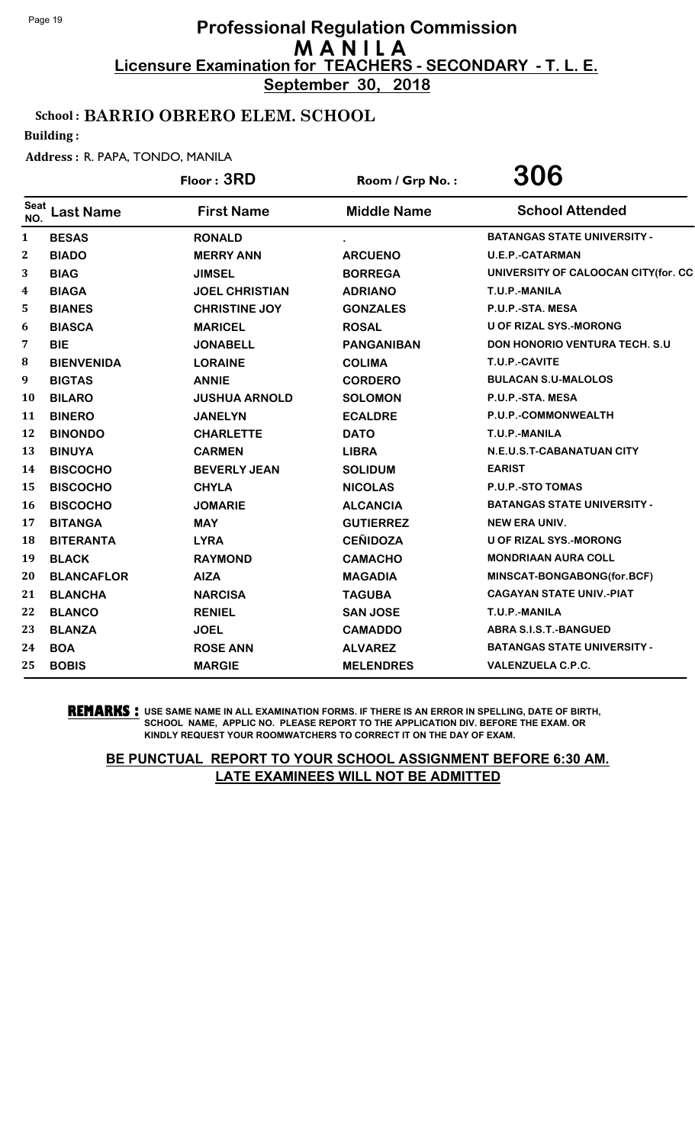**September 30, 2018**

## School : BARRIO OBRERO ELEM. SCHOOL

Building :

#### Address : R. PAPA, TONDO, MANILA

|             |                   | Floor: 3RD            | Room / Grp No.:    | 306                                   |
|-------------|-------------------|-----------------------|--------------------|---------------------------------------|
| Seat<br>NO. | <b>Last Name</b>  | <b>First Name</b>     | <b>Middle Name</b> | <b>School Attended</b>                |
| 1           | <b>BESAS</b>      | <b>RONALD</b>         |                    | <b>BATANGAS STATE UNIVERSITY -</b>    |
| 2           | <b>BIADO</b>      | <b>MERRY ANN</b>      | <b>ARCUENO</b>     | <b>U.E.P.-CATARMAN</b>                |
| 3           | <b>BIAG</b>       | <b>JIMSEL</b>         | <b>BORREGA</b>     | UNIVERSITY OF CALOOCAN CITY(for. CC   |
| 4           | <b>BIAGA</b>      | <b>JOEL CHRISTIAN</b> | <b>ADRIANO</b>     | T.U.P.-MANILA                         |
| 5           | <b>BIANES</b>     | <b>CHRISTINE JOY</b>  | <b>GONZALES</b>    | P.U.P.-STA. MESA                      |
| 6           | <b>BIASCA</b>     | <b>MARICEL</b>        | <b>ROSAL</b>       | <b>U OF RIZAL SYS.-MORONG</b>         |
| 7           | <b>BIE</b>        | <b>JONABELL</b>       | <b>PANGANIBAN</b>  | <b>DON HONORIO VENTURA TECH. S.U.</b> |
| 8           | <b>BIENVENIDA</b> | <b>LORAINE</b>        | <b>COLIMA</b>      | T.U.P.-CAVITE                         |
| 9           | <b>BIGTAS</b>     | <b>ANNIE</b>          | <b>CORDERO</b>     | <b>BULACAN S.U-MALOLOS</b>            |
| 10          | <b>BILARO</b>     | <b>JUSHUA ARNOLD</b>  | <b>SOLOMON</b>     | P.U.P.-STA. MESA                      |
| 11          | <b>BINERO</b>     | <b>JANELYN</b>        | <b>ECALDRE</b>     | P.U.P.-COMMONWEALTH                   |
| 12          | <b>BINONDO</b>    | <b>CHARLETTE</b>      | <b>DATO</b>        | T.U.P.-MANILA                         |
| 13          | <b>BINUYA</b>     | <b>CARMEN</b>         | <b>LIBRA</b>       | N.E.U.S.T-CABANATUAN CITY             |
| 14          | <b>BISCOCHO</b>   | <b>BEVERLY JEAN</b>   | <b>SOLIDUM</b>     | <b>EARIST</b>                         |
| 15          | <b>BISCOCHO</b>   | <b>CHYLA</b>          | <b>NICOLAS</b>     | <b>P.U.P.-STO TOMAS</b>               |
| 16          | <b>BISCOCHO</b>   | <b>JOMARIE</b>        | <b>ALCANCIA</b>    | <b>BATANGAS STATE UNIVERSITY -</b>    |
| 17          | <b>BITANGA</b>    | <b>MAY</b>            | <b>GUTIERREZ</b>   | <b>NEW ERA UNIV.</b>                  |
| 18          | <b>BITERANTA</b>  | <b>LYRA</b>           | <b>CEÑIDOZA</b>    | U OF RIZAL SYS.-MORONG                |
| 19          | <b>BLACK</b>      | <b>RAYMOND</b>        | <b>CAMACHO</b>     | <b>MONDRIAAN AURA COLL</b>            |
| 20          | <b>BLANCAFLOR</b> | <b>AIZA</b>           | <b>MAGADIA</b>     | MINSCAT-BONGABONG(for.BCF)            |
| 21          | <b>BLANCHA</b>    | <b>NARCISA</b>        | <b>TAGUBA</b>      | <b>CAGAYAN STATE UNIV.-PIAT</b>       |
| 22          | <b>BLANCO</b>     | <b>RENIEL</b>         | <b>SAN JOSE</b>    | T.U.P.-MANILA                         |
| 23          | <b>BLANZA</b>     | <b>JOEL</b>           | <b>CAMADDO</b>     | <b>ABRA S.I.S.T.-BANGUED</b>          |
| 24          | <b>BOA</b>        | <b>ROSE ANN</b>       | <b>ALVAREZ</b>     | <b>BATANGAS STATE UNIVERSITY -</b>    |
| 25          | <b>BOBIS</b>      | <b>MARGIE</b>         | <b>MELENDRES</b>   | <b>VALENZUELA C.P.C.</b>              |

**REMARKS :** USE SAME NAME IN ALL EXAMINATION FORMS. IF THERE IS AN ERROR IN SPELLING, DATE OF BIRTH, SCHOOL NAME, APPLIC NO. PLEASE REPORT TO THE APPLICATION DIV. BEFORE THE EXAM. OR KINDLY REQUEST YOUR ROOMWATCHERS TO CORRECT IT ON THE DAY OF EXAM.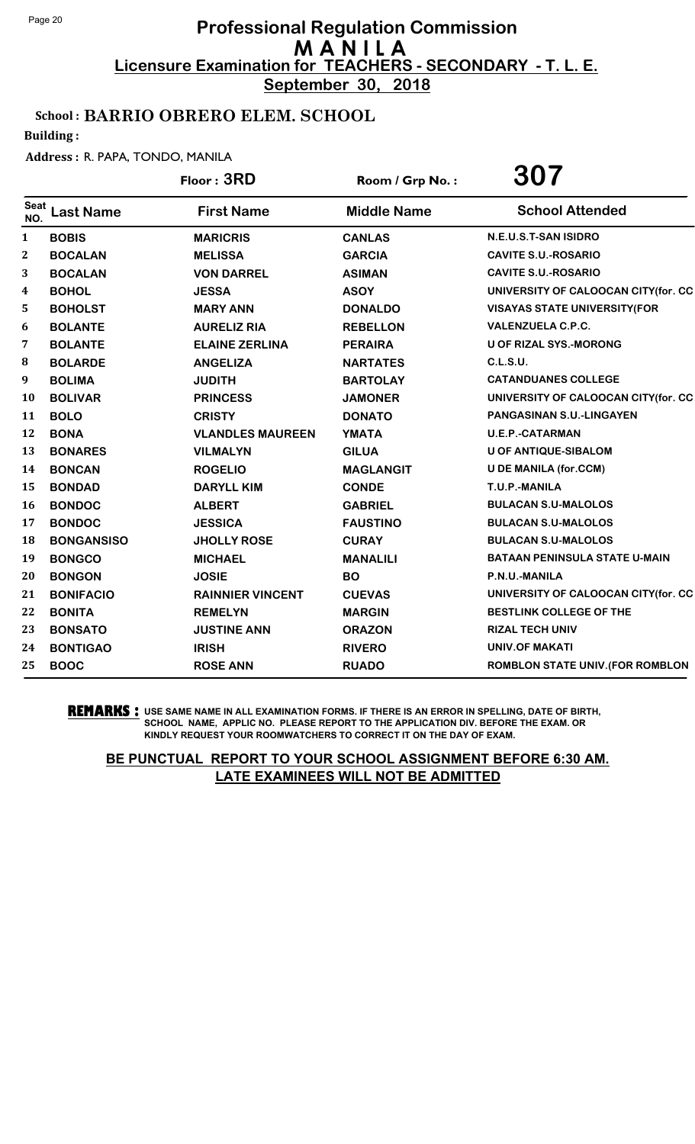**September 30, 2018**

## School : BARRIO OBRERO ELEM. SCHOOL

Building :

#### Address : R. PAPA, TONDO, MANILA

|                    |                   | Floor: 3RD              | Room / Grp No.:    | 307                                     |
|--------------------|-------------------|-------------------------|--------------------|-----------------------------------------|
| <b>Seat</b><br>NO. | <b>Last Name</b>  | <b>First Name</b>       | <b>Middle Name</b> | <b>School Attended</b>                  |
| $\mathbf{1}$       | <b>BOBIS</b>      | <b>MARICRIS</b>         | <b>CANLAS</b>      | N.E.U.S.T-SAN ISIDRO                    |
| $\boldsymbol{2}$   | <b>BOCALAN</b>    | <b>MELISSA</b>          | <b>GARCIA</b>      | <b>CAVITE S.U.-ROSARIO</b>              |
| 3                  | <b>BOCALAN</b>    | <b>VON DARREL</b>       | <b>ASIMAN</b>      | <b>CAVITE S.U.-ROSARIO</b>              |
| 4                  | <b>BOHOL</b>      | <b>JESSA</b>            | <b>ASOY</b>        | UNIVERSITY OF CALOOCAN CITY(for. CC     |
| 5                  | <b>BOHOLST</b>    | <b>MARY ANN</b>         | <b>DONALDO</b>     | <b>VISAYAS STATE UNIVERSITY(FOR</b>     |
| 6                  | <b>BOLANTE</b>    | <b>AURELIZ RIA</b>      | <b>REBELLON</b>    | <b>VALENZUELA C.P.C.</b>                |
| 7                  | <b>BOLANTE</b>    | <b>ELAINE ZERLINA</b>   | <b>PERAIRA</b>     | <b>U OF RIZAL SYS.-MORONG</b>           |
| 8                  | <b>BOLARDE</b>    | <b>ANGELIZA</b>         | <b>NARTATES</b>    | <b>C.L.S.U.</b>                         |
| 9                  | <b>BOLIMA</b>     | <b>JUDITH</b>           | <b>BARTOLAY</b>    | <b>CATANDUANES COLLEGE</b>              |
| 10                 | <b>BOLIVAR</b>    | <b>PRINCESS</b>         | <b>JAMONER</b>     | UNIVERSITY OF CALOOCAN CITY(for. CC     |
| 11                 | <b>BOLO</b>       | <b>CRISTY</b>           | <b>DONATO</b>      | <b>PANGASINAN S.U.-LINGAYEN</b>         |
| 12                 | <b>BONA</b>       | <b>VLANDLES MAUREEN</b> | <b>YMATA</b>       | <b>U.E.P.-CATARMAN</b>                  |
| 13                 | <b>BONARES</b>    | <b>VILMALYN</b>         | <b>GILUA</b>       | <b>U OF ANTIQUE-SIBALOM</b>             |
| 14                 | <b>BONCAN</b>     | <b>ROGELIO</b>          | <b>MAGLANGIT</b>   | <b>U DE MANILA (for.CCM)</b>            |
| 15                 | <b>BONDAD</b>     | <b>DARYLL KIM</b>       | <b>CONDE</b>       | T.U.P.-MANILA                           |
| 16                 | <b>BONDOC</b>     | <b>ALBERT</b>           | <b>GABRIEL</b>     | <b>BULACAN S.U-MALOLOS</b>              |
| 17                 | <b>BONDOC</b>     | <b>JESSICA</b>          | <b>FAUSTINO</b>    | <b>BULACAN S.U-MALOLOS</b>              |
| 18                 | <b>BONGANSISO</b> | <b>JHOLLY ROSE</b>      | <b>CURAY</b>       | <b>BULACAN S.U-MALOLOS</b>              |
| 19                 | <b>BONGCO</b>     | <b>MICHAEL</b>          | <b>MANALILI</b>    | <b>BATAAN PENINSULA STATE U-MAIN</b>    |
| 20                 | <b>BONGON</b>     | <b>JOSIE</b>            | <b>BO</b>          | P.N.U.-MANILA                           |
| 21                 | <b>BONIFACIO</b>  | <b>RAINNIER VINCENT</b> | <b>CUEVAS</b>      | UNIVERSITY OF CALOOCAN CITY(for. CC     |
| 22                 | <b>BONITA</b>     | <b>REMELYN</b>          | <b>MARGIN</b>      | <b>BESTLINK COLLEGE OF THE</b>          |
| 23                 | <b>BONSATO</b>    | <b>JUSTINE ANN</b>      | <b>ORAZON</b>      | <b>RIZAL TECH UNIV</b>                  |
| 24                 | <b>BONTIGAO</b>   | <b>IRISH</b>            | <b>RIVERO</b>      | <b>UNIV.OF MAKATI</b>                   |
| 25                 | <b>BOOC</b>       | <b>ROSE ANN</b>         | <b>RUADO</b>       | <b>ROMBLON STATE UNIV. (FOR ROMBLON</b> |

**REMARKS :** USE SAME NAME IN ALL EXAMINATION FORMS. IF THERE IS AN ERROR IN SPELLING, DATE OF BIRTH, SCHOOL NAME, APPLIC NO. PLEASE REPORT TO THE APPLICATION DIV. BEFORE THE EXAM. OR KINDLY REQUEST YOUR ROOMWATCHERS TO CORRECT IT ON THE DAY OF EXAM.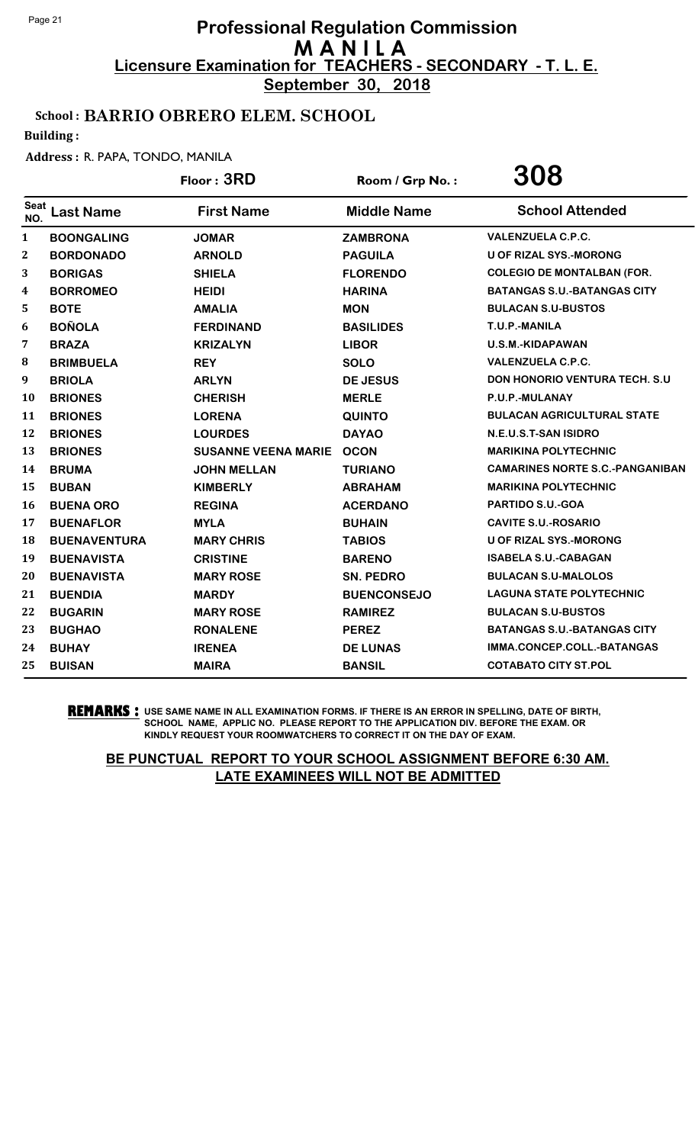**September 30, 2018**

## School : BARRIO OBRERO ELEM. SCHOOL

Building :

#### Address : R. PAPA, TONDO, MANILA

|                    |                     | Floor: 3RD                 | Room / Grp No.:    | 308                                    |
|--------------------|---------------------|----------------------------|--------------------|----------------------------------------|
| <b>Seat</b><br>NO. | <b>Last Name</b>    | <b>First Name</b>          | <b>Middle Name</b> | <b>School Attended</b>                 |
| $\mathbf{1}$       | <b>BOONGALING</b>   | <b>JOMAR</b>               | <b>ZAMBRONA</b>    | <b>VALENZUELA C.P.C.</b>               |
| 2                  | <b>BORDONADO</b>    | <b>ARNOLD</b>              | <b>PAGUILA</b>     | <b>U OF RIZAL SYS.-MORONG</b>          |
| 3                  | <b>BORIGAS</b>      | <b>SHIELA</b>              | <b>FLORENDO</b>    | <b>COLEGIO DE MONTALBAN (FOR.</b>      |
| 4                  | <b>BORROMEO</b>     | <b>HEIDI</b>               | <b>HARINA</b>      | <b>BATANGAS S.U.-BATANGAS CITY</b>     |
| 5                  | <b>BOTE</b>         | <b>AMALIA</b>              | <b>MON</b>         | <b>BULACAN S.U-BUSTOS</b>              |
| 6                  | <b>BOÑOLA</b>       | <b>FERDINAND</b>           | <b>BASILIDES</b>   | T.U.P.-MANILA                          |
| 7                  | <b>BRAZA</b>        | <b>KRIZALYN</b>            | <b>LIBOR</b>       | U.S.M.-KIDAPAWAN                       |
| 8                  | <b>BRIMBUELA</b>    | <b>REY</b>                 | <b>SOLO</b>        | <b>VALENZUELA C.P.C.</b>               |
| 9                  | <b>BRIOLA</b>       | <b>ARLYN</b>               | <b>DE JESUS</b>    | <b>DON HONORIO VENTURA TECH. S.U</b>   |
| 10                 | <b>BRIONES</b>      | <b>CHERISH</b>             | <b>MERLE</b>       | P.U.P.-MULANAY                         |
| 11                 | <b>BRIONES</b>      | <b>LORENA</b>              | <b>QUINTO</b>      | <b>BULACAN AGRICULTURAL STATE</b>      |
| 12                 | <b>BRIONES</b>      | <b>LOURDES</b>             | <b>DAYAO</b>       | N.E.U.S.T-SAN ISIDRO                   |
| 13                 | <b>BRIONES</b>      | <b>SUSANNE VEENA MARIE</b> | <b>OCON</b>        | <b>MARIKINA POLYTECHNIC</b>            |
| 14                 | <b>BRUMA</b>        | <b>JOHN MELLAN</b>         | <b>TURIANO</b>     | <b>CAMARINES NORTE S.C.-PANGANIBAN</b> |
| 15                 | <b>BUBAN</b>        | <b>KIMBERLY</b>            | <b>ABRAHAM</b>     | <b>MARIKINA POLYTECHNIC</b>            |
| 16                 | <b>BUENA ORO</b>    | <b>REGINA</b>              | <b>ACERDANO</b>    | PARTIDO S.U.-GOA                       |
| 17                 | <b>BUENAFLOR</b>    | <b>MYLA</b>                | <b>BUHAIN</b>      | <b>CAVITE S.U.-ROSARIO</b>             |
| 18                 | <b>BUENAVENTURA</b> | <b>MARY CHRIS</b>          | <b>TABIOS</b>      | <b>U OF RIZAL SYS.-MORONG</b>          |
| 19                 | <b>BUENAVISTA</b>   | <b>CRISTINE</b>            | <b>BARENO</b>      | <b>ISABELA S.U.-CABAGAN</b>            |
| 20                 | <b>BUENAVISTA</b>   | <b>MARY ROSE</b>           | <b>SN. PEDRO</b>   | <b>BULACAN S.U-MALOLOS</b>             |
| 21                 | <b>BUENDIA</b>      | <b>MARDY</b>               | <b>BUENCONSEJO</b> | <b>LAGUNA STATE POLYTECHNIC</b>        |
| 22                 | <b>BUGARIN</b>      | <b>MARY ROSE</b>           | <b>RAMIREZ</b>     | <b>BULACAN S.U-BUSTOS</b>              |
| 23                 | <b>BUGHAO</b>       | <b>RONALENE</b>            | <b>PEREZ</b>       | <b>BATANGAS S.U.-BATANGAS CITY</b>     |
| 24                 | <b>BUHAY</b>        | <b>IRENEA</b>              | <b>DE LUNAS</b>    | IMMA.CONCEP.COLL.-BATANGAS             |
| 25                 | <b>BUISAN</b>       | <b>MAIRA</b>               | <b>BANSIL</b>      | <b>COTABATO CITY ST.POL</b>            |
|                    |                     |                            |                    |                                        |

**REMARKS :** USE SAME NAME IN ALL EXAMINATION FORMS. IF THERE IS AN ERROR IN SPELLING, DATE OF BIRTH, SCHOOL NAME, APPLIC NO. PLEASE REPORT TO THE APPLICATION DIV. BEFORE THE EXAM. OR KINDLY REQUEST YOUR ROOMWATCHERS TO CORRECT IT ON THE DAY OF EXAM.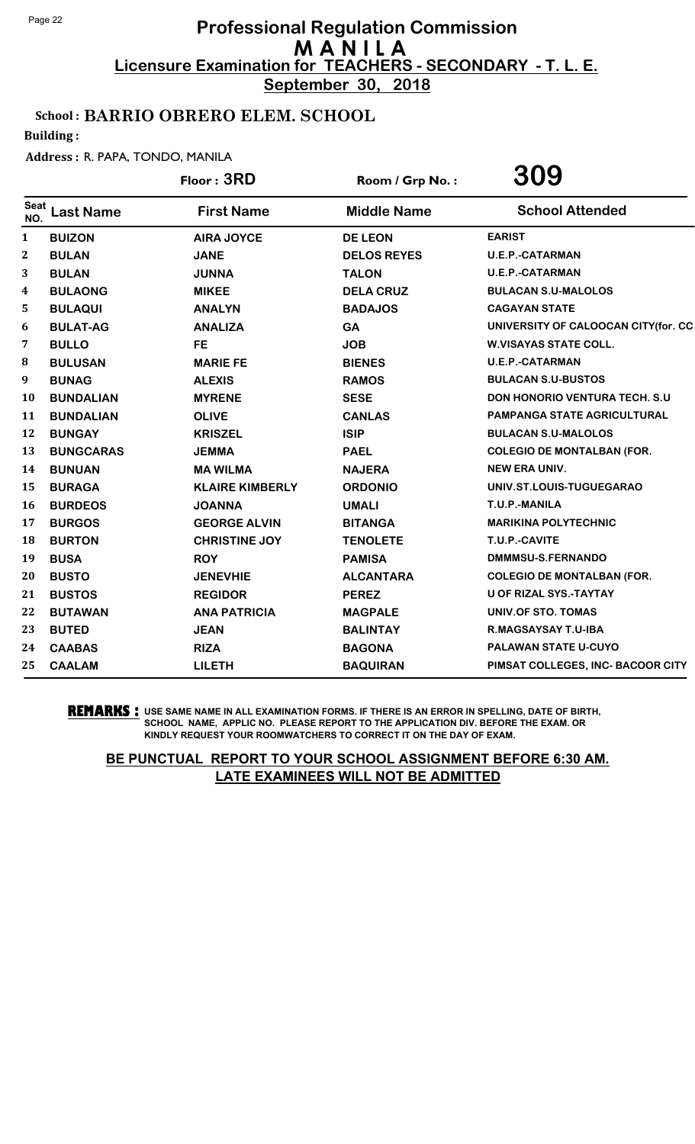**September 30, 2018**

## School : BARRIO OBRERO ELEM. SCHOOL

Building :

#### Address : R. PAPA, TONDO, MANILA

|                    |                  | Floor: 3RD             | Room / Grp No.:    | 309                                   |
|--------------------|------------------|------------------------|--------------------|---------------------------------------|
| <b>Seat</b><br>NO. | <b>Last Name</b> | <b>First Name</b>      | <b>Middle Name</b> | <b>School Attended</b>                |
| $\mathbf{1}$       | <b>BUIZON</b>    | <b>AIRA JOYCE</b>      | <b>DE LEON</b>     | <b>EARIST</b>                         |
| 2                  | <b>BULAN</b>     | <b>JANE</b>            | <b>DELOS REYES</b> | <b>U.E.P.-CATARMAN</b>                |
| 3                  | <b>BULAN</b>     | <b>JUNNA</b>           | <b>TALON</b>       | <b>U.E.P.-CATARMAN</b>                |
| 4                  | <b>BULAONG</b>   | <b>MIKEE</b>           | <b>DELA CRUZ</b>   | <b>BULACAN S.U-MALOLOS</b>            |
| 5                  | <b>BULAQUI</b>   | <b>ANALYN</b>          | <b>BADAJOS</b>     | <b>CAGAYAN STATE</b>                  |
| 6                  | <b>BULAT-AG</b>  | <b>ANALIZA</b>         | <b>GA</b>          | UNIVERSITY OF CALOOCAN CITY(for. CC   |
| 7                  | <b>BULLO</b>     | <b>FE</b>              | <b>JOB</b>         | <b>W.VISAYAS STATE COLL.</b>          |
| 8                  | <b>BULUSAN</b>   | <b>MARIE FE</b>        | <b>BIENES</b>      | <b>U.E.P.-CATARMAN</b>                |
| 9                  | <b>BUNAG</b>     | <b>ALEXIS</b>          | <b>RAMOS</b>       | <b>BULACAN S.U-BUSTOS</b>             |
| 10                 | <b>BUNDALIAN</b> | <b>MYRENE</b>          | <b>SESE</b>        | <b>DON HONORIO VENTURA TECH. S.U.</b> |
| 11                 | <b>BUNDALIAN</b> | <b>OLIVE</b>           | <b>CANLAS</b>      | <b>PAMPANGA STATE AGRICULTURAL</b>    |
| 12                 | <b>BUNGAY</b>    | <b>KRISZEL</b>         | <b>ISIP</b>        | <b>BULACAN S.U-MALOLOS</b>            |
| 13                 | <b>BUNGCARAS</b> | <b>JEMMA</b>           | <b>PAEL</b>        | <b>COLEGIO DE MONTALBAN (FOR.</b>     |
| 14                 | <b>BUNUAN</b>    | <b>MA WILMA</b>        | <b>NAJERA</b>      | <b>NEW ERA UNIV.</b>                  |
| 15                 | <b>BURAGA</b>    | <b>KLAIRE KIMBERLY</b> | <b>ORDONIO</b>     | UNIV.ST.LOUIS-TUGUEGARAO              |
| 16                 | <b>BURDEOS</b>   | <b>JOANNA</b>          | <b>UMALI</b>       | T.U.P.-MANILA                         |
| 17                 | <b>BURGOS</b>    | <b>GEORGE ALVIN</b>    | <b>BITANGA</b>     | <b>MARIKINA POLYTECHNIC</b>           |
| 18                 | <b>BURTON</b>    | <b>CHRISTINE JOY</b>   | <b>TENOLETE</b>    | T.U.P.-CAVITE                         |
| 19                 | <b>BUSA</b>      | <b>ROY</b>             | <b>PAMISA</b>      | DMMMSU-S.FERNANDO                     |
| 20                 | <b>BUSTO</b>     | <b>JENEVHIE</b>        | <b>ALCANTARA</b>   | <b>COLEGIO DE MONTALBAN (FOR.</b>     |
| 21                 | <b>BUSTOS</b>    | <b>REGIDOR</b>         | <b>PEREZ</b>       | U OF RIZAL SYS.-TAYTAY                |
| 22                 | <b>BUTAWAN</b>   | <b>ANA PATRICIA</b>    | <b>MAGPALE</b>     | UNIV.OF STO. TOMAS                    |
| 23                 | <b>BUTED</b>     | <b>JEAN</b>            | <b>BALINTAY</b>    | R.MAGSAYSAY T.U-IBA                   |
| 24                 | <b>CAABAS</b>    | <b>RIZA</b>            | <b>BAGONA</b>      | PALAWAN STATE U-CUYO                  |
| 25                 | <b>CAALAM</b>    | <b>LILETH</b>          | <b>BAQUIRAN</b>    | PIMSAT COLLEGES, INC- BACOOR CITY     |

**REMARKS :** USE SAME NAME IN ALL EXAMINATION FORMS. IF THERE IS AN ERROR IN SPELLING, DATE OF BIRTH, SCHOOL NAME, APPLIC NO. PLEASE REPORT TO THE APPLICATION DIV. BEFORE THE EXAM. OR KINDLY REQUEST YOUR ROOMWATCHERS TO CORRECT IT ON THE DAY OF EXAM.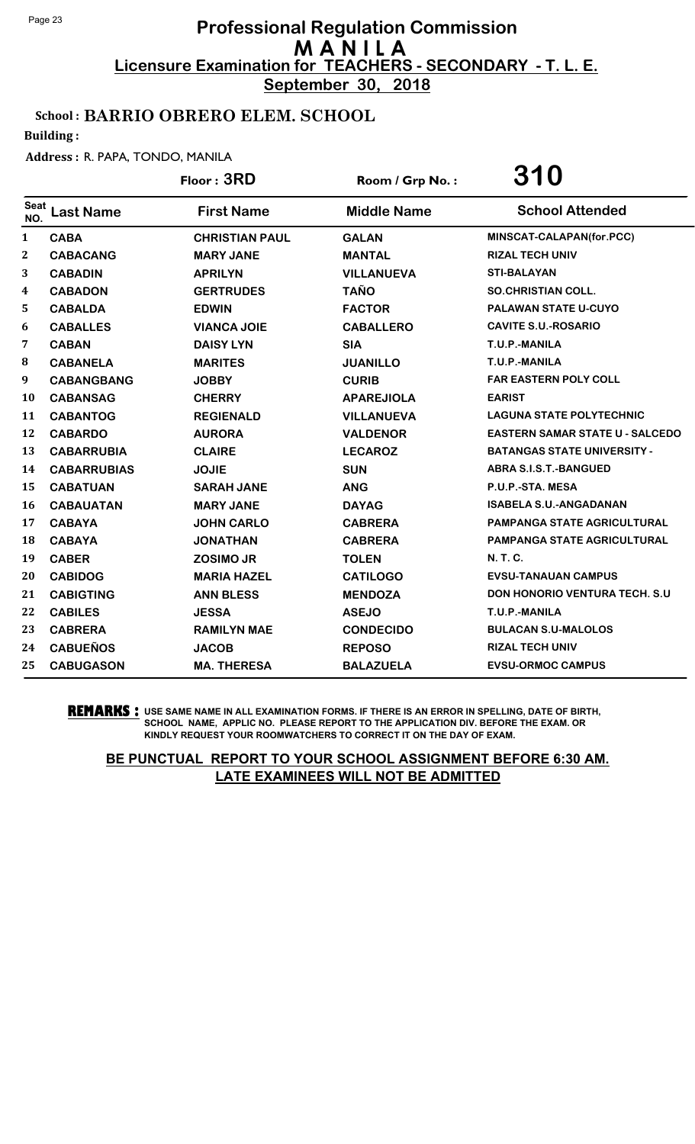**September 30, 2018**

## School : BARRIO OBRERO ELEM. SCHOOL

Building :

#### Address : R. PAPA, TONDO, MANILA

|                  |                    | Floor: 3RD            | Room / Grp No.:    | 310                                    |
|------------------|--------------------|-----------------------|--------------------|----------------------------------------|
| Seat<br>NO.      | <b>Last Name</b>   | <b>First Name</b>     | <b>Middle Name</b> | <b>School Attended</b>                 |
| $\mathbf{1}$     | <b>CABA</b>        | <b>CHRISTIAN PAUL</b> | <b>GALAN</b>       | MINSCAT-CALAPAN(for.PCC)               |
| $\boldsymbol{2}$ | <b>CABACANG</b>    | <b>MARY JANE</b>      | <b>MANTAL</b>      | <b>RIZAL TECH UNIV</b>                 |
| 3                | <b>CABADIN</b>     | <b>APRILYN</b>        | <b>VILLANUEVA</b>  | <b>STI-BALAYAN</b>                     |
| 4                | <b>CABADON</b>     | <b>GERTRUDES</b>      | <b>TAÑO</b>        | <b>SO.CHRISTIAN COLL.</b>              |
| 5                | <b>CABALDA</b>     | <b>EDWIN</b>          | <b>FACTOR</b>      | <b>PALAWAN STATE U-CUYO</b>            |
| 6                | <b>CABALLES</b>    | <b>VIANCA JOIE</b>    | <b>CABALLERO</b>   | <b>CAVITE S.U.-ROSARIO</b>             |
| 7                | <b>CABAN</b>       | <b>DAISY LYN</b>      | <b>SIA</b>         | T.U.P.-MANILA                          |
| 8                | <b>CABANELA</b>    | <b>MARITES</b>        | <b>JUANILLO</b>    | T.U.P.-MANILA                          |
| 9                | <b>CABANGBANG</b>  | <b>JOBBY</b>          | <b>CURIB</b>       | <b>FAR EASTERN POLY COLL</b>           |
| 10               | <b>CABANSAG</b>    | <b>CHERRY</b>         | <b>APAREJIOLA</b>  | <b>EARIST</b>                          |
| 11               | <b>CABANTOG</b>    | <b>REGIENALD</b>      | <b>VILLANUEVA</b>  | <b>LAGUNA STATE POLYTECHNIC</b>        |
| 12               | <b>CABARDO</b>     | <b>AURORA</b>         | <b>VALDENOR</b>    | <b>EASTERN SAMAR STATE U - SALCEDO</b> |
| 13               | <b>CABARRUBIA</b>  | <b>CLAIRE</b>         | <b>LECAROZ</b>     | <b>BATANGAS STATE UNIVERSITY -</b>     |
| 14               | <b>CABARRUBIAS</b> | <b>JOJIE</b>          | <b>SUN</b>         | <b>ABRA S.I.S.T.-BANGUED</b>           |
| 15               | <b>CABATUAN</b>    | <b>SARAH JANE</b>     | <b>ANG</b>         | P.U.P.-STA. MESA                       |
| 16               | <b>CABAUATAN</b>   | <b>MARY JANE</b>      | <b>DAYAG</b>       | <b>ISABELA S.U.-ANGADANAN</b>          |
| 17               | <b>CABAYA</b>      | <b>JOHN CARLO</b>     | <b>CABRERA</b>     | <b>PAMPANGA STATE AGRICULTURAL</b>     |
| <b>18</b>        | <b>CABAYA</b>      | <b>JONATHAN</b>       | <b>CABRERA</b>     | <b>PAMPANGA STATE AGRICULTURAL</b>     |
| 19               | <b>CABER</b>       | <b>ZOSIMO JR</b>      | <b>TOLEN</b>       | <b>N.T.C.</b>                          |
| 20               | <b>CABIDOG</b>     | <b>MARIA HAZEL</b>    | <b>CATILOGO</b>    | <b>EVSU-TANAUAN CAMPUS</b>             |
| 21               | <b>CABIGTING</b>   | <b>ANN BLESS</b>      | <b>MENDOZA</b>     | <b>DON HONORIO VENTURA TECH. S.U.</b>  |
| 22               | <b>CABILES</b>     | <b>JESSA</b>          | <b>ASEJO</b>       | T.U.P.-MANILA                          |
| 23               | <b>CABRERA</b>     | <b>RAMILYN MAE</b>    | <b>CONDECIDO</b>   | <b>BULACAN S.U-MALOLOS</b>             |
| 24               | <b>CABUEÑOS</b>    | <b>JACOB</b>          | <b>REPOSO</b>      | <b>RIZAL TECH UNIV</b>                 |
| 25               | <b>CABUGASON</b>   | <b>MA. THERESA</b>    | <b>BALAZUELA</b>   | <b>EVSU-ORMOC CAMPUS</b>               |

**REMARKS :** USE SAME NAME IN ALL EXAMINATION FORMS. IF THERE IS AN ERROR IN SPELLING, DATE OF BIRTH, SCHOOL NAME, APPLIC NO. PLEASE REPORT TO THE APPLICATION DIV. BEFORE THE EXAM. OR KINDLY REQUEST YOUR ROOMWATCHERS TO CORRECT IT ON THE DAY OF EXAM.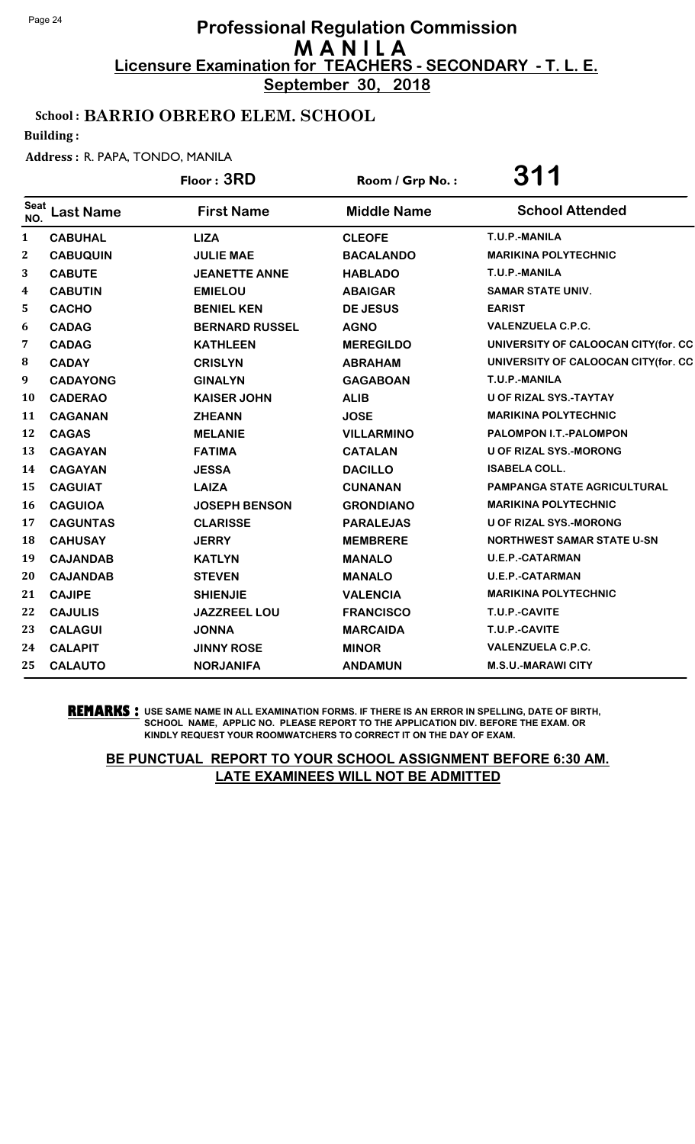**September 30, 2018**

## School : BARRIO OBRERO ELEM. SCHOOL

Building :

#### Address : R. PAPA, TONDO, MANILA

|                    |                  | Floor: 3RD            | Room / Grp No.:    | <b>311</b>                          |
|--------------------|------------------|-----------------------|--------------------|-------------------------------------|
| <b>Seat</b><br>NO. | <b>Last Name</b> | <b>First Name</b>     | <b>Middle Name</b> | <b>School Attended</b>              |
| $\mathbf{1}$       | <b>CABUHAL</b>   | <b>LIZA</b>           | <b>CLEOFE</b>      | T.U.P.-MANILA                       |
| 2                  | <b>CABUQUIN</b>  | <b>JULIE MAE</b>      | <b>BACALANDO</b>   | <b>MARIKINA POLYTECHNIC</b>         |
| 3                  | <b>CABUTE</b>    | <b>JEANETTE ANNE</b>  | <b>HABLADO</b>     | T.U.P.-MANILA                       |
| $\boldsymbol{4}$   | <b>CABUTIN</b>   | <b>EMIELOU</b>        | <b>ABAIGAR</b>     | <b>SAMAR STATE UNIV.</b>            |
| 5                  | <b>CACHO</b>     | <b>BENIEL KEN</b>     | <b>DE JESUS</b>    | <b>EARIST</b>                       |
| 6                  | <b>CADAG</b>     | <b>BERNARD RUSSEL</b> | <b>AGNO</b>        | <b>VALENZUELA C.P.C.</b>            |
| 7                  | <b>CADAG</b>     | <b>KATHLEEN</b>       | <b>MEREGILDO</b>   | UNIVERSITY OF CALOOCAN CITY(for. CC |
| 8                  | <b>CADAY</b>     | <b>CRISLYN</b>        | <b>ABRAHAM</b>     | UNIVERSITY OF CALOOCAN CITY(for. CC |
| 9                  | <b>CADAYONG</b>  | <b>GINALYN</b>        | <b>GAGABOAN</b>    | T.U.P.-MANILA                       |
| 10                 | <b>CADERAO</b>   | <b>KAISER JOHN</b>    | <b>ALIB</b>        | U OF RIZAL SYS.-TAYTAY              |
| 11                 | <b>CAGANAN</b>   | <b>ZHEANN</b>         | <b>JOSE</b>        | <b>MARIKINA POLYTECHNIC</b>         |
| 12                 | <b>CAGAS</b>     | <b>MELANIE</b>        | <b>VILLARMINO</b>  | PALOMPON I.T.-PALOMPON              |
| 13                 | <b>CAGAYAN</b>   | <b>FATIMA</b>         | <b>CATALAN</b>     | <b>U OF RIZAL SYS.-MORONG</b>       |
| 14                 | <b>CAGAYAN</b>   | <b>JESSA</b>          | <b>DACILLO</b>     | <b>ISABELA COLL.</b>                |
| 15                 | <b>CAGUIAT</b>   | <b>LAIZA</b>          | <b>CUNANAN</b>     | <b>PAMPANGA STATE AGRICULTURAL</b>  |
| 16                 | <b>CAGUIOA</b>   | <b>JOSEPH BENSON</b>  | <b>GRONDIANO</b>   | <b>MARIKINA POLYTECHNIC</b>         |
| 17                 | <b>CAGUNTAS</b>  | <b>CLARISSE</b>       | <b>PARALEJAS</b>   | <b>U OF RIZAL SYS.-MORONG</b>       |
| 18                 | <b>CAHUSAY</b>   | <b>JERRY</b>          | <b>MEMBRERE</b>    | <b>NORTHWEST SAMAR STATE U-SN</b>   |
| 19                 | <b>CAJANDAB</b>  | <b>KATLYN</b>         | <b>MANALO</b>      | <b>U.E.P.-CATARMAN</b>              |
| 20                 | <b>CAJANDAB</b>  | <b>STEVEN</b>         | <b>MANALO</b>      | <b>U.E.P.-CATARMAN</b>              |
| 21                 | <b>CAJIPE</b>    | <b>SHIENJIE</b>       | <b>VALENCIA</b>    | <b>MARIKINA POLYTECHNIC</b>         |
| 22                 | <b>CAJULIS</b>   | JAZZREEL LOU          | <b>FRANCISCO</b>   | T.U.P.-CAVITE                       |
| 23                 | <b>CALAGUI</b>   | <b>JONNA</b>          | <b>MARCAIDA</b>    | T.U.P.-CAVITE                       |
| 24                 | <b>CALAPIT</b>   | <b>JINNY ROSE</b>     | <b>MINOR</b>       | <b>VALENZUELA C.P.C.</b>            |
| 25                 | <b>CALAUTO</b>   | <b>NORJANIFA</b>      | <b>ANDAMUN</b>     | <b>M.S.U.-MARAWI CITY</b>           |

**REMARKS :** USE SAME NAME IN ALL EXAMINATION FORMS. IF THERE IS AN ERROR IN SPELLING, DATE OF BIRTH, SCHOOL NAME, APPLIC NO. PLEASE REPORT TO THE APPLICATION DIV. BEFORE THE EXAM. OR KINDLY REQUEST YOUR ROOMWATCHERS TO CORRECT IT ON THE DAY OF EXAM.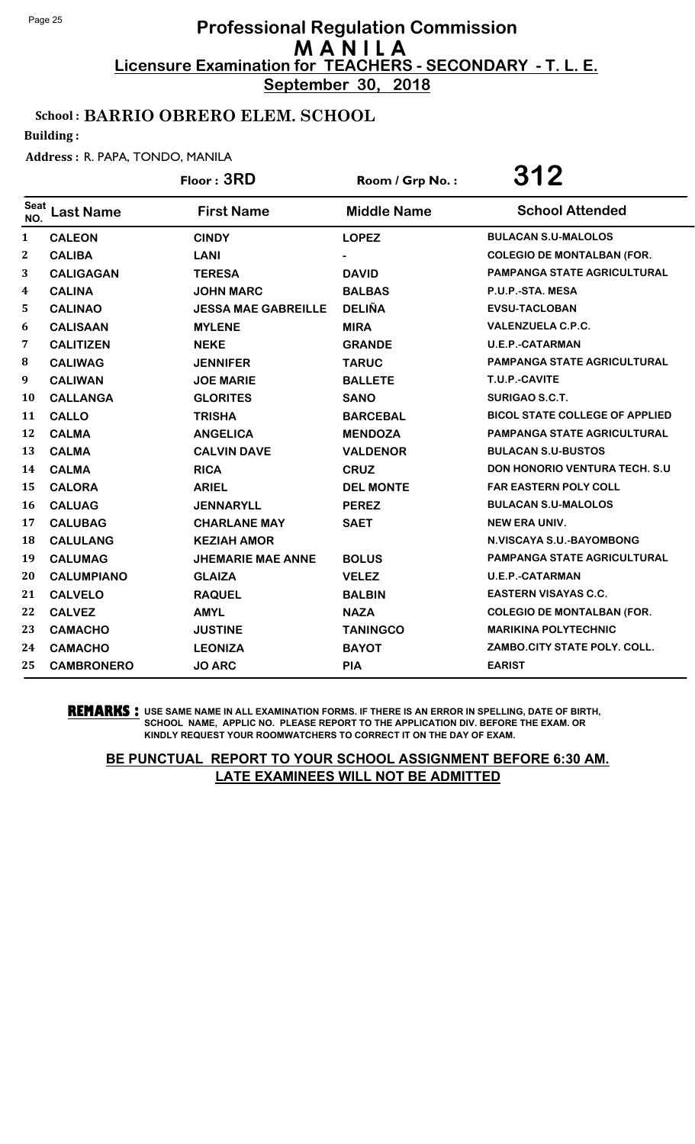**September 30, 2018**

## School : BARRIO OBRERO ELEM. SCHOOL

Building :

#### Address : R. PAPA, TONDO, MANILA

|              |                   | Floor: 3RD                 | Room / Grp No.:    | 312                                   |
|--------------|-------------------|----------------------------|--------------------|---------------------------------------|
| Seat<br>NO.  | <b>Last Name</b>  | <b>First Name</b>          | <b>Middle Name</b> | <b>School Attended</b>                |
| $\mathbf{1}$ | <b>CALEON</b>     | <b>CINDY</b>               | <b>LOPEZ</b>       | <b>BULACAN S.U-MALOLOS</b>            |
| $\mathbf{2}$ | <b>CALIBA</b>     | <b>LANI</b>                |                    | <b>COLEGIO DE MONTALBAN (FOR.</b>     |
| 3            | <b>CALIGAGAN</b>  | <b>TERESA</b>              | <b>DAVID</b>       | <b>PAMPANGA STATE AGRICULTURAL</b>    |
| 4            | <b>CALINA</b>     | <b>JOHN MARC</b>           | <b>BALBAS</b>      | P.U.P.-STA. MESA                      |
| 5.           | <b>CALINAO</b>    | <b>JESSA MAE GABREILLE</b> | <b>DELIÑA</b>      | <b>EVSU-TACLOBAN</b>                  |
| 6            | <b>CALISAAN</b>   | <b>MYLENE</b>              | <b>MIRA</b>        | <b>VALENZUELA C.P.C.</b>              |
| 7            | <b>CALITIZEN</b>  | <b>NEKE</b>                | <b>GRANDE</b>      | <b>U.E.P.-CATARMAN</b>                |
| 8            | <b>CALIWAG</b>    | <b>JENNIFER</b>            | <b>TARUC</b>       | PAMPANGA STATE AGRICULTURAL           |
| 9            | <b>CALIWAN</b>    | <b>JOE MARIE</b>           | <b>BALLETE</b>     | T.U.P.-CAVITE                         |
| 10           | <b>CALLANGA</b>   | <b>GLORITES</b>            | <b>SANO</b>        | SURIGAO S.C.T.                        |
| 11           | <b>CALLO</b>      | <b>TRISHA</b>              | <b>BARCEBAL</b>    | <b>BICOL STATE COLLEGE OF APPLIED</b> |
| 12           | <b>CALMA</b>      | <b>ANGELICA</b>            | <b>MENDOZA</b>     | PAMPANGA STATE AGRICULTURAL           |
| 13           | <b>CALMA</b>      | <b>CALVIN DAVE</b>         | <b>VALDENOR</b>    | <b>BULACAN S.U-BUSTOS</b>             |
| 14           | <b>CALMA</b>      | <b>RICA</b>                | <b>CRUZ</b>        | <b>DON HONORIO VENTURA TECH. S.U.</b> |
| 15           | <b>CALORA</b>     | <b>ARIEL</b>               | <b>DEL MONTE</b>   | <b>FAR EASTERN POLY COLL</b>          |
| 16           | <b>CALUAG</b>     | <b>JENNARYLL</b>           | <b>PEREZ</b>       | <b>BULACAN S.U-MALOLOS</b>            |
| 17           | <b>CALUBAG</b>    | <b>CHARLANE MAY</b>        | <b>SAET</b>        | <b>NEW ERA UNIV.</b>                  |
| 18           | <b>CALULANG</b>   | <b>KEZIAH AMOR</b>         |                    | N.VISCAYA S.U.-BAYOMBONG              |
| 19           | <b>CALUMAG</b>    | <b>JHEMARIE MAE ANNE</b>   | <b>BOLUS</b>       | PAMPANGA STATE AGRICULTURAL           |
| 20           | <b>CALUMPIANO</b> | <b>GLAIZA</b>              | <b>VELEZ</b>       | <b>U.E.P.-CATARMAN</b>                |
| 21           | <b>CALVELO</b>    | <b>RAQUEL</b>              | <b>BALBIN</b>      | <b>EASTERN VISAYAS C.C.</b>           |
| 22           | <b>CALVEZ</b>     | <b>AMYL</b>                | <b>NAZA</b>        | <b>COLEGIO DE MONTALBAN (FOR.</b>     |
| 23           | <b>CAMACHO</b>    | <b>JUSTINE</b>             | <b>TANINGCO</b>    | <b>MARIKINA POLYTECHNIC</b>           |
| 24           | <b>CAMACHO</b>    | <b>LEONIZA</b>             | <b>BAYOT</b>       | ZAMBO.CITY STATE POLY. COLL.          |
| 25           | <b>CAMBRONERO</b> | <b>JO ARC</b>              | PIA                | <b>EARIST</b>                         |

**REMARKS :** USE SAME NAME IN ALL EXAMINATION FORMS. IF THERE IS AN ERROR IN SPELLING, DATE OF BIRTH, SCHOOL NAME, APPLIC NO. PLEASE REPORT TO THE APPLICATION DIV. BEFORE THE EXAM. OR KINDLY REQUEST YOUR ROOMWATCHERS TO CORRECT IT ON THE DAY OF EXAM.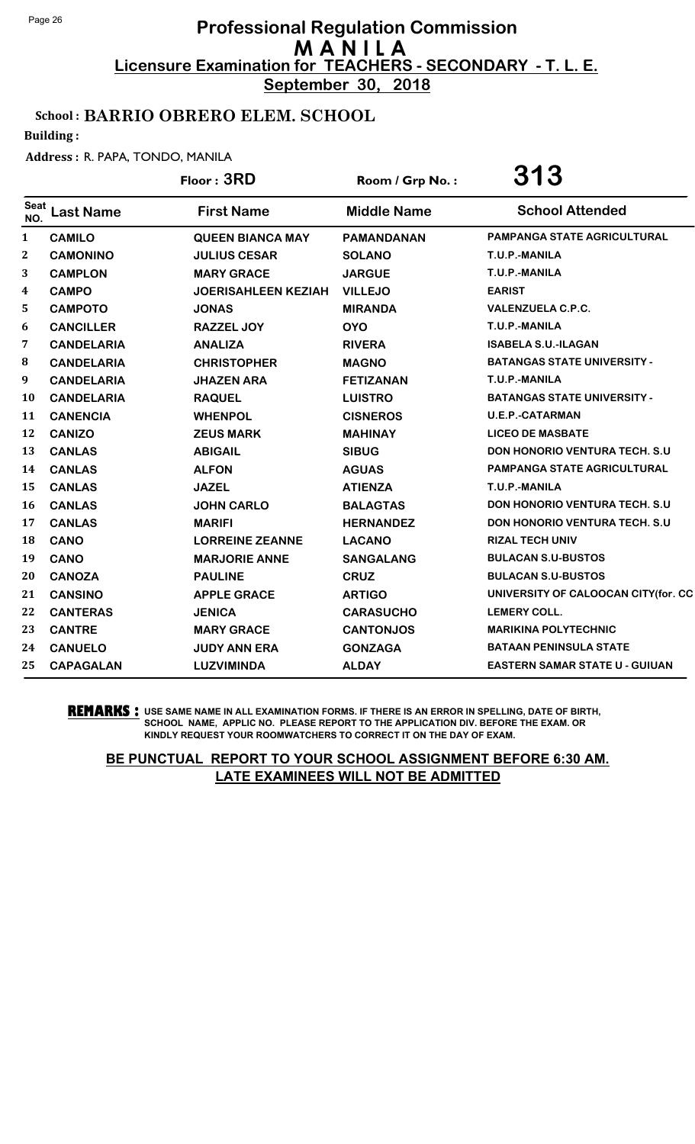**September 30, 2018**

## School : BARRIO OBRERO ELEM. SCHOOL

Building :

#### Address : R. PAPA, TONDO, MANILA

|              |                   | Floor: 3RD                 | Room / Grp No.:    | 313                                   |
|--------------|-------------------|----------------------------|--------------------|---------------------------------------|
| Seat<br>NO.  | <b>Last Name</b>  | <b>First Name</b>          | <b>Middle Name</b> | <b>School Attended</b>                |
| $\mathbf{1}$ | <b>CAMILO</b>     | <b>QUEEN BIANCA MAY</b>    | <b>PAMANDANAN</b>  | <b>PAMPANGA STATE AGRICULTURAL</b>    |
| $\mathbf{2}$ | <b>CAMONINO</b>   | <b>JULIUS CESAR</b>        | <b>SOLANO</b>      | T.U.P.-MANILA                         |
| 3            | <b>CAMPLON</b>    | <b>MARY GRACE</b>          | <b>JARGUE</b>      | T.U.P.-MANILA                         |
| 4            | <b>CAMPO</b>      | <b>JOERISAHLEEN KEZIAH</b> | <b>VILLEJO</b>     | <b>EARIST</b>                         |
| 5            | <b>CAMPOTO</b>    | <b>JONAS</b>               | <b>MIRANDA</b>     | <b>VALENZUELA C.P.C.</b>              |
| 6            | <b>CANCILLER</b>  | <b>RAZZEL JOY</b>          | <b>OYO</b>         | T.U.P.-MANILA                         |
| 7            | <b>CANDELARIA</b> | <b>ANALIZA</b>             | <b>RIVERA</b>      | <b>ISABELA S.U.-ILAGAN</b>            |
| 8            | <b>CANDELARIA</b> | <b>CHRISTOPHER</b>         | <b>MAGNO</b>       | <b>BATANGAS STATE UNIVERSITY -</b>    |
| 9            | <b>CANDELARIA</b> | <b>JHAZEN ARA</b>          | <b>FETIZANAN</b>   | T.U.P.-MANILA                         |
| 10           | <b>CANDELARIA</b> | <b>RAQUEL</b>              | <b>LUISTRO</b>     | <b>BATANGAS STATE UNIVERSITY -</b>    |
| 11           | <b>CANENCIA</b>   | <b>WHENPOL</b>             | <b>CISNEROS</b>    | <b>U.E.P.-CATARMAN</b>                |
| 12           | <b>CANIZO</b>     | <b>ZEUS MARK</b>           | <b>MAHINAY</b>     | <b>LICEO DE MASBATE</b>               |
| 13           | <b>CANLAS</b>     | <b>ABIGAIL</b>             | <b>SIBUG</b>       | DON HONORIO VENTURA TECH. S.U         |
| 14           | <b>CANLAS</b>     | <b>ALFON</b>               | <b>AGUAS</b>       | PAMPANGA STATE AGRICULTURAL           |
| 15           | <b>CANLAS</b>     | <b>JAZEL</b>               | <b>ATIENZA</b>     | T.U.P.-MANILA                         |
| 16           | <b>CANLAS</b>     | <b>JOHN CARLO</b>          | <b>BALAGTAS</b>    | <b>DON HONORIO VENTURA TECH. S.U</b>  |
| 17           | <b>CANLAS</b>     | <b>MARIFI</b>              | <b>HERNANDEZ</b>   | <b>DON HONORIO VENTURA TECH. S.U.</b> |
| 18           | <b>CANO</b>       | <b>LORREINE ZEANNE</b>     | <b>LACANO</b>      | <b>RIZAL TECH UNIV</b>                |
| 19           | <b>CANO</b>       | <b>MARJORIE ANNE</b>       | <b>SANGALANG</b>   | <b>BULACAN S.U-BUSTOS</b>             |
| 20           | <b>CANOZA</b>     | <b>PAULINE</b>             | <b>CRUZ</b>        | <b>BULACAN S.U-BUSTOS</b>             |
| 21           | <b>CANSINO</b>    | <b>APPLE GRACE</b>         | <b>ARTIGO</b>      | UNIVERSITY OF CALOOCAN CITY(for. CC   |
| 22           | <b>CANTERAS</b>   | <b>JENICA</b>              | <b>CARASUCHO</b>   | <b>LEMERY COLL.</b>                   |
| 23           | <b>CANTRE</b>     | <b>MARY GRACE</b>          | <b>CANTONJOS</b>   | <b>MARIKINA POLYTECHNIC</b>           |
| 24           | <b>CANUELO</b>    | <b>JUDY ANN ERA</b>        | <b>GONZAGA</b>     | <b>BATAAN PENINSULA STATE</b>         |
| 25           | <b>CAPAGALAN</b>  | <b>LUZVIMINDA</b>          | <b>ALDAY</b>       | <b>EASTERN SAMAR STATE U - GUIUAN</b> |

**REMARKS :** USE SAME NAME IN ALL EXAMINATION FORMS. IF THERE IS AN ERROR IN SPELLING, DATE OF BIRTH, SCHOOL NAME, APPLIC NO. PLEASE REPORT TO THE APPLICATION DIV. BEFORE THE EXAM. OR KINDLY REQUEST YOUR ROOMWATCHERS TO CORRECT IT ON THE DAY OF EXAM.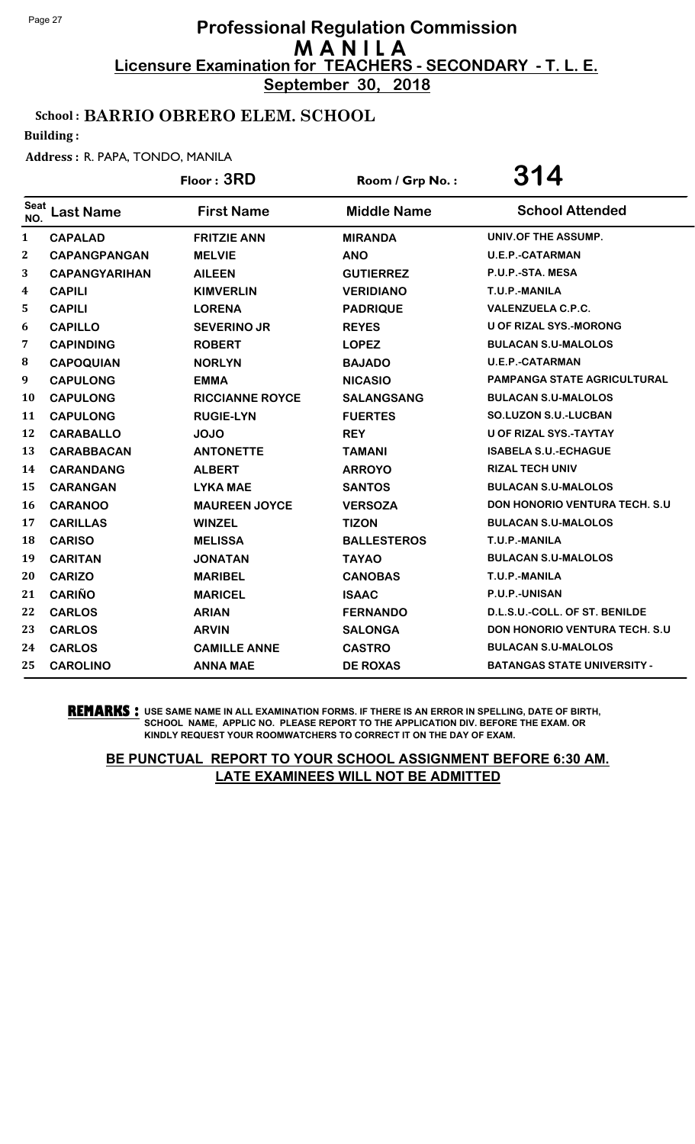**September 30, 2018**

## School : BARRIO OBRERO ELEM. SCHOOL

Building :

#### Address : R. PAPA, TONDO, MANILA

|                    |                      | Floor: 3RD             | Room / Grp No.:    | 314                                  |
|--------------------|----------------------|------------------------|--------------------|--------------------------------------|
| <b>Seat</b><br>NO. | <b>Last Name</b>     | <b>First Name</b>      | <b>Middle Name</b> | <b>School Attended</b>               |
| 1                  | <b>CAPALAD</b>       | <b>FRITZIE ANN</b>     | <b>MIRANDA</b>     | UNIV.OF THE ASSUMP.                  |
| $\mathbf{2}$       | <b>CAPANGPANGAN</b>  | <b>MELVIE</b>          | <b>ANO</b>         | <b>U.E.P.-CATARMAN</b>               |
| 3                  | <b>CAPANGYARIHAN</b> | <b>AILEEN</b>          | <b>GUTIERREZ</b>   | P.U.P.-STA. MESA                     |
| 4                  | <b>CAPILI</b>        | <b>KIMVERLIN</b>       | <b>VERIDIANO</b>   | T.U.P.-MANILA                        |
| 5                  | <b>CAPILI</b>        | <b>LORENA</b>          | <b>PADRIQUE</b>    | <b>VALENZUELA C.P.C.</b>             |
| 6                  | <b>CAPILLO</b>       | <b>SEVERINO JR</b>     | <b>REYES</b>       | <b>U OF RIZAL SYS.-MORONG</b>        |
| 7                  | <b>CAPINDING</b>     | <b>ROBERT</b>          | <b>LOPEZ</b>       | <b>BULACAN S.U-MALOLOS</b>           |
| $\bf{8}$           | <b>CAPOQUIAN</b>     | <b>NORLYN</b>          | <b>BAJADO</b>      | <b>U.E.P.-CATARMAN</b>               |
| 9                  | <b>CAPULONG</b>      | <b>EMMA</b>            | <b>NICASIO</b>     | <b>PAMPANGA STATE AGRICULTURAL</b>   |
| 10                 | <b>CAPULONG</b>      | <b>RICCIANNE ROYCE</b> | <b>SALANGSANG</b>  | <b>BULACAN S.U-MALOLOS</b>           |
| 11                 | <b>CAPULONG</b>      | <b>RUGIE-LYN</b>       | <b>FUERTES</b>     | <b>SO.LUZON S.U.-LUCBAN</b>          |
| 12                 | <b>CARABALLO</b>     | <b>JOJO</b>            | <b>REY</b>         | <b>U OF RIZAL SYS.-TAYTAY</b>        |
| 13                 | <b>CARABBACAN</b>    | <b>ANTONETTE</b>       | <b>TAMANI</b>      | <b>ISABELA S.U.-ECHAGUE</b>          |
| 14                 | <b>CARANDANG</b>     | <b>ALBERT</b>          | <b>ARROYO</b>      | <b>RIZAL TECH UNIV</b>               |
| 15                 | <b>CARANGAN</b>      | <b>LYKA MAE</b>        | <b>SANTOS</b>      | <b>BULACAN S.U-MALOLOS</b>           |
| 16                 | <b>CARANOO</b>       | <b>MAUREEN JOYCE</b>   | <b>VERSOZA</b>     | DON HONORIO VENTURA TECH. S.U        |
| 17                 | <b>CARILLAS</b>      | <b>WINZEL</b>          | <b>TIZON</b>       | <b>BULACAN S.U-MALOLOS</b>           |
| 18                 | <b>CARISO</b>        | <b>MELISSA</b>         | <b>BALLESTEROS</b> | T.U.P.-MANILA                        |
| 19                 | <b>CARITAN</b>       | <b>JONATAN</b>         | <b>TAYAO</b>       | <b>BULACAN S.U-MALOLOS</b>           |
| 20                 | <b>CARIZO</b>        | <b>MARIBEL</b>         | <b>CANOBAS</b>     | T.U.P.-MANILA                        |
| 21                 | <b>CARIÑO</b>        | <b>MARICEL</b>         | <b>ISAAC</b>       | P.U.P.-UNISAN                        |
| 22                 | <b>CARLOS</b>        | <b>ARIAN</b>           | <b>FERNANDO</b>    | D.L.S.U.-COLL. OF ST. BENILDE        |
| 23                 | <b>CARLOS</b>        | <b>ARVIN</b>           | <b>SALONGA</b>     | <b>DON HONORIO VENTURA TECH. S.U</b> |
| 24                 | <b>CARLOS</b>        | <b>CAMILLE ANNE</b>    | <b>CASTRO</b>      | <b>BULACAN S.U-MALOLOS</b>           |
| 25                 | <b>CAROLINO</b>      | <b>ANNA MAE</b>        | <b>DE ROXAS</b>    | <b>BATANGAS STATE UNIVERSITY -</b>   |

**REMARKS :** USE SAME NAME IN ALL EXAMINATION FORMS. IF THERE IS AN ERROR IN SPELLING, DATE OF BIRTH, SCHOOL NAME, APPLIC NO. PLEASE REPORT TO THE APPLICATION DIV. BEFORE THE EXAM. OR KINDLY REQUEST YOUR ROOMWATCHERS TO CORRECT IT ON THE DAY OF EXAM.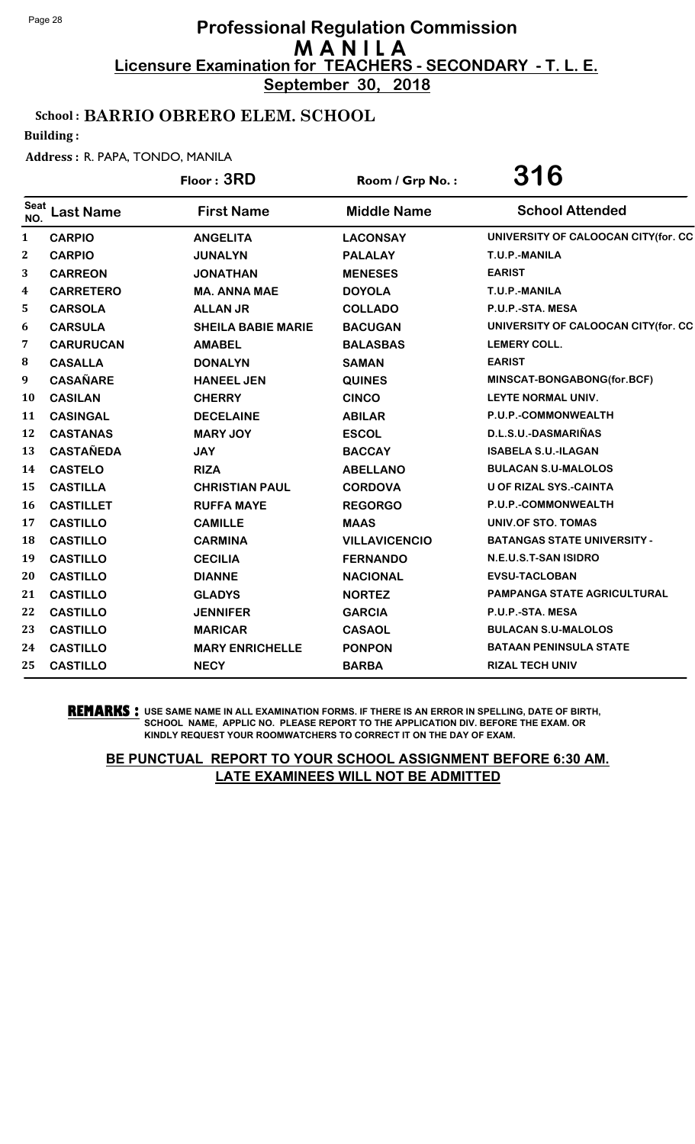**September 30, 2018**

## School : BARRIO OBRERO ELEM. SCHOOL

Building :

#### Address : R. PAPA, TONDO, MANILA

|              |                  | Floor: 3RD                | Room / Grp No.:      | 316                                 |
|--------------|------------------|---------------------------|----------------------|-------------------------------------|
| Seat<br>NO.  | <b>Last Name</b> | <b>First Name</b>         | <b>Middle Name</b>   | <b>School Attended</b>              |
| $\mathbf{1}$ | <b>CARPIO</b>    | <b>ANGELITA</b>           | <b>LACONSAY</b>      | UNIVERSITY OF CALOOCAN CITY(for. CC |
| 2            | <b>CARPIO</b>    | <b>JUNALYN</b>            | <b>PALALAY</b>       | T.U.P.-MANILA                       |
| 3            | <b>CARREON</b>   | <b>JONATHAN</b>           | <b>MENESES</b>       | <b>EARIST</b>                       |
| 4            | <b>CARRETERO</b> | <b>MA. ANNA MAE</b>       | <b>DOYOLA</b>        | T.U.P.-MANILA                       |
| 5            | <b>CARSOLA</b>   | <b>ALLAN JR</b>           | <b>COLLADO</b>       | P.U.P.-STA. MESA                    |
| 6            | <b>CARSULA</b>   | <b>SHEILA BABIE MARIE</b> | <b>BACUGAN</b>       | UNIVERSITY OF CALOOCAN CITY(for. CC |
| 7            | <b>CARURUCAN</b> | <b>AMABEL</b>             | <b>BALASBAS</b>      | <b>LEMERY COLL.</b>                 |
| 8            | <b>CASALLA</b>   | <b>DONALYN</b>            | <b>SAMAN</b>         | <b>EARIST</b>                       |
| 9            | <b>CASAÑARE</b>  | <b>HANEEL JEN</b>         | <b>QUINES</b>        | MINSCAT-BONGABONG(for.BCF)          |
| <b>10</b>    | <b>CASILAN</b>   | <b>CHERRY</b>             | <b>CINCO</b>         | LEYTE NORMAL UNIV.                  |
| 11           | <b>CASINGAL</b>  | <b>DECELAINE</b>          | <b>ABILAR</b>        | P.U.P.-COMMONWEALTH                 |
| 12           | <b>CASTANAS</b>  | <b>MARY JOY</b>           | <b>ESCOL</b>         | D.L.S.U.-DASMARIÑAS                 |
| 13           | <b>CASTAÑEDA</b> | <b>JAY</b>                | <b>BACCAY</b>        | <b>ISABELA S.U.-ILAGAN</b>          |
| 14           | <b>CASTELO</b>   | <b>RIZA</b>               | <b>ABELLANO</b>      | <b>BULACAN S.U-MALOLOS</b>          |
| 15           | <b>CASTILLA</b>  | <b>CHRISTIAN PAUL</b>     | <b>CORDOVA</b>       | <b>U OF RIZAL SYS.-CAINTA</b>       |
| 16           | <b>CASTILLET</b> | <b>RUFFA MAYE</b>         | <b>REGORGO</b>       | P.U.P.-COMMONWEALTH                 |
| 17           | <b>CASTILLO</b>  | <b>CAMILLE</b>            | <b>MAAS</b>          | UNIV.OF STO. TOMAS                  |
| 18           | <b>CASTILLO</b>  | <b>CARMINA</b>            | <b>VILLAVICENCIO</b> | <b>BATANGAS STATE UNIVERSITY -</b>  |
| 19           | <b>CASTILLO</b>  | <b>CECILIA</b>            | <b>FERNANDO</b>      | N.E.U.S.T-SAN ISIDRO                |
| 20           | <b>CASTILLO</b>  | <b>DIANNE</b>             | <b>NACIONAL</b>      | <b>EVSU-TACLOBAN</b>                |
| 21           | <b>CASTILLO</b>  | <b>GLADYS</b>             | <b>NORTEZ</b>        | <b>PAMPANGA STATE AGRICULTURAL</b>  |
| 22           | <b>CASTILLO</b>  | <b>JENNIFER</b>           | <b>GARCIA</b>        | P.U.P.-STA. MESA                    |
| 23           | <b>CASTILLO</b>  | <b>MARICAR</b>            | <b>CASAOL</b>        | <b>BULACAN S.U-MALOLOS</b>          |
| 24           | <b>CASTILLO</b>  | <b>MARY ENRICHELLE</b>    | <b>PONPON</b>        | <b>BATAAN PENINSULA STATE</b>       |
| 25           | <b>CASTILLO</b>  | <b>NECY</b>               | <b>BARBA</b>         | <b>RIZAL TECH UNIV</b>              |

**REMARKS :** USE SAME NAME IN ALL EXAMINATION FORMS. IF THERE IS AN ERROR IN SPELLING, DATE OF BIRTH, SCHOOL NAME, APPLIC NO. PLEASE REPORT TO THE APPLICATION DIV. BEFORE THE EXAM. OR KINDLY REQUEST YOUR ROOMWATCHERS TO CORRECT IT ON THE DAY OF EXAM.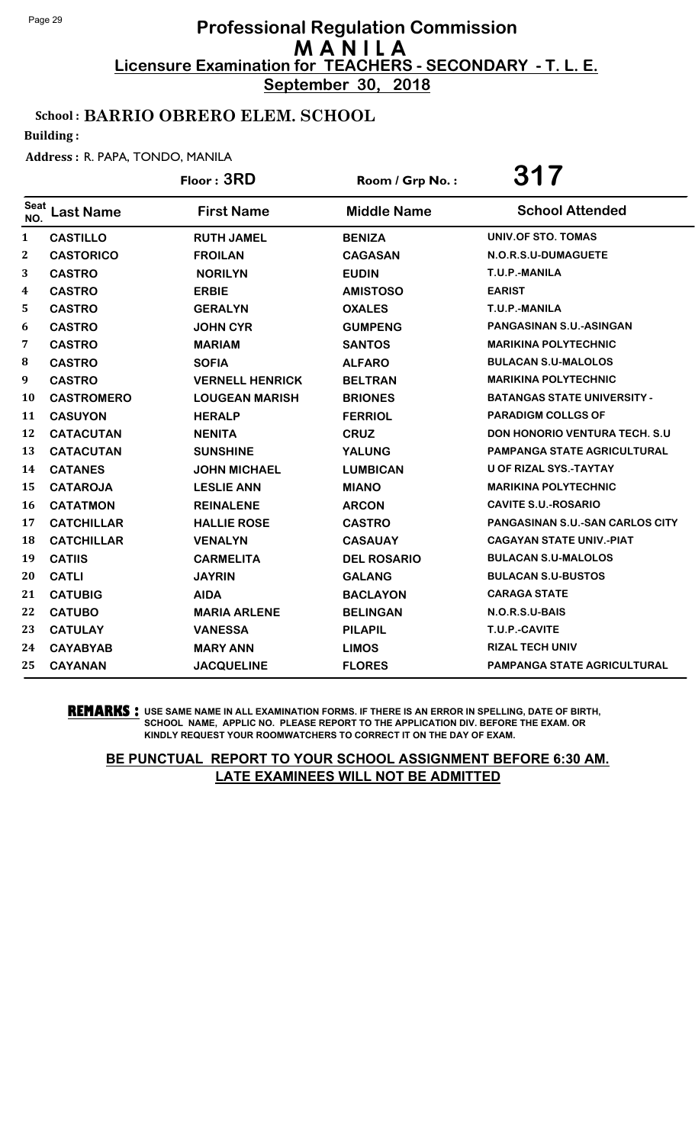**September 30, 2018**

## School : BARRIO OBRERO ELEM. SCHOOL

Building :

#### Address : R. PAPA, TONDO, MANILA

|                  |                   | Floor: 3RD             | Room / Grp No.:    | 317                                    |
|------------------|-------------------|------------------------|--------------------|----------------------------------------|
| Seat<br>NO.      | <b>Last Name</b>  | <b>First Name</b>      | <b>Middle Name</b> | <b>School Attended</b>                 |
| $\mathbf{1}$     | <b>CASTILLO</b>   | <b>RUTH JAMEL</b>      | <b>BENIZA</b>      | <b>UNIV.OF STO. TOMAS</b>              |
| $\mathbf{2}$     | <b>CASTORICO</b>  | <b>FROILAN</b>         | <b>CAGASAN</b>     | N.O.R.S.U-DUMAGUETE                    |
| 3                | <b>CASTRO</b>     | <b>NORILYN</b>         | <b>EUDIN</b>       | T.U.P.-MANILA                          |
| $\boldsymbol{4}$ | <b>CASTRO</b>     | <b>ERBIE</b>           | <b>AMISTOSO</b>    | <b>EARIST</b>                          |
| 5                | <b>CASTRO</b>     | <b>GERALYN</b>         | <b>OXALES</b>      | T.U.P.-MANILA                          |
| 6                | <b>CASTRO</b>     | <b>JOHN CYR</b>        | <b>GUMPENG</b>     | <b>PANGASINAN S.U.-ASINGAN</b>         |
| 7                | <b>CASTRO</b>     | <b>MARIAM</b>          | <b>SANTOS</b>      | <b>MARIKINA POLYTECHNIC</b>            |
| 8                | <b>CASTRO</b>     | <b>SOFIA</b>           | <b>ALFARO</b>      | <b>BULACAN S.U-MALOLOS</b>             |
| 9                | <b>CASTRO</b>     | <b>VERNELL HENRICK</b> | <b>BELTRAN</b>     | <b>MARIKINA POLYTECHNIC</b>            |
| <b>10</b>        | <b>CASTROMERO</b> | <b>LOUGEAN MARISH</b>  | <b>BRIONES</b>     | <b>BATANGAS STATE UNIVERSITY -</b>     |
| 11               | <b>CASUYON</b>    | <b>HERALP</b>          | <b>FERRIOL</b>     | <b>PARADIGM COLLGS OF</b>              |
| 12               | <b>CATACUTAN</b>  | <b>NENITA</b>          | <b>CRUZ</b>        | <b>DON HONORIO VENTURA TECH. S.U.</b>  |
| 13               | <b>CATACUTAN</b>  | <b>SUNSHINE</b>        | <b>YALUNG</b>      | <b>PAMPANGA STATE AGRICULTURAL</b>     |
| 14               | <b>CATANES</b>    | <b>JOHN MICHAEL</b>    | <b>LUMBICAN</b>    | <b>U OF RIZAL SYS.-TAYTAY</b>          |
| 15               | <b>CATAROJA</b>   | <b>LESLIE ANN</b>      | <b>MIANO</b>       | <b>MARIKINA POLYTECHNIC</b>            |
| <b>16</b>        | <b>CATATMON</b>   | <b>REINALENE</b>       | <b>ARCON</b>       | <b>CAVITE S.U.-ROSARIO</b>             |
| 17               | <b>CATCHILLAR</b> | <b>HALLIE ROSE</b>     | <b>CASTRO</b>      | <b>PANGASINAN S.U.-SAN CARLOS CITY</b> |
| 18               | <b>CATCHILLAR</b> | <b>VENALYN</b>         | <b>CASAUAY</b>     | <b>CAGAYAN STATE UNIV.-PIAT</b>        |
| 19               | <b>CATIIS</b>     | <b>CARMELITA</b>       | <b>DEL ROSARIO</b> | <b>BULACAN S.U-MALOLOS</b>             |
| 20               | <b>CATLI</b>      | <b>JAYRIN</b>          | <b>GALANG</b>      | <b>BULACAN S.U-BUSTOS</b>              |
| 21               | <b>CATUBIG</b>    | <b>AIDA</b>            | <b>BACLAYON</b>    | <b>CARAGA STATE</b>                    |
| 22               | <b>CATUBO</b>     | <b>MARIA ARLENE</b>    | <b>BELINGAN</b>    | N.O.R.S.U-BAIS                         |
| 23               | <b>CATULAY</b>    | <b>VANESSA</b>         | <b>PILAPIL</b>     | T.U.P.-CAVITE                          |
| 24               | <b>CAYABYAB</b>   | <b>MARY ANN</b>        | <b>LIMOS</b>       | <b>RIZAL TECH UNIV</b>                 |
| 25               | <b>CAYANAN</b>    | <b>JACQUELINE</b>      | <b>FLORES</b>      | <b>PAMPANGA STATE AGRICULTURAL</b>     |

**REMARKS :** USE SAME NAME IN ALL EXAMINATION FORMS. IF THERE IS AN ERROR IN SPELLING, DATE OF BIRTH, SCHOOL NAME, APPLIC NO. PLEASE REPORT TO THE APPLICATION DIV. BEFORE THE EXAM. OR KINDLY REQUEST YOUR ROOMWATCHERS TO CORRECT IT ON THE DAY OF EXAM.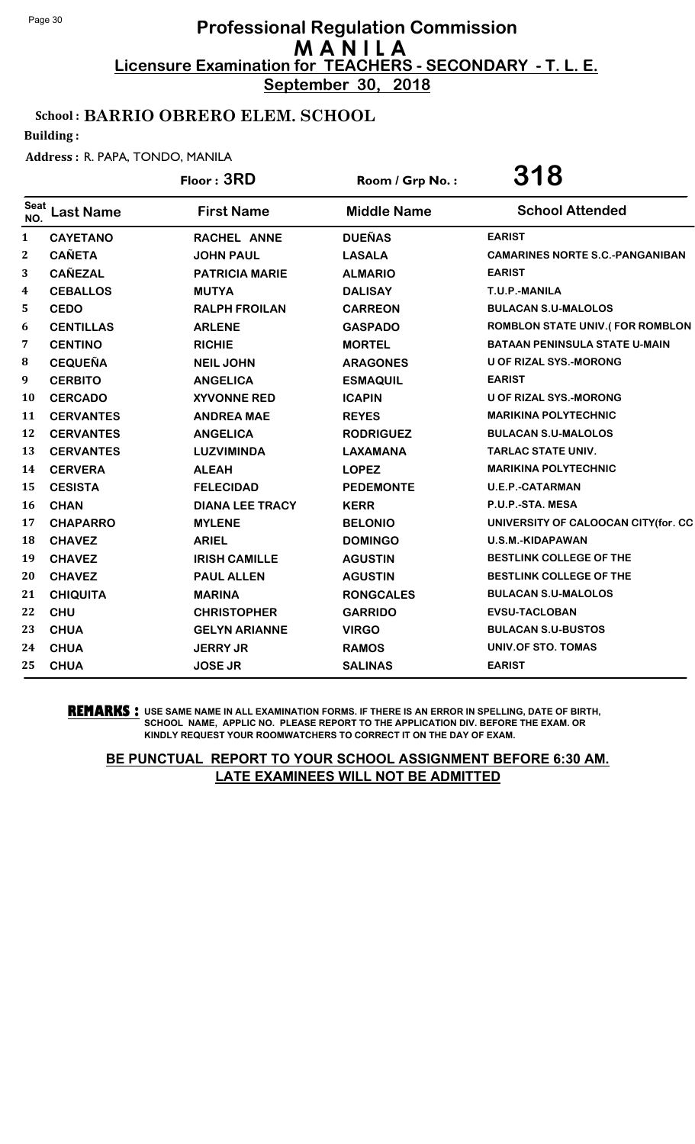**September 30, 2018**

## School : BARRIO OBRERO ELEM. SCHOOL

Building :

#### Address : R. PAPA, TONDO, MANILA

|                    |                  | Floor: 3RD             | Room / Grp No.:    | 318                                    |
|--------------------|------------------|------------------------|--------------------|----------------------------------------|
| <b>Seat</b><br>NO. | <b>Last Name</b> | <b>First Name</b>      | <b>Middle Name</b> | <b>School Attended</b>                 |
| $\mathbf{1}$       | <b>CAYETANO</b>  | RACHEL ANNE            | <b>DUEÑAS</b>      | <b>EARIST</b>                          |
| 2                  | <b>CAÑETA</b>    | <b>JOHN PAUL</b>       | <b>LASALA</b>      | <b>CAMARINES NORTE S.C.-PANGANIBAN</b> |
| 3                  | <b>CAÑEZAL</b>   | <b>PATRICIA MARIE</b>  | <b>ALMARIO</b>     | <b>EARIST</b>                          |
| 4                  | <b>CEBALLOS</b>  | <b>MUTYA</b>           | <b>DALISAY</b>     | T.U.P.-MANILA                          |
| 5                  | <b>CEDO</b>      | <b>RALPH FROILAN</b>   | <b>CARREON</b>     | <b>BULACAN S.U-MALOLOS</b>             |
| 6                  | <b>CENTILLAS</b> | <b>ARLENE</b>          | <b>GASPADO</b>     | ROMBLON STATE UNIV.(FOR ROMBLON        |
| 7                  | <b>CENTINO</b>   | <b>RICHIE</b>          | <b>MORTEL</b>      | <b>BATAAN PENINSULA STATE U-MAIN</b>   |
| 8                  | <b>CEQUEÑA</b>   | <b>NEIL JOHN</b>       | <b>ARAGONES</b>    | U OF RIZAL SYS.-MORONG                 |
| 9                  | <b>CERBITO</b>   | <b>ANGELICA</b>        | <b>ESMAQUIL</b>    | <b>EARIST</b>                          |
| 10                 | <b>CERCADO</b>   | <b>XYVONNE RED</b>     | <b>ICAPIN</b>      | <b>U OF RIZAL SYS.-MORONG</b>          |
| 11                 | <b>CERVANTES</b> | <b>ANDREA MAE</b>      | <b>REYES</b>       | <b>MARIKINA POLYTECHNIC</b>            |
| 12                 | <b>CERVANTES</b> | <b>ANGELICA</b>        | <b>RODRIGUEZ</b>   | <b>BULACAN S.U-MALOLOS</b>             |
| 13                 | <b>CERVANTES</b> | <b>LUZVIMINDA</b>      | <b>LAXAMANA</b>    | <b>TARLAC STATE UNIV.</b>              |
| 14                 | <b>CERVERA</b>   | <b>ALEAH</b>           | <b>LOPEZ</b>       | <b>MARIKINA POLYTECHNIC</b>            |
| 15                 | <b>CESISTA</b>   | <b>FELECIDAD</b>       | <b>PEDEMONTE</b>   | <b>U.E.P.-CATARMAN</b>                 |
| 16                 | <b>CHAN</b>      | <b>DIANA LEE TRACY</b> | <b>KERR</b>        | P.U.P.-STA. MESA                       |
| 17                 | <b>CHAPARRO</b>  | <b>MYLENE</b>          | <b>BELONIO</b>     | UNIVERSITY OF CALOOCAN CITY(for. CC    |
| 18                 | <b>CHAVEZ</b>    | <b>ARIEL</b>           | <b>DOMINGO</b>     | U.S.M.-KIDAPAWAN                       |
| 19                 | <b>CHAVEZ</b>    | <b>IRISH CAMILLE</b>   | <b>AGUSTIN</b>     | BESTLINK COLLEGE OF THE                |
| 20                 | <b>CHAVEZ</b>    | <b>PAUL ALLEN</b>      | <b>AGUSTIN</b>     | BESTLINK COLLEGE OF THE                |
| 21                 | <b>CHIQUITA</b>  | <b>MARINA</b>          | <b>RONGCALES</b>   | <b>BULACAN S.U-MALOLOS</b>             |
| 22                 | <b>CHU</b>       | <b>CHRISTOPHER</b>     | <b>GARRIDO</b>     | <b>EVSU-TACLOBAN</b>                   |
| 23                 | <b>CHUA</b>      | <b>GELYN ARIANNE</b>   | <b>VIRGO</b>       | <b>BULACAN S.U-BUSTOS</b>              |
| 24                 | <b>CHUA</b>      | <b>JERRY JR</b>        | <b>RAMOS</b>       | UNIV.OF STO. TOMAS                     |
| 25                 | <b>CHUA</b>      | <b>JOSE JR</b>         | <b>SALINAS</b>     | <b>EARIST</b>                          |

**REMARKS :** USE SAME NAME IN ALL EXAMINATION FORMS. IF THERE IS AN ERROR IN SPELLING, DATE OF BIRTH, SCHOOL NAME, APPLIC NO. PLEASE REPORT TO THE APPLICATION DIV. BEFORE THE EXAM. OR KINDLY REQUEST YOUR ROOMWATCHERS TO CORRECT IT ON THE DAY OF EXAM.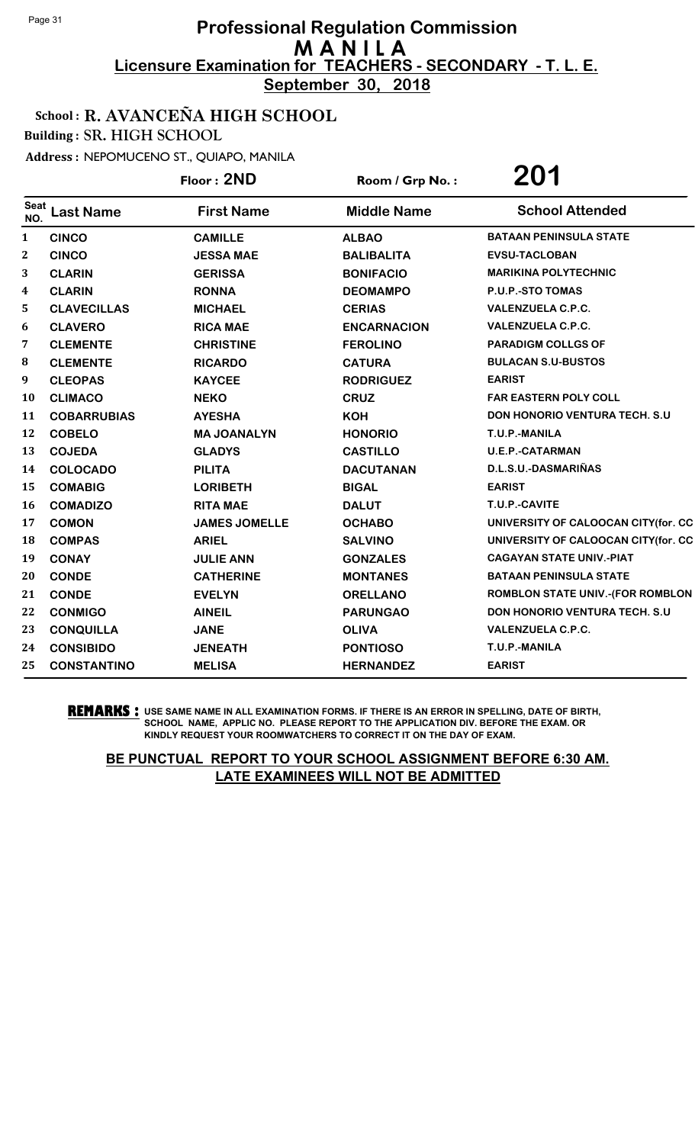**September 30, 2018**

### School : R. AVANCEÑA HIGH SCHOOL

Building : SR. HIGH SCHOOL

Address : NEPOMUCENO ST., QUIAPO, MANILA

|                  |                    | Floor: 2ND           | Room / Grp No.:    | 201                                     |
|------------------|--------------------|----------------------|--------------------|-----------------------------------------|
| Seat<br>NO.      | <b>Last Name</b>   | <b>First Name</b>    | <b>Middle Name</b> | <b>School Attended</b>                  |
| 1                | <b>CINCO</b>       | <b>CAMILLE</b>       | <b>ALBAO</b>       | <b>BATAAN PENINSULA STATE</b>           |
| $\boldsymbol{2}$ | <b>CINCO</b>       | <b>JESSA MAE</b>     | <b>BALIBALITA</b>  | <b>EVSU-TACLOBAN</b>                    |
| 3                | <b>CLARIN</b>      | <b>GERISSA</b>       | <b>BONIFACIO</b>   | <b>MARIKINA POLYTECHNIC</b>             |
| 4                | <b>CLARIN</b>      | <b>RONNA</b>         | <b>DEOMAMPO</b>    | P.U.P.-STO TOMAS                        |
| 5                | <b>CLAVECILLAS</b> | <b>MICHAEL</b>       | <b>CERIAS</b>      | <b>VALENZUELA C.P.C.</b>                |
| 6                | <b>CLAVERO</b>     | <b>RICA MAE</b>      | <b>ENCARNACION</b> | <b>VALENZUELA C.P.C.</b>                |
| 7                | <b>CLEMENTE</b>    | <b>CHRISTINE</b>     | <b>FEROLINO</b>    | <b>PARADIGM COLLGS OF</b>               |
| 8                | <b>CLEMENTE</b>    | <b>RICARDO</b>       | <b>CATURA</b>      | <b>BULACAN S.U-BUSTOS</b>               |
| 9                | <b>CLEOPAS</b>     | <b>KAYCEE</b>        | <b>RODRIGUEZ</b>   | <b>EARIST</b>                           |
| 10               | <b>CLIMACO</b>     | <b>NEKO</b>          | <b>CRUZ</b>        | <b>FAR EASTERN POLY COLL</b>            |
| 11               | <b>COBARRUBIAS</b> | <b>AYESHA</b>        | <b>KOH</b>         | <b>DON HONORIO VENTURA TECH. S.U.</b>   |
| 12               | <b>COBELO</b>      | <b>MA JOANALYN</b>   | <b>HONORIO</b>     | T.U.P.-MANILA                           |
| 13               | <b>COJEDA</b>      | <b>GLADYS</b>        | <b>CASTILLO</b>    | <b>U.E.P.-CATARMAN</b>                  |
| 14               | <b>COLOCADO</b>    | <b>PILITA</b>        | <b>DACUTANAN</b>   | D.L.S.U.-DASMARIÑAS                     |
| 15               | <b>COMABIG</b>     | <b>LORIBETH</b>      | <b>BIGAL</b>       | <b>EARIST</b>                           |
| 16               | <b>COMADIZO</b>    | <b>RITA MAE</b>      | <b>DALUT</b>       | T.U.P.-CAVITE                           |
| 17               | <b>COMON</b>       | <b>JAMES JOMELLE</b> | <b>OCHABO</b>      | UNIVERSITY OF CALOOCAN CITY(for. CC     |
| 18               | <b>COMPAS</b>      | <b>ARIEL</b>         | <b>SALVINO</b>     | UNIVERSITY OF CALOOCAN CITY(for. CC     |
| 19               | <b>CONAY</b>       | <b>JULIE ANN</b>     | <b>GONZALES</b>    | <b>CAGAYAN STATE UNIV.-PIAT</b>         |
| 20               | <b>CONDE</b>       | <b>CATHERINE</b>     | <b>MONTANES</b>    | <b>BATAAN PENINSULA STATE</b>           |
| 21               | <b>CONDE</b>       | <b>EVELYN</b>        | <b>ORELLANO</b>    | <b>ROMBLON STATE UNIV.-(FOR ROMBLON</b> |
| 22               | <b>CONMIGO</b>     | <b>AINEIL</b>        | <b>PARUNGAO</b>    | <b>DON HONORIO VENTURA TECH. S.U.</b>   |
| 23               | <b>CONQUILLA</b>   | <b>JANE</b>          | <b>OLIVA</b>       | <b>VALENZUELA C.P.C.</b>                |
| 24               | <b>CONSIBIDO</b>   | <b>JENEATH</b>       | <b>PONTIOSO</b>    | T.U.P.-MANILA                           |
| 25               | <b>CONSTANTINO</b> | <b>MELISA</b>        | <b>HERNANDEZ</b>   | <b>EARIST</b>                           |

**REMARKS :** USE SAME NAME IN ALL EXAMINATION FORMS. IF THERE IS AN ERROR IN SPELLING, DATE OF BIRTH, SCHOOL NAME, APPLIC NO. PLEASE REPORT TO THE APPLICATION DIV. BEFORE THE EXAM. OR KINDLY REQUEST YOUR ROOMWATCHERS TO CORRECT IT ON THE DAY OF EXAM.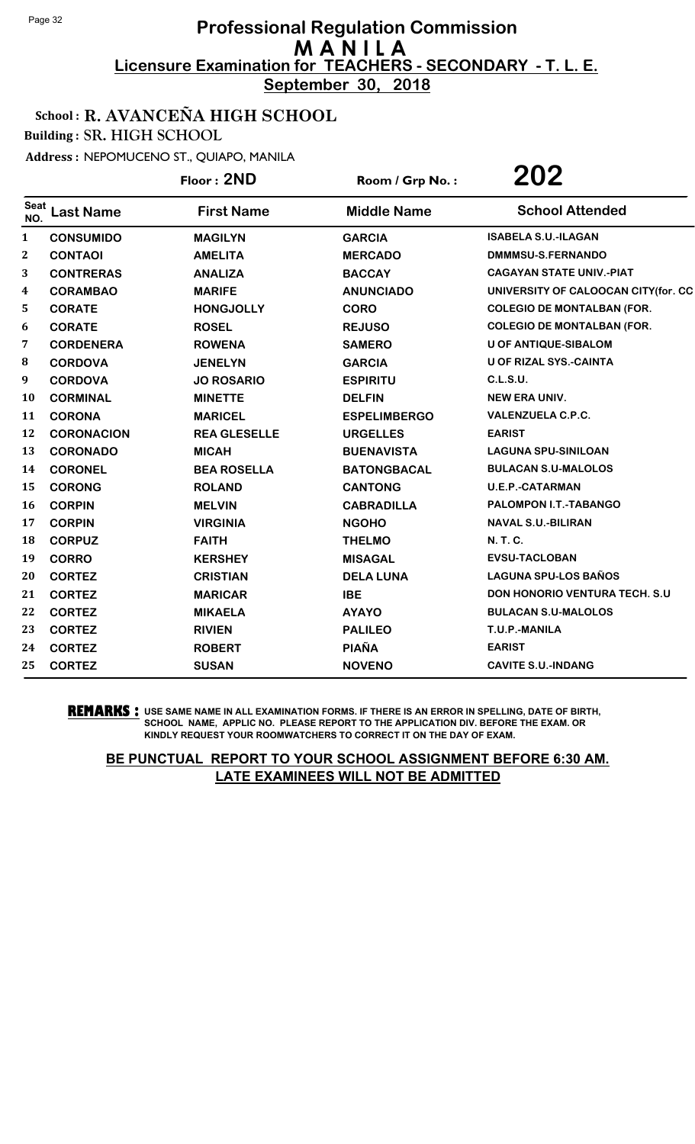**September 30, 2018**

## School : R. AVANCEÑA HIGH SCHOOL

Building : SR. HIGH SCHOOL

Address : NEPOMUCENO ST., QUIAPO, MANILA

|              |                   | Floor: 2ND          | Room / Grp No.:     | 202                                  |
|--------------|-------------------|---------------------|---------------------|--------------------------------------|
| Seat<br>NO.  | <b>Last Name</b>  | <b>First Name</b>   | <b>Middle Name</b>  | <b>School Attended</b>               |
| $\mathbf{1}$ | <b>CONSUMIDO</b>  | <b>MAGILYN</b>      | <b>GARCIA</b>       | <b>ISABELA S.U.-ILAGAN</b>           |
| 2            | <b>CONTAOI</b>    | <b>AMELITA</b>      | <b>MERCADO</b>      | DMMMSU-S.FERNANDO                    |
| 3            | <b>CONTRERAS</b>  | <b>ANALIZA</b>      | <b>BACCAY</b>       | <b>CAGAYAN STATE UNIV.-PIAT</b>      |
| 4            | <b>CORAMBAO</b>   | <b>MARIFE</b>       | <b>ANUNCIADO</b>    | UNIVERSITY OF CALOOCAN CITY(for. CC  |
| 5            | <b>CORATE</b>     | <b>HONGJOLLY</b>    | <b>CORO</b>         | <b>COLEGIO DE MONTALBAN (FOR.</b>    |
| 6            | <b>CORATE</b>     | <b>ROSEL</b>        | <b>REJUSO</b>       | <b>COLEGIO DE MONTALBAN (FOR.</b>    |
| 7            | <b>CORDENERA</b>  | <b>ROWENA</b>       | <b>SAMERO</b>       | <b>U OF ANTIQUE-SIBALOM</b>          |
| 8            | <b>CORDOVA</b>    | <b>JENELYN</b>      | <b>GARCIA</b>       | <b>U OF RIZAL SYS.-CAINTA</b>        |
| 9            | <b>CORDOVA</b>    | <b>JO ROSARIO</b>   | <b>ESPIRITU</b>     | <b>C.L.S.U.</b>                      |
| 10           | <b>CORMINAL</b>   | <b>MINETTE</b>      | <b>DELFIN</b>       | <b>NEW ERA UNIV.</b>                 |
| 11           | <b>CORONA</b>     | <b>MARICEL</b>      | <b>ESPELIMBERGO</b> | <b>VALENZUELA C.P.C.</b>             |
| 12           | <b>CORONACION</b> | <b>REA GLESELLE</b> | <b>URGELLES</b>     | <b>EARIST</b>                        |
| 13           | <b>CORONADO</b>   | <b>MICAH</b>        | <b>BUENAVISTA</b>   | <b>LAGUNA SPU-SINILOAN</b>           |
| 14           | <b>CORONEL</b>    | <b>BEA ROSELLA</b>  | <b>BATONGBACAL</b>  | <b>BULACAN S.U-MALOLOS</b>           |
| 15           | <b>CORONG</b>     | <b>ROLAND</b>       | <b>CANTONG</b>      | <b>U.E.P.-CATARMAN</b>               |
| 16           | <b>CORPIN</b>     | <b>MELVIN</b>       | <b>CABRADILLA</b>   | PALOMPON I.T.-TABANGO                |
| 17           | <b>CORPIN</b>     | <b>VIRGINIA</b>     | <b>NGOHO</b>        | <b>NAVAL S.U.-BILIRAN</b>            |
| 18           | <b>CORPUZ</b>     | <b>FAITH</b>        | <b>THELMO</b>       | N. T. C.                             |
| 19           | <b>CORRO</b>      | <b>KERSHEY</b>      | <b>MISAGAL</b>      | <b>EVSU-TACLOBAN</b>                 |
| 20           | <b>CORTEZ</b>     | <b>CRISTIAN</b>     | <b>DELA LUNA</b>    | <b>LAGUNA SPU-LOS BAÑOS</b>          |
| 21           | <b>CORTEZ</b>     | <b>MARICAR</b>      | <b>IBE</b>          | <b>DON HONORIO VENTURA TECH. S.U</b> |
| 22           | <b>CORTEZ</b>     | <b>MIKAELA</b>      | <b>AYAYO</b>        | <b>BULACAN S.U-MALOLOS</b>           |
| 23           | <b>CORTEZ</b>     | <b>RIVIEN</b>       | <b>PALILEO</b>      | T.U.P.-MANILA                        |
| 24           | <b>CORTEZ</b>     | <b>ROBERT</b>       | <b>PIAÑA</b>        | <b>EARIST</b>                        |
| 25           | <b>CORTEZ</b>     | <b>SUSAN</b>        | <b>NOVENO</b>       | <b>CAVITE S.U.-INDANG</b>            |

**REMARKS :** USE SAME NAME IN ALL EXAMINATION FORMS. IF THERE IS AN ERROR IN SPELLING, DATE OF BIRTH, SCHOOL NAME, APPLIC NO. PLEASE REPORT TO THE APPLICATION DIV. BEFORE THE EXAM. OR KINDLY REQUEST YOUR ROOMWATCHERS TO CORRECT IT ON THE DAY OF EXAM.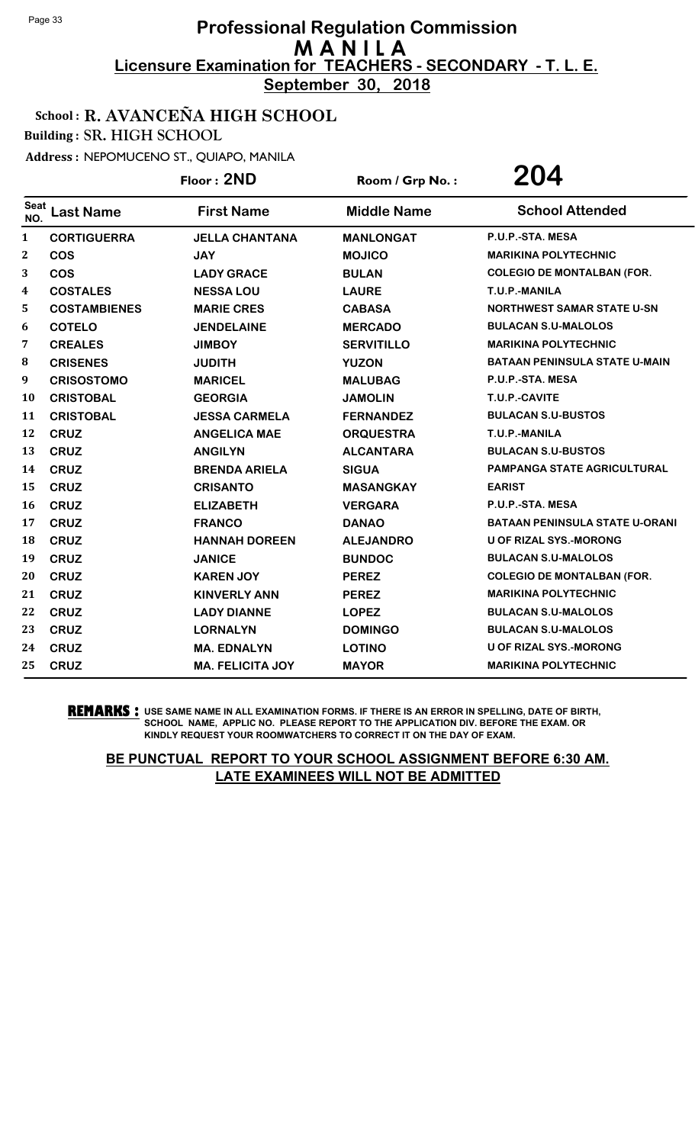**September 30, 2018**

## School : R. AVANCEÑA HIGH SCHOOL

Building : SR. HIGH SCHOOL

Address : NEPOMUCENO ST., QUIAPO, MANILA

|             |                     | Floor: 2ND              | Room / Grp No.:    | 204                                   |
|-------------|---------------------|-------------------------|--------------------|---------------------------------------|
| Seat<br>NO. | <b>Last Name</b>    | <b>First Name</b>       | <b>Middle Name</b> | <b>School Attended</b>                |
| 1           | <b>CORTIGUERRA</b>  | <b>JELLA CHANTANA</b>   | <b>MANLONGAT</b>   | P.U.P.-STA. MESA                      |
| 2           | <b>COS</b>          | <b>JAY</b>              | <b>MOJICO</b>      | <b>MARIKINA POLYTECHNIC</b>           |
| 3           | <b>COS</b>          | <b>LADY GRACE</b>       | <b>BULAN</b>       | <b>COLEGIO DE MONTALBAN (FOR.</b>     |
| 4           | <b>COSTALES</b>     | <b>NESSA LOU</b>        | <b>LAURE</b>       | T.U.P.-MANILA                         |
| 5           | <b>COSTAMBIENES</b> | <b>MARIE CRES</b>       | <b>CABASA</b>      | <b>NORTHWEST SAMAR STATE U-SN</b>     |
| 6           | <b>COTELO</b>       | <b>JENDELAINE</b>       | <b>MERCADO</b>     | <b>BULACAN S.U-MALOLOS</b>            |
| 7           | <b>CREALES</b>      | <b>JIMBOY</b>           | <b>SERVITILLO</b>  | <b>MARIKINA POLYTECHNIC</b>           |
| 8           | <b>CRISENES</b>     | <b>JUDITH</b>           | <b>YUZON</b>       | <b>BATAAN PENINSULA STATE U-MAIN</b>  |
| 9           | <b>CRISOSTOMO</b>   | <b>MARICEL</b>          | <b>MALUBAG</b>     | P.U.P.-STA. MESA                      |
| 10          | <b>CRISTOBAL</b>    | <b>GEORGIA</b>          | <b>JAMOLIN</b>     | T.U.P.-CAVITE                         |
| 11          | <b>CRISTOBAL</b>    | <b>JESSA CARMELA</b>    | <b>FERNANDEZ</b>   | <b>BULACAN S.U-BUSTOS</b>             |
| 12          | <b>CRUZ</b>         | <b>ANGELICA MAE</b>     | <b>ORQUESTRA</b>   | T.U.P.-MANILA                         |
| 13          | <b>CRUZ</b>         | <b>ANGILYN</b>          | <b>ALCANTARA</b>   | <b>BULACAN S.U-BUSTOS</b>             |
| 14          | <b>CRUZ</b>         | <b>BRENDA ARIELA</b>    | <b>SIGUA</b>       | <b>PAMPANGA STATE AGRICULTURAL</b>    |
| 15          | <b>CRUZ</b>         | <b>CRISANTO</b>         | <b>MASANGKAY</b>   | <b>EARIST</b>                         |
| 16          | <b>CRUZ</b>         | <b>ELIZABETH</b>        | <b>VERGARA</b>     | P.U.P.-STA. MESA                      |
| 17          | <b>CRUZ</b>         | <b>FRANCO</b>           | <b>DANAO</b>       | <b>BATAAN PENINSULA STATE U-ORANI</b> |
| 18          | <b>CRUZ</b>         | <b>HANNAH DOREEN</b>    | <b>ALEJANDRO</b>   | <b>U OF RIZAL SYS.-MORONG</b>         |
| 19          | <b>CRUZ</b>         | <b>JANICE</b>           | <b>BUNDOC</b>      | <b>BULACAN S.U-MALOLOS</b>            |
| 20          | <b>CRUZ</b>         | <b>KAREN JOY</b>        | <b>PEREZ</b>       | <b>COLEGIO DE MONTALBAN (FOR.</b>     |
| 21          | <b>CRUZ</b>         | <b>KINVERLY ANN</b>     | <b>PEREZ</b>       | <b>MARIKINA POLYTECHNIC</b>           |
| 22          | <b>CRUZ</b>         | <b>LADY DIANNE</b>      | <b>LOPEZ</b>       | <b>BULACAN S.U-MALOLOS</b>            |
| 23          | <b>CRUZ</b>         | <b>LORNALYN</b>         | <b>DOMINGO</b>     | <b>BULACAN S.U-MALOLOS</b>            |
| 24          | <b>CRUZ</b>         | <b>MA. EDNALYN</b>      | <b>LOTINO</b>      | <b>U OF RIZAL SYS.-MORONG</b>         |
| 25          | <b>CRUZ</b>         | <b>MA. FELICITA JOY</b> | <b>MAYOR</b>       | <b>MARIKINA POLYTECHNIC</b>           |

**REMARKS :** USE SAME NAME IN ALL EXAMINATION FORMS. IF THERE IS AN ERROR IN SPELLING, DATE OF BIRTH, SCHOOL NAME, APPLIC NO. PLEASE REPORT TO THE APPLICATION DIV. BEFORE THE EXAM. OR KINDLY REQUEST YOUR ROOMWATCHERS TO CORRECT IT ON THE DAY OF EXAM.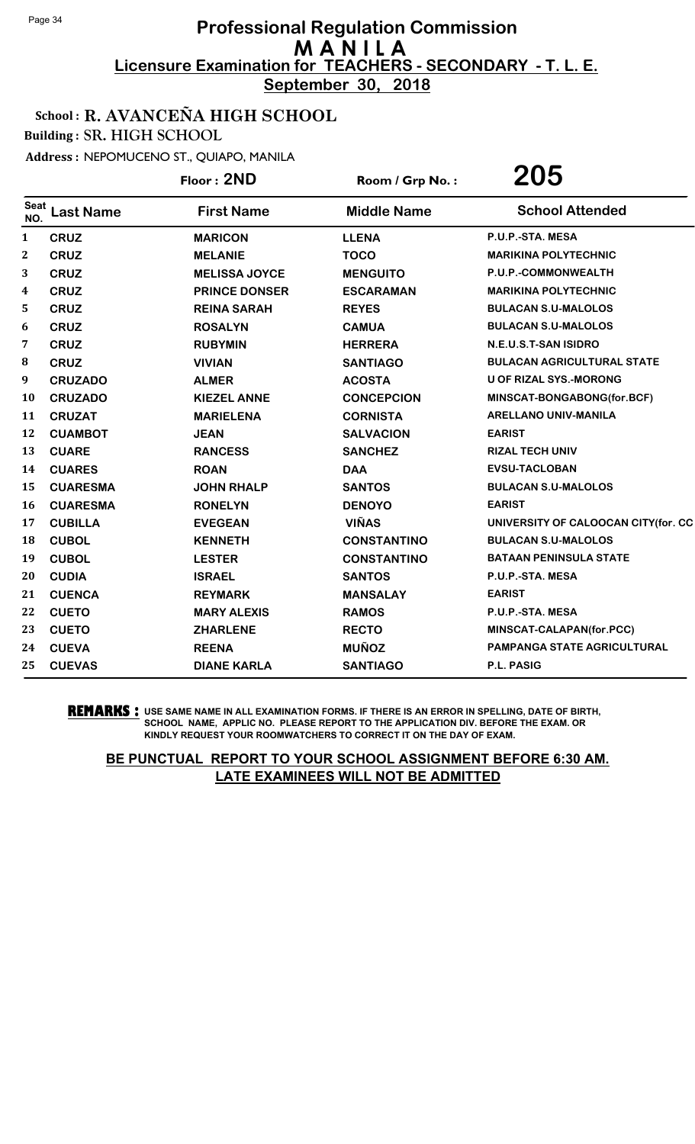**September 30, 2018**

### School : R. AVANCEÑA HIGH SCHOOL

Building : SR. HIGH SCHOOL

Address : NEPOMUCENO ST., QUIAPO, MANILA

|                    |                  | Floor: 2ND           | Room / Grp No.:    | 205                                 |
|--------------------|------------------|----------------------|--------------------|-------------------------------------|
| <b>Seat</b><br>NO. | <b>Last Name</b> | <b>First Name</b>    | <b>Middle Name</b> | <b>School Attended</b>              |
| $\mathbf{1}$       | <b>CRUZ</b>      | <b>MARICON</b>       | <b>LLENA</b>       | P.U.P.-STA. MESA                    |
| $\mathbf{2}$       | <b>CRUZ</b>      | <b>MELANIE</b>       | <b>TOCO</b>        | <b>MARIKINA POLYTECHNIC</b>         |
| 3                  | <b>CRUZ</b>      | <b>MELISSA JOYCE</b> | <b>MENGUITO</b>    | P.U.P.-COMMONWEALTH                 |
| 4                  | <b>CRUZ</b>      | <b>PRINCE DONSER</b> | <b>ESCARAMAN</b>   | <b>MARIKINA POLYTECHNIC</b>         |
| 5                  | <b>CRUZ</b>      | <b>REINA SARAH</b>   | <b>REYES</b>       | <b>BULACAN S.U-MALOLOS</b>          |
| 6                  | <b>CRUZ</b>      | <b>ROSALYN</b>       | <b>CAMUA</b>       | <b>BULACAN S.U-MALOLOS</b>          |
| 7                  | <b>CRUZ</b>      | <b>RUBYMIN</b>       | <b>HERRERA</b>     | N.E.U.S.T-SAN ISIDRO                |
| 8                  | <b>CRUZ</b>      | <b>VIVIAN</b>        | <b>SANTIAGO</b>    | <b>BULACAN AGRICULTURAL STATE</b>   |
| 9                  | <b>CRUZADO</b>   | <b>ALMER</b>         | <b>ACOSTA</b>      | <b>U OF RIZAL SYS.-MORONG</b>       |
| 10                 | <b>CRUZADO</b>   | <b>KIEZEL ANNE</b>   | <b>CONCEPCION</b>  | MINSCAT-BONGABONG(for.BCF)          |
| 11                 | <b>CRUZAT</b>    | <b>MARIELENA</b>     | <b>CORNISTA</b>    | <b>ARELLANO UNIV-MANILA</b>         |
| 12                 | <b>CUAMBOT</b>   | <b>JEAN</b>          | <b>SALVACION</b>   | <b>EARIST</b>                       |
| 13                 | <b>CUARE</b>     | <b>RANCESS</b>       | <b>SANCHEZ</b>     | <b>RIZAL TECH UNIV</b>              |
| 14                 | <b>CUARES</b>    | <b>ROAN</b>          | <b>DAA</b>         | <b>EVSU-TACLOBAN</b>                |
| 15                 | <b>CUARESMA</b>  | <b>JOHN RHALP</b>    | <b>SANTOS</b>      | <b>BULACAN S.U-MALOLOS</b>          |
| 16                 | <b>CUARESMA</b>  | <b>RONELYN</b>       | <b>DENOYO</b>      | <b>EARIST</b>                       |
| 17                 | <b>CUBILLA</b>   | <b>EVEGEAN</b>       | <b>VIÑAS</b>       | UNIVERSITY OF CALOOCAN CITY(for. CC |
| 18                 | <b>CUBOL</b>     | <b>KENNETH</b>       | <b>CONSTANTINO</b> | <b>BULACAN S.U-MALOLOS</b>          |
| 19                 | <b>CUBOL</b>     | <b>LESTER</b>        | <b>CONSTANTINO</b> | <b>BATAAN PENINSULA STATE</b>       |
| 20                 | <b>CUDIA</b>     | <b>ISRAEL</b>        | <b>SANTOS</b>      | P.U.P.-STA. MESA                    |
| 21                 | <b>CUENCA</b>    | <b>REYMARK</b>       | <b>MANSALAY</b>    | <b>EARIST</b>                       |
| 22                 | <b>CUETO</b>     | <b>MARY ALEXIS</b>   | <b>RAMOS</b>       | P.U.P.-STA. MESA                    |
| 23                 | <b>CUETO</b>     | <b>ZHARLENE</b>      | <b>RECTO</b>       | MINSCAT-CALAPAN(for.PCC)            |
| 24                 | <b>CUEVA</b>     | <b>REENA</b>         | <b>MUÑOZ</b>       | <b>PAMPANGA STATE AGRICULTURAL</b>  |
| 25                 | <b>CUEVAS</b>    | <b>DIANE KARLA</b>   | <b>SANTIAGO</b>    | P.L. PASIG                          |

**REMARKS :** USE SAME NAME IN ALL EXAMINATION FORMS. IF THERE IS AN ERROR IN SPELLING, DATE OF BIRTH, SCHOOL NAME, APPLIC NO. PLEASE REPORT TO THE APPLICATION DIV. BEFORE THE EXAM. OR KINDLY REQUEST YOUR ROOMWATCHERS TO CORRECT IT ON THE DAY OF EXAM.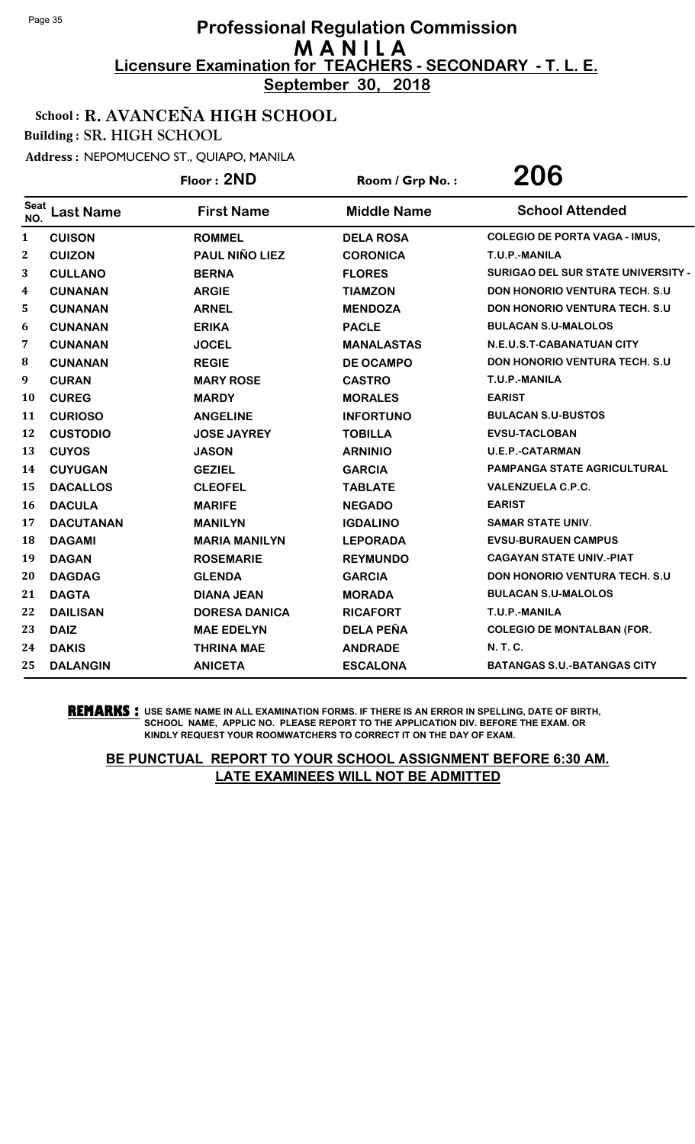**September 30, 2018**

### School : R. AVANCEÑA HIGH SCHOOL

Building : SR. HIGH SCHOOL

Address : NEPOMUCENO ST., QUIAPO, MANILA

|                    |                  | Floor: 2ND            | Room / Grp No.:    | 206                                   |
|--------------------|------------------|-----------------------|--------------------|---------------------------------------|
| <b>Seat</b><br>NO. | <b>Last Name</b> | <b>First Name</b>     | <b>Middle Name</b> | <b>School Attended</b>                |
| $\mathbf{1}$       | <b>CUISON</b>    | <b>ROMMEL</b>         | <b>DELA ROSA</b>   | <b>COLEGIO DE PORTA VAGA - IMUS,</b>  |
| $\bf{2}$           | <b>CUIZON</b>    | <b>PAUL NIÑO LIEZ</b> | <b>CORONICA</b>    | T.U.P.-MANILA                         |
| 3                  | <b>CULLANO</b>   | <b>BERNA</b>          | <b>FLORES</b>      | SURIGAO DEL SUR STATE UNIVERSITY -    |
| 4                  | <b>CUNANAN</b>   | <b>ARGIE</b>          | <b>TIAMZON</b>     | <b>DON HONORIO VENTURA TECH. S.U</b>  |
| 5                  | <b>CUNANAN</b>   | <b>ARNEL</b>          | <b>MENDOZA</b>     | <b>DON HONORIO VENTURA TECH. S.U.</b> |
| 6                  | <b>CUNANAN</b>   | <b>ERIKA</b>          | <b>PACLE</b>       | <b>BULACAN S.U-MALOLOS</b>            |
| 7                  | <b>CUNANAN</b>   | <b>JOCEL</b>          | <b>MANALASTAS</b>  | N.E.U.S.T-CABANATUAN CITY             |
| ${\bf 8}$          | <b>CUNANAN</b>   | <b>REGIE</b>          | <b>DE OCAMPO</b>   | <b>DON HONORIO VENTURA TECH. S.U.</b> |
| 9                  | <b>CURAN</b>     | <b>MARY ROSE</b>      | <b>CASTRO</b>      | T.U.P.-MANILA                         |
| 10                 | <b>CUREG</b>     | <b>MARDY</b>          | <b>MORALES</b>     | <b>EARIST</b>                         |
| 11                 | <b>CURIOSO</b>   | <b>ANGELINE</b>       | <b>INFORTUNO</b>   | <b>BULACAN S.U-BUSTOS</b>             |
| 12                 | <b>CUSTODIO</b>  | <b>JOSE JAYREY</b>    | <b>TOBILLA</b>     | <b>EVSU-TACLOBAN</b>                  |
| 13                 | <b>CUYOS</b>     | <b>JASON</b>          | <b>ARNINIO</b>     | <b>U.E.P.-CATARMAN</b>                |
| 14                 | <b>CUYUGAN</b>   | <b>GEZIEL</b>         | <b>GARCIA</b>      | <b>PAMPANGA STATE AGRICULTURAL</b>    |
| 15                 | <b>DACALLOS</b>  | <b>CLEOFEL</b>        | <b>TABLATE</b>     | <b>VALENZUELA C.P.C.</b>              |
| 16                 | <b>DACULA</b>    | <b>MARIFE</b>         | <b>NEGADO</b>      | <b>EARIST</b>                         |
| 17                 | <b>DACUTANAN</b> | <b>MANILYN</b>        | <b>IGDALINO</b>    | <b>SAMAR STATE UNIV.</b>              |
| 18                 | <b>DAGAMI</b>    | <b>MARIA MANILYN</b>  | <b>LEPORADA</b>    | <b>EVSU-BURAUEN CAMPUS</b>            |
| 19                 | <b>DAGAN</b>     | <b>ROSEMARIE</b>      | <b>REYMUNDO</b>    | <b>CAGAYAN STATE UNIV.-PIAT</b>       |
| 20                 | <b>DAGDAG</b>    | <b>GLENDA</b>         | <b>GARCIA</b>      | <b>DON HONORIO VENTURA TECH. S.U.</b> |
| 21                 | <b>DAGTA</b>     | <b>DIANA JEAN</b>     | <b>MORADA</b>      | <b>BULACAN S.U-MALOLOS</b>            |
| 22                 | <b>DAILISAN</b>  | <b>DORESA DANICA</b>  | <b>RICAFORT</b>    | T.U.P.-MANILA                         |
| 23                 | <b>DAIZ</b>      | <b>MAE EDELYN</b>     | <b>DELA PEÑA</b>   | <b>COLEGIO DE MONTALBAN (FOR.</b>     |
| 24                 | <b>DAKIS</b>     | <b>THRINA MAE</b>     | <b>ANDRADE</b>     | <b>N. T. C.</b>                       |
| 25                 | <b>DALANGIN</b>  | <b>ANICETA</b>        | <b>ESCALONA</b>    | <b>BATANGAS S.U.-BATANGAS CITY</b>    |

**REMARKS :** USE SAME NAME IN ALL EXAMINATION FORMS. IF THERE IS AN ERROR IN SPELLING, DATE OF BIRTH, SCHOOL NAME, APPLIC NO. PLEASE REPORT TO THE APPLICATION DIV. BEFORE THE EXAM. OR KINDLY REQUEST YOUR ROOMWATCHERS TO CORRECT IT ON THE DAY OF EXAM.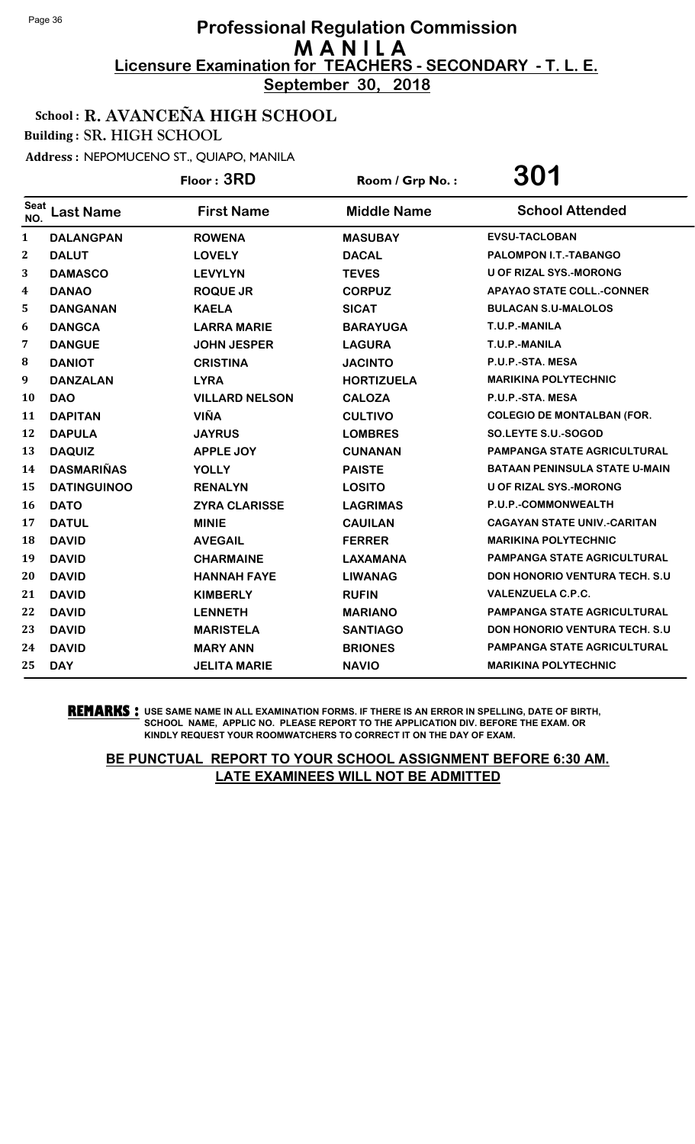**September 30, 2018**

### School : R. AVANCEÑA HIGH SCHOOL

Building : SR. HIGH SCHOOL

Address : NEPOMUCENO ST., QUIAPO, MANILA

|             |                    | Floor: 3RD            | Room / Grp No.:    | 301                                   |
|-------------|--------------------|-----------------------|--------------------|---------------------------------------|
| Seat<br>NO. | <b>Last Name</b>   | <b>First Name</b>     | <b>Middle Name</b> | <b>School Attended</b>                |
| 1           | <b>DALANGPAN</b>   | <b>ROWENA</b>         | <b>MASUBAY</b>     | <b>EVSU-TACLOBAN</b>                  |
| $\bf{2}$    | <b>DALUT</b>       | <b>LOVELY</b>         | <b>DACAL</b>       | <b>PALOMPON I.T.-TABANGO</b>          |
| 3           | <b>DAMASCO</b>     | <b>LEVYLYN</b>        | <b>TEVES</b>       | <b>U OF RIZAL SYS.-MORONG</b>         |
| 4           | <b>DANAO</b>       | <b>ROQUE JR</b>       | <b>CORPUZ</b>      | <b>APAYAO STATE COLL.-CONNER</b>      |
| 5           | <b>DANGANAN</b>    | <b>KAELA</b>          | <b>SICAT</b>       | <b>BULACAN S.U-MALOLOS</b>            |
| 6           | <b>DANGCA</b>      | <b>LARRA MARIE</b>    | <b>BARAYUGA</b>    | T.U.P.-MANILA                         |
| 7           | <b>DANGUE</b>      | <b>JOHN JESPER</b>    | <b>LAGURA</b>      | T.U.P.-MANILA                         |
| 8           | <b>DANIOT</b>      | <b>CRISTINA</b>       | <b>JACINTO</b>     | P.U.P.-STA. MESA                      |
| 9           | <b>DANZALAN</b>    | <b>LYRA</b>           | <b>HORTIZUELA</b>  | <b>MARIKINA POLYTECHNIC</b>           |
| 10          | <b>DAO</b>         | <b>VILLARD NELSON</b> | <b>CALOZA</b>      | P.U.P.-STA. MESA                      |
| 11          | <b>DAPITAN</b>     | <b>VIÑA</b>           | <b>CULTIVO</b>     | <b>COLEGIO DE MONTALBAN (FOR.</b>     |
| 12          | <b>DAPULA</b>      | <b>JAYRUS</b>         | <b>LOMBRES</b>     | SO.LEYTE S.U.-SOGOD                   |
| 13          | <b>DAQUIZ</b>      | <b>APPLE JOY</b>      | <b>CUNANAN</b>     | <b>PAMPANGA STATE AGRICULTURAL</b>    |
| 14          | <b>DASMARIÑAS</b>  | <b>YOLLY</b>          | <b>PAISTE</b>      | <b>BATAAN PENINSULA STATE U-MAIN</b>  |
| 15          | <b>DATINGUINOO</b> | <b>RENALYN</b>        | <b>LOSITO</b>      | <b>U OF RIZAL SYS.-MORONG</b>         |
| 16          | <b>DATO</b>        | <b>ZYRA CLARISSE</b>  | <b>LAGRIMAS</b>    | P.U.P.-COMMONWEALTH                   |
| 17          | <b>DATUL</b>       | <b>MINIE</b>          | <b>CAUILAN</b>     | <b>CAGAYAN STATE UNIV.-CARITAN</b>    |
| 18          | <b>DAVID</b>       | <b>AVEGAIL</b>        | <b>FERRER</b>      | <b>MARIKINA POLYTECHNIC</b>           |
| 19          | <b>DAVID</b>       | <b>CHARMAINE</b>      | <b>LAXAMANA</b>    | <b>PAMPANGA STATE AGRICULTURAL</b>    |
| 20          | <b>DAVID</b>       | <b>HANNAH FAYE</b>    | <b>LIWANAG</b>     | <b>DON HONORIO VENTURA TECH. S.U.</b> |
| 21          | <b>DAVID</b>       | <b>KIMBERLY</b>       | <b>RUFIN</b>       | <b>VALENZUELA C.P.C.</b>              |
| 22          | <b>DAVID</b>       | <b>LENNETH</b>        | <b>MARIANO</b>     | <b>PAMPANGA STATE AGRICULTURAL</b>    |
| 23          | <b>DAVID</b>       | <b>MARISTELA</b>      | <b>SANTIAGO</b>    | <b>DON HONORIO VENTURA TECH. S.U</b>  |
| 24          | <b>DAVID</b>       | <b>MARY ANN</b>       | <b>BRIONES</b>     | PAMPANGA STATE AGRICULTURAL           |
| 25          | <b>DAY</b>         | <b>JELITA MARIE</b>   | <b>NAVIO</b>       | <b>MARIKINA POLYTECHNIC</b>           |

**REMARKS :** USE SAME NAME IN ALL EXAMINATION FORMS. IF THERE IS AN ERROR IN SPELLING, DATE OF BIRTH, SCHOOL NAME, APPLIC NO. PLEASE REPORT TO THE APPLICATION DIV. BEFORE THE EXAM. OR KINDLY REQUEST YOUR ROOMWATCHERS TO CORRECT IT ON THE DAY OF EXAM.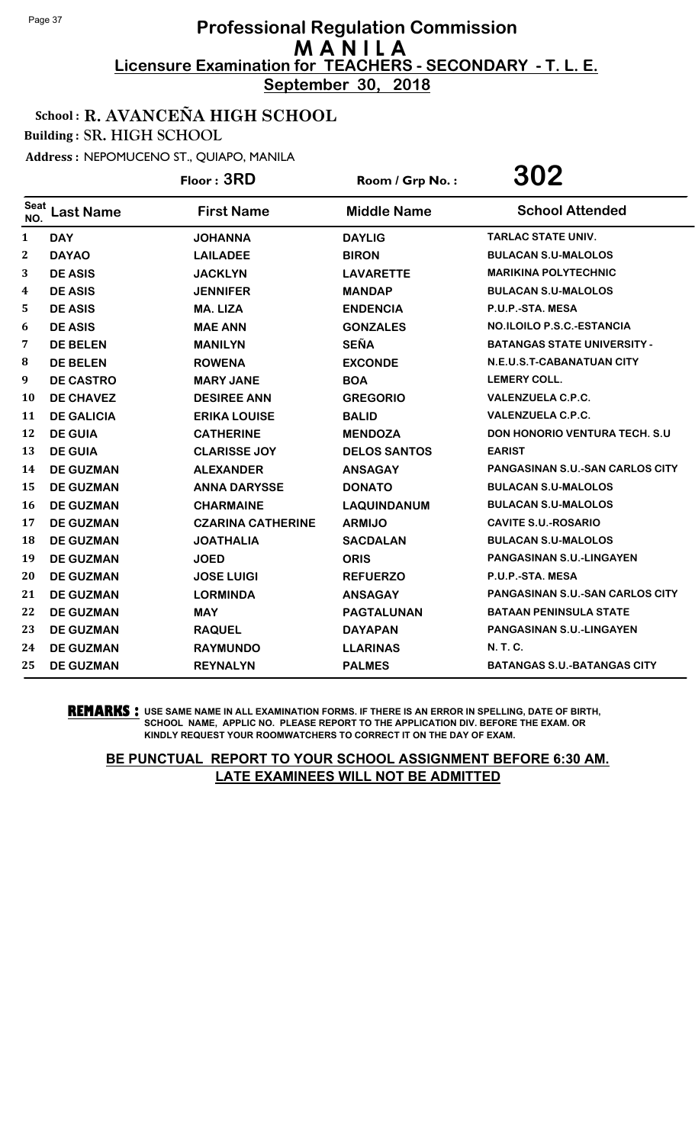**September 30, 2018**

### School : R. AVANCEÑA HIGH SCHOOL

Building : SR. HIGH SCHOOL

Address : NEPOMUCENO ST., QUIAPO, MANILA

|                    |                   | Floor: 3RD               | Room / Grp No.:     | 302                                    |
|--------------------|-------------------|--------------------------|---------------------|----------------------------------------|
| <b>Seat</b><br>NO. | <b>Last Name</b>  | <b>First Name</b>        | <b>Middle Name</b>  | <b>School Attended</b>                 |
| 1                  | <b>DAY</b>        | <b>JOHANNA</b>           | <b>DAYLIG</b>       | <b>TARLAC STATE UNIV.</b>              |
| 2                  | <b>DAYAO</b>      | <b>LAILADEE</b>          | <b>BIRON</b>        | <b>BULACAN S.U-MALOLOS</b>             |
| 3                  | <b>DE ASIS</b>    | <b>JACKLYN</b>           | <b>LAVARETTE</b>    | <b>MARIKINA POLYTECHNIC</b>            |
| 4                  | <b>DE ASIS</b>    | <b>JENNIFER</b>          | <b>MANDAP</b>       | <b>BULACAN S.U-MALOLOS</b>             |
| 5                  | <b>DE ASIS</b>    | <b>MA. LIZA</b>          | <b>ENDENCIA</b>     | P.U.P.-STA. MESA                       |
| 6                  | <b>DE ASIS</b>    | <b>MAE ANN</b>           | <b>GONZALES</b>     | NO.ILOILO P.S.C.-ESTANCIA              |
| 7                  | <b>DE BELEN</b>   | <b>MANILYN</b>           | <b>SEÑA</b>         | <b>BATANGAS STATE UNIVERSITY -</b>     |
| 8                  | <b>DE BELEN</b>   | <b>ROWENA</b>            | <b>EXCONDE</b>      | N.E.U.S.T-CABANATUAN CITY              |
| 9                  | <b>DE CASTRO</b>  | <b>MARY JANE</b>         | <b>BOA</b>          | <b>LEMERY COLL.</b>                    |
| 10                 | <b>DE CHAVEZ</b>  | <b>DESIREE ANN</b>       | <b>GREGORIO</b>     | <b>VALENZUELA C.P.C.</b>               |
| 11                 | <b>DE GALICIA</b> | <b>ERIKA LOUISE</b>      | <b>BALID</b>        | <b>VALENZUELA C.P.C.</b>               |
| 12                 | <b>DE GUIA</b>    | <b>CATHERINE</b>         | <b>MENDOZA</b>      | <b>DON HONORIO VENTURA TECH. S.U.</b>  |
| 13                 | <b>DE GUIA</b>    | <b>CLARISSE JOY</b>      | <b>DELOS SANTOS</b> | <b>EARIST</b>                          |
| 14                 | <b>DE GUZMAN</b>  | <b>ALEXANDER</b>         | <b>ANSAGAY</b>      | PANGASINAN S.U.-SAN CARLOS CITY        |
| 15                 | <b>DE GUZMAN</b>  | <b>ANNA DARYSSE</b>      | <b>DONATO</b>       | <b>BULACAN S.U-MALOLOS</b>             |
| 16                 | <b>DE GUZMAN</b>  | <b>CHARMAINE</b>         | <b>LAQUINDANUM</b>  | <b>BULACAN S.U-MALOLOS</b>             |
| 17                 | <b>DE GUZMAN</b>  | <b>CZARINA CATHERINE</b> | <b>ARMIJO</b>       | <b>CAVITE S.U.-ROSARIO</b>             |
| 18                 | <b>DE GUZMAN</b>  | <b>JOATHALIA</b>         | <b>SACDALAN</b>     | <b>BULACAN S.U-MALOLOS</b>             |
| 19                 | <b>DE GUZMAN</b>  | <b>JOED</b>              | <b>ORIS</b>         | <b>PANGASINAN S.U.-LINGAYEN</b>        |
| 20                 | <b>DE GUZMAN</b>  | <b>JOSE LUIGI</b>        | <b>REFUERZO</b>     | P.U.P.-STA. MESA                       |
| 21                 | <b>DE GUZMAN</b>  | <b>LORMINDA</b>          | <b>ANSAGAY</b>      | <b>PANGASINAN S.U.-SAN CARLOS CITY</b> |
| 22                 | <b>DE GUZMAN</b>  | <b>MAY</b>               | <b>PAGTALUNAN</b>   | <b>BATAAN PENINSULA STATE</b>          |
| 23                 | <b>DE GUZMAN</b>  | <b>RAQUEL</b>            | <b>DAYAPAN</b>      | PANGASINAN S.U.-LINGAYEN               |
| 24                 | <b>DE GUZMAN</b>  | <b>RAYMUNDO</b>          | <b>LLARINAS</b>     | <b>N. T. C.</b>                        |
| 25                 | <b>DE GUZMAN</b>  | <b>REYNALYN</b>          | <b>PALMES</b>       | <b>BATANGAS S.U.-BATANGAS CITY</b>     |

**REMARKS :** USE SAME NAME IN ALL EXAMINATION FORMS. IF THERE IS AN ERROR IN SPELLING, DATE OF BIRTH, SCHOOL NAME, APPLIC NO. PLEASE REPORT TO THE APPLICATION DIV. BEFORE THE EXAM. OR KINDLY REQUEST YOUR ROOMWATCHERS TO CORRECT IT ON THE DAY OF EXAM.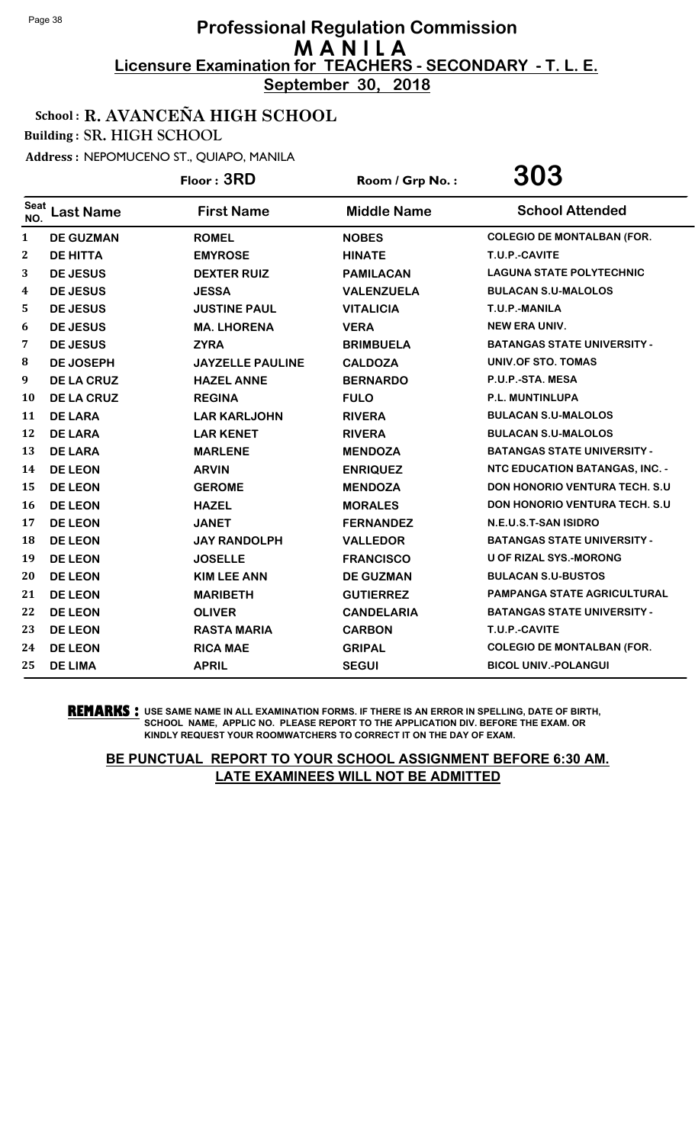**September 30, 2018**

### School : R. AVANCEÑA HIGH SCHOOL

Building : SR. HIGH SCHOOL

Address : NEPOMUCENO ST., QUIAPO, MANILA

|              |                   | Floor: 3RD              | Room / Grp No.:    | 303                                   |
|--------------|-------------------|-------------------------|--------------------|---------------------------------------|
| Seat<br>NO.  | <b>Last Name</b>  | <b>First Name</b>       | <b>Middle Name</b> | <b>School Attended</b>                |
| $\mathbf{1}$ | <b>DE GUZMAN</b>  | <b>ROMEL</b>            | <b>NOBES</b>       | <b>COLEGIO DE MONTALBAN (FOR.</b>     |
| 2            | <b>DE HITTA</b>   | <b>EMYROSE</b>          | <b>HINATE</b>      | T.U.P.-CAVITE                         |
| 3            | <b>DE JESUS</b>   | <b>DEXTER RUIZ</b>      | <b>PAMILACAN</b>   | <b>LAGUNA STATE POLYTECHNIC</b>       |
| 4            | <b>DE JESUS</b>   | <b>JESSA</b>            | <b>VALENZUELA</b>  | <b>BULACAN S.U-MALOLOS</b>            |
| 5            | <b>DE JESUS</b>   | <b>JUSTINE PAUL</b>     | <b>VITALICIA</b>   | T.U.P.-MANILA                         |
| 6            | <b>DE JESUS</b>   | <b>MA. LHORENA</b>      | <b>VERA</b>        | <b>NEW ERA UNIV.</b>                  |
| 7            | <b>DE JESUS</b>   | <b>ZYRA</b>             | <b>BRIMBUELA</b>   | <b>BATANGAS STATE UNIVERSITY -</b>    |
| 8            | <b>DE JOSEPH</b>  | <b>JAYZELLE PAULINE</b> | <b>CALDOZA</b>     | UNIV.OF STO. TOMAS                    |
| 9            | <b>DE LA CRUZ</b> | <b>HAZEL ANNE</b>       | <b>BERNARDO</b>    | P.U.P.-STA. MESA                      |
| 10           | <b>DE LA CRUZ</b> | <b>REGINA</b>           | <b>FULO</b>        | P.L. MUNTINLUPA                       |
| 11           | <b>DE LARA</b>    | <b>LAR KARLJOHN</b>     | <b>RIVERA</b>      | <b>BULACAN S.U-MALOLOS</b>            |
| 12           | <b>DE LARA</b>    | <b>LAR KENET</b>        | <b>RIVERA</b>      | <b>BULACAN S.U-MALOLOS</b>            |
| 13           | <b>DE LARA</b>    | <b>MARLENE</b>          | <b>MENDOZA</b>     | <b>BATANGAS STATE UNIVERSITY -</b>    |
| 14           | <b>DE LEON</b>    | <b>ARVIN</b>            | <b>ENRIQUEZ</b>    | <b>NTC EDUCATION BATANGAS, INC. -</b> |
| 15           | <b>DE LEON</b>    | <b>GEROME</b>           | <b>MENDOZA</b>     | <b>DON HONORIO VENTURA TECH. S.U.</b> |
| 16           | <b>DE LEON</b>    | <b>HAZEL</b>            | <b>MORALES</b>     | DON HONORIO VENTURA TECH. S.U         |
| 17           | <b>DE LEON</b>    | <b>JANET</b>            | <b>FERNANDEZ</b>   | N.E.U.S.T-SAN ISIDRO                  |
| 18           | <b>DE LEON</b>    | <b>JAY RANDOLPH</b>     | <b>VALLEDOR</b>    | <b>BATANGAS STATE UNIVERSITY -</b>    |
| 19           | <b>DE LEON</b>    | <b>JOSELLE</b>          | <b>FRANCISCO</b>   | <b>U OF RIZAL SYS.-MORONG</b>         |
| 20           | <b>DE LEON</b>    | <b>KIM LEE ANN</b>      | <b>DE GUZMAN</b>   | <b>BULACAN S.U-BUSTOS</b>             |
| 21           | <b>DE LEON</b>    | <b>MARIBETH</b>         | <b>GUTIERREZ</b>   | <b>PAMPANGA STATE AGRICULTURAL</b>    |
| 22           | <b>DE LEON</b>    | <b>OLIVER</b>           | <b>CANDELARIA</b>  | <b>BATANGAS STATE UNIVERSITY -</b>    |
| 23           | <b>DE LEON</b>    | <b>RASTA MARIA</b>      | <b>CARBON</b>      | T.U.P.-CAVITE                         |
| 24           | <b>DE LEON</b>    | <b>RICA MAE</b>         | <b>GRIPAL</b>      | <b>COLEGIO DE MONTALBAN (FOR.</b>     |
| 25           | <b>DE LIMA</b>    | <b>APRIL</b>            | <b>SEGUI</b>       | <b>BICOL UNIV.-POLANGUI</b>           |

**REMARKS :** USE SAME NAME IN ALL EXAMINATION FORMS. IF THERE IS AN ERROR IN SPELLING, DATE OF BIRTH, SCHOOL NAME, APPLIC NO. PLEASE REPORT TO THE APPLICATION DIV. BEFORE THE EXAM. OR KINDLY REQUEST YOUR ROOMWATCHERS TO CORRECT IT ON THE DAY OF EXAM.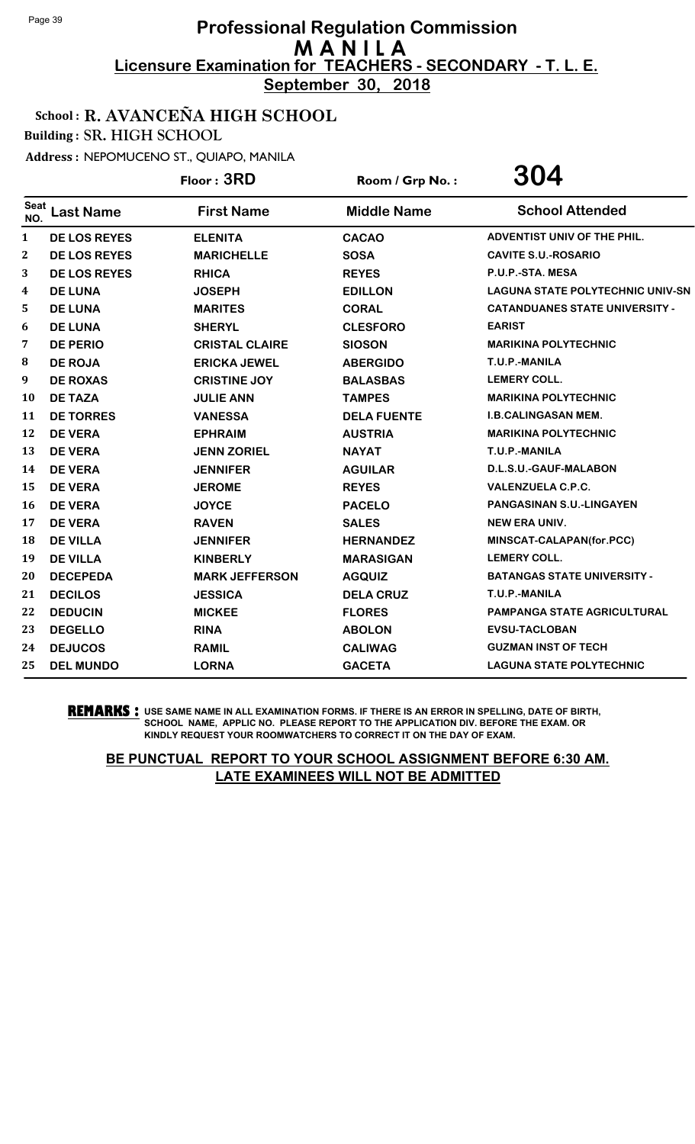**September 30, 2018**

### School : R. AVANCEÑA HIGH SCHOOL

Building : SR. HIGH SCHOOL

Address : NEPOMUCENO ST., QUIAPO, MANILA

|             |                     | Floor: 3RD            | Room / Grp No.:    | 304                                     |
|-------------|---------------------|-----------------------|--------------------|-----------------------------------------|
| Seat<br>NO. | <b>Last Name</b>    | <b>First Name</b>     | <b>Middle Name</b> | <b>School Attended</b>                  |
| 1           | <b>DE LOS REYES</b> | <b>ELENITA</b>        | <b>CACAO</b>       | ADVENTIST UNIV OF THE PHIL.             |
| $\bf{2}$    | <b>DE LOS REYES</b> | <b>MARICHELLE</b>     | <b>SOSA</b>        | <b>CAVITE S.U.-ROSARIO</b>              |
| 3           | <b>DE LOS REYES</b> | <b>RHICA</b>          | <b>REYES</b>       | P.U.P.-STA. MESA                        |
| 4           | <b>DE LUNA</b>      | <b>JOSEPH</b>         | <b>EDILLON</b>     | <b>LAGUNA STATE POLYTECHNIC UNIV-SN</b> |
| 5           | <b>DE LUNA</b>      | <b>MARITES</b>        | <b>CORAL</b>       | <b>CATANDUANES STATE UNIVERSITY -</b>   |
| 6           | <b>DE LUNA</b>      | <b>SHERYL</b>         | <b>CLESFORO</b>    | <b>EARIST</b>                           |
| 7           | <b>DE PERIO</b>     | <b>CRISTAL CLAIRE</b> | <b>SIOSON</b>      | <b>MARIKINA POLYTECHNIC</b>             |
| 8           | <b>DE ROJA</b>      | <b>ERICKA JEWEL</b>   | <b>ABERGIDO</b>    | T.U.P.-MANILA                           |
| 9           | <b>DE ROXAS</b>     | <b>CRISTINE JOY</b>   | <b>BALASBAS</b>    | <b>LEMERY COLL.</b>                     |
| 10          | <b>DE TAZA</b>      | <b>JULIE ANN</b>      | <b>TAMPES</b>      | <b>MARIKINA POLYTECHNIC</b>             |
| 11          | <b>DE TORRES</b>    | <b>VANESSA</b>        | <b>DELA FUENTE</b> | <b>I.B.CALINGASAN MEM.</b>              |
| 12          | <b>DE VERA</b>      | <b>EPHRAIM</b>        | <b>AUSTRIA</b>     | <b>MARIKINA POLYTECHNIC</b>             |
| 13          | <b>DE VERA</b>      | <b>JENN ZORIEL</b>    | <b>NAYAT</b>       | T.U.P.-MANILA                           |
| 14          | <b>DE VERA</b>      | <b>JENNIFER</b>       | <b>AGUILAR</b>     | D.L.S.U.-GAUF-MALABON                   |
| 15          | <b>DE VERA</b>      | <b>JEROME</b>         | <b>REYES</b>       | <b>VALENZUELA C.P.C.</b>                |
| 16          | <b>DE VERA</b>      | <b>JOYCE</b>          | <b>PACELO</b>      | <b>PANGASINAN S.U.-LINGAYEN</b>         |
| 17          | <b>DE VERA</b>      | <b>RAVEN</b>          | <b>SALES</b>       | <b>NEW ERA UNIV.</b>                    |
| 18          | <b>DE VILLA</b>     | <b>JENNIFER</b>       | <b>HERNANDEZ</b>   | MINSCAT-CALAPAN(for.PCC)                |
| 19          | <b>DE VILLA</b>     | <b>KINBERLY</b>       | <b>MARASIGAN</b>   | <b>LEMERY COLL.</b>                     |
| 20          | <b>DECEPEDA</b>     | <b>MARK JEFFERSON</b> | <b>AGQUIZ</b>      | <b>BATANGAS STATE UNIVERSITY -</b>      |
| 21          | <b>DECILOS</b>      | <b>JESSICA</b>        | <b>DELA CRUZ</b>   | T.U.P.-MANILA                           |
| 22          | <b>DEDUCIN</b>      | <b>MICKEE</b>         | <b>FLORES</b>      | PAMPANGA STATE AGRICULTURAL             |
| 23          | <b>DEGELLO</b>      | <b>RINA</b>           | <b>ABOLON</b>      | <b>EVSU-TACLOBAN</b>                    |
| 24          | <b>DEJUCOS</b>      | <b>RAMIL</b>          | <b>CALIWAG</b>     | <b>GUZMAN INST OF TECH</b>              |
| 25          | <b>DEL MUNDO</b>    | <b>LORNA</b>          | <b>GACETA</b>      | <b>LAGUNA STATE POLYTECHNIC</b>         |

**REMARKS :** USE SAME NAME IN ALL EXAMINATION FORMS. IF THERE IS AN ERROR IN SPELLING, DATE OF BIRTH, SCHOOL NAME, APPLIC NO. PLEASE REPORT TO THE APPLICATION DIV. BEFORE THE EXAM. OR KINDLY REQUEST YOUR ROOMWATCHERS TO CORRECT IT ON THE DAY OF EXAM.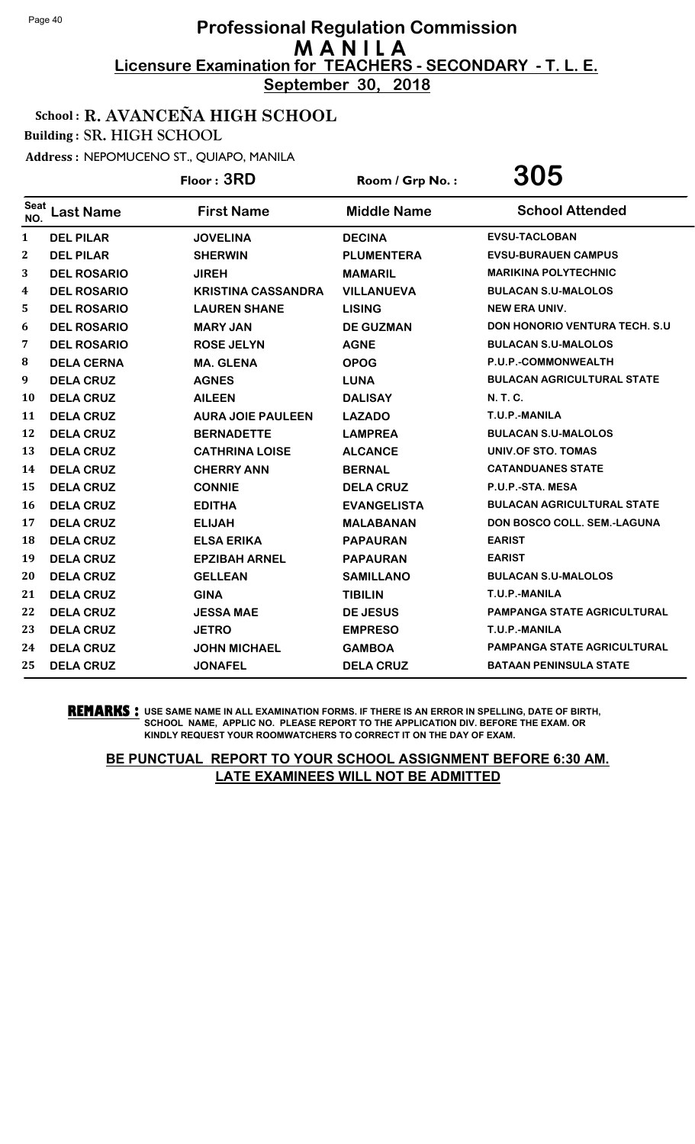**September 30, 2018**

### School : R. AVANCEÑA HIGH SCHOOL

Building : SR. HIGH SCHOOL

Address : NEPOMUCENO ST., QUIAPO, MANILA

|                    |                    | Floor: 3RD                | Room / Grp No.:    | 305                                   |
|--------------------|--------------------|---------------------------|--------------------|---------------------------------------|
| <b>Seat</b><br>NO. | <b>Last Name</b>   | <b>First Name</b>         | <b>Middle Name</b> | <b>School Attended</b>                |
| $\mathbf{1}$       | <b>DEL PILAR</b>   | <b>JOVELINA</b>           | <b>DECINA</b>      | <b>EVSU-TACLOBAN</b>                  |
| $\mathbf{2}$       | <b>DEL PILAR</b>   | <b>SHERWIN</b>            | <b>PLUMENTERA</b>  | <b>EVSU-BURAUEN CAMPUS</b>            |
| 3                  | <b>DEL ROSARIO</b> | <b>JIREH</b>              | <b>MAMARIL</b>     | <b>MARIKINA POLYTECHNIC</b>           |
| 4                  | <b>DEL ROSARIO</b> | <b>KRISTINA CASSANDRA</b> | <b>VILLANUEVA</b>  | <b>BULACAN S.U-MALOLOS</b>            |
| 5                  | <b>DEL ROSARIO</b> | <b>LAUREN SHANE</b>       | <b>LISING</b>      | <b>NEW ERA UNIV.</b>                  |
| 6                  | <b>DEL ROSARIO</b> | <b>MARY JAN</b>           | <b>DE GUZMAN</b>   | <b>DON HONORIO VENTURA TECH. S.U.</b> |
| 7                  | <b>DEL ROSARIO</b> | <b>ROSE JELYN</b>         | <b>AGNE</b>        | <b>BULACAN S.U-MALOLOS</b>            |
| 8                  | <b>DELA CERNA</b>  | <b>MA. GLENA</b>          | <b>OPOG</b>        | P.U.P.-COMMONWEALTH                   |
| 9                  | <b>DELA CRUZ</b>   | <b>AGNES</b>              | <b>LUNA</b>        | <b>BULACAN AGRICULTURAL STATE</b>     |
| 10                 | <b>DELA CRUZ</b>   | <b>AILEEN</b>             | <b>DALISAY</b>     | <b>N.T.C.</b>                         |
| 11                 | <b>DELA CRUZ</b>   | <b>AURA JOIE PAULEEN</b>  | <b>LAZADO</b>      | T.U.P.-MANILA                         |
| 12                 | <b>DELA CRUZ</b>   | <b>BERNADETTE</b>         | <b>LAMPREA</b>     | <b>BULACAN S.U-MALOLOS</b>            |
| 13                 | <b>DELA CRUZ</b>   | <b>CATHRINA LOISE</b>     | <b>ALCANCE</b>     | UNIV.OF STO. TOMAS                    |
| 14                 | <b>DELA CRUZ</b>   | <b>CHERRY ANN</b>         | <b>BERNAL</b>      | <b>CATANDUANES STATE</b>              |
| 15                 | <b>DELA CRUZ</b>   | <b>CONNIE</b>             | <b>DELA CRUZ</b>   | P.U.P.-STA. MESA                      |
| 16                 | <b>DELA CRUZ</b>   | <b>EDITHA</b>             | <b>EVANGELISTA</b> | <b>BULACAN AGRICULTURAL STATE</b>     |
| 17                 | <b>DELA CRUZ</b>   | <b>ELIJAH</b>             | <b>MALABANAN</b>   | DON BOSCO COLL. SEM.-LAGUNA           |
| 18                 | <b>DELA CRUZ</b>   | <b>ELSA ERIKA</b>         | <b>PAPAURAN</b>    | <b>EARIST</b>                         |
| 19                 | <b>DELA CRUZ</b>   | <b>EPZIBAH ARNEL</b>      | <b>PAPAURAN</b>    | <b>EARIST</b>                         |
| 20                 | <b>DELA CRUZ</b>   | <b>GELLEAN</b>            | <b>SAMILLANO</b>   | <b>BULACAN S.U-MALOLOS</b>            |
| 21                 | <b>DELA CRUZ</b>   | <b>GINA</b>               | <b>TIBILIN</b>     | T.U.P.-MANILA                         |
| 22                 | <b>DELA CRUZ</b>   | <b>JESSA MAE</b>          | <b>DE JESUS</b>    | PAMPANGA STATE AGRICULTURAL           |
| 23                 | <b>DELA CRUZ</b>   | <b>JETRO</b>              | <b>EMPRESO</b>     | T.U.P.-MANILA                         |
| 24                 | <b>DELA CRUZ</b>   | <b>JOHN MICHAEL</b>       | <b>GAMBOA</b>      | <b>PAMPANGA STATE AGRICULTURAL</b>    |
| 25                 | <b>DELA CRUZ</b>   | <b>JONAFEL</b>            | <b>DELA CRUZ</b>   | <b>BATAAN PENINSULA STATE</b>         |

**REMARKS :** USE SAME NAME IN ALL EXAMINATION FORMS. IF THERE IS AN ERROR IN SPELLING, DATE OF BIRTH, SCHOOL NAME, APPLIC NO. PLEASE REPORT TO THE APPLICATION DIV. BEFORE THE EXAM. OR KINDLY REQUEST YOUR ROOMWATCHERS TO CORRECT IT ON THE DAY OF EXAM.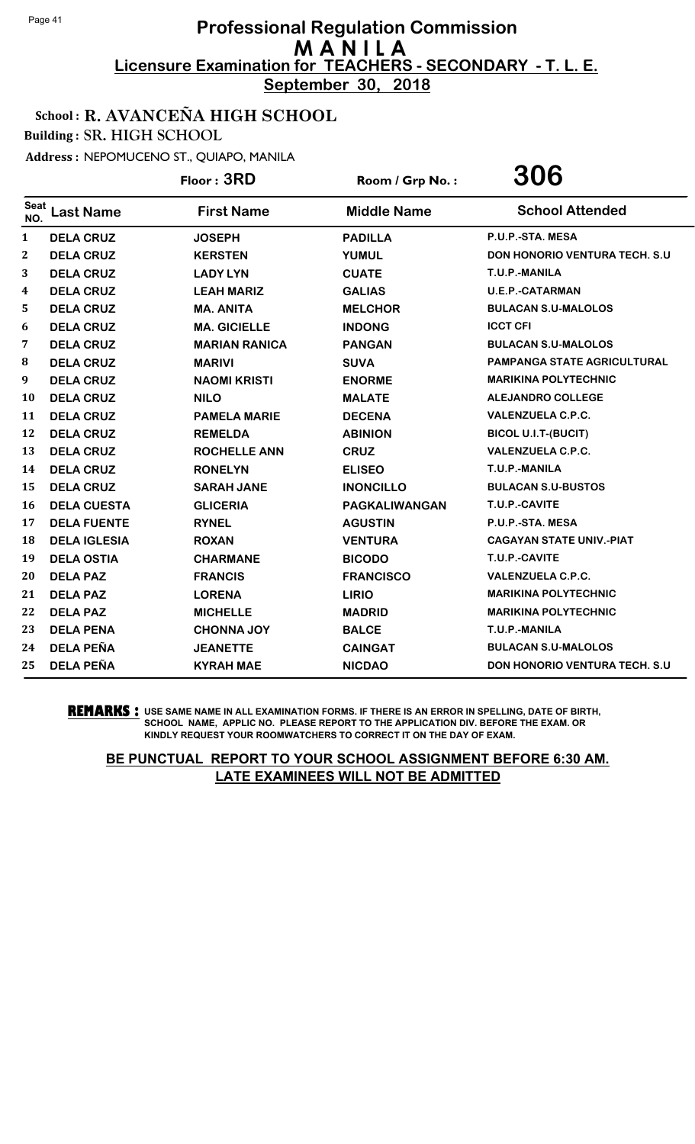**September 30, 2018**

### School : R. AVANCEÑA HIGH SCHOOL

Building : SR. HIGH SCHOOL

Address : NEPOMUCENO ST., QUIAPO, MANILA

|                    |                     | Floor: 3RD           | Room / Grp No.:    | 306                                  |
|--------------------|---------------------|----------------------|--------------------|--------------------------------------|
| <b>Seat</b><br>NO. | <b>Last Name</b>    | <b>First Name</b>    | <b>Middle Name</b> | <b>School Attended</b>               |
| $\mathbf{1}$       | <b>DELA CRUZ</b>    | <b>JOSEPH</b>        | <b>PADILLA</b>     | P.U.P.-STA. MESA                     |
| 2                  | <b>DELA CRUZ</b>    | <b>KERSTEN</b>       | <b>YUMUL</b>       | DON HONORIO VENTURA TECH. S.U        |
| 3                  | <b>DELA CRUZ</b>    | <b>LADY LYN</b>      | <b>CUATE</b>       | T.U.P.-MANILA                        |
| 4                  | <b>DELA CRUZ</b>    | <b>LEAH MARIZ</b>    | <b>GALIAS</b>      | <b>U.E.P.-CATARMAN</b>               |
| 5                  | <b>DELA CRUZ</b>    | <b>MA. ANITA</b>     | <b>MELCHOR</b>     | <b>BULACAN S.U-MALOLOS</b>           |
| 6                  | <b>DELA CRUZ</b>    | <b>MA. GICIELLE</b>  | <b>INDONG</b>      | <b>ICCT CFI</b>                      |
| 7                  | <b>DELA CRUZ</b>    | <b>MARIAN RANICA</b> | <b>PANGAN</b>      | <b>BULACAN S.U-MALOLOS</b>           |
| 8                  | <b>DELA CRUZ</b>    | <b>MARIVI</b>        | <b>SUVA</b>        | <b>PAMPANGA STATE AGRICULTURAL</b>   |
| 9                  | <b>DELA CRUZ</b>    | <b>NAOMI KRISTI</b>  | <b>ENORME</b>      | <b>MARIKINA POLYTECHNIC</b>          |
| 10                 | <b>DELA CRUZ</b>    | <b>NILO</b>          | <b>MALATE</b>      | <b>ALEJANDRO COLLEGE</b>             |
| 11                 | <b>DELA CRUZ</b>    | <b>PAMELA MARIE</b>  | <b>DECENA</b>      | <b>VALENZUELA C.P.C.</b>             |
| 12                 | <b>DELA CRUZ</b>    | <b>REMELDA</b>       | <b>ABINION</b>     | <b>BICOL U.I.T-(BUCIT)</b>           |
| 13                 | <b>DELA CRUZ</b>    | <b>ROCHELLE ANN</b>  | <b>CRUZ</b>        | <b>VALENZUELA C.P.C.</b>             |
| 14                 | <b>DELA CRUZ</b>    | <b>RONELYN</b>       | <b>ELISEO</b>      | T.U.P.-MANILA                        |
| 15                 | <b>DELA CRUZ</b>    | <b>SARAH JANE</b>    | <b>INONCILLO</b>   | <b>BULACAN S.U-BUSTOS</b>            |
| 16                 | <b>DELA CUESTA</b>  | <b>GLICERIA</b>      | PAGKALIWANGAN      | T.U.P.-CAVITE                        |
| 17                 | <b>DELA FUENTE</b>  | <b>RYNEL</b>         | <b>AGUSTIN</b>     | P.U.P.-STA. MESA                     |
| 18                 | <b>DELA IGLESIA</b> | <b>ROXAN</b>         | <b>VENTURA</b>     | <b>CAGAYAN STATE UNIV.-PIAT</b>      |
| 19                 | <b>DELA OSTIA</b>   | <b>CHARMANE</b>      | <b>BICODO</b>      | T.U.P.-CAVITE                        |
| 20                 | <b>DELA PAZ</b>     | <b>FRANCIS</b>       | <b>FRANCISCO</b>   | <b>VALENZUELA C.P.C.</b>             |
| 21                 | <b>DELA PAZ</b>     | <b>LORENA</b>        | <b>LIRIO</b>       | <b>MARIKINA POLYTECHNIC</b>          |
| 22                 | <b>DELA PAZ</b>     | <b>MICHELLE</b>      | <b>MADRID</b>      | <b>MARIKINA POLYTECHNIC</b>          |
| 23                 | <b>DELA PENA</b>    | <b>CHONNA JOY</b>    | <b>BALCE</b>       | T.U.P.-MANILA                        |
| 24                 | <b>DELA PEÑA</b>    | <b>JEANETTE</b>      | <b>CAINGAT</b>     | <b>BULACAN S.U-MALOLOS</b>           |
| 25                 | <b>DELA PEÑA</b>    | <b>KYRAH MAE</b>     | <b>NICDAO</b>      | <b>DON HONORIO VENTURA TECH. S.U</b> |

**REMARKS :** USE SAME NAME IN ALL EXAMINATION FORMS. IF THERE IS AN ERROR IN SPELLING, DATE OF BIRTH, SCHOOL NAME, APPLIC NO. PLEASE REPORT TO THE APPLICATION DIV. BEFORE THE EXAM. OR KINDLY REQUEST YOUR ROOMWATCHERS TO CORRECT IT ON THE DAY OF EXAM.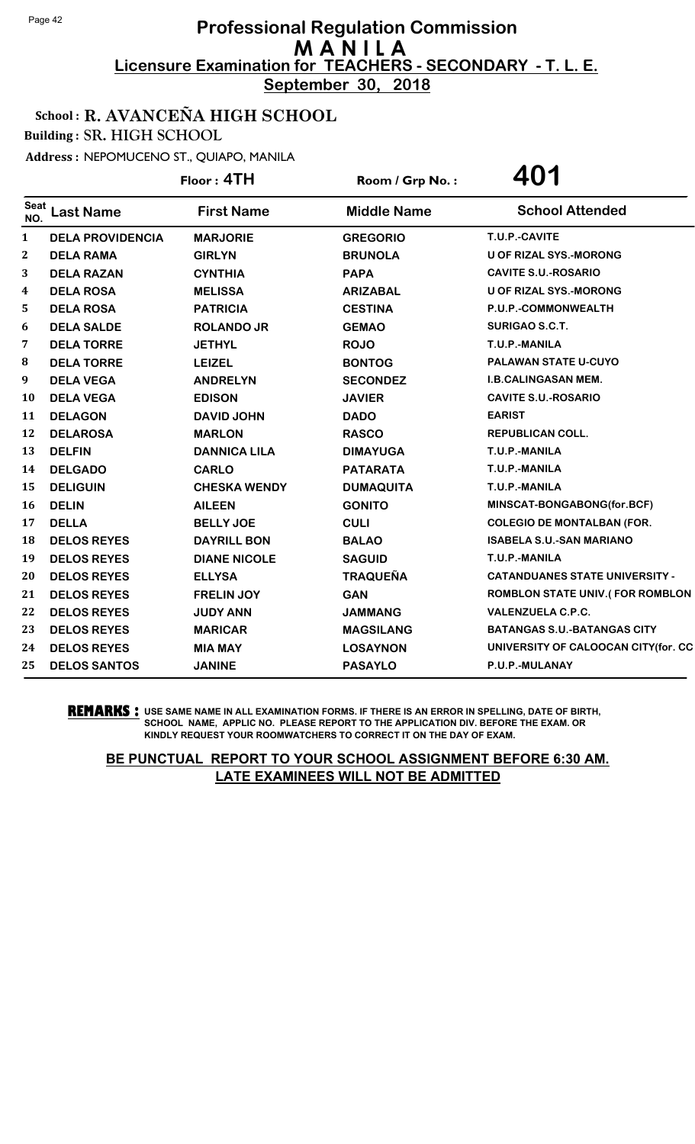**September 30, 2018**

### School : R. AVANCEÑA HIGH SCHOOL

Building : SR. HIGH SCHOOL

Address : NEPOMUCENO ST., QUIAPO, MANILA

|              |                         | Floor: 4TH          | Room / Grp No.:    | 401                                    |
|--------------|-------------------------|---------------------|--------------------|----------------------------------------|
| Seat<br>NO.  | <b>Last Name</b>        | <b>First Name</b>   | <b>Middle Name</b> | <b>School Attended</b>                 |
| $\mathbf{1}$ | <b>DELA PROVIDENCIA</b> | <b>MARJORIE</b>     | <b>GREGORIO</b>    | T.U.P.-CAVITE                          |
| 2            | <b>DELA RAMA</b>        | <b>GIRLYN</b>       | <b>BRUNOLA</b>     | <b>U OF RIZAL SYS.-MORONG</b>          |
| 3            | <b>DELA RAZAN</b>       | <b>CYNTHIA</b>      | <b>PAPA</b>        | <b>CAVITE S.U.-ROSARIO</b>             |
| 4            | <b>DELA ROSA</b>        | <b>MELISSA</b>      | <b>ARIZABAL</b>    | <b>U OF RIZAL SYS.-MORONG</b>          |
| 5            | <b>DELA ROSA</b>        | <b>PATRICIA</b>     | <b>CESTINA</b>     | P.U.P.-COMMONWEALTH                    |
| 6            | <b>DELA SALDE</b>       | <b>ROLANDO JR</b>   | <b>GEMAO</b>       | SURIGAO S.C.T.                         |
| 7            | <b>DELA TORRE</b>       | <b>JETHYL</b>       | <b>ROJO</b>        | T.U.P.-MANILA                          |
| 8            | <b>DELA TORRE</b>       | <b>LEIZEL</b>       | <b>BONTOG</b>      | <b>PALAWAN STATE U-CUYO</b>            |
| 9            | <b>DELA VEGA</b>        | <b>ANDRELYN</b>     | <b>SECONDEZ</b>    | <b>I.B.CALINGASAN MEM.</b>             |
| 10           | <b>DELA VEGA</b>        | <b>EDISON</b>       | <b>JAVIER</b>      | <b>CAVITE S.U.-ROSARIO</b>             |
| 11           | <b>DELAGON</b>          | <b>DAVID JOHN</b>   | <b>DADO</b>        | <b>EARIST</b>                          |
| 12           | <b>DELAROSA</b>         | <b>MARLON</b>       | <b>RASCO</b>       | <b>REPUBLICAN COLL.</b>                |
| 13           | <b>DELFIN</b>           | <b>DANNICA LILA</b> | <b>DIMAYUGA</b>    | T.U.P.-MANILA                          |
| 14           | <b>DELGADO</b>          | <b>CARLO</b>        | <b>PATARATA</b>    | T.U.P.-MANILA                          |
| 15           | <b>DELIGUIN</b>         | <b>CHESKA WENDY</b> | <b>DUMAQUITA</b>   | T.U.P.-MANILA                          |
| 16           | <b>DELIN</b>            | <b>AILEEN</b>       | <b>GONITO</b>      | MINSCAT-BONGABONG(for.BCF)             |
| 17           | <b>DELLA</b>            | <b>BELLY JOE</b>    | <b>CULI</b>        | <b>COLEGIO DE MONTALBAN (FOR.</b>      |
| 18           | <b>DELOS REYES</b>      | <b>DAYRILL BON</b>  | <b>BALAO</b>       | <b>ISABELA S.U.-SAN MARIANO</b>        |
| 19           | <b>DELOS REYES</b>      | <b>DIANE NICOLE</b> | <b>SAGUID</b>      | T.U.P.-MANILA                          |
| 20           | <b>DELOS REYES</b>      | <b>ELLYSA</b>       | <b>TRAQUEÑA</b>    | <b>CATANDUANES STATE UNIVERSITY -</b>  |
| 21           | <b>DELOS REYES</b>      | <b>FRELIN JOY</b>   | <b>GAN</b>         | <b>ROMBLON STATE UNIV.(FOR ROMBLON</b> |
| 22           | <b>DELOS REYES</b>      | <b>JUDY ANN</b>     | <b>JAMMANG</b>     | <b>VALENZUELA C.P.C.</b>               |
| 23           | <b>DELOS REYES</b>      | <b>MARICAR</b>      | <b>MAGSILANG</b>   | <b>BATANGAS S.U.-BATANGAS CITY</b>     |
| 24           | <b>DELOS REYES</b>      | <b>MIA MAY</b>      | <b>LOSAYNON</b>    | UNIVERSITY OF CALOOCAN CITY(for. CC    |
| 25           | <b>DELOS SANTOS</b>     | <b>JANINE</b>       | <b>PASAYLO</b>     | P.U.P.-MULANAY                         |

**REMARKS :** USE SAME NAME IN ALL EXAMINATION FORMS. IF THERE IS AN ERROR IN SPELLING, DATE OF BIRTH, SCHOOL NAME, APPLIC NO. PLEASE REPORT TO THE APPLICATION DIV. BEFORE THE EXAM. OR KINDLY REQUEST YOUR ROOMWATCHERS TO CORRECT IT ON THE DAY OF EXAM.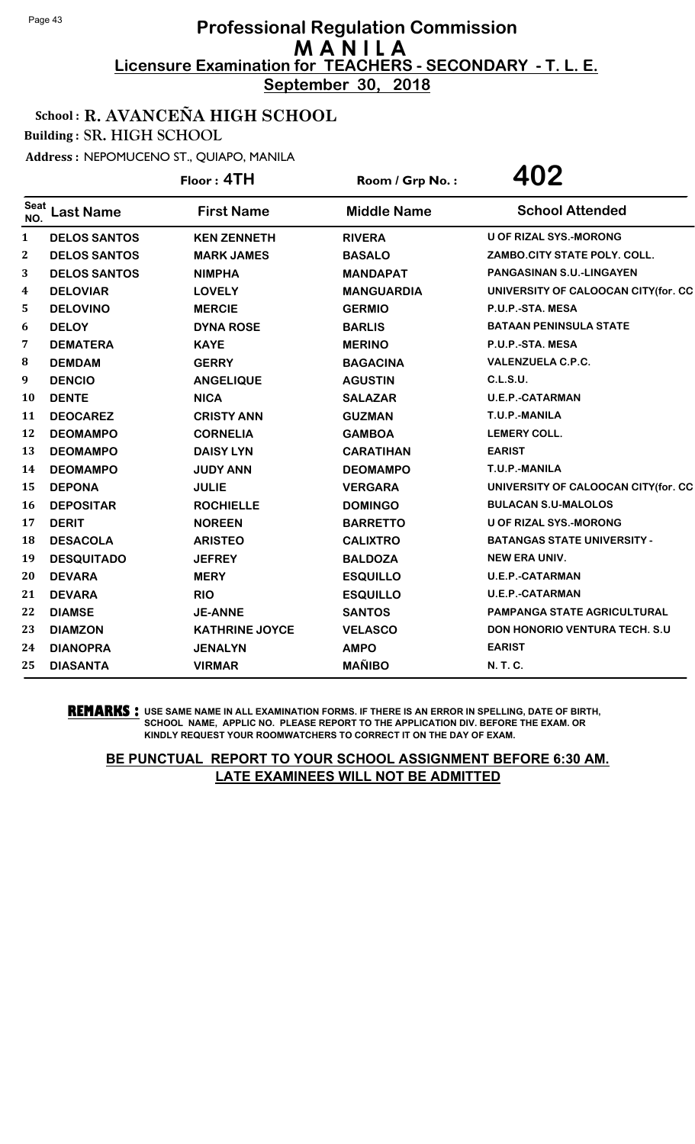**September 30, 2018**

### School : R. AVANCEÑA HIGH SCHOOL

Building : SR. HIGH SCHOOL

Address : NEPOMUCENO ST., QUIAPO, MANILA

|                    |                     | Floor: 4TH            | Room / Grp No.:    | 402                                 |
|--------------------|---------------------|-----------------------|--------------------|-------------------------------------|
| <b>Seat</b><br>NO. | <b>Last Name</b>    | <b>First Name</b>     | <b>Middle Name</b> | <b>School Attended</b>              |
| $\mathbf{1}$       | <b>DELOS SANTOS</b> | <b>KEN ZENNETH</b>    | <b>RIVERA</b>      | <b>U OF RIZAL SYS.-MORONG</b>       |
| 2                  | <b>DELOS SANTOS</b> | <b>MARK JAMES</b>     | <b>BASALO</b>      | ZAMBO.CITY STATE POLY. COLL.        |
| 3                  | <b>DELOS SANTOS</b> | <b>NIMPHA</b>         | <b>MANDAPAT</b>    | <b>PANGASINAN S.U.-LINGAYEN</b>     |
| 4                  | <b>DELOVIAR</b>     | <b>LOVELY</b>         | <b>MANGUARDIA</b>  | UNIVERSITY OF CALOOCAN CITY(for. CC |
| 5                  | <b>DELOVINO</b>     | <b>MERCIE</b>         | <b>GERMIO</b>      | P.U.P.-STA. MESA                    |
| 6                  | <b>DELOY</b>        | <b>DYNA ROSE</b>      | <b>BARLIS</b>      | <b>BATAAN PENINSULA STATE</b>       |
| 7                  | <b>DEMATERA</b>     | <b>KAYE</b>           | <b>MERINO</b>      | P.U.P.-STA. MESA                    |
| ${\bf 8}$          | <b>DEMDAM</b>       | <b>GERRY</b>          | <b>BAGACINA</b>    | <b>VALENZUELA C.P.C.</b>            |
| 9                  | <b>DENCIO</b>       | <b>ANGELIQUE</b>      | <b>AGUSTIN</b>     | <b>C.L.S.U.</b>                     |
| <b>10</b>          | <b>DENTE</b>        | <b>NICA</b>           | <b>SALAZAR</b>     | <b>U.E.P.-CATARMAN</b>              |
| 11                 | <b>DEOCAREZ</b>     | <b>CRISTY ANN</b>     | <b>GUZMAN</b>      | T.U.P.-MANILA                       |
| 12                 | <b>DEOMAMPO</b>     | <b>CORNELIA</b>       | <b>GAMBOA</b>      | <b>LEMERY COLL.</b>                 |
| 13                 | <b>DEOMAMPO</b>     | <b>DAISY LYN</b>      | <b>CARATIHAN</b>   | <b>EARIST</b>                       |
| 14                 | <b>DEOMAMPO</b>     | <b>JUDY ANN</b>       | <b>DEOMAMPO</b>    | T.U.P.-MANILA                       |
| 15                 | <b>DEPONA</b>       | <b>JULIE</b>          | <b>VERGARA</b>     | UNIVERSITY OF CALOOCAN CITY(for. CC |
| <b>16</b>          | <b>DEPOSITAR</b>    | <b>ROCHIELLE</b>      | <b>DOMINGO</b>     | <b>BULACAN S.U-MALOLOS</b>          |
| 17                 | <b>DERIT</b>        | <b>NOREEN</b>         | <b>BARRETTO</b>    | <b>U OF RIZAL SYS.-MORONG</b>       |
| 18                 | <b>DESACOLA</b>     | <b>ARISTEO</b>        | <b>CALIXTRO</b>    | <b>BATANGAS STATE UNIVERSITY -</b>  |
| 19                 | <b>DESQUITADO</b>   | <b>JEFREY</b>         | <b>BALDOZA</b>     | <b>NEW ERA UNIV.</b>                |
| 20                 | <b>DEVARA</b>       | <b>MERY</b>           | <b>ESQUILLO</b>    | <b>U.E.P.-CATARMAN</b>              |
| 21                 | <b>DEVARA</b>       | <b>RIO</b>            | <b>ESQUILLO</b>    | <b>U.E.P.-CATARMAN</b>              |
| 22                 | <b>DIAMSE</b>       | <b>JE-ANNE</b>        | <b>SANTOS</b>      | PAMPANGA STATE AGRICULTURAL         |
| 23                 | <b>DIAMZON</b>      | <b>KATHRINE JOYCE</b> | <b>VELASCO</b>     | DON HONORIO VENTURA TECH. S.U       |
| 24                 | <b>DIANOPRA</b>     | <b>JENALYN</b>        | <b>AMPO</b>        | <b>EARIST</b>                       |
| 25                 | <b>DIASANTA</b>     | <b>VIRMAR</b>         | <b>MAÑIBO</b>      | N. T. C.                            |

**REMARKS :** USE SAME NAME IN ALL EXAMINATION FORMS. IF THERE IS AN ERROR IN SPELLING, DATE OF BIRTH, SCHOOL NAME, APPLIC NO. PLEASE REPORT TO THE APPLICATION DIV. BEFORE THE EXAM. OR KINDLY REQUEST YOUR ROOMWATCHERS TO CORRECT IT ON THE DAY OF EXAM.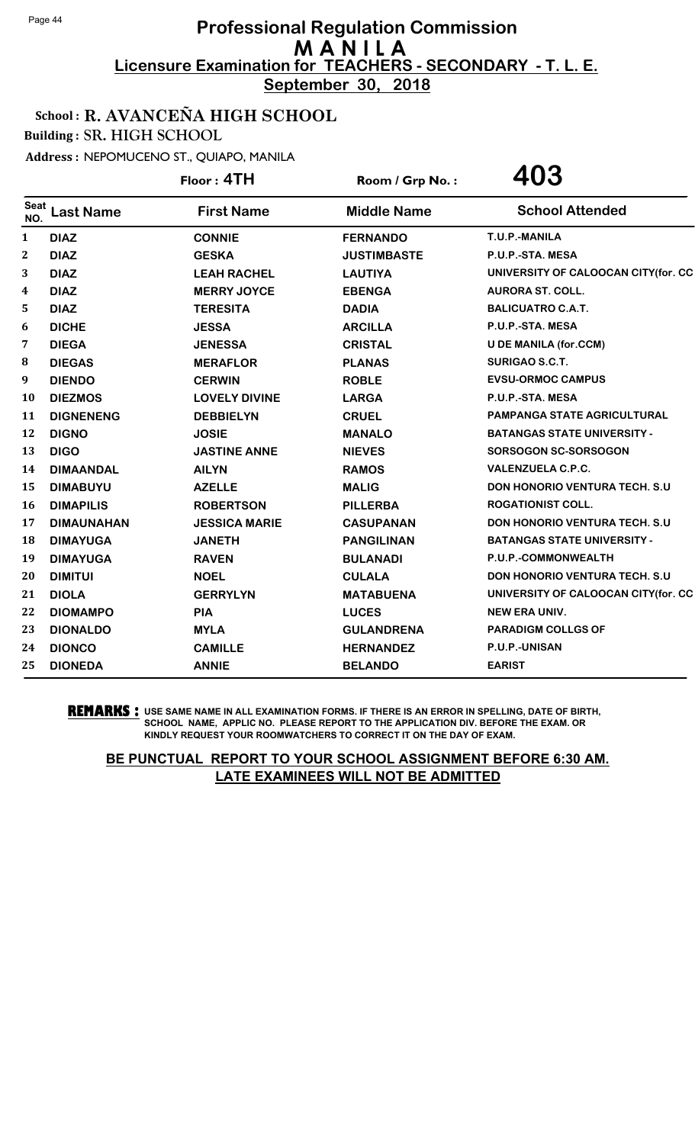**September 30, 2018**

### School : R. AVANCEÑA HIGH SCHOOL

Building : SR. HIGH SCHOOL

Address : NEPOMUCENO ST., QUIAPO, MANILA

|                    |                   | Floor: 4TH           | Room / Grp No.:    | 403                                   |
|--------------------|-------------------|----------------------|--------------------|---------------------------------------|
| <b>Seat</b><br>NO. | <b>Last Name</b>  | <b>First Name</b>    | <b>Middle Name</b> | <b>School Attended</b>                |
| $\mathbf{1}$       | <b>DIAZ</b>       | <b>CONNIE</b>        | <b>FERNANDO</b>    | T.U.P.-MANILA                         |
| 2                  | <b>DIAZ</b>       | <b>GESKA</b>         | <b>JUSTIMBASTE</b> | P.U.P.-STA. MESA                      |
| 3                  | <b>DIAZ</b>       | <b>LEAH RACHEL</b>   | <b>LAUTIYA</b>     | UNIVERSITY OF CALOOCAN CITY(for. CC   |
| 4                  | <b>DIAZ</b>       | <b>MERRY JOYCE</b>   | <b>EBENGA</b>      | <b>AURORA ST. COLL.</b>               |
| 5                  | <b>DIAZ</b>       | <b>TERESITA</b>      | <b>DADIA</b>       | <b>BALICUATRO C.A.T.</b>              |
| 6                  | <b>DICHE</b>      | <b>JESSA</b>         | <b>ARCILLA</b>     | P.U.P.-STA. MESA                      |
| 7                  | <b>DIEGA</b>      | <b>JENESSA</b>       | <b>CRISTAL</b>     | <b>U DE MANILA (for.CCM)</b>          |
| 8                  | <b>DIEGAS</b>     | <b>MERAFLOR</b>      | <b>PLANAS</b>      | SURIGAO S.C.T.                        |
| 9                  | <b>DIENDO</b>     | <b>CERWIN</b>        | <b>ROBLE</b>       | <b>EVSU-ORMOC CAMPUS</b>              |
| 10                 | <b>DIEZMOS</b>    | <b>LOVELY DIVINE</b> | <b>LARGA</b>       | P.U.P.-STA. MESA                      |
| 11                 | <b>DIGNENENG</b>  | <b>DEBBIELYN</b>     | <b>CRUEL</b>       | <b>PAMPANGA STATE AGRICULTURAL</b>    |
| 12                 | <b>DIGNO</b>      | <b>JOSIE</b>         | <b>MANALO</b>      | <b>BATANGAS STATE UNIVERSITY -</b>    |
| 13                 | <b>DIGO</b>       | <b>JASTINE ANNE</b>  | <b>NIEVES</b>      | SORSOGON SC-SORSOGON                  |
| 14                 | <b>DIMAANDAL</b>  | <b>AILYN</b>         | <b>RAMOS</b>       | <b>VALENZUELA C.P.C.</b>              |
| 15                 | <b>DIMABUYU</b>   | <b>AZELLE</b>        | <b>MALIG</b>       | <b>DON HONORIO VENTURA TECH. S.U.</b> |
| 16                 | <b>DIMAPILIS</b>  | <b>ROBERTSON</b>     | <b>PILLERBA</b>    | <b>ROGATIONIST COLL.</b>              |
| 17                 | <b>DIMAUNAHAN</b> | <b>JESSICA MARIE</b> | <b>CASUPANAN</b>   | <b>DON HONORIO VENTURA TECH. S.U.</b> |
| 18                 | <b>DIMAYUGA</b>   | <b>JANETH</b>        | <b>PANGILINAN</b>  | <b>BATANGAS STATE UNIVERSITY -</b>    |
| 19                 | <b>DIMAYUGA</b>   | <b>RAVEN</b>         | <b>BULANADI</b>    | P.U.P.-COMMONWEALTH                   |
| 20                 | <b>DIMITUI</b>    | <b>NOEL</b>          | <b>CULALA</b>      | <b>DON HONORIO VENTURA TECH. S.U.</b> |
| 21                 | <b>DIOLA</b>      | <b>GERRYLYN</b>      | <b>MATABUENA</b>   | UNIVERSITY OF CALOOCAN CITY(for. CC   |
| 22                 | <b>DIOMAMPO</b>   | <b>PIA</b>           | <b>LUCES</b>       | <b>NEW ERA UNIV.</b>                  |
| 23                 | <b>DIONALDO</b>   | <b>MYLA</b>          | <b>GULANDRENA</b>  | <b>PARADIGM COLLGS OF</b>             |
| 24                 | <b>DIONCO</b>     | <b>CAMILLE</b>       | <b>HERNANDEZ</b>   | P.U.P.-UNISAN                         |
| 25                 | <b>DIONEDA</b>    | <b>ANNIE</b>         | <b>BELANDO</b>     | <b>EARIST</b>                         |

**REMARKS :** USE SAME NAME IN ALL EXAMINATION FORMS. IF THERE IS AN ERROR IN SPELLING, DATE OF BIRTH, SCHOOL NAME, APPLIC NO. PLEASE REPORT TO THE APPLICATION DIV. BEFORE THE EXAM. OR KINDLY REQUEST YOUR ROOMWATCHERS TO CORRECT IT ON THE DAY OF EXAM.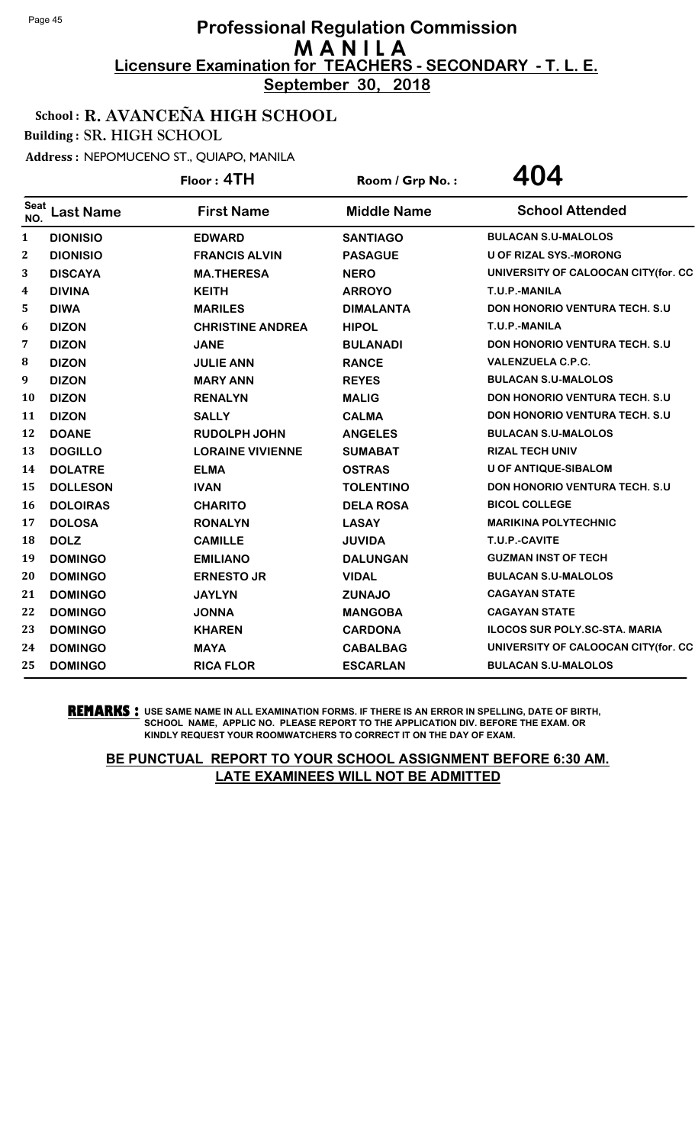**September 30, 2018**

School : R. AVANCEÑA HIGH SCHOOL

Building : SR. HIGH SCHOOL

Address : NEPOMUCENO ST., QUIAPO, MANILA

|                    |                  | Floor: 4TH              | Room / Grp No.:    | 404                                   |
|--------------------|------------------|-------------------------|--------------------|---------------------------------------|
| <b>Seat</b><br>NO. | <b>Last Name</b> | <b>First Name</b>       | <b>Middle Name</b> | <b>School Attended</b>                |
| 1                  | <b>DIONISIO</b>  | <b>EDWARD</b>           | <b>SANTIAGO</b>    | <b>BULACAN S.U-MALOLOS</b>            |
| 2                  | <b>DIONISIO</b>  | <b>FRANCIS ALVIN</b>    | <b>PASAGUE</b>     | <b>U OF RIZAL SYS.-MORONG</b>         |
| 3                  | <b>DISCAYA</b>   | <b>MA.THERESA</b>       | <b>NERO</b>        | UNIVERSITY OF CALOOCAN CITY(for. CC   |
| 4                  | <b>DIVINA</b>    | <b>KEITH</b>            | <b>ARROYO</b>      | T.U.P.-MANILA                         |
| 5                  | <b>DIWA</b>      | <b>MARILES</b>          | <b>DIMALANTA</b>   | <b>DON HONORIO VENTURA TECH. S.U.</b> |
| 6                  | <b>DIZON</b>     | <b>CHRISTINE ANDREA</b> | <b>HIPOL</b>       | T.U.P.-MANILA                         |
| 7                  | <b>DIZON</b>     | <b>JANE</b>             | <b>BULANADI</b>    | <b>DON HONORIO VENTURA TECH. S.U.</b> |
| 8                  | <b>DIZON</b>     | <b>JULIE ANN</b>        | <b>RANCE</b>       | <b>VALENZUELA C.P.C.</b>              |
| 9                  | <b>DIZON</b>     | <b>MARY ANN</b>         | <b>REYES</b>       | <b>BULACAN S.U-MALOLOS</b>            |
| 10                 | <b>DIZON</b>     | <b>RENALYN</b>          | <b>MALIG</b>       | <b>DON HONORIO VENTURA TECH. S.U.</b> |
| 11                 | <b>DIZON</b>     | <b>SALLY</b>            | <b>CALMA</b>       | <b>DON HONORIO VENTURA TECH. S.U.</b> |
| 12                 | <b>DOANE</b>     | <b>RUDOLPH JOHN</b>     | <b>ANGELES</b>     | <b>BULACAN S.U-MALOLOS</b>            |
| 13                 | <b>DOGILLO</b>   | <b>LORAINE VIVIENNE</b> | <b>SUMABAT</b>     | <b>RIZAL TECH UNIV</b>                |
| 14                 | <b>DOLATRE</b>   | <b>ELMA</b>             | <b>OSTRAS</b>      | <b>U OF ANTIQUE-SIBALOM</b>           |
| 15                 | <b>DOLLESON</b>  | <b>IVAN</b>             | <b>TOLENTINO</b>   | <b>DON HONORIO VENTURA TECH. S.U.</b> |
| 16                 | <b>DOLOIRAS</b>  | <b>CHARITO</b>          | <b>DELA ROSA</b>   | <b>BICOL COLLEGE</b>                  |
| 17                 | <b>DOLOSA</b>    | <b>RONALYN</b>          | <b>LASAY</b>       | <b>MARIKINA POLYTECHNIC</b>           |
| 18                 | <b>DOLZ</b>      | <b>CAMILLE</b>          | <b>JUVIDA</b>      | T.U.P.-CAVITE                         |
| 19                 | <b>DOMINGO</b>   | <b>EMILIANO</b>         | <b>DALUNGAN</b>    | <b>GUZMAN INST OF TECH</b>            |
| 20                 | <b>DOMINGO</b>   | <b>ERNESTO JR</b>       | <b>VIDAL</b>       | <b>BULACAN S.U-MALOLOS</b>            |
| 21                 | <b>DOMINGO</b>   | <b>JAYLYN</b>           | <b>ZUNAJO</b>      | <b>CAGAYAN STATE</b>                  |
| 22                 | <b>DOMINGO</b>   | <b>JONNA</b>            | <b>MANGOBA</b>     | <b>CAGAYAN STATE</b>                  |
| 23                 | <b>DOMINGO</b>   | <b>KHAREN</b>           | <b>CARDONA</b>     | <b>ILOCOS SUR POLY.SC-STA. MARIA</b>  |
| 24                 | <b>DOMINGO</b>   | <b>MAYA</b>             | <b>CABALBAG</b>    | UNIVERSITY OF CALOOCAN CITY(for. CC   |
| 25                 | <b>DOMINGO</b>   | <b>RICA FLOR</b>        | <b>ESCARLAN</b>    | <b>BULACAN S.U-MALOLOS</b>            |

**REMARKS :** USE SAME NAME IN ALL EXAMINATION FORMS. IF THERE IS AN ERROR IN SPELLING, DATE OF BIRTH, SCHOOL NAME, APPLIC NO. PLEASE REPORT TO THE APPLICATION DIV. BEFORE THE EXAM. OR KINDLY REQUEST YOUR ROOMWATCHERS TO CORRECT IT ON THE DAY OF EXAM.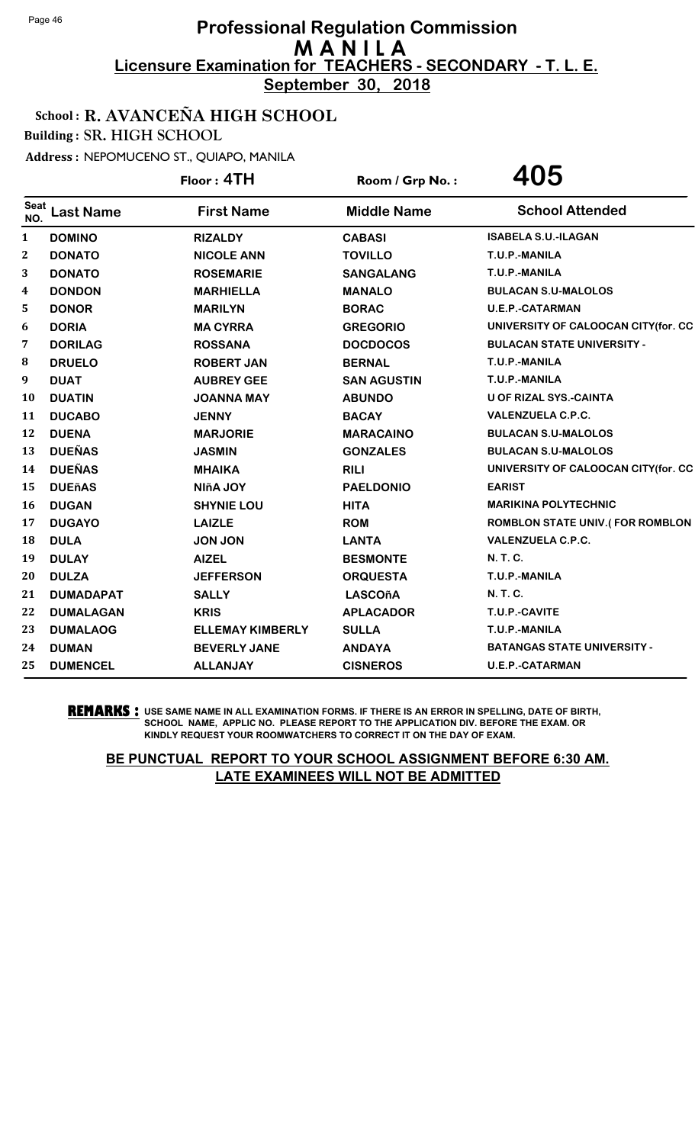**September 30, 2018**

### School : R. AVANCEÑA HIGH SCHOOL

Building : SR. HIGH SCHOOL

Address : NEPOMUCENO ST., QUIAPO, MANILA

|              |                  | Floor: 4TH              | Room / Grp No.:    | 405                                    |
|--------------|------------------|-------------------------|--------------------|----------------------------------------|
| Seat<br>NO.  | <b>Last Name</b> | <b>First Name</b>       | <b>Middle Name</b> | <b>School Attended</b>                 |
| $\mathbf{1}$ | <b>DOMINO</b>    | <b>RIZALDY</b>          | <b>CABASI</b>      | <b>ISABELA S.U.-ILAGAN</b>             |
| 2            | <b>DONATO</b>    | <b>NICOLE ANN</b>       | <b>TOVILLO</b>     | T.U.P.-MANILA                          |
| 3            | <b>DONATO</b>    | <b>ROSEMARIE</b>        | <b>SANGALANG</b>   | T.U.P.-MANILA                          |
| 4            | <b>DONDON</b>    | <b>MARHIELLA</b>        | <b>MANALO</b>      | <b>BULACAN S.U-MALOLOS</b>             |
| 5            | <b>DONOR</b>     | <b>MARILYN</b>          | <b>BORAC</b>       | <b>U.E.P.-CATARMAN</b>                 |
| 6            | <b>DORIA</b>     | <b>MA CYRRA</b>         | <b>GREGORIO</b>    | UNIVERSITY OF CALOOCAN CITY(for. CC    |
| 7            | <b>DORILAG</b>   | <b>ROSSANA</b>          | <b>DOCDOCOS</b>    | <b>BULACAN STATE UNIVERSITY -</b>      |
| 8            | <b>DRUELO</b>    | <b>ROBERT JAN</b>       | <b>BERNAL</b>      | T.U.P.-MANILA                          |
| 9            | <b>DUAT</b>      | <b>AUBREY GEE</b>       | <b>SAN AGUSTIN</b> | T.U.P.-MANILA                          |
| 10           | <b>DUATIN</b>    | <b>JOANNA MAY</b>       | <b>ABUNDO</b>      | <b>U OF RIZAL SYS.-CAINTA</b>          |
| 11           | <b>DUCABO</b>    | <b>JENNY</b>            | <b>BACAY</b>       | <b>VALENZUELA C.P.C.</b>               |
| 12           | <b>DUENA</b>     | <b>MARJORIE</b>         | <b>MARACAINO</b>   | <b>BULACAN S.U-MALOLOS</b>             |
| 13           | <b>DUEÑAS</b>    | <b>JASMIN</b>           | <b>GONZALES</b>    | <b>BULACAN S.U-MALOLOS</b>             |
| 14           | <b>DUEÑAS</b>    | <b>MHAIKA</b>           | <b>RILI</b>        | UNIVERSITY OF CALOOCAN CITY(for. CC    |
| 15           | <b>DUEñAS</b>    | <b>NIñA JOY</b>         | <b>PAELDONIO</b>   | <b>EARIST</b>                          |
| 16           | <b>DUGAN</b>     | <b>SHYNIE LOU</b>       | <b>HITA</b>        | <b>MARIKINA POLYTECHNIC</b>            |
| 17           | <b>DUGAYO</b>    | <b>LAIZLE</b>           | <b>ROM</b>         | <b>ROMBLON STATE UNIV.(FOR ROMBLON</b> |
| 18           | <b>DULA</b>      | <b>JON JON</b>          | <b>LANTA</b>       | <b>VALENZUELA C.P.C.</b>               |
| 19           | <b>DULAY</b>     | <b>AIZEL</b>            | <b>BESMONTE</b>    | <b>N.T.C.</b>                          |
| 20           | <b>DULZA</b>     | <b>JEFFERSON</b>        | <b>ORQUESTA</b>    | T.U.P.-MANILA                          |
| 21           | <b>DUMADAPAT</b> | <b>SALLY</b>            | <b>LASCOñA</b>     | <b>N.T.C.</b>                          |
| 22           | <b>DUMALAGAN</b> | <b>KRIS</b>             | <b>APLACADOR</b>   | T.U.P.-CAVITE                          |
| 23           | <b>DUMALAOG</b>  | <b>ELLEMAY KIMBERLY</b> | <b>SULLA</b>       | T.U.P.-MANILA                          |
| 24           | <b>DUMAN</b>     | <b>BEVERLY JANE</b>     | <b>ANDAYA</b>      | <b>BATANGAS STATE UNIVERSITY -</b>     |
| 25           | <b>DUMENCEL</b>  | <b>ALLANJAY</b>         | <b>CISNEROS</b>    | <b>U.E.P.-CATARMAN</b>                 |

**REMARKS :** USE SAME NAME IN ALL EXAMINATION FORMS. IF THERE IS AN ERROR IN SPELLING, DATE OF BIRTH, SCHOOL NAME, APPLIC NO. PLEASE REPORT TO THE APPLICATION DIV. BEFORE THE EXAM. OR KINDLY REQUEST YOUR ROOMWATCHERS TO CORRECT IT ON THE DAY OF EXAM.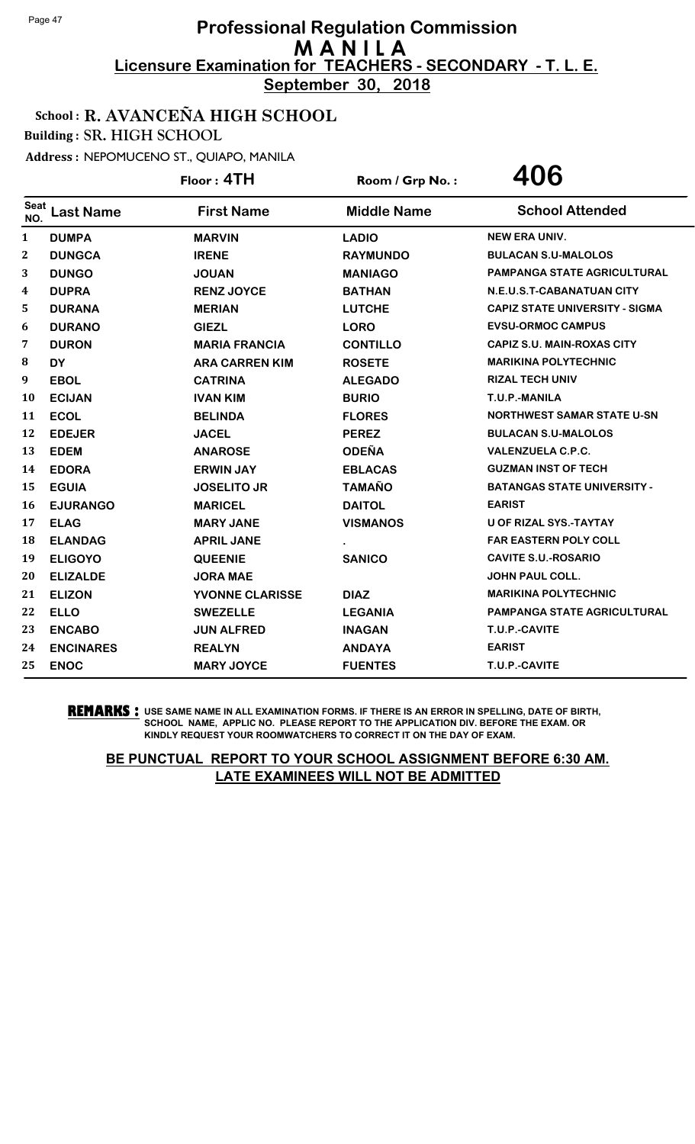**September 30, 2018**

### School : R. AVANCEÑA HIGH SCHOOL

Building : SR. HIGH SCHOOL

Address : NEPOMUCENO ST., QUIAPO, MANILA

|              |                  | Floor: 4TH            | Room / Grp No.:    | 406                                   |
|--------------|------------------|-----------------------|--------------------|---------------------------------------|
| Seat<br>NO.  | <b>Last Name</b> | <b>First Name</b>     | <b>Middle Name</b> | <b>School Attended</b>                |
| $\mathbf{1}$ | <b>DUMPA</b>     | <b>MARVIN</b>         | <b>LADIO</b>       | <b>NEW ERA UNIV.</b>                  |
| 2            | <b>DUNGCA</b>    | <b>IRENE</b>          | <b>RAYMUNDO</b>    | <b>BULACAN S.U-MALOLOS</b>            |
| 3            | <b>DUNGO</b>     | <b>JOUAN</b>          | <b>MANIAGO</b>     | PAMPANGA STATE AGRICULTURAL           |
| 4            | <b>DUPRA</b>     | <b>RENZ JOYCE</b>     | <b>BATHAN</b>      | N.E.U.S.T-CABANATUAN CITY             |
| 5            | <b>DURANA</b>    | <b>MERIAN</b>         | <b>LUTCHE</b>      | <b>CAPIZ STATE UNIVERSITY - SIGMA</b> |
| 6            | <b>DURANO</b>    | <b>GIEZL</b>          | <b>LORO</b>        | <b>EVSU-ORMOC CAMPUS</b>              |
| 7            | <b>DURON</b>     | <b>MARIA FRANCIA</b>  | <b>CONTILLO</b>    | <b>CAPIZ S.U. MAIN-ROXAS CITY</b>     |
| 8            | <b>DY</b>        | <b>ARA CARREN KIM</b> | <b>ROSETE</b>      | <b>MARIKINA POLYTECHNIC</b>           |
| 9            | <b>EBOL</b>      | <b>CATRINA</b>        | <b>ALEGADO</b>     | <b>RIZAL TECH UNIV</b>                |
| 10           | <b>ECIJAN</b>    | <b>IVAN KIM</b>       | <b>BURIO</b>       | T.U.P.-MANILA                         |
| 11           | <b>ECOL</b>      | <b>BELINDA</b>        | <b>FLORES</b>      | <b>NORTHWEST SAMAR STATE U-SN</b>     |
| 12           | <b>EDEJER</b>    | <b>JACEL</b>          | <b>PEREZ</b>       | <b>BULACAN S.U-MALOLOS</b>            |
| 13           | <b>EDEM</b>      | <b>ANAROSE</b>        | <b>ODEÑA</b>       | <b>VALENZUELA C.P.C.</b>              |
| 14           | <b>EDORA</b>     | <b>ERWIN JAY</b>      | <b>EBLACAS</b>     | <b>GUZMAN INST OF TECH</b>            |
| 15           | <b>EGUIA</b>     | <b>JOSELITO JR</b>    | <b>TAMAÑO</b>      | <b>BATANGAS STATE UNIVERSITY -</b>    |
| 16           | <b>EJURANGO</b>  | <b>MARICEL</b>        | <b>DAITOL</b>      | <b>EARIST</b>                         |
| 17           | <b>ELAG</b>      | <b>MARY JANE</b>      | <b>VISMANOS</b>    | <b>U OF RIZAL SYS.-TAYTAY</b>         |
| 18           | <b>ELANDAG</b>   | <b>APRIL JANE</b>     |                    | <b>FAR EASTERN POLY COLL</b>          |
| 19           | <b>ELIGOYO</b>   | <b>QUEENIE</b>        | <b>SANICO</b>      | <b>CAVITE S.U.-ROSARIO</b>            |
| 20           | <b>ELIZALDE</b>  | <b>JORA MAE</b>       |                    | <b>JOHN PAUL COLL.</b>                |
| 21           | <b>ELIZON</b>    | YVONNE CLARISSE       | <b>DIAZ</b>        | <b>MARIKINA POLYTECHNIC</b>           |
| 22           | <b>ELLO</b>      | <b>SWEZELLE</b>       | <b>LEGANIA</b>     | PAMPANGA STATE AGRICULTURAL           |
| 23           | <b>ENCABO</b>    | <b>JUN ALFRED</b>     | <b>INAGAN</b>      | T.U.P.-CAVITE                         |
| 24           | <b>ENCINARES</b> | <b>REALYN</b>         | <b>ANDAYA</b>      | <b>EARIST</b>                         |
| 25           | <b>ENOC</b>      | <b>MARY JOYCE</b>     | <b>FUENTES</b>     | T.U.P.-CAVITE                         |

**REMARKS :** USE SAME NAME IN ALL EXAMINATION FORMS. IF THERE IS AN ERROR IN SPELLING, DATE OF BIRTH, SCHOOL NAME, APPLIC NO. PLEASE REPORT TO THE APPLICATION DIV. BEFORE THE EXAM. OR KINDLY REQUEST YOUR ROOMWATCHERS TO CORRECT IT ON THE DAY OF EXAM.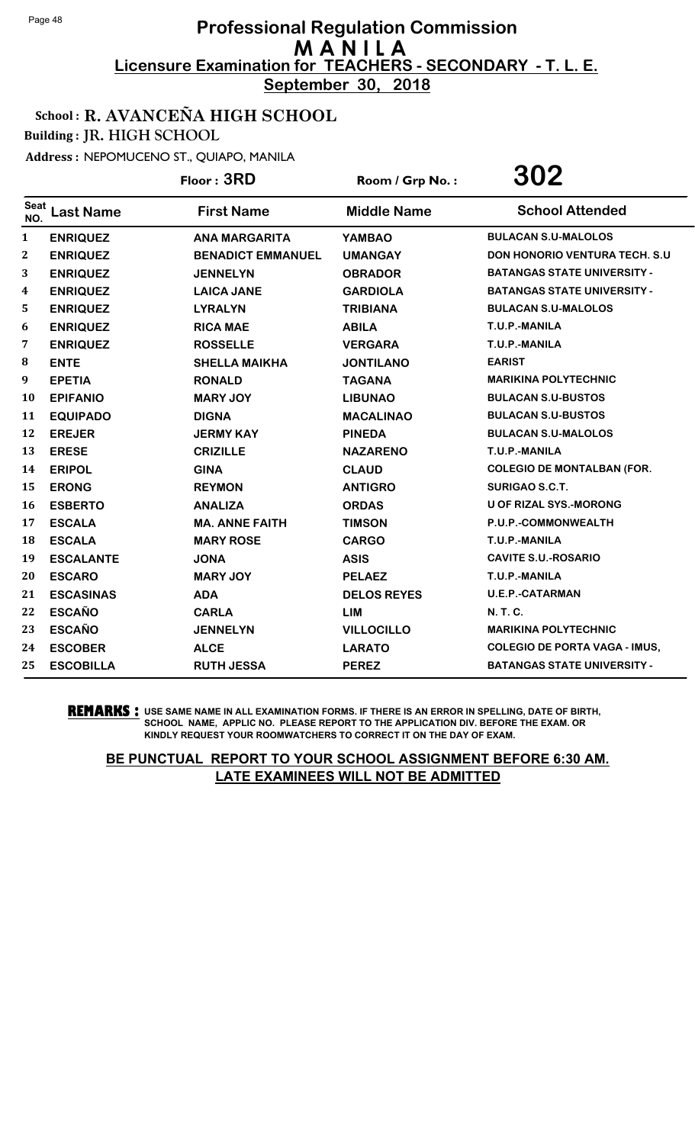**September 30, 2018**

School : R. AVANCEÑA HIGH SCHOOL

Building : JR. HIGH SCHOOL

Address : NEPOMUCENO ST., QUIAPO, MANILA

|                  |                  | Floor: 3RD               | Room / Grp No.:    | 302                                   |
|------------------|------------------|--------------------------|--------------------|---------------------------------------|
| Seat<br>NO.      | <b>Last Name</b> | <b>First Name</b>        | <b>Middle Name</b> | <b>School Attended</b>                |
| $\mathbf{1}$     | <b>ENRIQUEZ</b>  | <b>ANA MARGARITA</b>     | <b>YAMBAO</b>      | <b>BULACAN S.U-MALOLOS</b>            |
| $\boldsymbol{2}$ | <b>ENRIQUEZ</b>  | <b>BENADICT EMMANUEL</b> | <b>UMANGAY</b>     | <b>DON HONORIO VENTURA TECH. S.U.</b> |
| 3                | <b>ENRIQUEZ</b>  | <b>JENNELYN</b>          | <b>OBRADOR</b>     | <b>BATANGAS STATE UNIVERSITY -</b>    |
| 4                | <b>ENRIQUEZ</b>  | <b>LAICA JANE</b>        | <b>GARDIOLA</b>    | <b>BATANGAS STATE UNIVERSITY -</b>    |
| 5                | <b>ENRIQUEZ</b>  | <b>LYRALYN</b>           | <b>TRIBIANA</b>    | <b>BULACAN S.U-MALOLOS</b>            |
| 6                | <b>ENRIQUEZ</b>  | <b>RICA MAE</b>          | <b>ABILA</b>       | T.U.P.-MANILA                         |
| 7                | <b>ENRIQUEZ</b>  | <b>ROSSELLE</b>          | <b>VERGARA</b>     | T.U.P.-MANILA                         |
| 8                | <b>ENTE</b>      | <b>SHELLA MAIKHA</b>     | <b>JONTILANO</b>   | <b>EARIST</b>                         |
| 9                | <b>EPETIA</b>    | <b>RONALD</b>            | <b>TAGANA</b>      | <b>MARIKINA POLYTECHNIC</b>           |
| 10               | <b>EPIFANIO</b>  | <b>MARY JOY</b>          | <b>LIBUNAO</b>     | <b>BULACAN S.U-BUSTOS</b>             |
| 11               | <b>EQUIPADO</b>  | <b>DIGNA</b>             | <b>MACALINAO</b>   | <b>BULACAN S.U-BUSTOS</b>             |
| 12               | <b>EREJER</b>    | <b>JERMY KAY</b>         | <b>PINEDA</b>      | <b>BULACAN S.U-MALOLOS</b>            |
| 13               | <b>ERESE</b>     | <b>CRIZILLE</b>          | <b>NAZARENO</b>    | T.U.P.-MANILA                         |
| 14               | <b>ERIPOL</b>    | <b>GINA</b>              | <b>CLAUD</b>       | <b>COLEGIO DE MONTALBAN (FOR.</b>     |
| 15               | <b>ERONG</b>     | <b>REYMON</b>            | <b>ANTIGRO</b>     | <b>SURIGAO S.C.T.</b>                 |
| 16               | <b>ESBERTO</b>   | <b>ANALIZA</b>           | <b>ORDAS</b>       | <b>U OF RIZAL SYS.-MORONG</b>         |
| 17               | <b>ESCALA</b>    | <b>MA. ANNE FAITH</b>    | <b>TIMSON</b>      | P.U.P.-COMMONWEALTH                   |
| 18               | <b>ESCALA</b>    | <b>MARY ROSE</b>         | <b>CARGO</b>       | T.U.P.-MANILA                         |
| 19               | <b>ESCALANTE</b> | <b>JONA</b>              | <b>ASIS</b>        | <b>CAVITE S.U.-ROSARIO</b>            |
| 20               | <b>ESCARO</b>    | <b>MARY JOY</b>          | <b>PELAEZ</b>      | T.U.P.-MANILA                         |
| 21               | <b>ESCASINAS</b> | <b>ADA</b>               | <b>DELOS REYES</b> | <b>U.E.P.-CATARMAN</b>                |
| 22               | <b>ESCAÑO</b>    | <b>CARLA</b>             | <b>LIM</b>         | <b>N. T. C.</b>                       |
| 23               | <b>ESCAÑO</b>    | <b>JENNELYN</b>          | <b>VILLOCILLO</b>  | <b>MARIKINA POLYTECHNIC</b>           |
| 24               | <b>ESCOBER</b>   | <b>ALCE</b>              | <b>LARATO</b>      | <b>COLEGIO DE PORTA VAGA - IMUS,</b>  |
| 25               | <b>ESCOBILLA</b> | <b>RUTH JESSA</b>        | <b>PEREZ</b>       | <b>BATANGAS STATE UNIVERSITY -</b>    |

**REMARKS :** USE SAME NAME IN ALL EXAMINATION FORMS. IF THERE IS AN ERROR IN SPELLING, DATE OF BIRTH, SCHOOL NAME, APPLIC NO. PLEASE REPORT TO THE APPLICATION DIV. BEFORE THE EXAM. OR KINDLY REQUEST YOUR ROOMWATCHERS TO CORRECT IT ON THE DAY OF EXAM.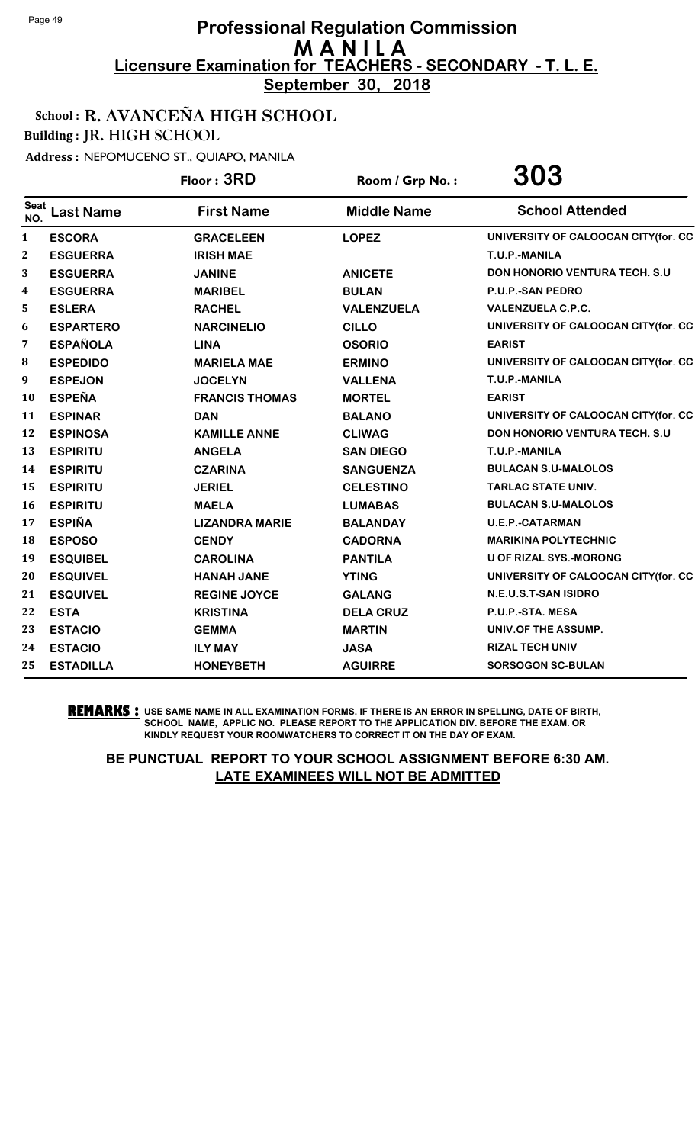**September 30, 2018**

### School : R. AVANCEÑA HIGH SCHOOL

Building : JR. HIGH SCHOOL

Address : NEPOMUCENO ST., QUIAPO, MANILA

|                    |                  | Floor: 3RD            | Room / Grp No.:    | 303                                   |
|--------------------|------------------|-----------------------|--------------------|---------------------------------------|
| <b>Seat</b><br>NO. | <b>Last Name</b> | <b>First Name</b>     | <b>Middle Name</b> | <b>School Attended</b>                |
| 1                  | <b>ESCORA</b>    | <b>GRACELEEN</b>      | <b>LOPEZ</b>       | UNIVERSITY OF CALOOCAN CITY(for. CC   |
| 2                  | <b>ESGUERRA</b>  | <b>IRISH MAE</b>      |                    | T.U.P.-MANILA                         |
| 3                  | <b>ESGUERRA</b>  | <b>JANINE</b>         | <b>ANICETE</b>     | <b>DON HONORIO VENTURA TECH. S.U.</b> |
| 4                  | <b>ESGUERRA</b>  | <b>MARIBEL</b>        | <b>BULAN</b>       | P.U.P.-SAN PEDRO                      |
| 5                  | <b>ESLERA</b>    | <b>RACHEL</b>         | <b>VALENZUELA</b>  | <b>VALENZUELA C.P.C.</b>              |
| 6                  | <b>ESPARTERO</b> | <b>NARCINELIO</b>     | <b>CILLO</b>       | UNIVERSITY OF CALOOCAN CITY(for. CC   |
| 7                  | <b>ESPAÑOLA</b>  | <b>LINA</b>           | <b>OSORIO</b>      | <b>EARIST</b>                         |
| 8                  | <b>ESPEDIDO</b>  | <b>MARIELA MAE</b>    | <b>ERMINO</b>      | UNIVERSITY OF CALOOCAN CITY(for. CC   |
| 9                  | <b>ESPEJON</b>   | <b>JOCELYN</b>        | <b>VALLENA</b>     | T.U.P.-MANILA                         |
| 10                 | <b>ESPEÑA</b>    | <b>FRANCIS THOMAS</b> | <b>MORTEL</b>      | <b>EARIST</b>                         |
| 11                 | <b>ESPINAR</b>   | <b>DAN</b>            | <b>BALANO</b>      | UNIVERSITY OF CALOOCAN CITY(for. CC   |
| 12                 | <b>ESPINOSA</b>  | <b>KAMILLE ANNE</b>   | <b>CLIWAG</b>      | <b>DON HONORIO VENTURA TECH. S.U</b>  |
| 13                 | <b>ESPIRITU</b>  | <b>ANGELA</b>         | <b>SAN DIEGO</b>   | T.U.P.-MANILA                         |
| 14                 | <b>ESPIRITU</b>  | <b>CZARINA</b>        | <b>SANGUENZA</b>   | <b>BULACAN S.U-MALOLOS</b>            |
| 15                 | <b>ESPIRITU</b>  | <b>JERIEL</b>         | <b>CELESTINO</b>   | <b>TARLAC STATE UNIV.</b>             |
| 16                 | <b>ESPIRITU</b>  | <b>MAELA</b>          | <b>LUMABAS</b>     | <b>BULACAN S.U-MALOLOS</b>            |
| 17                 | <b>ESPIÑA</b>    | <b>LIZANDRA MARIE</b> | <b>BALANDAY</b>    | <b>U.E.P.-CATARMAN</b>                |
| 18                 | <b>ESPOSO</b>    | <b>CENDY</b>          | <b>CADORNA</b>     | <b>MARIKINA POLYTECHNIC</b>           |
| 19                 | <b>ESQUIBEL</b>  | <b>CAROLINA</b>       | <b>PANTILA</b>     | <b>U OF RIZAL SYS.-MORONG</b>         |
| 20                 | <b>ESQUIVEL</b>  | <b>HANAH JANE</b>     | <b>YTING</b>       | UNIVERSITY OF CALOOCAN CITY(for. CC   |
| 21                 | <b>ESQUIVEL</b>  | <b>REGINE JOYCE</b>   | <b>GALANG</b>      | N.E.U.S.T-SAN ISIDRO                  |
| 22                 | <b>ESTA</b>      | <b>KRISTINA</b>       | <b>DELA CRUZ</b>   | P.U.P.-STA. MESA                      |
| 23                 | <b>ESTACIO</b>   | <b>GEMMA</b>          | <b>MARTIN</b>      | UNIV.OF THE ASSUMP.                   |
| 24                 | <b>ESTACIO</b>   | <b>ILY MAY</b>        | <b>JASA</b>        | <b>RIZAL TECH UNIV</b>                |
| 25                 | <b>ESTADILLA</b> | <b>HONEYBETH</b>      | <b>AGUIRRE</b>     | <b>SORSOGON SC-BULAN</b>              |

**REMARKS :** USE SAME NAME IN ALL EXAMINATION FORMS. IF THERE IS AN ERROR IN SPELLING, DATE OF BIRTH, SCHOOL NAME, APPLIC NO. PLEASE REPORT TO THE APPLICATION DIV. BEFORE THE EXAM. OR KINDLY REQUEST YOUR ROOMWATCHERS TO CORRECT IT ON THE DAY OF EXAM.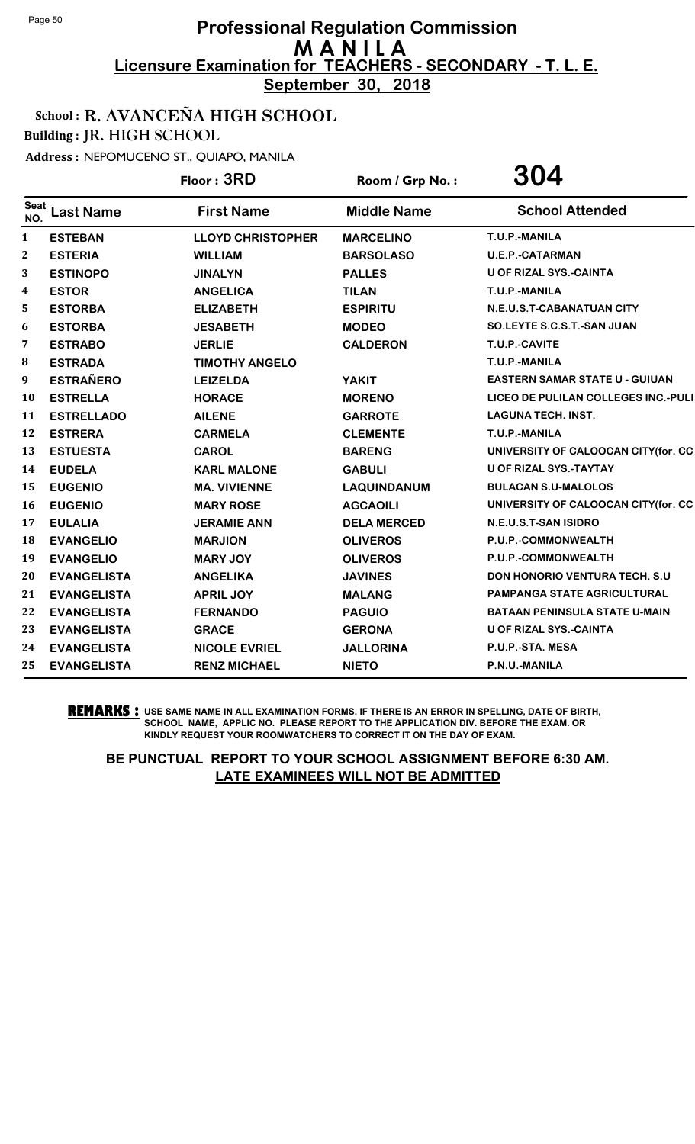**September 30, 2018**

School : R. AVANCEÑA HIGH SCHOOL

Building : JR. HIGH SCHOOL

Address : NEPOMUCENO ST., QUIAPO, MANILA

|                    |                    | Floor: 3RD               | Room / Grp No.:    | 304                                   |
|--------------------|--------------------|--------------------------|--------------------|---------------------------------------|
| <b>Seat</b><br>NO. | <b>Last Name</b>   | <b>First Name</b>        | <b>Middle Name</b> | <b>School Attended</b>                |
| $\mathbf{1}$       | <b>ESTEBAN</b>     | <b>LLOYD CHRISTOPHER</b> | <b>MARCELINO</b>   | T.U.P.-MANILA                         |
| $\boldsymbol{2}$   | <b>ESTERIA</b>     | <b>WILLIAM</b>           | <b>BARSOLASO</b>   | <b>U.E.P.-CATARMAN</b>                |
| 3                  | <b>ESTINOPO</b>    | <b>JINALYN</b>           | <b>PALLES</b>      | <b>U OF RIZAL SYS.-CAINTA</b>         |
| 4                  | <b>ESTOR</b>       | <b>ANGELICA</b>          | <b>TILAN</b>       | T.U.P.-MANILA                         |
| 5                  | <b>ESTORBA</b>     | <b>ELIZABETH</b>         | <b>ESPIRITU</b>    | N.E.U.S.T-CABANATUAN CITY             |
| 6                  | <b>ESTORBA</b>     | <b>JESABETH</b>          | <b>MODEO</b>       | SO.LEYTE S.C.S.T.-SAN JUAN            |
| 7                  | <b>ESTRABO</b>     | <b>JERLIE</b>            | <b>CALDERON</b>    | T.U.P.-CAVITE                         |
| ${\bf 8}$          | <b>ESTRADA</b>     | <b>TIMOTHY ANGELO</b>    |                    | T.U.P.-MANILA                         |
| 9                  | <b>ESTRAÑERO</b>   | <b>LEIZELDA</b>          | <b>YAKIT</b>       | <b>EASTERN SAMAR STATE U - GUIUAN</b> |
| 10                 | <b>ESTRELLA</b>    | <b>HORACE</b>            | <b>MORENO</b>      | LICEO DE PULILAN COLLEGES INC.-PULI   |
| 11                 | <b>ESTRELLADO</b>  | <b>AILENE</b>            | <b>GARROTE</b>     | <b>LAGUNA TECH. INST.</b>             |
| 12                 | <b>ESTRERA</b>     | <b>CARMELA</b>           | <b>CLEMENTE</b>    | T.U.P.-MANILA                         |
| 13                 | <b>ESTUESTA</b>    | <b>CAROL</b>             | <b>BARENG</b>      | UNIVERSITY OF CALOOCAN CITY(for. CC   |
| 14                 | <b>EUDELA</b>      | <b>KARL MALONE</b>       | <b>GABULI</b>      | <b>U OF RIZAL SYS.-TAYTAY</b>         |
| 15                 | <b>EUGENIO</b>     | <b>MA. VIVIENNE</b>      | <b>LAQUINDANUM</b> | <b>BULACAN S.U-MALOLOS</b>            |
| 16                 | <b>EUGENIO</b>     | <b>MARY ROSE</b>         | <b>AGCAOILI</b>    | UNIVERSITY OF CALOOCAN CITY(for. CC   |
| 17                 | <b>EULALIA</b>     | <b>JERAMIE ANN</b>       | <b>DELA MERCED</b> | N.E.U.S.T-SAN ISIDRO                  |
| 18                 | <b>EVANGELIO</b>   | <b>MARJION</b>           | <b>OLIVEROS</b>    | P.U.P.-COMMONWEALTH                   |
| 19                 | <b>EVANGELIO</b>   | <b>MARY JOY</b>          | <b>OLIVEROS</b>    | P.U.P.-COMMONWEALTH                   |
| 20                 | <b>EVANGELISTA</b> | <b>ANGELIKA</b>          | <b>JAVINES</b>     | <b>DON HONORIO VENTURA TECH. S.U.</b> |
| 21                 | <b>EVANGELISTA</b> | <b>APRIL JOY</b>         | <b>MALANG</b>      | <b>PAMPANGA STATE AGRICULTURAL</b>    |
| 22                 | <b>EVANGELISTA</b> | <b>FERNANDO</b>          | <b>PAGUIO</b>      | <b>BATAAN PENINSULA STATE U-MAIN</b>  |
| 23                 | <b>EVANGELISTA</b> | <b>GRACE</b>             | <b>GERONA</b>      | U OF RIZAL SYS.-CAINTA                |
| 24                 | <b>EVANGELISTA</b> | <b>NICOLE EVRIEL</b>     | <b>JALLORINA</b>   | P.U.P.-STA. MESA                      |
| 25                 | <b>EVANGELISTA</b> | <b>RENZ MICHAEL</b>      | <b>NIETO</b>       | P.N.U.-MANILA                         |

**REMARKS :** USE SAME NAME IN ALL EXAMINATION FORMS. IF THERE IS AN ERROR IN SPELLING, DATE OF BIRTH, SCHOOL NAME, APPLIC NO. PLEASE REPORT TO THE APPLICATION DIV. BEFORE THE EXAM. OR KINDLY REQUEST YOUR ROOMWATCHERS TO CORRECT IT ON THE DAY OF EXAM.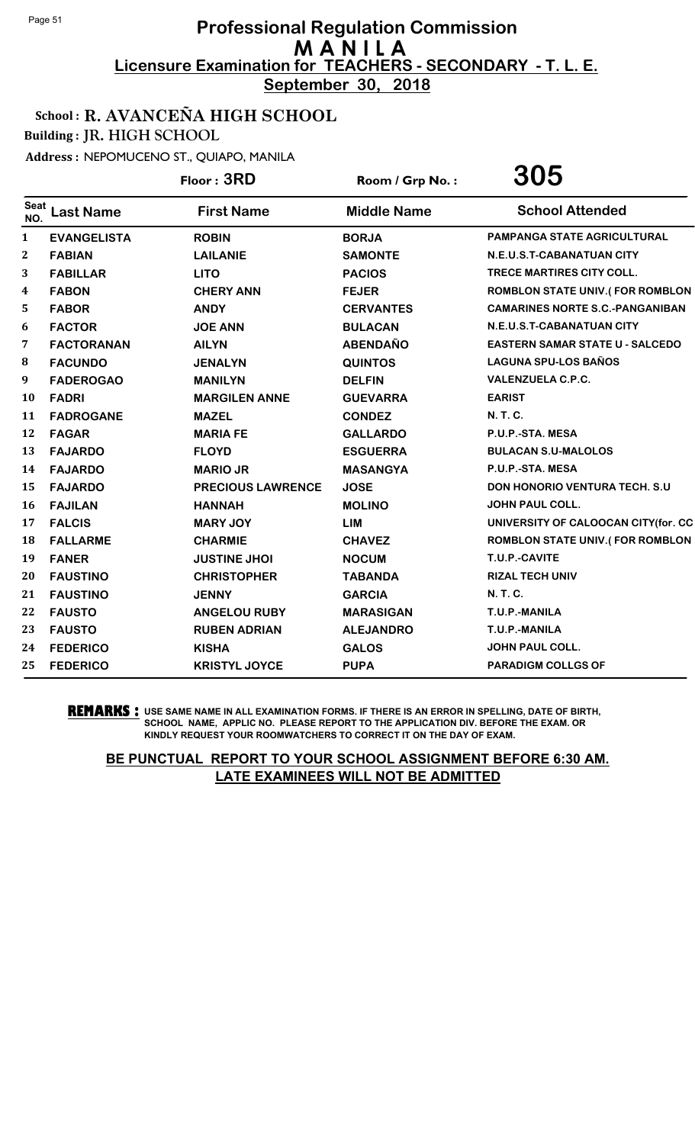**September 30, 2018**

### School : R. AVANCEÑA HIGH SCHOOL

Building : JR. HIGH SCHOOL

Address : NEPOMUCENO ST., QUIAPO, MANILA

|                    |                    | Floor: 3RD               | Room / Grp No.:    | 305                                    |
|--------------------|--------------------|--------------------------|--------------------|----------------------------------------|
| <b>Seat</b><br>NO. | <b>Last Name</b>   | <b>First Name</b>        | <b>Middle Name</b> | <b>School Attended</b>                 |
| $\mathbf{1}$       | <b>EVANGELISTA</b> | <b>ROBIN</b>             | <b>BORJA</b>       | <b>PAMPANGA STATE AGRICULTURAL</b>     |
| 2                  | <b>FABIAN</b>      | <b>LAILANIE</b>          | <b>SAMONTE</b>     | N.E.U.S.T-CABANATUAN CITY              |
| 3                  | <b>FABILLAR</b>    | <b>LITO</b>              | <b>PACIOS</b>      | TRECE MARTIRES CITY COLL.              |
| 4                  | <b>FABON</b>       | <b>CHERY ANN</b>         | <b>FEJER</b>       | <b>ROMBLON STATE UNIV.(FOR ROMBLON</b> |
| 5                  | <b>FABOR</b>       | <b>ANDY</b>              | <b>CERVANTES</b>   | <b>CAMARINES NORTE S.C.-PANGANIBAN</b> |
| 6                  | <b>FACTOR</b>      | <b>JOE ANN</b>           | <b>BULACAN</b>     | N.E.U.S.T-CABANATUAN CITY              |
| 7                  | <b>FACTORANAN</b>  | <b>AILYN</b>             | <b>ABENDAÑO</b>    | <b>EASTERN SAMAR STATE U - SALCEDO</b> |
| 8                  | <b>FACUNDO</b>     | <b>JENALYN</b>           | <b>QUINTOS</b>     | <b>LAGUNA SPU-LOS BAÑOS</b>            |
| 9                  | <b>FADEROGAO</b>   | <b>MANILYN</b>           | <b>DELFIN</b>      | <b>VALENZUELA C.P.C.</b>               |
| 10                 | <b>FADRI</b>       | <b>MARGILEN ANNE</b>     | <b>GUEVARRA</b>    | <b>EARIST</b>                          |
| 11                 | <b>FADROGANE</b>   | <b>MAZEL</b>             | <b>CONDEZ</b>      | <b>N.T.C.</b>                          |
| 12                 | <b>FAGAR</b>       | <b>MARIA FE</b>          | <b>GALLARDO</b>    | P.U.P.-STA. MESA                       |
| 13                 | <b>FAJARDO</b>     | <b>FLOYD</b>             | <b>ESGUERRA</b>    | <b>BULACAN S.U-MALOLOS</b>             |
| 14                 | <b>FAJARDO</b>     | <b>MARIO JR</b>          | <b>MASANGYA</b>    | P.U.P.-STA. MESA                       |
| 15                 | <b>FAJARDO</b>     | <b>PRECIOUS LAWRENCE</b> | <b>JOSE</b>        | <b>DON HONORIO VENTURA TECH. S.U</b>   |
| 16                 | <b>FAJILAN</b>     | <b>HANNAH</b>            | <b>MOLINO</b>      | <b>JOHN PAUL COLL.</b>                 |
| 17                 | <b>FALCIS</b>      | <b>MARY JOY</b>          | <b>LIM</b>         | UNIVERSITY OF CALOOCAN CITY(for. CC    |
| 18                 | <b>FALLARME</b>    | <b>CHARMIE</b>           | <b>CHAVEZ</b>      | <b>ROMBLON STATE UNIV.(FOR ROMBLON</b> |
| 19                 | <b>FANER</b>       | <b>JUSTINE JHOI</b>      | <b>NOCUM</b>       | T.U.P.-CAVITE                          |
| 20                 | <b>FAUSTINO</b>    | <b>CHRISTOPHER</b>       | <b>TABANDA</b>     | <b>RIZAL TECH UNIV</b>                 |
| 21                 | <b>FAUSTINO</b>    | <b>JENNY</b>             | <b>GARCIA</b>      | <b>N.T.C.</b>                          |
| 22                 | <b>FAUSTO</b>      | <b>ANGELOU RUBY</b>      | <b>MARASIGAN</b>   | T.U.P.-MANILA                          |
| 23                 | <b>FAUSTO</b>      | <b>RUBEN ADRIAN</b>      | <b>ALEJANDRO</b>   | T.U.P.-MANILA                          |
| 24                 | <b>FEDERICO</b>    | <b>KISHA</b>             | <b>GALOS</b>       | <b>JOHN PAUL COLL.</b>                 |
| 25                 | <b>FEDERICO</b>    | <b>KRISTYL JOYCE</b>     | <b>PUPA</b>        | <b>PARADIGM COLLGS OF</b>              |

**REMARKS :** USE SAME NAME IN ALL EXAMINATION FORMS. IF THERE IS AN ERROR IN SPELLING, DATE OF BIRTH, SCHOOL NAME, APPLIC NO. PLEASE REPORT TO THE APPLICATION DIV. BEFORE THE EXAM. OR KINDLY REQUEST YOUR ROOMWATCHERS TO CORRECT IT ON THE DAY OF EXAM.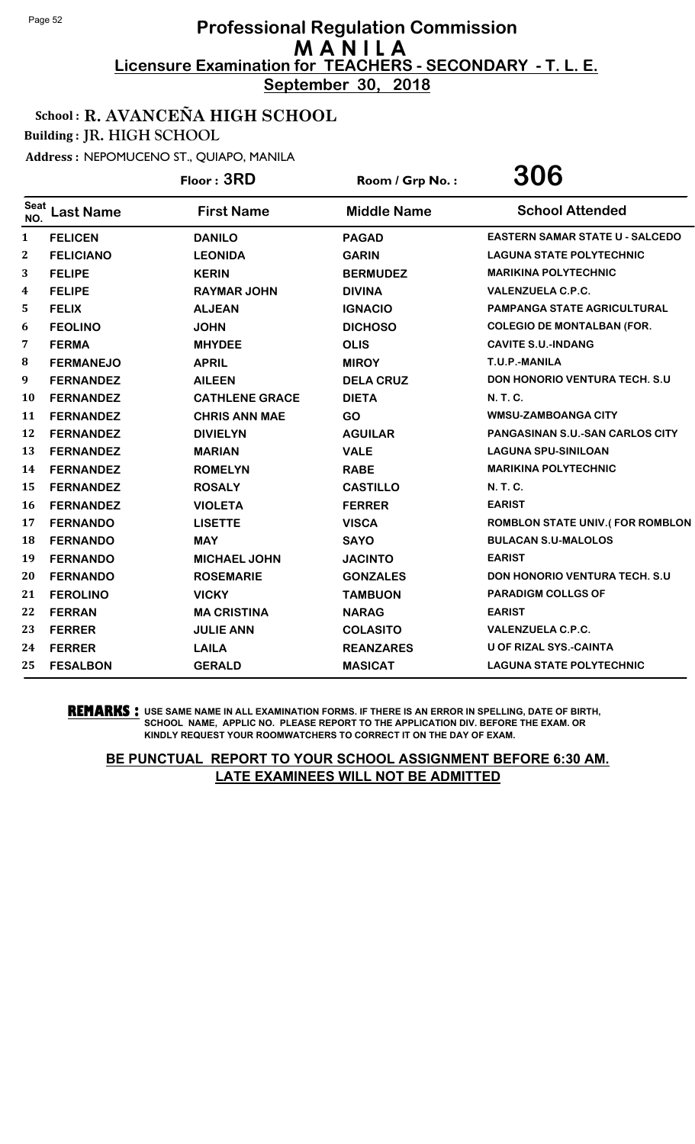**September 30, 2018**

### School : R. AVANCEÑA HIGH SCHOOL

Building : JR. HIGH SCHOOL

Address : NEPOMUCENO ST., QUIAPO, MANILA

|              |                  | Floor: 3RD            | Room / Grp No.:    | 306                                    |
|--------------|------------------|-----------------------|--------------------|----------------------------------------|
| Seat<br>NO.  | <b>Last Name</b> | <b>First Name</b>     | <b>Middle Name</b> | <b>School Attended</b>                 |
| $\mathbf{1}$ | <b>FELICEN</b>   | <b>DANILO</b>         | <b>PAGAD</b>       | <b>EASTERN SAMAR STATE U - SALCEDO</b> |
| 2            | <b>FELICIANO</b> | <b>LEONIDA</b>        | <b>GARIN</b>       | <b>LAGUNA STATE POLYTECHNIC</b>        |
| 3            | <b>FELIPE</b>    | <b>KERIN</b>          | <b>BERMUDEZ</b>    | <b>MARIKINA POLYTECHNIC</b>            |
| 4            | <b>FELIPE</b>    | <b>RAYMAR JOHN</b>    | <b>DIVINA</b>      | <b>VALENZUELA C.P.C.</b>               |
| 5            | <b>FELIX</b>     | <b>ALJEAN</b>         | <b>IGNACIO</b>     | <b>PAMPANGA STATE AGRICULTURAL</b>     |
| 6            | <b>FEOLINO</b>   | <b>JOHN</b>           | <b>DICHOSO</b>     | <b>COLEGIO DE MONTALBAN (FOR.</b>      |
| 7            | <b>FERMA</b>     | <b>MHYDEE</b>         | <b>OLIS</b>        | <b>CAVITE S.U.-INDANG</b>              |
| 8            | <b>FERMANEJO</b> | <b>APRIL</b>          | <b>MIROY</b>       | T.U.P.-MANILA                          |
| 9            | <b>FERNANDEZ</b> | <b>AILEEN</b>         | <b>DELA CRUZ</b>   | <b>DON HONORIO VENTURA TECH. S.U</b>   |
| 10           | <b>FERNANDEZ</b> | <b>CATHLENE GRACE</b> | <b>DIETA</b>       | N. T. C.                               |
| 11           | <b>FERNANDEZ</b> | <b>CHRIS ANN MAE</b>  | <b>GO</b>          | <b>WMSU-ZAMBOANGA CITY</b>             |
| 12           | <b>FERNANDEZ</b> | <b>DIVIELYN</b>       | <b>AGUILAR</b>     | <b>PANGASINAN S.U.-SAN CARLOS CITY</b> |
| 13           | <b>FERNANDEZ</b> | <b>MARIAN</b>         | <b>VALE</b>        | <b>LAGUNA SPU-SINILOAN</b>             |
| 14           | <b>FERNANDEZ</b> | <b>ROMELYN</b>        | <b>RABE</b>        | <b>MARIKINA POLYTECHNIC</b>            |
| 15           | <b>FERNANDEZ</b> | <b>ROSALY</b>         | <b>CASTILLO</b>    | <b>N. T. C.</b>                        |
| 16           | <b>FERNANDEZ</b> | <b>VIOLETA</b>        | <b>FERRER</b>      | <b>EARIST</b>                          |
| 17           | <b>FERNANDO</b>  | <b>LISETTE</b>        | <b>VISCA</b>       | <b>ROMBLON STATE UNIV.(FOR ROMBLON</b> |
| 18           | <b>FERNANDO</b>  | <b>MAY</b>            | <b>SAYO</b>        | <b>BULACAN S.U-MALOLOS</b>             |
| 19           | <b>FERNANDO</b>  | <b>MICHAEL JOHN</b>   | <b>JACINTO</b>     | <b>EARIST</b>                          |
| 20           | <b>FERNANDO</b>  | <b>ROSEMARIE</b>      | <b>GONZALES</b>    | <b>DON HONORIO VENTURA TECH. S.U.</b>  |
| 21           | <b>FEROLINO</b>  | <b>VICKY</b>          | <b>TAMBUON</b>     | <b>PARADIGM COLLGS OF</b>              |
| 22           | <b>FERRAN</b>    | <b>MA CRISTINA</b>    | <b>NARAG</b>       | <b>EARIST</b>                          |
| 23           | <b>FERRER</b>    | <b>JULIE ANN</b>      | <b>COLASITO</b>    | <b>VALENZUELA C.P.C.</b>               |
| 24           | <b>FERRER</b>    | <b>LAILA</b>          | <b>REANZARES</b>   | <b>U OF RIZAL SYS.-CAINTA</b>          |
| 25           | <b>FESALBON</b>  | <b>GERALD</b>         | <b>MASICAT</b>     | <b>LAGUNA STATE POLYTECHNIC</b>        |

**REMARKS :** USE SAME NAME IN ALL EXAMINATION FORMS. IF THERE IS AN ERROR IN SPELLING, DATE OF BIRTH, SCHOOL NAME, APPLIC NO. PLEASE REPORT TO THE APPLICATION DIV. BEFORE THE EXAM. OR KINDLY REQUEST YOUR ROOMWATCHERS TO CORRECT IT ON THE DAY OF EXAM.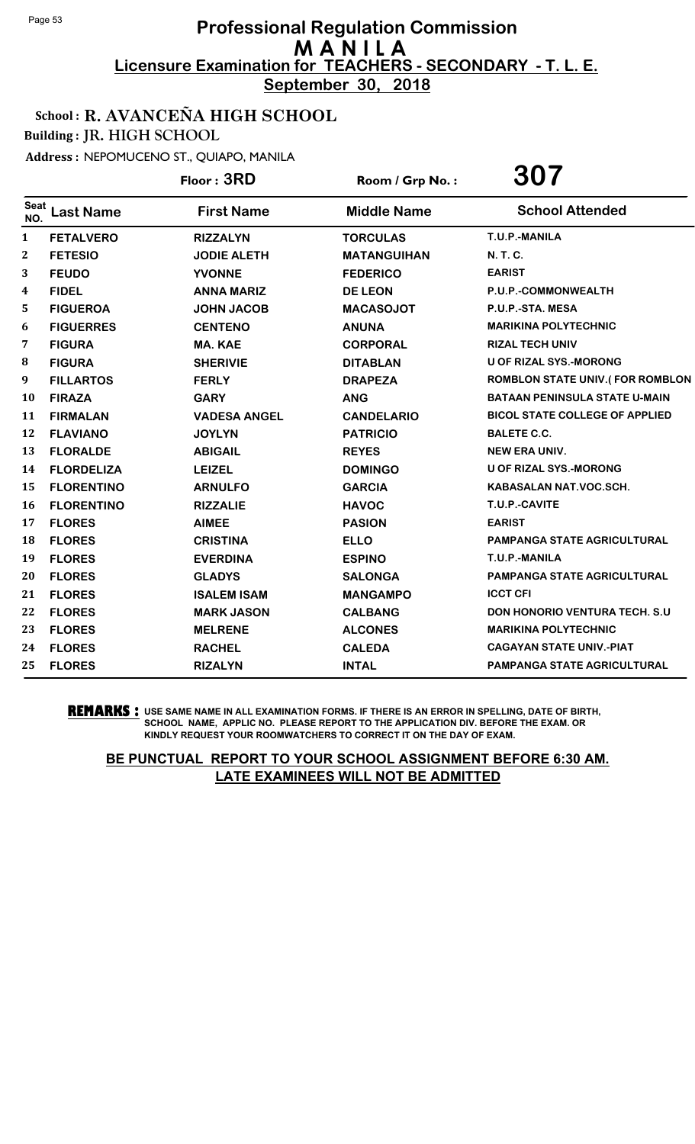**September 30, 2018**

### School : R. AVANCEÑA HIGH SCHOOL

Building : JR. HIGH SCHOOL

Address : NEPOMUCENO ST., QUIAPO, MANILA

|                    |                   | Floor: 3RD          | Room / Grp No.:    | 307                                    |
|--------------------|-------------------|---------------------|--------------------|----------------------------------------|
| <b>Seat</b><br>NO. | <b>Last Name</b>  | <b>First Name</b>   | <b>Middle Name</b> | <b>School Attended</b>                 |
| $\mathbf{1}$       | <b>FETALVERO</b>  | <b>RIZZALYN</b>     | <b>TORCULAS</b>    | T.U.P.-MANILA                          |
| $\mathbf{2}$       | <b>FETESIO</b>    | <b>JODIE ALETH</b>  | <b>MATANGUIHAN</b> | N. T. C.                               |
| 3                  | <b>FEUDO</b>      | <b>YVONNE</b>       | <b>FEDERICO</b>    | <b>EARIST</b>                          |
| 4                  | <b>FIDEL</b>      | <b>ANNA MARIZ</b>   | <b>DE LEON</b>     | P.U.P.-COMMONWEALTH                    |
| 5                  | <b>FIGUEROA</b>   | <b>JOHN JACOB</b>   | <b>MACASOJOT</b>   | P.U.P.-STA. MESA                       |
| 6                  | <b>FIGUERRES</b>  | <b>CENTENO</b>      | <b>ANUNA</b>       | <b>MARIKINA POLYTECHNIC</b>            |
| 7                  | <b>FIGURA</b>     | <b>MA. KAE</b>      | <b>CORPORAL</b>    | <b>RIZAL TECH UNIV</b>                 |
| 8                  | <b>FIGURA</b>     | <b>SHERIVIE</b>     | <b>DITABLAN</b>    | <b>U OF RIZAL SYS.-MORONG</b>          |
| 9                  | <b>FILLARTOS</b>  | <b>FERLY</b>        | <b>DRAPEZA</b>     | <b>ROMBLON STATE UNIV.(FOR ROMBLON</b> |
| 10                 | <b>FIRAZA</b>     | <b>GARY</b>         | <b>ANG</b>         | <b>BATAAN PENINSULA STATE U-MAIN</b>   |
| 11                 | <b>FIRMALAN</b>   | <b>VADESA ANGEL</b> | <b>CANDELARIO</b>  | <b>BICOL STATE COLLEGE OF APPLIED</b>  |
| 12                 | <b>FLAVIANO</b>   | <b>JOYLYN</b>       | <b>PATRICIO</b>    | <b>BALETE C.C.</b>                     |
| 13                 | <b>FLORALDE</b>   | <b>ABIGAIL</b>      | <b>REYES</b>       | <b>NEW ERA UNIV.</b>                   |
| 14                 | <b>FLORDELIZA</b> | <b>LEIZEL</b>       | <b>DOMINGO</b>     | U OF RIZAL SYS.-MORONG                 |
| 15                 | <b>FLORENTINO</b> | <b>ARNULFO</b>      | <b>GARCIA</b>      | KABASALAN NAT.VOC.SCH.                 |
| 16                 | <b>FLORENTINO</b> | <b>RIZZALIE</b>     | <b>HAVOC</b>       | T.U.P.-CAVITE                          |
| 17                 | <b>FLORES</b>     | <b>AIMEE</b>        | <b>PASION</b>      | <b>EARIST</b>                          |
| 18                 | <b>FLORES</b>     | <b>CRISTINA</b>     | <b>ELLO</b>        | <b>PAMPANGA STATE AGRICULTURAL</b>     |
| 19                 | <b>FLORES</b>     | <b>EVERDINA</b>     | <b>ESPINO</b>      | T.U.P.-MANILA                          |
| 20                 | <b>FLORES</b>     | <b>GLADYS</b>       | <b>SALONGA</b>     | <b>PAMPANGA STATE AGRICULTURAL</b>     |
| 21                 | <b>FLORES</b>     | <b>ISALEM ISAM</b>  | <b>MANGAMPO</b>    | <b>ICCT CFI</b>                        |
| 22                 | <b>FLORES</b>     | <b>MARK JASON</b>   | <b>CALBANG</b>     | DON HONORIO VENTURA TECH. S.U          |
| 23                 | <b>FLORES</b>     | <b>MELRENE</b>      | <b>ALCONES</b>     | <b>MARIKINA POLYTECHNIC</b>            |
| 24                 | <b>FLORES</b>     | <b>RACHEL</b>       | <b>CALEDA</b>      | <b>CAGAYAN STATE UNIV.-PIAT</b>        |
| 25                 | <b>FLORES</b>     | <b>RIZALYN</b>      | <b>INTAL</b>       | <b>PAMPANGA STATE AGRICULTURAL</b>     |

**REMARKS :** USE SAME NAME IN ALL EXAMINATION FORMS. IF THERE IS AN ERROR IN SPELLING, DATE OF BIRTH, SCHOOL NAME, APPLIC NO. PLEASE REPORT TO THE APPLICATION DIV. BEFORE THE EXAM. OR KINDLY REQUEST YOUR ROOMWATCHERS TO CORRECT IT ON THE DAY OF EXAM.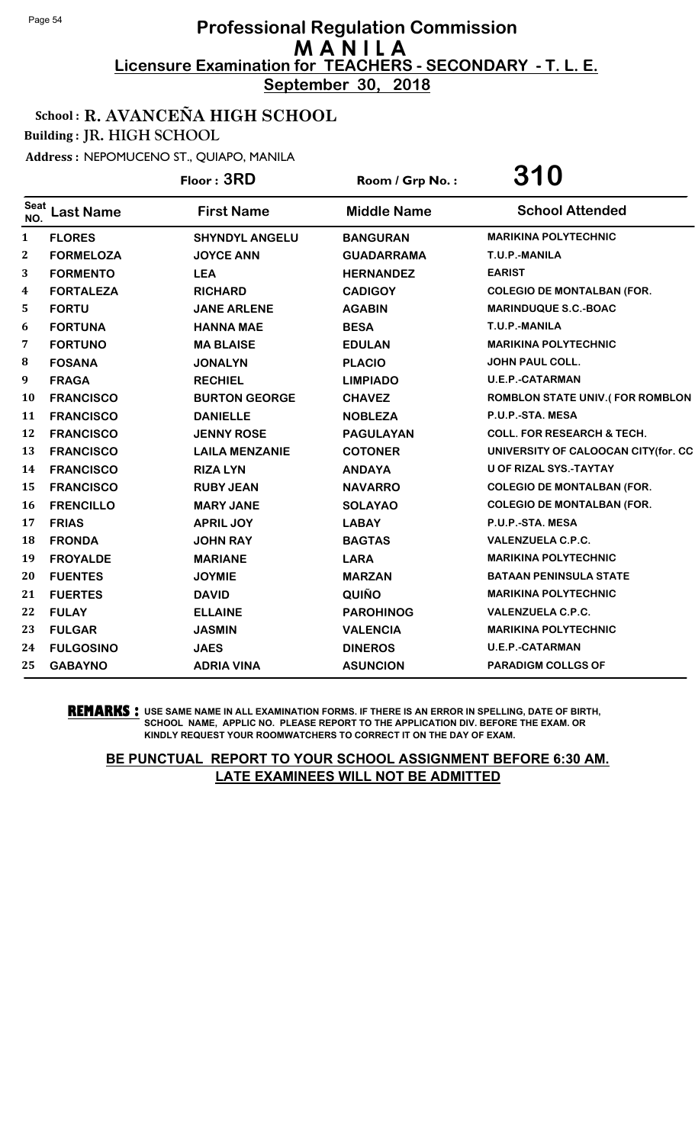**September 30, 2018**

### School : R. AVANCEÑA HIGH SCHOOL

Building : JR. HIGH SCHOOL

Address : NEPOMUCENO ST., QUIAPO, MANILA

|                    |                  | Floor: 3RD            | Room / Grp No.:    | 310                                    |
|--------------------|------------------|-----------------------|--------------------|----------------------------------------|
| <b>Seat</b><br>NO. | <b>Last Name</b> | <b>First Name</b>     | <b>Middle Name</b> | <b>School Attended</b>                 |
| $\mathbf{1}$       | <b>FLORES</b>    | <b>SHYNDYL ANGELU</b> | <b>BANGURAN</b>    | <b>MARIKINA POLYTECHNIC</b>            |
| 2                  | <b>FORMELOZA</b> | <b>JOYCE ANN</b>      | <b>GUADARRAMA</b>  | T.U.P.-MANILA                          |
| 3                  | <b>FORMENTO</b>  | <b>LEA</b>            | <b>HERNANDEZ</b>   | <b>EARIST</b>                          |
| 4                  | <b>FORTALEZA</b> | <b>RICHARD</b>        | <b>CADIGOY</b>     | <b>COLEGIO DE MONTALBAN (FOR.</b>      |
| 5                  | <b>FORTU</b>     | <b>JANE ARLENE</b>    | <b>AGABIN</b>      | <b>MARINDUQUE S.C.-BOAC</b>            |
| 6                  | <b>FORTUNA</b>   | <b>HANNA MAE</b>      | <b>BESA</b>        | T.U.P.-MANILA                          |
| 7                  | <b>FORTUNO</b>   | <b>MA BLAISE</b>      | <b>EDULAN</b>      | <b>MARIKINA POLYTECHNIC</b>            |
| 8                  | <b>FOSANA</b>    | <b>JONALYN</b>        | <b>PLACIO</b>      | <b>JOHN PAUL COLL.</b>                 |
| 9                  | <b>FRAGA</b>     | <b>RECHIEL</b>        | <b>LIMPIADO</b>    | <b>U.E.P.-CATARMAN</b>                 |
| 10                 | <b>FRANCISCO</b> | <b>BURTON GEORGE</b>  | <b>CHAVEZ</b>      | <b>ROMBLON STATE UNIV.(FOR ROMBLON</b> |
| 11                 | <b>FRANCISCO</b> | <b>DANIELLE</b>       | <b>NOBLEZA</b>     | P.U.P.-STA. MESA                       |
| 12                 | <b>FRANCISCO</b> | <b>JENNY ROSE</b>     | <b>PAGULAYAN</b>   | <b>COLL. FOR RESEARCH &amp; TECH.</b>  |
| 13                 | <b>FRANCISCO</b> | <b>LAILA MENZANIE</b> | <b>COTONER</b>     | UNIVERSITY OF CALOOCAN CITY(for. CC    |
| 14                 | <b>FRANCISCO</b> | <b>RIZA LYN</b>       | <b>ANDAYA</b>      | <b>U OF RIZAL SYS.-TAYTAY</b>          |
| 15                 | <b>FRANCISCO</b> | <b>RUBY JEAN</b>      | <b>NAVARRO</b>     | <b>COLEGIO DE MONTALBAN (FOR.</b>      |
| 16                 | <b>FRENCILLO</b> | <b>MARY JANE</b>      | <b>SOLAYAO</b>     | <b>COLEGIO DE MONTALBAN (FOR.</b>      |
| 17                 | <b>FRIAS</b>     | <b>APRIL JOY</b>      | <b>LABAY</b>       | P.U.P.-STA. MESA                       |
| 18                 | <b>FRONDA</b>    | <b>JOHN RAY</b>       | <b>BAGTAS</b>      | <b>VALENZUELA C.P.C.</b>               |
| 19                 | <b>FROYALDE</b>  | <b>MARIANE</b>        | <b>LARA</b>        | <b>MARIKINA POLYTECHNIC</b>            |
| 20                 | <b>FUENTES</b>   | <b>JOYMIE</b>         | <b>MARZAN</b>      | <b>BATAAN PENINSULA STATE</b>          |
| 21                 | <b>FUERTES</b>   | <b>DAVID</b>          | QUIÑO              | <b>MARIKINA POLYTECHNIC</b>            |
| 22                 | <b>FULAY</b>     | <b>ELLAINE</b>        | <b>PAROHINOG</b>   | <b>VALENZUELA C.P.C.</b>               |
| 23                 | <b>FULGAR</b>    | <b>JASMIN</b>         | <b>VALENCIA</b>    | <b>MARIKINA POLYTECHNIC</b>            |
| 24                 | <b>FULGOSINO</b> | <b>JAES</b>           | <b>DINEROS</b>     | <b>U.E.P.-CATARMAN</b>                 |
| 25                 | <b>GABAYNO</b>   | <b>ADRIA VINA</b>     | <b>ASUNCION</b>    | <b>PARADIGM COLLGS OF</b>              |

**REMARKS :** USE SAME NAME IN ALL EXAMINATION FORMS. IF THERE IS AN ERROR IN SPELLING, DATE OF BIRTH, SCHOOL NAME, APPLIC NO. PLEASE REPORT TO THE APPLICATION DIV. BEFORE THE EXAM. OR KINDLY REQUEST YOUR ROOMWATCHERS TO CORRECT IT ON THE DAY OF EXAM.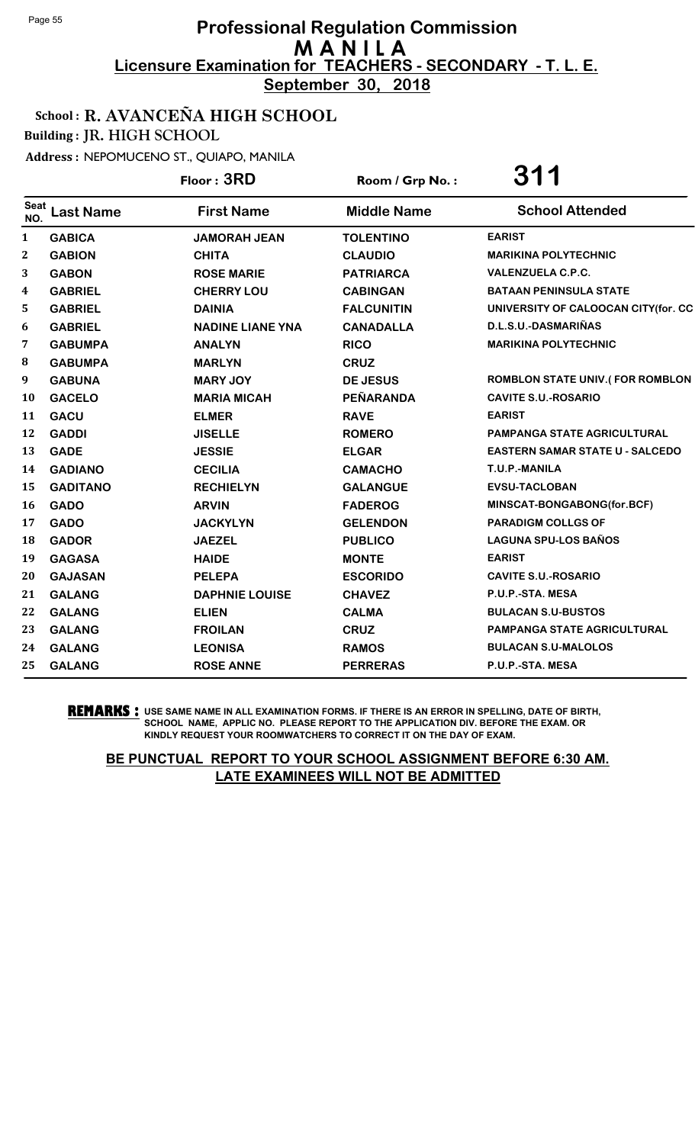**September 30, 2018**

### School : R. AVANCEÑA HIGH SCHOOL

Building : JR. HIGH SCHOOL

Address : NEPOMUCENO ST., QUIAPO, MANILA

|                    |                  | Floor: 3RD              | Room / Grp No.:    | <b>311</b>                             |
|--------------------|------------------|-------------------------|--------------------|----------------------------------------|
| <b>Seat</b><br>NO. | <b>Last Name</b> | <b>First Name</b>       | <b>Middle Name</b> | <b>School Attended</b>                 |
| $\mathbf{1}$       | <b>GABICA</b>    | <b>JAMORAH JEAN</b>     | <b>TOLENTINO</b>   | <b>EARIST</b>                          |
| 2                  | <b>GABION</b>    | <b>CHITA</b>            | <b>CLAUDIO</b>     | <b>MARIKINA POLYTECHNIC</b>            |
| 3                  | <b>GABON</b>     | <b>ROSE MARIE</b>       | <b>PATRIARCA</b>   | <b>VALENZUELA C.P.C.</b>               |
| 4                  | <b>GABRIEL</b>   | <b>CHERRY LOU</b>       | <b>CABINGAN</b>    | <b>BATAAN PENINSULA STATE</b>          |
| 5                  | <b>GABRIEL</b>   | <b>DAINIA</b>           | <b>FALCUNITIN</b>  | UNIVERSITY OF CALOOCAN CITY(for. CC    |
| 6                  | <b>GABRIEL</b>   | <b>NADINE LIANE YNA</b> | <b>CANADALLA</b>   | D.L.S.U.-DASMARIÑAS                    |
| 7                  | <b>GABUMPA</b>   | <b>ANALYN</b>           | <b>RICO</b>        | <b>MARIKINA POLYTECHNIC</b>            |
| 8                  | <b>GABUMPA</b>   | <b>MARLYN</b>           | <b>CRUZ</b>        |                                        |
| 9                  | <b>GABUNA</b>    | <b>MARY JOY</b>         | <b>DE JESUS</b>    | <b>ROMBLON STATE UNIV.(FOR ROMBLON</b> |
| 10                 | <b>GACELO</b>    | <b>MARIA MICAH</b>      | PEÑARANDA          | <b>CAVITE S.U.-ROSARIO</b>             |
| 11                 | <b>GACU</b>      | <b>ELMER</b>            | <b>RAVE</b>        | <b>EARIST</b>                          |
| 12                 | <b>GADDI</b>     | <b>JISELLE</b>          | <b>ROMERO</b>      | PAMPANGA STATE AGRICULTURAL            |
| 13                 | <b>GADE</b>      | <b>JESSIE</b>           | <b>ELGAR</b>       | <b>EASTERN SAMAR STATE U - SALCEDO</b> |
| 14                 | <b>GADIANO</b>   | <b>CECILIA</b>          | <b>CAMACHO</b>     | T.U.P.-MANILA                          |
| 15                 | <b>GADITANO</b>  | <b>RECHIELYN</b>        | <b>GALANGUE</b>    | <b>EVSU-TACLOBAN</b>                   |
| 16                 | <b>GADO</b>      | <b>ARVIN</b>            | <b>FADEROG</b>     | MINSCAT-BONGABONG(for.BCF)             |
| 17                 | <b>GADO</b>      | <b>JACKYLYN</b>         | <b>GELENDON</b>    | <b>PARADIGM COLLGS OF</b>              |
| 18                 | <b>GADOR</b>     | <b>JAEZEL</b>           | <b>PUBLICO</b>     | <b>LAGUNA SPU-LOS BAÑOS</b>            |
| 19                 | <b>GAGASA</b>    | <b>HAIDE</b>            | <b>MONTE</b>       | <b>EARIST</b>                          |
| 20                 | <b>GAJASAN</b>   | <b>PELEPA</b>           | <b>ESCORIDO</b>    | <b>CAVITE S.U.-ROSARIO</b>             |
| 21                 | <b>GALANG</b>    | <b>DAPHNIE LOUISE</b>   | <b>CHAVEZ</b>      | P.U.P.-STA. MESA                       |
| 22                 | <b>GALANG</b>    | <b>ELIEN</b>            | <b>CALMA</b>       | <b>BULACAN S.U-BUSTOS</b>              |
| 23                 | <b>GALANG</b>    | <b>FROILAN</b>          | <b>CRUZ</b>        | PAMPANGA STATE AGRICULTURAL            |
| 24                 | <b>GALANG</b>    | <b>LEONISA</b>          | <b>RAMOS</b>       | <b>BULACAN S.U-MALOLOS</b>             |
| 25                 | <b>GALANG</b>    | <b>ROSE ANNE</b>        | <b>PERRERAS</b>    | P.U.P.-STA. MESA                       |

**REMARKS :** USE SAME NAME IN ALL EXAMINATION FORMS. IF THERE IS AN ERROR IN SPELLING, DATE OF BIRTH, SCHOOL NAME, APPLIC NO. PLEASE REPORT TO THE APPLICATION DIV. BEFORE THE EXAM. OR KINDLY REQUEST YOUR ROOMWATCHERS TO CORRECT IT ON THE DAY OF EXAM.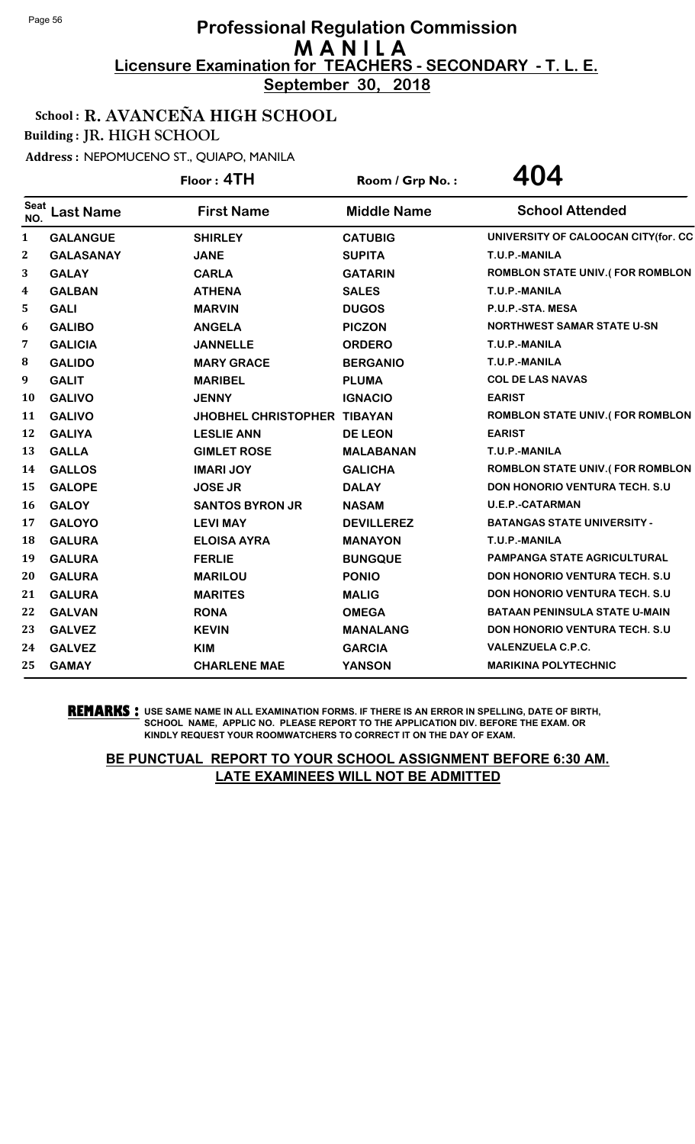**September 30, 2018**

### School : R. AVANCEÑA HIGH SCHOOL

Building : JR. HIGH SCHOOL

Address : NEPOMUCENO ST., QUIAPO, MANILA

|                    |                  | Floor: 4TH                         | Room / Grp No.:    | 404                                    |
|--------------------|------------------|------------------------------------|--------------------|----------------------------------------|
| <b>Seat</b><br>NO. | <b>Last Name</b> | <b>First Name</b>                  | <b>Middle Name</b> | <b>School Attended</b>                 |
| $\mathbf{1}$       | <b>GALANGUE</b>  | <b>SHIRLEY</b>                     | <b>CATUBIG</b>     | UNIVERSITY OF CALOOCAN CITY(for. CC    |
| 2                  | <b>GALASANAY</b> | <b>JANE</b>                        | <b>SUPITA</b>      | T.U.P.-MANILA                          |
| 3                  | <b>GALAY</b>     | <b>CARLA</b>                       | <b>GATARIN</b>     | <b>ROMBLON STATE UNIV.(FOR ROMBLON</b> |
| 4                  | <b>GALBAN</b>    | <b>ATHENA</b>                      | <b>SALES</b>       | T.U.P.-MANILA                          |
| 5                  | <b>GALI</b>      | <b>MARVIN</b>                      | <b>DUGOS</b>       | P.U.P.-STA. MESA                       |
| 6                  | <b>GALIBO</b>    | <b>ANGELA</b>                      | <b>PICZON</b>      | <b>NORTHWEST SAMAR STATE U-SN</b>      |
| 7                  | <b>GALICIA</b>   | <b>JANNELLE</b>                    | <b>ORDERO</b>      | T.U.P.-MANILA                          |
| 8                  | <b>GALIDO</b>    | <b>MARY GRACE</b>                  | <b>BERGANIO</b>    | T.U.P.-MANILA                          |
| 9                  | <b>GALIT</b>     | <b>MARIBEL</b>                     | <b>PLUMA</b>       | <b>COL DE LAS NAVAS</b>                |
| 10                 | <b>GALIVO</b>    | <b>JENNY</b>                       | <b>IGNACIO</b>     | <b>EARIST</b>                          |
| 11                 | <b>GALIVO</b>    | <b>JHOBHEL CHRISTOPHER TIBAYAN</b> |                    | <b>ROMBLON STATE UNIV.(FOR ROMBLON</b> |
| 12                 | <b>GALIYA</b>    | <b>LESLIE ANN</b>                  | <b>DE LEON</b>     | <b>EARIST</b>                          |
| 13                 | <b>GALLA</b>     | <b>GIMLET ROSE</b>                 | <b>MALABANAN</b>   | T.U.P.-MANILA                          |
| 14                 | <b>GALLOS</b>    | <b>IMARI JOY</b>                   | <b>GALICHA</b>     | <b>ROMBLON STATE UNIV.(FOR ROMBLON</b> |
| 15                 | <b>GALOPE</b>    | <b>JOSE JR</b>                     | <b>DALAY</b>       | <b>DON HONORIO VENTURA TECH. S.U</b>   |
| 16                 | <b>GALOY</b>     | <b>SANTOS BYRON JR</b>             | <b>NASAM</b>       | <b>U.E.P.-CATARMAN</b>                 |
| 17                 | <b>GALOYO</b>    | <b>LEVI MAY</b>                    | <b>DEVILLEREZ</b>  | <b>BATANGAS STATE UNIVERSITY -</b>     |
| 18                 | <b>GALURA</b>    | <b>ELOISA AYRA</b>                 | <b>MANAYON</b>     | T.U.P.-MANILA                          |
| 19                 | <b>GALURA</b>    | <b>FERLIE</b>                      | <b>BUNGQUE</b>     | <b>PAMPANGA STATE AGRICULTURAL</b>     |
| 20                 | <b>GALURA</b>    | <b>MARILOU</b>                     | <b>PONIO</b>       | <b>DON HONORIO VENTURA TECH. S.U.</b>  |
| 21                 | <b>GALURA</b>    | <b>MARITES</b>                     | <b>MALIG</b>       | DON HONORIO VENTURA TECH. S.U          |
| 22                 | <b>GALVAN</b>    | <b>RONA</b>                        | <b>OMEGA</b>       | <b>BATAAN PENINSULA STATE U-MAIN</b>   |
| 23                 | <b>GALVEZ</b>    | <b>KEVIN</b>                       | <b>MANALANG</b>    | DON HONORIO VENTURA TECH. S.U          |
| 24                 | <b>GALVEZ</b>    | <b>KIM</b>                         | <b>GARCIA</b>      | <b>VALENZUELA C.P.C.</b>               |
| 25                 | <b>GAMAY</b>     | <b>CHARLENE MAE</b>                | <b>YANSON</b>      | <b>MARIKINA POLYTECHNIC</b>            |

**REMARKS :** USE SAME NAME IN ALL EXAMINATION FORMS. IF THERE IS AN ERROR IN SPELLING, DATE OF BIRTH, SCHOOL NAME, APPLIC NO. PLEASE REPORT TO THE APPLICATION DIV. BEFORE THE EXAM. OR KINDLY REQUEST YOUR ROOMWATCHERS TO CORRECT IT ON THE DAY OF EXAM.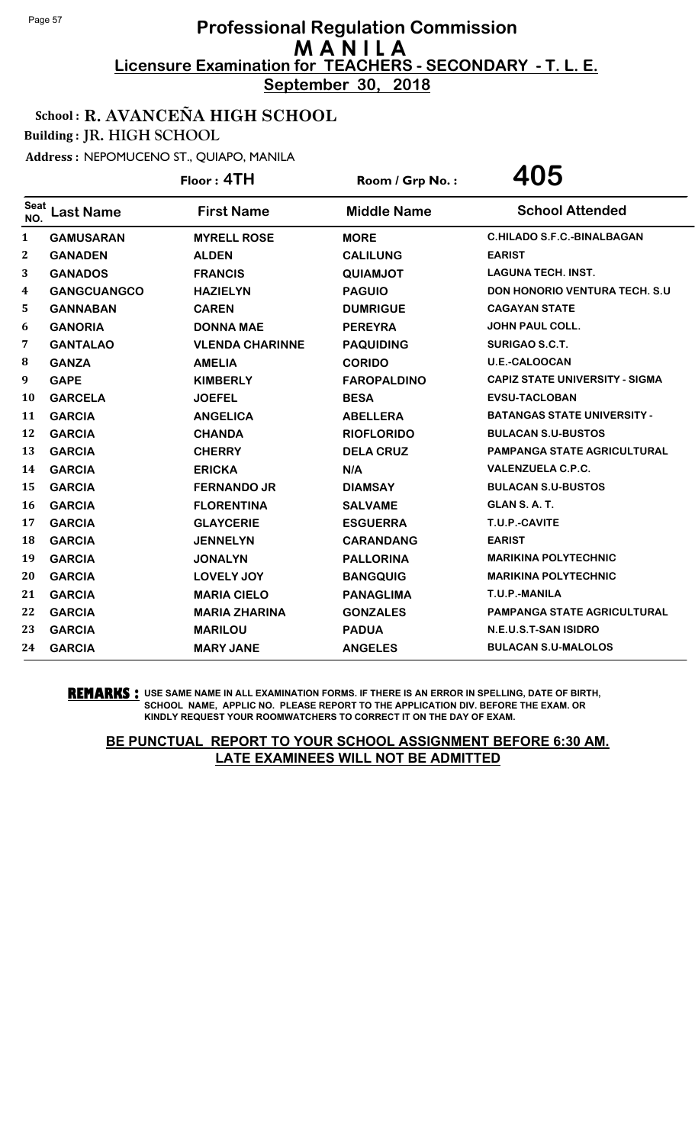**September 30, 2018**

### School : R. AVANCEÑA HIGH SCHOOL

Building : JR. HIGH SCHOOL

Address : NEPOMUCENO ST., QUIAPO, MANILA

|                         |                    | Floor: 4TH             | Room / Grp No.:    | 405                                   |
|-------------------------|--------------------|------------------------|--------------------|---------------------------------------|
| <b>Seat</b><br>NO.      | <b>Last Name</b>   | <b>First Name</b>      | <b>Middle Name</b> | <b>School Attended</b>                |
| $\mathbf{1}$            | <b>GAMUSARAN</b>   | <b>MYRELL ROSE</b>     | <b>MORE</b>        | <b>C.HILADO S.F.C.-BINALBAGAN</b>     |
| $\overline{\mathbf{2}}$ | <b>GANADEN</b>     | <b>ALDEN</b>           | <b>CALILUNG</b>    | <b>EARIST</b>                         |
| 3                       | <b>GANADOS</b>     | <b>FRANCIS</b>         | <b>QUIAMJOT</b>    | <b>LAGUNA TECH. INST.</b>             |
| 4                       | <b>GANGCUANGCO</b> | <b>HAZIELYN</b>        | <b>PAGUIO</b>      | <b>DON HONORIO VENTURA TECH. S.U.</b> |
| 5                       | <b>GANNABAN</b>    | <b>CAREN</b>           | <b>DUMRIGUE</b>    | <b>CAGAYAN STATE</b>                  |
| 6                       | <b>GANORIA</b>     | <b>DONNA MAE</b>       | <b>PEREYRA</b>     | <b>JOHN PAUL COLL.</b>                |
| 7                       | <b>GANTALAO</b>    | <b>VLENDA CHARINNE</b> | <b>PAQUIDING</b>   | <b>SURIGAO S.C.T.</b>                 |
| 8                       | <b>GANZA</b>       | <b>AMELIA</b>          | <b>CORIDO</b>      | <b>U.E.-CALOOCAN</b>                  |
| 9                       | <b>GAPE</b>        | <b>KIMBERLY</b>        | <b>FAROPALDINO</b> | <b>CAPIZ STATE UNIVERSITY - SIGMA</b> |
| 10                      | <b>GARCELA</b>     | <b>JOEFEL</b>          | <b>BESA</b>        | <b>EVSU-TACLOBAN</b>                  |
| 11                      | <b>GARCIA</b>      | <b>ANGELICA</b>        | <b>ABELLERA</b>    | <b>BATANGAS STATE UNIVERSITY -</b>    |
| 12                      | <b>GARCIA</b>      | <b>CHANDA</b>          | <b>RIOFLORIDO</b>  | <b>BULACAN S.U-BUSTOS</b>             |
| 13                      | <b>GARCIA</b>      | <b>CHERRY</b>          | <b>DELA CRUZ</b>   | <b>PAMPANGA STATE AGRICULTURAL</b>    |
| 14                      | <b>GARCIA</b>      | <b>ERICKA</b>          | N/A                | <b>VALENZUELA C.P.C.</b>              |
| 15                      | <b>GARCIA</b>      | <b>FERNANDO JR</b>     | <b>DIAMSAY</b>     | <b>BULACAN S.U-BUSTOS</b>             |
| 16                      | <b>GARCIA</b>      | <b>FLORENTINA</b>      | <b>SALVAME</b>     | GLAN S.A.T.                           |
| 17                      | <b>GARCIA</b>      | <b>GLAYCERIE</b>       | <b>ESGUERRA</b>    | T.U.P.-CAVITE                         |
| 18                      | <b>GARCIA</b>      | <b>JENNELYN</b>        | <b>CARANDANG</b>   | <b>EARIST</b>                         |
| 19                      | <b>GARCIA</b>      | <b>JONALYN</b>         | <b>PALLORINA</b>   | <b>MARIKINA POLYTECHNIC</b>           |
| 20                      | <b>GARCIA</b>      | <b>LOVELY JOY</b>      | <b>BANGQUIG</b>    | <b>MARIKINA POLYTECHNIC</b>           |
| 21                      | <b>GARCIA</b>      | <b>MARIA CIELO</b>     | <b>PANAGLIMA</b>   | T.U.P.-MANILA                         |
| 22                      | <b>GARCIA</b>      | <b>MARIA ZHARINA</b>   | <b>GONZALES</b>    | <b>PAMPANGA STATE AGRICULTURAL</b>    |
| 23                      | <b>GARCIA</b>      | <b>MARILOU</b>         | <b>PADUA</b>       | N.E.U.S.T-SAN ISIDRO                  |
| 24                      | <b>GARCIA</b>      | <b>MARY JANE</b>       | <b>ANGELES</b>     | <b>BULACAN S.U-MALOLOS</b>            |

**REMARKS :** USE SAME NAME IN ALL EXAMINATION FORMS. IF THERE IS AN ERROR IN SPELLING, DATE OF BIRTH, SCHOOL NAME, APPLIC NO. PLEASE REPORT TO THE APPLICATION DIV. BEFORE THE EXAM. OR KINDLY REQUEST YOUR ROOMWATCHERS TO CORRECT IT ON THE DAY OF EXAM.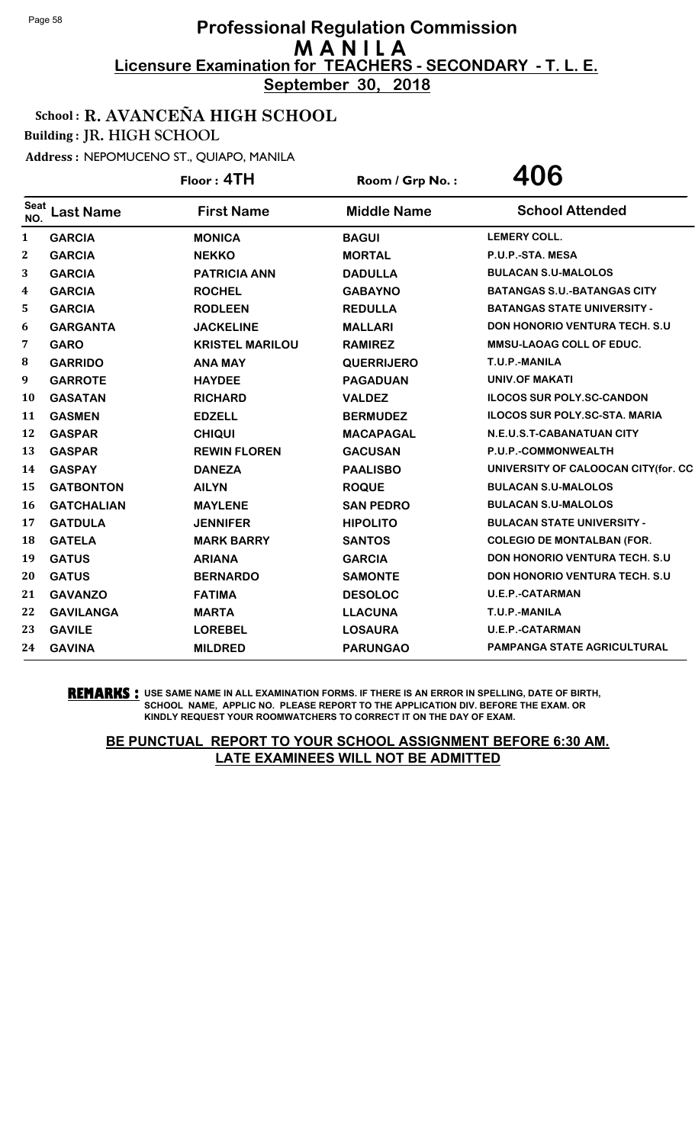**September 30, 2018**

### School : R. AVANCEÑA HIGH SCHOOL

Building : JR. HIGH SCHOOL

Address : NEPOMUCENO ST., QUIAPO, MANILA

|                    |                   | Floor: 4TH             | Room / Grp No.:    | 406                                   |
|--------------------|-------------------|------------------------|--------------------|---------------------------------------|
| <b>Seat</b><br>NO. | <b>Last Name</b>  | <b>First Name</b>      | <b>Middle Name</b> | <b>School Attended</b>                |
| 1                  | <b>GARCIA</b>     | <b>MONICA</b>          | <b>BAGUI</b>       | <b>LEMERY COLL.</b>                   |
| 2                  | <b>GARCIA</b>     | <b>NEKKO</b>           | <b>MORTAL</b>      | P.U.P.-STA. MESA                      |
| 3                  | <b>GARCIA</b>     | <b>PATRICIA ANN</b>    | <b>DADULLA</b>     | <b>BULACAN S.U-MALOLOS</b>            |
| 4                  | <b>GARCIA</b>     | <b>ROCHEL</b>          | <b>GABAYNO</b>     | <b>BATANGAS S.U.-BATANGAS CITY</b>    |
| 5                  | <b>GARCIA</b>     | <b>RODLEEN</b>         | <b>REDULLA</b>     | <b>BATANGAS STATE UNIVERSITY -</b>    |
| 6                  | <b>GARGANTA</b>   | <b>JACKELINE</b>       | <b>MALLARI</b>     | <b>DON HONORIO VENTURA TECH. S.U.</b> |
| 7                  | <b>GARO</b>       | <b>KRISTEL MARILOU</b> | <b>RAMIREZ</b>     | <b>MMSU-LAOAG COLL OF EDUC.</b>       |
| $\bf{8}$           | <b>GARRIDO</b>    | <b>ANA MAY</b>         | <b>QUERRIJERO</b>  | T.U.P.-MANILA                         |
| 9                  | <b>GARROTE</b>    | <b>HAYDEE</b>          | <b>PAGADUAN</b>    | <b>UNIV.OF MAKATI</b>                 |
| 10                 | <b>GASATAN</b>    | <b>RICHARD</b>         | <b>VALDEZ</b>      | <b>ILOCOS SUR POLY.SC-CANDON</b>      |
| 11                 | <b>GASMEN</b>     | <b>EDZELL</b>          | <b>BERMUDEZ</b>    | <b>ILOCOS SUR POLY.SC-STA. MARIA</b>  |
| 12                 | <b>GASPAR</b>     | <b>CHIQUI</b>          | <b>MACAPAGAL</b>   | N.E.U.S.T-CABANATUAN CITY             |
| 13                 | <b>GASPAR</b>     | <b>REWIN FLOREN</b>    | <b>GACUSAN</b>     | P.U.P.-COMMONWEALTH                   |
| 14                 | <b>GASPAY</b>     | <b>DANEZA</b>          | <b>PAALISBO</b>    | UNIVERSITY OF CALOOCAN CITY(for. CC   |
| 15                 | <b>GATBONTON</b>  | <b>AILYN</b>           | <b>ROQUE</b>       | <b>BULACAN S.U-MALOLOS</b>            |
| 16                 | <b>GATCHALIAN</b> | <b>MAYLENE</b>         | <b>SAN PEDRO</b>   | <b>BULACAN S.U-MALOLOS</b>            |
| 17                 | <b>GATDULA</b>    | <b>JENNIFER</b>        | <b>HIPOLITO</b>    | <b>BULACAN STATE UNIVERSITY -</b>     |
| 18                 | <b>GATELA</b>     | <b>MARK BARRY</b>      | <b>SANTOS</b>      | <b>COLEGIO DE MONTALBAN (FOR.</b>     |
| 19                 | <b>GATUS</b>      | <b>ARIANA</b>          | <b>GARCIA</b>      | <b>DON HONORIO VENTURA TECH. S.U.</b> |
| 20                 | <b>GATUS</b>      | <b>BERNARDO</b>        | <b>SAMONTE</b>     | <b>DON HONORIO VENTURA TECH. S.U</b>  |
| 21                 | <b>GAVANZO</b>    | <b>FATIMA</b>          | <b>DESOLOC</b>     | <b>U.E.P.-CATARMAN</b>                |
| 22                 | <b>GAVILANGA</b>  | <b>MARTA</b>           | <b>LLACUNA</b>     | T.U.P.-MANILA                         |
| 23                 | <b>GAVILE</b>     | <b>LOREBEL</b>         | <b>LOSAURA</b>     | <b>U.E.P.-CATARMAN</b>                |
| 24                 | <b>GAVINA</b>     | <b>MILDRED</b>         | <b>PARUNGAO</b>    | <b>PAMPANGA STATE AGRICULTURAL</b>    |

**REMARKS :** USE SAME NAME IN ALL EXAMINATION FORMS. IF THERE IS AN ERROR IN SPELLING, DATE OF BIRTH, SCHOOL NAME, APPLIC NO. PLEASE REPORT TO THE APPLICATION DIV. BEFORE THE EXAM. OR KINDLY REQUEST YOUR ROOMWATCHERS TO CORRECT IT ON THE DAY OF EXAM.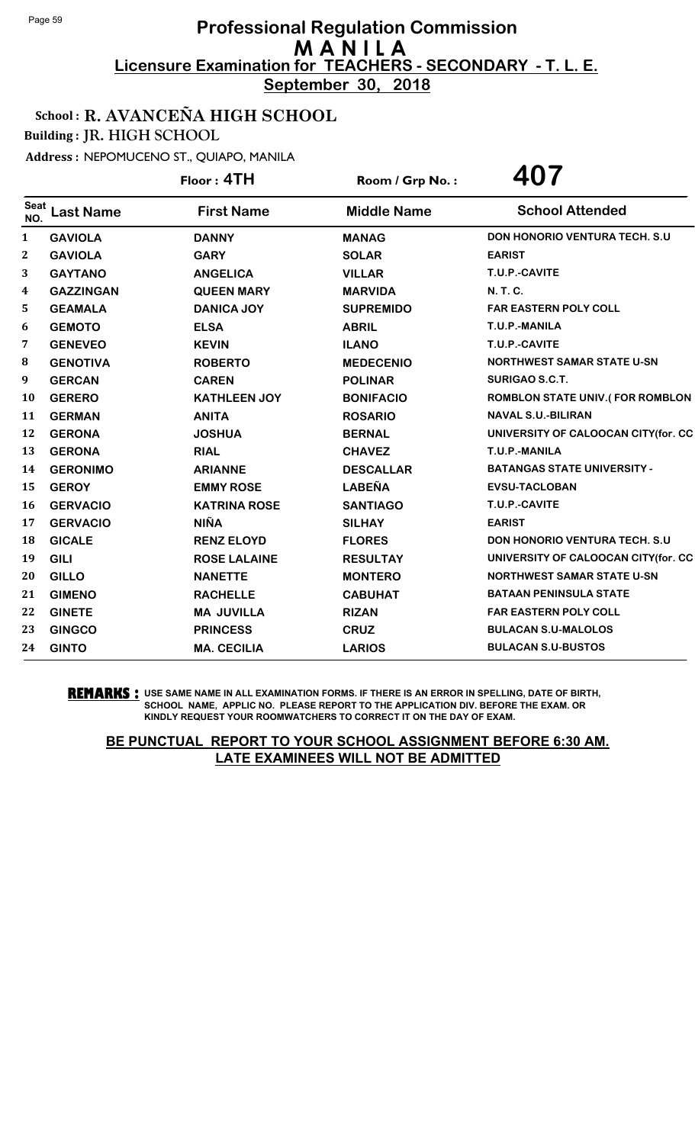**September 30, 2018**

### School : R. AVANCEÑA HIGH SCHOOL

Building : JR. HIGH SCHOOL

Address : NEPOMUCENO ST., QUIAPO, MANILA

|                    |                  | Floor: 4TH          | Room / Grp No.:    | 407                                    |
|--------------------|------------------|---------------------|--------------------|----------------------------------------|
| <b>Seat</b><br>NO. | <b>Last Name</b> | <b>First Name</b>   | <b>Middle Name</b> | <b>School Attended</b>                 |
| 1                  | <b>GAVIOLA</b>   | <b>DANNY</b>        | <b>MANAG</b>       | <b>DON HONORIO VENTURA TECH. S.U.</b>  |
| $\bf{2}$           | <b>GAVIOLA</b>   | <b>GARY</b>         | <b>SOLAR</b>       | <b>EARIST</b>                          |
| 3                  | <b>GAYTANO</b>   | <b>ANGELICA</b>     | <b>VILLAR</b>      | T.U.P.-CAVITE                          |
| 4                  | <b>GAZZINGAN</b> | <b>QUEEN MARY</b>   | <b>MARVIDA</b>     | N. T. C.                               |
| 5                  | <b>GEAMALA</b>   | <b>DANICA JOY</b>   | <b>SUPREMIDO</b>   | <b>FAR EASTERN POLY COLL</b>           |
| 6                  | <b>GEMOTO</b>    | <b>ELSA</b>         | <b>ABRIL</b>       | T.U.P.-MANILA                          |
| 7                  | <b>GENEVEO</b>   | <b>KEVIN</b>        | <b>ILANO</b>       | T.U.P.-CAVITE                          |
| 8                  | <b>GENOTIVA</b>  | <b>ROBERTO</b>      | <b>MEDECENIO</b>   | <b>NORTHWEST SAMAR STATE U-SN</b>      |
| 9                  | <b>GERCAN</b>    | <b>CAREN</b>        | <b>POLINAR</b>     | SURIGAO S.C.T.                         |
| 10                 | <b>GERERO</b>    | <b>KATHLEEN JOY</b> | <b>BONIFACIO</b>   | <b>ROMBLON STATE UNIV.(FOR ROMBLON</b> |
| 11                 | <b>GERMAN</b>    | <b>ANITA</b>        | <b>ROSARIO</b>     | <b>NAVAL S.U.-BILIRAN</b>              |
| 12                 | <b>GERONA</b>    | <b>JOSHUA</b>       | <b>BERNAL</b>      | UNIVERSITY OF CALOOCAN CITY(for. CC    |
| 13                 | <b>GERONA</b>    | <b>RIAL</b>         | <b>CHAVEZ</b>      | T.U.P.-MANILA                          |
| 14                 | <b>GERONIMO</b>  | <b>ARIANNE</b>      | <b>DESCALLAR</b>   | <b>BATANGAS STATE UNIVERSITY -</b>     |
| 15                 | <b>GEROY</b>     | <b>EMMY ROSE</b>    | <b>LABEÑA</b>      | <b>EVSU-TACLOBAN</b>                   |
| 16                 | <b>GERVACIO</b>  | <b>KATRINA ROSE</b> | <b>SANTIAGO</b>    | T.U.P.-CAVITE                          |
| 17                 | <b>GERVACIO</b>  | <b>NIÑA</b>         | <b>SILHAY</b>      | <b>EARIST</b>                          |
| 18                 | <b>GICALE</b>    | <b>RENZ ELOYD</b>   | <b>FLORES</b>      | DON HONORIO VENTURA TECH. S.U          |
| 19                 | <b>GILI</b>      | <b>ROSE LALAINE</b> | <b>RESULTAY</b>    | UNIVERSITY OF CALOOCAN CITY(for. CC    |
| 20                 | <b>GILLO</b>     | <b>NANETTE</b>      | <b>MONTERO</b>     | <b>NORTHWEST SAMAR STATE U-SN</b>      |
| 21                 | <b>GIMENO</b>    | <b>RACHELLE</b>     | <b>CABUHAT</b>     | <b>BATAAN PENINSULA STATE</b>          |
| 22                 | <b>GINETE</b>    | <b>MA JUVILLA</b>   | <b>RIZAN</b>       | <b>FAR EASTERN POLY COLL</b>           |
| 23                 | <b>GINGCO</b>    | <b>PRINCESS</b>     | <b>CRUZ</b>        | <b>BULACAN S.U-MALOLOS</b>             |
| 24                 | <b>GINTO</b>     | <b>MA. CECILIA</b>  | <b>LARIOS</b>      | <b>BULACAN S.U-BUSTOS</b>              |

**REMARKS :** USE SAME NAME IN ALL EXAMINATION FORMS. IF THERE IS AN ERROR IN SPELLING, DATE OF BIRTH, SCHOOL NAME, APPLIC NO. PLEASE REPORT TO THE APPLICATION DIV. BEFORE THE EXAM. OR KINDLY REQUEST YOUR ROOMWATCHERS TO CORRECT IT ON THE DAY OF EXAM.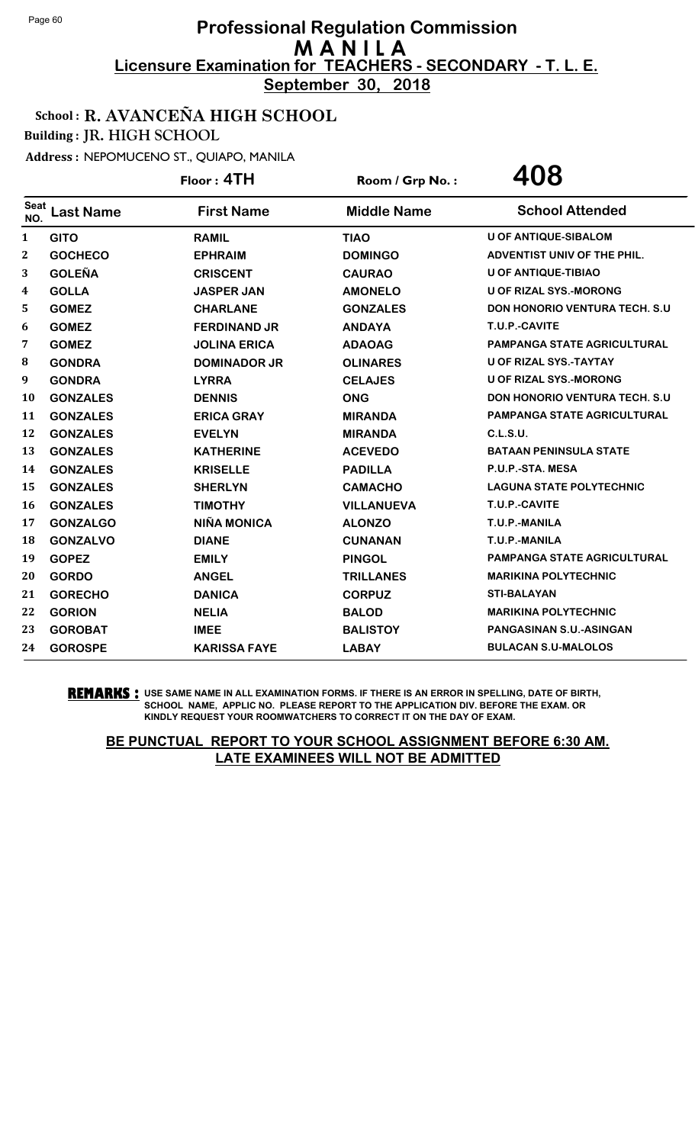**September 30, 2018**

### School : R. AVANCEÑA HIGH SCHOOL

Building : JR. HIGH SCHOOL

Address : NEPOMUCENO ST., QUIAPO, MANILA

|                    |                  | Floor: 4TH          | Room / Grp No.:    | 408                                   |
|--------------------|------------------|---------------------|--------------------|---------------------------------------|
| <b>Seat</b><br>NO. | <b>Last Name</b> | <b>First Name</b>   | <b>Middle Name</b> | <b>School Attended</b>                |
| $\mathbf{1}$       | <b>GITO</b>      | <b>RAMIL</b>        | <b>TIAO</b>        | <b>U OF ANTIQUE-SIBALOM</b>           |
| 2                  | <b>GOCHECO</b>   | <b>EPHRAIM</b>      | <b>DOMINGO</b>     | ADVENTIST UNIV OF THE PHIL.           |
| 3                  | <b>GOLEÑA</b>    | <b>CRISCENT</b>     | <b>CAURAO</b>      | <b>U OF ANTIQUE-TIBIAO</b>            |
| 4                  | <b>GOLLA</b>     | <b>JASPER JAN</b>   | <b>AMONELO</b>     | U OF RIZAL SYS.-MORONG                |
| 5                  | <b>GOMEZ</b>     | <b>CHARLANE</b>     | <b>GONZALES</b>    | <b>DON HONORIO VENTURA TECH. S.U.</b> |
| 6                  | <b>GOMEZ</b>     | <b>FERDINAND JR</b> | <b>ANDAYA</b>      | T.U.P.-CAVITE                         |
| 7                  | <b>GOMEZ</b>     | <b>JOLINA ERICA</b> | <b>ADAOAG</b>      | <b>PAMPANGA STATE AGRICULTURAL</b>    |
| 8                  | <b>GONDRA</b>    | <b>DOMINADOR JR</b> | <b>OLINARES</b>    | U OF RIZAL SYS.-TAYTAY                |
| 9                  | <b>GONDRA</b>    | <b>LYRRA</b>        | <b>CELAJES</b>     | <b>U OF RIZAL SYS.-MORONG</b>         |
| 10                 | <b>GONZALES</b>  | <b>DENNIS</b>       | <b>ONG</b>         | <b>DON HONORIO VENTURA TECH. S.U.</b> |
| 11                 | <b>GONZALES</b>  | <b>ERICA GRAY</b>   | <b>MIRANDA</b>     | <b>PAMPANGA STATE AGRICULTURAL</b>    |
| 12                 | <b>GONZALES</b>  | <b>EVELYN</b>       | <b>MIRANDA</b>     | <b>C.L.S.U.</b>                       |
| 13                 | <b>GONZALES</b>  | <b>KATHERINE</b>    | <b>ACEVEDO</b>     | <b>BATAAN PENINSULA STATE</b>         |
| 14                 | <b>GONZALES</b>  | <b>KRISELLE</b>     | <b>PADILLA</b>     | P.U.P.-STA. MESA                      |
| 15                 | <b>GONZALES</b>  | <b>SHERLYN</b>      | <b>CAMACHO</b>     | <b>LAGUNA STATE POLYTECHNIC</b>       |
| 16                 | <b>GONZALES</b>  | <b>TIMOTHY</b>      | <b>VILLANUEVA</b>  | T.U.P.-CAVITE                         |
| 17                 | <b>GONZALGO</b>  | <b>NIÑA MONICA</b>  | <b>ALONZO</b>      | T.U.P.-MANILA                         |
| 18                 | <b>GONZALVO</b>  | <b>DIANE</b>        | <b>CUNANAN</b>     | T.U.P.-MANILA                         |
| 19                 | <b>GOPEZ</b>     | <b>EMILY</b>        | <b>PINGOL</b>      | PAMPANGA STATE AGRICULTURAL           |
| 20                 | <b>GORDO</b>     | <b>ANGEL</b>        | <b>TRILLANES</b>   | <b>MARIKINA POLYTECHNIC</b>           |
| 21                 | <b>GORECHO</b>   | <b>DANICA</b>       | <b>CORPUZ</b>      | <b>STI-BALAYAN</b>                    |
| 22                 | <b>GORION</b>    | <b>NELIA</b>        | <b>BALOD</b>       | <b>MARIKINA POLYTECHNIC</b>           |
| 23                 | <b>GOROBAT</b>   | <b>IMEE</b>         | <b>BALISTOY</b>    | PANGASINAN S.U.-ASINGAN               |
| 24                 | <b>GOROSPE</b>   | <b>KARISSA FAYE</b> | <b>LABAY</b>       | <b>BULACAN S.U-MALOLOS</b>            |

**REMARKS :** USE SAME NAME IN ALL EXAMINATION FORMS. IF THERE IS AN ERROR IN SPELLING, DATE OF BIRTH, SCHOOL NAME, APPLIC NO. PLEASE REPORT TO THE APPLICATION DIV. BEFORE THE EXAM. OR KINDLY REQUEST YOUR ROOMWATCHERS TO CORRECT IT ON THE DAY OF EXAM.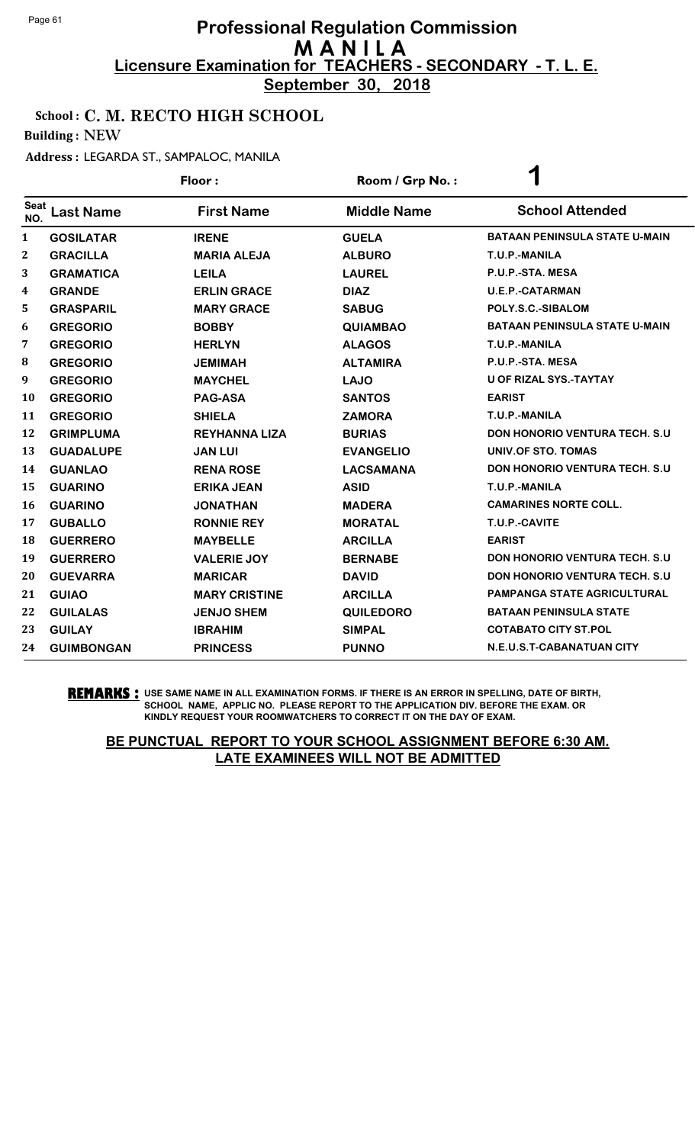**September 30, 2018**

### School : C. M. RECTO HIGH SCHOOL

Building : NEW

#### Address : LEGARDA ST., SAMPALOC, MANILA

|              |                   | Floor:               | Room / Grp No.:    | $\blacktriangleleft$                  |
|--------------|-------------------|----------------------|--------------------|---------------------------------------|
| Seat<br>NO.  | <b>Last Name</b>  | <b>First Name</b>    | <b>Middle Name</b> | <b>School Attended</b>                |
| 1            | <b>GOSILATAR</b>  | <b>IRENE</b>         | <b>GUELA</b>       | <b>BATAAN PENINSULA STATE U-MAIN</b>  |
| $\mathbf{2}$ | <b>GRACILLA</b>   | <b>MARIA ALEJA</b>   | <b>ALBURO</b>      | T.U.P.-MANILA                         |
| 3            | <b>GRAMATICA</b>  | <b>LEILA</b>         | <b>LAUREL</b>      | P.U.P.-STA. MESA                      |
| 4            | <b>GRANDE</b>     | <b>ERLIN GRACE</b>   | <b>DIAZ</b>        | <b>U.E.P.-CATARMAN</b>                |
| 5            | <b>GRASPARIL</b>  | <b>MARY GRACE</b>    | <b>SABUG</b>       | POLY.S.C.-SIBALOM                     |
| 6            | <b>GREGORIO</b>   | <b>BOBBY</b>         | <b>QUIAMBAO</b>    | <b>BATAAN PENINSULA STATE U-MAIN</b>  |
| 7            | <b>GREGORIO</b>   | <b>HERLYN</b>        | <b>ALAGOS</b>      | T.U.P.-MANILA                         |
| 8            | <b>GREGORIO</b>   | <b>JEMIMAH</b>       | <b>ALTAMIRA</b>    | P.U.P.-STA. MESA                      |
| 9            | <b>GREGORIO</b>   | <b>MAYCHEL</b>       | <b>LAJO</b>        | <b>U OF RIZAL SYS.-TAYTAY</b>         |
| <b>10</b>    | <b>GREGORIO</b>   | <b>PAG-ASA</b>       | <b>SANTOS</b>      | <b>EARIST</b>                         |
| 11           | <b>GREGORIO</b>   | <b>SHIELA</b>        | <b>ZAMORA</b>      | T.U.P.-MANILA                         |
| 12           | <b>GRIMPLUMA</b>  | <b>REYHANNA LIZA</b> | <b>BURIAS</b>      | <b>DON HONORIO VENTURA TECH. S.U</b>  |
| 13           | <b>GUADALUPE</b>  | <b>JAN LUI</b>       | <b>EVANGELIO</b>   | UNIV.OF STO. TOMAS                    |
| 14           | <b>GUANLAO</b>    | <b>RENA ROSE</b>     | <b>LACSAMANA</b>   | <b>DON HONORIO VENTURA TECH. S.U.</b> |
| 15           | <b>GUARINO</b>    | <b>ERIKA JEAN</b>    | <b>ASID</b>        | T.U.P.-MANILA                         |
| 16           | <b>GUARINO</b>    | <b>JONATHAN</b>      | <b>MADERA</b>      | <b>CAMARINES NORTE COLL.</b>          |
| 17           | <b>GUBALLO</b>    | <b>RONNIE REY</b>    | <b>MORATAL</b>     | T.U.P.-CAVITE                         |
| 18           | <b>GUERRERO</b>   | <b>MAYBELLE</b>      | <b>ARCILLA</b>     | <b>EARIST</b>                         |
| 19           | <b>GUERRERO</b>   | <b>VALERIE JOY</b>   | <b>BERNABE</b>     | <b>DON HONORIO VENTURA TECH. S.U</b>  |
| 20           | <b>GUEVARRA</b>   | <b>MARICAR</b>       | <b>DAVID</b>       | <b>DON HONORIO VENTURA TECH. S.U.</b> |
| 21           | <b>GUIAO</b>      | <b>MARY CRISTINE</b> | <b>ARCILLA</b>     | <b>PAMPANGA STATE AGRICULTURAL</b>    |
| 22           | <b>GUILALAS</b>   | <b>JENJO SHEM</b>    | <b>QUILEDORO</b>   | <b>BATAAN PENINSULA STATE</b>         |
| 23           | <b>GUILAY</b>     | <b>IBRAHIM</b>       | <b>SIMPAL</b>      | <b>COTABATO CITY ST.POL</b>           |
| 24           | <b>GUIMBONGAN</b> | <b>PRINCESS</b>      | <b>PUNNO</b>       | N.E.U.S.T-CABANATUAN CITY             |

#### **REMARKS :** USE SAME NAME IN ALL EXAMINATION FORMS. IF THERE IS AN ERROR IN SPELLING, DATE OF BIRTH, SCHOOL NAME, APPLIC NO. PLEASE REPORT TO THE APPLICATION DIV. BEFORE THE EXAM. OR KINDLY REQUEST YOUR ROOMWATCHERS TO CORRECT IT ON THE DAY OF EXAM.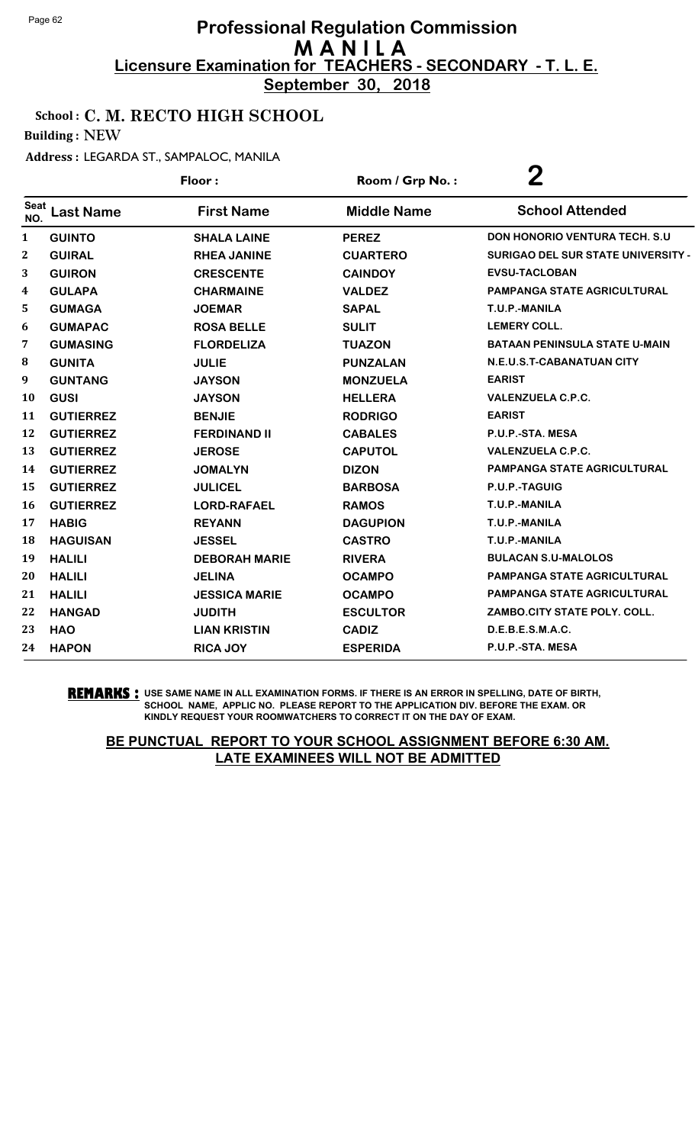**September 30, 2018**

# School : C. M. RECTO HIGH SCHOOL

Building : NEW

### Address : LEGARDA ST., SAMPALOC, MANILA

|                    |                  | Floor:               | Room / Grp No.:    | $\bf{2}$                                  |
|--------------------|------------------|----------------------|--------------------|-------------------------------------------|
| <b>Seat</b><br>NO. | <b>Last Name</b> | <b>First Name</b>    | <b>Middle Name</b> | <b>School Attended</b>                    |
| $\mathbf{1}$       | <b>GUINTO</b>    | <b>SHALA LAINE</b>   | <b>PEREZ</b>       | <b>DON HONORIO VENTURA TECH. S.U</b>      |
| $\boldsymbol{2}$   | <b>GUIRAL</b>    | <b>RHEA JANINE</b>   | <b>CUARTERO</b>    | <b>SURIGAO DEL SUR STATE UNIVERSITY -</b> |
| 3                  | <b>GUIRON</b>    | <b>CRESCENTE</b>     | <b>CAINDOY</b>     | <b>EVSU-TACLOBAN</b>                      |
| 4                  | <b>GULAPA</b>    | <b>CHARMAINE</b>     | <b>VALDEZ</b>      | <b>PAMPANGA STATE AGRICULTURAL</b>        |
| 5                  | <b>GUMAGA</b>    | <b>JOEMAR</b>        | <b>SAPAL</b>       | T.U.P.-MANILA                             |
| 6                  | <b>GUMAPAC</b>   | <b>ROSA BELLE</b>    | <b>SULIT</b>       | <b>LEMERY COLL.</b>                       |
| 7                  | <b>GUMASING</b>  | <b>FLORDELIZA</b>    | <b>TUAZON</b>      | <b>BATAAN PENINSULA STATE U-MAIN</b>      |
| 8                  | <b>GUNITA</b>    | <b>JULIE</b>         | <b>PUNZALAN</b>    | N.E.U.S.T-CABANATUAN CITY                 |
| 9                  | <b>GUNTANG</b>   | <b>JAYSON</b>        | <b>MONZUELA</b>    | <b>EARIST</b>                             |
| 10                 | <b>GUSI</b>      | <b>JAYSON</b>        | <b>HELLERA</b>     | <b>VALENZUELA C.P.C.</b>                  |
| 11                 | <b>GUTIERREZ</b> | <b>BENJIE</b>        | <b>RODRIGO</b>     | <b>EARIST</b>                             |
| 12                 | <b>GUTIERREZ</b> | <b>FERDINAND II</b>  | <b>CABALES</b>     | P.U.P.-STA. MESA                          |
| 13                 | <b>GUTIERREZ</b> | <b>JEROSE</b>        | <b>CAPUTOL</b>     | <b>VALENZUELA C.P.C.</b>                  |
| 14                 | <b>GUTIERREZ</b> | <b>JOMALYN</b>       | <b>DIZON</b>       | PAMPANGA STATE AGRICULTURAL               |
| 15                 | <b>GUTIERREZ</b> | <b>JULICEL</b>       | <b>BARBOSA</b>     | P.U.P.-TAGUIG                             |
| 16                 | <b>GUTIERREZ</b> | <b>LORD-RAFAEL</b>   | <b>RAMOS</b>       | T.U.P.-MANILA                             |
| 17                 | <b>HABIG</b>     | <b>REYANN</b>        | <b>DAGUPION</b>    | T.U.P.-MANILA                             |
| 18                 | <b>HAGUISAN</b>  | <b>JESSEL</b>        | <b>CASTRO</b>      | T.U.P.-MANILA                             |
| 19                 | <b>HALILI</b>    | <b>DEBORAH MARIE</b> | <b>RIVERA</b>      | <b>BULACAN S.U-MALOLOS</b>                |
| 20                 | <b>HALILI</b>    | <b>JELINA</b>        | <b>OCAMPO</b>      | PAMPANGA STATE AGRICULTURAL               |
| 21                 | <b>HALILI</b>    | <b>JESSICA MARIE</b> | <b>OCAMPO</b>      | <b>PAMPANGA STATE AGRICULTURAL</b>        |
| 22                 | <b>HANGAD</b>    | <b>JUDITH</b>        | <b>ESCULTOR</b>    | ZAMBO.CITY STATE POLY. COLL.              |
| 23                 | <b>HAO</b>       | <b>LIAN KRISTIN</b>  | <b>CADIZ</b>       | D.E.B.E.S.M.A.C.                          |
| 24                 | <b>HAPON</b>     | <b>RICA JOY</b>      | <b>ESPERIDA</b>    | P.U.P.-STA. MESA                          |

#### **REMARKS :** USE SAME NAME IN ALL EXAMINATION FORMS. IF THERE IS AN ERROR IN SPELLING, DATE OF BIRTH, SCHOOL NAME, APPLIC NO. PLEASE REPORT TO THE APPLICATION DIV. BEFORE THE EXAM. OR KINDLY REQUEST YOUR ROOMWATCHERS TO CORRECT IT ON THE DAY OF EXAM.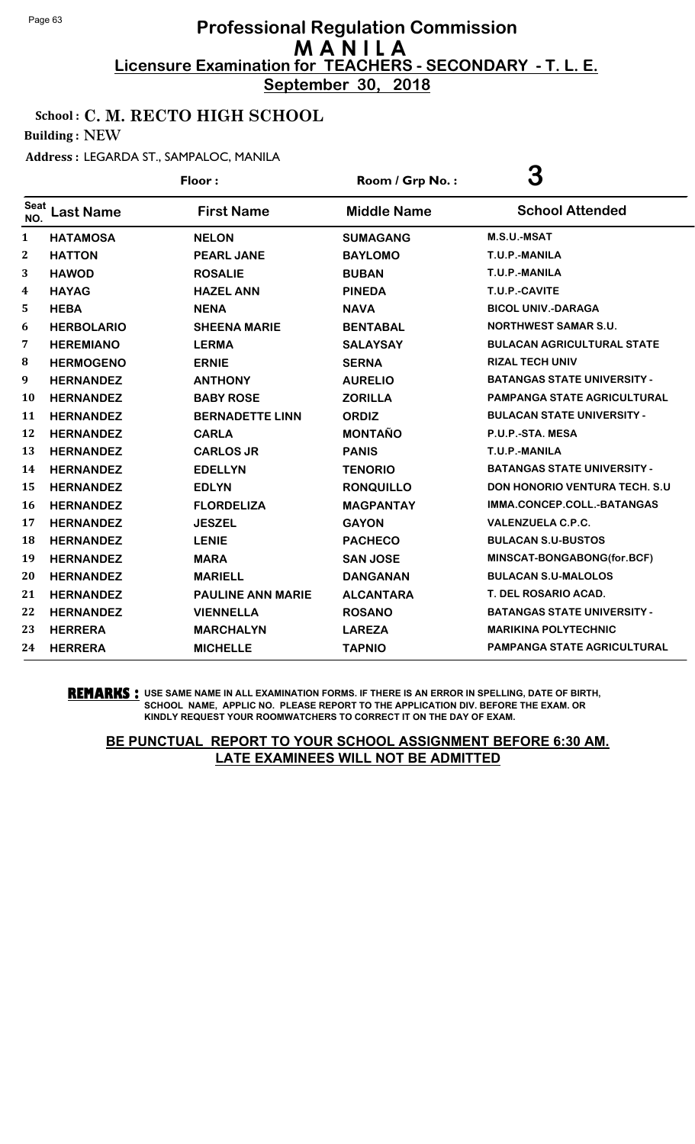**September 30, 2018**

### School : C. M. RECTO HIGH SCHOOL

Building : NEW

#### Address : LEGARDA ST., SAMPALOC, MANILA

|                    |                   | Floor:                   | Room / Grp No.:    | 3                                    |
|--------------------|-------------------|--------------------------|--------------------|--------------------------------------|
| <b>Seat</b><br>NO. | <b>Last Name</b>  | <b>First Name</b>        | <b>Middle Name</b> | <b>School Attended</b>               |
| 1                  | <b>HATAMOSA</b>   | <b>NELON</b>             | <b>SUMAGANG</b>    | M.S.U.-MSAT                          |
| $\boldsymbol{2}$   | <b>HATTON</b>     | <b>PEARL JANE</b>        | <b>BAYLOMO</b>     | T.U.P.-MANILA                        |
| 3                  | <b>HAWOD</b>      | <b>ROSALIE</b>           | <b>BUBAN</b>       | T.U.P.-MANILA                        |
| 4                  | <b>HAYAG</b>      | <b>HAZEL ANN</b>         | <b>PINEDA</b>      | T.U.P.-CAVITE                        |
| 5                  | <b>HEBA</b>       | <b>NENA</b>              | <b>NAVA</b>        | <b>BICOL UNIV.-DARAGA</b>            |
| 6                  | <b>HERBOLARIO</b> | <b>SHEENA MARIE</b>      | <b>BENTABAL</b>    | <b>NORTHWEST SAMAR S.U.</b>          |
| 7                  | <b>HEREMIANO</b>  | <b>LERMA</b>             | <b>SALAYSAY</b>    | <b>BULACAN AGRICULTURAL STATE</b>    |
| 8                  | <b>HERMOGENO</b>  | <b>ERNIE</b>             | <b>SERNA</b>       | <b>RIZAL TECH UNIV</b>               |
| 9                  | <b>HERNANDEZ</b>  | <b>ANTHONY</b>           | <b>AURELIO</b>     | <b>BATANGAS STATE UNIVERSITY -</b>   |
| 10                 | <b>HERNANDEZ</b>  | <b>BABY ROSE</b>         | <b>ZORILLA</b>     | <b>PAMPANGA STATE AGRICULTURAL</b>   |
| 11                 | <b>HERNANDEZ</b>  | <b>BERNADETTE LINN</b>   | <b>ORDIZ</b>       | <b>BULACAN STATE UNIVERSITY -</b>    |
| 12                 | <b>HERNANDEZ</b>  | <b>CARLA</b>             | <b>MONTAÑO</b>     | P.U.P.-STA. MESA                     |
| 13                 | <b>HERNANDEZ</b>  | <b>CARLOS JR</b>         | <b>PANIS</b>       | T.U.P.-MANILA                        |
| 14                 | <b>HERNANDEZ</b>  | <b>EDELLYN</b>           | <b>TENORIO</b>     | <b>BATANGAS STATE UNIVERSITY -</b>   |
| 15                 | <b>HERNANDEZ</b>  | <b>EDLYN</b>             | <b>RONQUILLO</b>   | <b>DON HONORIO VENTURA TECH. S.U</b> |
| 16                 | <b>HERNANDEZ</b>  | <b>FLORDELIZA</b>        | <b>MAGPANTAY</b>   | IMMA.CONCEP.COLL.-BATANGAS           |
| 17                 | <b>HERNANDEZ</b>  | <b>JESZEL</b>            | <b>GAYON</b>       | <b>VALENZUELA C.P.C.</b>             |
| 18                 | <b>HERNANDEZ</b>  | <b>LENIE</b>             | <b>PACHECO</b>     | <b>BULACAN S.U-BUSTOS</b>            |
| 19                 | <b>HERNANDEZ</b>  | <b>MARA</b>              | <b>SAN JOSE</b>    | MINSCAT-BONGABONG(for.BCF)           |
| 20                 | <b>HERNANDEZ</b>  | <b>MARIELL</b>           | <b>DANGANAN</b>    | <b>BULACAN S.U-MALOLOS</b>           |
| 21                 | <b>HERNANDEZ</b>  | <b>PAULINE ANN MARIE</b> | <b>ALCANTARA</b>   | <b>T. DEL ROSARIO ACAD.</b>          |
| 22                 | <b>HERNANDEZ</b>  | <b>VIENNELLA</b>         | <b>ROSANO</b>      | <b>BATANGAS STATE UNIVERSITY -</b>   |
| 23                 | <b>HERRERA</b>    | <b>MARCHALYN</b>         | <b>LAREZA</b>      | <b>MARIKINA POLYTECHNIC</b>          |
| 24                 | <b>HERRERA</b>    | <b>MICHELLE</b>          | <b>TAPNIO</b>      | PAMPANGA STATE AGRICULTURAL          |

**REMARKS :** USE SAME NAME IN ALL EXAMINATION FORMS. IF THERE IS AN ERROR IN SPELLING, DATE OF BIRTH, SCHOOL NAME, APPLIC NO. PLEASE REPORT TO THE APPLICATION DIV. BEFORE THE EXAM. OR KINDLY REQUEST YOUR ROOMWATCHERS TO CORRECT IT ON THE DAY OF EXAM.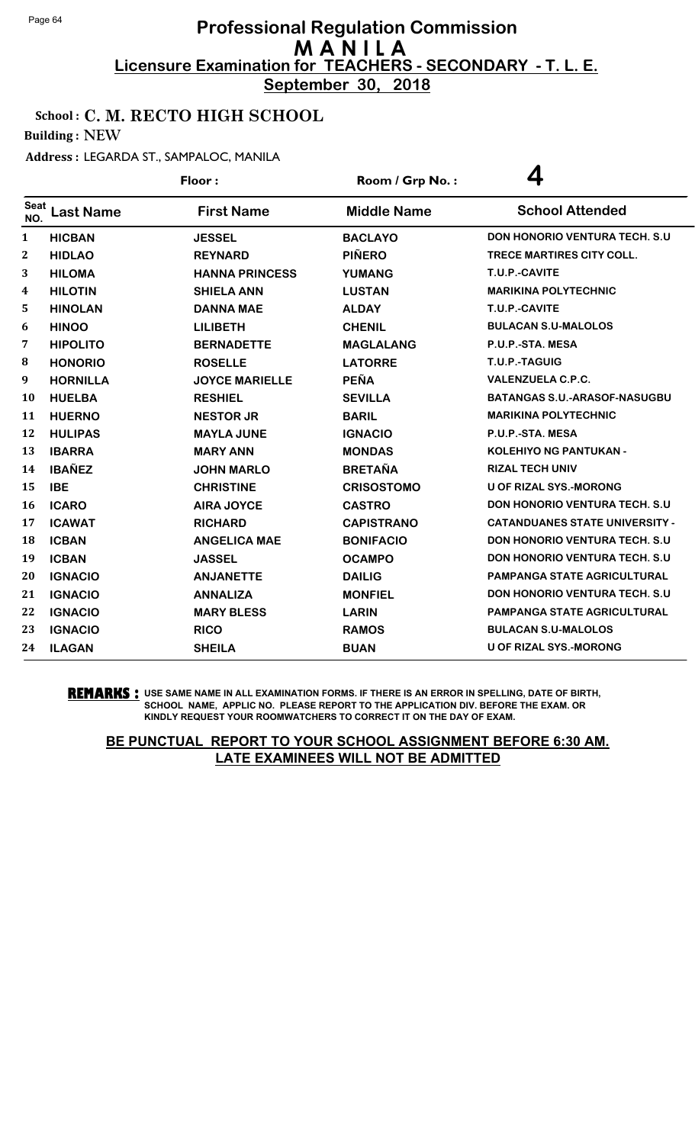**September 30, 2018**

### School : C. M. RECTO HIGH SCHOOL

Building : NEW

#### Address : LEGARDA ST., SAMPALOC, MANILA

|                  |                  | Floor:                | Room / Grp No.:    | 4                                     |
|------------------|------------------|-----------------------|--------------------|---------------------------------------|
| Seat<br>NO.      | <b>Last Name</b> | <b>First Name</b>     | <b>Middle Name</b> | <b>School Attended</b>                |
| 1                | <b>HICBAN</b>    | <b>JESSEL</b>         | <b>BACLAYO</b>     | <b>DON HONORIO VENTURA TECH. S.U.</b> |
| $\boldsymbol{2}$ | <b>HIDLAO</b>    | <b>REYNARD</b>        | <b>PIÑERO</b>      | TRECE MARTIRES CITY COLL.             |
| 3                | <b>HILOMA</b>    | <b>HANNA PRINCESS</b> | <b>YUMANG</b>      | T.U.P.-CAVITE                         |
| 4                | <b>HILOTIN</b>   | <b>SHIELA ANN</b>     | <b>LUSTAN</b>      | <b>MARIKINA POLYTECHNIC</b>           |
| 5                | <b>HINOLAN</b>   | <b>DANNA MAE</b>      | <b>ALDAY</b>       | T.U.P.-CAVITE                         |
| 6                | <b>HINOO</b>     | <b>LILIBETH</b>       | <b>CHENIL</b>      | <b>BULACAN S.U-MALOLOS</b>            |
| 7                | <b>HIPOLITO</b>  | <b>BERNADETTE</b>     | <b>MAGLALANG</b>   | P.U.P.-STA, MESA                      |
| 8                | <b>HONORIO</b>   | <b>ROSELLE</b>        | <b>LATORRE</b>     | T.U.P.-TAGUIG                         |
| 9                | <b>HORNILLA</b>  | <b>JOYCE MARIELLE</b> | <b>PEÑA</b>        | <b>VALENZUELA C.P.C.</b>              |
| <b>10</b>        | <b>HUELBA</b>    | <b>RESHIEL</b>        | <b>SEVILLA</b>     | <b>BATANGAS S.U.-ARASOF-NASUGBU</b>   |
| 11               | <b>HUERNO</b>    | <b>NESTOR JR</b>      | <b>BARIL</b>       | <b>MARIKINA POLYTECHNIC</b>           |
| 12               | <b>HULIPAS</b>   | <b>MAYLA JUNE</b>     | <b>IGNACIO</b>     | P.U.P.-STA. MESA                      |
| 13               | <b>IBARRA</b>    | <b>MARY ANN</b>       | <b>MONDAS</b>      | <b>KOLEHIYO NG PANTUKAN -</b>         |
| 14               | <b>IBAÑEZ</b>    | <b>JOHN MARLO</b>     | <b>BRETAÑA</b>     | <b>RIZAL TECH UNIV</b>                |
| 15               | <b>IBE</b>       | <b>CHRISTINE</b>      | <b>CRISOSTOMO</b>  | <b>U OF RIZAL SYS.-MORONG</b>         |
| 16               | <b>ICARO</b>     | <b>AIRA JOYCE</b>     | <b>CASTRO</b>      | <b>DON HONORIO VENTURA TECH. S.U.</b> |
| 17               | <b>ICAWAT</b>    | <b>RICHARD</b>        | <b>CAPISTRANO</b>  | <b>CATANDUANES STATE UNIVERSITY -</b> |
| 18               | <b>ICBAN</b>     | <b>ANGELICA MAE</b>   | <b>BONIFACIO</b>   | <b>DON HONORIO VENTURA TECH. S.U</b>  |
| 19               | <b>ICBAN</b>     | <b>JASSEL</b>         | <b>OCAMPO</b>      | <b>DON HONORIO VENTURA TECH. S.U</b>  |
| 20               | <b>IGNACIO</b>   | <b>ANJANETTE</b>      | <b>DAILIG</b>      | <b>PAMPANGA STATE AGRICULTURAL</b>    |
| 21               | <b>IGNACIO</b>   | <b>ANNALIZA</b>       | <b>MONFIEL</b>     | <b>DON HONORIO VENTURA TECH. S.U.</b> |
| 22               | <b>IGNACIO</b>   | <b>MARY BLESS</b>     | <b>LARIN</b>       | PAMPANGA STATE AGRICULTURAL           |
| 23               | <b>IGNACIO</b>   | <b>RICO</b>           | <b>RAMOS</b>       | <b>BULACAN S.U-MALOLOS</b>            |
| 24               | <b>ILAGAN</b>    | <b>SHEILA</b>         | <b>BUAN</b>        | <b>U OF RIZAL SYS.-MORONG</b>         |

**REMARKS :** USE SAME NAME IN ALL EXAMINATION FORMS. IF THERE IS AN ERROR IN SPELLING, DATE OF BIRTH, SCHOOL NAME, APPLIC NO. PLEASE REPORT TO THE APPLICATION DIV. BEFORE THE EXAM. OR KINDLY REQUEST YOUR ROOMWATCHERS TO CORRECT IT ON THE DAY OF EXAM.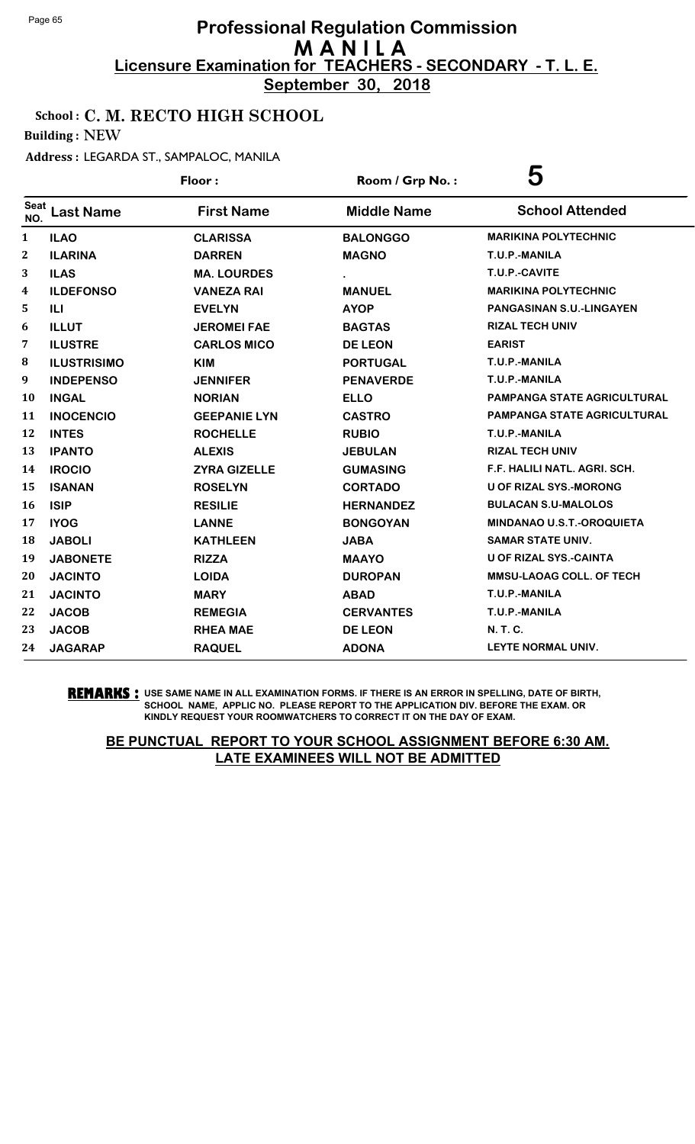**September 30, 2018**

# School : C. M. RECTO HIGH SCHOOL

Building : NEW

### Address : LEGARDA ST., SAMPALOC, MANILA

|                  |                    | Floor:              | Room / Grp No.:    | 5                                  |
|------------------|--------------------|---------------------|--------------------|------------------------------------|
| Seat<br>NO.      | <b>Last Name</b>   | <b>First Name</b>   | <b>Middle Name</b> | <b>School Attended</b>             |
| 1                | <b>ILAO</b>        | <b>CLARISSA</b>     | <b>BALONGGO</b>    | <b>MARIKINA POLYTECHNIC</b>        |
| $\boldsymbol{2}$ | <b>ILARINA</b>     | <b>DARREN</b>       | <b>MAGNO</b>       | T.U.P.-MANILA                      |
| 3                | <b>ILAS</b>        | <b>MA. LOURDES</b>  |                    | T.U.P.-CAVITE                      |
| 4                | <b>ILDEFONSO</b>   | <b>VANEZA RAI</b>   | <b>MANUEL</b>      | <b>MARIKINA POLYTECHNIC</b>        |
| 5                | ILI                | <b>EVELYN</b>       | <b>AYOP</b>        | <b>PANGASINAN S.U.-LINGAYEN</b>    |
| 6                | <b>ILLUT</b>       | <b>JEROMEI FAE</b>  | <b>BAGTAS</b>      | <b>RIZAL TECH UNIV</b>             |
| 7                | <b>ILUSTRE</b>     | <b>CARLOS MICO</b>  | <b>DE LEON</b>     | <b>EARIST</b>                      |
| 8                | <b>ILUSTRISIMO</b> | KIM                 | <b>PORTUGAL</b>    | T.U.P.-MANILA                      |
| 9                | <b>INDEPENSO</b>   | <b>JENNIFER</b>     | <b>PENAVERDE</b>   | T.U.P.-MANILA                      |
| <b>10</b>        | <b>INGAL</b>       | <b>NORIAN</b>       | <b>ELLO</b>        | <b>PAMPANGA STATE AGRICULTURAL</b> |
| 11               | <b>INOCENCIO</b>   | <b>GEEPANIE LYN</b> | <b>CASTRO</b>      | <b>PAMPANGA STATE AGRICULTURAL</b> |
| 12               | <b>INTES</b>       | <b>ROCHELLE</b>     | <b>RUBIO</b>       | T.U.P.-MANILA                      |
| 13               | <b>IPANTO</b>      | <b>ALEXIS</b>       | <b>JEBULAN</b>     | <b>RIZAL TECH UNIV</b>             |
| 14               | <b>IROCIO</b>      | <b>ZYRA GIZELLE</b> | <b>GUMASING</b>    | F.F. HALILI NATL. AGRI. SCH.       |
| 15               | <b>ISANAN</b>      | <b>ROSELYN</b>      | <b>CORTADO</b>     | <b>U OF RIZAL SYS.-MORONG</b>      |
| <b>16</b>        | <b>ISIP</b>        | <b>RESILIE</b>      | <b>HERNANDEZ</b>   | <b>BULACAN S.U-MALOLOS</b>         |
| 17               | <b>IYOG</b>        | <b>LANNE</b>        | <b>BONGOYAN</b>    | <b>MINDANAO U.S.T.-OROQUIETA</b>   |
| 18               | <b>JABOLI</b>      | <b>KATHLEEN</b>     | <b>JABA</b>        | <b>SAMAR STATE UNIV.</b>           |
| 19               | <b>JABONETE</b>    | <b>RIZZA</b>        | <b>MAAYO</b>       | <b>U OF RIZAL SYS.-CAINTA</b>      |
| 20               | <b>JACINTO</b>     | <b>LOIDA</b>        | <b>DUROPAN</b>     | <b>MMSU-LAOAG COLL. OF TECH</b>    |
| 21               | <b>JACINTO</b>     | <b>MARY</b>         | <b>ABAD</b>        | T.U.P.-MANILA                      |
| 22               | <b>JACOB</b>       | <b>REMEGIA</b>      | <b>CERVANTES</b>   | T.U.P.-MANILA                      |
| 23               | <b>JACOB</b>       | <b>RHEA MAE</b>     | <b>DE LEON</b>     | <b>N. T. C.</b>                    |
| 24               | <b>JAGARAP</b>     | <b>RAQUEL</b>       | <b>ADONA</b>       | <b>LEYTE NORMAL UNIV.</b>          |

#### **REMARKS :** USE SAME NAME IN ALL EXAMINATION FORMS. IF THERE IS AN ERROR IN SPELLING, DATE OF BIRTH, SCHOOL NAME, APPLIC NO. PLEASE REPORT TO THE APPLICATION DIV. BEFORE THE EXAM. OR KINDLY REQUEST YOUR ROOMWATCHERS TO CORRECT IT ON THE DAY OF EXAM.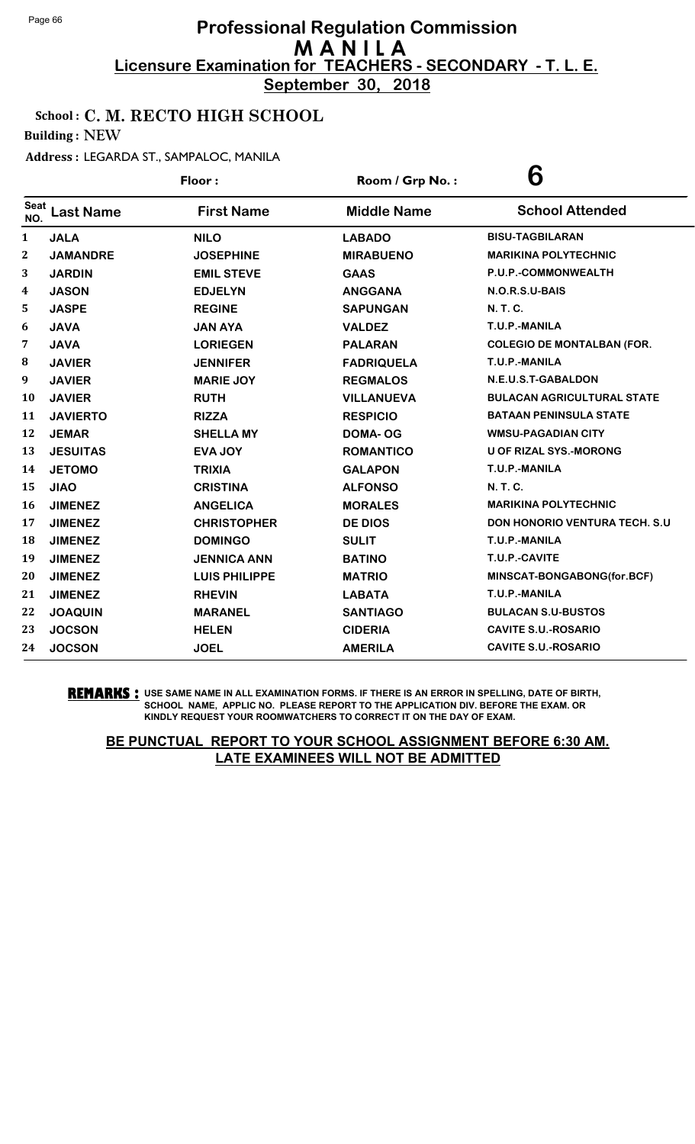**September 30, 2018**

### School : C. M. RECTO HIGH SCHOOL

Building : NEW

#### Address : LEGARDA ST., SAMPALOC, MANILA

|              |                  | Floor:               | Room / Grp No.:    | 6                                    |
|--------------|------------------|----------------------|--------------------|--------------------------------------|
| Seat<br>NO.  | <b>Last Name</b> | <b>First Name</b>    | <b>Middle Name</b> | <b>School Attended</b>               |
| $\mathbf{1}$ | <b>JALA</b>      | <b>NILO</b>          | <b>LABADO</b>      | <b>BISU-TAGBILARAN</b>               |
| 2            | <b>JAMANDRE</b>  | <b>JOSEPHINE</b>     | <b>MIRABUENO</b>   | <b>MARIKINA POLYTECHNIC</b>          |
| 3            | <b>JARDIN</b>    | <b>EMIL STEVE</b>    | <b>GAAS</b>        | P.U.P.-COMMONWEALTH                  |
| 4            | <b>JASON</b>     | <b>EDJELYN</b>       | <b>ANGGANA</b>     | N.O.R.S.U-BAIS                       |
| 5            | <b>JASPE</b>     | <b>REGINE</b>        | <b>SAPUNGAN</b>    | N. T. C.                             |
| 6            | <b>JAVA</b>      | <b>JAN AYA</b>       | <b>VALDEZ</b>      | T.U.P.-MANILA                        |
| 7            | <b>JAVA</b>      | <b>LORIEGEN</b>      | <b>PALARAN</b>     | <b>COLEGIO DE MONTALBAN (FOR.</b>    |
| ${\bf 8}$    | <b>JAVIER</b>    | <b>JENNIFER</b>      | <b>FADRIQUELA</b>  | T.U.P.-MANILA                        |
| 9            | <b>JAVIER</b>    | <b>MARIE JOY</b>     | <b>REGMALOS</b>    | N.E.U.S.T-GABALDON                   |
| 10           | <b>JAVIER</b>    | <b>RUTH</b>          | <b>VILLANUEVA</b>  | <b>BULACAN AGRICULTURAL STATE</b>    |
| 11           | <b>JAVIERTO</b>  | <b>RIZZA</b>         | <b>RESPICIO</b>    | <b>BATAAN PENINSULA STATE</b>        |
| 12           | <b>JEMAR</b>     | <b>SHELLA MY</b>     | <b>DOMA-OG</b>     | <b>WMSU-PAGADIAN CITY</b>            |
| 13           | <b>JESUITAS</b>  | <b>EVA JOY</b>       | <b>ROMANTICO</b>   | <b>U OF RIZAL SYS.-MORONG</b>        |
| 14           | <b>JETOMO</b>    | <b>TRIXIA</b>        | <b>GALAPON</b>     | T.U.P.-MANILA                        |
| 15           | <b>JIAO</b>      | <b>CRISTINA</b>      | <b>ALFONSO</b>     | <b>N. T. C.</b>                      |
| 16           | <b>JIMENEZ</b>   | <b>ANGELICA</b>      | <b>MORALES</b>     | <b>MARIKINA POLYTECHNIC</b>          |
| 17           | <b>JIMENEZ</b>   | <b>CHRISTOPHER</b>   | <b>DE DIOS</b>     | <b>DON HONORIO VENTURA TECH. S.U</b> |
| 18           | <b>JIMENEZ</b>   | <b>DOMINGO</b>       | <b>SULIT</b>       | T.U.P.-MANILA                        |
| 19           | <b>JIMENEZ</b>   | <b>JENNICA ANN</b>   | <b>BATINO</b>      | T.U.P.-CAVITE                        |
| 20           | <b>JIMENEZ</b>   | <b>LUIS PHILIPPE</b> | <b>MATRIO</b>      | MINSCAT-BONGABONG(for.BCF)           |
| 21           | <b>JIMENEZ</b>   | <b>RHEVIN</b>        | <b>LABATA</b>      | T.U.P.-MANILA                        |
| 22           | <b>JOAQUIN</b>   | <b>MARANEL</b>       | <b>SANTIAGO</b>    | <b>BULACAN S.U-BUSTOS</b>            |
| 23           | <b>JOCSON</b>    | <b>HELEN</b>         | <b>CIDERIA</b>     | <b>CAVITE S.U.-ROSARIO</b>           |
| 24           | <b>JOCSON</b>    | <b>JOEL</b>          | <b>AMERILA</b>     | <b>CAVITE S.U.-ROSARIO</b>           |

#### **REMARKS :** USE SAME NAME IN ALL EXAMINATION FORMS. IF THERE IS AN ERROR IN SPELLING, DATE OF BIRTH, SCHOOL NAME, APPLIC NO. PLEASE REPORT TO THE APPLICATION DIV. BEFORE THE EXAM. OR KINDLY REQUEST YOUR ROOMWATCHERS TO CORRECT IT ON THE DAY OF EXAM.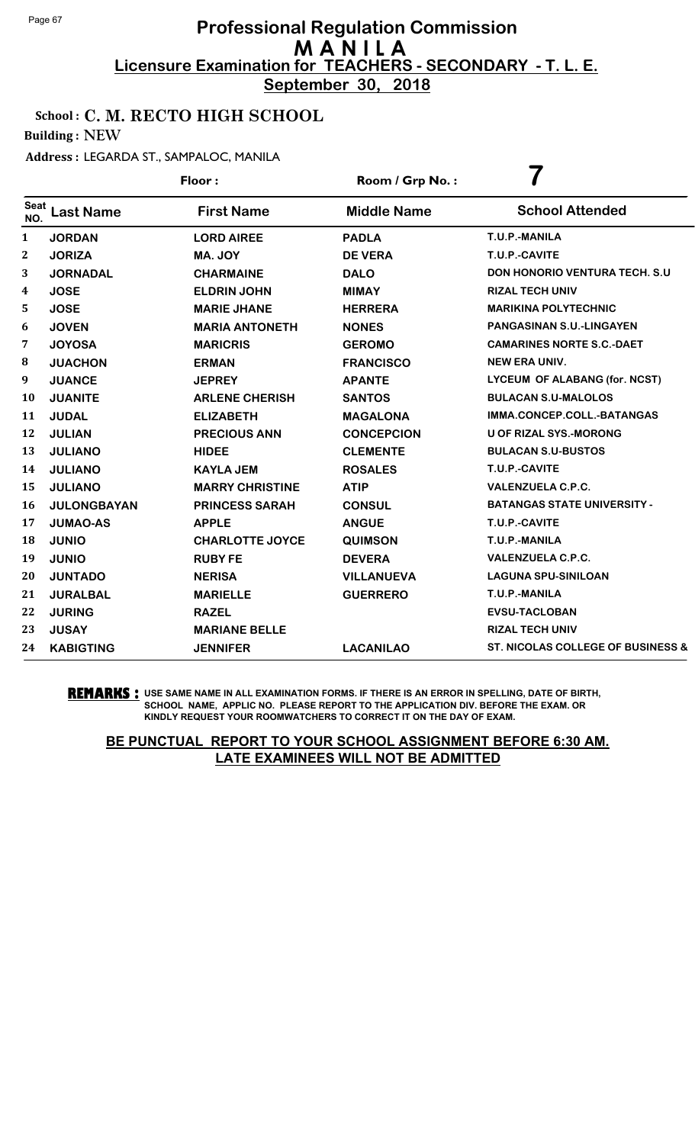**September 30, 2018**

### School : C. M. RECTO HIGH SCHOOL

Building : NEW

#### Address : LEGARDA ST., SAMPALOC, MANILA

|                    |                    | Floor:                 | Room / Grp No.:    |                                              |
|--------------------|--------------------|------------------------|--------------------|----------------------------------------------|
| <b>Seat</b><br>NO. | <b>Last Name</b>   | <b>First Name</b>      | <b>Middle Name</b> | <b>School Attended</b>                       |
| 1                  | <b>JORDAN</b>      | <b>LORD AIREE</b>      | <b>PADLA</b>       | T.U.P.-MANILA                                |
| $\boldsymbol{2}$   | <b>JORIZA</b>      | MA. JOY                | <b>DE VERA</b>     | T.U.P.-CAVITE                                |
| 3                  | <b>JORNADAL</b>    | <b>CHARMAINE</b>       | <b>DALO</b>        | <b>DON HONORIO VENTURA TECH. S.U</b>         |
| 4                  | <b>JOSE</b>        | <b>ELDRIN JOHN</b>     | <b>MIMAY</b>       | <b>RIZAL TECH UNIV</b>                       |
| 5                  | <b>JOSE</b>        | <b>MARIE JHANE</b>     | <b>HERRERA</b>     | <b>MARIKINA POLYTECHNIC</b>                  |
| 6                  | <b>JOVEN</b>       | <b>MARIA ANTONETH</b>  | <b>NONES</b>       | PANGASINAN S.U.-LINGAYEN                     |
| 7                  | <b>JOYOSA</b>      | <b>MARICRIS</b>        | <b>GEROMO</b>      | <b>CAMARINES NORTE S.C.-DAET</b>             |
| 8                  | <b>JUACHON</b>     | <b>ERMAN</b>           | <b>FRANCISCO</b>   | <b>NEW ERA UNIV.</b>                         |
| 9                  | <b>JUANCE</b>      | <b>JEPREY</b>          | <b>APANTE</b>      | LYCEUM OF ALABANG (for. NCST)                |
| 10                 | <b>JUANITE</b>     | <b>ARLENE CHERISH</b>  | <b>SANTOS</b>      | <b>BULACAN S.U-MALOLOS</b>                   |
| 11                 | <b>JUDAL</b>       | <b>ELIZABETH</b>       | <b>MAGALONA</b>    | IMMA.CONCEP.COLL.-BATANGAS                   |
| 12                 | <b>JULIAN</b>      | <b>PRECIOUS ANN</b>    | <b>CONCEPCION</b>  | <b>U OF RIZAL SYS.-MORONG</b>                |
| 13                 | <b>JULIANO</b>     | <b>HIDEE</b>           | <b>CLEMENTE</b>    | <b>BULACAN S.U-BUSTOS</b>                    |
| 14                 | <b>JULIANO</b>     | <b>KAYLA JEM</b>       | <b>ROSALES</b>     | T.U.P.-CAVITE                                |
| 15                 | <b>JULIANO</b>     | <b>MARRY CHRISTINE</b> | <b>ATIP</b>        | <b>VALENZUELA C.P.C.</b>                     |
| 16                 | <b>JULONGBAYAN</b> | <b>PRINCESS SARAH</b>  | <b>CONSUL</b>      | <b>BATANGAS STATE UNIVERSITY -</b>           |
| 17                 | <b>JUMAO-AS</b>    | <b>APPLE</b>           | <b>ANGUE</b>       | T.U.P.-CAVITE                                |
| 18                 | <b>JUNIO</b>       | <b>CHARLOTTE JOYCE</b> | <b>QUIMSON</b>     | T.U.P.-MANILA                                |
| 19                 | <b>JUNIO</b>       | <b>RUBY FE</b>         | <b>DEVERA</b>      | <b>VALENZUELA C.P.C.</b>                     |
| 20                 | <b>JUNTADO</b>     | <b>NERISA</b>          | <b>VILLANUEVA</b>  | <b>LAGUNA SPU-SINILOAN</b>                   |
| 21                 | <b>JURALBAL</b>    | <b>MARIELLE</b>        | <b>GUERRERO</b>    | T.U.P.-MANILA                                |
| 22                 | <b>JURING</b>      | <b>RAZEL</b>           |                    | <b>EVSU-TACLOBAN</b>                         |
| 23                 | <b>JUSAY</b>       | <b>MARIANE BELLE</b>   |                    | <b>RIZAL TECH UNIV</b>                       |
| 24                 | <b>KABIGTING</b>   | <b>JENNIFER</b>        | <b>LACANILAO</b>   | <b>ST. NICOLAS COLLEGE OF BUSINESS &amp;</b> |

**REMARKS :** USE SAME NAME IN ALL EXAMINATION FORMS. IF THERE IS AN ERROR IN SPELLING, DATE OF BIRTH, SCHOOL NAME, APPLIC NO. PLEASE REPORT TO THE APPLICATION DIV. BEFORE THE EXAM. OR KINDLY REQUEST YOUR ROOMWATCHERS TO CORRECT IT ON THE DAY OF EXAM.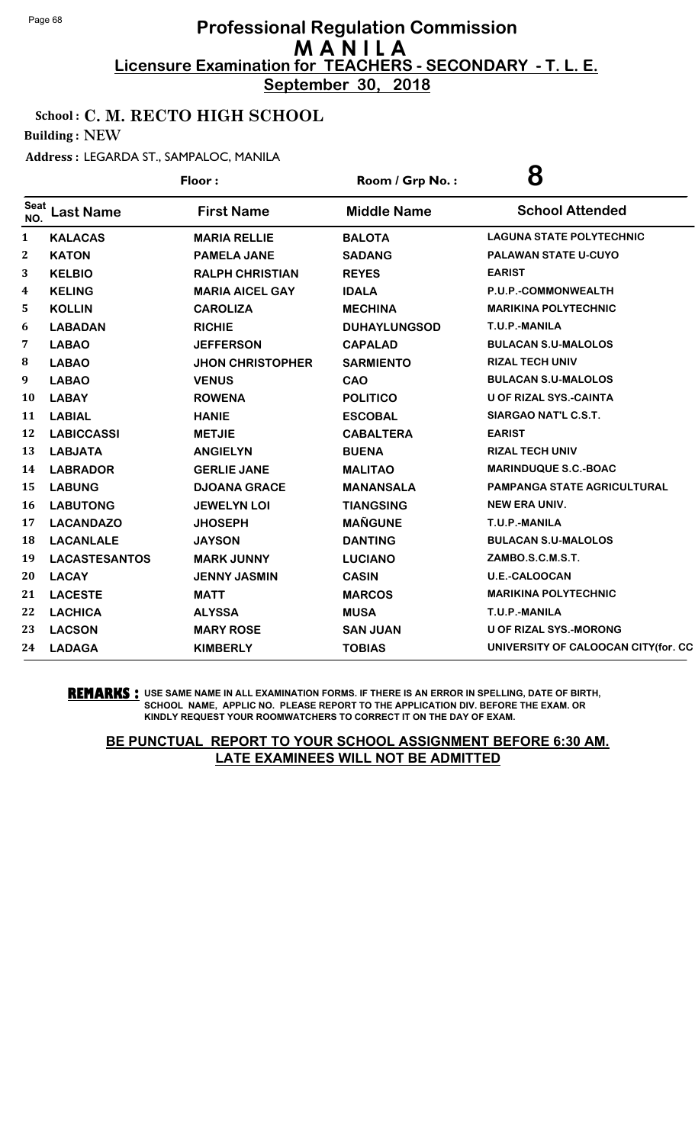**September 30, 2018**

### School : C. M. RECTO HIGH SCHOOL

Building : NEW

#### Address : LEGARDA ST., SAMPALOC, MANILA

|                                  | Floor:                  | Room / Grp No.:     | 8                                   |
|----------------------------------|-------------------------|---------------------|-------------------------------------|
| Seat<br><b>Last Name</b><br>NO.  | <b>First Name</b>       | <b>Middle Name</b>  | <b>School Attended</b>              |
| 1<br><b>KALACAS</b>              | <b>MARIA RELLIE</b>     | <b>BALOTA</b>       | <b>LAGUNA STATE POLYTECHNIC</b>     |
| $\boldsymbol{2}$<br><b>KATON</b> | <b>PAMELA JANE</b>      | <b>SADANG</b>       | PALAWAN STATE U-CUYO                |
| 3<br><b>KELBIO</b>               | <b>RALPH CHRISTIAN</b>  | <b>REYES</b>        | <b>EARIST</b>                       |
| 4<br><b>KELING</b>               | <b>MARIA AICEL GAY</b>  | <b>IDALA</b>        | P.U.P.-COMMONWEALTH                 |
| 5<br><b>KOLLIN</b>               | <b>CAROLIZA</b>         | <b>MECHINA</b>      | <b>MARIKINA POLYTECHNIC</b>         |
| 6<br><b>LABADAN</b>              | <b>RICHIE</b>           | <b>DUHAYLUNGSOD</b> | T.U.P.-MANILA                       |
| 7<br><b>LABAO</b>                | <b>JEFFERSON</b>        | <b>CAPALAD</b>      | <b>BULACAN S.U-MALOLOS</b>          |
| 8<br><b>LABAO</b>                | <b>JHON CHRISTOPHER</b> | <b>SARMIENTO</b>    | <b>RIZAL TECH UNIV</b>              |
| 9<br><b>LABAO</b>                | <b>VENUS</b>            | <b>CAO</b>          | <b>BULACAN S.U-MALOLOS</b>          |
| 10<br><b>LABAY</b>               | <b>ROWENA</b>           | <b>POLITICO</b>     | <b>U OF RIZAL SYS.-CAINTA</b>       |
| 11<br><b>LABIAL</b>              | <b>HANIE</b>            | <b>ESCOBAL</b>      | SIARGAO NAT'L C.S.T.                |
| 12<br><b>LABICCASSI</b>          | <b>METJIE</b>           | <b>CABALTERA</b>    | <b>EARIST</b>                       |
| 13<br><b>LABJATA</b>             | <b>ANGIELYN</b>         | <b>BUENA</b>        | <b>RIZAL TECH UNIV</b>              |
| 14<br><b>LABRADOR</b>            | <b>GERLIE JANE</b>      | <b>MALITAO</b>      | <b>MARINDUQUE S.C.-BOAC</b>         |
| 15<br><b>LABUNG</b>              | <b>DJOANA GRACE</b>     | <b>MANANSALA</b>    | <b>PAMPANGA STATE AGRICULTURAL</b>  |
| 16<br><b>LABUTONG</b>            | <b>JEWELYN LOI</b>      | <b>TIANGSING</b>    | <b>NEW ERA UNIV.</b>                |
| 17<br><b>LACANDAZO</b>           | <b>JHOSEPH</b>          | <b>MAÑGUNE</b>      | T.U.P.-MANILA                       |
| 18<br><b>LACANLALE</b>           | <b>JAYSON</b>           | <b>DANTING</b>      | <b>BULACAN S.U-MALOLOS</b>          |
| 19<br><b>LACASTESANTOS</b>       | <b>MARK JUNNY</b>       | <b>LUCIANO</b>      | ZAMBO.S.C.M.S.T.                    |
| 20<br><b>LACAY</b>               | <b>JENNY JASMIN</b>     | <b>CASIN</b>        | <b>U.E.-CALOOCAN</b>                |
| 21<br><b>LACESTE</b>             | <b>MATT</b>             | <b>MARCOS</b>       | <b>MARIKINA POLYTECHNIC</b>         |
| 22<br><b>LACHICA</b>             | <b>ALYSSA</b>           | <b>MUSA</b>         | T.U.P.-MANILA                       |
| <b>LACSON</b><br>23              | <b>MARY ROSE</b>        | <b>SAN JUAN</b>     | <b>U OF RIZAL SYS.-MORONG</b>       |
| 24<br><b>LADAGA</b>              | <b>KIMBERLY</b>         | <b>TOBIAS</b>       | UNIVERSITY OF CALOOCAN CITY(for. CC |
|                                  |                         |                     |                                     |

**REMARKS :** USE SAME NAME IN ALL EXAMINATION FORMS. IF THERE IS AN ERROR IN SPELLING, DATE OF BIRTH, SCHOOL NAME, APPLIC NO. PLEASE REPORT TO THE APPLICATION DIV. BEFORE THE EXAM. OR KINDLY REQUEST YOUR ROOMWATCHERS TO CORRECT IT ON THE DAY OF EXAM.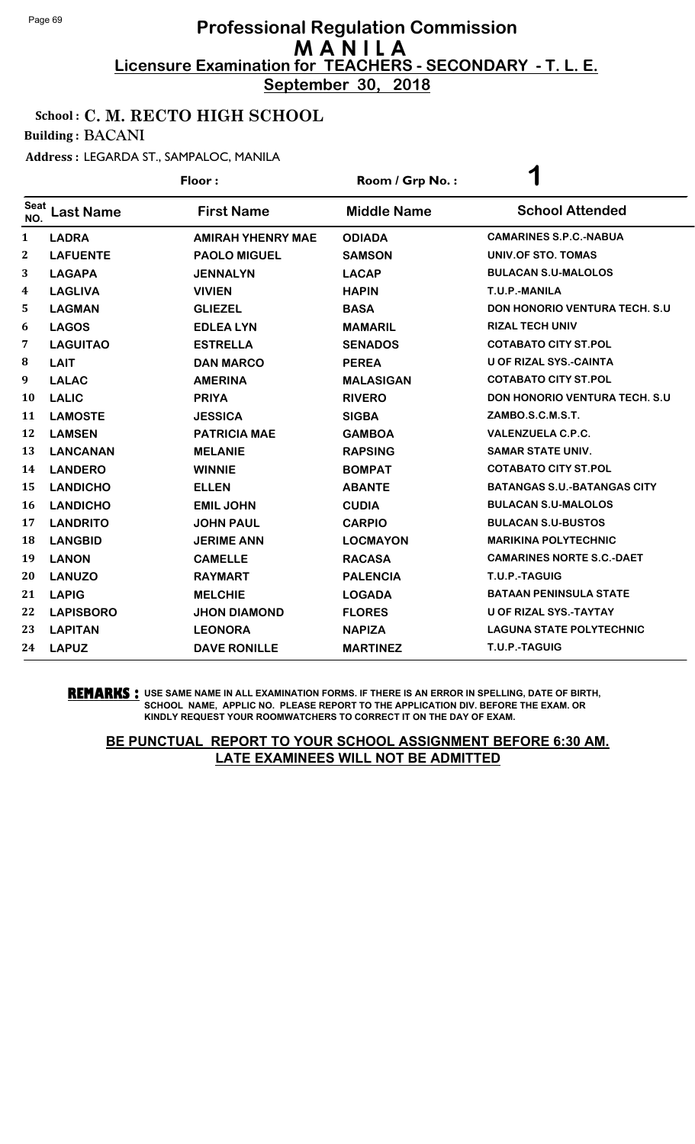**September 30, 2018**

### School : C. M. RECTO HIGH SCHOOL

Building : BACANI

Address : LEGARDA ST., SAMPALOC, MANILA

|                    |                  | Floor:                   | Room / Grp No.:    | ◀                                     |
|--------------------|------------------|--------------------------|--------------------|---------------------------------------|
| <b>Seat</b><br>NO. | <b>Last Name</b> | <b>First Name</b>        | <b>Middle Name</b> | <b>School Attended</b>                |
| 1                  | <b>LADRA</b>     | <b>AMIRAH YHENRY MAE</b> | <b>ODIADA</b>      | <b>CAMARINES S.P.C.-NABUA</b>         |
| $\mathbf{2}$       | <b>LAFUENTE</b>  | <b>PAOLO MIGUEL</b>      | <b>SAMSON</b>      | UNIV.OF STO. TOMAS                    |
| 3                  | <b>LAGAPA</b>    | <b>JENNALYN</b>          | <b>LACAP</b>       | <b>BULACAN S.U-MALOLOS</b>            |
| 4                  | <b>LAGLIVA</b>   | <b>VIVIEN</b>            | <b>HAPIN</b>       | T.U.P.-MANILA                         |
| 5                  | <b>LAGMAN</b>    | <b>GLIEZEL</b>           | <b>BASA</b>        | <b>DON HONORIO VENTURA TECH. S.U.</b> |
| 6                  | <b>LAGOS</b>     | <b>EDLEA LYN</b>         | <b>MAMARIL</b>     | <b>RIZAL TECH UNIV</b>                |
| 7                  | <b>LAGUITAO</b>  | <b>ESTRELLA</b>          | <b>SENADOS</b>     | <b>COTABATO CITY ST.POL</b>           |
| 8                  | <b>LAIT</b>      | <b>DAN MARCO</b>         | <b>PEREA</b>       | <b>U OF RIZAL SYS.-CAINTA</b>         |
| 9                  | <b>LALAC</b>     | <b>AMERINA</b>           | <b>MALASIGAN</b>   | <b>COTABATO CITY ST.POL</b>           |
| <b>10</b>          | <b>LALIC</b>     | <b>PRIYA</b>             | <b>RIVERO</b>      | <b>DON HONORIO VENTURA TECH. S.U.</b> |
| 11                 | <b>LAMOSTE</b>   | <b>JESSICA</b>           | <b>SIGBA</b>       | ZAMBO.S.C.M.S.T.                      |
| 12                 | <b>LAMSEN</b>    | <b>PATRICIA MAE</b>      | <b>GAMBOA</b>      | <b>VALENZUELA C.P.C.</b>              |
| 13                 | <b>LANCANAN</b>  | <b>MELANIE</b>           | <b>RAPSING</b>     | <b>SAMAR STATE UNIV.</b>              |
| 14                 | <b>LANDERO</b>   | <b>WINNIE</b>            | <b>BOMPAT</b>      | <b>COTABATO CITY ST.POL</b>           |
| 15                 | <b>LANDICHO</b>  | <b>ELLEN</b>             | <b>ABANTE</b>      | <b>BATANGAS S.U.-BATANGAS CITY</b>    |
| 16                 | <b>LANDICHO</b>  | <b>EMIL JOHN</b>         | <b>CUDIA</b>       | <b>BULACAN S.U-MALOLOS</b>            |
| 17                 | <b>LANDRITO</b>  | <b>JOHN PAUL</b>         | <b>CARPIO</b>      | <b>BULACAN S.U-BUSTOS</b>             |
| 18                 | <b>LANGBID</b>   | <b>JERIME ANN</b>        | <b>LOCMAYON</b>    | <b>MARIKINA POLYTECHNIC</b>           |
| 19                 | <b>LANON</b>     | <b>CAMELLE</b>           | <b>RACASA</b>      | <b>CAMARINES NORTE S.C.-DAET</b>      |
| 20                 | <b>LANUZO</b>    | <b>RAYMART</b>           | <b>PALENCIA</b>    | T.U.P.-TAGUIG                         |
| 21                 | <b>LAPIG</b>     | <b>MELCHIE</b>           | <b>LOGADA</b>      | <b>BATAAN PENINSULA STATE</b>         |
| 22                 | <b>LAPISBORO</b> | <b>JHON DIAMOND</b>      | <b>FLORES</b>      | <b>U OF RIZAL SYS.-TAYTAY</b>         |
| 23                 | <b>LAPITAN</b>   | <b>LEONORA</b>           | <b>NAPIZA</b>      | <b>LAGUNA STATE POLYTECHNIC</b>       |
| 24                 | <b>LAPUZ</b>     | <b>DAVE RONILLE</b>      | <b>MARTINEZ</b>    | T.U.P.-TAGUIG                         |

#### **REMARKS :** USE SAME NAME IN ALL EXAMINATION FORMS. IF THERE IS AN ERROR IN SPELLING, DATE OF BIRTH, SCHOOL NAME, APPLIC NO. PLEASE REPORT TO THE APPLICATION DIV. BEFORE THE EXAM. OR KINDLY REQUEST YOUR ROOMWATCHERS TO CORRECT IT ON THE DAY OF EXAM.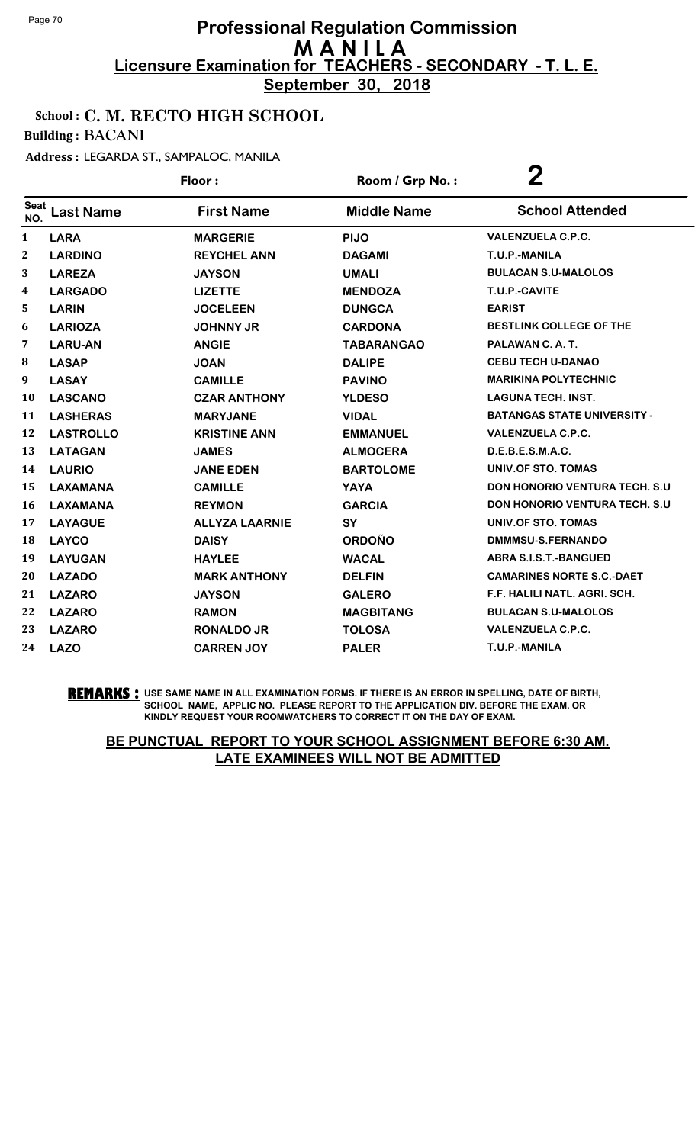**September 30, 2018**

### School : C. M. RECTO HIGH SCHOOL

Building : BACANI

Address : LEGARDA ST., SAMPALOC, MANILA

|                  |                  | Floor:                | Room / Grp No.:    | $\bf{2}$                              |
|------------------|------------------|-----------------------|--------------------|---------------------------------------|
| Seat<br>NO.      | <b>Last Name</b> | <b>First Name</b>     | <b>Middle Name</b> | <b>School Attended</b>                |
| 1                | <b>LARA</b>      | <b>MARGERIE</b>       | <b>PIJO</b>        | <b>VALENZUELA C.P.C.</b>              |
| $\boldsymbol{2}$ | <b>LARDINO</b>   | <b>REYCHEL ANN</b>    | <b>DAGAMI</b>      | T.U.P.-MANILA                         |
| 3                | <b>LAREZA</b>    | <b>JAYSON</b>         | <b>UMALI</b>       | <b>BULACAN S.U-MALOLOS</b>            |
| 4                | <b>LARGADO</b>   | <b>LIZETTE</b>        | <b>MENDOZA</b>     | T.U.P.-CAVITE                         |
| 5                | <b>LARIN</b>     | <b>JOCELEEN</b>       | <b>DUNGCA</b>      | <b>EARIST</b>                         |
| 6                | <b>LARIOZA</b>   | <b>JOHNNY JR</b>      | <b>CARDONA</b>     | <b>BESTLINK COLLEGE OF THE</b>        |
| 7                | <b>LARU-AN</b>   | <b>ANGIE</b>          | <b>TABARANGAO</b>  | PALAWAN C. A. T.                      |
| 8                | <b>LASAP</b>     | <b>JOAN</b>           | <b>DALIPE</b>      | <b>CEBU TECH U-DANAO</b>              |
| 9                | <b>LASAY</b>     | <b>CAMILLE</b>        | <b>PAVINO</b>      | <b>MARIKINA POLYTECHNIC</b>           |
| 10               | <b>LASCANO</b>   | <b>CZAR ANTHONY</b>   | <b>YLDESO</b>      | <b>LAGUNA TECH. INST.</b>             |
| 11               | <b>LASHERAS</b>  | <b>MARYJANE</b>       | <b>VIDAL</b>       | <b>BATANGAS STATE UNIVERSITY -</b>    |
| 12               | <b>LASTROLLO</b> | <b>KRISTINE ANN</b>   | <b>EMMANUEL</b>    | <b>VALENZUELA C.P.C.</b>              |
| 13               | <b>LATAGAN</b>   | <b>JAMES</b>          | <b>ALMOCERA</b>    | D.E.B.E.S.M.A.C.                      |
| 14               | <b>LAURIO</b>    | <b>JANE EDEN</b>      | <b>BARTOLOME</b>   | UNIV.OF STO. TOMAS                    |
| 15               | <b>LAXAMANA</b>  | <b>CAMILLE</b>        | <b>YAYA</b>        | <b>DON HONORIO VENTURA TECH. S.U.</b> |
| 16               | <b>LAXAMANA</b>  | <b>REYMON</b>         | <b>GARCIA</b>      | <b>DON HONORIO VENTURA TECH. S.U.</b> |
| 17               | <b>LAYAGUE</b>   | <b>ALLYZA LAARNIE</b> | <b>SY</b>          | UNIV.OF STO. TOMAS                    |
| 18               | <b>LAYCO</b>     | <b>DAISY</b>          | <b>ORDOÑO</b>      | DMMMSU-S.FERNANDO                     |
| 19               | <b>LAYUGAN</b>   | <b>HAYLEE</b>         | <b>WACAL</b>       | <b>ABRA S.I.S.T.-BANGUED</b>          |
| 20               | <b>LAZADO</b>    | <b>MARK ANTHONY</b>   | <b>DELFIN</b>      | <b>CAMARINES NORTE S.C.-DAET</b>      |
| 21               | <b>LAZARO</b>    | <b>JAYSON</b>         | <b>GALERO</b>      | F.F. HALILI NATL. AGRI. SCH.          |
| 22               | <b>LAZARO</b>    | <b>RAMON</b>          | <b>MAGBITANG</b>   | <b>BULACAN S.U-MALOLOS</b>            |
| 23               | <b>LAZARO</b>    | <b>RONALDO JR</b>     | <b>TOLOSA</b>      | <b>VALENZUELA C.P.C.</b>              |
| 24               | <b>LAZO</b>      | <b>CARREN JOY</b>     | <b>PALER</b>       | T.U.P.-MANILA                         |

**REMARKS :** USE SAME NAME IN ALL EXAMINATION FORMS. IF THERE IS AN ERROR IN SPELLING, DATE OF BIRTH, SCHOOL NAME, APPLIC NO. PLEASE REPORT TO THE APPLICATION DIV. BEFORE THE EXAM. OR KINDLY REQUEST YOUR ROOMWATCHERS TO CORRECT IT ON THE DAY OF EXAM.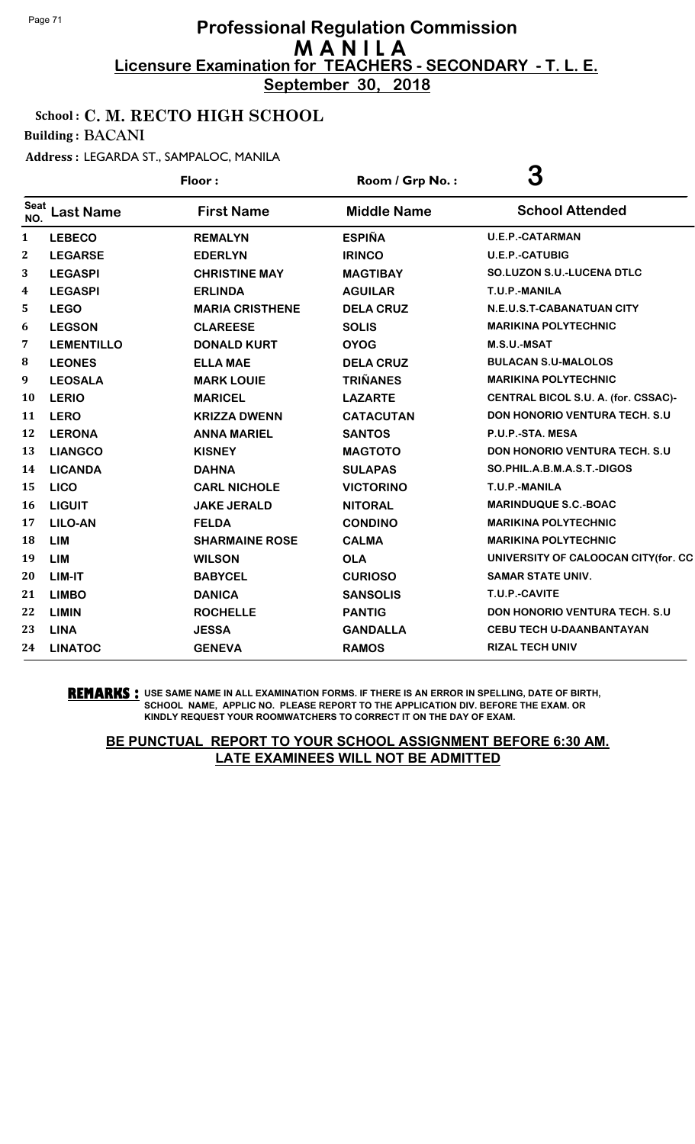**September 30, 2018**

### School : C. M. RECTO HIGH SCHOOL

Building : BACANI

Address : LEGARDA ST., SAMPALOC, MANILA

|              |                   | Floor:                 | Room / Grp No.:    | 3                                     |
|--------------|-------------------|------------------------|--------------------|---------------------------------------|
| Seat<br>NO.  | <b>Last Name</b>  | <b>First Name</b>      | <b>Middle Name</b> | <b>School Attended</b>                |
| 1            | <b>LEBECO</b>     | <b>REMALYN</b>         | <b>ESPIÑA</b>      | <b>U.E.P.-CATARMAN</b>                |
| $\mathbf{2}$ | <b>LEGARSE</b>    | <b>EDERLYN</b>         | <b>IRINCO</b>      | <b>U.E.P.-CATUBIG</b>                 |
| 3            | <b>LEGASPI</b>    | <b>CHRISTINE MAY</b>   | <b>MAGTIBAY</b>    | SO.LUZON S.U.-LUCENA DTLC             |
| 4            | <b>LEGASPI</b>    | <b>ERLINDA</b>         | <b>AGUILAR</b>     | T.U.P.-MANILA                         |
| 5            | <b>LEGO</b>       | <b>MARIA CRISTHENE</b> | <b>DELA CRUZ</b>   | N.E.U.S.T-CABANATUAN CITY             |
| 6            | <b>LEGSON</b>     | <b>CLAREESE</b>        | <b>SOLIS</b>       | <b>MARIKINA POLYTECHNIC</b>           |
| 7            | <b>LEMENTILLO</b> | <b>DONALD KURT</b>     | <b>OYOG</b>        | <b>M.S.U.-MSAT</b>                    |
| 8            | <b>LEONES</b>     | <b>ELLA MAE</b>        | <b>DELA CRUZ</b>   | <b>BULACAN S.U-MALOLOS</b>            |
| 9            | <b>LEOSALA</b>    | <b>MARK LOUIE</b>      | <b>TRIÑANES</b>    | <b>MARIKINA POLYTECHNIC</b>           |
| 10           | <b>LERIO</b>      | <b>MARICEL</b>         | <b>LAZARTE</b>     | CENTRAL BICOL S.U. A. (for. CSSAC)-   |
| 11           | <b>LERO</b>       | <b>KRIZZA DWENN</b>    | <b>CATACUTAN</b>   | <b>DON HONORIO VENTURA TECH. S.U.</b> |
| 12           | <b>LERONA</b>     | <b>ANNA MARIEL</b>     | <b>SANTOS</b>      | P.U.P.-STA. MESA                      |
| 13           | <b>LIANGCO</b>    | <b>KISNEY</b>          | <b>MAGTOTO</b>     | <b>DON HONORIO VENTURA TECH. S.U.</b> |
| 14           | <b>LICANDA</b>    | <b>DAHNA</b>           | <b>SULAPAS</b>     | SO.PHIL.A.B.M.A.S.T.-DIGOS            |
| 15           | <b>LICO</b>       | <b>CARL NICHOLE</b>    | <b>VICTORINO</b>   | T.U.P.-MANILA                         |
| 16           | <b>LIGUIT</b>     | <b>JAKE JERALD</b>     | <b>NITORAL</b>     | <b>MARINDUQUE S.C.-BOAC</b>           |
| 17           | <b>LILO-AN</b>    | <b>FELDA</b>           | <b>CONDINO</b>     | <b>MARIKINA POLYTECHNIC</b>           |
| 18           | <b>LIM</b>        | <b>SHARMAINE ROSE</b>  | <b>CALMA</b>       | <b>MARIKINA POLYTECHNIC</b>           |
| 19           | <b>LIM</b>        | <b>WILSON</b>          | <b>OLA</b>         | UNIVERSITY OF CALOOCAN CITY(for. CC   |
| 20           | LIM-IT            | <b>BABYCEL</b>         | <b>CURIOSO</b>     | <b>SAMAR STATE UNIV.</b>              |
| 21           | <b>LIMBO</b>      | <b>DANICA</b>          | <b>SANSOLIS</b>    | T.U.P.-CAVITE                         |
| 22           | <b>LIMIN</b>      | <b>ROCHELLE</b>        | <b>PANTIG</b>      | DON HONORIO VENTURA TECH. S.U         |
| 23           | <b>LINA</b>       | <b>JESSA</b>           | <b>GANDALLA</b>    | <b>CEBU TECH U-DAANBANTAYAN</b>       |
| 24           | <b>LINATOC</b>    | <b>GENEVA</b>          | <b>RAMOS</b>       | <b>RIZAL TECH UNIV</b>                |

**REMARKS :** USE SAME NAME IN ALL EXAMINATION FORMS. IF THERE IS AN ERROR IN SPELLING, DATE OF BIRTH, SCHOOL NAME, APPLIC NO. PLEASE REPORT TO THE APPLICATION DIV. BEFORE THE EXAM. OR KINDLY REQUEST YOUR ROOMWATCHERS TO CORRECT IT ON THE DAY OF EXAM.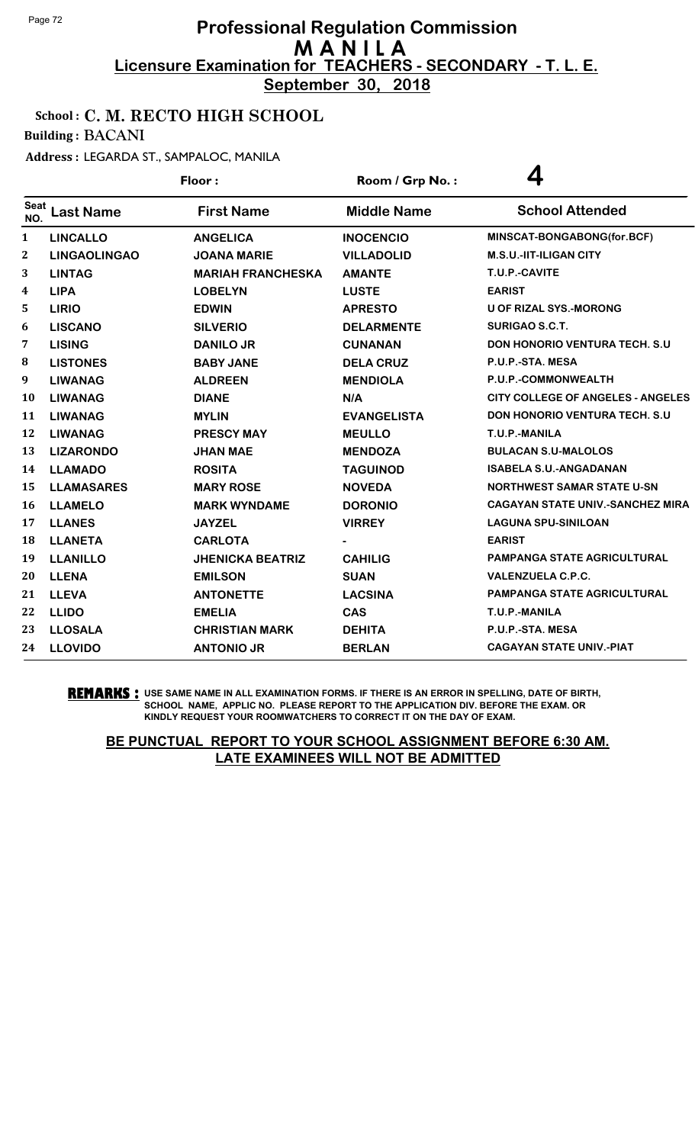**September 30, 2018**

### School : C. M. RECTO HIGH SCHOOL

Building : BACANI

Address : LEGARDA ST., SAMPALOC, MANILA

|                    |                     | Floor:                   | Room / Grp No.:    | 4                                       |
|--------------------|---------------------|--------------------------|--------------------|-----------------------------------------|
| <b>Seat</b><br>NO. | <b>Last Name</b>    | <b>First Name</b>        | <b>Middle Name</b> | <b>School Attended</b>                  |
| $\mathbf{1}$       | <b>LINCALLO</b>     | <b>ANGELICA</b>          | <b>INOCENCIO</b>   | MINSCAT-BONGABONG(for.BCF)              |
| $\mathbf{2}$       | <b>LINGAOLINGAO</b> | <b>JOANA MARIE</b>       | <b>VILLADOLID</b>  | <b>M.S.U.-IIT-ILIGAN CITY</b>           |
| 3                  | <b>LINTAG</b>       | <b>MARIAH FRANCHESKA</b> | <b>AMANTE</b>      | T.U.P.-CAVITE                           |
| 4                  | <b>LIPA</b>         | <b>LOBELYN</b>           | <b>LUSTE</b>       | <b>EARIST</b>                           |
| 5                  | <b>LIRIO</b>        | <b>EDWIN</b>             | <b>APRESTO</b>     | <b>U OF RIZAL SYS.-MORONG</b>           |
| 6                  | <b>LISCANO</b>      | <b>SILVERIO</b>          | <b>DELARMENTE</b>  | <b>SURIGAO S.C.T.</b>                   |
| 7                  | <b>LISING</b>       | <b>DANILO JR</b>         | <b>CUNANAN</b>     | <b>DON HONORIO VENTURA TECH. S.U.</b>   |
| 8                  | <b>LISTONES</b>     | <b>BABY JANE</b>         | <b>DELA CRUZ</b>   | P.U.P.-STA. MESA                        |
| 9                  | <b>LIWANAG</b>      | <b>ALDREEN</b>           | <b>MENDIOLA</b>    | P.U.P.-COMMONWEALTH                     |
| 10                 | <b>LIWANAG</b>      | <b>DIANE</b>             | N/A                | CITY COLLEGE OF ANGELES - ANGELES       |
| 11                 | <b>LIWANAG</b>      | <b>MYLIN</b>             | <b>EVANGELISTA</b> | DON HONORIO VENTURA TECH. S.U           |
| 12                 | <b>LIWANAG</b>      | <b>PRESCY MAY</b>        | <b>MEULLO</b>      | T.U.P.-MANILA                           |
| 13                 | <b>LIZARONDO</b>    | <b>JHAN MAE</b>          | <b>MENDOZA</b>     | <b>BULACAN S.U-MALOLOS</b>              |
| 14                 | <b>LLAMADO</b>      | <b>ROSITA</b>            | <b>TAGUINOD</b>    | <b>ISABELA S.U.-ANGADANAN</b>           |
| 15                 | <b>LLAMASARES</b>   | <b>MARY ROSE</b>         | <b>NOVEDA</b>      | <b>NORTHWEST SAMAR STATE U-SN</b>       |
| 16                 | <b>LLAMELO</b>      | <b>MARK WYNDAME</b>      | <b>DORONIO</b>     | <b>CAGAYAN STATE UNIV.-SANCHEZ MIRA</b> |
| 17                 | <b>LLANES</b>       | <b>JAYZEL</b>            | <b>VIRREY</b>      | <b>LAGUNA SPU-SINILOAN</b>              |
| 18                 | <b>LLANETA</b>      | <b>CARLOTA</b>           |                    | <b>EARIST</b>                           |
| 19                 | <b>LLANILLO</b>     | <b>JHENICKA BEATRIZ</b>  | <b>CAHILIG</b>     | <b>PAMPANGA STATE AGRICULTURAL</b>      |
| 20                 | <b>LLENA</b>        | <b>EMILSON</b>           | <b>SUAN</b>        | <b>VALENZUELA C.P.C.</b>                |
| 21                 | <b>LLEVA</b>        | <b>ANTONETTE</b>         | <b>LACSINA</b>     | <b>PAMPANGA STATE AGRICULTURAL</b>      |
| 22                 | <b>LLIDO</b>        | <b>EMELIA</b>            | <b>CAS</b>         | T.U.P.-MANILA                           |
| 23                 | <b>LLOSALA</b>      | <b>CHRISTIAN MARK</b>    | <b>DEHITA</b>      | P.U.P.-STA. MESA                        |
| 24                 | <b>LLOVIDO</b>      | <b>ANTONIO JR</b>        | <b>BERLAN</b>      | <b>CAGAYAN STATE UNIV.-PIAT</b>         |

**REMARKS :** USE SAME NAME IN ALL EXAMINATION FORMS. IF THERE IS AN ERROR IN SPELLING, DATE OF BIRTH, SCHOOL NAME, APPLIC NO. PLEASE REPORT TO THE APPLICATION DIV. BEFORE THE EXAM. OR KINDLY REQUEST YOUR ROOMWATCHERS TO CORRECT IT ON THE DAY OF EXAM.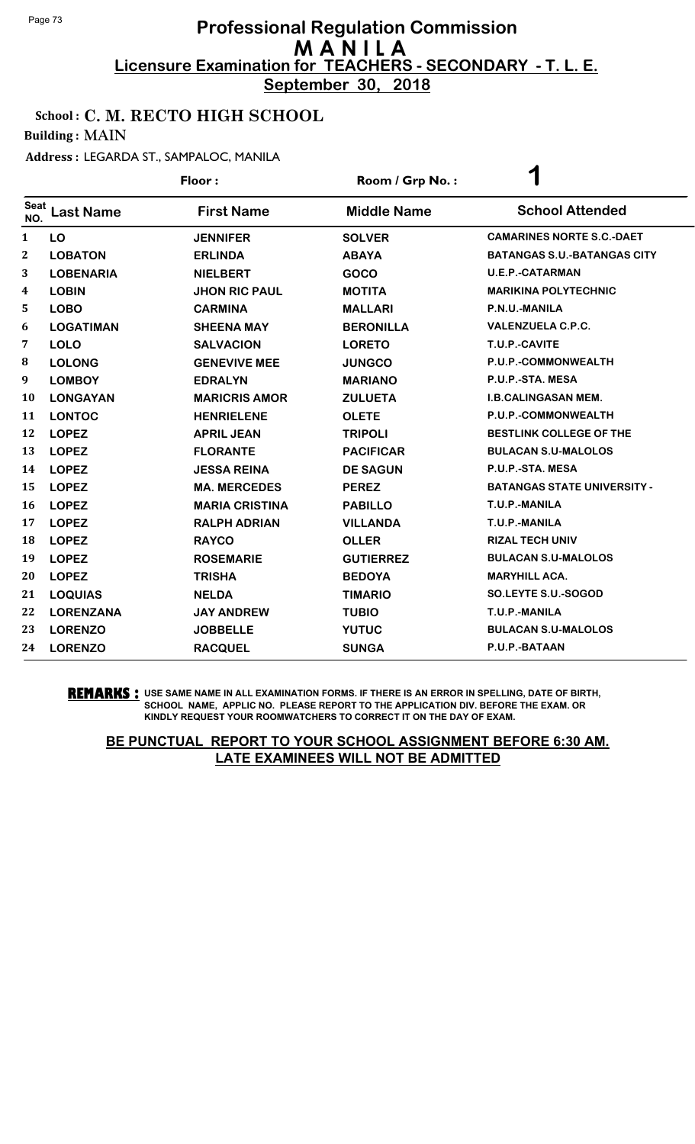**September 30, 2018**

### School : C. M. RECTO HIGH SCHOOL

Building : MAIN

#### Address : LEGARDA ST., SAMPALOC, MANILA

|              |                  | Floor:                | Room / Grp No.:    | $\blacktriangleleft$               |
|--------------|------------------|-----------------------|--------------------|------------------------------------|
| Seat<br>NO.  | <b>Last Name</b> | <b>First Name</b>     | <b>Middle Name</b> | <b>School Attended</b>             |
| $\mathbf{1}$ | LO               | <b>JENNIFER</b>       | <b>SOLVER</b>      | <b>CAMARINES NORTE S.C.-DAET</b>   |
| $\mathbf{2}$ | <b>LOBATON</b>   | <b>ERLINDA</b>        | <b>ABAYA</b>       | <b>BATANGAS S.U.-BATANGAS CITY</b> |
| 3            | <b>LOBENARIA</b> | <b>NIELBERT</b>       | <b>GOCO</b>        | <b>U.E.P.-CATARMAN</b>             |
| 4            | <b>LOBIN</b>     | <b>JHON RIC PAUL</b>  | <b>MOTITA</b>      | <b>MARIKINA POLYTECHNIC</b>        |
| 5            | <b>LOBO</b>      | <b>CARMINA</b>        | <b>MALLARI</b>     | P.N.U.-MANILA                      |
| 6            | <b>LOGATIMAN</b> | <b>SHEENA MAY</b>     | <b>BERONILLA</b>   | <b>VALENZUELA C.P.C.</b>           |
| 7            | <b>LOLO</b>      | <b>SALVACION</b>      | <b>LORETO</b>      | T.U.P.-CAVITE                      |
| 8            | <b>LOLONG</b>    | <b>GENEVIVE MEE</b>   | <b>JUNGCO</b>      | P.U.P.-COMMONWEALTH                |
| 9            | <b>LOMBOY</b>    | <b>EDRALYN</b>        | <b>MARIANO</b>     | P.U.P.-STA. MESA                   |
| 10           | <b>LONGAYAN</b>  | <b>MARICRIS AMOR</b>  | <b>ZULUETA</b>     | <b>I.B.CALINGASAN MEM.</b>         |
| 11           | <b>LONTOC</b>    | <b>HENRIELENE</b>     | <b>OLETE</b>       | P.U.P.-COMMONWEALTH                |
| 12           | <b>LOPEZ</b>     | <b>APRIL JEAN</b>     | <b>TRIPOLI</b>     | <b>BESTLINK COLLEGE OF THE</b>     |
| 13           | <b>LOPEZ</b>     | <b>FLORANTE</b>       | <b>PACIFICAR</b>   | <b>BULACAN S.U-MALOLOS</b>         |
| 14           | <b>LOPEZ</b>     | <b>JESSA REINA</b>    | <b>DE SAGUN</b>    | P.U.P.-STA. MESA                   |
| 15           | <b>LOPEZ</b>     | <b>MA. MERCEDES</b>   | <b>PEREZ</b>       | <b>BATANGAS STATE UNIVERSITY -</b> |
| 16           | <b>LOPEZ</b>     | <b>MARIA CRISTINA</b> | <b>PABILLO</b>     | T.U.P.-MANILA                      |
| 17           | <b>LOPEZ</b>     | <b>RALPH ADRIAN</b>   | <b>VILLANDA</b>    | T.U.P.-MANILA                      |
| 18           | <b>LOPEZ</b>     | <b>RAYCO</b>          | <b>OLLER</b>       | <b>RIZAL TECH UNIV</b>             |
| 19           | <b>LOPEZ</b>     | <b>ROSEMARIE</b>      | <b>GUTIERREZ</b>   | <b>BULACAN S.U-MALOLOS</b>         |
| 20           | <b>LOPEZ</b>     | <b>TRISHA</b>         | <b>BEDOYA</b>      | <b>MARYHILL ACA.</b>               |
| 21           | <b>LOQUIAS</b>   | <b>NELDA</b>          | <b>TIMARIO</b>     | SO.LEYTE S.U.-SOGOD                |
| 22           | <b>LORENZANA</b> | <b>JAY ANDREW</b>     | <b>TUBIO</b>       | T.U.P.-MANILA                      |
| 23           | <b>LORENZO</b>   | <b>JOBBELLE</b>       | <b>YUTUC</b>       | <b>BULACAN S.U-MALOLOS</b>         |
| 24           | <b>LORENZO</b>   | <b>RACQUEL</b>        | <b>SUNGA</b>       | P.U.P.-BATAAN                      |

**REMARKS :** USE SAME NAME IN ALL EXAMINATION FORMS. IF THERE IS AN ERROR IN SPELLING, DATE OF BIRTH, SCHOOL NAME, APPLIC NO. PLEASE REPORT TO THE APPLICATION DIV. BEFORE THE EXAM. OR KINDLY REQUEST YOUR ROOMWATCHERS TO CORRECT IT ON THE DAY OF EXAM.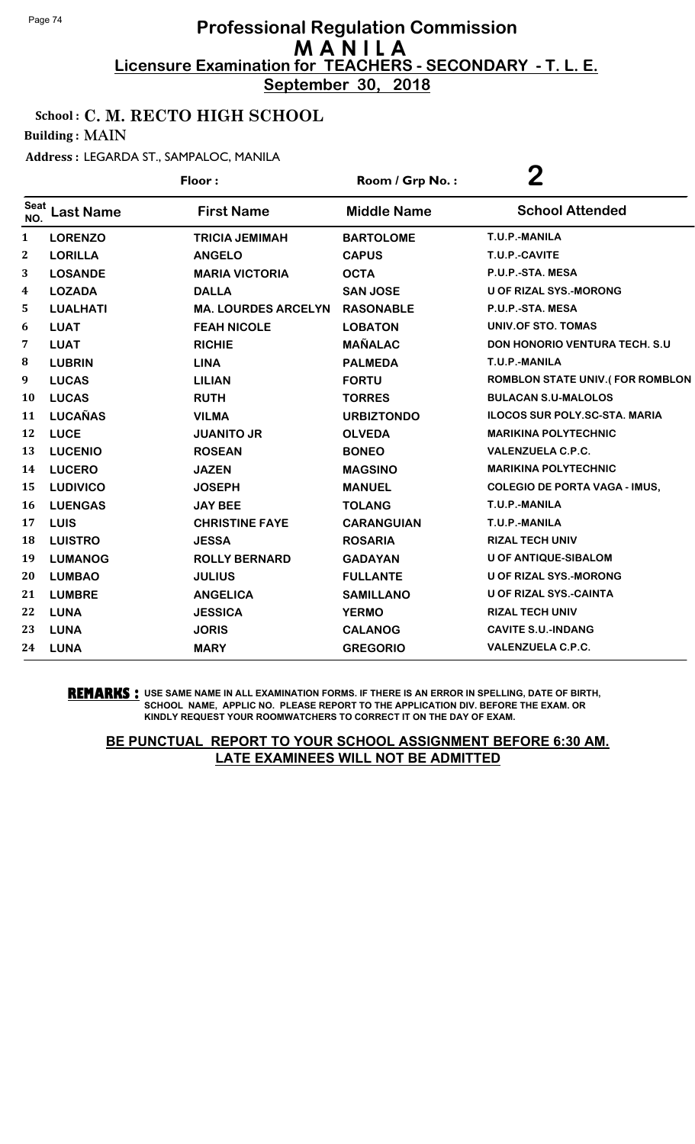**September 30, 2018**

### School : C. M. RECTO HIGH SCHOOL

Building : MAIN

Address : LEGARDA ST., SAMPALOC, MANILA

|                         |                  | Floor:                     | Room / Grp No.:    | 2                                    |
|-------------------------|------------------|----------------------------|--------------------|--------------------------------------|
| <b>Seat</b><br>NO.      | <b>Last Name</b> | <b>First Name</b>          | <b>Middle Name</b> | <b>School Attended</b>               |
| $\mathbf{1}$            | <b>LORENZO</b>   | <b>TRICIA JEMIMAH</b>      | <b>BARTOLOME</b>   | T.U.P.-MANILA                        |
| $\boldsymbol{2}$        | <b>LORILLA</b>   | <b>ANGELO</b>              | <b>CAPUS</b>       | T.U.P.-CAVITE                        |
| 3                       | <b>LOSANDE</b>   | <b>MARIA VICTORIA</b>      | <b>OCTA</b>        | P.U.P.-STA. MESA                     |
| $\overline{\mathbf{4}}$ | <b>LOZADA</b>    | <b>DALLA</b>               | <b>SAN JOSE</b>    | <b>U OF RIZAL SYS.-MORONG</b>        |
| 5                       | <b>LUALHATI</b>  | <b>MA. LOURDES ARCELYN</b> | <b>RASONABLE</b>   | P.U.P.-STA. MESA                     |
| 6                       | <b>LUAT</b>      | <b>FEAH NICOLE</b>         | <b>LOBATON</b>     | <b>UNIV.OF STO. TOMAS</b>            |
| 7                       | <b>LUAT</b>      | <b>RICHIE</b>              | <b>MAÑALAC</b>     | <b>DON HONORIO VENTURA TECH. S.U</b> |
| 8                       | <b>LUBRIN</b>    | <b>LINA</b>                | <b>PALMEDA</b>     | T.U.P.-MANILA                        |
| 9                       | <b>LUCAS</b>     | <b>LILIAN</b>              | <b>FORTU</b>       | ROMBLON STATE UNIV.(FOR ROMBLON      |
| 10                      | <b>LUCAS</b>     | <b>RUTH</b>                | <b>TORRES</b>      | <b>BULACAN S.U-MALOLOS</b>           |
| 11                      | <b>LUCAÑAS</b>   | <b>VILMA</b>               | <b>URBIZTONDO</b>  | <b>ILOCOS SUR POLY.SC-STA. MARIA</b> |
| 12                      | <b>LUCE</b>      | <b>JUANITO JR</b>          | <b>OLVEDA</b>      | <b>MARIKINA POLYTECHNIC</b>          |
| 13                      | <b>LUCENIO</b>   | <b>ROSEAN</b>              | <b>BONEO</b>       | <b>VALENZUELA C.P.C.</b>             |
| 14                      | <b>LUCERO</b>    | <b>JAZEN</b>               | <b>MAGSINO</b>     | <b>MARIKINA POLYTECHNIC</b>          |
| 15                      | <b>LUDIVICO</b>  | <b>JOSEPH</b>              | <b>MANUEL</b>      | <b>COLEGIO DE PORTA VAGA - IMUS,</b> |
| 16                      | <b>LUENGAS</b>   | <b>JAY BEE</b>             | <b>TOLANG</b>      | T.U.P.-MANILA                        |
| 17                      | LUIS             | <b>CHRISTINE FAYE</b>      | <b>CARANGUIAN</b>  | T.U.P.-MANILA                        |
| 18                      | <b>LUISTRO</b>   | <b>JESSA</b>               | <b>ROSARIA</b>     | <b>RIZAL TECH UNIV</b>               |
| 19                      | <b>LUMANOG</b>   | <b>ROLLY BERNARD</b>       | <b>GADAYAN</b>     | <b>U OF ANTIQUE-SIBALOM</b>          |
| 20                      | <b>LUMBAO</b>    | <b>JULIUS</b>              | <b>FULLANTE</b>    | <b>U OF RIZAL SYS.-MORONG</b>        |
| 21                      | <b>LUMBRE</b>    | <b>ANGELICA</b>            | <b>SAMILLANO</b>   | <b>U OF RIZAL SYS.-CAINTA</b>        |
| 22                      | <b>LUNA</b>      | <b>JESSICA</b>             | <b>YERMO</b>       | <b>RIZAL TECH UNIV</b>               |
| 23                      | <b>LUNA</b>      | <b>JORIS</b>               | <b>CALANOG</b>     | <b>CAVITE S.U.-INDANG</b>            |
| 24                      | <b>LUNA</b>      | <b>MARY</b>                | <b>GREGORIO</b>    | <b>VALENZUELA C.P.C.</b>             |

**REMARKS :** USE SAME NAME IN ALL EXAMINATION FORMS. IF THERE IS AN ERROR IN SPELLING, DATE OF BIRTH, SCHOOL NAME, APPLIC NO. PLEASE REPORT TO THE APPLICATION DIV. BEFORE THE EXAM. OR KINDLY REQUEST YOUR ROOMWATCHERS TO CORRECT IT ON THE DAY OF EXAM.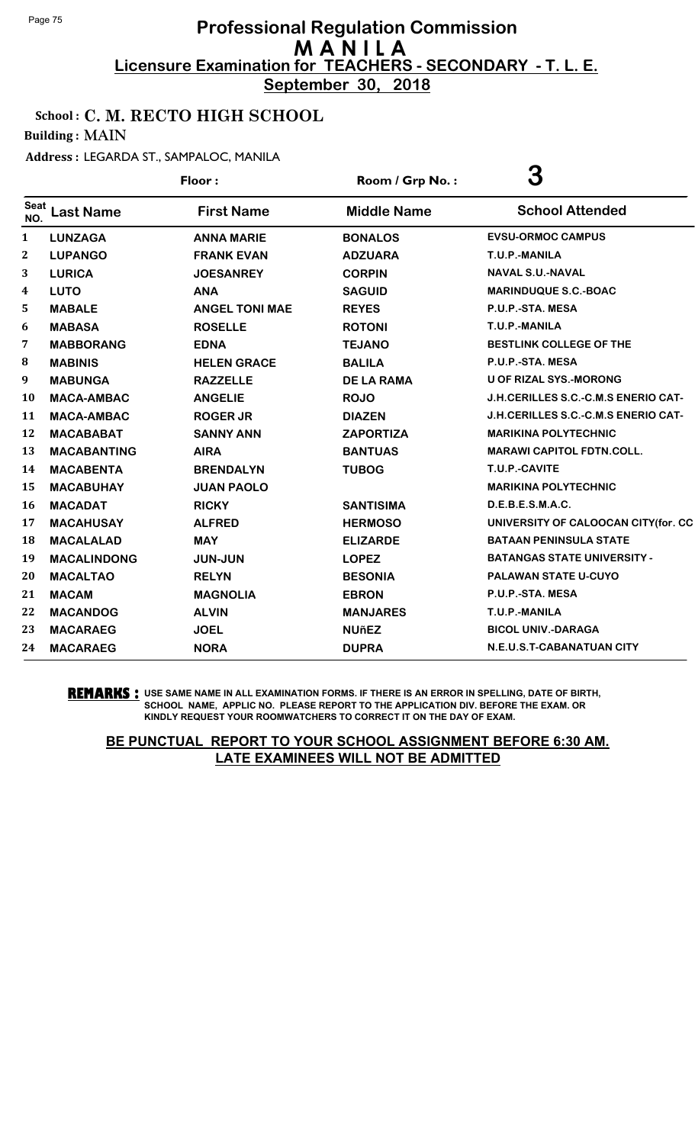**September 30, 2018**

### School : C. M. RECTO HIGH SCHOOL

Building : MAIN

#### Address : LEGARDA ST., SAMPALOC, MANILA

| Floor:             |                    | Room / Grp No.:       | 3                  |                                            |
|--------------------|--------------------|-----------------------|--------------------|--------------------------------------------|
| <b>Seat</b><br>NO. | <b>Last Name</b>   | <b>First Name</b>     | <b>Middle Name</b> | <b>School Attended</b>                     |
| 1                  | <b>LUNZAGA</b>     | <b>ANNA MARIE</b>     | <b>BONALOS</b>     | <b>EVSU-ORMOC CAMPUS</b>                   |
| $\boldsymbol{2}$   | <b>LUPANGO</b>     | <b>FRANK EVAN</b>     | <b>ADZUARA</b>     | T.U.P.-MANILA                              |
| 3                  | <b>LURICA</b>      | <b>JOESANREY</b>      | <b>CORPIN</b>      | <b>NAVAL S.U.-NAVAL</b>                    |
| 4                  | <b>LUTO</b>        | <b>ANA</b>            | <b>SAGUID</b>      | <b>MARINDUQUE S.C.-BOAC</b>                |
| 5                  | <b>MABALE</b>      | <b>ANGEL TONI MAE</b> | <b>REYES</b>       | P.U.P.-STA. MESA                           |
| 6                  | <b>MABASA</b>      | <b>ROSELLE</b>        | <b>ROTONI</b>      | T.U.P.-MANILA                              |
| 7                  | <b>MABBORANG</b>   | <b>EDNA</b>           | <b>TEJANO</b>      | <b>BESTLINK COLLEGE OF THE</b>             |
| 8                  | <b>MABINIS</b>     | <b>HELEN GRACE</b>    | <b>BALILA</b>      | P.U.P.-STA. MESA                           |
| 9                  | <b>MABUNGA</b>     | <b>RAZZELLE</b>       | <b>DE LA RAMA</b>  | <b>U OF RIZAL SYS.-MORONG</b>              |
| 10                 | <b>MACA-AMBAC</b>  | <b>ANGELIE</b>        | <b>ROJO</b>        | <b>J.H.CERILLES S.C.-C.M.S ENERIO CAT-</b> |
| 11                 | <b>MACA-AMBAC</b>  | <b>ROGER JR</b>       | <b>DIAZEN</b>      | <b>J.H.CERILLES S.C.-C.M.S ENERIO CAT-</b> |
| 12                 | <b>MACABABAT</b>   | <b>SANNY ANN</b>      | <b>ZAPORTIZA</b>   | <b>MARIKINA POLYTECHNIC</b>                |
| 13                 | <b>MACABANTING</b> | <b>AIRA</b>           | <b>BANTUAS</b>     | <b>MARAWI CAPITOL FDTN.COLL.</b>           |
| 14                 | <b>MACABENTA</b>   | <b>BRENDALYN</b>      | <b>TUBOG</b>       | T.U.P.-CAVITE                              |
| 15                 | <b>MACABUHAY</b>   | <b>JUAN PAOLO</b>     |                    | <b>MARIKINA POLYTECHNIC</b>                |
| 16                 | <b>MACADAT</b>     | <b>RICKY</b>          | <b>SANTISIMA</b>   | D.E.B.E.S.M.A.C.                           |
| 17                 | <b>MACAHUSAY</b>   | <b>ALFRED</b>         | <b>HERMOSO</b>     | UNIVERSITY OF CALOOCAN CITY(for. CC        |
| 18                 | <b>MACALALAD</b>   | <b>MAY</b>            | <b>ELIZARDE</b>    | <b>BATAAN PENINSULA STATE</b>              |
| 19                 | <b>MACALINDONG</b> | <b>JUN-JUN</b>        | <b>LOPEZ</b>       | <b>BATANGAS STATE UNIVERSITY -</b>         |
| 20                 | <b>MACALTAO</b>    | <b>RELYN</b>          | <b>BESONIA</b>     | PALAWAN STATE U-CUYO                       |
| 21                 | <b>MACAM</b>       | <b>MAGNOLIA</b>       | <b>EBRON</b>       | P.U.P.-STA. MESA                           |
| 22                 | <b>MACANDOG</b>    | <b>ALVIN</b>          | <b>MANJARES</b>    | T.U.P.-MANILA                              |
| 23                 | <b>MACARAEG</b>    | <b>JOEL</b>           | <b>NUñEZ</b>       | <b>BICOL UNIV.-DARAGA</b>                  |
| 24                 | <b>MACARAEG</b>    | <b>NORA</b>           | <b>DUPRA</b>       | N.E.U.S.T-CABANATUAN CITY                  |

**REMARKS :** USE SAME NAME IN ALL EXAMINATION FORMS. IF THERE IS AN ERROR IN SPELLING, DATE OF BIRTH, SCHOOL NAME, APPLIC NO. PLEASE REPORT TO THE APPLICATION DIV. BEFORE THE EXAM. OR KINDLY REQUEST YOUR ROOMWATCHERS TO CORRECT IT ON THE DAY OF EXAM.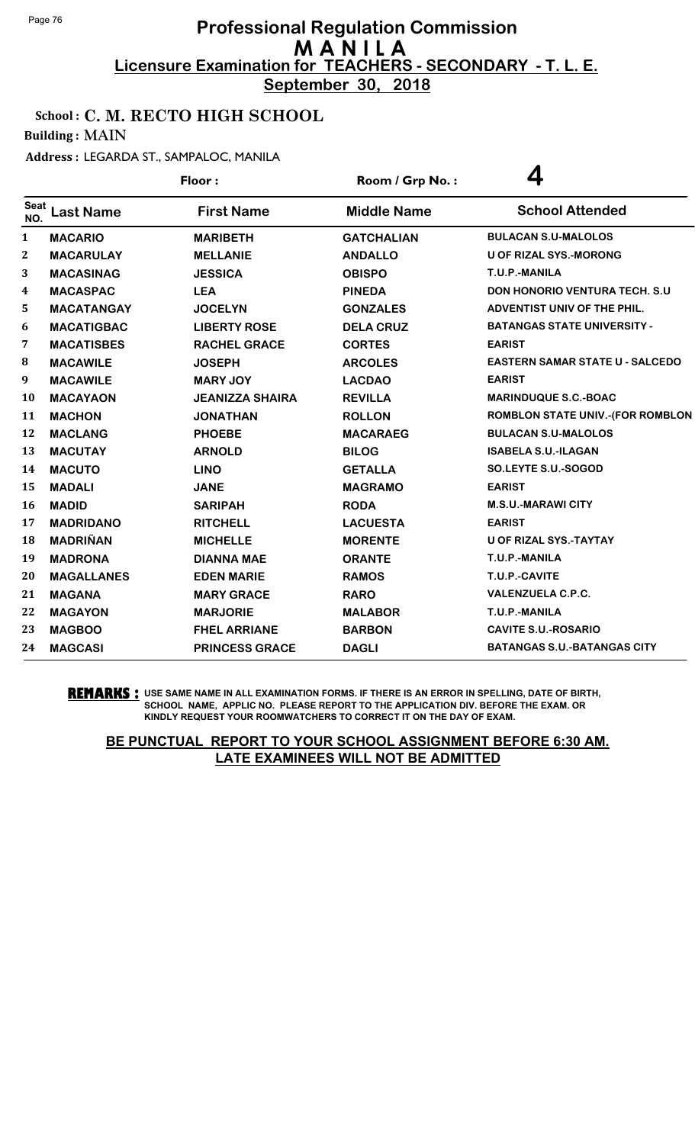**September 30, 2018**

### School : C. M. RECTO HIGH SCHOOL

Building : MAIN

#### Address : LEGARDA ST., SAMPALOC, MANILA

|                    |                   | Floor:                 | Room / Grp No.:    | 4                                       |
|--------------------|-------------------|------------------------|--------------------|-----------------------------------------|
| <b>Seat</b><br>NO. | <b>Last Name</b>  | <b>First Name</b>      | <b>Middle Name</b> | <b>School Attended</b>                  |
| $\mathbf{1}$       | <b>MACARIO</b>    | <b>MARIBETH</b>        | <b>GATCHALIAN</b>  | <b>BULACAN S.U-MALOLOS</b>              |
| $\boldsymbol{2}$   | <b>MACARULAY</b>  | <b>MELLANIE</b>        | <b>ANDALLO</b>     | <b>U OF RIZAL SYS.-MORONG</b>           |
| 3                  | <b>MACASINAG</b>  | <b>JESSICA</b>         | <b>OBISPO</b>      | T.U.P.-MANILA                           |
| 4                  | <b>MACASPAC</b>   | <b>LEA</b>             | <b>PINEDA</b>      | <b>DON HONORIO VENTURA TECH. S.U.</b>   |
| 5                  | <b>MACATANGAY</b> | <b>JOCELYN</b>         | <b>GONZALES</b>    | ADVENTIST UNIV OF THE PHIL.             |
| 6                  | <b>MACATIGBAC</b> | <b>LIBERTY ROSE</b>    | <b>DELA CRUZ</b>   | <b>BATANGAS STATE UNIVERSITY -</b>      |
| 7                  | <b>MACATISBES</b> | <b>RACHEL GRACE</b>    | <b>CORTES</b>      | <b>EARIST</b>                           |
| ${\bf 8}$          | <b>MACAWILE</b>   | <b>JOSEPH</b>          | <b>ARCOLES</b>     | <b>EASTERN SAMAR STATE U - SALCEDO</b>  |
| 9                  | <b>MACAWILE</b>   | <b>MARY JOY</b>        | <b>LACDAO</b>      | <b>EARIST</b>                           |
| 10                 | <b>MACAYAON</b>   | <b>JEANIZZA SHAIRA</b> | <b>REVILLA</b>     | <b>MARINDUQUE S.C.-BOAC</b>             |
| 11                 | <b>MACHON</b>     | <b>JONATHAN</b>        | <b>ROLLON</b>      | <b>ROMBLON STATE UNIV.-(FOR ROMBLON</b> |
| 12                 | <b>MACLANG</b>    | <b>PHOEBE</b>          | <b>MACARAEG</b>    | <b>BULACAN S.U-MALOLOS</b>              |
| 13                 | <b>MACUTAY</b>    | <b>ARNOLD</b>          | <b>BILOG</b>       | <b>ISABELA S.U.-ILAGAN</b>              |
| 14                 | <b>MACUTO</b>     | <b>LINO</b>            | <b>GETALLA</b>     | SO.LEYTE S.U.-SOGOD                     |
| 15                 | <b>MADALI</b>     | <b>JANE</b>            | <b>MAGRAMO</b>     | <b>EARIST</b>                           |
| 16                 | <b>MADID</b>      | <b>SARIPAH</b>         | <b>RODA</b>        | <b>M.S.U.-MARAWICITY</b>                |
| 17                 | <b>MADRIDANO</b>  | <b>RITCHELL</b>        | <b>LACUESTA</b>    | <b>EARIST</b>                           |
| 18                 | <b>MADRIÑAN</b>   | <b>MICHELLE</b>        | <b>MORENTE</b>     | U OF RIZAL SYS.-TAYTAY                  |
| 19                 | <b>MADRONA</b>    | <b>DIANNA MAE</b>      | <b>ORANTE</b>      | T.U.P.-MANILA                           |
| 20                 | <b>MAGALLANES</b> | <b>EDEN MARIE</b>      | <b>RAMOS</b>       | T.U.P.-CAVITE                           |
| 21                 | <b>MAGANA</b>     | <b>MARY GRACE</b>      | <b>RARO</b>        | <b>VALENZUELA C.P.C.</b>                |
| 22                 | <b>MAGAYON</b>    | <b>MARJORIE</b>        | <b>MALABOR</b>     | T.U.P.-MANILA                           |
| 23                 | <b>MAGBOO</b>     | <b>FHEL ARRIANE</b>    | <b>BARBON</b>      | <b>CAVITE S.U.-ROSARIO</b>              |
| 24                 | <b>MAGCASI</b>    | <b>PRINCESS GRACE</b>  | <b>DAGLI</b>       | <b>BATANGAS S.U.-BATANGAS CITY</b>      |
|                    |                   |                        |                    |                                         |

#### **REMARKS :** USE SAME NAME IN ALL EXAMINATION FORMS. IF THERE IS AN ERROR IN SPELLING, DATE OF BIRTH, SCHOOL NAME, APPLIC NO. PLEASE REPORT TO THE APPLICATION DIV. BEFORE THE EXAM. OR KINDLY REQUEST YOUR ROOMWATCHERS TO CORRECT IT ON THE DAY OF EXAM.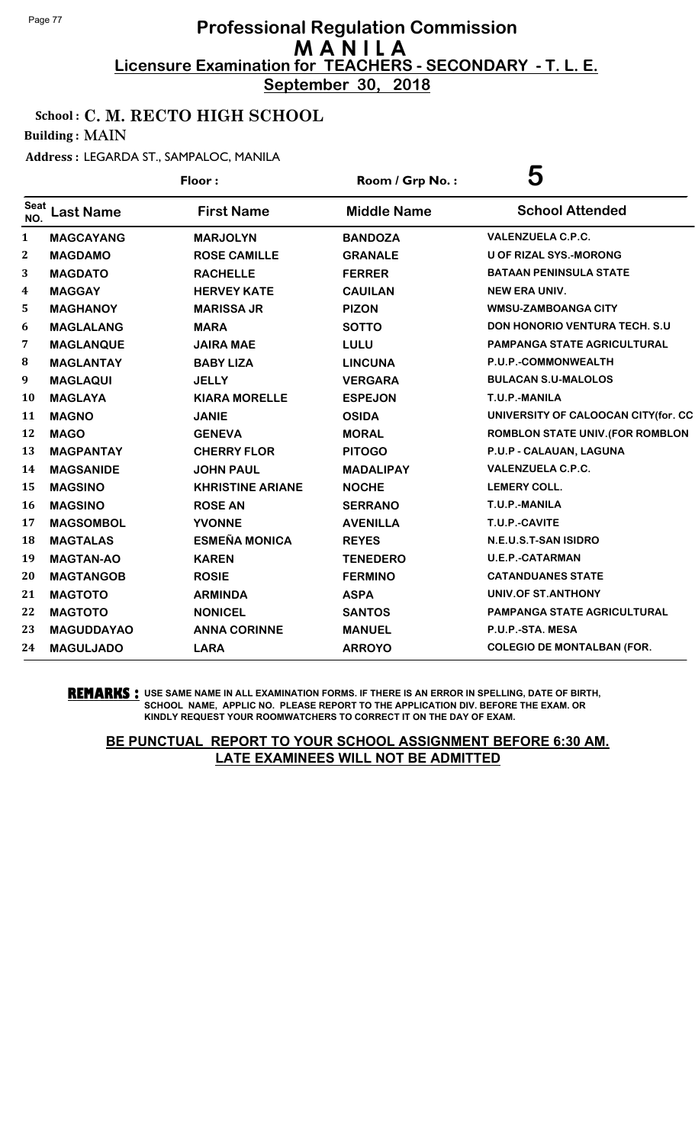**September 30, 2018**

### School : C. M. RECTO HIGH SCHOOL

Building : MAIN

Address : LEGARDA ST., SAMPALOC, MANILA

|                    |                   | Floor:                  | Room / Grp No.:    | 5                                   |
|--------------------|-------------------|-------------------------|--------------------|-------------------------------------|
| <b>Seat</b><br>NO. | <b>Last Name</b>  | <b>First Name</b>       | <b>Middle Name</b> | <b>School Attended</b>              |
| 1                  | <b>MAGCAYANG</b>  | <b>MARJOLYN</b>         | <b>BANDOZA</b>     | <b>VALENZUELA C.P.C.</b>            |
| $\boldsymbol{2}$   | <b>MAGDAMO</b>    | <b>ROSE CAMILLE</b>     | <b>GRANALE</b>     | <b>U OF RIZAL SYS.-MORONG</b>       |
| 3                  | <b>MAGDATO</b>    | <b>RACHELLE</b>         | <b>FERRER</b>      | <b>BATAAN PENINSULA STATE</b>       |
| 4                  | <b>MAGGAY</b>     | <b>HERVEY KATE</b>      | <b>CAUILAN</b>     | <b>NEW ERA UNIV.</b>                |
| 5                  | <b>MAGHANOY</b>   | <b>MARISSA JR</b>       | <b>PIZON</b>       | <b>WMSU-ZAMBOANGA CITY</b>          |
| 6                  | <b>MAGLALANG</b>  | <b>MARA</b>             | <b>SOTTO</b>       | DON HONORIO VENTURA TECH. S.U       |
| 7                  | <b>MAGLANQUE</b>  | <b>JAIRA MAE</b>        | LULU               | <b>PAMPANGA STATE AGRICULTURAL</b>  |
| 8                  | <b>MAGLANTAY</b>  | <b>BABY LIZA</b>        | <b>LINCUNA</b>     | P.U.P.-COMMONWEALTH                 |
| 9                  | <b>MAGLAQUI</b>   | <b>JELLY</b>            | <b>VERGARA</b>     | <b>BULACAN S.U-MALOLOS</b>          |
| 10                 | <b>MAGLAYA</b>    | <b>KIARA MORELLE</b>    | <b>ESPEJON</b>     | T.U.P.-MANILA                       |
| 11                 | <b>MAGNO</b>      | <b>JANIE</b>            | <b>OSIDA</b>       | UNIVERSITY OF CALOOCAN CITY(for. CC |
| 12                 | <b>MAGO</b>       | <b>GENEVA</b>           | <b>MORAL</b>       | ROMBLON STATE UNIV. (FOR ROMBLON    |
| 13                 | <b>MAGPANTAY</b>  | <b>CHERRY FLOR</b>      | <b>PITOGO</b>      | P.U.P - CALAUAN, LAGUNA             |
| 14                 | <b>MAGSANIDE</b>  | <b>JOHN PAUL</b>        | <b>MADALIPAY</b>   | <b>VALENZUELA C.P.C.</b>            |
| 15                 | <b>MAGSINO</b>    | <b>KHRISTINE ARIANE</b> | <b>NOCHE</b>       | <b>LEMERY COLL.</b>                 |
| <b>16</b>          | <b>MAGSINO</b>    | <b>ROSE AN</b>          | <b>SERRANO</b>     | T.U.P.-MANILA                       |
| 17                 | <b>MAGSOMBOL</b>  | <b>YVONNE</b>           | <b>AVENILLA</b>    | T.U.P.-CAVITE                       |
| 18                 | <b>MAGTALAS</b>   | <b>ESMEÑA MONICA</b>    | <b>REYES</b>       | N.E.U.S.T-SAN ISIDRO                |
| 19                 | <b>MAGTAN-AO</b>  | <b>KAREN</b>            | <b>TENEDERO</b>    | <b>U.E.P.-CATARMAN</b>              |
| 20                 | <b>MAGTANGOB</b>  | <b>ROSIE</b>            | <b>FERMINO</b>     | <b>CATANDUANES STATE</b>            |
| 21                 | <b>MAGTOTO</b>    | <b>ARMINDA</b>          | <b>ASPA</b>        | UNIV.OF ST.ANTHONY                  |
| 22                 | <b>MAGTOTO</b>    | <b>NONICEL</b>          | <b>SANTOS</b>      | <b>PAMPANGA STATE AGRICULTURAL</b>  |
| 23                 | <b>MAGUDDAYAO</b> | <b>ANNA CORINNE</b>     | <b>MANUEL</b>      | P.U.P.-STA. MESA                    |
| 24                 | <b>MAGULJADO</b>  | <b>LARA</b>             | <b>ARROYO</b>      | <b>COLEGIO DE MONTALBAN (FOR.</b>   |

**REMARKS :** USE SAME NAME IN ALL EXAMINATION FORMS. IF THERE IS AN ERROR IN SPELLING, DATE OF BIRTH, SCHOOL NAME, APPLIC NO. PLEASE REPORT TO THE APPLICATION DIV. BEFORE THE EXAM. OR KINDLY REQUEST YOUR ROOMWATCHERS TO CORRECT IT ON THE DAY OF EXAM.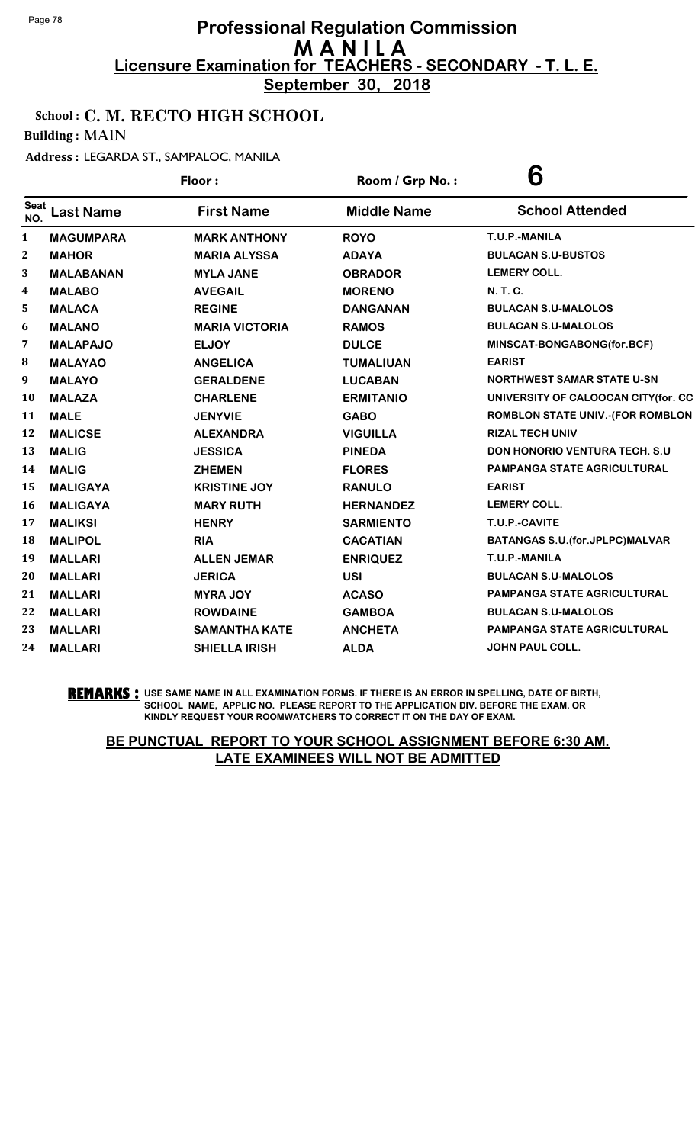**September 30, 2018**

### School : C. M. RECTO HIGH SCHOOL

Building : MAIN

#### Address : LEGARDA ST., SAMPALOC, MANILA

|                    |                  | Floor:                | Room / Grp No.:    | 6                                        |
|--------------------|------------------|-----------------------|--------------------|------------------------------------------|
| <b>Seat</b><br>NO. | <b>Last Name</b> | <b>First Name</b>     | <b>Middle Name</b> | <b>School Attended</b>                   |
| 1                  | <b>MAGUMPARA</b> | <b>MARK ANTHONY</b>   | <b>ROYO</b>        | T.U.P.-MANILA                            |
| $\mathbf{2}$       | <b>MAHOR</b>     | <b>MARIA ALYSSA</b>   | <b>ADAYA</b>       | <b>BULACAN S.U-BUSTOS</b>                |
| 3                  | <b>MALABANAN</b> | <b>MYLA JANE</b>      | <b>OBRADOR</b>     | <b>LEMERY COLL.</b>                      |
| 4                  | <b>MALABO</b>    | <b>AVEGAIL</b>        | <b>MORENO</b>      | <b>N.T.C.</b>                            |
| 5                  | <b>MALACA</b>    | <b>REGINE</b>         | <b>DANGANAN</b>    | <b>BULACAN S.U-MALOLOS</b>               |
| 6                  | <b>MALANO</b>    | <b>MARIA VICTORIA</b> | <b>RAMOS</b>       | <b>BULACAN S.U-MALOLOS</b>               |
| 7                  | <b>MALAPAJO</b>  | <b>ELJOY</b>          | <b>DULCE</b>       | MINSCAT-BONGABONG(for.BCF)               |
| 8                  | <b>MALAYAO</b>   | <b>ANGELICA</b>       | <b>TUMALIUAN</b>   | <b>EARIST</b>                            |
| 9                  | <b>MALAYO</b>    | <b>GERALDENE</b>      | <b>LUCABAN</b>     | <b>NORTHWEST SAMAR STATE U-SN</b>        |
| 10                 | <b>MALAZA</b>    | <b>CHARLENE</b>       | <b>ERMITANIO</b>   | UNIVERSITY OF CALOOCAN CITY(for. CC      |
| 11                 | <b>MALE</b>      | <b>JENYVIE</b>        | <b>GABO</b>        | <b>ROMBLON STATE UNIV.-(FOR ROMBLON</b>  |
| 12                 | <b>MALICSE</b>   | <b>ALEXANDRA</b>      | <b>VIGUILLA</b>    | <b>RIZAL TECH UNIV</b>                   |
| 13                 | <b>MALIG</b>     | <b>JESSICA</b>        | <b>PINEDA</b>      | <b>DON HONORIO VENTURA TECH. S.U</b>     |
| 14                 | <b>MALIG</b>     | <b>ZHEMEN</b>         | <b>FLORES</b>      | <b>PAMPANGA STATE AGRICULTURAL</b>       |
| 15                 | <b>MALIGAYA</b>  | <b>KRISTINE JOY</b>   | <b>RANULO</b>      | <b>EARIST</b>                            |
| 16                 | <b>MALIGAYA</b>  | <b>MARY RUTH</b>      | <b>HERNANDEZ</b>   | <b>LEMERY COLL.</b>                      |
| 17                 | <b>MALIKSI</b>   | <b>HENRY</b>          | <b>SARMIENTO</b>   | T.U.P.-CAVITE                            |
| 18                 | <b>MALIPOL</b>   | <b>RIA</b>            | <b>CACATIAN</b>    | <b>BATANGAS S.U. (for. JPLPC) MALVAR</b> |
| 19                 | <b>MALLARI</b>   | <b>ALLEN JEMAR</b>    | <b>ENRIQUEZ</b>    | T.U.P.-MANILA                            |
| 20                 | <b>MALLARI</b>   | <b>JERICA</b>         | <b>USI</b>         | <b>BULACAN S.U-MALOLOS</b>               |
| 21                 | <b>MALLARI</b>   | <b>MYRA JOY</b>       | <b>ACASO</b>       | <b>PAMPANGA STATE AGRICULTURAL</b>       |
| 22                 | <b>MALLARI</b>   | <b>ROWDAINE</b>       | <b>GAMBOA</b>      | <b>BULACAN S.U-MALOLOS</b>               |
| 23                 | <b>MALLARI</b>   | <b>SAMANTHA KATE</b>  | <b>ANCHETA</b>     | <b>PAMPANGA STATE AGRICULTURAL</b>       |
| 24                 | <b>MALLARI</b>   | <b>SHIELLA IRISH</b>  | <b>ALDA</b>        | <b>JOHN PAUL COLL.</b>                   |

**REMARKS :** USE SAME NAME IN ALL EXAMINATION FORMS. IF THERE IS AN ERROR IN SPELLING, DATE OF BIRTH, SCHOOL NAME, APPLIC NO. PLEASE REPORT TO THE APPLICATION DIV. BEFORE THE EXAM. OR KINDLY REQUEST YOUR ROOMWATCHERS TO CORRECT IT ON THE DAY OF EXAM.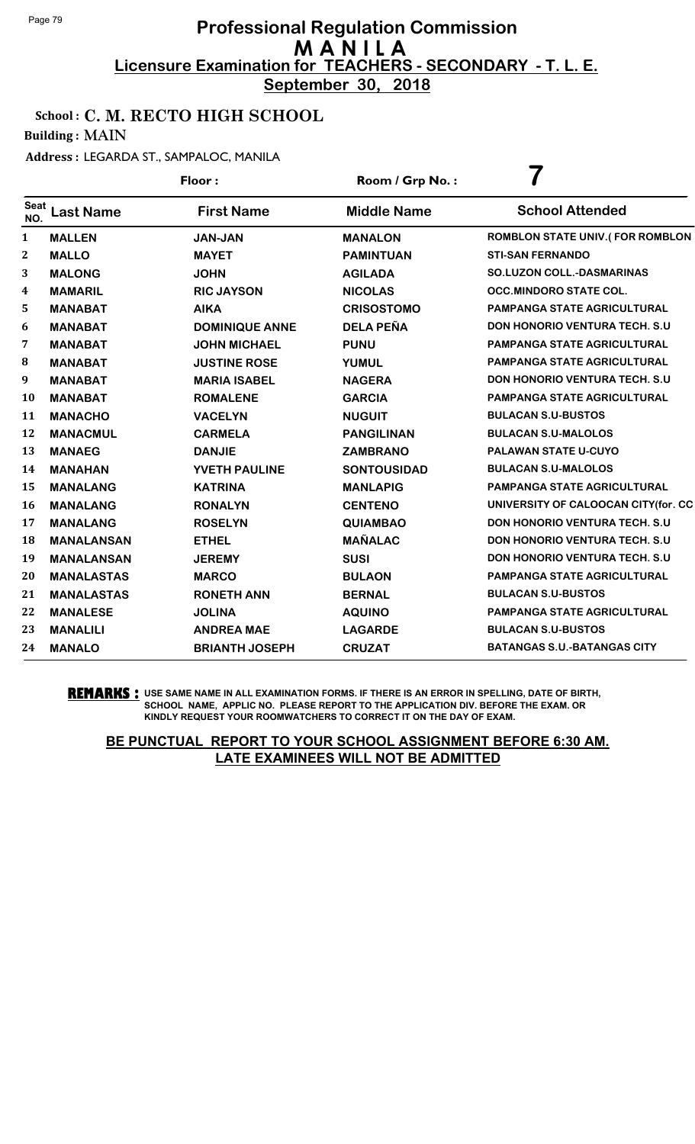**September 30, 2018**

### School : C. M. RECTO HIGH SCHOOL

Building : MAIN

Address : LEGARDA ST., SAMPALOC, MANILA

|                    |                   | Floor:                | Room / Grp No.:    |                                        |
|--------------------|-------------------|-----------------------|--------------------|----------------------------------------|
| <b>Seat</b><br>NO. | <b>Last Name</b>  | <b>First Name</b>     | <b>Middle Name</b> | <b>School Attended</b>                 |
| 1                  | <b>MALLEN</b>     | <b>JAN-JAN</b>        | <b>MANALON</b>     | <b>ROMBLON STATE UNIV.(FOR ROMBLON</b> |
| $\boldsymbol{2}$   | <b>MALLO</b>      | <b>MAYET</b>          | <b>PAMINTUAN</b>   | <b>STI-SAN FERNANDO</b>                |
| 3                  | <b>MALONG</b>     | <b>JOHN</b>           | <b>AGILADA</b>     | <b>SO.LUZON COLL.-DASMARINAS</b>       |
| 4                  | <b>MAMARIL</b>    | <b>RIC JAYSON</b>     | <b>NICOLAS</b>     | <b>OCC.MINDORO STATE COL.</b>          |
| 5                  | <b>MANABAT</b>    | <b>AIKA</b>           | <b>CRISOSTOMO</b>  | <b>PAMPANGA STATE AGRICULTURAL</b>     |
| 6                  | <b>MANABAT</b>    | <b>DOMINIQUE ANNE</b> | <b>DELA PEÑA</b>   | DON HONORIO VENTURA TECH. S.U          |
| 7                  | <b>MANABAT</b>    | <b>JOHN MICHAEL</b>   | <b>PUNU</b>        | <b>PAMPANGA STATE AGRICULTURAL</b>     |
| 8                  | <b>MANABAT</b>    | <b>JUSTINE ROSE</b>   | <b>YUMUL</b>       | PAMPANGA STATE AGRICULTURAL            |
| 9                  | <b>MANABAT</b>    | <b>MARIA ISABEL</b>   | <b>NAGERA</b>      | <b>DON HONORIO VENTURA TECH. S.U.</b>  |
| 10                 | <b>MANABAT</b>    | <b>ROMALENE</b>       | <b>GARCIA</b>      | PAMPANGA STATE AGRICULTURAL            |
| 11                 | <b>MANACHO</b>    | <b>VACELYN</b>        | <b>NUGUIT</b>      | <b>BULACAN S.U-BUSTOS</b>              |
| 12                 | <b>MANACMUL</b>   | <b>CARMELA</b>        | <b>PANGILINAN</b>  | <b>BULACAN S.U-MALOLOS</b>             |
| 13                 | <b>MANAEG</b>     | <b>DANJIE</b>         | <b>ZAMBRANO</b>    | PALAWAN STATE U-CUYO                   |
| 14                 | <b>MANAHAN</b>    | YVETH PAULINE         | <b>SONTOUSIDAD</b> | <b>BULACAN S.U-MALOLOS</b>             |
| 15                 | <b>MANALANG</b>   | <b>KATRINA</b>        | <b>MANLAPIG</b>    | <b>PAMPANGA STATE AGRICULTURAL</b>     |
| <b>16</b>          | <b>MANALANG</b>   | <b>RONALYN</b>        | <b>CENTENO</b>     | UNIVERSITY OF CALOOCAN CITY(for. CC    |
| 17                 | <b>MANALANG</b>   | <b>ROSELYN</b>        | <b>QUIAMBAO</b>    | <b>DON HONORIO VENTURA TECH. S.U.</b>  |
| 18                 | <b>MANALANSAN</b> | <b>ETHEL</b>          | <b>MAÑALAC</b>     | <b>DON HONORIO VENTURA TECH. S.U.</b>  |
| 19                 | <b>MANALANSAN</b> | <b>JEREMY</b>         | <b>SUSI</b>        | <b>DON HONORIO VENTURA TECH. S.U.</b>  |
| 20                 | <b>MANALASTAS</b> | <b>MARCO</b>          | <b>BULAON</b>      | PAMPANGA STATE AGRICULTURAL            |
| 21                 | <b>MANALASTAS</b> | <b>RONETH ANN</b>     | <b>BERNAL</b>      | <b>BULACAN S.U-BUSTOS</b>              |
| 22                 | <b>MANALESE</b>   | <b>JOLINA</b>         | <b>AQUINO</b>      | PAMPANGA STATE AGRICULTURAL            |
| 23                 | <b>MANALILI</b>   | <b>ANDREA MAE</b>     | <b>LAGARDE</b>     | <b>BULACAN S.U-BUSTOS</b>              |
| 24                 | <b>MANALO</b>     | <b>BRIANTH JOSEPH</b> | <b>CRUZAT</b>      | <b>BATANGAS S.U.-BATANGAS CITY</b>     |

**REMARKS :** USE SAME NAME IN ALL EXAMINATION FORMS. IF THERE IS AN ERROR IN SPELLING, DATE OF BIRTH, SCHOOL NAME, APPLIC NO. PLEASE REPORT TO THE APPLICATION DIV. BEFORE THE EXAM. OR KINDLY REQUEST YOUR ROOMWATCHERS TO CORRECT IT ON THE DAY OF EXAM.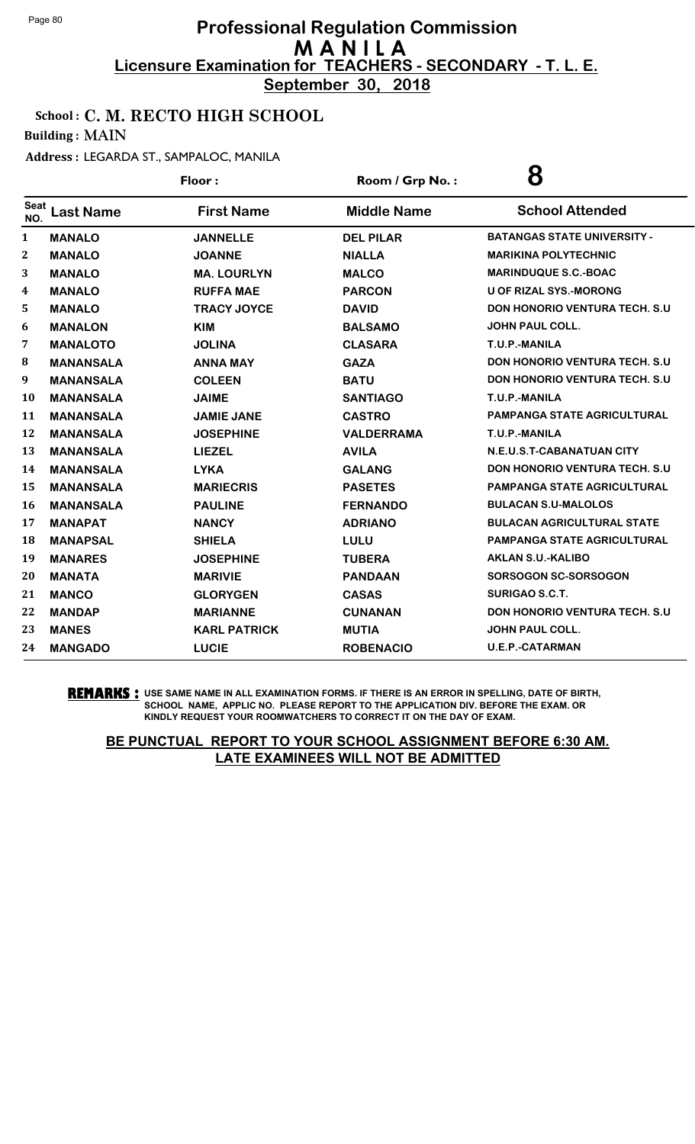**September 30, 2018**

### School : C. M. RECTO HIGH SCHOOL

Building : MAIN

Address : LEGARDA ST., SAMPALOC, MANILA

|                  |                  | Floor:              | Room / Grp No.:    | 8                                     |
|------------------|------------------|---------------------|--------------------|---------------------------------------|
| Seat<br>NO.      | <b>Last Name</b> | <b>First Name</b>   | <b>Middle Name</b> | <b>School Attended</b>                |
| 1                | <b>MANALO</b>    | <b>JANNELLE</b>     | <b>DEL PILAR</b>   | <b>BATANGAS STATE UNIVERSITY -</b>    |
| $\boldsymbol{2}$ | <b>MANALO</b>    | <b>JOANNE</b>       | <b>NIALLA</b>      | <b>MARIKINA POLYTECHNIC</b>           |
| 3                | <b>MANALO</b>    | <b>MA. LOURLYN</b>  | <b>MALCO</b>       | <b>MARINDUQUE S.C.-BOAC</b>           |
| 4                | <b>MANALO</b>    | <b>RUFFA MAE</b>    | <b>PARCON</b>      | <b>U OF RIZAL SYS.-MORONG</b>         |
| 5                | <b>MANALO</b>    | <b>TRACY JOYCE</b>  | <b>DAVID</b>       | <b>DON HONORIO VENTURA TECH. S.U.</b> |
| 6                | <b>MANALON</b>   | <b>KIM</b>          | <b>BALSAMO</b>     | <b>JOHN PAUL COLL.</b>                |
| 7                | <b>MANALOTO</b>  | <b>JOLINA</b>       | <b>CLASARA</b>     | T.U.P.-MANILA                         |
| 8                | <b>MANANSALA</b> | <b>ANNA MAY</b>     | <b>GAZA</b>        | <b>DON HONORIO VENTURA TECH. S.U</b>  |
| 9                | <b>MANANSALA</b> | <b>COLEEN</b>       | <b>BATU</b>        | <b>DON HONORIO VENTURA TECH. S.U</b>  |
| 10               | <b>MANANSALA</b> | <b>JAIME</b>        | <b>SANTIAGO</b>    | T.U.P.-MANILA                         |
| 11               | <b>MANANSALA</b> | <b>JAMIE JANE</b>   | <b>CASTRO</b>      | <b>PAMPANGA STATE AGRICULTURAL</b>    |
| 12               | <b>MANANSALA</b> | <b>JOSEPHINE</b>    | <b>VALDERRAMA</b>  | T.U.P.-MANILA                         |
| 13               | <b>MANANSALA</b> | <b>LIEZEL</b>       | <b>AVILA</b>       | N.E.U.S.T-CABANATUAN CITY             |
| 14               | <b>MANANSALA</b> | <b>LYKA</b>         | <b>GALANG</b>      | <b>DON HONORIO VENTURA TECH. S.U</b>  |
| 15               | <b>MANANSALA</b> | <b>MARIECRIS</b>    | <b>PASETES</b>     | <b>PAMPANGA STATE AGRICULTURAL</b>    |
| 16               | <b>MANANSALA</b> | <b>PAULINE</b>      | <b>FERNANDO</b>    | <b>BULACAN S.U-MALOLOS</b>            |
| 17               | <b>MANAPAT</b>   | <b>NANCY</b>        | <b>ADRIANO</b>     | <b>BULACAN AGRICULTURAL STATE</b>     |
| 18               | <b>MANAPSAL</b>  | <b>SHIELA</b>       | LULU               | PAMPANGA STATE AGRICULTURAL           |
| 19               | <b>MANARES</b>   | <b>JOSEPHINE</b>    | <b>TUBERA</b>      | <b>AKLAN S.U.-KALIBO</b>              |
| 20               | <b>MANATA</b>    | <b>MARIVIE</b>      | <b>PANDAAN</b>     | SORSOGON SC-SORSOGON                  |
| 21               | <b>MANCO</b>     | <b>GLORYGEN</b>     | <b>CASAS</b>       | <b>SURIGAO S.C.T.</b>                 |
| 22               | <b>MANDAP</b>    | <b>MARIANNE</b>     | <b>CUNANAN</b>     | <b>DON HONORIO VENTURA TECH. S.U</b>  |
| 23               | <b>MANES</b>     | <b>KARL PATRICK</b> | <b>MUTIA</b>       | <b>JOHN PAUL COLL.</b>                |
| 24               | <b>MANGADO</b>   | <b>LUCIE</b>        | <b>ROBENACIO</b>   | <b>U.E.P.-CATARMAN</b>                |

**REMARKS :** USE SAME NAME IN ALL EXAMINATION FORMS. IF THERE IS AN ERROR IN SPELLING, DATE OF BIRTH, SCHOOL NAME, APPLIC NO. PLEASE REPORT TO THE APPLICATION DIV. BEFORE THE EXAM. OR KINDLY REQUEST YOUR ROOMWATCHERS TO CORRECT IT ON THE DAY OF EXAM.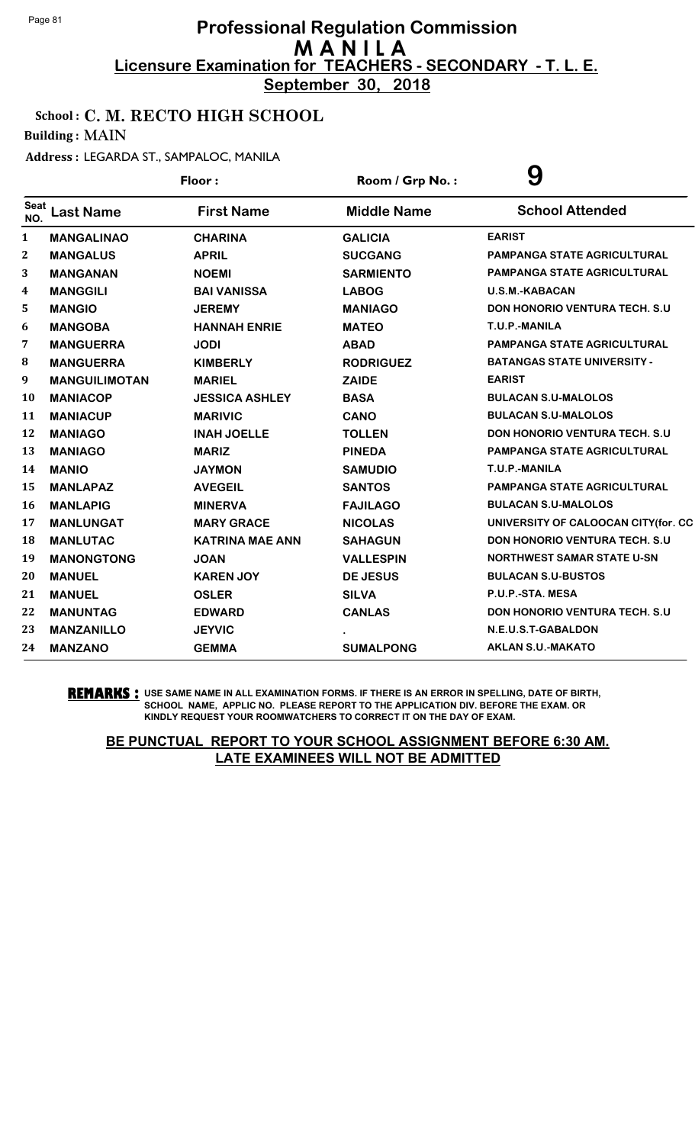**September 30, 2018**

### School : C. M. RECTO HIGH SCHOOL

Building : MAIN

Address : LEGARDA ST., SAMPALOC, MANILA

| Floor:             |                      | Room / Grp No.:        | 9                  |                                       |
|--------------------|----------------------|------------------------|--------------------|---------------------------------------|
| <b>Seat</b><br>NO. | <b>Last Name</b>     | <b>First Name</b>      | <b>Middle Name</b> | <b>School Attended</b>                |
| 1                  | <b>MANGALINAO</b>    | <b>CHARINA</b>         | <b>GALICIA</b>     | <b>EARIST</b>                         |
| $\boldsymbol{2}$   | <b>MANGALUS</b>      | <b>APRIL</b>           | <b>SUCGANG</b>     | <b>PAMPANGA STATE AGRICULTURAL</b>    |
| 3                  | <b>MANGANAN</b>      | <b>NOEMI</b>           | <b>SARMIENTO</b>   | <b>PAMPANGA STATE AGRICULTURAL</b>    |
| 4                  | <b>MANGGILI</b>      | <b>BAI VANISSA</b>     | <b>LABOG</b>       | <b>U.S.M.-KABACAN</b>                 |
| 5                  | <b>MANGIO</b>        | <b>JEREMY</b>          | <b>MANIAGO</b>     | <b>DON HONORIO VENTURA TECH. S.U</b>  |
| 6                  | <b>MANGOBA</b>       | <b>HANNAH ENRIE</b>    | <b>MATEO</b>       | T.U.P.-MANILA                         |
| 7                  | <b>MANGUERRA</b>     | <b>JODI</b>            | <b>ABAD</b>        | <b>PAMPANGA STATE AGRICULTURAL</b>    |
| 8                  | <b>MANGUERRA</b>     | <b>KIMBERLY</b>        | <b>RODRIGUEZ</b>   | <b>BATANGAS STATE UNIVERSITY -</b>    |
| 9                  | <b>MANGUILIMOTAN</b> | <b>MARIEL</b>          | <b>ZAIDE</b>       | <b>EARIST</b>                         |
| 10                 | <b>MANIACOP</b>      | <b>JESSICA ASHLEY</b>  | <b>BASA</b>        | <b>BULACAN S.U-MALOLOS</b>            |
| 11                 | <b>MANIACUP</b>      | <b>MARIVIC</b>         | <b>CANO</b>        | <b>BULACAN S.U-MALOLOS</b>            |
| 12                 | <b>MANIAGO</b>       | <b>INAH JOELLE</b>     | <b>TOLLEN</b>      | <b>DON HONORIO VENTURA TECH. S.U</b>  |
| 13                 | <b>MANIAGO</b>       | <b>MARIZ</b>           | <b>PINEDA</b>      | <b>PAMPANGA STATE AGRICULTURAL</b>    |
| 14                 | <b>MANIO</b>         | <b>JAYMON</b>          | <b>SAMUDIO</b>     | T.U.P.-MANILA                         |
| 15                 | <b>MANLAPAZ</b>      | <b>AVEGEIL</b>         | <b>SANTOS</b>      | <b>PAMPANGA STATE AGRICULTURAL</b>    |
| 16                 | <b>MANLAPIG</b>      | <b>MINERVA</b>         | <b>FAJILAGO</b>    | <b>BULACAN S.U-MALOLOS</b>            |
| 17                 | <b>MANLUNGAT</b>     | <b>MARY GRACE</b>      | <b>NICOLAS</b>     | UNIVERSITY OF CALOOCAN CITY(for. CC   |
| 18                 | <b>MANLUTAC</b>      | <b>KATRINA MAE ANN</b> | <b>SAHAGUN</b>     | <b>DON HONORIO VENTURA TECH. S.U.</b> |
| 19                 | <b>MANONGTONG</b>    | <b>JOAN</b>            | <b>VALLESPIN</b>   | <b>NORTHWEST SAMAR STATE U-SN</b>     |
| 20                 | <b>MANUEL</b>        | <b>KAREN JOY</b>       | <b>DE JESUS</b>    | <b>BULACAN S.U-BUSTOS</b>             |
| 21                 | <b>MANUEL</b>        | <b>OSLER</b>           | <b>SILVA</b>       | P.U.P.-STA. MESA                      |
| 22                 | <b>MANUNTAG</b>      | <b>EDWARD</b>          | <b>CANLAS</b>      | DON HONORIO VENTURA TECH. S.U         |
| 23                 | <b>MANZANILLO</b>    | <b>JEYVIC</b>          |                    | N.E.U.S.T-GABALDON                    |
| 24                 | <b>MANZANO</b>       | <b>GEMMA</b>           | <b>SUMALPONG</b>   | <b>AKLAN S.U.-MAKATO</b>              |

**REMARKS :** USE SAME NAME IN ALL EXAMINATION FORMS. IF THERE IS AN ERROR IN SPELLING, DATE OF BIRTH, SCHOOL NAME, APPLIC NO. PLEASE REPORT TO THE APPLICATION DIV. BEFORE THE EXAM. OR KINDLY REQUEST YOUR ROOMWATCHERS TO CORRECT IT ON THE DAY OF EXAM.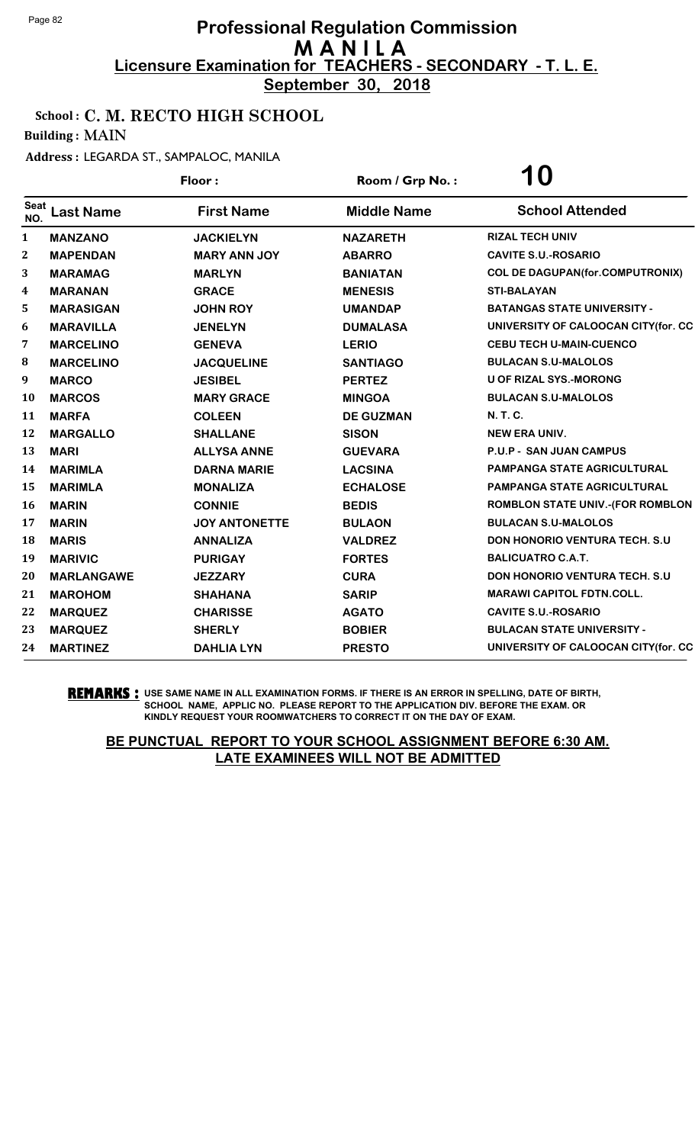**September 30, 2018**

### School : C. M. RECTO HIGH SCHOOL

Building : MAIN

#### Address : LEGARDA ST., SAMPALOC, MANILA

|                    |                   | Floor:               | Room / Grp No.:    | <b>10</b>                               |
|--------------------|-------------------|----------------------|--------------------|-----------------------------------------|
| <b>Seat</b><br>NO. | <b>Last Name</b>  | <b>First Name</b>    | <b>Middle Name</b> | <b>School Attended</b>                  |
| 1                  | <b>MANZANO</b>    | <b>JACKIELYN</b>     | <b>NAZARETH</b>    | <b>RIZAL TECH UNIV</b>                  |
| $\boldsymbol{2}$   | <b>MAPENDAN</b>   | <b>MARY ANN JOY</b>  | <b>ABARRO</b>      | <b>CAVITE S.U.-ROSARIO</b>              |
| 3                  | <b>MARAMAG</b>    | <b>MARLYN</b>        | <b>BANIATAN</b>    | <b>COL DE DAGUPAN(for.COMPUTRONIX)</b>  |
| 4                  | <b>MARANAN</b>    | <b>GRACE</b>         | <b>MENESIS</b>     | <b>STI-BALAYAN</b>                      |
| 5                  | <b>MARASIGAN</b>  | <b>JOHN ROY</b>      | <b>UMANDAP</b>     | <b>BATANGAS STATE UNIVERSITY -</b>      |
| 6                  | <b>MARAVILLA</b>  | <b>JENELYN</b>       | <b>DUMALASA</b>    | UNIVERSITY OF CALOOCAN CITY(for. CC     |
| 7                  | <b>MARCELINO</b>  | <b>GENEVA</b>        | <b>LERIO</b>       | <b>CEBU TECH U-MAIN-CUENCO</b>          |
| 8                  | <b>MARCELINO</b>  | <b>JACQUELINE</b>    | <b>SANTIAGO</b>    | <b>BULACAN S.U-MALOLOS</b>              |
| 9                  | <b>MARCO</b>      | <b>JESIBEL</b>       | <b>PERTEZ</b>      | <b>U OF RIZAL SYS.-MORONG</b>           |
| 10                 | <b>MARCOS</b>     | <b>MARY GRACE</b>    | <b>MINGOA</b>      | <b>BULACAN S.U-MALOLOS</b>              |
| 11                 | <b>MARFA</b>      | <b>COLEEN</b>        | <b>DE GUZMAN</b>   | N. T. C.                                |
| 12                 | <b>MARGALLO</b>   | <b>SHALLANE</b>      | <b>SISON</b>       | <b>NEW ERA UNIV.</b>                    |
| 13                 | <b>MARI</b>       | <b>ALLYSA ANNE</b>   | <b>GUEVARA</b>     | <b>P.U.P - SAN JUAN CAMPUS</b>          |
| 14                 | <b>MARIMLA</b>    | <b>DARNA MARIE</b>   | <b>LACSINA</b>     | PAMPANGA STATE AGRICULTURAL             |
| 15                 | <b>MARIMLA</b>    | <b>MONALIZA</b>      | <b>ECHALOSE</b>    | <b>PAMPANGA STATE AGRICULTURAL</b>      |
| 16                 | <b>MARIN</b>      | <b>CONNIE</b>        | <b>BEDIS</b>       | <b>ROMBLON STATE UNIV.-(FOR ROMBLON</b> |
| 17                 | <b>MARIN</b>      | <b>JOY ANTONETTE</b> | <b>BULAON</b>      | <b>BULACAN S.U-MALOLOS</b>              |
| 18                 | <b>MARIS</b>      | <b>ANNALIZA</b>      | <b>VALDREZ</b>     | DON HONORIO VENTURA TECH. S.U           |
| 19                 | <b>MARIVIC</b>    | <b>PURIGAY</b>       | <b>FORTES</b>      | <b>BALICUATRO C.A.T.</b>                |
| 20                 | <b>MARLANGAWE</b> | <b>JEZZARY</b>       | <b>CURA</b>        | DON HONORIO VENTURA TECH. S.U           |
| 21                 | <b>MAROHOM</b>    | <b>SHAHANA</b>       | <b>SARIP</b>       | <b>MARAWI CAPITOL FDTN.COLL.</b>        |
| 22                 | <b>MARQUEZ</b>    | <b>CHARISSE</b>      | <b>AGATO</b>       | <b>CAVITE S.U.-ROSARIO</b>              |
| 23                 | <b>MARQUEZ</b>    | <b>SHERLY</b>        | <b>BOBIER</b>      | <b>BULACAN STATE UNIVERSITY -</b>       |
| 24                 | <b>MARTINEZ</b>   | <b>DAHLIA LYN</b>    | <b>PRESTO</b>      | UNIVERSITY OF CALOOCAN CITY (for. CC    |

**REMARKS :** USE SAME NAME IN ALL EXAMINATION FORMS. IF THERE IS AN ERROR IN SPELLING, DATE OF BIRTH, SCHOOL NAME, APPLIC NO. PLEASE REPORT TO THE APPLICATION DIV. BEFORE THE EXAM. OR KINDLY REQUEST YOUR ROOMWATCHERS TO CORRECT IT ON THE DAY OF EXAM.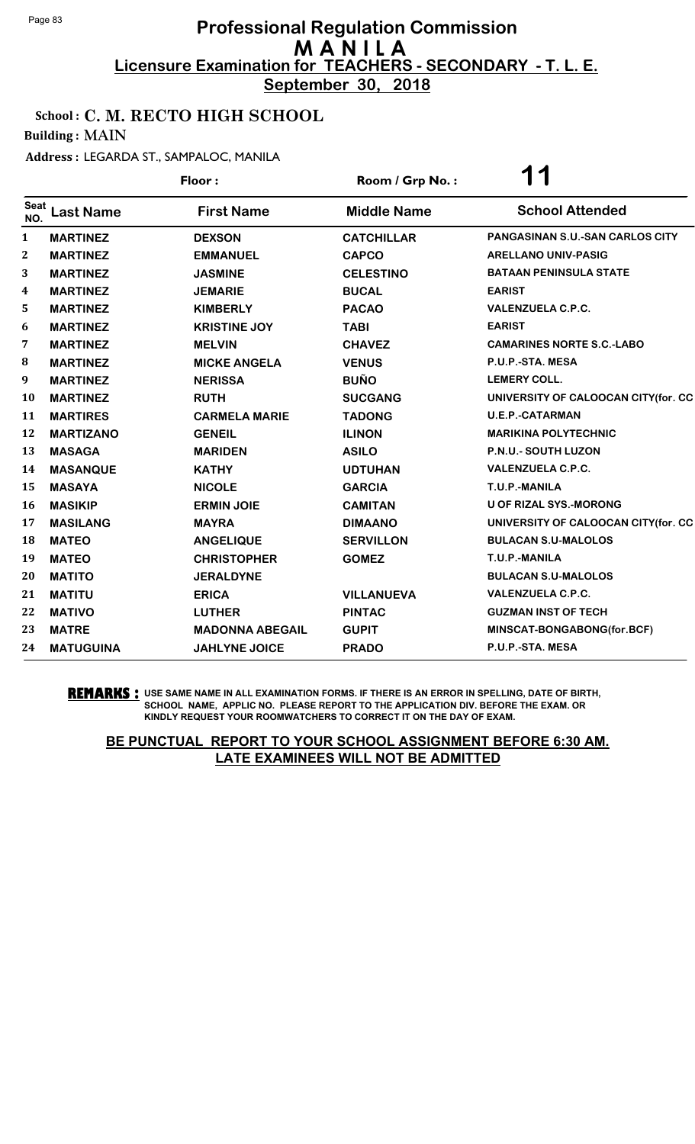**September 30, 2018**

### School : C. M. RECTO HIGH SCHOOL

Building : MAIN

Address : LEGARDA ST., SAMPALOC, MANILA

|                    |                  | Floor:                 | Room / Grp No.:    | 1<br>1                                 |
|--------------------|------------------|------------------------|--------------------|----------------------------------------|
| <b>Seat</b><br>NO. | <b>Last Name</b> | <b>First Name</b>      | <b>Middle Name</b> | <b>School Attended</b>                 |
| 1                  | <b>MARTINEZ</b>  | <b>DEXSON</b>          | <b>CATCHILLAR</b>  | <b>PANGASINAN S.U.-SAN CARLOS CITY</b> |
| $\boldsymbol{2}$   | <b>MARTINEZ</b>  | <b>EMMANUEL</b>        | <b>CAPCO</b>       | <b>ARELLANO UNIV-PASIG</b>             |
| 3                  | <b>MARTINEZ</b>  | <b>JASMINE</b>         | <b>CELESTINO</b>   | <b>BATAAN PENINSULA STATE</b>          |
| 4                  | <b>MARTINEZ</b>  | <b>JEMARIE</b>         | <b>BUCAL</b>       | <b>EARIST</b>                          |
| 5                  | <b>MARTINEZ</b>  | <b>KIMBERLY</b>        | <b>PACAO</b>       | <b>VALENZUELA C.P.C.</b>               |
| 6                  | <b>MARTINEZ</b>  | <b>KRISTINE JOY</b>    | <b>TABI</b>        | <b>EARIST</b>                          |
| 7                  | <b>MARTINEZ</b>  | <b>MELVIN</b>          | <b>CHAVEZ</b>      | <b>CAMARINES NORTE S.C.-LABO</b>       |
| 8                  | <b>MARTINEZ</b>  | <b>MICKE ANGELA</b>    | <b>VENUS</b>       | P.U.P.-STA. MESA                       |
| 9                  | <b>MARTINEZ</b>  | <b>NERISSA</b>         | <b>BUÑO</b>        | <b>LEMERY COLL.</b>                    |
| 10                 | <b>MARTINEZ</b>  | <b>RUTH</b>            | <b>SUCGANG</b>     | UNIVERSITY OF CALOOCAN CITY(for. CC    |
| 11                 | <b>MARTIRES</b>  | <b>CARMELA MARIE</b>   | <b>TADONG</b>      | <b>U.E.P.-CATARMAN</b>                 |
| 12                 | <b>MARTIZANO</b> | <b>GENEIL</b>          | <b>ILINON</b>      | <b>MARIKINA POLYTECHNIC</b>            |
| 13                 | <b>MASAGA</b>    | <b>MARIDEN</b>         | <b>ASILO</b>       | <b>P.N.U.- SOUTH LUZON</b>             |
| 14                 | <b>MASANQUE</b>  | <b>KATHY</b>           | <b>UDTUHAN</b>     | <b>VALENZUELA C.P.C.</b>               |
| 15                 | <b>MASAYA</b>    | <b>NICOLE</b>          | <b>GARCIA</b>      | T.U.P.-MANILA                          |
| 16                 | <b>MASIKIP</b>   | <b>ERMIN JOIE</b>      | <b>CAMITAN</b>     | <b>U OF RIZAL SYS.-MORONG</b>          |
| 17                 | <b>MASILANG</b>  | <b>MAYRA</b>           | <b>DIMAANO</b>     | UNIVERSITY OF CALOOCAN CITY(for. CC    |
| 18                 | <b>MATEO</b>     | <b>ANGELIQUE</b>       | <b>SERVILLON</b>   | <b>BULACAN S.U-MALOLOS</b>             |
| 19                 | <b>MATEO</b>     | <b>CHRISTOPHER</b>     | <b>GOMEZ</b>       | T.U.P.-MANILA                          |
| 20                 | <b>MATITO</b>    | <b>JERALDYNE</b>       |                    | <b>BULACAN S.U-MALOLOS</b>             |
| 21                 | <b>MATITU</b>    | <b>ERICA</b>           | <b>VILLANUEVA</b>  | <b>VALENZUELA C.P.C.</b>               |
| 22                 | <b>MATIVO</b>    | <b>LUTHER</b>          | <b>PINTAC</b>      | <b>GUZMAN INST OF TECH</b>             |
| 23                 | <b>MATRE</b>     | <b>MADONNA ABEGAIL</b> | <b>GUPIT</b>       | MINSCAT-BONGABONG(for.BCF)             |
| 24                 | <b>MATUGUINA</b> | <b>JAHLYNE JOICE</b>   | <b>PRADO</b>       | P.U.P.-STA. MESA                       |

**REMARKS :** USE SAME NAME IN ALL EXAMINATION FORMS. IF THERE IS AN ERROR IN SPELLING, DATE OF BIRTH, SCHOOL NAME, APPLIC NO. PLEASE REPORT TO THE APPLICATION DIV. BEFORE THE EXAM. OR KINDLY REQUEST YOUR ROOMWATCHERS TO CORRECT IT ON THE DAY OF EXAM.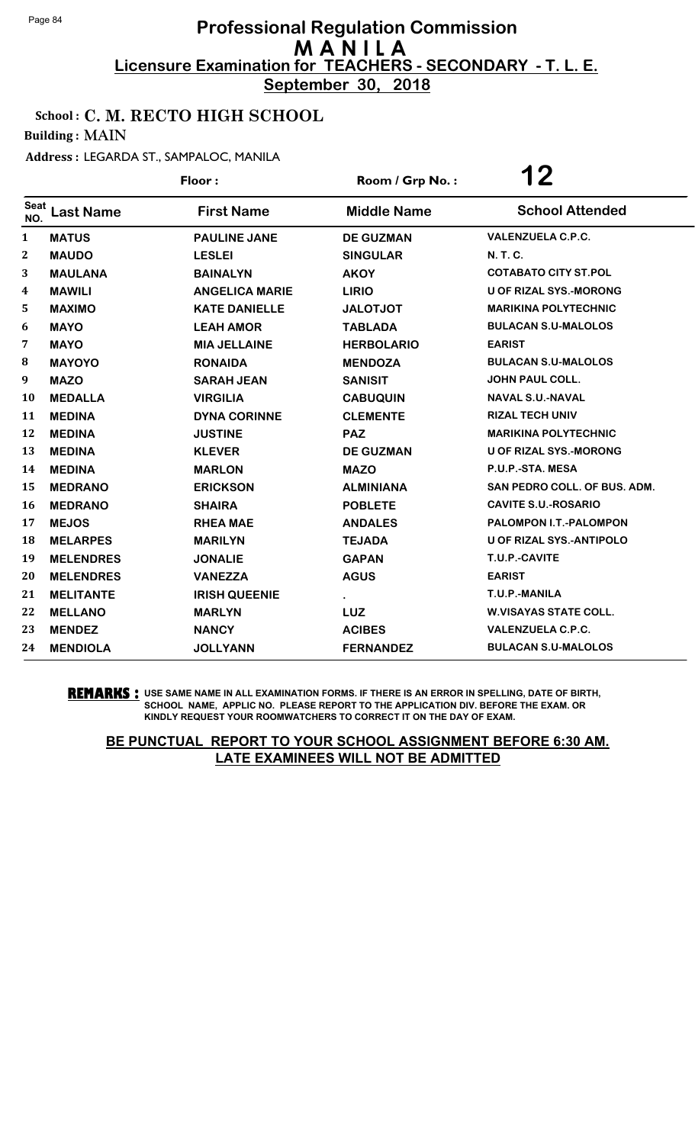**September 30, 2018**

### School : C. M. RECTO HIGH SCHOOL

Building : MAIN

Address : LEGARDA ST., SAMPALOC, MANILA

|                    |                  | Floor:                | Room / Grp No.:    | 12                              |
|--------------------|------------------|-----------------------|--------------------|---------------------------------|
| <b>Seat</b><br>NO. | <b>Last Name</b> | <b>First Name</b>     | <b>Middle Name</b> | <b>School Attended</b>          |
| $\mathbf{1}$       | <b>MATUS</b>     | <b>PAULINE JANE</b>   | <b>DE GUZMAN</b>   | <b>VALENZUELA C.P.C.</b>        |
| $\boldsymbol{2}$   | <b>MAUDO</b>     | <b>LESLEI</b>         | <b>SINGULAR</b>    | <b>N.T.C.</b>                   |
| 3                  | <b>MAULANA</b>   | <b>BAINALYN</b>       | <b>AKOY</b>        | <b>COTABATO CITY ST.POL</b>     |
| 4                  | <b>MAWILI</b>    | <b>ANGELICA MARIE</b> | <b>LIRIO</b>       | <b>U OF RIZAL SYS.-MORONG</b>   |
| 5                  | <b>MAXIMO</b>    | <b>KATE DANIELLE</b>  | <b>JALOTJOT</b>    | <b>MARIKINA POLYTECHNIC</b>     |
| 6                  | <b>MAYO</b>      | <b>LEAH AMOR</b>      | <b>TABLADA</b>     | <b>BULACAN S.U-MALOLOS</b>      |
| 7                  | <b>MAYO</b>      | <b>MIA JELLAINE</b>   | <b>HERBOLARIO</b>  | <b>EARIST</b>                   |
| 8                  | <b>MAYOYO</b>    | <b>RONAIDA</b>        | <b>MENDOZA</b>     | <b>BULACAN S.U-MALOLOS</b>      |
| 9                  | <b>MAZO</b>      | <b>SARAH JEAN</b>     | <b>SANISIT</b>     | <b>JOHN PAUL COLL.</b>          |
| 10                 | <b>MEDALLA</b>   | <b>VIRGILIA</b>       | <b>CABUQUIN</b>    | <b>NAVAL S.U.-NAVAL</b>         |
| 11                 | <b>MEDINA</b>    | <b>DYNA CORINNE</b>   | <b>CLEMENTE</b>    | <b>RIZAL TECH UNIV</b>          |
| 12                 | <b>MEDINA</b>    | <b>JUSTINE</b>        | <b>PAZ</b>         | <b>MARIKINA POLYTECHNIC</b>     |
| 13                 | <b>MEDINA</b>    | <b>KLEVER</b>         | <b>DE GUZMAN</b>   | <b>U OF RIZAL SYS.-MORONG</b>   |
| 14                 | <b>MEDINA</b>    | <b>MARLON</b>         | <b>MAZO</b>        | P.U.P.-STA. MESA                |
| 15                 | <b>MEDRANO</b>   | <b>ERICKSON</b>       | <b>ALMINIANA</b>   | SAN PEDRO COLL. OF BUS. ADM.    |
| 16                 | <b>MEDRANO</b>   | <b>SHAIRA</b>         | <b>POBLETE</b>     | <b>CAVITE S.U.-ROSARIO</b>      |
| 17                 | <b>MEJOS</b>     | <b>RHEA MAE</b>       | <b>ANDALES</b>     | PALOMPON I.T.-PALOMPON          |
| 18                 | <b>MELARPES</b>  | <b>MARILYN</b>        | <b>TEJADA</b>      | <b>U OF RIZAL SYS.-ANTIPOLO</b> |
| 19                 | <b>MELENDRES</b> | <b>JONALIE</b>        | <b>GAPAN</b>       | T.U.P.-CAVITE                   |
| 20                 | <b>MELENDRES</b> | <b>VANEZZA</b>        | <b>AGUS</b>        | <b>EARIST</b>                   |
| 21                 | <b>MELITANTE</b> | <b>IRISH QUEENIE</b>  |                    | T.U.P.-MANILA                   |
| 22                 | <b>MELLANO</b>   | <b>MARLYN</b>         | <b>LUZ</b>         | <b>W.VISAYAS STATE COLL.</b>    |
| 23                 | <b>MENDEZ</b>    | <b>NANCY</b>          | <b>ACIBES</b>      | <b>VALENZUELA C.P.C.</b>        |
| 24                 | <b>MENDIOLA</b>  | <b>JOLLYANN</b>       | <b>FERNANDEZ</b>   | <b>BULACAN S.U-MALOLOS</b>      |

**REMARKS :** USE SAME NAME IN ALL EXAMINATION FORMS. IF THERE IS AN ERROR IN SPELLING, DATE OF BIRTH, SCHOOL NAME, APPLIC NO. PLEASE REPORT TO THE APPLICATION DIV. BEFORE THE EXAM. OR KINDLY REQUEST YOUR ROOMWATCHERS TO CORRECT IT ON THE DAY OF EXAM.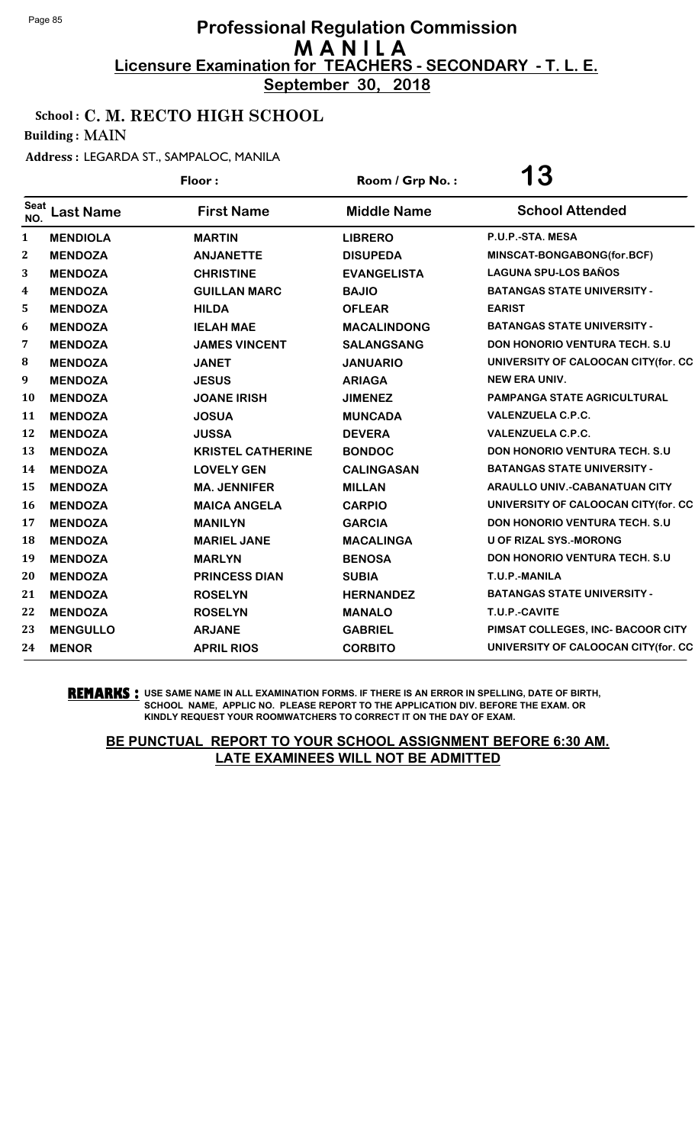**September 30, 2018**

### School : C. M. RECTO HIGH SCHOOL

Building : MAIN

Address : LEGARDA ST., SAMPALOC, MANILA

|                    |                  | Floor:                   | Room / Grp No.:    | <b>13</b>                             |
|--------------------|------------------|--------------------------|--------------------|---------------------------------------|
| <b>Seat</b><br>NO. | <b>Last Name</b> | <b>First Name</b>        | <b>Middle Name</b> | <b>School Attended</b>                |
| 1                  | <b>MENDIOLA</b>  | <b>MARTIN</b>            | <b>LIBRERO</b>     | P.U.P.-STA. MESA                      |
| $\boldsymbol{2}$   | <b>MENDOZA</b>   | <b>ANJANETTE</b>         | <b>DISUPEDA</b>    | MINSCAT-BONGABONG(for.BCF)            |
| 3                  | <b>MENDOZA</b>   | <b>CHRISTINE</b>         | <b>EVANGELISTA</b> | <b>LAGUNA SPU-LOS BAÑOS</b>           |
| 4                  | <b>MENDOZA</b>   | <b>GUILLAN MARC</b>      | <b>BAJIO</b>       | <b>BATANGAS STATE UNIVERSITY -</b>    |
| 5                  | <b>MENDOZA</b>   | <b>HILDA</b>             | <b>OFLEAR</b>      | <b>EARIST</b>                         |
| 6                  | <b>MENDOZA</b>   | <b>IELAH MAE</b>         | <b>MACALINDONG</b> | <b>BATANGAS STATE UNIVERSITY -</b>    |
| 7                  | <b>MENDOZA</b>   | <b>JAMES VINCENT</b>     | <b>SALANGSANG</b>  | <b>DON HONORIO VENTURA TECH. S.U.</b> |
| 8                  | <b>MENDOZA</b>   | <b>JANET</b>             | <b>JANUARIO</b>    | UNIVERSITY OF CALOOCAN CITY(for. CC   |
| 9                  | <b>MENDOZA</b>   | <b>JESUS</b>             | <b>ARIAGA</b>      | <b>NEW ERA UNIV.</b>                  |
| 10                 | <b>MENDOZA</b>   | <b>JOANE IRISH</b>       | <b>JIMENEZ</b>     | <b>PAMPANGA STATE AGRICULTURAL</b>    |
| 11                 | <b>MENDOZA</b>   | <b>JOSUA</b>             | <b>MUNCADA</b>     | <b>VALENZUELA C.P.C.</b>              |
| 12                 | <b>MENDOZA</b>   | <b>JUSSA</b>             | <b>DEVERA</b>      | <b>VALENZUELA C.P.C.</b>              |
| 13                 | <b>MENDOZA</b>   | <b>KRISTEL CATHERINE</b> | <b>BONDOC</b>      | <b>DON HONORIO VENTURA TECH. S.U.</b> |
| 14                 | <b>MENDOZA</b>   | <b>LOVELY GEN</b>        | <b>CALINGASAN</b>  | <b>BATANGAS STATE UNIVERSITY -</b>    |
| 15                 | <b>MENDOZA</b>   | <b>MA. JENNIFER</b>      | <b>MILLAN</b>      | <b>ARAULLO UNIV.-CABANATUAN CITY</b>  |
| <b>16</b>          | <b>MENDOZA</b>   | <b>MAICA ANGELA</b>      | <b>CARPIO</b>      | UNIVERSITY OF CALOOCAN CITY(for. CC   |
| 17                 | <b>MENDOZA</b>   | <b>MANILYN</b>           | <b>GARCIA</b>      | <b>DON HONORIO VENTURA TECH. S.U.</b> |
| 18                 | <b>MENDOZA</b>   | <b>MARIEL JANE</b>       | <b>MACALINGA</b>   | <b>U OF RIZAL SYS.-MORONG</b>         |
| 19                 | <b>MENDOZA</b>   | <b>MARLYN</b>            | <b>BENOSA</b>      | <b>DON HONORIO VENTURA TECH. S.U.</b> |
| 20                 | <b>MENDOZA</b>   | <b>PRINCESS DIAN</b>     | <b>SUBIA</b>       | T.U.P.-MANILA                         |
| 21                 | <b>MENDOZA</b>   | <b>ROSELYN</b>           | <b>HERNANDEZ</b>   | <b>BATANGAS STATE UNIVERSITY -</b>    |
| 22                 | <b>MENDOZA</b>   | <b>ROSELYN</b>           | <b>MANALO</b>      | T.U.P.-CAVITE                         |
| 23                 | <b>MENGULLO</b>  | <b>ARJANE</b>            | <b>GABRIEL</b>     | PIMSAT COLLEGES, INC- BACOOR CITY     |
| 24                 | <b>MENOR</b>     | <b>APRIL RIOS</b>        | <b>CORBITO</b>     | UNIVERSITY OF CALOOCAN CITY(for. CC   |

**REMARKS :** USE SAME NAME IN ALL EXAMINATION FORMS. IF THERE IS AN ERROR IN SPELLING, DATE OF BIRTH, SCHOOL NAME, APPLIC NO. PLEASE REPORT TO THE APPLICATION DIV. BEFORE THE EXAM. OR KINDLY REQUEST YOUR ROOMWATCHERS TO CORRECT IT ON THE DAY OF EXAM.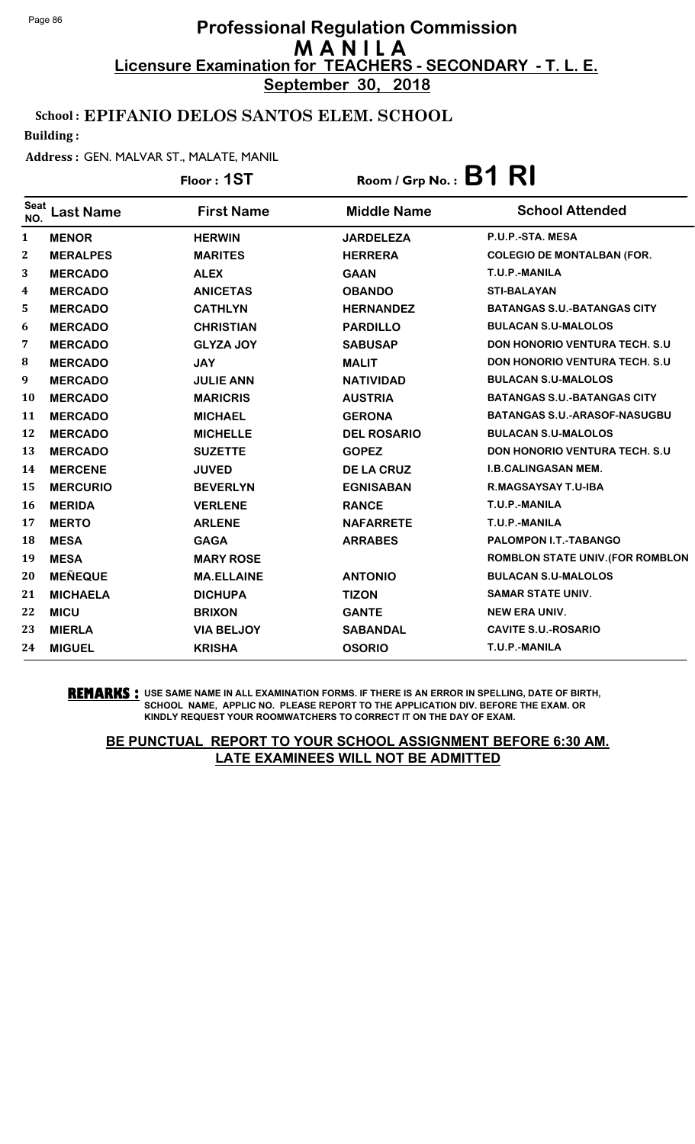**September 30, 2018**

### School : EPIFANIO DELOS SANTOS ELEM. SCHOOL

Building :

#### Address : GEN. MALVAR ST., MALATE, MANIL

|                         |                  | Floor: 1ST        | Room / Grp No.: $B1$ R |                                       |
|-------------------------|------------------|-------------------|------------------------|---------------------------------------|
| <b>Seat</b><br>NO.      | <b>Last Name</b> | <b>First Name</b> | <b>Middle Name</b>     | <b>School Attended</b>                |
| $\mathbf{1}$            | <b>MENOR</b>     | <b>HERWIN</b>     | <b>JARDELEZA</b>       | P.U.P.-STA. MESA                      |
| $\mathbf{2}$            | <b>MERALPES</b>  | <b>MARITES</b>    | <b>HERRERA</b>         | <b>COLEGIO DE MONTALBAN (FOR.</b>     |
| 3                       | <b>MERCADO</b>   | <b>ALEX</b>       | <b>GAAN</b>            | T.U.P.-MANILA                         |
| $\overline{\mathbf{4}}$ | <b>MERCADO</b>   | <b>ANICETAS</b>   | <b>OBANDO</b>          | <b>STI-BALAYAN</b>                    |
| 5                       | <b>MERCADO</b>   | <b>CATHLYN</b>    | <b>HERNANDEZ</b>       | <b>BATANGAS S.U.-BATANGAS CITY</b>    |
| 6                       | <b>MERCADO</b>   | <b>CHRISTIAN</b>  | <b>PARDILLO</b>        | <b>BULACAN S.U-MALOLOS</b>            |
| 7                       | <b>MERCADO</b>   | <b>GLYZA JOY</b>  | <b>SABUSAP</b>         | <b>DON HONORIO VENTURA TECH. S.U.</b> |
| 8                       | <b>MERCADO</b>   | <b>JAY</b>        | <b>MALIT</b>           | <b>DON HONORIO VENTURA TECH. S.U.</b> |
| 9                       | <b>MERCADO</b>   | <b>JULIE ANN</b>  | <b>NATIVIDAD</b>       | <b>BULACAN S.U-MALOLOS</b>            |
| 10                      | <b>MERCADO</b>   | <b>MARICRIS</b>   | <b>AUSTRIA</b>         | <b>BATANGAS S.U.-BATANGAS CITY</b>    |
| 11                      | <b>MERCADO</b>   | <b>MICHAEL</b>    | <b>GERONA</b>          | <b>BATANGAS S.U.-ARASOF-NASUGBU</b>   |
| 12                      | <b>MERCADO</b>   | <b>MICHELLE</b>   | <b>DEL ROSARIO</b>     | <b>BULACAN S.U-MALOLOS</b>            |
| 13                      | <b>MERCADO</b>   | <b>SUZETTE</b>    | <b>GOPEZ</b>           | DON HONORIO VENTURA TECH. S.U         |
| 14                      | <b>MERCENE</b>   | <b>JUVED</b>      | <b>DE LA CRUZ</b>      | <b>I.B.CALINGASAN MEM.</b>            |
| 15                      | <b>MERCURIO</b>  | <b>BEVERLYN</b>   | <b>EGNISABAN</b>       | R.MAGSAYSAY T.U-IBA                   |
| 16                      | <b>MERIDA</b>    | <b>VERLENE</b>    | <b>RANCE</b>           | T.U.P.-MANILA                         |
| 17                      | <b>MERTO</b>     | <b>ARLENE</b>     | <b>NAFARRETE</b>       | T.U.P.-MANILA                         |
| 18                      | <b>MESA</b>      | <b>GAGA</b>       | <b>ARRABES</b>         | PALOMPON I.T.-TABANGO                 |
| 19                      | <b>MESA</b>      | <b>MARY ROSE</b>  |                        | ROMBLON STATE UNIV. (FOR ROMBLON      |
| 20                      | <b>MEÑEQUE</b>   | <b>MA.ELLAINE</b> | <b>ANTONIO</b>         | <b>BULACAN S.U-MALOLOS</b>            |
| 21                      | <b>MICHAELA</b>  | <b>DICHUPA</b>    | <b>TIZON</b>           | <b>SAMAR STATE UNIV.</b>              |
| 22                      | <b>MICU</b>      | <b>BRIXON</b>     | <b>GANTE</b>           | <b>NEW ERA UNIV.</b>                  |
| 23                      | <b>MIERLA</b>    | <b>VIA BELJOY</b> | <b>SABANDAL</b>        | <b>CAVITE S.U.-ROSARIO</b>            |
| 24                      | <b>MIGUEL</b>    | <b>KRISHA</b>     | <b>OSORIO</b>          | T.U.P.-MANILA                         |

**REMARKS :** USE SAME NAME IN ALL EXAMINATION FORMS. IF THERE IS AN ERROR IN SPELLING, DATE OF BIRTH, SCHOOL NAME, APPLIC NO. PLEASE REPORT TO THE APPLICATION DIV. BEFORE THE EXAM. OR KINDLY REQUEST YOUR ROOMWATCHERS TO CORRECT IT ON THE DAY OF EXAM.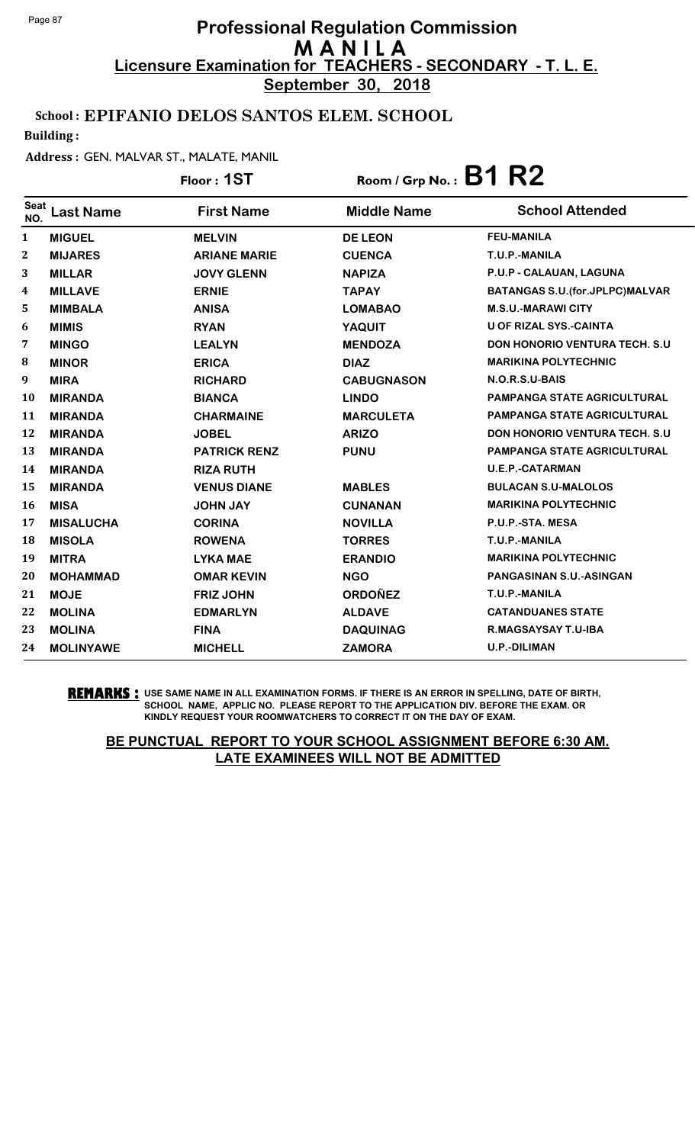**September 30, 2018**

### School : EPIFANIO DELOS SANTOS ELEM. SCHOOL

Building :

#### Address : GEN. MALVAR ST., MALATE, MANIL

|                    |                  | Floor: 1ST          | Room / Grp No.: $B1 R2$ |                                          |
|--------------------|------------------|---------------------|-------------------------|------------------------------------------|
| <b>Seat</b><br>NO. | <b>Last Name</b> | <b>First Name</b>   | <b>Middle Name</b>      | <b>School Attended</b>                   |
| 1                  | <b>MIGUEL</b>    | <b>MELVIN</b>       | <b>DE LEON</b>          | <b>FEU-MANILA</b>                        |
| 2                  | <b>MIJARES</b>   | <b>ARIANE MARIE</b> | <b>CUENCA</b>           | T.U.P.-MANILA                            |
| 3                  | <b>MILLAR</b>    | <b>JOVY GLENN</b>   | <b>NAPIZA</b>           | P.U.P - CALAUAN, LAGUNA                  |
| 4                  | <b>MILLAVE</b>   | <b>ERNIE</b>        | <b>TAPAY</b>            | <b>BATANGAS S.U. (for. JPLPC) MALVAR</b> |
| 5                  | <b>MIMBALA</b>   | <b>ANISA</b>        | <b>LOMABAO</b>          | <b>M.S.U.-MARAWICITY</b>                 |
| 6                  | <b>MIMIS</b>     | <b>RYAN</b>         | YAQUIT                  | <b>U OF RIZAL SYS.-CAINTA</b>            |
| 7                  | <b>MINGO</b>     | <b>LEALYN</b>       | <b>MENDOZA</b>          | <b>DON HONORIO VENTURA TECH. S.U.</b>    |
| 8                  | <b>MINOR</b>     | <b>ERICA</b>        | <b>DIAZ</b>             | <b>MARIKINA POLYTECHNIC</b>              |
| 9                  | <b>MIRA</b>      | <b>RICHARD</b>      | <b>CABUGNASON</b>       | N.O.R.S.U-BAIS                           |
| 10                 | <b>MIRANDA</b>   | <b>BIANCA</b>       | <b>LINDO</b>            | <b>PAMPANGA STATE AGRICULTURAL</b>       |
| 11                 | <b>MIRANDA</b>   | <b>CHARMAINE</b>    | <b>MARCULETA</b>        | <b>PAMPANGA STATE AGRICULTURAL</b>       |
| 12                 | <b>MIRANDA</b>   | <b>JOBEL</b>        | <b>ARIZO</b>            | <b>DON HONORIO VENTURA TECH. S.U.</b>    |
| 13                 | <b>MIRANDA</b>   | <b>PATRICK RENZ</b> | <b>PUNU</b>             | PAMPANGA STATE AGRICULTURAL              |
| 14                 | <b>MIRANDA</b>   | <b>RIZA RUTH</b>    |                         | <b>U.E.P.-CATARMAN</b>                   |
| 15                 | <b>MIRANDA</b>   | <b>VENUS DIANE</b>  | <b>MABLES</b>           | <b>BULACAN S.U-MALOLOS</b>               |
| 16                 | <b>MISA</b>      | <b>JOHN JAY</b>     | <b>CUNANAN</b>          | <b>MARIKINA POLYTECHNIC</b>              |
| 17                 | <b>MISALUCHA</b> | <b>CORINA</b>       | <b>NOVILLA</b>          | P.U.P.-STA. MESA                         |
| 18                 | <b>MISOLA</b>    | <b>ROWENA</b>       | <b>TORRES</b>           | T.U.P.-MANILA                            |
| 19                 | <b>MITRA</b>     | <b>LYKA MAE</b>     | <b>ERANDIO</b>          | <b>MARIKINA POLYTECHNIC</b>              |
| 20                 | <b>MOHAMMAD</b>  | <b>OMAR KEVIN</b>   | <b>NGO</b>              | PANGASINAN S.U.-ASINGAN                  |
| 21                 | <b>MOJE</b>      | <b>FRIZ JOHN</b>    | <b>ORDOÑEZ</b>          | T.U.P.-MANILA                            |
| 22                 | <b>MOLINA</b>    | <b>EDMARLYN</b>     | <b>ALDAVE</b>           | <b>CATANDUANES STATE</b>                 |
| 23                 | <b>MOLINA</b>    | <b>FINA</b>         | <b>DAQUINAG</b>         | R.MAGSAYSAY T.U-IBA                      |
| 24                 | <b>MOLINYAWE</b> | <b>MICHELL</b>      | <b>ZAMORA</b>           | U.P.-DILIMAN                             |

**REMARKS :** USE SAME NAME IN ALL EXAMINATION FORMS. IF THERE IS AN ERROR IN SPELLING, DATE OF BIRTH, SCHOOL NAME, APPLIC NO. PLEASE REPORT TO THE APPLICATION DIV. BEFORE THE EXAM. OR KINDLY REQUEST YOUR ROOMWATCHERS TO CORRECT IT ON THE DAY OF EXAM.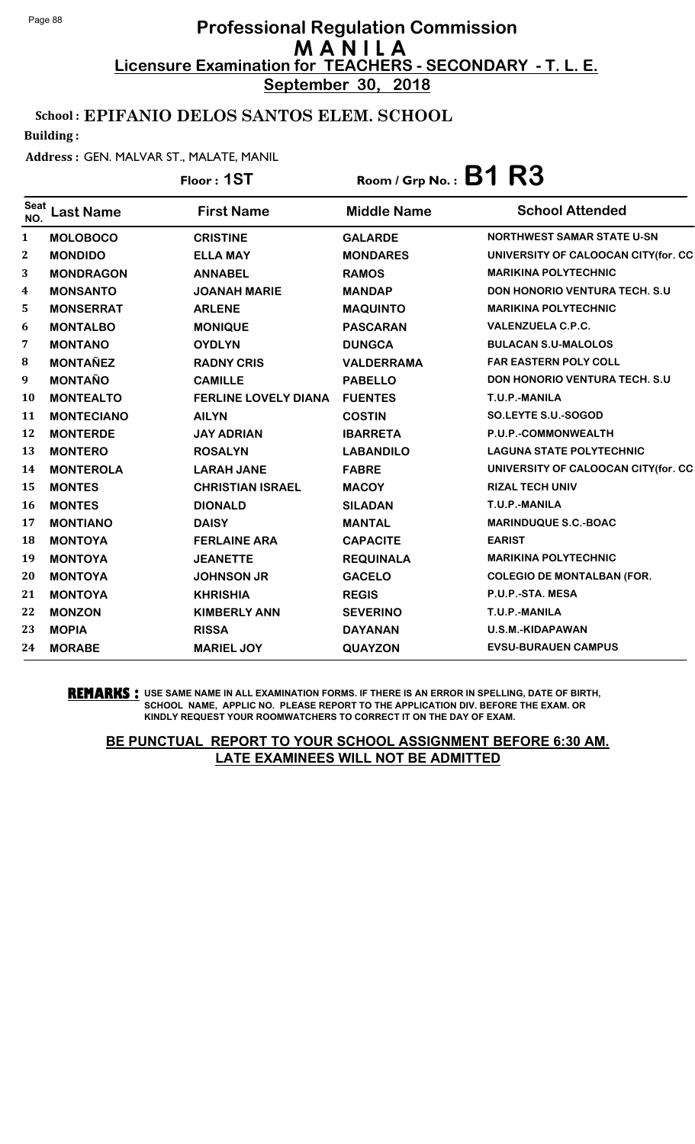**September 30, 2018**

### School : EPIFANIO DELOS SANTOS ELEM. SCHOOL

Building :

#### Address : GEN. MALVAR ST., MALATE, MANIL

|                    |                   | Floor: 1ST                  | Room / Grp No.: $B1 R3$ |                                       |  |
|--------------------|-------------------|-----------------------------|-------------------------|---------------------------------------|--|
| <b>Seat</b><br>NO. | <b>Last Name</b>  | <b>First Name</b>           | <b>Middle Name</b>      | <b>School Attended</b>                |  |
| 1                  | <b>MOLOBOCO</b>   | <b>CRISTINE</b>             | <b>GALARDE</b>          | <b>NORTHWEST SAMAR STATE U-SN</b>     |  |
| $\boldsymbol{2}$   | <b>MONDIDO</b>    | <b>ELLA MAY</b>             | <b>MONDARES</b>         | UNIVERSITY OF CALOOCAN CITY(for. CC   |  |
| 3                  | <b>MONDRAGON</b>  | <b>ANNABEL</b>              | <b>RAMOS</b>            | <b>MARIKINA POLYTECHNIC</b>           |  |
| 4                  | <b>MONSANTO</b>   | <b>JOANAH MARIE</b>         | <b>MANDAP</b>           | <b>DON HONORIO VENTURA TECH. S.U.</b> |  |
| 5                  | <b>MONSERRAT</b>  | <b>ARLENE</b>               | <b>MAQUINTO</b>         | <b>MARIKINA POLYTECHNIC</b>           |  |
| 6                  | <b>MONTALBO</b>   | <b>MONIQUE</b>              | <b>PASCARAN</b>         | <b>VALENZUELA C.P.C.</b>              |  |
| 7                  | <b>MONTANO</b>    | <b>OYDLYN</b>               | <b>DUNGCA</b>           | <b>BULACAN S.U-MALOLOS</b>            |  |
| 8                  | <b>MONTAÑEZ</b>   | <b>RADNY CRIS</b>           | <b>VALDERRAMA</b>       | <b>FAR EASTERN POLY COLL</b>          |  |
| 9                  | <b>MONTAÑO</b>    | <b>CAMILLE</b>              | <b>PABELLO</b>          | DON HONORIO VENTURA TECH. S.U         |  |
| 10                 | <b>MONTEALTO</b>  | <b>FERLINE LOVELY DIANA</b> | <b>FUENTES</b>          | T.U.P.-MANILA                         |  |
| 11                 | <b>MONTECIANO</b> | <b>AILYN</b>                | <b>COSTIN</b>           | <b>SO.LEYTE S.U.-SOGOD</b>            |  |
| 12                 | <b>MONTERDE</b>   | <b>JAY ADRIAN</b>           | <b>IBARRETA</b>         | P.U.P.-COMMONWEALTH                   |  |
| 13                 | <b>MONTERO</b>    | <b>ROSALYN</b>              | <b>LABANDILO</b>        | <b>LAGUNA STATE POLYTECHNIC</b>       |  |
| 14                 | <b>MONTEROLA</b>  | <b>LARAH JANE</b>           | <b>FABRE</b>            | UNIVERSITY OF CALOOCAN CITY(for. CC   |  |
| 15                 | <b>MONTES</b>     | <b>CHRISTIAN ISRAEL</b>     | <b>MACOY</b>            | <b>RIZAL TECH UNIV</b>                |  |
| 16                 | <b>MONTES</b>     | <b>DIONALD</b>              | <b>SILADAN</b>          | T.U.P.-MANILA                         |  |
| 17                 | <b>MONTIANO</b>   | <b>DAISY</b>                | <b>MANTAL</b>           | <b>MARINDUQUE S.C.-BOAC</b>           |  |
| 18                 | <b>MONTOYA</b>    | <b>FERLAINE ARA</b>         | <b>CAPACITE</b>         | <b>EARIST</b>                         |  |
| 19                 | <b>MONTOYA</b>    | <b>JEANETTE</b>             | <b>REQUINALA</b>        | <b>MARIKINA POLYTECHNIC</b>           |  |
| 20                 | <b>MONTOYA</b>    | <b>JOHNSON JR</b>           | <b>GACELO</b>           | <b>COLEGIO DE MONTALBAN (FOR.</b>     |  |
| 21                 | <b>MONTOYA</b>    | <b>KHRISHIA</b>             | <b>REGIS</b>            | P.U.P.-STA. MESA                      |  |
| 22                 | <b>MONZON</b>     | <b>KIMBERLY ANN</b>         | <b>SEVERINO</b>         | T.U.P.-MANILA                         |  |
| 23                 | <b>MOPIA</b>      | <b>RISSA</b>                | <b>DAYANAN</b>          | U.S.M.-KIDAPAWAN                      |  |
| 24                 | <b>MORABE</b>     | <b>MARIEL JOY</b>           | <b>QUAYZON</b>          | <b>EVSU-BURAUEN CAMPUS</b>            |  |

**REMARKS :** USE SAME NAME IN ALL EXAMINATION FORMS. IF THERE IS AN ERROR IN SPELLING, DATE OF BIRTH, SCHOOL NAME, APPLIC NO. PLEASE REPORT TO THE APPLICATION DIV. BEFORE THE EXAM. OR KINDLY REQUEST YOUR ROOMWATCHERS TO CORRECT IT ON THE DAY OF EXAM.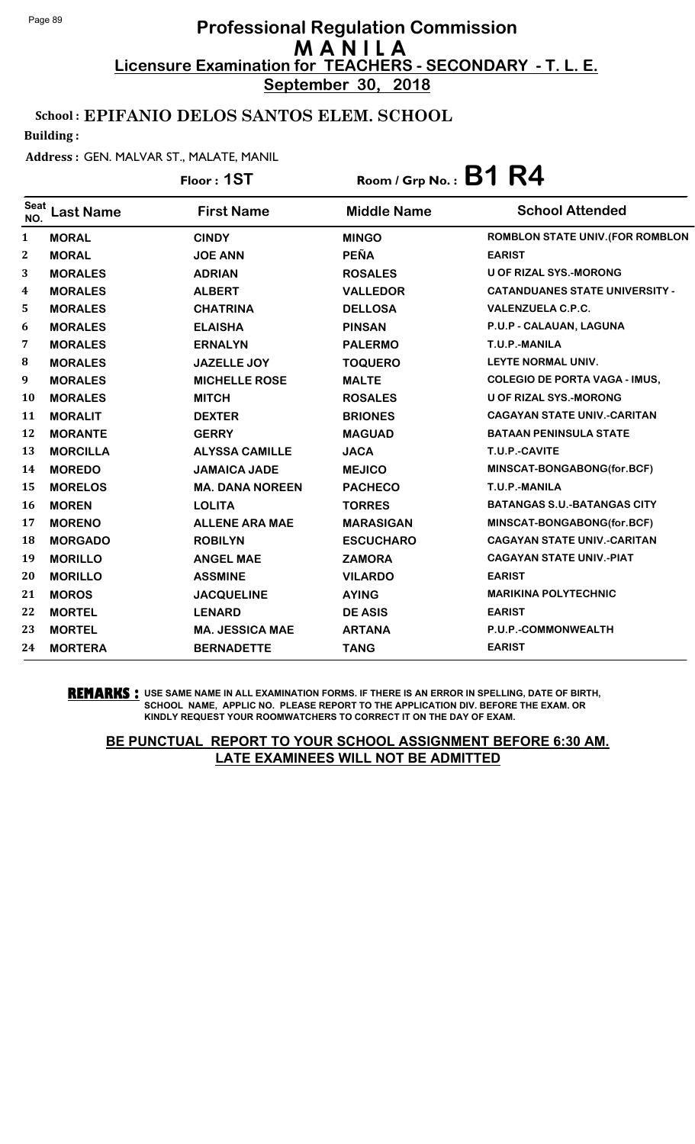**September 30, 2018**

### School : EPIFANIO DELOS SANTOS ELEM. SCHOOL

Building :

#### Address : GEN. MALVAR ST., MALATE, MANIL

#### **Last Name First Name Middle Name** Floor : **1ST** Room / Grp No. : **B1 R4** Seat NO. **School Attended**  1 **MORAL CINDY MINGO ROMBLON STATE UNIV.(FOR ROMBLON** 2 **MORAL JOE ANN PEÑA EARIST** 3 **MORALES ADRIAN ROSALES U OF RIZAL SYS.-MORONG** 4 **MORALES ALBERT VALLEDOR CATANDUANES STATE UNIVERSITY -** 5 **MORALES CHATRINA DELLOSA VALENZUELA C.P.C.** 6 **MORALES ELAISHA PINSAN P.U.P - CALAUAN, LAGUNA** 7 **MORALES ERNALYN PALERMO T.U.P.-MANILA** 8 **MORALES JAZELLE JOY TOQUERO LEYTE NORMAL UNIV.** 9 **MORALES MICHELLE ROSE MALTE COLEGIO DE PORTA VAGA - IMUS,** 10 **MORALES MITCH ROSALES U OF RIZAL SYS.-MORONG** 11 **MORALIT DEXTER BRIONES CAGAYAN STATE UNIV.-CARITAN** 12 **MORANTE GERRY MAGUAD BATAAN PENINSULA STATE** 13 **MORCILLA ALYSSA CAMILLE JACA T.U.P.-CAVITE** 14 **MOREDO JAMAICA JADE MEJICO MINSCAT-BONGABONG(for.BCF)** 15 **MORELOS MA. DANA NOREEN PACHECO T.U.P.-MANILA** 16 **MOREN LOLITA TORRES BATANGAS S.U.-BATANGAS CITY** 17 **MORENO ALLENE ARA MAE MARASIGAN MINSCAT-BONGABONG(for.BCF)** 18 **MORGADO ROBILYN ESCUCHARO CAGAYAN STATE UNIV.-CARITAN** 19 **MORILLO ANGEL MAE ZAMORA CAGAYAN STATE UNIV.-PIAT** 20 **MORILLO ASSMINE VILARDO EARIST** 21 **MOROS JACQUELINE AYING MARIKINA POLYTECHNIC** 22 **MORTEL LENARD DE ASIS EARIST** 23 **MORTEL MA. JESSICA MAE ARTANA P.U.P.-COMMONWEALTH** 24 **MORTERA BERNADETTE TANG EARIST**

**REMARKS :** USE SAME NAME IN ALL EXAMINATION FORMS. IF THERE IS AN ERROR IN SPELLING, DATE OF BIRTH, SCHOOL NAME, APPLIC NO. PLEASE REPORT TO THE APPLICATION DIV. BEFORE THE EXAM. OR KINDLY REQUEST YOUR ROOMWATCHERS TO CORRECT IT ON THE DAY OF EXAM.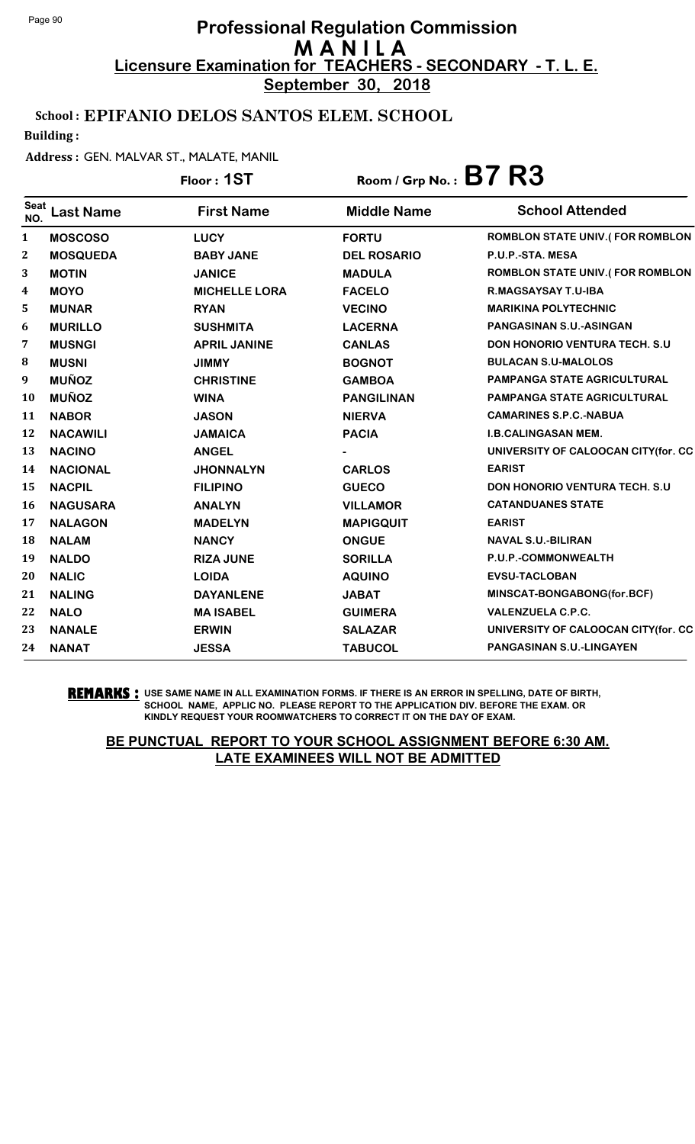**September 30, 2018**

### School : EPIFANIO DELOS SANTOS ELEM. SCHOOL

Building :

#### Address : GEN. MALVAR ST., MALATE, MANIL

# Floor : **1ST** Room / Grp No. : **B7 R3**

| <b>Seat</b><br>NO. | Last Name       | <b>First Name</b>    | <b>Middle Name</b> | <b>School Attended</b>                 |
|--------------------|-----------------|----------------------|--------------------|----------------------------------------|
| 1                  | <b>MOSCOSO</b>  | <b>LUCY</b>          | <b>FORTU</b>       | <b>ROMBLON STATE UNIV.(FOR ROMBLON</b> |
| $\boldsymbol{2}$   | <b>MOSQUEDA</b> | <b>BABY JANE</b>     | <b>DEL ROSARIO</b> | P.U.P.-STA. MESA                       |
| 3                  | <b>MOTIN</b>    | <b>JANICE</b>        | <b>MADULA</b>      | <b>ROMBLON STATE UNIV.(FOR ROMBLON</b> |
| 4                  | <b>MOYO</b>     | <b>MICHELLE LORA</b> | <b>FACELO</b>      | R.MAGSAYSAY T.U-IBA                    |
| 5                  | <b>MUNAR</b>    | <b>RYAN</b>          | <b>VECINO</b>      | <b>MARIKINA POLYTECHNIC</b>            |
| 6                  | <b>MURILLO</b>  | <b>SUSHMITA</b>      | <b>LACERNA</b>     | <b>PANGASINAN S.U.-ASINGAN</b>         |
| 7                  | <b>MUSNGI</b>   | <b>APRIL JANINE</b>  | <b>CANLAS</b>      | DON HONORIO VENTURA TECH. S.U          |
| 8                  | <b>MUSNI</b>    | <b>JIMMY</b>         | <b>BOGNOT</b>      | <b>BULACAN S.U-MALOLOS</b>             |
| 9                  | <b>MUÑOZ</b>    | <b>CHRISTINE</b>     | <b>GAMBOA</b>      | <b>PAMPANGA STATE AGRICULTURAL</b>     |
| 10                 | <b>MUÑOZ</b>    | <b>WINA</b>          | <b>PANGILINAN</b>  | <b>PAMPANGA STATE AGRICULTURAL</b>     |
| 11                 | <b>NABOR</b>    | <b>JASON</b>         | <b>NIERVA</b>      | <b>CAMARINES S.P.C.-NABUA</b>          |
| 12                 | <b>NACAWILI</b> | <b>JAMAICA</b>       | <b>PACIA</b>       | <b>I.B.CALINGASAN MEM.</b>             |
| 13                 | <b>NACINO</b>   | <b>ANGEL</b>         |                    | UNIVERSITY OF CALOOCAN CITY(for. CC    |
| 14                 | <b>NACIONAL</b> | <b>JHONNALYN</b>     | <b>CARLOS</b>      | <b>EARIST</b>                          |
| 15                 | <b>NACPIL</b>   | <b>FILIPINO</b>      | <b>GUECO</b>       | <b>DON HONORIO VENTURA TECH. S.U.</b>  |
| 16                 | <b>NAGUSARA</b> | <b>ANALYN</b>        | <b>VILLAMOR</b>    | <b>CATANDUANES STATE</b>               |
| 17                 | <b>NALAGON</b>  | <b>MADELYN</b>       | <b>MAPIGQUIT</b>   | <b>EARIST</b>                          |
| 18                 | <b>NALAM</b>    | <b>NANCY</b>         | <b>ONGUE</b>       | <b>NAVAL S.U.-BILIRAN</b>              |
| 19                 | <b>NALDO</b>    | <b>RIZA JUNE</b>     | <b>SORILLA</b>     | P.U.P.-COMMONWEALTH                    |
| 20                 | <b>NALIC</b>    | <b>LOIDA</b>         | <b>AQUINO</b>      | <b>EVSU-TACLOBAN</b>                   |
| 21                 | <b>NALING</b>   | <b>DAYANLENE</b>     | <b>JABAT</b>       | MINSCAT-BONGABONG(for.BCF)             |
| 22                 | <b>NALO</b>     | <b>MA ISABEL</b>     | <b>GUIMERA</b>     | <b>VALENZUELA C.P.C.</b>               |
| 23                 | <b>NANALE</b>   | <b>ERWIN</b>         | <b>SALAZAR</b>     | UNIVERSITY OF CALOOCAN CITY(for. CC    |
| 24                 | <b>NANAT</b>    | <b>JESSA</b>         | <b>TABUCOL</b>     | <b>PANGASINAN S.U.-LINGAYEN</b>        |

**REMARKS :** USE SAME NAME IN ALL EXAMINATION FORMS. IF THERE IS AN ERROR IN SPELLING, DATE OF BIRTH, SCHOOL NAME, APPLIC NO. PLEASE REPORT TO THE APPLICATION DIV. BEFORE THE EXAM. OR KINDLY REQUEST YOUR ROOMWATCHERS TO CORRECT IT ON THE DAY OF EXAM.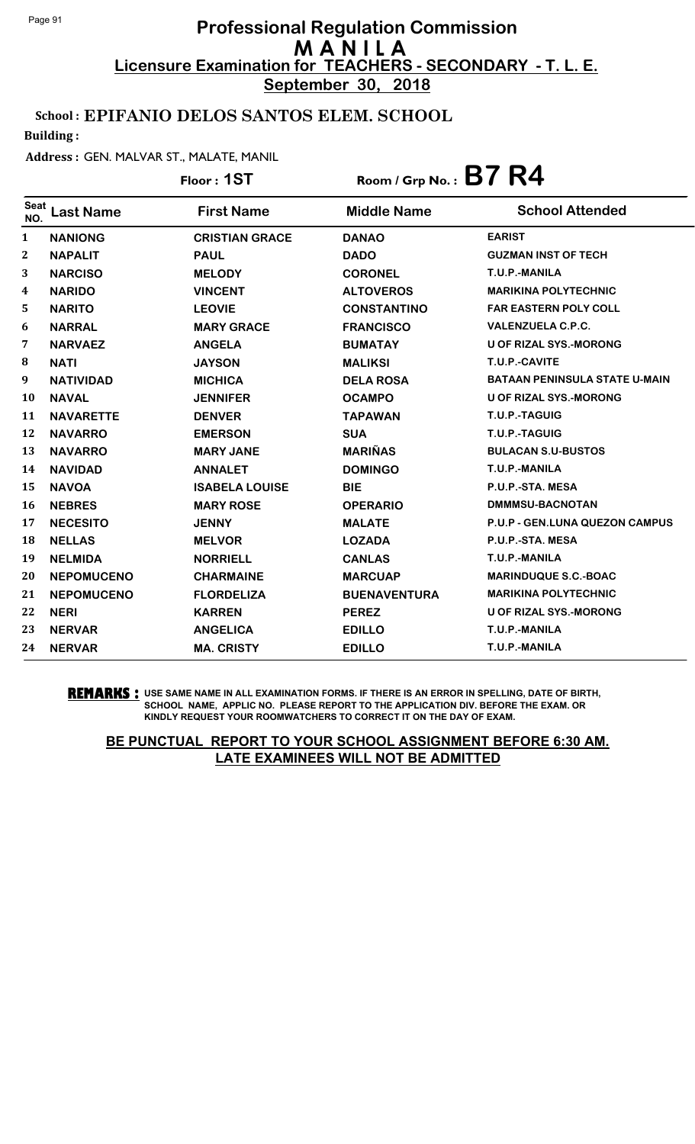**September 30, 2018**

### School : EPIFANIO DELOS SANTOS ELEM. SCHOOL

Building :

#### Address : GEN. MALVAR ST., MALATE, MANIL

|             |                   | Floor: 1ST            | Room / Grp No.: $B7 R4$ |                                      |
|-------------|-------------------|-----------------------|-------------------------|--------------------------------------|
| Seat<br>NO. | <b>Last Name</b>  | <b>First Name</b>     | <b>Middle Name</b>      | <b>School Attended</b>               |
| 1           | <b>NANIONG</b>    | <b>CRISTIAN GRACE</b> | <b>DANAO</b>            | <b>EARIST</b>                        |
| 2           | <b>NAPALIT</b>    | <b>PAUL</b>           | <b>DADO</b>             | <b>GUZMAN INST OF TECH</b>           |
| 3           | <b>NARCISO</b>    | <b>MELODY</b>         | <b>CORONEL</b>          | T.U.P.-MANILA                        |
| 4           | <b>NARIDO</b>     | <b>VINCENT</b>        | <b>ALTOVEROS</b>        | <b>MARIKINA POLYTECHNIC</b>          |
| 5           | <b>NARITO</b>     | <b>LEOVIE</b>         | <b>CONSTANTINO</b>      | <b>FAR EASTERN POLY COLL</b>         |
| 6           | <b>NARRAL</b>     | <b>MARY GRACE</b>     | <b>FRANCISCO</b>        | <b>VALENZUELA C.P.C.</b>             |
| 7           | <b>NARVAEZ</b>    | <b>ANGELA</b>         | <b>BUMATAY</b>          | <b>U OF RIZAL SYS.-MORONG</b>        |
| 8           | <b>NATI</b>       | <b>JAYSON</b>         | <b>MALIKSI</b>          | T.U.P.-CAVITE                        |
| 9           | <b>NATIVIDAD</b>  | <b>MICHICA</b>        | <b>DELA ROSA</b>        | <b>BATAAN PENINSULA STATE U-MAIN</b> |
| 10          | <b>NAVAL</b>      | <b>JENNIFER</b>       | <b>OCAMPO</b>           | <b>U OF RIZAL SYS.-MORONG</b>        |
| 11          | <b>NAVARETTE</b>  | <b>DENVER</b>         | <b>TAPAWAN</b>          | T.U.P.-TAGUIG                        |
| 12          | <b>NAVARRO</b>    | <b>EMERSON</b>        | <b>SUA</b>              | T.U.P.-TAGUIG                        |
| 13          | <b>NAVARRO</b>    | <b>MARY JANE</b>      | <b>MARIÑAS</b>          | <b>BULACAN S.U-BUSTOS</b>            |
| 14          | <b>NAVIDAD</b>    | <b>ANNALET</b>        | <b>DOMINGO</b>          | T.U.P.-MANILA                        |
| 15          | <b>NAVOA</b>      | <b>ISABELA LOUISE</b> | <b>BIE</b>              | P.U.P.-STA. MESA                     |
| 16          | <b>NEBRES</b>     | <b>MARY ROSE</b>      | <b>OPERARIO</b>         | DMMMSU-BACNOTAN                      |
| 17          | <b>NECESITO</b>   | <b>JENNY</b>          | <b>MALATE</b>           | P.U.P - GEN.LUNA QUEZON CAMPUS       |
| 18          | <b>NELLAS</b>     | <b>MELVOR</b>         | <b>LOZADA</b>           | P.U.P.-STA. MESA                     |
| 19          | <b>NELMIDA</b>    | <b>NORRIELL</b>       | <b>CANLAS</b>           | T.U.P.-MANILA                        |
| 20          | <b>NEPOMUCENO</b> | <b>CHARMAINE</b>      | <b>MARCUAP</b>          | <b>MARINDUQUE S.C.-BOAC</b>          |
| 21          | <b>NEPOMUCENO</b> | <b>FLORDELIZA</b>     | <b>BUENAVENTURA</b>     | <b>MARIKINA POLYTECHNIC</b>          |
| 22          | <b>NERI</b>       | <b>KARREN</b>         | <b>PEREZ</b>            | <b>U OF RIZAL SYS.-MORONG</b>        |
| 23          | <b>NERVAR</b>     | <b>ANGELICA</b>       | <b>EDILLO</b>           | T.U.P.-MANILA                        |
| 24          | <b>NERVAR</b>     | <b>MA. CRISTY</b>     | <b>EDILLO</b>           | T.U.P.-MANILA                        |

#### **REMARKS :** USE SAME NAME IN ALL EXAMINATION FORMS. IF THERE IS AN ERROR IN SPELLING, DATE OF BIRTH, SCHOOL NAME, APPLIC NO. PLEASE REPORT TO THE APPLICATION DIV. BEFORE THE EXAM. OR KINDLY REQUEST YOUR ROOMWATCHERS TO CORRECT IT ON THE DAY OF EXAM.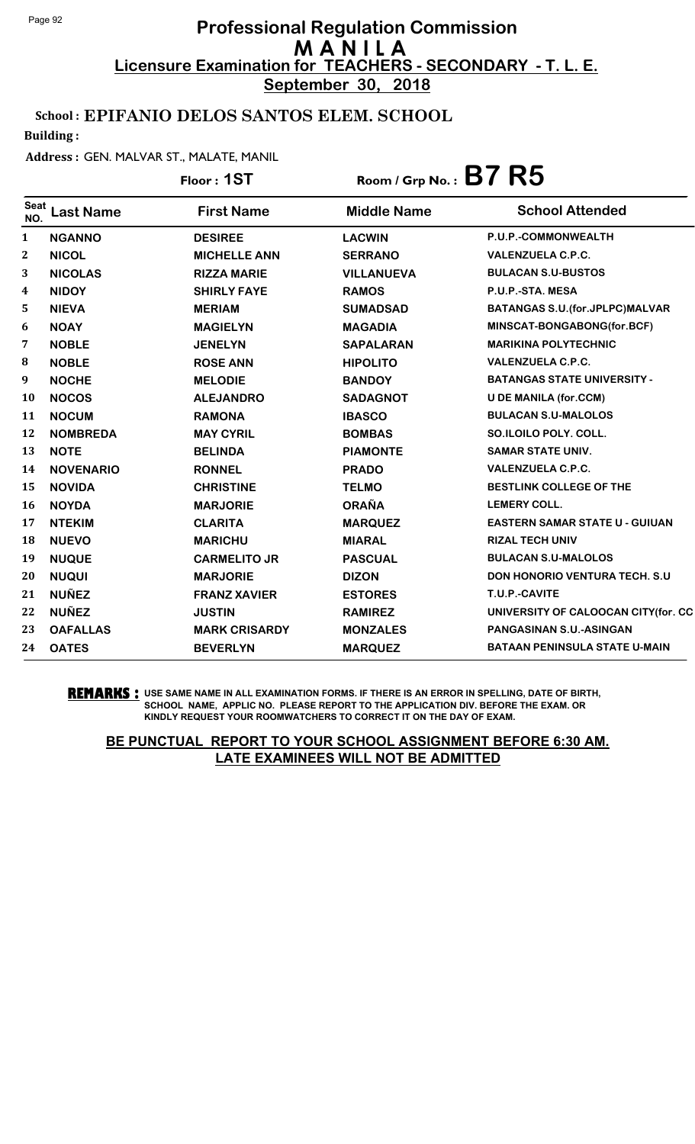**September 30, 2018**

### School : EPIFANIO DELOS SANTOS ELEM. SCHOOL

Building :

#### Address : GEN. MALVAR ST., MALATE, MANIL

|                    |                  | Floor: 1ST           | Room / Grp No.: $B7 R5$ |                                          |
|--------------------|------------------|----------------------|-------------------------|------------------------------------------|
| <b>Seat</b><br>NO. | <b>Last Name</b> | <b>First Name</b>    | <b>Middle Name</b>      | <b>School Attended</b>                   |
| 1                  | <b>NGANNO</b>    | <b>DESIREE</b>       | <b>LACWIN</b>           | P.U.P.-COMMONWEALTH                      |
| 2                  | <b>NICOL</b>     | <b>MICHELLE ANN</b>  | <b>SERRANO</b>          | <b>VALENZUELA C.P.C.</b>                 |
| 3                  | <b>NICOLAS</b>   | <b>RIZZA MARIE</b>   | <b>VILLANUEVA</b>       | <b>BULACAN S.U-BUSTOS</b>                |
| 4                  | <b>NIDOY</b>     | <b>SHIRLY FAYE</b>   | <b>RAMOS</b>            | P.U.P.-STA. MESA                         |
| 5                  | <b>NIEVA</b>     | <b>MERIAM</b>        | <b>SUMADSAD</b>         | <b>BATANGAS S.U. (for. JPLPC) MALVAR</b> |
| 6                  | <b>NOAY</b>      | <b>MAGIELYN</b>      | <b>MAGADIA</b>          | MINSCAT-BONGABONG(for.BCF)               |
| 7                  | <b>NOBLE</b>     | <b>JENELYN</b>       | <b>SAPALARAN</b>        | <b>MARIKINA POLYTECHNIC</b>              |
| 8                  | <b>NOBLE</b>     | <b>ROSE ANN</b>      | <b>HIPOLITO</b>         | <b>VALENZUELA C.P.C.</b>                 |
| 9                  | <b>NOCHE</b>     | <b>MELODIE</b>       | <b>BANDOY</b>           | <b>BATANGAS STATE UNIVERSITY -</b>       |
| 10                 | <b>NOCOS</b>     | <b>ALEJANDRO</b>     | <b>SADAGNOT</b>         | <b>U DE MANILA (for.CCM)</b>             |
| 11                 | <b>NOCUM</b>     | <b>RAMONA</b>        | <b>IBASCO</b>           | <b>BULACAN S.U-MALOLOS</b>               |
| 12                 | <b>NOMBREDA</b>  | <b>MAY CYRIL</b>     | <b>BOMBAS</b>           | SO.ILOILO POLY. COLL.                    |
| 13                 | <b>NOTE</b>      | <b>BELINDA</b>       | <b>PIAMONTE</b>         | <b>SAMAR STATE UNIV.</b>                 |
| 14                 | <b>NOVENARIO</b> | <b>RONNEL</b>        | <b>PRADO</b>            | <b>VALENZUELA C.P.C.</b>                 |
| 15                 | <b>NOVIDA</b>    | <b>CHRISTINE</b>     | <b>TELMO</b>            | BESTLINK COLLEGE OF THE                  |
| 16                 | <b>NOYDA</b>     | <b>MARJORIE</b>      | <b>ORAÑA</b>            | <b>LEMERY COLL.</b>                      |
| 17                 | <b>NTEKIM</b>    | <b>CLARITA</b>       | <b>MARQUEZ</b>          | <b>EASTERN SAMAR STATE U - GUIUAN</b>    |
| 18                 | <b>NUEVO</b>     | <b>MARICHU</b>       | <b>MIARAL</b>           | <b>RIZAL TECH UNIV</b>                   |
| 19                 | <b>NUQUE</b>     | <b>CARMELITO JR</b>  | <b>PASCUAL</b>          | <b>BULACAN S.U-MALOLOS</b>               |
| 20                 | <b>NUQUI</b>     | <b>MARJORIE</b>      | <b>DIZON</b>            | <b>DON HONORIO VENTURA TECH. S.U.</b>    |
| 21                 | <b>NUÑEZ</b>     | <b>FRANZ XAVIER</b>  | <b>ESTORES</b>          | T.U.P.-CAVITE                            |
| 22                 | <b>NUÑEZ</b>     | <b>JUSTIN</b>        | <b>RAMIREZ</b>          | UNIVERSITY OF CALOOCAN CITY(for. CC      |
| 23                 | <b>OAFALLAS</b>  | <b>MARK CRISARDY</b> | <b>MONZALES</b>         | PANGASINAN S.U.-ASINGAN                  |
| 24                 | <b>OATES</b>     | <b>BEVERLYN</b>      | <b>MARQUEZ</b>          | <b>BATAAN PENINSULA STATE U-MAIN</b>     |

**REMARKS :** USE SAME NAME IN ALL EXAMINATION FORMS. IF THERE IS AN ERROR IN SPELLING, DATE OF BIRTH, SCHOOL NAME, APPLIC NO. PLEASE REPORT TO THE APPLICATION DIV. BEFORE THE EXAM. OR KINDLY REQUEST YOUR ROOMWATCHERS TO CORRECT IT ON THE DAY OF EXAM.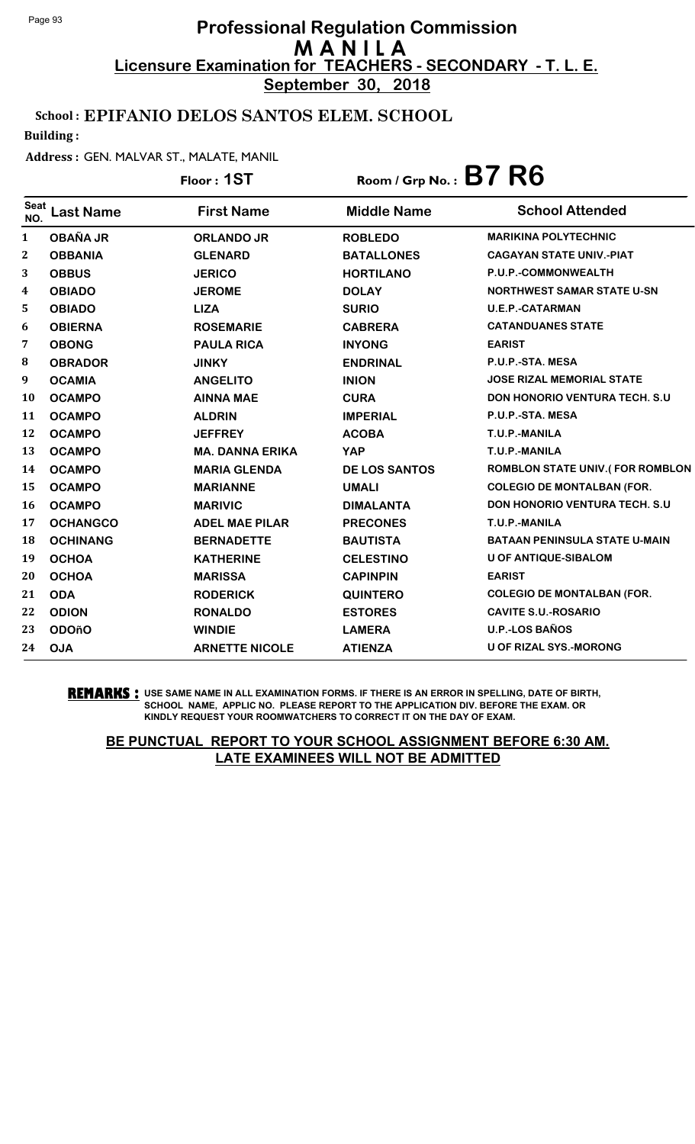**September 30, 2018**

### School : EPIFANIO DELOS SANTOS ELEM. SCHOOL

Building :

#### Address : GEN. MALVAR ST., MALATE, MANIL

|                    |                  | Floor: 1ST             | Room / Grp No.: $B7 R6$ |                                      |
|--------------------|------------------|------------------------|-------------------------|--------------------------------------|
| <b>Seat</b><br>NO. | <b>Last Name</b> | <b>First Name</b>      | <b>Middle Name</b>      | <b>School Attended</b>               |
| 1                  | <b>OBAÑA JR</b>  | <b>ORLANDO JR</b>      | <b>ROBLEDO</b>          | <b>MARIKINA POLYTECHNIC</b>          |
| 2                  | <b>OBBANIA</b>   | <b>GLENARD</b>         | <b>BATALLONES</b>       | <b>CAGAYAN STATE UNIV.-PIAT</b>      |
| 3                  | <b>OBBUS</b>     | <b>JERICO</b>          | <b>HORTILANO</b>        | P.U.P.-COMMONWEALTH                  |
| 4                  | <b>OBIADO</b>    | <b>JEROME</b>          | <b>DOLAY</b>            | <b>NORTHWEST SAMAR STATE U-SN</b>    |
| 5                  | <b>OBIADO</b>    | <b>LIZA</b>            | <b>SURIO</b>            | <b>U.E.P.-CATARMAN</b>               |
| 6                  | <b>OBIERNA</b>   | <b>ROSEMARIE</b>       | <b>CABRERA</b>          | <b>CATANDUANES STATE</b>             |
| 7                  | <b>OBONG</b>     | <b>PAULA RICA</b>      | <b>INYONG</b>           | <b>EARIST</b>                        |
| 8                  | <b>OBRADOR</b>   | <b>JINKY</b>           | <b>ENDRINAL</b>         | P.U.P.-STA. MESA                     |
| 9                  | <b>OCAMIA</b>    | <b>ANGELITO</b>        | <b>INION</b>            | <b>JOSE RIZAL MEMORIAL STATE</b>     |
| 10                 | <b>OCAMPO</b>    | <b>AINNA MAE</b>       | <b>CURA</b>             | <b>DON HONORIO VENTURA TECH. S.U</b> |
| 11                 | <b>OCAMPO</b>    | <b>ALDRIN</b>          | <b>IMPERIAL</b>         | P.U.P.-STA. MESA                     |
| 12                 | <b>OCAMPO</b>    | <b>JEFFREY</b>         | <b>ACOBA</b>            | T.U.P.-MANILA                        |
| 13                 | <b>OCAMPO</b>    | <b>MA. DANNA ERIKA</b> | <b>YAP</b>              | T.U.P.-MANILA                        |
| 14                 | <b>OCAMPO</b>    | <b>MARIA GLENDA</b>    | <b>DE LOS SANTOS</b>    | ROMBLON STATE UNIV.(FOR ROMBLON      |
| 15                 | <b>OCAMPO</b>    | <b>MARIANNE</b>        | <b>UMALI</b>            | <b>COLEGIO DE MONTALBAN (FOR.</b>    |
| 16                 | <b>OCAMPO</b>    | <b>MARIVIC</b>         | <b>DIMALANTA</b>        | <b>DON HONORIO VENTURA TECH. S.U</b> |
| 17                 | <b>OCHANGCO</b>  | <b>ADEL MAE PILAR</b>  | <b>PRECONES</b>         | T.U.P.-MANILA                        |
| 18                 | <b>OCHINANG</b>  | <b>BERNADETTE</b>      | <b>BAUTISTA</b>         | <b>BATAAN PENINSULA STATE U-MAIN</b> |
| 19                 | <b>OCHOA</b>     | <b>KATHERINE</b>       | <b>CELESTINO</b>        | <b>U OF ANTIQUE-SIBALOM</b>          |
| 20                 | <b>OCHOA</b>     | <b>MARISSA</b>         | <b>CAPINPIN</b>         | <b>EARIST</b>                        |
| 21                 | <b>ODA</b>       | <b>RODERICK</b>        | <b>QUINTERO</b>         | <b>COLEGIO DE MONTALBAN (FOR.</b>    |
| 22                 | <b>ODION</b>     | <b>RONALDO</b>         | <b>ESTORES</b>          | <b>CAVITE S.U.-ROSARIO</b>           |
| 23                 | <b>ODOñO</b>     | <b>WINDIE</b>          | <b>LAMERA</b>           | <b>U.P.-LOS BAÑOS</b>                |
| 24                 | <b>OJA</b>       | <b>ARNETTE NICOLE</b>  | <b>ATIENZA</b>          | <b>U OF RIZAL SYS.-MORONG</b>        |

**REMARKS :** USE SAME NAME IN ALL EXAMINATION FORMS. IF THERE IS AN ERROR IN SPELLING, DATE OF BIRTH, SCHOOL NAME, APPLIC NO. PLEASE REPORT TO THE APPLICATION DIV. BEFORE THE EXAM. OR KINDLY REQUEST YOUR ROOMWATCHERS TO CORRECT IT ON THE DAY OF EXAM.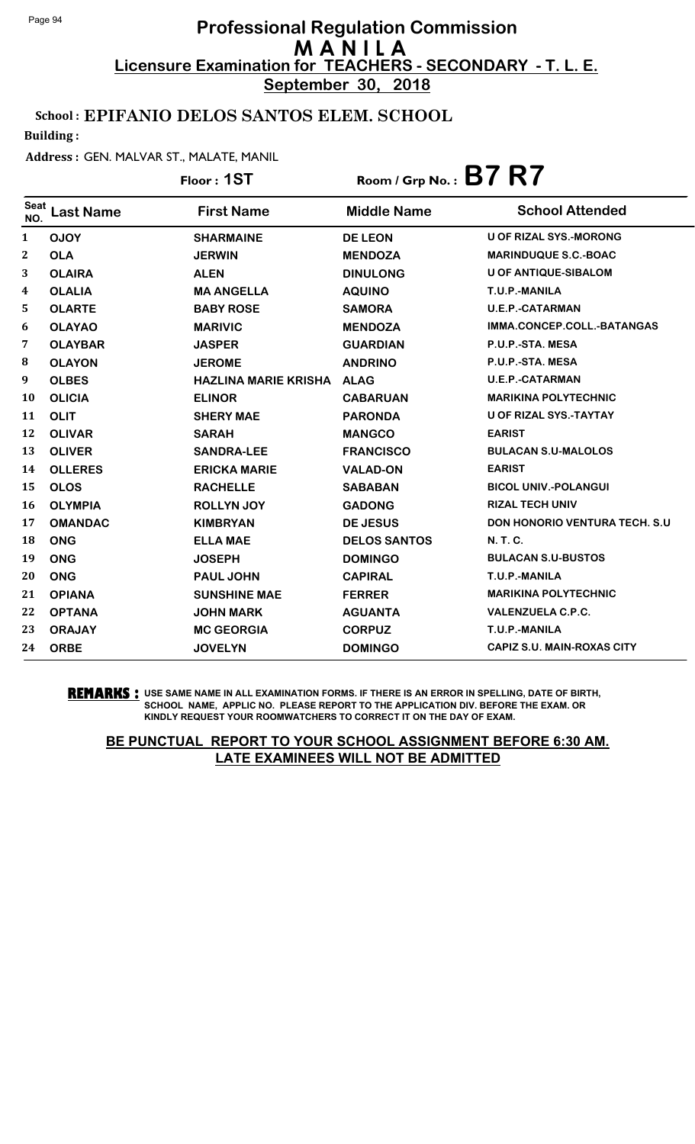**September 30, 2018**

### School : EPIFANIO DELOS SANTOS ELEM. SCHOOL

Building :

#### Address : GEN. MALVAR ST., MALATE, MANIL

|                    |                  | Floor: 1ST                  | Room / Grp No.: $B7 R7$ |                                   |
|--------------------|------------------|-----------------------------|-------------------------|-----------------------------------|
| <b>Seat</b><br>NO. | <b>Last Name</b> | <b>First Name</b>           | <b>Middle Name</b>      | <b>School Attended</b>            |
| 1                  | <b>OJOY</b>      | <b>SHARMAINE</b>            | <b>DE LEON</b>          | <b>U OF RIZAL SYS.-MORONG</b>     |
| 2                  | <b>OLA</b>       | <b>JERWIN</b>               | <b>MENDOZA</b>          | <b>MARINDUQUE S.C.-BOAC</b>       |
| 3                  | <b>OLAIRA</b>    | <b>ALEN</b>                 | <b>DINULONG</b>         | <b>U OF ANTIQUE-SIBALOM</b>       |
| 4                  | <b>OLALIA</b>    | <b>MA ANGELLA</b>           | <b>AQUINO</b>           | T.U.P.-MANILA                     |
| 5                  | <b>OLARTE</b>    | <b>BABY ROSE</b>            | <b>SAMORA</b>           | <b>U.E.P.-CATARMAN</b>            |
| 6                  | <b>OLAYAO</b>    | <b>MARIVIC</b>              | <b>MENDOZA</b>          | IMMA.CONCEP.COLL.-BATANGAS        |
| 7                  | <b>OLAYBAR</b>   | <b>JASPER</b>               | <b>GUARDIAN</b>         | P.U.P.-STA. MESA                  |
| 8                  | <b>OLAYON</b>    | <b>JEROME</b>               | <b>ANDRINO</b>          | P.U.P.-STA. MESA                  |
| 9                  | <b>OLBES</b>     | <b>HAZLINA MARIE KRISHA</b> | <b>ALAG</b>             | <b>U.E.P.-CATARMAN</b>            |
| 10                 | <b>OLICIA</b>    | <b>ELINOR</b>               | <b>CABARUAN</b>         | <b>MARIKINA POLYTECHNIC</b>       |
| 11                 | <b>OLIT</b>      | <b>SHERY MAE</b>            | <b>PARONDA</b>          | U OF RIZAL SYS.-TAYTAY            |
| 12                 | <b>OLIVAR</b>    | <b>SARAH</b>                | <b>MANGCO</b>           | <b>EARIST</b>                     |
| 13                 | <b>OLIVER</b>    | <b>SANDRA-LEE</b>           | <b>FRANCISCO</b>        | <b>BULACAN S.U-MALOLOS</b>        |
| 14                 | <b>OLLERES</b>   | <b>ERICKA MARIE</b>         | <b>VALAD-ON</b>         | <b>EARIST</b>                     |
| 15                 | <b>OLOS</b>      | <b>RACHELLE</b>             | <b>SABABAN</b>          | <b>BICOL UNIV.-POLANGUI</b>       |
| 16                 | <b>OLYMPIA</b>   | <b>ROLLYN JOY</b>           | <b>GADONG</b>           | <b>RIZAL TECH UNIV</b>            |
| 17                 | <b>OMANDAC</b>   | <b>KIMBRYAN</b>             | <b>DE JESUS</b>         | DON HONORIO VENTURA TECH. S.U     |
| 18                 | <b>ONG</b>       | <b>ELLA MAE</b>             | <b>DELOS SANTOS</b>     | <b>N.T.C.</b>                     |
| 19                 | <b>ONG</b>       | <b>JOSEPH</b>               | <b>DOMINGO</b>          | <b>BULACAN S.U-BUSTOS</b>         |
| 20                 | <b>ONG</b>       | <b>PAUL JOHN</b>            | <b>CAPIRAL</b>          | T.U.P.-MANILA                     |
| 21                 | <b>OPIANA</b>    | <b>SUNSHINE MAE</b>         | <b>FERRER</b>           | <b>MARIKINA POLYTECHNIC</b>       |
| 22                 | <b>OPTANA</b>    | <b>JOHN MARK</b>            | <b>AGUANTA</b>          | <b>VALENZUELA C.P.C.</b>          |
| 23                 | <b>ORAJAY</b>    | <b>MC GEORGIA</b>           | <b>CORPUZ</b>           | T.U.P.-MANILA                     |
| 24                 | <b>ORBE</b>      | <b>JOVELYN</b>              | <b>DOMINGO</b>          | <b>CAPIZ S.U. MAIN-ROXAS CITY</b> |

**REMARKS :** USE SAME NAME IN ALL EXAMINATION FORMS. IF THERE IS AN ERROR IN SPELLING, DATE OF BIRTH, SCHOOL NAME, APPLIC NO. PLEASE REPORT TO THE APPLICATION DIV. BEFORE THE EXAM. OR KINDLY REQUEST YOUR ROOMWATCHERS TO CORRECT IT ON THE DAY OF EXAM.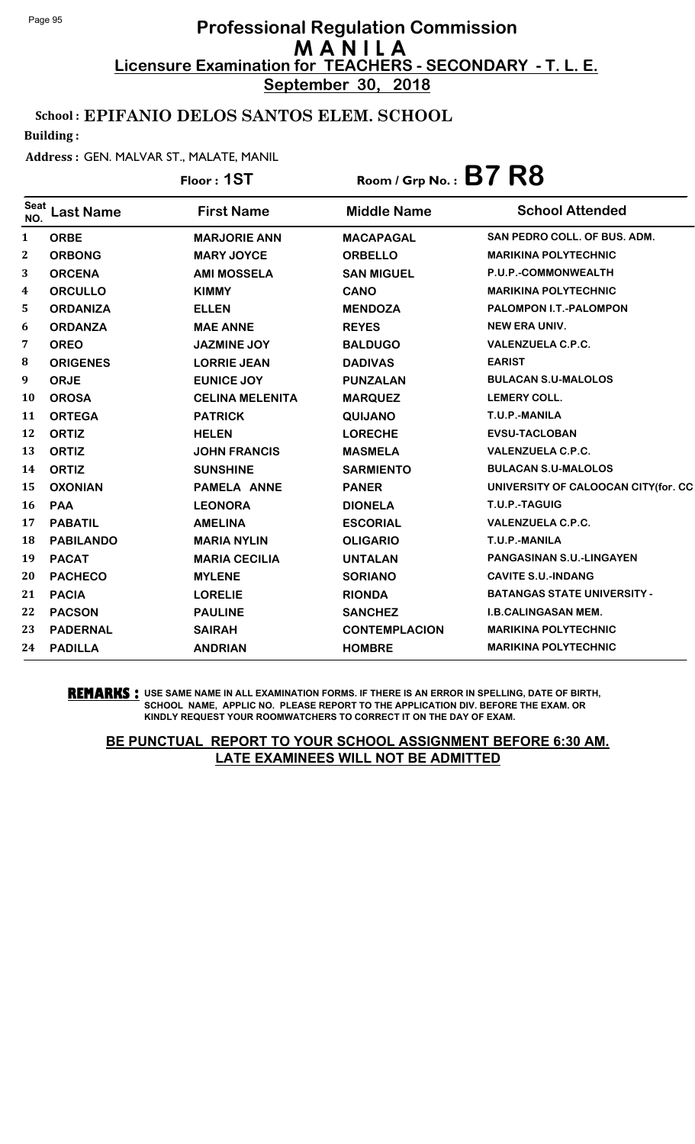**September 30, 2018**

### School : EPIFANIO DELOS SANTOS ELEM. SCHOOL

Building :

#### Address : GEN. MALVAR ST., MALATE, MANIL

|                    |                  | Floor: 1ST             | Room / Grp No.: $B7 R8$ |                                     |
|--------------------|------------------|------------------------|-------------------------|-------------------------------------|
| <b>Seat</b><br>NO. | <b>Last Name</b> | <b>First Name</b>      | <b>Middle Name</b>      | <b>School Attended</b>              |
| 1                  | <b>ORBE</b>      | <b>MARJORIE ANN</b>    | <b>MACAPAGAL</b>        | SAN PEDRO COLL. OF BUS. ADM.        |
| $\boldsymbol{2}$   | <b>ORBONG</b>    | <b>MARY JOYCE</b>      | <b>ORBELLO</b>          | <b>MARIKINA POLYTECHNIC</b>         |
| 3                  | <b>ORCENA</b>    | <b>AMI MOSSELA</b>     | <b>SAN MIGUEL</b>       | P.U.P.-COMMONWEALTH                 |
| 4                  | <b>ORCULLO</b>   | <b>KIMMY</b>           | <b>CANO</b>             | <b>MARIKINA POLYTECHNIC</b>         |
| 5                  | <b>ORDANIZA</b>  | <b>ELLEN</b>           | <b>MENDOZA</b>          | PALOMPON I.T.-PALOMPON              |
| 6                  | <b>ORDANZA</b>   | <b>MAE ANNE</b>        | <b>REYES</b>            | <b>NEW ERA UNIV.</b>                |
| 7                  | <b>OREO</b>      | JAZMINE JOY            | <b>BALDUGO</b>          | <b>VALENZUELA C.P.C.</b>            |
| 8                  | <b>ORIGENES</b>  | <b>LORRIE JEAN</b>     | <b>DADIVAS</b>          | <b>EARIST</b>                       |
| 9                  | <b>ORJE</b>      | <b>EUNICE JOY</b>      | <b>PUNZALAN</b>         | <b>BULACAN S.U-MALOLOS</b>          |
| 10                 | <b>OROSA</b>     | <b>CELINA MELENITA</b> | <b>MARQUEZ</b>          | <b>LEMERY COLL.</b>                 |
| 11                 | <b>ORTEGA</b>    | <b>PATRICK</b>         | QUIJANO                 | T.U.P.-MANILA                       |
| 12                 | <b>ORTIZ</b>     | <b>HELEN</b>           | <b>LORECHE</b>          | <b>EVSU-TACLOBAN</b>                |
| 13                 | <b>ORTIZ</b>     | <b>JOHN FRANCIS</b>    | <b>MASMELA</b>          | <b>VALENZUELA C.P.C.</b>            |
| 14                 | <b>ORTIZ</b>     | <b>SUNSHINE</b>        | <b>SARMIENTO</b>        | <b>BULACAN S.U-MALOLOS</b>          |
| 15                 | <b>OXONIAN</b>   | PAMELA ANNE            | <b>PANER</b>            | UNIVERSITY OF CALOOCAN CITY(for. CC |
| 16                 | <b>PAA</b>       | <b>LEONORA</b>         | <b>DIONELA</b>          | T.U.P.-TAGUIG                       |
| 17                 | <b>PABATIL</b>   | <b>AMELINA</b>         | <b>ESCORIAL</b>         | <b>VALENZUELA C.P.C.</b>            |
| 18                 | <b>PABILANDO</b> | <b>MARIA NYLIN</b>     | <b>OLIGARIO</b>         | T.U.P.-MANILA                       |
| 19                 | <b>PACAT</b>     | <b>MARIA CECILIA</b>   | <b>UNTALAN</b>          | PANGASINAN S.U.-LINGAYEN            |
| 20                 | <b>PACHECO</b>   | <b>MYLENE</b>          | <b>SORIANO</b>          | <b>CAVITE S.U.-INDANG</b>           |
| 21                 | <b>PACIA</b>     | <b>LORELIE</b>         | <b>RIONDA</b>           | <b>BATANGAS STATE UNIVERSITY -</b>  |
| 22                 | <b>PACSON</b>    | <b>PAULINE</b>         | <b>SANCHEZ</b>          | <b>I.B.CALINGASAN MEM.</b>          |
| 23                 | <b>PADERNAL</b>  | <b>SAIRAH</b>          | <b>CONTEMPLACION</b>    | <b>MARIKINA POLYTECHNIC</b>         |
| 24                 | <b>PADILLA</b>   | <b>ANDRIAN</b>         | <b>HOMBRE</b>           | <b>MARIKINA POLYTECHNIC</b>         |

**REMARKS :** USE SAME NAME IN ALL EXAMINATION FORMS. IF THERE IS AN ERROR IN SPELLING, DATE OF BIRTH, SCHOOL NAME, APPLIC NO. PLEASE REPORT TO THE APPLICATION DIV. BEFORE THE EXAM. OR KINDLY REQUEST YOUR ROOMWATCHERS TO CORRECT IT ON THE DAY OF EXAM.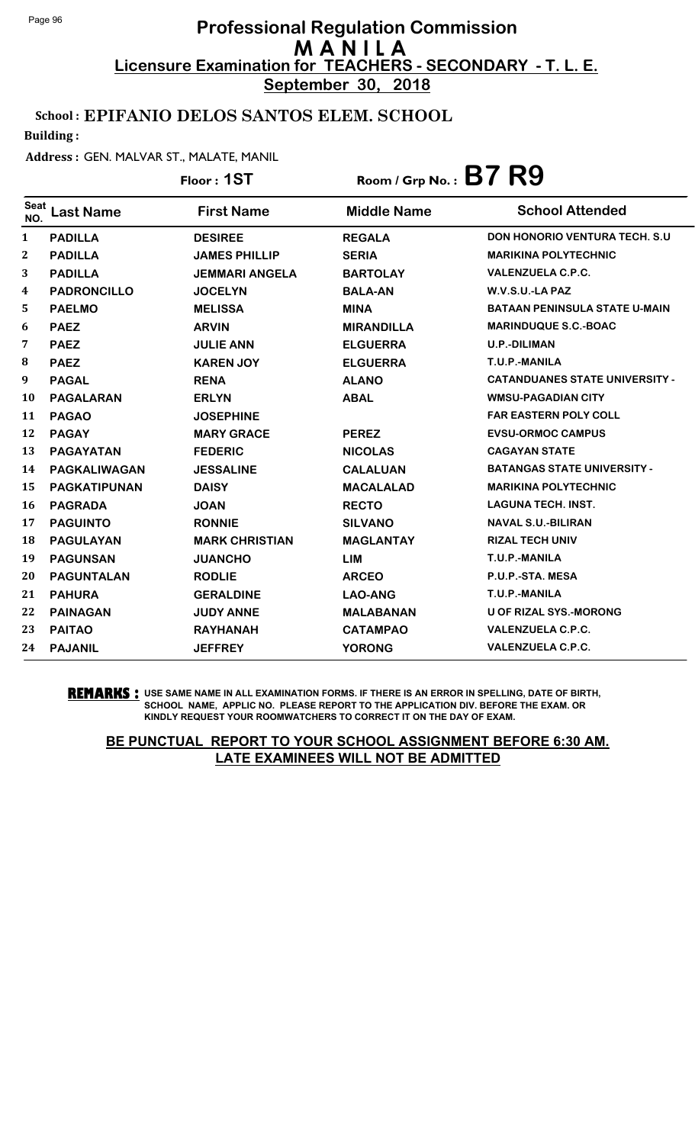**September 30, 2018**

### School : EPIFANIO DELOS SANTOS ELEM. SCHOOL

Building :

#### Address : GEN. MALVAR ST., MALATE, MANIL

# Floor : **1ST** Room / Grp No. : **B7 R9**

| <b>Seat</b><br>NO. | Last Name           | <b>First Name</b>     | <b>Middle Name</b> | <b>School Attended</b>                |
|--------------------|---------------------|-----------------------|--------------------|---------------------------------------|
| $\mathbf{1}$       | <b>PADILLA</b>      | <b>DESIREE</b>        | <b>REGALA</b>      | <b>DON HONORIO VENTURA TECH. S.U.</b> |
| $\mathbf{2}$       | <b>PADILLA</b>      | <b>JAMES PHILLIP</b>  | <b>SERIA</b>       | <b>MARIKINA POLYTECHNIC</b>           |
| 3                  | <b>PADILLA</b>      | <b>JEMMARI ANGELA</b> | <b>BARTOLAY</b>    | <b>VALENZUELA C.P.C.</b>              |
| 4                  | <b>PADRONCILLO</b>  | <b>JOCELYN</b>        | <b>BALA-AN</b>     | W.V.S.U.-LA PAZ                       |
| 5                  | <b>PAELMO</b>       | <b>MELISSA</b>        | <b>MINA</b>        | <b>BATAAN PENINSULA STATE U-MAIN</b>  |
| 6                  | <b>PAEZ</b>         | <b>ARVIN</b>          | <b>MIRANDILLA</b>  | <b>MARINDUQUE S.C.-BOAC</b>           |
| 7                  | <b>PAEZ</b>         | <b>JULIE ANN</b>      | <b>ELGUERRA</b>    | <b>U.P.-DILIMAN</b>                   |
| 8                  | <b>PAEZ</b>         | <b>KAREN JOY</b>      | <b>ELGUERRA</b>    | T.U.P.-MANILA                         |
| 9                  | <b>PAGAL</b>        | <b>RENA</b>           | <b>ALANO</b>       | <b>CATANDUANES STATE UNIVERSITY -</b> |
| <b>10</b>          | <b>PAGALARAN</b>    | <b>ERLYN</b>          | <b>ABAL</b>        | <b>WMSU-PAGADIAN CITY</b>             |
| 11                 | <b>PAGAO</b>        | <b>JOSEPHINE</b>      |                    | <b>FAR EASTERN POLY COLL</b>          |
| 12                 | <b>PAGAY</b>        | <b>MARY GRACE</b>     | <b>PEREZ</b>       | <b>EVSU-ORMOC CAMPUS</b>              |
| 13                 | <b>PAGAYATAN</b>    | <b>FEDERIC</b>        | <b>NICOLAS</b>     | <b>CAGAYAN STATE</b>                  |
| 14                 | <b>PAGKALIWAGAN</b> | <b>JESSALINE</b>      | <b>CALALUAN</b>    | <b>BATANGAS STATE UNIVERSITY -</b>    |
| 15                 | <b>PAGKATIPUNAN</b> | <b>DAISY</b>          | <b>MACALALAD</b>   | <b>MARIKINA POLYTECHNIC</b>           |
| 16                 | <b>PAGRADA</b>      | <b>JOAN</b>           | <b>RECTO</b>       | <b>LAGUNA TECH. INST.</b>             |
| 17                 | <b>PAGUINTO</b>     | <b>RONNIE</b>         | <b>SILVANO</b>     | <b>NAVAL S.U.-BILIRAN</b>             |
| 18                 | <b>PAGULAYAN</b>    | <b>MARK CHRISTIAN</b> | <b>MAGLANTAY</b>   | <b>RIZAL TECH UNIV</b>                |
| 19                 | <b>PAGUNSAN</b>     | <b>JUANCHO</b>        | <b>LIM</b>         | T.U.P.-MANILA                         |
| 20                 | <b>PAGUNTALAN</b>   | <b>RODLIE</b>         | <b>ARCEO</b>       | P.U.P.-STA. MESA                      |
| 21                 | <b>PAHURA</b>       | <b>GERALDINE</b>      | <b>LAO-ANG</b>     | T.U.P.-MANILA                         |
| 22                 | <b>PAINAGAN</b>     | <b>JUDY ANNE</b>      | <b>MALABANAN</b>   | <b>U OF RIZAL SYS.-MORONG</b>         |
| 23                 | <b>PAITAO</b>       | <b>RAYHANAH</b>       | <b>CATAMPAO</b>    | <b>VALENZUELA C.P.C.</b>              |
| 24                 | <b>PAJANIL</b>      | <b>JEFFREY</b>        | <b>YORONG</b>      | <b>VALENZUELA C.P.C.</b>              |

**REMARKS :** USE SAME NAME IN ALL EXAMINATION FORMS. IF THERE IS AN ERROR IN SPELLING, DATE OF BIRTH, SCHOOL NAME, APPLIC NO. PLEASE REPORT TO THE APPLICATION DIV. BEFORE THE EXAM. OR KINDLY REQUEST YOUR ROOMWATCHERS TO CORRECT IT ON THE DAY OF EXAM.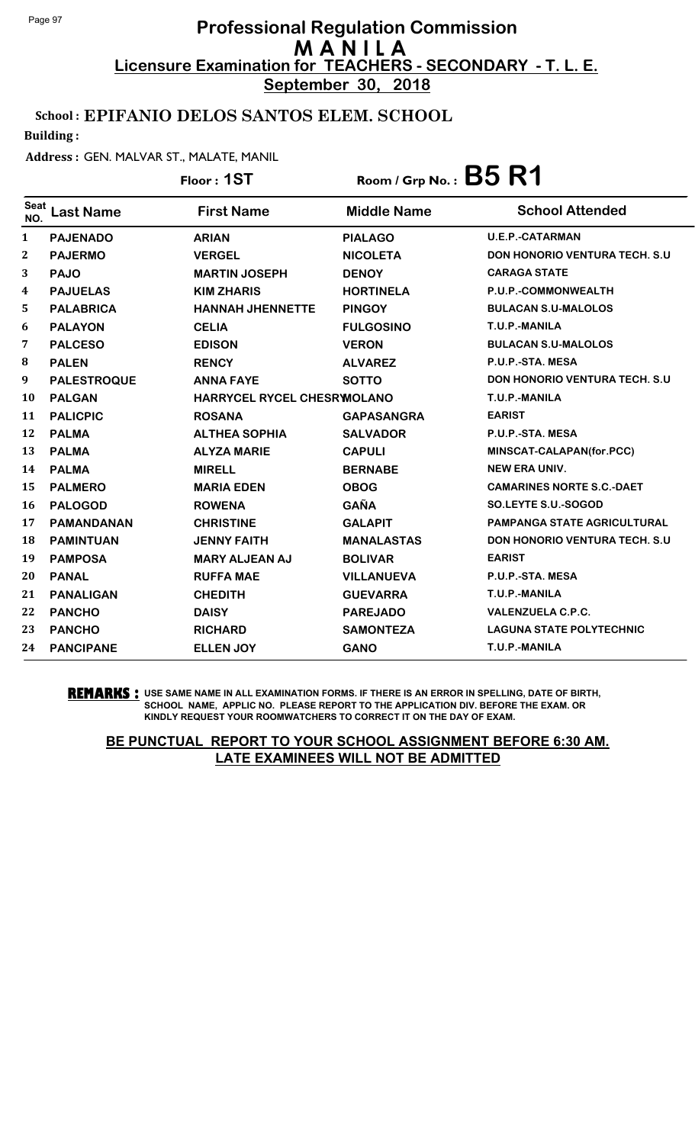**September 30, 2018**

### School : EPIFANIO DELOS SANTOS ELEM. SCHOOL

Building :

#### Address : GEN. MALVAR ST., MALATE, MANIL

|                    |                    | Floor: 1ST                 | Room / Grp No.: $B5 R1$ |                                       |
|--------------------|--------------------|----------------------------|-------------------------|---------------------------------------|
| <b>Seat</b><br>NO. | <b>Last Name</b>   | <b>First Name</b>          | <b>Middle Name</b>      | <b>School Attended</b>                |
| 1                  | <b>PAJENADO</b>    | <b>ARIAN</b>               | <b>PIALAGO</b>          | <b>U.E.P.-CATARMAN</b>                |
| 2                  | <b>PAJERMO</b>     | <b>VERGEL</b>              | <b>NICOLETA</b>         | <b>DON HONORIO VENTURA TECH. S.U</b>  |
| 3                  | <b>PAJO</b>        | <b>MARTIN JOSEPH</b>       | <b>DENOY</b>            | <b>CARAGA STATE</b>                   |
| 4                  | <b>PAJUELAS</b>    | <b>KIM ZHARIS</b>          | <b>HORTINELA</b>        | P.U.P.-COMMONWEALTH                   |
| 5                  | <b>PALABRICA</b>   | <b>HANNAH JHENNETTE</b>    | <b>PINGOY</b>           | <b>BULACAN S.U-MALOLOS</b>            |
| 6                  | <b>PALAYON</b>     | <b>CELIA</b>               | <b>FULGOSINO</b>        | T.U.P.-MANILA                         |
| 7                  | <b>PALCESO</b>     | <b>EDISON</b>              | <b>VERON</b>            | <b>BULACAN S.U-MALOLOS</b>            |
| 8                  | <b>PALEN</b>       | <b>RENCY</b>               | <b>ALVAREZ</b>          | P.U.P.-STA. MESA                      |
| 9                  | <b>PALESTROQUE</b> | <b>ANNA FAYE</b>           | <b>SOTTO</b>            | <b>DON HONORIO VENTURA TECH. S.U.</b> |
| 10                 | <b>PALGAN</b>      | HARRYCEL RYCEL CHESRWOLANO |                         | T.U.P.-MANILA                         |
| 11                 | <b>PALICPIC</b>    | <b>ROSANA</b>              | <b>GAPASANGRA</b>       | <b>EARIST</b>                         |
| 12                 | <b>PALMA</b>       | <b>ALTHEA SOPHIA</b>       | <b>SALVADOR</b>         | P.U.P.-STA. MESA                      |
| 13                 | <b>PALMA</b>       | <b>ALYZA MARIE</b>         | <b>CAPULI</b>           | MINSCAT-CALAPAN(for.PCC)              |
| 14                 | <b>PALMA</b>       | <b>MIRELL</b>              | <b>BERNABE</b>          | <b>NEW ERA UNIV.</b>                  |
| 15                 | <b>PALMERO</b>     | <b>MARIA EDEN</b>          | <b>OBOG</b>             | <b>CAMARINES NORTE S.C.-DAET</b>      |
| 16                 | <b>PALOGOD</b>     | <b>ROWENA</b>              | <b>GAÑA</b>             | <b>SO.LEYTE S.U.-SOGOD</b>            |
| 17                 | <b>PAMANDANAN</b>  | <b>CHRISTINE</b>           | <b>GALAPIT</b>          | <b>PAMPANGA STATE AGRICULTURAL</b>    |
| 18                 | <b>PAMINTUAN</b>   | <b>JENNY FAITH</b>         | <b>MANALASTAS</b>       | <b>DON HONORIO VENTURA TECH. S.U.</b> |
| 19                 | <b>PAMPOSA</b>     | <b>MARY ALJEAN AJ</b>      | <b>BOLIVAR</b>          | <b>EARIST</b>                         |
| 20                 | <b>PANAL</b>       | <b>RUFFA MAE</b>           | <b>VILLANUEVA</b>       | P.U.P.-STA. MESA                      |
| 21                 | <b>PANALIGAN</b>   | <b>CHEDITH</b>             | <b>GUEVARRA</b>         | T.U.P.-MANILA                         |
| 22                 | <b>PANCHO</b>      | <b>DAISY</b>               | <b>PAREJADO</b>         | <b>VALENZUELA C.P.C.</b>              |
| 23                 | <b>PANCHO</b>      | <b>RICHARD</b>             | <b>SAMONTEZA</b>        | <b>LAGUNA STATE POLYTECHNIC</b>       |
| 24                 | <b>PANCIPANE</b>   | <b>ELLEN JOY</b>           | <b>GANO</b>             | T.U.P.-MANILA                         |

**REMARKS :** USE SAME NAME IN ALL EXAMINATION FORMS. IF THERE IS AN ERROR IN SPELLING, DATE OF BIRTH, SCHOOL NAME, APPLIC NO. PLEASE REPORT TO THE APPLICATION DIV. BEFORE THE EXAM. OR KINDLY REQUEST YOUR ROOMWATCHERS TO CORRECT IT ON THE DAY OF EXAM.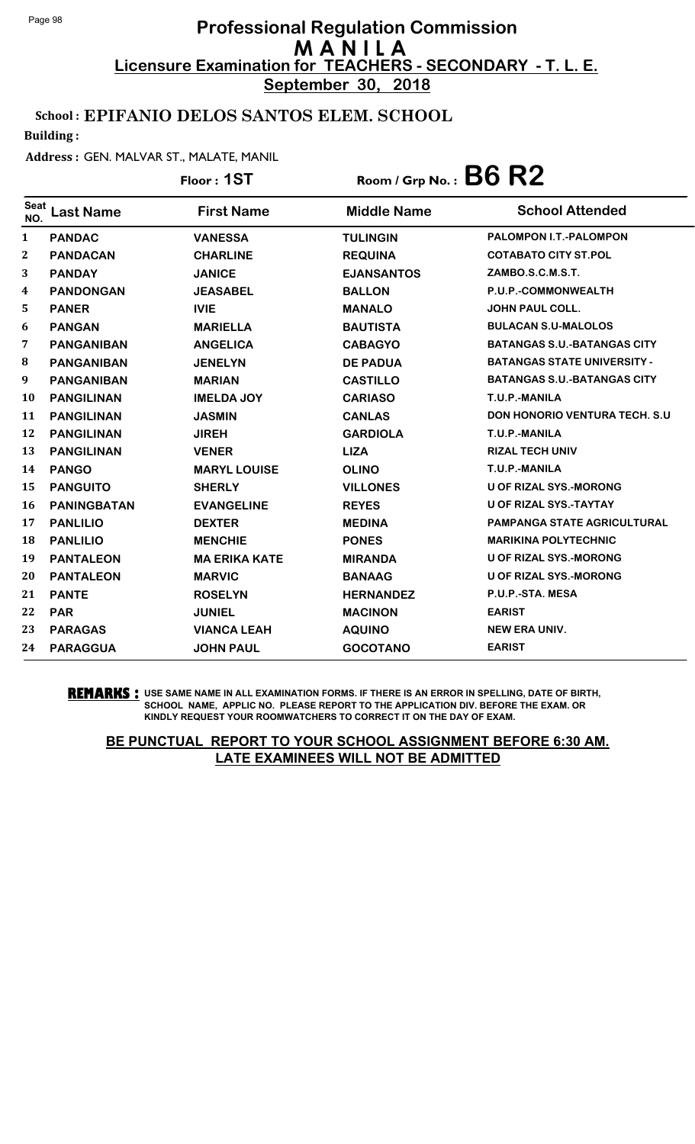**September 30, 2018**

### School : EPIFANIO DELOS SANTOS ELEM. SCHOOL

Building :

#### Address : GEN. MALVAR ST., MALATE, MANIL

|                    |                    | Floor: 1ST           | Room / Grp No.: $B6 R2$ |                                    |
|--------------------|--------------------|----------------------|-------------------------|------------------------------------|
| <b>Seat</b><br>NO. | <b>Last Name</b>   | <b>First Name</b>    | <b>Middle Name</b>      | <b>School Attended</b>             |
| 1                  | <b>PANDAC</b>      | <b>VANESSA</b>       | <b>TULINGIN</b>         | <b>PALOMPON I.T.-PALOMPON</b>      |
| 2                  | <b>PANDACAN</b>    | <b>CHARLINE</b>      | <b>REQUINA</b>          | <b>COTABATO CITY ST.POL</b>        |
| 3                  | <b>PANDAY</b>      | <b>JANICE</b>        | <b>EJANSANTOS</b>       | ZAMBO.S.C.M.S.T.                   |
| 4                  | <b>PANDONGAN</b>   | <b>JEASABEL</b>      | <b>BALLON</b>           | P.U.P.-COMMONWEALTH                |
| 5                  | <b>PANER</b>       | <b>IVIE</b>          | <b>MANALO</b>           | <b>JOHN PAUL COLL.</b>             |
| 6                  | <b>PANGAN</b>      | <b>MARIELLA</b>      | <b>BAUTISTA</b>         | <b>BULACAN S.U-MALOLOS</b>         |
| 7                  | <b>PANGANIBAN</b>  | <b>ANGELICA</b>      | <b>CABAGYO</b>          | <b>BATANGAS S.U.-BATANGAS CITY</b> |
| 8                  | <b>PANGANIBAN</b>  | <b>JENELYN</b>       | <b>DE PADUA</b>         | <b>BATANGAS STATE UNIVERSITY -</b> |
| 9                  | <b>PANGANIBAN</b>  | <b>MARIAN</b>        | <b>CASTILLO</b>         | <b>BATANGAS S.U.-BATANGAS CITY</b> |
| 10                 | <b>PANGILINAN</b>  | <b>IMELDA JOY</b>    | <b>CARIASO</b>          | T.U.P.-MANILA                      |
| 11                 | <b>PANGILINAN</b>  | <b>JASMIN</b>        | <b>CANLAS</b>           | DON HONORIO VENTURA TECH. S.U      |
| 12                 | <b>PANGILINAN</b>  | <b>JIREH</b>         | <b>GARDIOLA</b>         | T.U.P.-MANILA                      |
| 13                 | <b>PANGILINAN</b>  | <b>VENER</b>         | <b>LIZA</b>             | <b>RIZAL TECH UNIV</b>             |
| 14                 | <b>PANGO</b>       | <b>MARYL LOUISE</b>  | <b>OLINO</b>            | T.U.P.-MANILA                      |
| 15                 | <b>PANGUITO</b>    | <b>SHERLY</b>        | <b>VILLONES</b>         | <b>U OF RIZAL SYS.-MORONG</b>      |
| 16                 | <b>PANINGBATAN</b> | <b>EVANGELINE</b>    | <b>REYES</b>            | <b>U OF RIZAL SYS.-TAYTAY</b>      |
| 17                 | <b>PANLILIO</b>    | <b>DEXTER</b>        | <b>MEDINA</b>           | PAMPANGA STATE AGRICULTURAL        |
| 18                 | <b>PANLILIO</b>    | <b>MENCHIE</b>       | <b>PONES</b>            | <b>MARIKINA POLYTECHNIC</b>        |
| 19                 | <b>PANTALEON</b>   | <b>MA ERIKA KATE</b> | <b>MIRANDA</b>          | <b>U OF RIZAL SYS.-MORONG</b>      |
| 20                 | <b>PANTALEON</b>   | <b>MARVIC</b>        | <b>BANAAG</b>           | <b>U OF RIZAL SYS.-MORONG</b>      |
| 21                 | <b>PANTE</b>       | <b>ROSELYN</b>       | <b>HERNANDEZ</b>        | P.U.P.-STA. MESA                   |
| 22                 | <b>PAR</b>         | <b>JUNIEL</b>        | <b>MACINON</b>          | <b>EARIST</b>                      |
| 23                 | <b>PARAGAS</b>     | <b>VIANCA LEAH</b>   | <b>AQUINO</b>           | <b>NEW ERA UNIV.</b>               |
| 24                 | <b>PARAGGUA</b>    | <b>JOHN PAUL</b>     | <b>GOCOTANO</b>         | <b>EARIST</b>                      |

#### **REMARKS :** USE SAME NAME IN ALL EXAMINATION FORMS. IF THERE IS AN ERROR IN SPELLING, DATE OF BIRTH, SCHOOL NAME, APPLIC NO. PLEASE REPORT TO THE APPLICATION DIV. BEFORE THE EXAM. OR KINDLY REQUEST YOUR ROOMWATCHERS TO CORRECT IT ON THE DAY OF EXAM.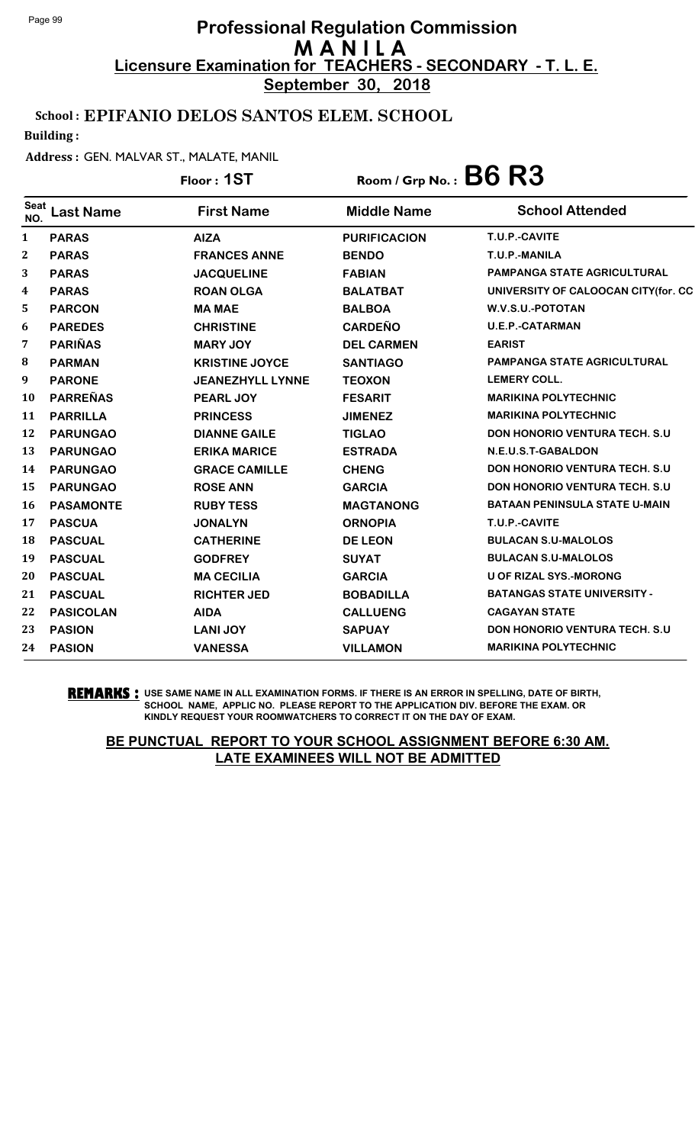**September 30, 2018**

### School : EPIFANIO DELOS SANTOS ELEM. SCHOOL

Building :

#### Address : GEN. MALVAR ST., MALATE, MANIL

# Floor : **1ST** Room / Grp No. : **B6 R3**

| <b>Seat</b><br>NO. | <b>Last Name</b> | <b>First Name</b>       | <b>Middle Name</b>  | <b>School Attended</b>                |
|--------------------|------------------|-------------------------|---------------------|---------------------------------------|
| 1                  | <b>PARAS</b>     | <b>AIZA</b>             | <b>PURIFICACION</b> | T.U.P.-CAVITE                         |
| 2                  | <b>PARAS</b>     | <b>FRANCES ANNE</b>     | <b>BENDO</b>        | T.U.P.-MANILA                         |
| 3                  | <b>PARAS</b>     | <b>JACQUELINE</b>       | <b>FABIAN</b>       | <b>PAMPANGA STATE AGRICULTURAL</b>    |
| 4                  | <b>PARAS</b>     | <b>ROAN OLGA</b>        | <b>BALATBAT</b>     | UNIVERSITY OF CALOOCAN CITY(for. CC   |
| 5                  | <b>PARCON</b>    | <b>MA MAE</b>           | <b>BALBOA</b>       | W.V.S.U.-POTOTAN                      |
| 6                  | <b>PAREDES</b>   | <b>CHRISTINE</b>        | <b>CARDEÑO</b>      | <b>U.E.P.-CATARMAN</b>                |
| 7                  | <b>PARIÑAS</b>   | <b>MARY JOY</b>         | <b>DEL CARMEN</b>   | <b>EARIST</b>                         |
| 8                  | <b>PARMAN</b>    | <b>KRISTINE JOYCE</b>   | <b>SANTIAGO</b>     | <b>PAMPANGA STATE AGRICULTURAL</b>    |
| 9                  | <b>PARONE</b>    | <b>JEANEZHYLL LYNNE</b> | <b>TEOXON</b>       | <b>LEMERY COLL.</b>                   |
| 10                 | <b>PARREÑAS</b>  | PEARL JOY               | <b>FESARIT</b>      | <b>MARIKINA POLYTECHNIC</b>           |
| 11                 | <b>PARRILLA</b>  | <b>PRINCESS</b>         | <b>JIMENEZ</b>      | <b>MARIKINA POLYTECHNIC</b>           |
| 12                 | <b>PARUNGAO</b>  | <b>DIANNE GAILE</b>     | <b>TIGLAO</b>       | <b>DON HONORIO VENTURA TECH. S.U.</b> |
| 13                 | <b>PARUNGAO</b>  | <b>ERIKA MARICE</b>     | <b>ESTRADA</b>      | N.E.U.S.T-GABALDON                    |
| 14                 | <b>PARUNGAO</b>  | <b>GRACE CAMILLE</b>    | <b>CHENG</b>        | <b>DON HONORIO VENTURA TECH. S.U.</b> |
| 15                 | <b>PARUNGAO</b>  | <b>ROSE ANN</b>         | <b>GARCIA</b>       | <b>DON HONORIO VENTURA TECH. S.U.</b> |
| <b>16</b>          | <b>PASAMONTE</b> | <b>RUBY TESS</b>        | <b>MAGTANONG</b>    | <b>BATAAN PENINSULA STATE U-MAIN</b>  |
| 17                 | <b>PASCUA</b>    | <b>JONALYN</b>          | <b>ORNOPIA</b>      | T.U.P.-CAVITE                         |
| 18                 | <b>PASCUAL</b>   | <b>CATHERINE</b>        | <b>DE LEON</b>      | <b>BULACAN S.U-MALOLOS</b>            |
| 19                 | <b>PASCUAL</b>   | <b>GODFREY</b>          | <b>SUYAT</b>        | <b>BULACAN S.U-MALOLOS</b>            |
| 20                 | <b>PASCUAL</b>   | <b>MA CECILIA</b>       | <b>GARCIA</b>       | U OF RIZAL SYS.-MORONG                |
| 21                 | <b>PASCUAL</b>   | <b>RICHTER JED</b>      | <b>BOBADILLA</b>    | <b>BATANGAS STATE UNIVERSITY -</b>    |
| 22                 | <b>PASICOLAN</b> | <b>AIDA</b>             | <b>CALLUENG</b>     | <b>CAGAYAN STATE</b>                  |
| 23                 | <b>PASION</b>    | <b>LANI JOY</b>         | <b>SAPUAY</b>       | <b>DON HONORIO VENTURA TECH. S.U.</b> |
| 24                 | <b>PASION</b>    | <b>VANESSA</b>          | <b>VILLAMON</b>     | <b>MARIKINA POLYTECHNIC</b>           |

**REMARKS :** USE SAME NAME IN ALL EXAMINATION FORMS. IF THERE IS AN ERROR IN SPELLING, DATE OF BIRTH, SCHOOL NAME, APPLIC NO. PLEASE REPORT TO THE APPLICATION DIV. BEFORE THE EXAM. OR KINDLY REQUEST YOUR ROOMWATCHERS TO CORRECT IT ON THE DAY OF EXAM.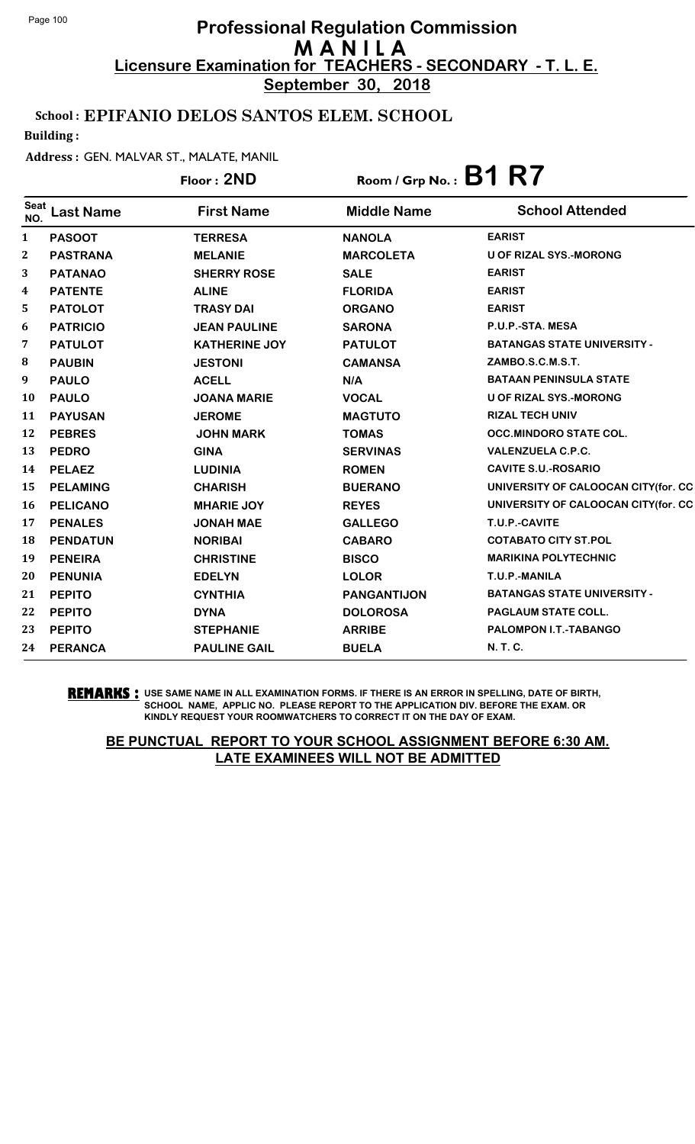**September 30, 2018**

### School : EPIFANIO DELOS SANTOS ELEM. SCHOOL

Building :

#### Address : GEN. MALVAR ST., MALATE, MANIL

|                  |                  | Floor: 2ND           | Room / Grp No.: $B1 R7$ |                                     |
|------------------|------------------|----------------------|-------------------------|-------------------------------------|
| Seat<br>NO.      | <b>Last Name</b> | <b>First Name</b>    | <b>Middle Name</b>      | <b>School Attended</b>              |
| 1                | <b>PASOOT</b>    | <b>TERRESA</b>       | <b>NANOLA</b>           | <b>EARIST</b>                       |
| $\boldsymbol{2}$ | <b>PASTRANA</b>  | <b>MELANIE</b>       | <b>MARCOLETA</b>        | U OF RIZAL SYS.-MORONG              |
| 3                | <b>PATANAO</b>   | <b>SHERRY ROSE</b>   | <b>SALE</b>             | <b>EARIST</b>                       |
| 4                | <b>PATENTE</b>   | <b>ALINE</b>         | <b>FLORIDA</b>          | <b>EARIST</b>                       |
| 5                | <b>PATOLOT</b>   | <b>TRASY DAI</b>     | <b>ORGANO</b>           | <b>EARIST</b>                       |
| 6                | <b>PATRICIO</b>  | <b>JEAN PAULINE</b>  | <b>SARONA</b>           | P.U.P.-STA. MESA                    |
| 7                | <b>PATULOT</b>   | <b>KATHERINE JOY</b> | <b>PATULOT</b>          | <b>BATANGAS STATE UNIVERSITY -</b>  |
| 8                | <b>PAUBIN</b>    | <b>JESTONI</b>       | <b>CAMANSA</b>          | ZAMBO.S.C.M.S.T.                    |
| 9                | <b>PAULO</b>     | <b>ACELL</b>         | N/A                     | <b>BATAAN PENINSULA STATE</b>       |
| <b>10</b>        | <b>PAULO</b>     | <b>JOANA MARIE</b>   | <b>VOCAL</b>            | U OF RIZAL SYS.-MORONG              |
| 11               | <b>PAYUSAN</b>   | <b>JEROME</b>        | <b>MAGTUTO</b>          | <b>RIZAL TECH UNIV</b>              |
| 12               | <b>PEBRES</b>    | <b>JOHN MARK</b>     | <b>TOMAS</b>            | <b>OCC.MINDORO STATE COL.</b>       |
| 13               | <b>PEDRO</b>     | <b>GINA</b>          | <b>SERVINAS</b>         | <b>VALENZUELA C.P.C.</b>            |
| 14               | <b>PELAEZ</b>    | <b>LUDINIA</b>       | <b>ROMEN</b>            | <b>CAVITE S.U.-ROSARIO</b>          |
| 15               | <b>PELAMING</b>  | <b>CHARISH</b>       | <b>BUERANO</b>          | UNIVERSITY OF CALOOCAN CITY(for. CC |
| <b>16</b>        | <b>PELICANO</b>  | <b>MHARIE JOY</b>    | <b>REYES</b>            | UNIVERSITY OF CALOOCAN CITY(for. CC |
| 17               | <b>PENALES</b>   | <b>JONAH MAE</b>     | <b>GALLEGO</b>          | T.U.P.-CAVITE                       |
| 18               | <b>PENDATUN</b>  | <b>NORIBAI</b>       | <b>CABARO</b>           | <b>COTABATO CITY ST.POL</b>         |
| 19               | <b>PENEIRA</b>   | <b>CHRISTINE</b>     | <b>BISCO</b>            | <b>MARIKINA POLYTECHNIC</b>         |
| 20               | <b>PENUNIA</b>   | <b>EDELYN</b>        | <b>LOLOR</b>            | T.U.P.-MANILA                       |
| 21               | <b>PEPITO</b>    | <b>CYNTHIA</b>       | <b>PANGANTIJON</b>      | <b>BATANGAS STATE UNIVERSITY -</b>  |
| 22               | <b>PEPITO</b>    | <b>DYNA</b>          | <b>DOLOROSA</b>         | <b>PAGLAUM STATE COLL.</b>          |
| 23               | <b>PEPITO</b>    | <b>STEPHANIE</b>     | <b>ARRIBE</b>           | PALOMPON I.T.-TABANGO               |
| 24               | <b>PERANCA</b>   | <b>PAULINE GAIL</b>  | <b>BUELA</b>            | N. T. C.                            |

#### **REMARKS :** USE SAME NAME IN ALL EXAMINATION FORMS. IF THERE IS AN ERROR IN SPELLING, DATE OF BIRTH, SCHOOL NAME, APPLIC NO. PLEASE REPORT TO THE APPLICATION DIV. BEFORE THE EXAM. OR KINDLY REQUEST YOUR ROOMWATCHERS TO CORRECT IT ON THE DAY OF EXAM.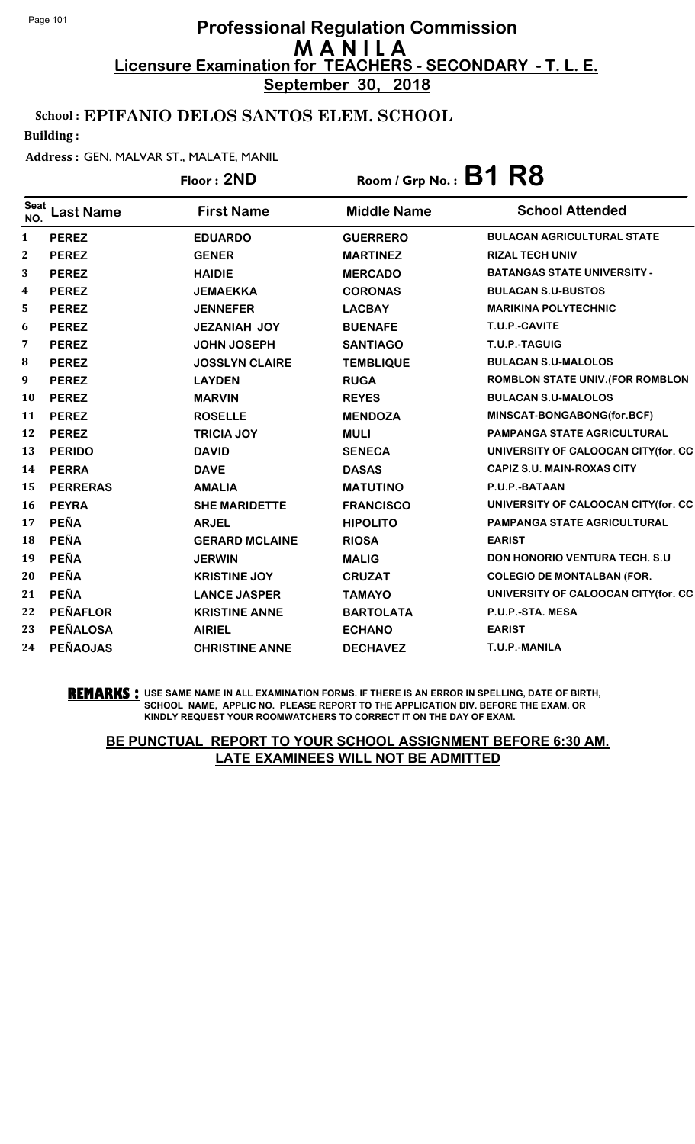**September 30, 2018**

### School : EPIFANIO DELOS SANTOS ELEM. SCHOOL

Building :

#### Address : GEN. MALVAR ST., MALATE, MANIL

|                    |                  | Floor: 2ND            | Room / Grp No.: $B1 R8$ |                                         |
|--------------------|------------------|-----------------------|-------------------------|-----------------------------------------|
| <b>Seat</b><br>NO. | <b>Last Name</b> | <b>First Name</b>     | <b>Middle Name</b>      | <b>School Attended</b>                  |
| 1                  | <b>PEREZ</b>     | <b>EDUARDO</b>        | <b>GUERRERO</b>         | <b>BULACAN AGRICULTURAL STATE</b>       |
| $\boldsymbol{2}$   | <b>PEREZ</b>     | <b>GENER</b>          | <b>MARTINEZ</b>         | <b>RIZAL TECH UNIV</b>                  |
| 3                  | <b>PEREZ</b>     | <b>HAIDIE</b>         | <b>MERCADO</b>          | <b>BATANGAS STATE UNIVERSITY -</b>      |
| 4                  | <b>PEREZ</b>     | <b>JEMAEKKA</b>       | <b>CORONAS</b>          | <b>BULACAN S.U-BUSTOS</b>               |
| 5                  | <b>PEREZ</b>     | <b>JENNEFER</b>       | <b>LACBAY</b>           | <b>MARIKINA POLYTECHNIC</b>             |
| 6                  | <b>PEREZ</b>     | <b>JEZANIAH JOY</b>   | <b>BUENAFE</b>          | T.U.P.-CAVITE                           |
| 7                  | <b>PEREZ</b>     | <b>JOHN JOSEPH</b>    | <b>SANTIAGO</b>         | T.U.P.-TAGUIG                           |
| 8                  | <b>PEREZ</b>     | <b>JOSSLYN CLAIRE</b> | <b>TEMBLIQUE</b>        | <b>BULACAN S.U-MALOLOS</b>              |
| 9                  | <b>PEREZ</b>     | <b>LAYDEN</b>         | <b>RUGA</b>             | <b>ROMBLON STATE UNIV. (FOR ROMBLON</b> |
| 10                 | <b>PEREZ</b>     | <b>MARVIN</b>         | <b>REYES</b>            | <b>BULACAN S.U-MALOLOS</b>              |
| 11                 | <b>PEREZ</b>     | <b>ROSELLE</b>        | <b>MENDOZA</b>          | MINSCAT-BONGABONG(for.BCF)              |
| 12                 | <b>PEREZ</b>     | <b>TRICIA JOY</b>     | <b>MULI</b>             | PAMPANGA STATE AGRICULTURAL             |
| 13                 | <b>PERIDO</b>    | <b>DAVID</b>          | <b>SENECA</b>           | UNIVERSITY OF CALOOCAN CITY(for. CC     |
| 14                 | <b>PERRA</b>     | <b>DAVE</b>           | <b>DASAS</b>            | <b>CAPIZ S.U. MAIN-ROXAS CITY</b>       |
| 15                 | <b>PERRERAS</b>  | <b>AMALIA</b>         | <b>MATUTINO</b>         | P.U.P.-BATAAN                           |
| <b>16</b>          | <b>PEYRA</b>     | <b>SHE MARIDETTE</b>  | <b>FRANCISCO</b>        | UNIVERSITY OF CALOOCAN CITY(for. CC     |
| 17                 | <b>PEÑA</b>      | <b>ARJEL</b>          | <b>HIPOLITO</b>         | <b>PAMPANGA STATE AGRICULTURAL</b>      |
| 18                 | <b>PEÑA</b>      | <b>GERARD MCLAINE</b> | <b>RIOSA</b>            | <b>EARIST</b>                           |
| 19                 | <b>PEÑA</b>      | <b>JERWIN</b>         | <b>MALIG</b>            | DON HONORIO VENTURA TECH. S.U           |
| 20                 | <b>PEÑA</b>      | <b>KRISTINE JOY</b>   | <b>CRUZAT</b>           | <b>COLEGIO DE MONTALBAN (FOR.</b>       |
| 21                 | <b>PEÑA</b>      | <b>LANCE JASPER</b>   | <b>TAMAYO</b>           | UNIVERSITY OF CALOOCAN CITY(for. CC     |
| 22                 | <b>PEÑAFLOR</b>  | <b>KRISTINE ANNE</b>  | <b>BARTOLATA</b>        | P.U.P.-STA. MESA                        |
| 23                 | <b>PEÑALOSA</b>  | <b>AIRIEL</b>         | <b>ECHANO</b>           | <b>EARIST</b>                           |
| 24                 | <b>PEÑAOJAS</b>  | <b>CHRISTINE ANNE</b> | <b>DECHAVEZ</b>         | T.U.P.-MANILA                           |

**REMARKS :** USE SAME NAME IN ALL EXAMINATION FORMS. IF THERE IS AN ERROR IN SPELLING, DATE OF BIRTH, SCHOOL NAME, APPLIC NO. PLEASE REPORT TO THE APPLICATION DIV. BEFORE THE EXAM. OR KINDLY REQUEST YOUR ROOMWATCHERS TO CORRECT IT ON THE DAY OF EXAM.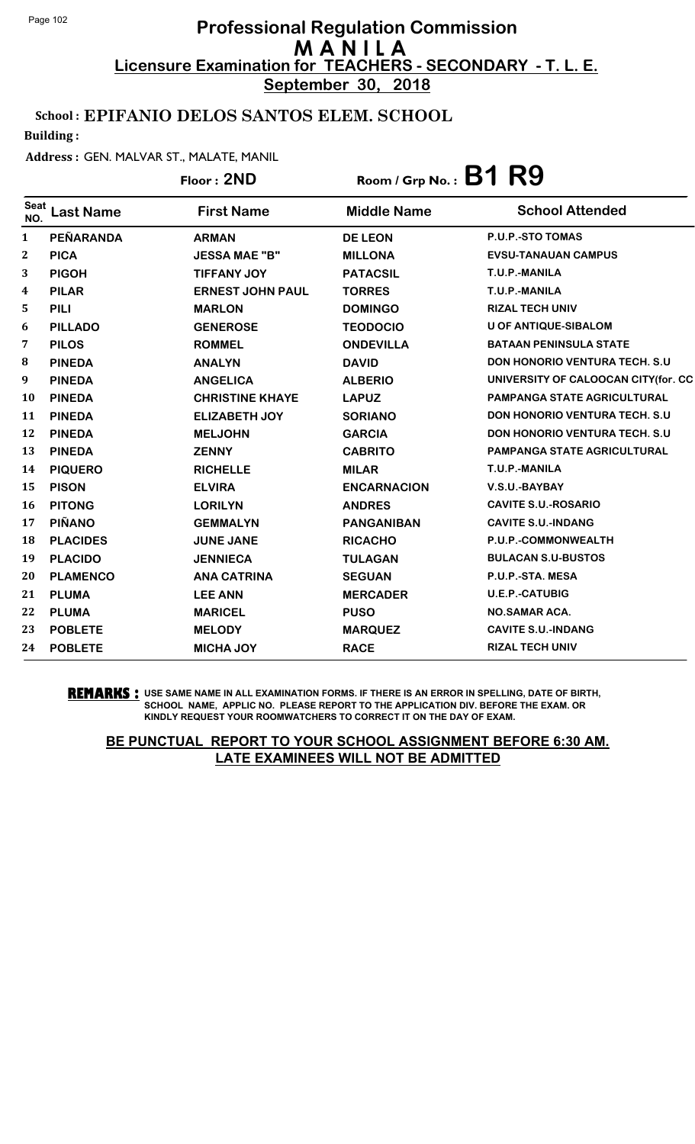**September 30, 2018**

#### School : EPIFANIO DELOS SANTOS ELEM. SCHOOL

Building :

#### Address : GEN. MALVAR ST., MALATE, MANIL

|                    |                  | Floor: 2ND              | Room / Grp No.: $B1$ $R9$ |                                       |
|--------------------|------------------|-------------------------|---------------------------|---------------------------------------|
| <b>Seat</b><br>NO. | <b>Last Name</b> | <b>First Name</b>       | <b>Middle Name</b>        | <b>School Attended</b>                |
| 1                  | PEÑARANDA        | <b>ARMAN</b>            | <b>DE LEON</b>            | P.U.P.-STO TOMAS                      |
| 2                  | <b>PICA</b>      | <b>JESSA MAE "B"</b>    | <b>MILLONA</b>            | <b>EVSU-TANAUAN CAMPUS</b>            |
| 3                  | <b>PIGOH</b>     | <b>TIFFANY JOY</b>      | <b>PATACSIL</b>           | T.U.P.-MANILA                         |
| 4                  | <b>PILAR</b>     | <b>ERNEST JOHN PAUL</b> | <b>TORRES</b>             | T.U.P.-MANILA                         |
| 5                  | <b>PILI</b>      | <b>MARLON</b>           | <b>DOMINGO</b>            | <b>RIZAL TECH UNIV</b>                |
| 6                  | <b>PILLADO</b>   | <b>GENEROSE</b>         | <b>TEODOCIO</b>           | <b>U OF ANTIQUE-SIBALOM</b>           |
| 7                  | <b>PILOS</b>     | <b>ROMMEL</b>           | <b>ONDEVILLA</b>          | <b>BATAAN PENINSULA STATE</b>         |
| 8                  | <b>PINEDA</b>    | <b>ANALYN</b>           | <b>DAVID</b>              | <b>DON HONORIO VENTURA TECH. S.U.</b> |
| 9                  | <b>PINEDA</b>    | <b>ANGELICA</b>         | <b>ALBERIO</b>            | UNIVERSITY OF CALOOCAN CITY (for. CC  |
| 10                 | <b>PINEDA</b>    | <b>CHRISTINE KHAYE</b>  | <b>LAPUZ</b>              | <b>PAMPANGA STATE AGRICULTURAL</b>    |
| 11                 | <b>PINEDA</b>    | <b>ELIZABETH JOY</b>    | <b>SORIANO</b>            | <b>DON HONORIO VENTURA TECH. S.U</b>  |
| 12                 | <b>PINEDA</b>    | <b>MELJOHN</b>          | <b>GARCIA</b>             | DON HONORIO VENTURA TECH. S.U         |
| 13                 | <b>PINEDA</b>    | <b>ZENNY</b>            | <b>CABRITO</b>            | PAMPANGA STATE AGRICULTURAL           |
| 14                 | <b>PIQUERO</b>   | <b>RICHELLE</b>         | <b>MILAR</b>              | T.U.P.-MANILA                         |
| 15                 | <b>PISON</b>     | <b>ELVIRA</b>           | <b>ENCARNACION</b>        | V.S.U.-BAYBAY                         |
| 16                 | <b>PITONG</b>    | <b>LORILYN</b>          | <b>ANDRES</b>             | <b>CAVITE S.U.-ROSARIO</b>            |
| 17                 | <b>PIÑANO</b>    | <b>GEMMALYN</b>         | <b>PANGANIBAN</b>         | <b>CAVITE S.U.-INDANG</b>             |
| 18                 | <b>PLACIDES</b>  | <b>JUNE JANE</b>        | <b>RICACHO</b>            | P.U.P.-COMMONWEALTH                   |
| 19                 | <b>PLACIDO</b>   | <b>JENNIECA</b>         | <b>TULAGAN</b>            | <b>BULACAN S.U-BUSTOS</b>             |
| 20                 | <b>PLAMENCO</b>  | <b>ANA CATRINA</b>      | <b>SEGUAN</b>             | P.U.P.-STA. MESA                      |
| 21                 | <b>PLUMA</b>     | <b>LEE ANN</b>          | <b>MERCADER</b>           | <b>U.E.P.-CATUBIG</b>                 |
| 22                 | <b>PLUMA</b>     | <b>MARICEL</b>          | <b>PUSO</b>               | <b>NO.SAMAR ACA.</b>                  |
| 23                 | <b>POBLETE</b>   | <b>MELODY</b>           | <b>MARQUEZ</b>            | <b>CAVITE S.U.-INDANG</b>             |
| 24                 | <b>POBLETE</b>   | <b>MICHA JOY</b>        | <b>RACE</b>               | <b>RIZAL TECH UNIV</b>                |

#### **REMARKS :** USE SAME NAME IN ALL EXAMINATION FORMS. IF THERE IS AN ERROR IN SPELLING, DATE OF BIRTH, SCHOOL NAME, APPLIC NO. PLEASE REPORT TO THE APPLICATION DIV. BEFORE THE EXAM. OR KINDLY REQUEST YOUR ROOMWATCHERS TO CORRECT IT ON THE DAY OF EXAM.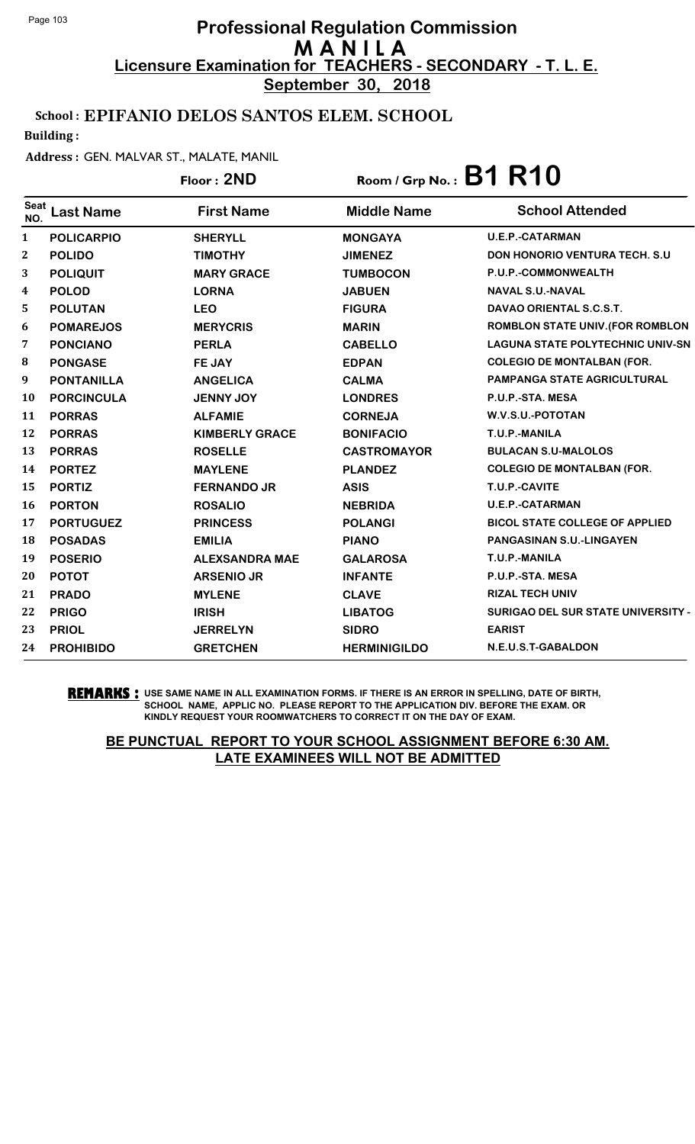**September 30, 2018**

### School : EPIFANIO DELOS SANTOS ELEM. SCHOOL

Building :

#### Address : GEN. MALVAR ST., MALATE, MANIL

# Floor : **2ND** Room / Grp No. : **B1 R10**

| <b>Seat</b><br>NO. | <b>Last Name</b>  | <b>First Name</b>     | <b>Middle Name</b>  | <b>School Attended</b>                  |
|--------------------|-------------------|-----------------------|---------------------|-----------------------------------------|
| $\mathbf{1}$       | <b>POLICARPIO</b> | <b>SHERYLL</b>        | <b>MONGAYA</b>      | <b>U.E.P.-CATARMAN</b>                  |
| $\mathbf{2}$       | <b>POLIDO</b>     | <b>TIMOTHY</b>        | <b>JIMENEZ</b>      | <b>DON HONORIO VENTURA TECH. S.U.</b>   |
| 3                  | <b>POLIQUIT</b>   | <b>MARY GRACE</b>     | <b>TUMBOCON</b>     | P.U.P.-COMMONWEALTH                     |
| 4                  | <b>POLOD</b>      | <b>LORNA</b>          | <b>JABUEN</b>       | <b>NAVAL S.U.-NAVAL</b>                 |
| 5                  | <b>POLUTAN</b>    | <b>LEO</b>            | <b>FIGURA</b>       | DAVAO ORIENTAL S.C.S.T.                 |
| 6                  | <b>POMAREJOS</b>  | <b>MERYCRIS</b>       | <b>MARIN</b>        | <b>ROMBLON STATE UNIV. (FOR ROMBLON</b> |
| 7                  | <b>PONCIANO</b>   | <b>PERLA</b>          | <b>CABELLO</b>      | <b>LAGUNA STATE POLYTECHNIC UNIV-SN</b> |
| 8                  | <b>PONGASE</b>    | FE JAY                | <b>EDPAN</b>        | <b>COLEGIO DE MONTALBAN (FOR.</b>       |
| 9                  | <b>PONTANILLA</b> | <b>ANGELICA</b>       | <b>CALMA</b>        | <b>PAMPANGA STATE AGRICULTURAL</b>      |
| <b>10</b>          | <b>PORCINCULA</b> | <b>JENNY JOY</b>      | <b>LONDRES</b>      | P.U.P.-STA. MESA                        |
| 11                 | <b>PORRAS</b>     | <b>ALFAMIE</b>        | <b>CORNEJA</b>      | W.V.S.U.-POTOTAN                        |
| 12                 | <b>PORRAS</b>     | <b>KIMBERLY GRACE</b> | <b>BONIFACIO</b>    | T.U.P.-MANILA                           |
| 13                 | <b>PORRAS</b>     | <b>ROSELLE</b>        | <b>CASTROMAYOR</b>  | <b>BULACAN S.U-MALOLOS</b>              |
| 14                 | <b>PORTEZ</b>     | <b>MAYLENE</b>        | <b>PLANDEZ</b>      | <b>COLEGIO DE MONTALBAN (FOR.</b>       |
| 15                 | <b>PORTIZ</b>     | <b>FERNANDO JR</b>    | <b>ASIS</b>         | T.U.P.-CAVITE                           |
| 16                 | <b>PORTON</b>     | <b>ROSALIO</b>        | <b>NEBRIDA</b>      | <b>U.E.P.-CATARMAN</b>                  |
| 17                 | <b>PORTUGUEZ</b>  | <b>PRINCESS</b>       | <b>POLANGI</b>      | <b>BICOL STATE COLLEGE OF APPLIED</b>   |
| 18                 | <b>POSADAS</b>    | <b>EMILIA</b>         | <b>PIANO</b>        | <b>PANGASINAN S.U.-LINGAYEN</b>         |
| 19                 | <b>POSERIO</b>    | <b>ALEXSANDRA MAE</b> | <b>GALAROSA</b>     | T.U.P.-MANILA                           |
| 20                 | <b>POTOT</b>      | <b>ARSENIO JR</b>     | <b>INFANTE</b>      | P.U.P.-STA. MESA                        |
| 21                 | <b>PRADO</b>      | <b>MYLENE</b>         | <b>CLAVE</b>        | <b>RIZAL TECH UNIV</b>                  |
| 22                 | <b>PRIGO</b>      | <b>IRISH</b>          | <b>LIBATOG</b>      | SURIGAO DEL SUR STATE UNIVERSITY -      |
| 23                 | <b>PRIOL</b>      | <b>JERRELYN</b>       | <b>SIDRO</b>        | <b>EARIST</b>                           |
| 24                 | <b>PROHIBIDO</b>  | <b>GRETCHEN</b>       | <b>HERMINIGILDO</b> | N.E.U.S.T-GABALDON                      |

#### **REMARKS :** USE SAME NAME IN ALL EXAMINATION FORMS. IF THERE IS AN ERROR IN SPELLING, DATE OF BIRTH, SCHOOL NAME, APPLIC NO. PLEASE REPORT TO THE APPLICATION DIV. BEFORE THE EXAM. OR KINDLY REQUEST YOUR ROOMWATCHERS TO CORRECT IT ON THE DAY OF EXAM.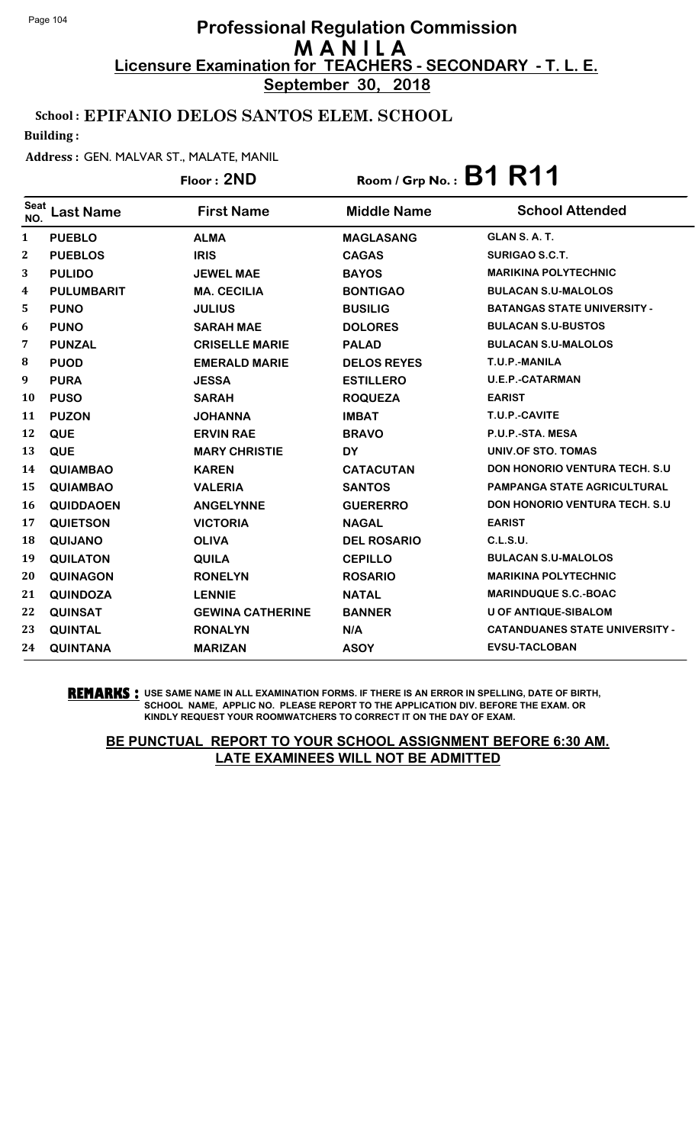**September 30, 2018**

### School : EPIFANIO DELOS SANTOS ELEM. SCHOOL

Building :

#### Address : GEN. MALVAR ST., MALATE, MANIL

# Floor : **2ND** Room / Grp No. : **B1 R11**

| <b>Seat</b><br>NO. | <b>Last Name</b>  | <b>First Name</b>       | <b>Middle Name</b> | <b>School Attended</b>                |
|--------------------|-------------------|-------------------------|--------------------|---------------------------------------|
| 1                  | <b>PUEBLO</b>     | <b>ALMA</b>             | <b>MAGLASANG</b>   | GLAN S.A.T.                           |
| 2                  | <b>PUEBLOS</b>    | <b>IRIS</b>             | <b>CAGAS</b>       | <b>SURIGAO S.C.T.</b>                 |
| 3                  | <b>PULIDO</b>     | <b>JEWEL MAE</b>        | <b>BAYOS</b>       | <b>MARIKINA POLYTECHNIC</b>           |
| 4                  | <b>PULUMBARIT</b> | <b>MA. CECILIA</b>      | <b>BONTIGAO</b>    | <b>BULACAN S.U-MALOLOS</b>            |
| 5                  | <b>PUNO</b>       | <b>JULIUS</b>           | <b>BUSILIG</b>     | <b>BATANGAS STATE UNIVERSITY -</b>    |
| 6                  | <b>PUNO</b>       | <b>SARAH MAE</b>        | <b>DOLORES</b>     | <b>BULACAN S.U-BUSTOS</b>             |
| 7                  | <b>PUNZAL</b>     | <b>CRISELLE MARIE</b>   | <b>PALAD</b>       | <b>BULACAN S.U-MALOLOS</b>            |
| 8                  | <b>PUOD</b>       | <b>EMERALD MARIE</b>    | <b>DELOS REYES</b> | T.U.P.-MANILA                         |
| 9                  | <b>PURA</b>       | <b>JESSA</b>            | <b>ESTILLERO</b>   | <b>U.E.P.-CATARMAN</b>                |
| 10                 | <b>PUSO</b>       | <b>SARAH</b>            | <b>ROQUEZA</b>     | <b>EARIST</b>                         |
| 11                 | <b>PUZON</b>      | <b>JOHANNA</b>          | <b>IMBAT</b>       | T.U.P.-CAVITE                         |
| 12                 | <b>QUE</b>        | <b>ERVIN RAE</b>        | <b>BRAVO</b>       | P.U.P.-STA. MESA                      |
| 13                 | <b>QUE</b>        | <b>MARY CHRISTIE</b>    | <b>DY</b>          | UNIV.OF STO. TOMAS                    |
| 14                 | <b>QUIAMBAO</b>   | <b>KAREN</b>            | <b>CATACUTAN</b>   | <b>DON HONORIO VENTURA TECH. S.U.</b> |
| 15                 | <b>QUIAMBAO</b>   | <b>VALERIA</b>          | <b>SANTOS</b>      | <b>PAMPANGA STATE AGRICULTURAL</b>    |
| 16                 | <b>QUIDDAOEN</b>  | <b>ANGELYNNE</b>        | <b>GUERERRO</b>    | <b>DON HONORIO VENTURA TECH. S.U.</b> |
| 17                 | <b>QUIETSON</b>   | <b>VICTORIA</b>         | <b>NAGAL</b>       | <b>EARIST</b>                         |
| 18                 | <b>QUIJANO</b>    | <b>OLIVA</b>            | <b>DEL ROSARIO</b> | C.L.S.U.                              |
| 19                 | <b>QUILATON</b>   | <b>QUILA</b>            | <b>CEPILLO</b>     | <b>BULACAN S.U-MALOLOS</b>            |
| 20                 | <b>QUINAGON</b>   | <b>RONELYN</b>          | <b>ROSARIO</b>     | <b>MARIKINA POLYTECHNIC</b>           |
| 21                 | <b>QUINDOZA</b>   | <b>LENNIE</b>           | <b>NATAL</b>       | <b>MARINDUQUE S.C.-BOAC</b>           |
| 22                 | <b>QUINSAT</b>    | <b>GEWINA CATHERINE</b> | <b>BANNER</b>      | <b>U OF ANTIQUE-SIBALOM</b>           |
| 23                 | <b>QUINTAL</b>    | <b>RONALYN</b>          | N/A                | <b>CATANDUANES STATE UNIVERSITY -</b> |
| 24                 | <b>QUINTANA</b>   | <b>MARIZAN</b>          | <b>ASOY</b>        | <b>EVSU-TACLOBAN</b>                  |

**REMARKS :** USE SAME NAME IN ALL EXAMINATION FORMS. IF THERE IS AN ERROR IN SPELLING, DATE OF BIRTH, SCHOOL NAME, APPLIC NO. PLEASE REPORT TO THE APPLICATION DIV. BEFORE THE EXAM. OR KINDLY REQUEST YOUR ROOMWATCHERS TO CORRECT IT ON THE DAY OF EXAM.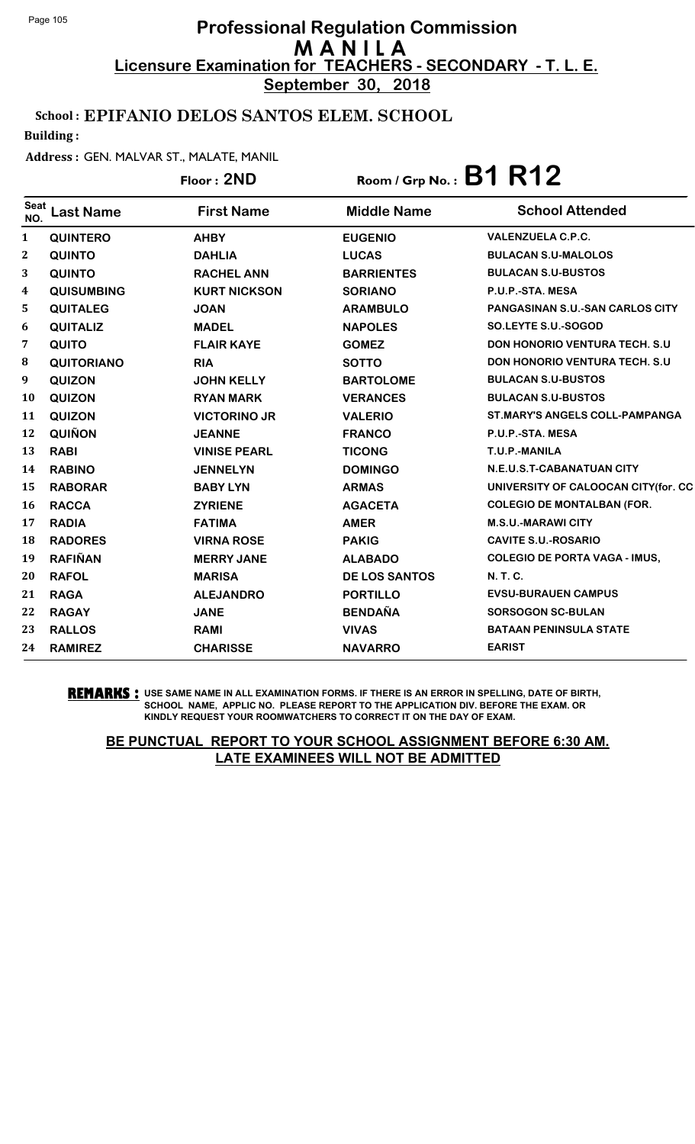**September 30, 2018**

### School : EPIFANIO DELOS SANTOS ELEM. SCHOOL

Building :

#### Address : GEN. MALVAR ST., MALATE, MANIL

# Floor : **2ND** Room / Grp No. : **B1 R12**

| <b>Seat</b><br>NO. | Last Name         | <b>First Name</b>   | <b>Middle Name</b>   | <b>School Attended</b>                 |
|--------------------|-------------------|---------------------|----------------------|----------------------------------------|
| $\mathbf{1}$       | <b>QUINTERO</b>   | <b>AHBY</b>         | <b>EUGENIO</b>       | <b>VALENZUELA C.P.C.</b>               |
| $\mathbf{2}$       | <b>QUINTO</b>     | <b>DAHLIA</b>       | <b>LUCAS</b>         | <b>BULACAN S.U-MALOLOS</b>             |
| 3                  | <b>QUINTO</b>     | <b>RACHEL ANN</b>   | <b>BARRIENTES</b>    | <b>BULACAN S.U-BUSTOS</b>              |
| 4                  | <b>QUISUMBING</b> | <b>KURT NICKSON</b> | <b>SORIANO</b>       | P.U.P.-STA. MESA                       |
| 5                  | <b>QUITALEG</b>   | <b>JOAN</b>         | <b>ARAMBULO</b>      | <b>PANGASINAN S.U.-SAN CARLOS CITY</b> |
| 6                  | <b>QUITALIZ</b>   | <b>MADEL</b>        | <b>NAPOLES</b>       | SO.LEYTE S.U.-SOGOD                    |
| 7                  | <b>QUITO</b>      | <b>FLAIR KAYE</b>   | <b>GOMEZ</b>         | <b>DON HONORIO VENTURA TECH. S.U.</b>  |
| 8                  | <b>QUITORIANO</b> | <b>RIA</b>          | <b>SOTTO</b>         | <b>DON HONORIO VENTURA TECH. S.U.</b>  |
| 9                  | <b>QUIZON</b>     | <b>JOHN KELLY</b>   | <b>BARTOLOME</b>     | <b>BULACAN S.U-BUSTOS</b>              |
| <b>10</b>          | <b>QUIZON</b>     | <b>RYAN MARK</b>    | <b>VERANCES</b>      | <b>BULACAN S.U-BUSTOS</b>              |
| 11                 | <b>QUIZON</b>     | <b>VICTORINO JR</b> | <b>VALERIO</b>       | <b>ST.MARY'S ANGELS COLL-PAMPANGA</b>  |
| 12                 | <b>QUIÑON</b>     | <b>JEANNE</b>       | <b>FRANCO</b>        | P.U.P.-STA. MESA                       |
| 13                 | <b>RABI</b>       | <b>VINISE PEARL</b> | <b>TICONG</b>        | T.U.P.-MANILA                          |
| 14                 | <b>RABINO</b>     | <b>JENNELYN</b>     | <b>DOMINGO</b>       | N.E.U.S.T-CABANATUAN CITY              |
| 15                 | <b>RABORAR</b>    | <b>BABY LYN</b>     | <b>ARMAS</b>         | UNIVERSITY OF CALOOCAN CITY(for. CC    |
| 16                 | <b>RACCA</b>      | <b>ZYRIENE</b>      | <b>AGACETA</b>       | <b>COLEGIO DE MONTALBAN (FOR.</b>      |
| 17                 | <b>RADIA</b>      | <b>FATIMA</b>       | <b>AMER</b>          | <b>M.S.U.-MARAWI CITY</b>              |
| 18                 | <b>RADORES</b>    | <b>VIRNA ROSE</b>   | <b>PAKIG</b>         | <b>CAVITE S.U.-ROSARIO</b>             |
| 19                 | <b>RAFIÑAN</b>    | <b>MERRY JANE</b>   | <b>ALABADO</b>       | <b>COLEGIO DE PORTA VAGA - IMUS,</b>   |
| 20                 | <b>RAFOL</b>      | <b>MARISA</b>       | <b>DE LOS SANTOS</b> | N. T. C.                               |
| 21                 | <b>RAGA</b>       | <b>ALEJANDRO</b>    | <b>PORTILLO</b>      | <b>EVSU-BURAUEN CAMPUS</b>             |
| 22                 | <b>RAGAY</b>      | <b>JANE</b>         | <b>BENDAÑA</b>       | <b>SORSOGON SC-BULAN</b>               |
| 23                 | <b>RALLOS</b>     | <b>RAMI</b>         | <b>VIVAS</b>         | <b>BATAAN PENINSULA STATE</b>          |
| 24                 | <b>RAMIREZ</b>    | <b>CHARISSE</b>     | <b>NAVARRO</b>       | <b>EARIST</b>                          |

**REMARKS :** USE SAME NAME IN ALL EXAMINATION FORMS. IF THERE IS AN ERROR IN SPELLING, DATE OF BIRTH, SCHOOL NAME, APPLIC NO. PLEASE REPORT TO THE APPLICATION DIV. BEFORE THE EXAM. OR KINDLY REQUEST YOUR ROOMWATCHERS TO CORRECT IT ON THE DAY OF EXAM.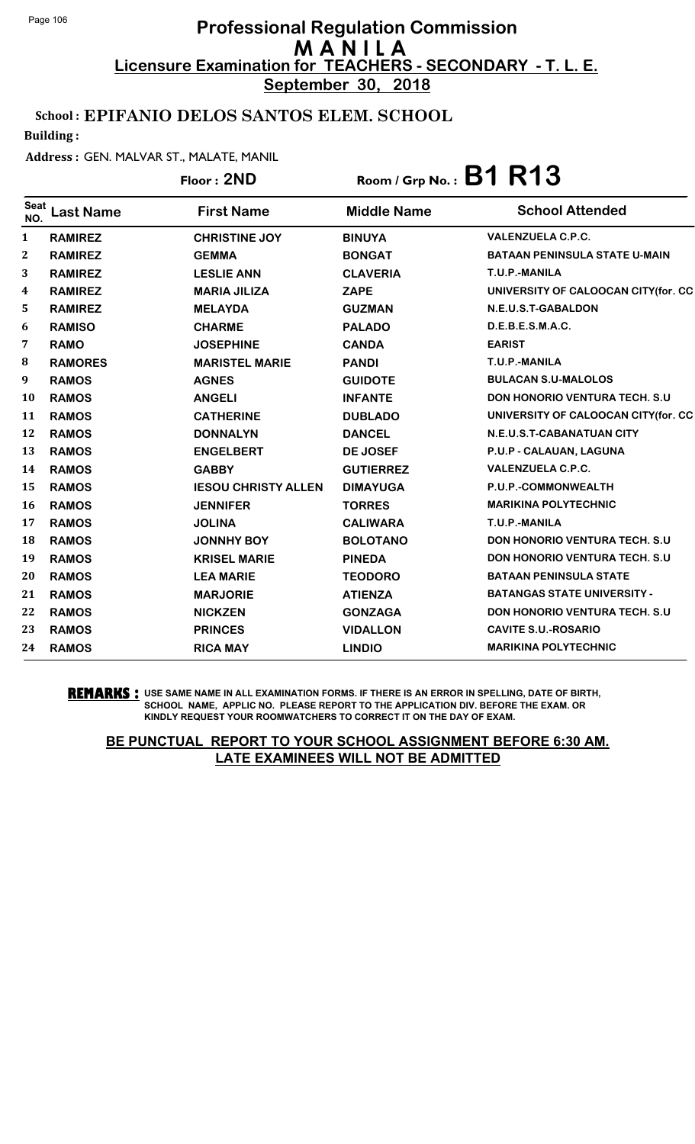**September 30, 2018**

### School : EPIFANIO DELOS SANTOS ELEM. SCHOOL

Building :

#### Address : GEN. MALVAR ST., MALATE, MANIL

|                    |                  | Floor: 2ND                 | $R$ oom / Grp No.: $B1 R13$ |                                       |
|--------------------|------------------|----------------------------|-----------------------------|---------------------------------------|
| <b>Seat</b><br>NO. | <b>Last Name</b> | <b>First Name</b>          | <b>Middle Name</b>          | <b>School Attended</b>                |
| 1                  | <b>RAMIREZ</b>   | <b>CHRISTINE JOY</b>       | <b>BINUYA</b>               | <b>VALENZUELA C.P.C.</b>              |
| $\mathbf{2}$       | <b>RAMIREZ</b>   | <b>GEMMA</b>               | <b>BONGAT</b>               | <b>BATAAN PENINSULA STATE U-MAIN</b>  |
| 3                  | <b>RAMIREZ</b>   | <b>LESLIE ANN</b>          | <b>CLAVERIA</b>             | T.U.P.-MANILA                         |
| 4                  | <b>RAMIREZ</b>   | <b>MARIA JILIZA</b>        | <b>ZAPE</b>                 | UNIVERSITY OF CALOOCAN CITY(for. CC   |
| 5                  | <b>RAMIREZ</b>   | <b>MELAYDA</b>             | <b>GUZMAN</b>               | N.E.U.S.T-GABALDON                    |
| 6                  | <b>RAMISO</b>    | <b>CHARME</b>              | <b>PALADO</b>               | D.E.B.E.S.M.A.C.                      |
| 7                  | <b>RAMO</b>      | <b>JOSEPHINE</b>           | <b>CANDA</b>                | <b>EARIST</b>                         |
| 8                  | <b>RAMORES</b>   | <b>MARISTEL MARIE</b>      | <b>PANDI</b>                | T.U.P.-MANILA                         |
| 9                  | <b>RAMOS</b>     | <b>AGNES</b>               | <b>GUIDOTE</b>              | <b>BULACAN S.U-MALOLOS</b>            |
| 10                 | <b>RAMOS</b>     | <b>ANGELI</b>              | <b>INFANTE</b>              | <b>DON HONORIO VENTURA TECH. S.U.</b> |
| 11                 | <b>RAMOS</b>     | <b>CATHERINE</b>           | <b>DUBLADO</b>              | UNIVERSITY OF CALOOCAN CITY(for. CC   |
| 12                 | <b>RAMOS</b>     | <b>DONNALYN</b>            | <b>DANCEL</b>               | N.E.U.S.T-CABANATUAN CITY             |
| 13                 | <b>RAMOS</b>     | <b>ENGELBERT</b>           | <b>DE JOSEF</b>             | P.U.P - CALAUAN, LAGUNA               |
| 14                 | <b>RAMOS</b>     | <b>GABBY</b>               | <b>GUTIERREZ</b>            | <b>VALENZUELA C.P.C.</b>              |
| 15                 | <b>RAMOS</b>     | <b>IESOU CHRISTY ALLEN</b> | <b>DIMAYUGA</b>             | P.U.P.-COMMONWEALTH                   |
| 16                 | <b>RAMOS</b>     | <b>JENNIFER</b>            | <b>TORRES</b>               | <b>MARIKINA POLYTECHNIC</b>           |
| 17                 | <b>RAMOS</b>     | <b>JOLINA</b>              | <b>CALIWARA</b>             | T.U.P.-MANILA                         |
| 18                 | <b>RAMOS</b>     | <b>JONNHY BOY</b>          | <b>BOLOTANO</b>             | <b>DON HONORIO VENTURA TECH. S.U.</b> |
| 19                 | <b>RAMOS</b>     | <b>KRISEL MARIE</b>        | <b>PINEDA</b>               | <b>DON HONORIO VENTURA TECH. S.U.</b> |
| 20                 | <b>RAMOS</b>     | <b>LEA MARIE</b>           | <b>TEODORO</b>              | <b>BATAAN PENINSULA STATE</b>         |
| 21                 | <b>RAMOS</b>     | <b>MARJORIE</b>            | <b>ATIENZA</b>              | <b>BATANGAS STATE UNIVERSITY -</b>    |
| 22                 | <b>RAMOS</b>     | <b>NICKZEN</b>             | <b>GONZAGA</b>              | DON HONORIO VENTURA TECH. S.U         |
| 23                 | <b>RAMOS</b>     | <b>PRINCES</b>             | <b>VIDALLON</b>             | <b>CAVITE S.U.-ROSARIO</b>            |
| 24                 | <b>RAMOS</b>     | <b>RICA MAY</b>            | <b>LINDIO</b>               | <b>MARIKINA POLYTECHNIC</b>           |

**REMARKS :** USE SAME NAME IN ALL EXAMINATION FORMS. IF THERE IS AN ERROR IN SPELLING, DATE OF BIRTH, SCHOOL NAME, APPLIC NO. PLEASE REPORT TO THE APPLICATION DIV. BEFORE THE EXAM. OR KINDLY REQUEST YOUR ROOMWATCHERS TO CORRECT IT ON THE DAY OF EXAM.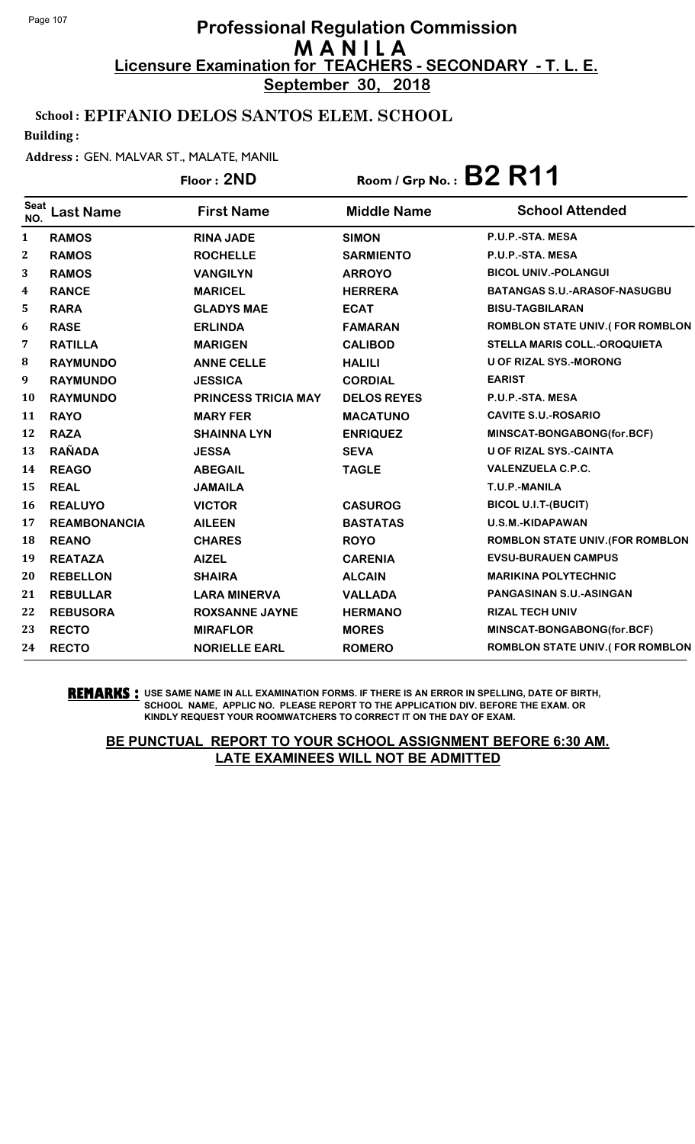**September 30, 2018**

### School : EPIFANIO DELOS SANTOS ELEM. SCHOOL

Building :

#### Address : GEN. MALVAR ST., MALATE, MANIL

|                  |                     | Floor: 2ND                 | Room / Grp No.: $B2 R11$ |                                        |
|------------------|---------------------|----------------------------|--------------------------|----------------------------------------|
| Seat<br>NO.      | <b>Last Name</b>    | <b>First Name</b>          | <b>Middle Name</b>       | <b>School Attended</b>                 |
| 1                | <b>RAMOS</b>        | <b>RINA JADE</b>           | <b>SIMON</b>             | P.U.P.-STA. MESA                       |
| $\boldsymbol{2}$ | <b>RAMOS</b>        | <b>ROCHELLE</b>            | <b>SARMIENTO</b>         | P.U.P.-STA. MESA                       |
| 3                | <b>RAMOS</b>        | <b>VANGILYN</b>            | <b>ARROYO</b>            | <b>BICOL UNIV.-POLANGUI</b>            |
| 4                | <b>RANCE</b>        | <b>MARICEL</b>             | <b>HERRERA</b>           | <b>BATANGAS S.U.-ARASOF-NASUGBU</b>    |
| 5                | <b>RARA</b>         | <b>GLADYS MAE</b>          | <b>ECAT</b>              | <b>BISU-TAGBILARAN</b>                 |
| 6                | <b>RASE</b>         | <b>ERLINDA</b>             | <b>FAMARAN</b>           | <b>ROMBLON STATE UNIV.(FOR ROMBLON</b> |
| 7                | <b>RATILLA</b>      | <b>MARIGEN</b>             | <b>CALIBOD</b>           | <b>STELLA MARIS COLL.-OROQUIETA</b>    |
| 8                | <b>RAYMUNDO</b>     | <b>ANNE CELLE</b>          | <b>HALILI</b>            | <b>U OF RIZAL SYS.-MORONG</b>          |
| 9                | <b>RAYMUNDO</b>     | <b>JESSICA</b>             | <b>CORDIAL</b>           | <b>EARIST</b>                          |
| 10               | <b>RAYMUNDO</b>     | <b>PRINCESS TRICIA MAY</b> | <b>DELOS REYES</b>       | P.U.P.-STA. MESA                       |
| 11               | <b>RAYO</b>         | <b>MARY FER</b>            | <b>MACATUNO</b>          | <b>CAVITE S.U.-ROSARIO</b>             |
| 12               | <b>RAZA</b>         | <b>SHAINNA LYN</b>         | <b>ENRIQUEZ</b>          | MINSCAT-BONGABONG(for.BCF)             |
| 13               | <b>RAÑADA</b>       | <b>JESSA</b>               | <b>SEVA</b>              | <b>U OF RIZAL SYS.-CAINTA</b>          |
| 14               | <b>REAGO</b>        | <b>ABEGAIL</b>             | <b>TAGLE</b>             | <b>VALENZUELA C.P.C.</b>               |
| 15               | <b>REAL</b>         | <b>JAMAILA</b>             |                          | T.U.P.-MANILA                          |
| 16               | <b>REALUYO</b>      | <b>VICTOR</b>              | <b>CASUROG</b>           | <b>BICOL U.I.T-(BUCIT)</b>             |
| 17               | <b>REAMBONANCIA</b> | <b>AILEEN</b>              | <b>BASTATAS</b>          | <b>U.S.M.-KIDAPAWAN</b>                |
| 18               | <b>REANO</b>        | <b>CHARES</b>              | <b>ROYO</b>              | ROMBLON STATE UNIV. (FOR ROMBLON       |
| 19               | <b>REATAZA</b>      | <b>AIZEL</b>               | <b>CARENIA</b>           | <b>EVSU-BURAUEN CAMPUS</b>             |
| 20               | <b>REBELLON</b>     | <b>SHAIRA</b>              | <b>ALCAIN</b>            | <b>MARIKINA POLYTECHNIC</b>            |
| 21               | <b>REBULLAR</b>     | <b>LARA MINERVA</b>        | <b>VALLADA</b>           | <b>PANGASINAN S.U.-ASINGAN</b>         |
| 22               | <b>REBUSORA</b>     | <b>ROXSANNE JAYNE</b>      | <b>HERMANO</b>           | <b>RIZAL TECH UNIV</b>                 |
| 23               | <b>RECTO</b>        | <b>MIRAFLOR</b>            | <b>MORES</b>             | MINSCAT-BONGABONG(for.BCF)             |
| 24               | <b>RECTO</b>        | <b>NORIELLE EARL</b>       | <b>ROMERO</b>            | ROMBLON STATE UNIV.(FOR ROMBLON        |

**REMARKS :** USE SAME NAME IN ALL EXAMINATION FORMS. IF THERE IS AN ERROR IN SPELLING, DATE OF BIRTH, SCHOOL NAME, APPLIC NO. PLEASE REPORT TO THE APPLICATION DIV. BEFORE THE EXAM. OR KINDLY REQUEST YOUR ROOMWATCHERS TO CORRECT IT ON THE DAY OF EXAM.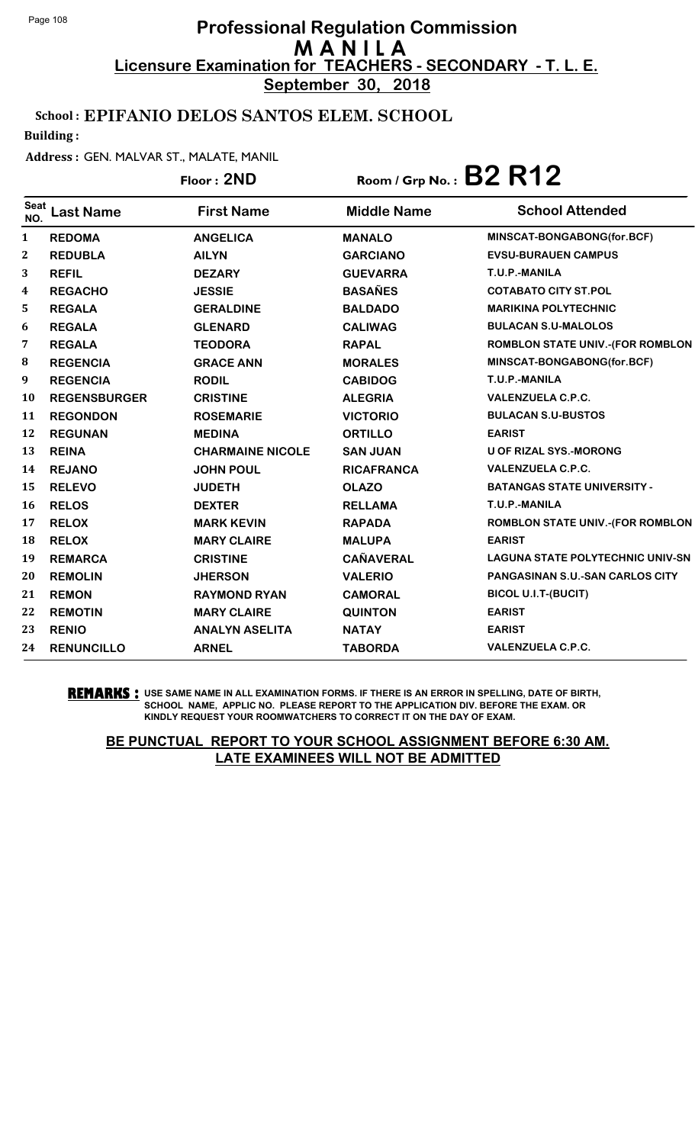**September 30, 2018**

### School : EPIFANIO DELOS SANTOS ELEM. SCHOOL

Building :

#### Address : GEN. MALVAR ST., MALATE, MANIL

|             |                     | Floor: 2ND              | Room / Grp No.: $B2 R12$ |                                         |
|-------------|---------------------|-------------------------|--------------------------|-----------------------------------------|
| Seat<br>NO. | <b>Last Name</b>    | <b>First Name</b>       | <b>Middle Name</b>       | <b>School Attended</b>                  |
| 1           | <b>REDOMA</b>       | <b>ANGELICA</b>         | <b>MANALO</b>            | MINSCAT-BONGABONG(for.BCF)              |
| 2           | <b>REDUBLA</b>      | <b>AILYN</b>            | <b>GARCIANO</b>          | <b>EVSU-BURAUEN CAMPUS</b>              |
| 3           | <b>REFIL</b>        | <b>DEZARY</b>           | <b>GUEVARRA</b>          | T.U.P.-MANILA                           |
| 4           | <b>REGACHO</b>      | <b>JESSIE</b>           | <b>BASAÑES</b>           | <b>COTABATO CITY ST.POL</b>             |
| 5           | <b>REGALA</b>       | <b>GERALDINE</b>        | <b>BALDADO</b>           | <b>MARIKINA POLYTECHNIC</b>             |
| 6           | <b>REGALA</b>       | <b>GLENARD</b>          | <b>CALIWAG</b>           | <b>BULACAN S.U-MALOLOS</b>              |
| 7           | <b>REGALA</b>       | <b>TEODORA</b>          | <b>RAPAL</b>             | ROMBLON STATE UNIV.-(FOR ROMBLON        |
| 8           | <b>REGENCIA</b>     | <b>GRACE ANN</b>        | <b>MORALES</b>           | MINSCAT-BONGABONG(for.BCF)              |
| 9           | <b>REGENCIA</b>     | <b>RODIL</b>            | <b>CABIDOG</b>           | T.U.P.-MANILA                           |
| 10          | <b>REGENSBURGER</b> | <b>CRISTINE</b>         | <b>ALEGRIA</b>           | <b>VALENZUELA C.P.C.</b>                |
| 11          | <b>REGONDON</b>     | <b>ROSEMARIE</b>        | <b>VICTORIO</b>          | <b>BULACAN S.U-BUSTOS</b>               |
| 12          | <b>REGUNAN</b>      | <b>MEDINA</b>           | <b>ORTILLO</b>           | <b>EARIST</b>                           |
| 13          | <b>REINA</b>        | <b>CHARMAINE NICOLE</b> | <b>SAN JUAN</b>          | <b>U OF RIZAL SYS.-MORONG</b>           |
| 14          | <b>REJANO</b>       | <b>JOHN POUL</b>        | <b>RICAFRANCA</b>        | <b>VALENZUELA C.P.C.</b>                |
| 15          | <b>RELEVO</b>       | <b>JUDETH</b>           | <b>OLAZO</b>             | <b>BATANGAS STATE UNIVERSITY -</b>      |
| 16          | <b>RELOS</b>        | <b>DEXTER</b>           | <b>RELLAMA</b>           | T.U.P.-MANILA                           |
| 17          | <b>RELOX</b>        | <b>MARK KEVIN</b>       | <b>RAPADA</b>            | ROMBLON STATE UNIV.-(FOR ROMBLON        |
| 18          | <b>RELOX</b>        | <b>MARY CLAIRE</b>      | <b>MALUPA</b>            | <b>EARIST</b>                           |
| 19          | <b>REMARCA</b>      | <b>CRISTINE</b>         | <b>CAÑAVERAL</b>         | <b>LAGUNA STATE POLYTECHNIC UNIV-SN</b> |
| 20          | <b>REMOLIN</b>      | <b>JHERSON</b>          | <b>VALERIO</b>           | <b>PANGASINAN S.U.-SAN CARLOS CITY</b>  |
| 21          | <b>REMON</b>        | <b>RAYMOND RYAN</b>     | <b>CAMORAL</b>           | <b>BICOL U.I.T-(BUCIT)</b>              |
| 22          | <b>REMOTIN</b>      | <b>MARY CLAIRE</b>      | <b>QUINTON</b>           | <b>EARIST</b>                           |
| 23          | <b>RENIO</b>        | <b>ANALYN ASELITA</b>   | <b>NATAY</b>             | <b>EARIST</b>                           |
| 24          | <b>RENUNCILLO</b>   | <b>ARNEL</b>            | <b>TABORDA</b>           | <b>VALENZUELA C.P.C.</b>                |

**REMARKS :** USE SAME NAME IN ALL EXAMINATION FORMS. IF THERE IS AN ERROR IN SPELLING, DATE OF BIRTH, SCHOOL NAME, APPLIC NO. PLEASE REPORT TO THE APPLICATION DIV. BEFORE THE EXAM. OR KINDLY REQUEST YOUR ROOMWATCHERS TO CORRECT IT ON THE DAY OF EXAM.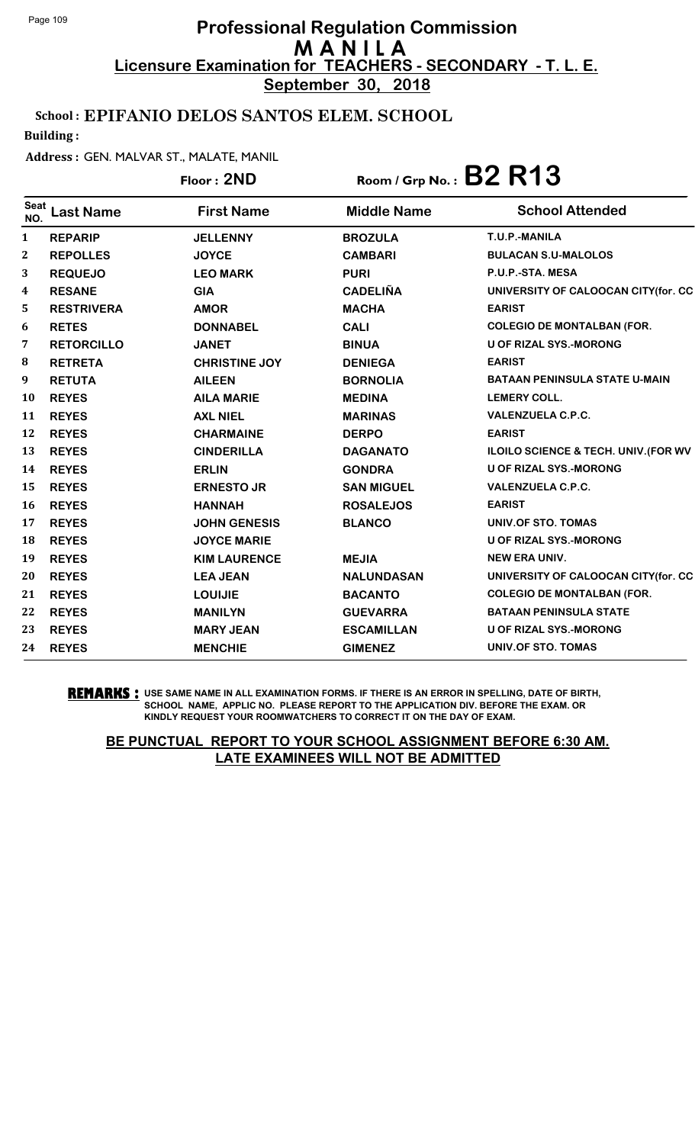**September 30, 2018**

## School : EPIFANIO DELOS SANTOS ELEM. SCHOOL

Building :

#### Address : GEN. MALVAR ST., MALATE, MANIL

## Floor : **2ND** Room / Grp No. : **B2 R13**

| <b>Seat</b><br>NO. | <b>Last Name</b>  | <b>First Name</b>    | <b>Middle Name</b> | <b>School Attended</b>               |
|--------------------|-------------------|----------------------|--------------------|--------------------------------------|
| $\mathbf{1}$       | <b>REPARIP</b>    | <b>JELLENNY</b>      | <b>BROZULA</b>     | T.U.P.-MANILA                        |
| 2                  | <b>REPOLLES</b>   | <b>JOYCE</b>         | <b>CAMBARI</b>     | <b>BULACAN S.U-MALOLOS</b>           |
| 3                  | <b>REQUEJO</b>    | <b>LEO MARK</b>      | <b>PURI</b>        | P.U.P.-STA. MESA                     |
| 4                  | <b>RESANE</b>     | <b>GIA</b>           | <b>CADELIÑA</b>    | UNIVERSITY OF CALOOCAN CITY(for. CC  |
| 5                  | <b>RESTRIVERA</b> | <b>AMOR</b>          | <b>MACHA</b>       | <b>EARIST</b>                        |
| 6                  | <b>RETES</b>      | <b>DONNABEL</b>      | <b>CALI</b>        | <b>COLEGIO DE MONTALBAN (FOR.</b>    |
| 7                  | <b>RETORCILLO</b> | <b>JANET</b>         | <b>BINUA</b>       | <b>U OF RIZAL SYS.-MORONG</b>        |
| 8                  | <b>RETRETA</b>    | <b>CHRISTINE JOY</b> | <b>DENIEGA</b>     | <b>EARIST</b>                        |
| 9                  | <b>RETUTA</b>     | <b>AILEEN</b>        | <b>BORNOLIA</b>    | <b>BATAAN PENINSULA STATE U-MAIN</b> |
| 10                 | <b>REYES</b>      | <b>AILA MARIE</b>    | <b>MEDINA</b>      | <b>LEMERY COLL.</b>                  |
| 11                 | <b>REYES</b>      | <b>AXL NIEL</b>      | <b>MARINAS</b>     | <b>VALENZUELA C.P.C.</b>             |
| 12                 | <b>REYES</b>      | <b>CHARMAINE</b>     | <b>DERPO</b>       | <b>EARIST</b>                        |
| 13                 | <b>REYES</b>      | <b>CINDERILLA</b>    | <b>DAGANATO</b>    | ILOILO SCIENCE & TECH. UNIV. (FOR WV |
| 14                 | <b>REYES</b>      | <b>ERLIN</b>         | <b>GONDRA</b>      | <b>U OF RIZAL SYS.-MORONG</b>        |
| 15                 | <b>REYES</b>      | <b>ERNESTO JR</b>    | <b>SAN MIGUEL</b>  | <b>VALENZUELA C.P.C.</b>             |
| 16                 | <b>REYES</b>      | <b>HANNAH</b>        | <b>ROSALEJOS</b>   | <b>EARIST</b>                        |
| 17                 | <b>REYES</b>      | <b>JOHN GENESIS</b>  | <b>BLANCO</b>      | UNIV.OF STO. TOMAS                   |
| 18                 | <b>REYES</b>      | <b>JOYCE MARIE</b>   |                    | <b>U OF RIZAL SYS.-MORONG</b>        |
| 19                 | <b>REYES</b>      | <b>KIM LAURENCE</b>  | <b>MEJIA</b>       | <b>NEW ERA UNIV.</b>                 |
| 20                 | <b>REYES</b>      | <b>LEA JEAN</b>      | <b>NALUNDASAN</b>  | UNIVERSITY OF CALOOCAN CITY(for. CC  |
| 21                 | <b>REYES</b>      | <b>LOUIJIE</b>       | <b>BACANTO</b>     | <b>COLEGIO DE MONTALBAN (FOR.</b>    |
| 22                 | <b>REYES</b>      | <b>MANILYN</b>       | <b>GUEVARRA</b>    | <b>BATAAN PENINSULA STATE</b>        |
| 23                 | <b>REYES</b>      | <b>MARY JEAN</b>     | <b>ESCAMILLAN</b>  | <b>U OF RIZAL SYS.-MORONG</b>        |
| 24                 | <b>REYES</b>      | <b>MENCHIE</b>       | <b>GIMENEZ</b>     | <b>UNIV.OF STO. TOMAS</b>            |

**REMARKS :** USE SAME NAME IN ALL EXAMINATION FORMS. IF THERE IS AN ERROR IN SPELLING, DATE OF BIRTH, SCHOOL NAME, APPLIC NO. PLEASE REPORT TO THE APPLICATION DIV. BEFORE THE EXAM. OR KINDLY REQUEST YOUR ROOMWATCHERS TO CORRECT IT ON THE DAY OF EXAM.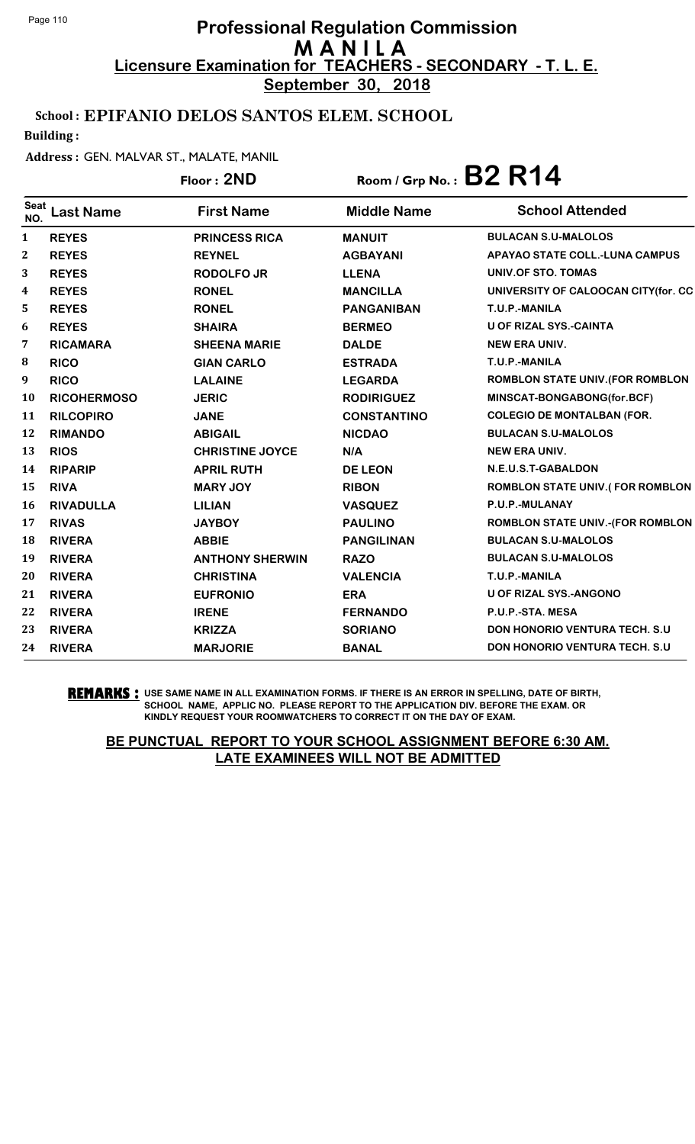**September 30, 2018**

### School : EPIFANIO DELOS SANTOS ELEM. SCHOOL

Building :

#### Address : GEN. MALVAR ST., MALATE, MANIL

## Floor : **2ND** Room / Grp No. : **B2 R14**

| <b>Seat</b><br>NO. | <b>Last Name</b>   | <b>First Name</b>      | <b>Middle Name</b> | <b>School Attended</b>                  |
|--------------------|--------------------|------------------------|--------------------|-----------------------------------------|
| 1                  | <b>REYES</b>       | <b>PRINCESS RICA</b>   | <b>MANUIT</b>      | <b>BULACAN S.U-MALOLOS</b>              |
| $\boldsymbol{2}$   | <b>REYES</b>       | <b>REYNEL</b>          | <b>AGBAYANI</b>    | <b>APAYAO STATE COLL.-LUNA CAMPUS</b>   |
| 3                  | <b>REYES</b>       | <b>RODOLFO JR</b>      | <b>LLENA</b>       | UNIV.OF STO. TOMAS                      |
| $\boldsymbol{4}$   | <b>REYES</b>       | <b>RONEL</b>           | <b>MANCILLA</b>    | UNIVERSITY OF CALOOCAN CITY(for. CC     |
| 5                  | <b>REYES</b>       | <b>RONEL</b>           | <b>PANGANIBAN</b>  | T.U.P.-MANILA                           |
| 6                  | <b>REYES</b>       | <b>SHAIRA</b>          | <b>BERMEO</b>      | <b>U OF RIZAL SYS.-CAINTA</b>           |
| 7                  | <b>RICAMARA</b>    | <b>SHEENA MARIE</b>    | <b>DALDE</b>       | <b>NEW ERA UNIV.</b>                    |
| 8                  | <b>RICO</b>        | <b>GIAN CARLO</b>      | <b>ESTRADA</b>     | T.U.P.-MANILA                           |
| 9                  | <b>RICO</b>        | <b>LALAINE</b>         | <b>LEGARDA</b>     | <b>ROMBLON STATE UNIV. (FOR ROMBLON</b> |
| 10                 | <b>RICOHERMOSO</b> | <b>JERIC</b>           | <b>RODIRIGUEZ</b>  | MINSCAT-BONGABONG(for.BCF)              |
| 11                 | <b>RILCOPIRO</b>   | <b>JANE</b>            | <b>CONSTANTINO</b> | <b>COLEGIO DE MONTALBAN (FOR.</b>       |
| 12                 | <b>RIMANDO</b>     | <b>ABIGAIL</b>         | <b>NICDAO</b>      | <b>BULACAN S.U-MALOLOS</b>              |
| 13                 | <b>RIOS</b>        | <b>CHRISTINE JOYCE</b> | N/A                | <b>NEW ERA UNIV.</b>                    |
| 14                 | <b>RIPARIP</b>     | <b>APRIL RUTH</b>      | <b>DE LEON</b>     | N.E.U.S.T-GABALDON                      |
| 15                 | <b>RIVA</b>        | <b>MARY JOY</b>        | <b>RIBON</b>       | <b>ROMBLON STATE UNIV.(FOR ROMBLON</b>  |
| 16                 | <b>RIVADULLA</b>   | <b>LILIAN</b>          | <b>VASQUEZ</b>     | P.U.P.-MULANAY                          |
| 17                 | <b>RIVAS</b>       | <b>JAYBOY</b>          | <b>PAULINO</b>     | <b>ROMBLON STATE UNIV.-(FOR ROMBLON</b> |
| 18                 | <b>RIVERA</b>      | <b>ABBIE</b>           | <b>PANGILINAN</b>  | <b>BULACAN S.U-MALOLOS</b>              |
| 19                 | <b>RIVERA</b>      | <b>ANTHONY SHERWIN</b> | <b>RAZO</b>        | <b>BULACAN S.U-MALOLOS</b>              |
| 20                 | <b>RIVERA</b>      | <b>CHRISTINA</b>       | <b>VALENCIA</b>    | T.U.P.-MANILA                           |
| 21                 | <b>RIVERA</b>      | <b>EUFRONIO</b>        | <b>ERA</b>         | <b>U OF RIZAL SYS.-ANGONO</b>           |
| 22                 | <b>RIVERA</b>      | <b>IRENE</b>           | <b>FERNANDO</b>    | P.U.P.-STA. MESA                        |
| 23                 | <b>RIVERA</b>      | <b>KRIZZA</b>          | <b>SORIANO</b>     | <b>DON HONORIO VENTURA TECH. S.U.</b>   |
| 24                 | <b>RIVERA</b>      | <b>MARJORIE</b>        | <b>BANAL</b>       | <b>DON HONORIO VENTURA TECH. S.U.</b>   |

**REMARKS :** USE SAME NAME IN ALL EXAMINATION FORMS. IF THERE IS AN ERROR IN SPELLING, DATE OF BIRTH, SCHOOL NAME, APPLIC NO. PLEASE REPORT TO THE APPLICATION DIV. BEFORE THE EXAM. OR KINDLY REQUEST YOUR ROOMWATCHERS TO CORRECT IT ON THE DAY OF EXAM.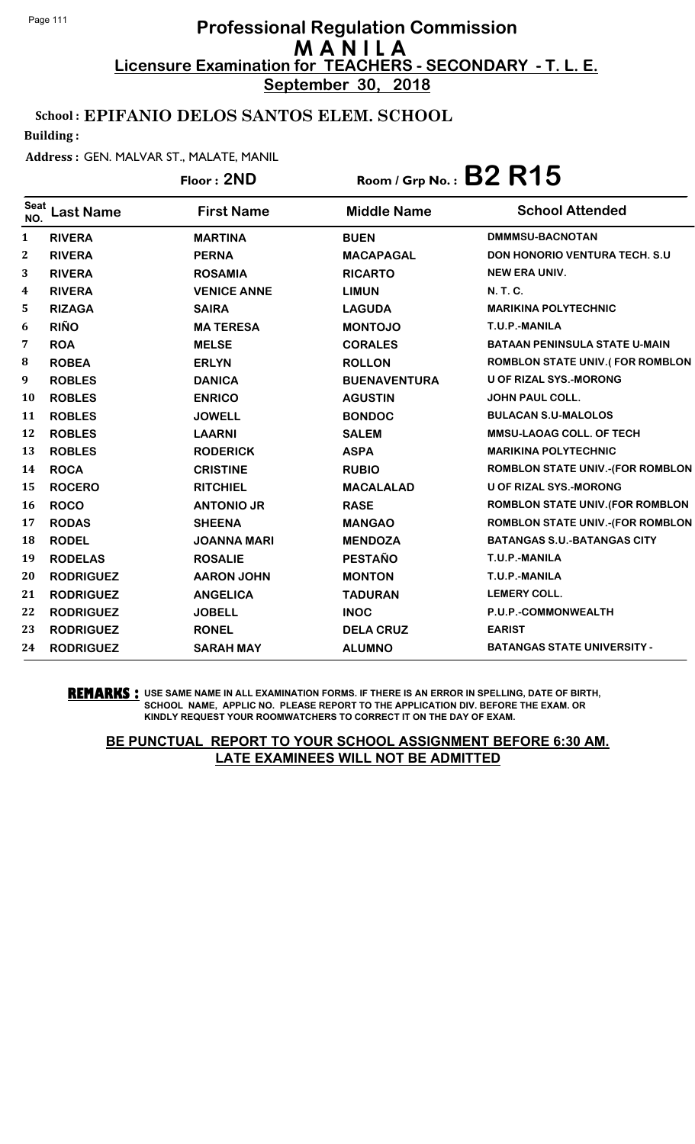**September 30, 2018**

## School : EPIFANIO DELOS SANTOS ELEM. SCHOOL

Building :

#### Address : GEN. MALVAR ST., MALATE, MANIL

## Floor : **2ND** Room / Grp No. : **B2 R15**

| <b>Seat</b><br>NO. | <b>Last Name</b> | <b>First Name</b>  | <b>Middle Name</b>  | <b>School Attended</b>                  |
|--------------------|------------------|--------------------|---------------------|-----------------------------------------|
| $\mathbf{1}$       | <b>RIVERA</b>    | <b>MARTINA</b>     | <b>BUEN</b>         | <b>DMMMSU-BACNOTAN</b>                  |
| $\boldsymbol{2}$   | <b>RIVERA</b>    | <b>PERNA</b>       | <b>MACAPAGAL</b>    | DON HONORIO VENTURA TECH. S.U           |
| 3                  | <b>RIVERA</b>    | <b>ROSAMIA</b>     | <b>RICARTO</b>      | <b>NEW ERA UNIV.</b>                    |
| 4                  | <b>RIVERA</b>    | <b>VENICE ANNE</b> | <b>LIMUN</b>        | <b>N.T.C.</b>                           |
| 5                  | <b>RIZAGA</b>    | <b>SAIRA</b>       | <b>LAGUDA</b>       | <b>MARIKINA POLYTECHNIC</b>             |
| 6                  | <b>RIÑO</b>      | <b>MATERESA</b>    | <b>MONTOJO</b>      | T.U.P.-MANILA                           |
| 7                  | <b>ROA</b>       | <b>MELSE</b>       | <b>CORALES</b>      | <b>BATAAN PENINSULA STATE U-MAIN</b>    |
| 8                  | <b>ROBEA</b>     | <b>ERLYN</b>       | <b>ROLLON</b>       | <b>ROMBLON STATE UNIV.(FOR ROMBLON</b>  |
| 9                  | <b>ROBLES</b>    | <b>DANICA</b>      | <b>BUENAVENTURA</b> | <b>U OF RIZAL SYS.-MORONG</b>           |
| <b>10</b>          | <b>ROBLES</b>    | <b>ENRICO</b>      | <b>AGUSTIN</b>      | <b>JOHN PAUL COLL.</b>                  |
| 11                 | <b>ROBLES</b>    | <b>JOWELL</b>      | <b>BONDOC</b>       | <b>BULACAN S.U-MALOLOS</b>              |
| 12                 | <b>ROBLES</b>    | <b>LAARNI</b>      | <b>SALEM</b>        | <b>MMSU-LAOAG COLL. OF TECH</b>         |
| 13                 | <b>ROBLES</b>    | <b>RODERICK</b>    | <b>ASPA</b>         | <b>MARIKINA POLYTECHNIC</b>             |
| 14                 | <b>ROCA</b>      | <b>CRISTINE</b>    | <b>RUBIO</b>        | <b>ROMBLON STATE UNIV.-(FOR ROMBLON</b> |
| 15                 | <b>ROCERO</b>    | <b>RITCHIEL</b>    | <b>MACALALAD</b>    | <b>U OF RIZAL SYS.-MORONG</b>           |
| 16                 | <b>ROCO</b>      | <b>ANTONIO JR</b>  | <b>RASE</b>         | <b>ROMBLON STATE UNIV. (FOR ROMBLON</b> |
| 17                 | <b>RODAS</b>     | <b>SHEENA</b>      | <b>MANGAO</b>       | <b>ROMBLON STATE UNIV.-(FOR ROMBLON</b> |
| 18                 | <b>RODEL</b>     | <b>JOANNA MARI</b> | <b>MENDOZA</b>      | <b>BATANGAS S.U.-BATANGAS CITY</b>      |
| 19                 | <b>RODELAS</b>   | <b>ROSALIE</b>     | <b>PESTAÑO</b>      | T.U.P.-MANILA                           |
| 20                 | <b>RODRIGUEZ</b> | <b>AARON JOHN</b>  | <b>MONTON</b>       | T.U.P.-MANILA                           |
| 21                 | <b>RODRIGUEZ</b> | <b>ANGELICA</b>    | <b>TADURAN</b>      | <b>LEMERY COLL.</b>                     |
| 22                 | <b>RODRIGUEZ</b> | <b>JOBELL</b>      | <b>INOC</b>         | P.U.P.-COMMONWEALTH                     |
| 23                 | <b>RODRIGUEZ</b> | <b>RONEL</b>       | <b>DELA CRUZ</b>    | <b>EARIST</b>                           |
| 24                 | <b>RODRIGUEZ</b> | <b>SARAH MAY</b>   | <b>ALUMNO</b>       | <b>BATANGAS STATE UNIVERSITY -</b>      |
|                    |                  |                    |                     |                                         |

**REMARKS :** USE SAME NAME IN ALL EXAMINATION FORMS. IF THERE IS AN ERROR IN SPELLING, DATE OF BIRTH, SCHOOL NAME, APPLIC NO. PLEASE REPORT TO THE APPLICATION DIV. BEFORE THE EXAM. OR KINDLY REQUEST YOUR ROOMWATCHERS TO CORRECT IT ON THE DAY OF EXAM.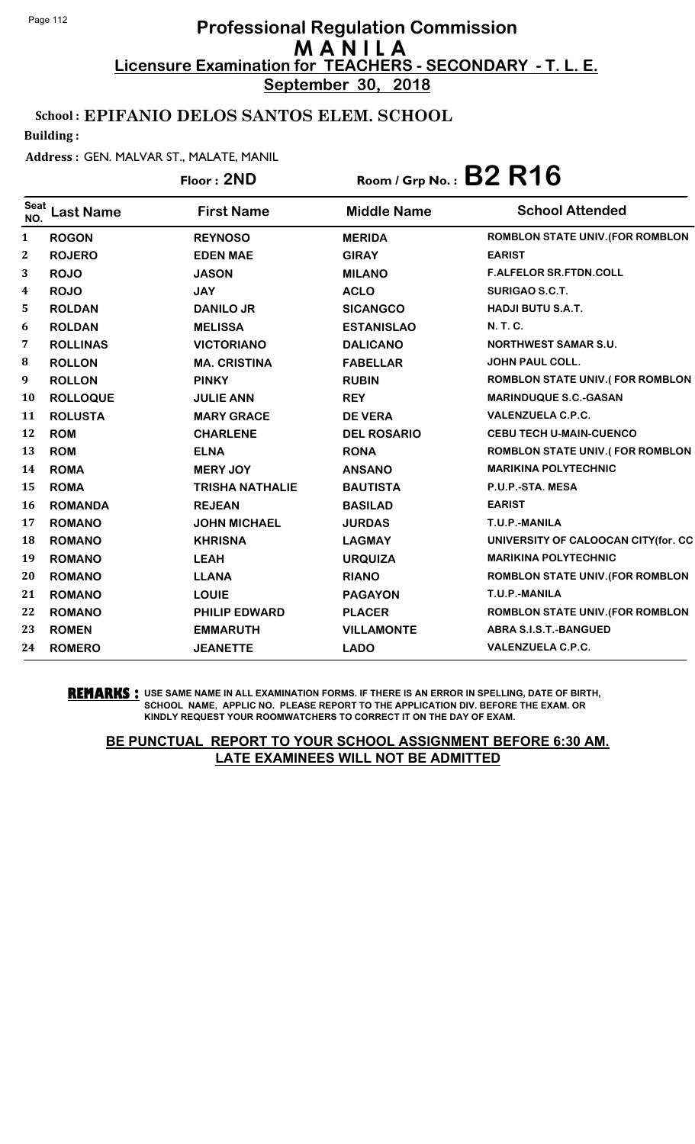**September 30, 2018**

### School : EPIFANIO DELOS SANTOS ELEM. SCHOOL

Building :

#### Address : GEN. MALVAR ST., MALATE, MANIL

|                    |                  | Floor: 2ND             |                    | Room / Grp No.: B2 R16                  |
|--------------------|------------------|------------------------|--------------------|-----------------------------------------|
| <b>Seat</b><br>NO. | <b>Last Name</b> | <b>First Name</b>      | <b>Middle Name</b> | <b>School Attended</b>                  |
| 1                  | <b>ROGON</b>     | <b>REYNOSO</b>         | <b>MERIDA</b>      | ROMBLON STATE UNIV. (FOR ROMBLON        |
| $\boldsymbol{2}$   | <b>ROJERO</b>    | <b>EDEN MAE</b>        | <b>GIRAY</b>       | <b>EARIST</b>                           |
| 3                  | <b>ROJO</b>      | <b>JASON</b>           | <b>MILANO</b>      | <b>F.ALFELOR SR.FTDN.COLL</b>           |
| 4                  | <b>ROJO</b>      | <b>JAY</b>             | <b>ACLO</b>        | <b>SURIGAO S.C.T.</b>                   |
| 5                  | <b>ROLDAN</b>    | <b>DANILO JR</b>       | <b>SICANGCO</b>    | <b>HADJI BUTU S.A.T.</b>                |
| 6                  | <b>ROLDAN</b>    | <b>MELISSA</b>         | <b>ESTANISLAO</b>  | <b>N. T. C.</b>                         |
| 7                  | <b>ROLLINAS</b>  | <b>VICTORIANO</b>      | <b>DALICANO</b>    | <b>NORTHWEST SAMAR S.U.</b>             |
| ${\bf 8}$          | <b>ROLLON</b>    | <b>MA. CRISTINA</b>    | <b>FABELLAR</b>    | <b>JOHN PAUL COLL.</b>                  |
| 9                  | <b>ROLLON</b>    | <b>PINKY</b>           | <b>RUBIN</b>       | <b>ROMBLON STATE UNIV.(FOR ROMBLON</b>  |
| <b>10</b>          | <b>ROLLOQUE</b>  | <b>JULIE ANN</b>       | <b>REY</b>         | <b>MARINDUQUE S.C.-GASAN</b>            |
| 11                 | <b>ROLUSTA</b>   | <b>MARY GRACE</b>      | <b>DE VERA</b>     | <b>VALENZUELA C.P.C.</b>                |
| 12                 | <b>ROM</b>       | <b>CHARLENE</b>        | <b>DEL ROSARIO</b> | <b>CEBU TECH U-MAIN-CUENCO</b>          |
| 13                 | <b>ROM</b>       | <b>ELNA</b>            | <b>RONA</b>        | <b>ROMBLON STATE UNIV.(FOR ROMBLON</b>  |
| 14                 | <b>ROMA</b>      | <b>MERY JOY</b>        | <b>ANSANO</b>      | <b>MARIKINA POLYTECHNIC</b>             |
| 15                 | <b>ROMA</b>      | <b>TRISHA NATHALIE</b> | <b>BAUTISTA</b>    | P.U.P.-STA. MESA                        |
| 16                 | <b>ROMANDA</b>   | <b>REJEAN</b>          | <b>BASILAD</b>     | <b>EARIST</b>                           |
| 17                 | <b>ROMANO</b>    | <b>JOHN MICHAEL</b>    | <b>JURDAS</b>      | T.U.P.-MANILA                           |
| 18                 | <b>ROMANO</b>    | <b>KHRISNA</b>         | <b>LAGMAY</b>      | UNIVERSITY OF CALOOCAN CITY(for. CC     |
| 19                 | <b>ROMANO</b>    | <b>LEAH</b>            | <b>URQUIZA</b>     | <b>MARIKINA POLYTECHNIC</b>             |
| 20                 | <b>ROMANO</b>    | <b>LLANA</b>           | <b>RIANO</b>       | <b>ROMBLON STATE UNIV. (FOR ROMBLON</b> |
| 21                 | <b>ROMANO</b>    | <b>LOUIE</b>           | <b>PAGAYON</b>     | T.U.P.-MANILA                           |
| 22                 | <b>ROMANO</b>    | <b>PHILIP EDWARD</b>   | <b>PLACER</b>      | <b>ROMBLON STATE UNIV. (FOR ROMBLON</b> |
| 23                 | <b>ROMEN</b>     | <b>EMMARUTH</b>        | <b>VILLAMONTE</b>  | <b>ABRA S.I.S.T.-BANGUED</b>            |
| 24                 | <b>ROMERO</b>    | <b>JEANETTE</b>        | <b>LADO</b>        | <b>VALENZUELA C.P.C.</b>                |

**REMARKS :** USE SAME NAME IN ALL EXAMINATION FORMS. IF THERE IS AN ERROR IN SPELLING, DATE OF BIRTH, SCHOOL NAME, APPLIC NO. PLEASE REPORT TO THE APPLICATION DIV. BEFORE THE EXAM. OR KINDLY REQUEST YOUR ROOMWATCHERS TO CORRECT IT ON THE DAY OF EXAM.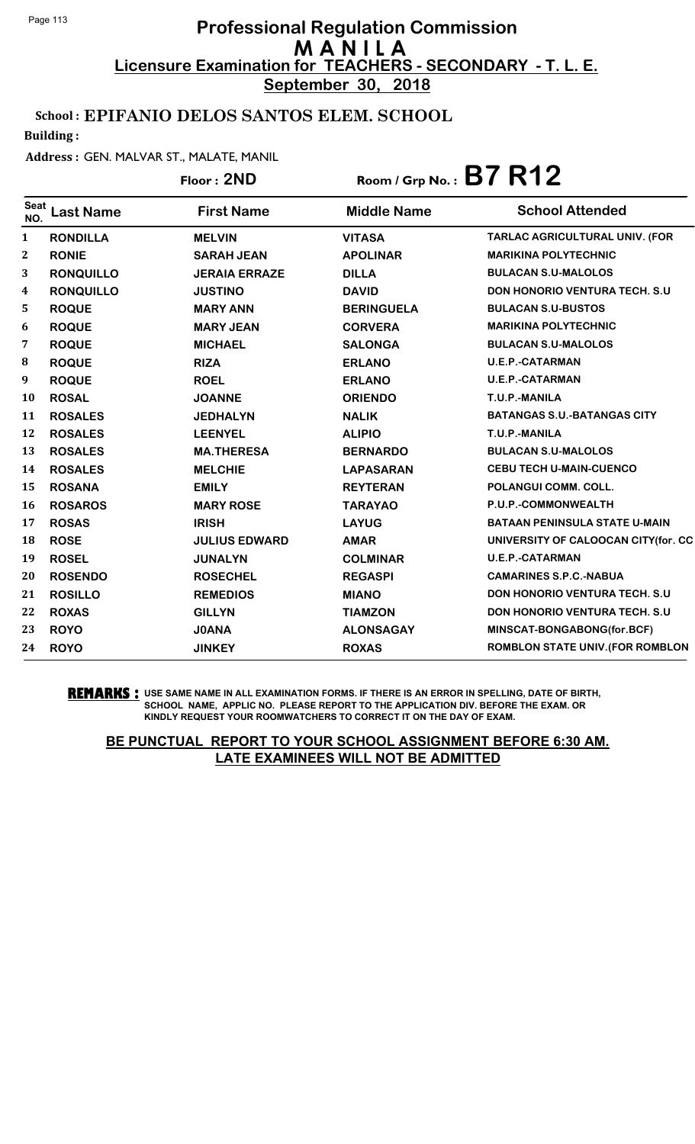**September 30, 2018**

### School : EPIFANIO DELOS SANTOS ELEM. SCHOOL

Building :

#### Address : GEN. MALVAR ST., MALATE, MANIL

## Floor : **2ND** Room / Grp No. : **B7 R12**

| <b>Seat</b><br>NO. | Last Name        | <b>First Name</b>    | <b>Middle Name</b> | <b>School Attended</b>                  |
|--------------------|------------------|----------------------|--------------------|-----------------------------------------|
| $\mathbf{1}$       | <b>RONDILLA</b>  | <b>MELVIN</b>        | <b>VITASA</b>      | TARLAC AGRICULTURAL UNIV. (FOR          |
| $\mathbf{2}$       | <b>RONIE</b>     | <b>SARAH JEAN</b>    | <b>APOLINAR</b>    | <b>MARIKINA POLYTECHNIC</b>             |
| 3                  | <b>RONQUILLO</b> | <b>JERAIA ERRAZE</b> | <b>DILLA</b>       | <b>BULACAN S.U-MALOLOS</b>              |
| 4                  | <b>RONQUILLO</b> | <b>JUSTINO</b>       | <b>DAVID</b>       | <b>DON HONORIO VENTURA TECH. S.U.</b>   |
| 5                  | <b>ROQUE</b>     | <b>MARY ANN</b>      | <b>BERINGUELA</b>  | <b>BULACAN S.U-BUSTOS</b>               |
| 6                  | <b>ROQUE</b>     | <b>MARY JEAN</b>     | <b>CORVERA</b>     | <b>MARIKINA POLYTECHNIC</b>             |
| 7                  | <b>ROQUE</b>     | <b>MICHAEL</b>       | <b>SALONGA</b>     | <b>BULACAN S.U-MALOLOS</b>              |
| 8                  | <b>ROQUE</b>     | <b>RIZA</b>          | <b>ERLANO</b>      | <b>U.E.P.-CATARMAN</b>                  |
| 9                  | <b>ROQUE</b>     | <b>ROEL</b>          | <b>ERLANO</b>      | <b>U.E.P.-CATARMAN</b>                  |
| <b>10</b>          | <b>ROSAL</b>     | <b>JOANNE</b>        | <b>ORIENDO</b>     | T.U.P.-MANILA                           |
| 11                 | <b>ROSALES</b>   | <b>JEDHALYN</b>      | <b>NALIK</b>       | <b>BATANGAS S.U.-BATANGAS CITY</b>      |
| 12                 | <b>ROSALES</b>   | <b>LEENYEL</b>       | <b>ALIPIO</b>      | T.U.P.-MANILA                           |
| 13                 | <b>ROSALES</b>   | <b>MA.THERESA</b>    | <b>BERNARDO</b>    | <b>BULACAN S.U-MALOLOS</b>              |
| 14                 | <b>ROSALES</b>   | <b>MELCHIE</b>       | <b>LAPASARAN</b>   | <b>CEBU TECH U-MAIN-CUENCO</b>          |
| 15                 | <b>ROSANA</b>    | <b>EMILY</b>         | <b>REYTERAN</b>    | POLANGUI COMM. COLL.                    |
| <b>16</b>          | <b>ROSAROS</b>   | <b>MARY ROSE</b>     | <b>TARAYAO</b>     | P.U.P.-COMMONWEALTH                     |
| 17                 | <b>ROSAS</b>     | <b>IRISH</b>         | <b>LAYUG</b>       | <b>BATAAN PENINSULA STATE U-MAIN</b>    |
| 18                 | <b>ROSE</b>      | <b>JULIUS EDWARD</b> | <b>AMAR</b>        | UNIVERSITY OF CALOOCAN CITY(for. CC     |
| 19                 | <b>ROSEL</b>     | <b>JUNALYN</b>       | <b>COLMINAR</b>    | <b>U.E.P.-CATARMAN</b>                  |
| 20                 | <b>ROSENDO</b>   | <b>ROSECHEL</b>      | <b>REGASPI</b>     | <b>CAMARINES S.P.C.-NABUA</b>           |
| 21                 | <b>ROSILLO</b>   | <b>REMEDIOS</b>      | <b>MIANO</b>       | <b>DON HONORIO VENTURA TECH. S.U.</b>   |
| 22                 | <b>ROXAS</b>     | <b>GILLYN</b>        | <b>TIAMZON</b>     | <b>DON HONORIO VENTURA TECH. S.U.</b>   |
| 23                 | <b>ROYO</b>      | <b>JOANA</b>         | <b>ALONSAGAY</b>   | MINSCAT-BONGABONG(for.BCF)              |
| 24                 | <b>ROYO</b>      | <b>JINKEY</b>        | <b>ROXAS</b>       | <b>ROMBLON STATE UNIV. (FOR ROMBLON</b> |

#### **REMARKS :** USE SAME NAME IN ALL EXAMINATION FORMS. IF THERE IS AN ERROR IN SPELLING, DATE OF BIRTH, SCHOOL NAME, APPLIC NO. PLEASE REPORT TO THE APPLICATION DIV. BEFORE THE EXAM. OR KINDLY REQUEST YOUR ROOMWATCHERS TO CORRECT IT ON THE DAY OF EXAM.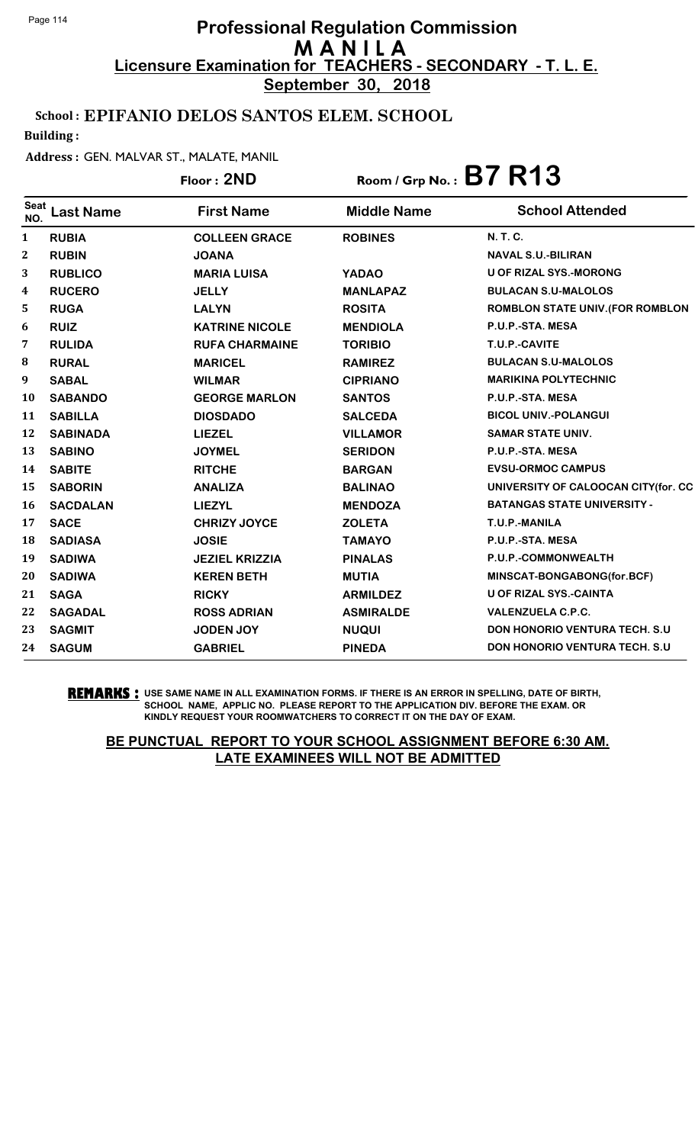**September 30, 2018**

### School : EPIFANIO DELOS SANTOS ELEM. SCHOOL

Building :

#### Address : GEN. MALVAR ST., MALATE, MANIL

|              |                  | Floor: 2ND            |                    | Room / Grp No.: B7 R13                  |
|--------------|------------------|-----------------------|--------------------|-----------------------------------------|
| Seat<br>NO.  | <b>Last Name</b> | <b>First Name</b>     | <b>Middle Name</b> | <b>School Attended</b>                  |
| $\mathbf{1}$ | <b>RUBIA</b>     | <b>COLLEEN GRACE</b>  | <b>ROBINES</b>     | N. T. C.                                |
| 2            | <b>RUBIN</b>     | <b>JOANA</b>          |                    | <b>NAVAL S.U.-BILIRAN</b>               |
| 3            | <b>RUBLICO</b>   | <b>MARIA LUISA</b>    | <b>YADAO</b>       | <b>U OF RIZAL SYS.-MORONG</b>           |
| 4            | <b>RUCERO</b>    | <b>JELLY</b>          | <b>MANLAPAZ</b>    | <b>BULACAN S.U-MALOLOS</b>              |
| 5            | <b>RUGA</b>      | <b>LALYN</b>          | <b>ROSITA</b>      | <b>ROMBLON STATE UNIV. (FOR ROMBLON</b> |
| 6            | <b>RUIZ</b>      | <b>KATRINE NICOLE</b> | <b>MENDIOLA</b>    | P.U.P.-STA. MESA                        |
| 7            | <b>RULIDA</b>    | <b>RUFA CHARMAINE</b> | <b>TORIBIO</b>     | T.U.P.-CAVITE                           |
| 8            | <b>RURAL</b>     | <b>MARICEL</b>        | <b>RAMIREZ</b>     | <b>BULACAN S.U-MALOLOS</b>              |
| 9            | <b>SABAL</b>     | <b>WILMAR</b>         | <b>CIPRIANO</b>    | <b>MARIKINA POLYTECHNIC</b>             |
| 10           | <b>SABANDO</b>   | <b>GEORGE MARLON</b>  | <b>SANTOS</b>      | P.U.P.-STA. MESA                        |
| 11           | <b>SABILLA</b>   | <b>DIOSDADO</b>       | <b>SALCEDA</b>     | <b>BICOL UNIV.-POLANGUI</b>             |
| 12           | <b>SABINADA</b>  | <b>LIEZEL</b>         | <b>VILLAMOR</b>    | <b>SAMAR STATE UNIV.</b>                |
| 13           | <b>SABINO</b>    | <b>JOYMEL</b>         | <b>SERIDON</b>     | P.U.P.-STA. MESA                        |
| 14           | <b>SABITE</b>    | <b>RITCHE</b>         | <b>BARGAN</b>      | <b>EVSU-ORMOC CAMPUS</b>                |
| 15           | <b>SABORIN</b>   | <b>ANALIZA</b>        | <b>BALINAO</b>     | UNIVERSITY OF CALOOCAN CITY(for. CC     |
| 16           | <b>SACDALAN</b>  | <b>LIEZYL</b>         | <b>MENDOZA</b>     | <b>BATANGAS STATE UNIVERSITY -</b>      |
| 17           | <b>SACE</b>      | <b>CHRIZY JOYCE</b>   | <b>ZOLETA</b>      | T.U.P.-MANILA                           |
| 18           | <b>SADIASA</b>   | <b>JOSIE</b>          | <b>TAMAYO</b>      | P.U.P.-STA. MESA                        |
| 19           | <b>SADIWA</b>    | <b>JEZIEL KRIZZIA</b> | <b>PINALAS</b>     | P.U.P.-COMMONWEALTH                     |
| 20           | <b>SADIWA</b>    | <b>KEREN BETH</b>     | <b>MUTIA</b>       | MINSCAT-BONGABONG(for.BCF)              |
| 21           | <b>SAGA</b>      | <b>RICKY</b>          | <b>ARMILDEZ</b>    | <b>U OF RIZAL SYS.-CAINTA</b>           |
| 22           | <b>SAGADAL</b>   | <b>ROSS ADRIAN</b>    | <b>ASMIRALDE</b>   | <b>VALENZUELA C.P.C.</b>                |
| 23           | <b>SAGMIT</b>    | <b>JODEN JOY</b>      | <b>NUQUI</b>       | <b>DON HONORIO VENTURA TECH. S.U.</b>   |
| 24           | <b>SAGUM</b>     | <b>GABRIEL</b>        | <b>PINEDA</b>      | <b>DON HONORIO VENTURA TECH. S.U</b>    |

#### **REMARKS :** USE SAME NAME IN ALL EXAMINATION FORMS. IF THERE IS AN ERROR IN SPELLING, DATE OF BIRTH, SCHOOL NAME, APPLIC NO. PLEASE REPORT TO THE APPLICATION DIV. BEFORE THE EXAM. OR KINDLY REQUEST YOUR ROOMWATCHERS TO CORRECT IT ON THE DAY OF EXAM.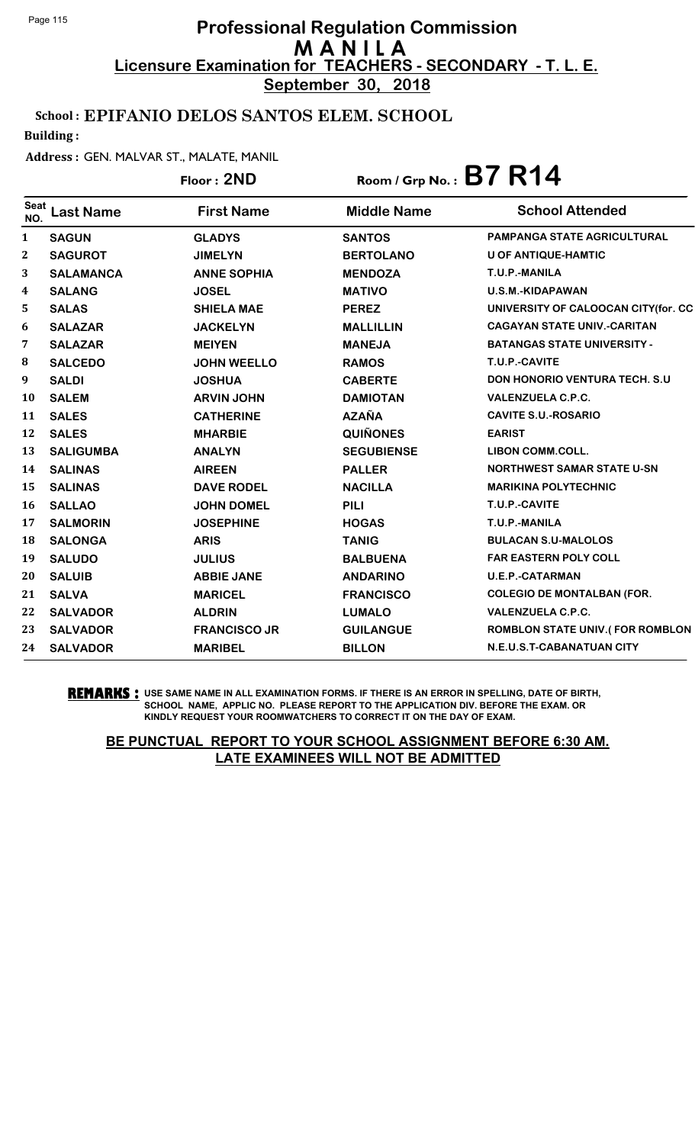**September 30, 2018**

## School : EPIFANIO DELOS SANTOS ELEM. SCHOOL

Building :

#### Address : GEN. MALVAR ST., MALATE, MANIL

## Floor : **2ND** Room / Grp No. : **B7 R14**

| <b>Seat</b><br>NO. | <b>Last Name</b> | <b>First Name</b>   | <b>Middle Name</b> | <b>School Attended</b>                 |
|--------------------|------------------|---------------------|--------------------|----------------------------------------|
| 1                  | <b>SAGUN</b>     | <b>GLADYS</b>       | <b>SANTOS</b>      | <b>PAMPANGA STATE AGRICULTURAL</b>     |
| $\boldsymbol{2}$   | <b>SAGUROT</b>   | <b>JIMELYN</b>      | <b>BERTOLANO</b>   | <b>U OF ANTIQUE-HAMTIC</b>             |
| 3                  | <b>SALAMANCA</b> | <b>ANNE SOPHIA</b>  | <b>MENDOZA</b>     | T.U.P.-MANILA                          |
| 4                  | <b>SALANG</b>    | <b>JOSEL</b>        | <b>MATIVO</b>      | U.S.M.-KIDAPAWAN                       |
| 5                  | <b>SALAS</b>     | <b>SHIELA MAE</b>   | <b>PEREZ</b>       | UNIVERSITY OF CALOOCAN CITY(for. CC    |
| 6                  | <b>SALAZAR</b>   | <b>JACKELYN</b>     | <b>MALLILLIN</b>   | <b>CAGAYAN STATE UNIV.-CARITAN</b>     |
| 7                  | <b>SALAZAR</b>   | <b>MEIYEN</b>       | <b>MANEJA</b>      | <b>BATANGAS STATE UNIVERSITY -</b>     |
| 8                  | <b>SALCEDO</b>   | <b>JOHN WEELLO</b>  | <b>RAMOS</b>       | T.U.P.-CAVITE                          |
| 9                  | <b>SALDI</b>     | <b>JOSHUA</b>       | <b>CABERTE</b>     | <b>DON HONORIO VENTURA TECH. S.U</b>   |
| 10                 | <b>SALEM</b>     | <b>ARVIN JOHN</b>   | <b>DAMIOTAN</b>    | <b>VALENZUELA C.P.C.</b>               |
| 11                 | <b>SALES</b>     | <b>CATHERINE</b>    | <b>AZAÑA</b>       | <b>CAVITE S.U.-ROSARIO</b>             |
| 12                 | <b>SALES</b>     | <b>MHARBIE</b>      | <b>QUIÑONES</b>    | <b>EARIST</b>                          |
| 13                 | <b>SALIGUMBA</b> | <b>ANALYN</b>       | <b>SEGUBIENSE</b>  | <b>LIBON COMM.COLL.</b>                |
| 14                 | <b>SALINAS</b>   | <b>AIREEN</b>       | <b>PALLER</b>      | <b>NORTHWEST SAMAR STATE U-SN</b>      |
| 15                 | <b>SALINAS</b>   | <b>DAVE RODEL</b>   | <b>NACILLA</b>     | <b>MARIKINA POLYTECHNIC</b>            |
| 16                 | <b>SALLAO</b>    | <b>JOHN DOMEL</b>   | <b>PILI</b>        | T.U.P.-CAVITE                          |
| 17                 | <b>SALMORIN</b>  | <b>JOSEPHINE</b>    | <b>HOGAS</b>       | T.U.P.-MANILA                          |
| 18                 | <b>SALONGA</b>   | <b>ARIS</b>         | <b>TANIG</b>       | <b>BULACAN S.U-MALOLOS</b>             |
| 19                 | <b>SALUDO</b>    | <b>JULIUS</b>       | <b>BALBUENA</b>    | <b>FAR EASTERN POLY COLL</b>           |
| 20                 | <b>SALUIB</b>    | <b>ABBIE JANE</b>   | <b>ANDARINO</b>    | <b>U.E.P.-CATARMAN</b>                 |
| 21                 | <b>SALVA</b>     | <b>MARICEL</b>      | <b>FRANCISCO</b>   | <b>COLEGIO DE MONTALBAN (FOR.</b>      |
| 22                 | <b>SALVADOR</b>  | <b>ALDRIN</b>       | <b>LUMALO</b>      | <b>VALENZUELA C.P.C.</b>               |
| 23                 | <b>SALVADOR</b>  | <b>FRANCISCO JR</b> | <b>GUILANGUE</b>   | <b>ROMBLON STATE UNIV.(FOR ROMBLON</b> |
| 24                 | <b>SALVADOR</b>  | <b>MARIBEL</b>      | <b>BILLON</b>      | N.E.U.S.T-CABANATUAN CITY              |

#### **REMARKS :** USE SAME NAME IN ALL EXAMINATION FORMS. IF THERE IS AN ERROR IN SPELLING, DATE OF BIRTH, SCHOOL NAME, APPLIC NO. PLEASE REPORT TO THE APPLICATION DIV. BEFORE THE EXAM. OR KINDLY REQUEST YOUR ROOMWATCHERS TO CORRECT IT ON THE DAY OF EXAM.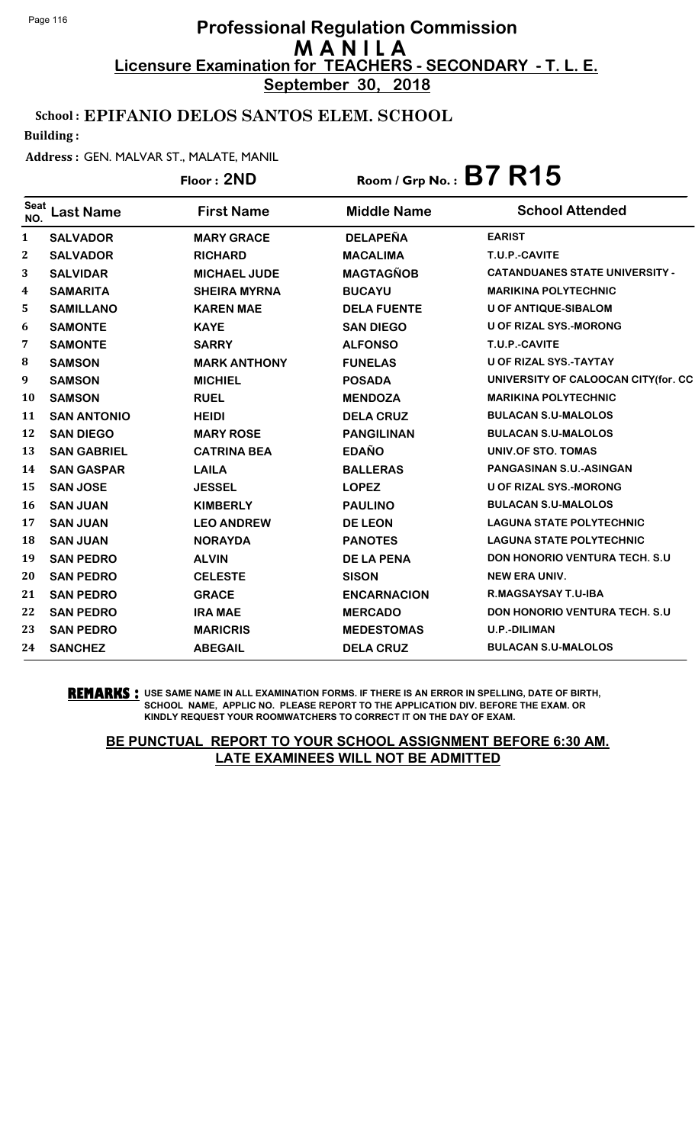**September 30, 2018**

## School : EPIFANIO DELOS SANTOS ELEM. SCHOOL

Building :

### Address : GEN. MALVAR ST., MALATE, MANIL

## Floor : **2ND** Room / Grp No. : **B7 R15**

| <b>Seat</b><br>NO. | Last Name          | <b>First Name</b>   | <b>Middle Name</b> | <b>School Attended</b>                |
|--------------------|--------------------|---------------------|--------------------|---------------------------------------|
| 1                  | <b>SALVADOR</b>    | <b>MARY GRACE</b>   | <b>DELAPEÑA</b>    | <b>EARIST</b>                         |
| $\mathbf{2}$       | <b>SALVADOR</b>    | <b>RICHARD</b>      | <b>MACALIMA</b>    | T.U.P.-CAVITE                         |
| 3                  | <b>SALVIDAR</b>    | <b>MICHAEL JUDE</b> | <b>MAGTAGÑOB</b>   | <b>CATANDUANES STATE UNIVERSITY -</b> |
| 4                  | <b>SAMARITA</b>    | <b>SHEIRA MYRNA</b> | <b>BUCAYU</b>      | <b>MARIKINA POLYTECHNIC</b>           |
| 5                  | <b>SAMILLANO</b>   | <b>KAREN MAE</b>    | <b>DELA FUENTE</b> | <b>U OF ANTIQUE-SIBALOM</b>           |
| 6                  | <b>SAMONTE</b>     | <b>KAYE</b>         | <b>SAN DIEGO</b>   | <b>U OF RIZAL SYS.-MORONG</b>         |
| 7                  | <b>SAMONTE</b>     | <b>SARRY</b>        | <b>ALFONSO</b>     | T.U.P.-CAVITE                         |
| 8                  | <b>SAMSON</b>      | <b>MARK ANTHONY</b> | <b>FUNELAS</b>     | <b>U OF RIZAL SYS.-TAYTAY</b>         |
| 9                  | <b>SAMSON</b>      | <b>MICHIEL</b>      | <b>POSADA</b>      | UNIVERSITY OF CALOOCAN CITY(for. CC   |
| 10                 | <b>SAMSON</b>      | <b>RUEL</b>         | <b>MENDOZA</b>     | <b>MARIKINA POLYTECHNIC</b>           |
| 11                 | <b>SAN ANTONIO</b> | <b>HEIDI</b>        | <b>DELA CRUZ</b>   | <b>BULACAN S.U-MALOLOS</b>            |
| 12                 | <b>SAN DIEGO</b>   | <b>MARY ROSE</b>    | <b>PANGILINAN</b>  | <b>BULACAN S.U-MALOLOS</b>            |
| 13                 | <b>SAN GABRIEL</b> | <b>CATRINA BEA</b>  | <b>EDAÑO</b>       | UNIV.OF STO. TOMAS                    |
| 14                 | <b>SAN GASPAR</b>  | <b>LAILA</b>        | <b>BALLERAS</b>    | <b>PANGASINAN S.U.-ASINGAN</b>        |
| 15                 | <b>SAN JOSE</b>    | <b>JESSEL</b>       | <b>LOPEZ</b>       | <b>U OF RIZAL SYS.-MORONG</b>         |
| 16                 | <b>SAN JUAN</b>    | <b>KIMBERLY</b>     | <b>PAULINO</b>     | <b>BULACAN S.U-MALOLOS</b>            |
| 17                 | <b>SAN JUAN</b>    | <b>LEO ANDREW</b>   | <b>DE LEON</b>     | <b>LAGUNA STATE POLYTECHNIC</b>       |
| 18                 | <b>SAN JUAN</b>    | <b>NORAYDA</b>      | <b>PANOTES</b>     | <b>LAGUNA STATE POLYTECHNIC</b>       |
| 19                 | <b>SAN PEDRO</b>   | <b>ALVIN</b>        | <b>DE LA PENA</b>  | <b>DON HONORIO VENTURA TECH. S.U.</b> |
| 20                 | <b>SAN PEDRO</b>   | <b>CELESTE</b>      | <b>SISON</b>       | <b>NEW ERA UNIV.</b>                  |
| 21                 | <b>SAN PEDRO</b>   | <b>GRACE</b>        | <b>ENCARNACION</b> | <b>R.MAGSAYSAY T.U-IBA</b>            |
| 22                 | <b>SAN PEDRO</b>   | <b>IRA MAE</b>      | <b>MERCADO</b>     | <b>DON HONORIO VENTURA TECH. S.U.</b> |
| 23                 | <b>SAN PEDRO</b>   | <b>MARICRIS</b>     | <b>MEDESTOMAS</b>  | <b>U.P.-DILIMAN</b>                   |
| 24                 | <b>SANCHEZ</b>     | <b>ABEGAIL</b>      | <b>DELA CRUZ</b>   | <b>BULACAN S.U-MALOLOS</b>            |

**REMARKS :** USE SAME NAME IN ALL EXAMINATION FORMS. IF THERE IS AN ERROR IN SPELLING, DATE OF BIRTH, SCHOOL NAME, APPLIC NO. PLEASE REPORT TO THE APPLICATION DIV. BEFORE THE EXAM. OR KINDLY REQUEST YOUR ROOMWATCHERS TO CORRECT IT ON THE DAY OF EXAM.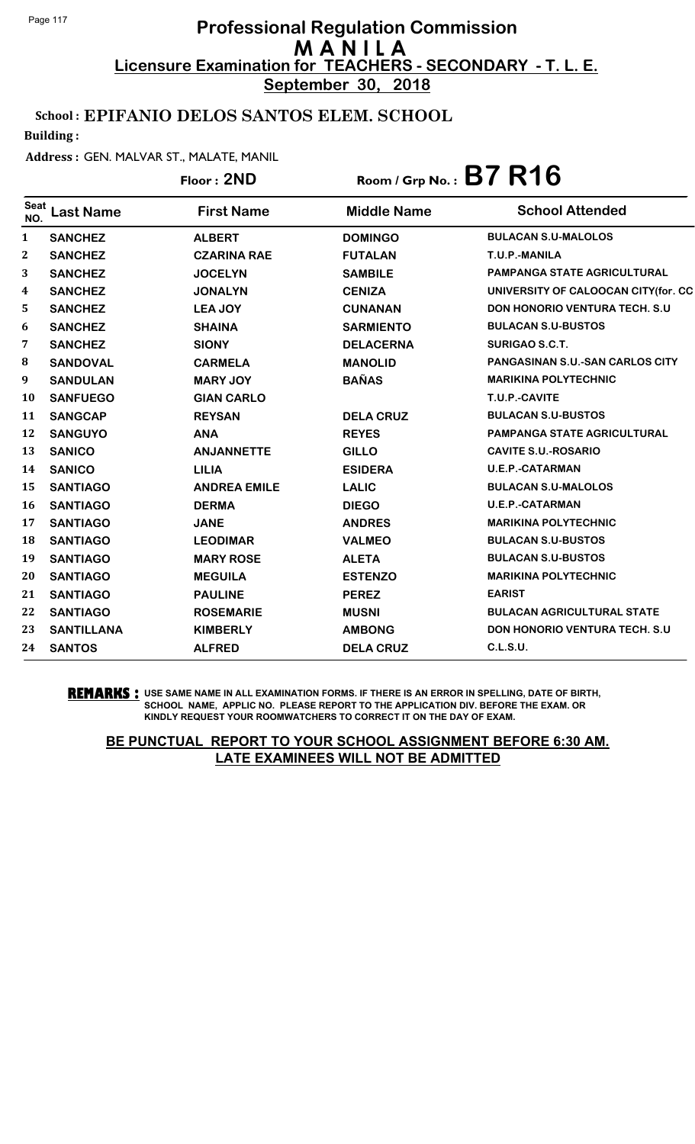**September 30, 2018**

### School : EPIFANIO DELOS SANTOS ELEM. SCHOOL

Building :

#### Address : GEN. MALVAR ST., MALATE, MANIL

## Floor : **2ND** Room / Grp No. : **B7 R16**

| <b>Seat</b><br>NO. | <b>Last Name</b>  | <b>First Name</b>   | <b>Middle Name</b> | <b>School Attended</b>                 |
|--------------------|-------------------|---------------------|--------------------|----------------------------------------|
| $\mathbf{1}$       | <b>SANCHEZ</b>    | <b>ALBERT</b>       | <b>DOMINGO</b>     | <b>BULACAN S.U-MALOLOS</b>             |
| $\mathbf 2$        | <b>SANCHEZ</b>    | <b>CZARINA RAE</b>  | <b>FUTALAN</b>     | T.U.P.-MANILA                          |
| 3                  | <b>SANCHEZ</b>    | <b>JOCELYN</b>      | <b>SAMBILE</b>     | <b>PAMPANGA STATE AGRICULTURAL</b>     |
| 4                  | <b>SANCHEZ</b>    | <b>JONALYN</b>      | <b>CENIZA</b>      | UNIVERSITY OF CALOOCAN CITY(for. CC    |
| 5                  | <b>SANCHEZ</b>    | <b>LEA JOY</b>      | <b>CUNANAN</b>     | <b>DON HONORIO VENTURA TECH. S.U.</b>  |
| 6                  | <b>SANCHEZ</b>    | <b>SHAINA</b>       | <b>SARMIENTO</b>   | <b>BULACAN S.U-BUSTOS</b>              |
| 7                  | <b>SANCHEZ</b>    | <b>SIONY</b>        | <b>DELACERNA</b>   | <b>SURIGAO S.C.T.</b>                  |
| 8                  | <b>SANDOVAL</b>   | <b>CARMELA</b>      | <b>MANOLID</b>     | <b>PANGASINAN S.U.-SAN CARLOS CITY</b> |
| 9                  | <b>SANDULAN</b>   | <b>MARY JOY</b>     | <b>BAÑAS</b>       | <b>MARIKINA POLYTECHNIC</b>            |
| 10                 | <b>SANFUEGO</b>   | <b>GIAN CARLO</b>   |                    | T.U.P.-CAVITE                          |
| 11                 | <b>SANGCAP</b>    | <b>REYSAN</b>       | <b>DELA CRUZ</b>   | <b>BULACAN S.U-BUSTOS</b>              |
| 12                 | <b>SANGUYO</b>    | <b>ANA</b>          | <b>REYES</b>       | <b>PAMPANGA STATE AGRICULTURAL</b>     |
| 13                 | <b>SANICO</b>     | <b>ANJANNETTE</b>   | <b>GILLO</b>       | <b>CAVITE S.U.-ROSARIO</b>             |
| 14                 | <b>SANICO</b>     | <b>LILIA</b>        | <b>ESIDERA</b>     | <b>U.E.P.-CATARMAN</b>                 |
| 15                 | <b>SANTIAGO</b>   | <b>ANDREA EMILE</b> | <b>LALIC</b>       | <b>BULACAN S.U-MALOLOS</b>             |
| 16                 | <b>SANTIAGO</b>   | <b>DERMA</b>        | <b>DIEGO</b>       | <b>U.E.P.-CATARMAN</b>                 |
| 17                 | <b>SANTIAGO</b>   | <b>JANE</b>         | <b>ANDRES</b>      | <b>MARIKINA POLYTECHNIC</b>            |
| 18                 | <b>SANTIAGO</b>   | <b>LEODIMAR</b>     | <b>VALMEO</b>      | <b>BULACAN S.U-BUSTOS</b>              |
| 19                 | <b>SANTIAGO</b>   | <b>MARY ROSE</b>    | <b>ALETA</b>       | <b>BULACAN S.U-BUSTOS</b>              |
| 20                 | <b>SANTIAGO</b>   | <b>MEGUILA</b>      | <b>ESTENZO</b>     | <b>MARIKINA POLYTECHNIC</b>            |
| 21                 | <b>SANTIAGO</b>   | <b>PAULINE</b>      | <b>PEREZ</b>       | <b>EARIST</b>                          |
| 22                 | <b>SANTIAGO</b>   | <b>ROSEMARIE</b>    | <b>MUSNI</b>       | <b>BULACAN AGRICULTURAL STATE</b>      |
| 23                 | <b>SANTILLANA</b> | <b>KIMBERLY</b>     | <b>AMBONG</b>      | <b>DON HONORIO VENTURA TECH. S.U.</b>  |
| 24                 | <b>SANTOS</b>     | <b>ALFRED</b>       | <b>DELA CRUZ</b>   | <b>C.L.S.U.</b>                        |

**REMARKS :** USE SAME NAME IN ALL EXAMINATION FORMS. IF THERE IS AN ERROR IN SPELLING, DATE OF BIRTH, SCHOOL NAME, APPLIC NO. PLEASE REPORT TO THE APPLICATION DIV. BEFORE THE EXAM. OR KINDLY REQUEST YOUR ROOMWATCHERS TO CORRECT IT ON THE DAY OF EXAM.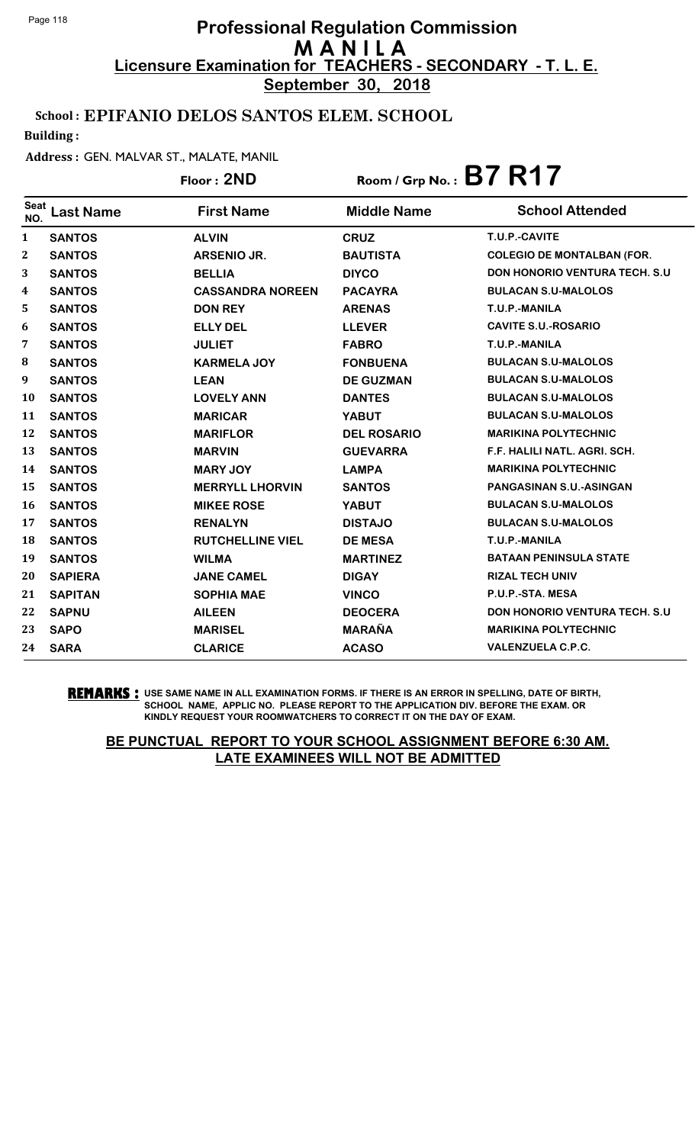**September 30, 2018**

### School : EPIFANIO DELOS SANTOS ELEM. SCHOOL

Building :

#### Address : GEN. MALVAR ST., MALATE, MANIL

Floor : **2ND** Room / Grp No. : **B7 R17**

| <b>Seat</b><br>NO. | <b>Last Name</b> | <b>First Name</b>       | <b>Middle Name</b> | <b>School Attended</b>                |
|--------------------|------------------|-------------------------|--------------------|---------------------------------------|
| $\mathbf{1}$       | <b>SANTOS</b>    | <b>ALVIN</b>            | <b>CRUZ</b>        | T.U.P.-CAVITE                         |
| $\mathbf{2}$       | <b>SANTOS</b>    | ARSENIO JR.             | <b>BAUTISTA</b>    | <b>COLEGIO DE MONTALBAN (FOR.</b>     |
| 3                  | <b>SANTOS</b>    | <b>BELLIA</b>           | <b>DIYCO</b>       | <b>DON HONORIO VENTURA TECH. S.U.</b> |
| 4                  | <b>SANTOS</b>    | <b>CASSANDRA NOREEN</b> | <b>PACAYRA</b>     | <b>BULACAN S.U-MALOLOS</b>            |
| 5                  | <b>SANTOS</b>    | <b>DON REY</b>          | <b>ARENAS</b>      | T.U.P.-MANILA                         |
| 6                  | <b>SANTOS</b>    | <b>ELLY DEL</b>         | <b>LLEVER</b>      | <b>CAVITE S.U.-ROSARIO</b>            |
| 7                  | <b>SANTOS</b>    | <b>JULIET</b>           | <b>FABRO</b>       | T.U.P.-MANILA                         |
| 8                  | <b>SANTOS</b>    | <b>KARMELA JOY</b>      | <b>FONBUENA</b>    | <b>BULACAN S.U-MALOLOS</b>            |
| 9                  | <b>SANTOS</b>    | <b>LEAN</b>             | <b>DE GUZMAN</b>   | <b>BULACAN S.U-MALOLOS</b>            |
| <b>10</b>          | <b>SANTOS</b>    | <b>LOVELY ANN</b>       | <b>DANTES</b>      | <b>BULACAN S.U-MALOLOS</b>            |
| 11                 | <b>SANTOS</b>    | <b>MARICAR</b>          | <b>YABUT</b>       | <b>BULACAN S.U-MALOLOS</b>            |
| 12                 | <b>SANTOS</b>    | <b>MARIFLOR</b>         | <b>DEL ROSARIO</b> | <b>MARIKINA POLYTECHNIC</b>           |
| 13                 | <b>SANTOS</b>    | <b>MARVIN</b>           | <b>GUEVARRA</b>    | F.F. HALILI NATL. AGRI. SCH.          |
| 14                 | <b>SANTOS</b>    | <b>MARY JOY</b>         | <b>LAMPA</b>       | <b>MARIKINA POLYTECHNIC</b>           |
| 15                 | <b>SANTOS</b>    | <b>MERRYLL LHORVIN</b>  | <b>SANTOS</b>      | <b>PANGASINAN S.U.-ASINGAN</b>        |
| 16                 | <b>SANTOS</b>    | <b>MIKEE ROSE</b>       | <b>YABUT</b>       | <b>BULACAN S.U-MALOLOS</b>            |
| 17                 | <b>SANTOS</b>    | <b>RENALYN</b>          | <b>DISTAJO</b>     | <b>BULACAN S.U-MALOLOS</b>            |
| 18                 | <b>SANTOS</b>    | <b>RUTCHELLINE VIEL</b> | <b>DE MESA</b>     | T.U.P.-MANILA                         |
| 19                 | <b>SANTOS</b>    | <b>WILMA</b>            | <b>MARTINEZ</b>    | <b>BATAAN PENINSULA STATE</b>         |
| 20                 | <b>SAPIERA</b>   | <b>JANE CAMEL</b>       | <b>DIGAY</b>       | <b>RIZAL TECH UNIV</b>                |
| 21                 | <b>SAPITAN</b>   | <b>SOPHIA MAE</b>       | <b>VINCO</b>       | P.U.P.-STA. MESA                      |
| 22                 | <b>SAPNU</b>     | <b>AILEEN</b>           | <b>DEOCERA</b>     | <b>DON HONORIO VENTURA TECH. S.U.</b> |
| 23                 | <b>SAPO</b>      | <b>MARISEL</b>          | <b>MARAÑA</b>      | <b>MARIKINA POLYTECHNIC</b>           |
| 24                 | <b>SARA</b>      | <b>CLARICE</b>          | <b>ACASO</b>       | <b>VALENZUELA C.P.C.</b>              |

**REMARKS :** USE SAME NAME IN ALL EXAMINATION FORMS. IF THERE IS AN ERROR IN SPELLING, DATE OF BIRTH, SCHOOL NAME, APPLIC NO. PLEASE REPORT TO THE APPLICATION DIV. BEFORE THE EXAM. OR KINDLY REQUEST YOUR ROOMWATCHERS TO CORRECT IT ON THE DAY OF EXAM.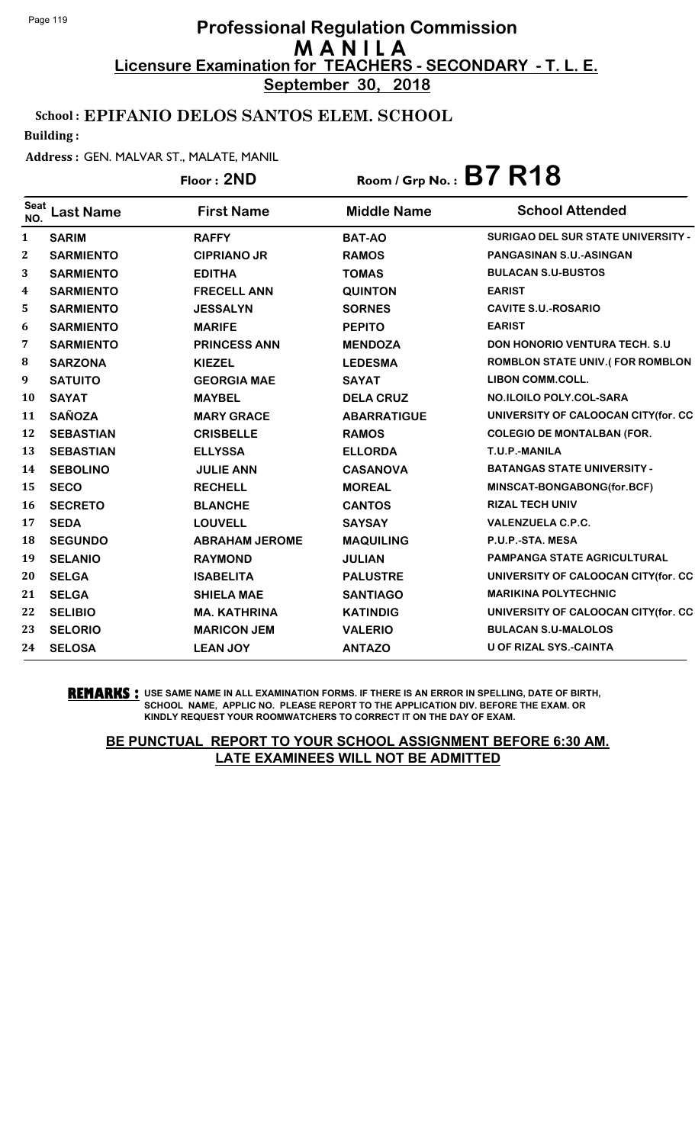**September 30, 2018**

## School : EPIFANIO DELOS SANTOS ELEM. SCHOOL

Building :

### Address : GEN. MALVAR ST., MALATE, MANIL

## Floor : **2ND** Room / Grp No. : **B7 R18**

| <b>Seat</b><br>NO.      | <b>Last Name</b> | <b>First Name</b>     | <b>Middle Name</b> | <b>School Attended</b>                    |
|-------------------------|------------------|-----------------------|--------------------|-------------------------------------------|
| $\mathbf{1}$            | <b>SARIM</b>     | <b>RAFFY</b>          | <b>BAT-AO</b>      | <b>SURIGAO DEL SUR STATE UNIVERSITY -</b> |
| $\mathbf 2$             | <b>SARMIENTO</b> | <b>CIPRIANO JR</b>    | <b>RAMOS</b>       | <b>PANGASINAN S.U.-ASINGAN</b>            |
| 3                       | <b>SARMIENTO</b> | <b>EDITHA</b>         | <b>TOMAS</b>       | <b>BULACAN S.U-BUSTOS</b>                 |
| $\overline{\mathbf{4}}$ | <b>SARMIENTO</b> | <b>FRECELL ANN</b>    | <b>QUINTON</b>     | <b>EARIST</b>                             |
| 5                       | <b>SARMIENTO</b> | <b>JESSALYN</b>       | <b>SORNES</b>      | <b>CAVITE S.U.-ROSARIO</b>                |
| 6                       | <b>SARMIENTO</b> | <b>MARIFE</b>         | <b>PEPITO</b>      | <b>EARIST</b>                             |
| 7                       | <b>SARMIENTO</b> | <b>PRINCESS ANN</b>   | <b>MENDOZA</b>     | <b>DON HONORIO VENTURA TECH. S.U</b>      |
| 8                       | <b>SARZONA</b>   | <b>KIEZEL</b>         | <b>LEDESMA</b>     | <b>ROMBLON STATE UNIV.(FOR ROMBLON</b>    |
| 9                       | <b>SATUITO</b>   | <b>GEORGIA MAE</b>    | <b>SAYAT</b>       | <b>LIBON COMM.COLL.</b>                   |
| 10                      | <b>SAYAT</b>     | <b>MAYBEL</b>         | <b>DELA CRUZ</b>   | NO.ILOILO POLY.COL-SARA                   |
| 11                      | <b>SAÑOZA</b>    | <b>MARY GRACE</b>     | <b>ABARRATIGUE</b> | UNIVERSITY OF CALOOCAN CITY(for. CC       |
| 12                      | <b>SEBASTIAN</b> | <b>CRISBELLE</b>      | <b>RAMOS</b>       | <b>COLEGIO DE MONTALBAN (FOR.</b>         |
| 13                      | <b>SEBASTIAN</b> | <b>ELLYSSA</b>        | <b>ELLORDA</b>     | T.U.P.-MANILA                             |
| 14                      | <b>SEBOLINO</b>  | <b>JULIE ANN</b>      | <b>CASANOVA</b>    | <b>BATANGAS STATE UNIVERSITY -</b>        |
| 15                      | <b>SECO</b>      | <b>RECHELL</b>        | <b>MOREAL</b>      | MINSCAT-BONGABONG(for.BCF)                |
| 16                      | <b>SECRETO</b>   | <b>BLANCHE</b>        | <b>CANTOS</b>      | <b>RIZAL TECH UNIV</b>                    |
| 17                      | <b>SEDA</b>      | <b>LOUVELL</b>        | <b>SAYSAY</b>      | <b>VALENZUELA C.P.C.</b>                  |
| 18                      | <b>SEGUNDO</b>   | <b>ABRAHAM JEROME</b> | <b>MAQUILING</b>   | P.U.P.-STA. MESA                          |
| 19                      | <b>SELANIO</b>   | <b>RAYMOND</b>        | <b>JULIAN</b>      | <b>PAMPANGA STATE AGRICULTURAL</b>        |
| 20                      | <b>SELGA</b>     | <b>ISABELITA</b>      | <b>PALUSTRE</b>    | UNIVERSITY OF CALOOCAN CITY(for. CC       |
| 21                      | <b>SELGA</b>     | <b>SHIELA MAE</b>     | <b>SANTIAGO</b>    | <b>MARIKINA POLYTECHNIC</b>               |
| 22                      | <b>SELIBIO</b>   | <b>MA. KATHRINA</b>   | <b>KATINDIG</b>    | UNIVERSITY OF CALOOCAN CITY(for. CC       |
| 23                      | <b>SELORIO</b>   | <b>MARICON JEM</b>    | <b>VALERIO</b>     | <b>BULACAN S.U-MALOLOS</b>                |
| 24                      | <b>SELOSA</b>    | <b>LEAN JOY</b>       | <b>ANTAZO</b>      | <b>U OF RIZAL SYS.-CAINTA</b>             |
|                         |                  |                       |                    |                                           |

**REMARKS :** USE SAME NAME IN ALL EXAMINATION FORMS. IF THERE IS AN ERROR IN SPELLING, DATE OF BIRTH, SCHOOL NAME, APPLIC NO. PLEASE REPORT TO THE APPLICATION DIV. BEFORE THE EXAM. OR KINDLY REQUEST YOUR ROOMWATCHERS TO CORRECT IT ON THE DAY OF EXAM.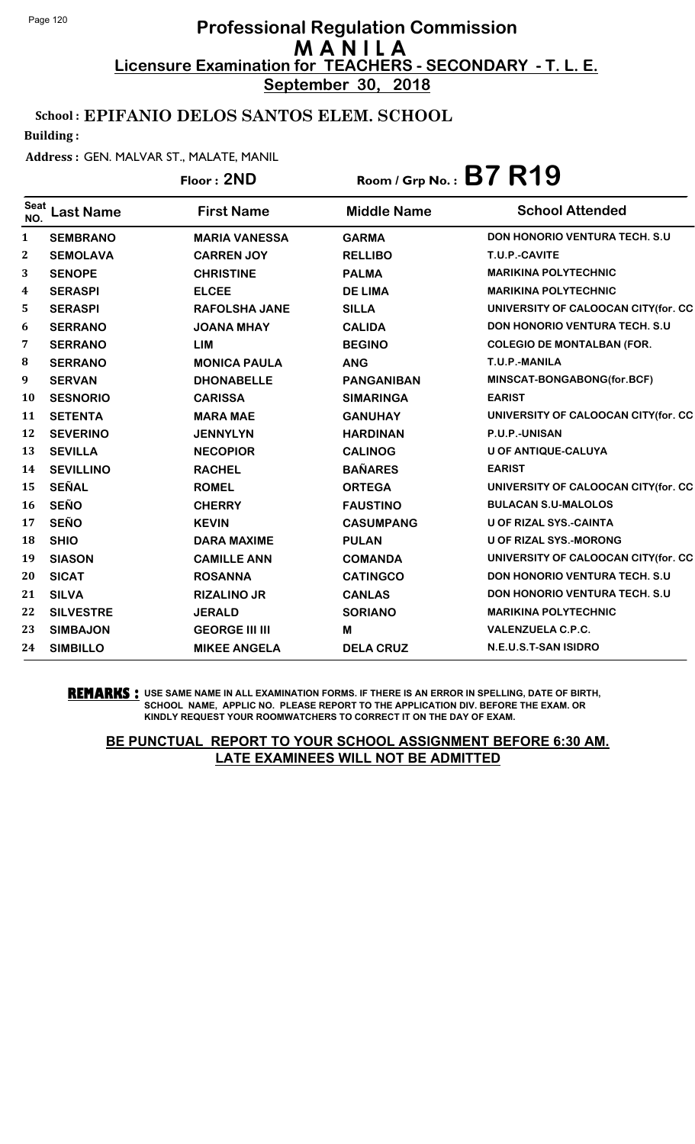**September 30, 2018**

## School : EPIFANIO DELOS SANTOS ELEM. SCHOOL

Building :

#### Address : GEN. MALVAR ST., MALATE, MANIL

## Floor : **2ND** Room / Grp No. : **B7 R19**

| <b>Seat</b><br>NO. | <b>Last Name</b> | <b>First Name</b>     | <b>Middle Name</b> | <b>School Attended</b>                |
|--------------------|------------------|-----------------------|--------------------|---------------------------------------|
| $\mathbf{1}$       | <b>SEMBRANO</b>  | <b>MARIA VANESSA</b>  | <b>GARMA</b>       | DON HONORIO VENTURA TECH. S.U         |
| 2                  | <b>SEMOLAVA</b>  | <b>CARREN JOY</b>     | <b>RELLIBO</b>     | T.U.P.-CAVITE                         |
| 3                  | <b>SENOPE</b>    | <b>CHRISTINE</b>      | <b>PALMA</b>       | <b>MARIKINA POLYTECHNIC</b>           |
| $\boldsymbol{4}$   | <b>SERASPI</b>   | <b>ELCEE</b>          | <b>DE LIMA</b>     | <b>MARIKINA POLYTECHNIC</b>           |
| 5                  | <b>SERASPI</b>   | <b>RAFOLSHA JANE</b>  | <b>SILLA</b>       | UNIVERSITY OF CALOOCAN CITY(for. CC   |
| 6                  | <b>SERRANO</b>   | <b>JOANA MHAY</b>     | <b>CALIDA</b>      | <b>DON HONORIO VENTURA TECH. S.U</b>  |
| 7                  | <b>SERRANO</b>   | <b>LIM</b>            | <b>BEGINO</b>      | <b>COLEGIO DE MONTALBAN (FOR.</b>     |
| 8                  | <b>SERRANO</b>   | <b>MONICA PAULA</b>   | <b>ANG</b>         | T.U.P.-MANILA                         |
| $\boldsymbol{9}$   | <b>SERVAN</b>    | <b>DHONABELLE</b>     | <b>PANGANIBAN</b>  | MINSCAT-BONGABONG(for.BCF)            |
| <b>10</b>          | <b>SESNORIO</b>  | <b>CARISSA</b>        | <b>SIMARINGA</b>   | <b>EARIST</b>                         |
| 11                 | <b>SETENTA</b>   | <b>MARA MAE</b>       | <b>GANUHAY</b>     | UNIVERSITY OF CALOOCAN CITY(for. CC   |
| 12                 | <b>SEVERINO</b>  | <b>JENNYLYN</b>       | <b>HARDINAN</b>    | <b>P.U.P.-UNISAN</b>                  |
| 13                 | <b>SEVILLA</b>   | <b>NECOPIOR</b>       | <b>CALINOG</b>     | U OF ANTIQUE-CALUYA                   |
| 14                 | <b>SEVILLINO</b> | <b>RACHEL</b>         | <b>BAÑARES</b>     | <b>EARIST</b>                         |
| 15                 | <b>SEÑAL</b>     | <b>ROMEL</b>          | <b>ORTEGA</b>      | UNIVERSITY OF CALOOCAN CITY(for. CC   |
| <b>16</b>          | <b>SEÑO</b>      | <b>CHERRY</b>         | <b>FAUSTINO</b>    | <b>BULACAN S.U-MALOLOS</b>            |
| 17                 | <b>SEÑO</b>      | <b>KEVIN</b>          | <b>CASUMPANG</b>   | U OF RIZAL SYS.-CAINTA                |
| 18                 | <b>SHIO</b>      | <b>DARA MAXIME</b>    | <b>PULAN</b>       | <b>U OF RIZAL SYS.-MORONG</b>         |
| 19                 | <b>SIASON</b>    | <b>CAMILLE ANN</b>    | <b>COMANDA</b>     | UNIVERSITY OF CALOOCAN CITY(for. CC   |
| 20                 | <b>SICAT</b>     | <b>ROSANNA</b>        | <b>CATINGCO</b>    | <b>DON HONORIO VENTURA TECH. S.U.</b> |
| 21                 | <b>SILVA</b>     | <b>RIZALINO JR</b>    | <b>CANLAS</b>      | <b>DON HONORIO VENTURA TECH. S.U.</b> |
| 22                 | <b>SILVESTRE</b> | <b>JERALD</b>         | <b>SORIANO</b>     | <b>MARIKINA POLYTECHNIC</b>           |
| 23                 | <b>SIMBAJON</b>  | <b>GEORGE III III</b> | M                  | <b>VALENZUELA C.P.C.</b>              |
| 24                 | <b>SIMBILLO</b>  | <b>MIKEE ANGELA</b>   | <b>DELA CRUZ</b>   | N.E.U.S.T-SAN ISIDRO                  |

#### **REMARKS :** USE SAME NAME IN ALL EXAMINATION FORMS. IF THERE IS AN ERROR IN SPELLING, DATE OF BIRTH, SCHOOL NAME, APPLIC NO. PLEASE REPORT TO THE APPLICATION DIV. BEFORE THE EXAM. OR KINDLY REQUEST YOUR ROOMWATCHERS TO CORRECT IT ON THE DAY OF EXAM.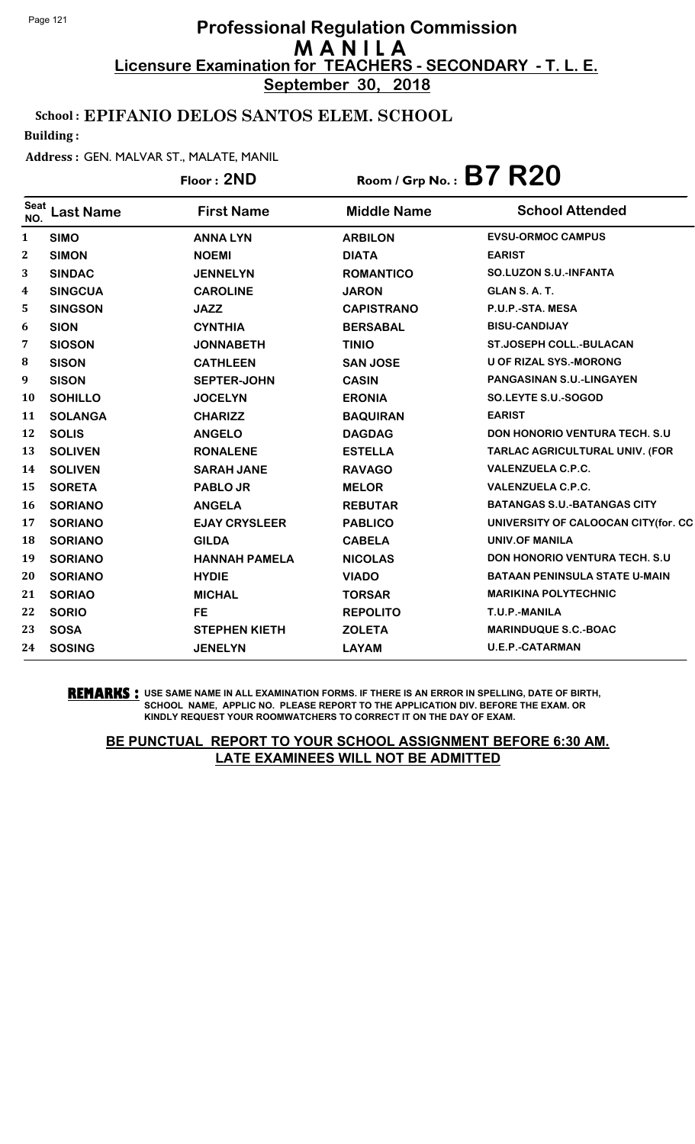**September 30, 2018**

## School : EPIFANIO DELOS SANTOS ELEM. SCHOOL

Building :

#### Address : GEN. MALVAR ST., MALATE, MANIL

## Floor : **2ND** Room / Grp No. : **B7 R20**

| <b>Seat</b><br>NO. | Last Name      | <b>First Name</b>    | <b>Middle Name</b> | <b>School Attended</b>                |
|--------------------|----------------|----------------------|--------------------|---------------------------------------|
| 1                  | <b>SIMO</b>    | <b>ANNA LYN</b>      | <b>ARBILON</b>     | <b>EVSU-ORMOC CAMPUS</b>              |
| $\mathbf{2}$       | <b>SIMON</b>   | <b>NOEMI</b>         | <b>DIATA</b>       | <b>EARIST</b>                         |
| 3                  | <b>SINDAC</b>  | <b>JENNELYN</b>      | <b>ROMANTICO</b>   | <b>SO.LUZON S.U.-INFANTA</b>          |
| 4                  | <b>SINGCUA</b> | <b>CAROLINE</b>      | <b>JARON</b>       | GLAN S.A.T.                           |
| 5                  | <b>SINGSON</b> | <b>JAZZ</b>          | <b>CAPISTRANO</b>  | P.U.P.-STA. MESA                      |
| 6                  | <b>SION</b>    | <b>CYNTHIA</b>       | <b>BERSABAL</b>    | <b>BISU-CANDIJAY</b>                  |
| 7                  | <b>SIOSON</b>  | <b>JONNABETH</b>     | <b>TINIO</b>       | <b>ST.JOSEPH COLL.-BULACAN</b>        |
| 8                  | <b>SISON</b>   | <b>CATHLEEN</b>      | <b>SAN JOSE</b>    | <b>U OF RIZAL SYS.-MORONG</b>         |
| 9                  | <b>SISON</b>   | <b>SEPTER-JOHN</b>   | <b>CASIN</b>       | <b>PANGASINAN S.U.-LINGAYEN</b>       |
| 10                 | <b>SOHILLO</b> | <b>JOCELYN</b>       | <b>ERONIA</b>      | SO.LEYTE S.U.-SOGOD                   |
| 11                 | <b>SOLANGA</b> | <b>CHARIZZ</b>       | <b>BAQUIRAN</b>    | <b>EARIST</b>                         |
| 12                 | <b>SOLIS</b>   | <b>ANGELO</b>        | <b>DAGDAG</b>      | <b>DON HONORIO VENTURA TECH. S.U.</b> |
| 13                 | <b>SOLIVEN</b> | <b>RONALENE</b>      | <b>ESTELLA</b>     | <b>TARLAC AGRICULTURAL UNIV. (FOR</b> |
| 14                 | <b>SOLIVEN</b> | <b>SARAH JANE</b>    | <b>RAVAGO</b>      | <b>VALENZUELA C.P.C.</b>              |
| 15                 | <b>SORETA</b>  | <b>PABLO JR</b>      | <b>MELOR</b>       | <b>VALENZUELA C.P.C.</b>              |
| 16                 | <b>SORIANO</b> | <b>ANGELA</b>        | <b>REBUTAR</b>     | <b>BATANGAS S.U.-BATANGAS CITY</b>    |
| 17                 | <b>SORIANO</b> | <b>EJAY CRYSLEER</b> | <b>PABLICO</b>     | UNIVERSITY OF CALOOCAN CITY(for. CC   |
| 18                 | <b>SORIANO</b> | <b>GILDA</b>         | <b>CABELA</b>      | <b>UNIV.OF MANILA</b>                 |
| 19                 | <b>SORIANO</b> | <b>HANNAH PAMELA</b> | <b>NICOLAS</b>     | <b>DON HONORIO VENTURA TECH. S.U</b>  |
| 20                 | <b>SORIANO</b> | <b>HYDIE</b>         | <b>VIADO</b>       | <b>BATAAN PENINSULA STATE U-MAIN</b>  |
| 21                 | <b>SORIAO</b>  | <b>MICHAL</b>        | <b>TORSAR</b>      | <b>MARIKINA POLYTECHNIC</b>           |
| 22                 | <b>SORIO</b>   | <b>FE</b>            | <b>REPOLITO</b>    | T.U.P.-MANILA                         |
| 23                 | <b>SOSA</b>    | <b>STEPHEN KIETH</b> | <b>ZOLETA</b>      | <b>MARINDUQUE S.C.-BOAC</b>           |
| 24                 | <b>SOSING</b>  | <b>JENELYN</b>       | <b>LAYAM</b>       | <b>U.E.P.-CATARMAN</b>                |
|                    |                |                      |                    |                                       |

#### **REMARKS :** USE SAME NAME IN ALL EXAMINATION FORMS. IF THERE IS AN ERROR IN SPELLING, DATE OF BIRTH, SCHOOL NAME, APPLIC NO. PLEASE REPORT TO THE APPLICATION DIV. BEFORE THE EXAM. OR KINDLY REQUEST YOUR ROOMWATCHERS TO CORRECT IT ON THE DAY OF EXAM.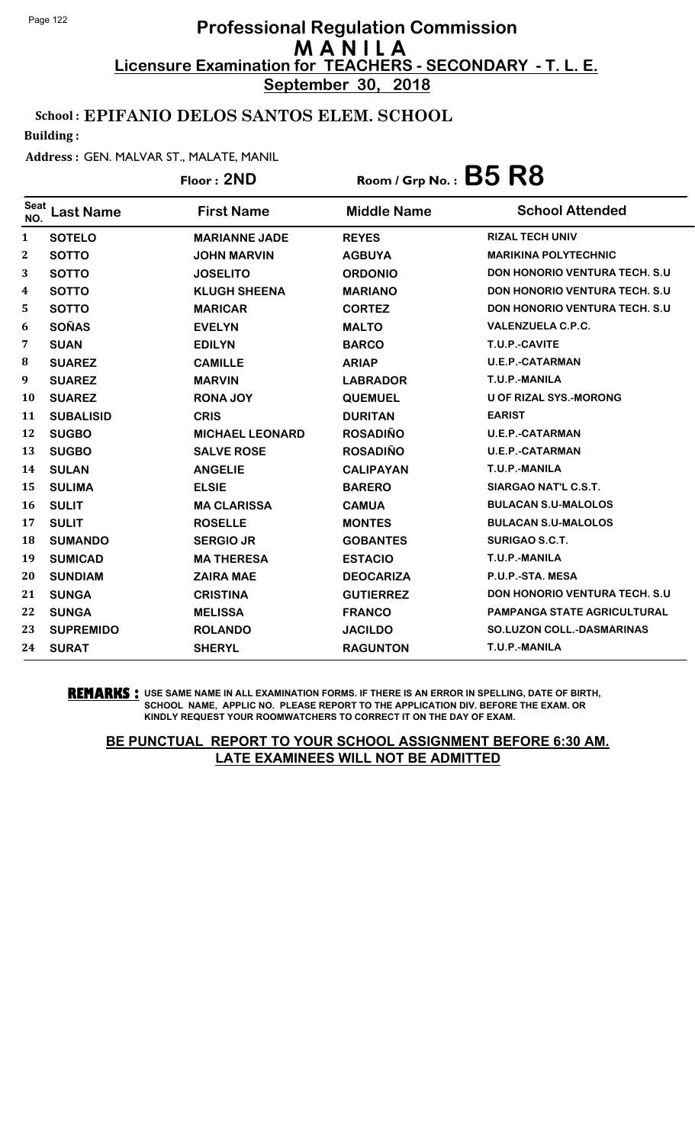**September 30, 2018**

## School : EPIFANIO DELOS SANTOS ELEM. SCHOOL

Building :

#### Address : GEN. MALVAR ST., MALATE, MANIL

|                    |                  | Floor: 2ND             | Room / Grp No.: $B5$ $R8$ |                                       |
|--------------------|------------------|------------------------|---------------------------|---------------------------------------|
| <b>Seat</b><br>NO. | <b>Last Name</b> | <b>First Name</b>      | <b>Middle Name</b>        | <b>School Attended</b>                |
| 1                  | <b>SOTELO</b>    | <b>MARIANNE JADE</b>   | <b>REYES</b>              | <b>RIZAL TECH UNIV</b>                |
| $\mathbf{2}$       | <b>SOTTO</b>     | <b>JOHN MARVIN</b>     | <b>AGBUYA</b>             | <b>MARIKINA POLYTECHNIC</b>           |
| 3                  | <b>SOTTO</b>     | <b>JOSELITO</b>        | <b>ORDONIO</b>            | <b>DON HONORIO VENTURA TECH. S.U.</b> |
| 4                  | <b>SOTTO</b>     | <b>KLUGH SHEENA</b>    | <b>MARIANO</b>            | <b>DON HONORIO VENTURA TECH. S.U.</b> |
| 5                  | <b>SOTTO</b>     | <b>MARICAR</b>         | <b>CORTEZ</b>             | <b>DON HONORIO VENTURA TECH. S.U.</b> |
| 6                  | <b>SOÑAS</b>     | <b>EVELYN</b>          | <b>MALTO</b>              | <b>VALENZUELA C.P.C.</b>              |
| 7                  | <b>SUAN</b>      | <b>EDILYN</b>          | <b>BARCO</b>              | T.U.P.-CAVITE                         |
| 8                  | <b>SUAREZ</b>    | <b>CAMILLE</b>         | <b>ARIAP</b>              | <b>U.E.P.-CATARMAN</b>                |
| 9                  | <b>SUAREZ</b>    | <b>MARVIN</b>          | <b>LABRADOR</b>           | T.U.P.-MANILA                         |
| 10                 | <b>SUAREZ</b>    | <b>RONA JOY</b>        | <b>QUEMUEL</b>            | <b>U OF RIZAL SYS.-MORONG</b>         |
| 11                 | <b>SUBALISID</b> | <b>CRIS</b>            | <b>DURITAN</b>            | <b>EARIST</b>                         |
| 12                 | <b>SUGBO</b>     | <b>MICHAEL LEONARD</b> | <b>ROSADIÑO</b>           | <b>U.E.P.-CATARMAN</b>                |
| 13                 | <b>SUGBO</b>     | <b>SALVE ROSE</b>      | <b>ROSADIÑO</b>           | <b>U.E.P.-CATARMAN</b>                |
| 14                 | <b>SULAN</b>     | <b>ANGELIE</b>         | <b>CALIPAYAN</b>          | T.U.P.-MANILA                         |
| 15                 | <b>SULIMA</b>    | <b>ELSIE</b>           | <b>BARERO</b>             | SIARGAO NAT'L C.S.T.                  |
| 16                 | <b>SULIT</b>     | <b>MA CLARISSA</b>     | <b>CAMUA</b>              | <b>BULACAN S.U-MALOLOS</b>            |
| 17                 | <b>SULIT</b>     | <b>ROSELLE</b>         | <b>MONTES</b>             | <b>BULACAN S.U-MALOLOS</b>            |
| 18                 | <b>SUMANDO</b>   | <b>SERGIO JR</b>       | <b>GOBANTES</b>           | SURIGAO S.C.T.                        |
| 19                 | <b>SUMICAD</b>   | <b>MA THERESA</b>      | <b>ESTACIO</b>            | T.U.P.-MANILA                         |
| 20                 | <b>SUNDIAM</b>   | <b>ZAIRA MAE</b>       | <b>DEOCARIZA</b>          | P.U.P.-STA. MESA                      |
| 21                 | <b>SUNGA</b>     | <b>CRISTINA</b>        | <b>GUTIERREZ</b>          | <b>DON HONORIO VENTURA TECH. S.U.</b> |
| 22                 | <b>SUNGA</b>     | <b>MELISSA</b>         | <b>FRANCO</b>             | <b>PAMPANGA STATE AGRICULTURAL</b>    |
| 23                 | <b>SUPREMIDO</b> | <b>ROLANDO</b>         | <b>JACILDO</b>            | <b>SO.LUZON COLL.-DASMARINAS</b>      |
| 24                 | <b>SURAT</b>     | <b>SHERYL</b>          | <b>RAGUNTON</b>           | T.U.P.-MANILA                         |

**REMARKS :** USE SAME NAME IN ALL EXAMINATION FORMS. IF THERE IS AN ERROR IN SPELLING, DATE OF BIRTH, SCHOOL NAME, APPLIC NO. PLEASE REPORT TO THE APPLICATION DIV. BEFORE THE EXAM. OR KINDLY REQUEST YOUR ROOMWATCHERS TO CORRECT IT ON THE DAY OF EXAM.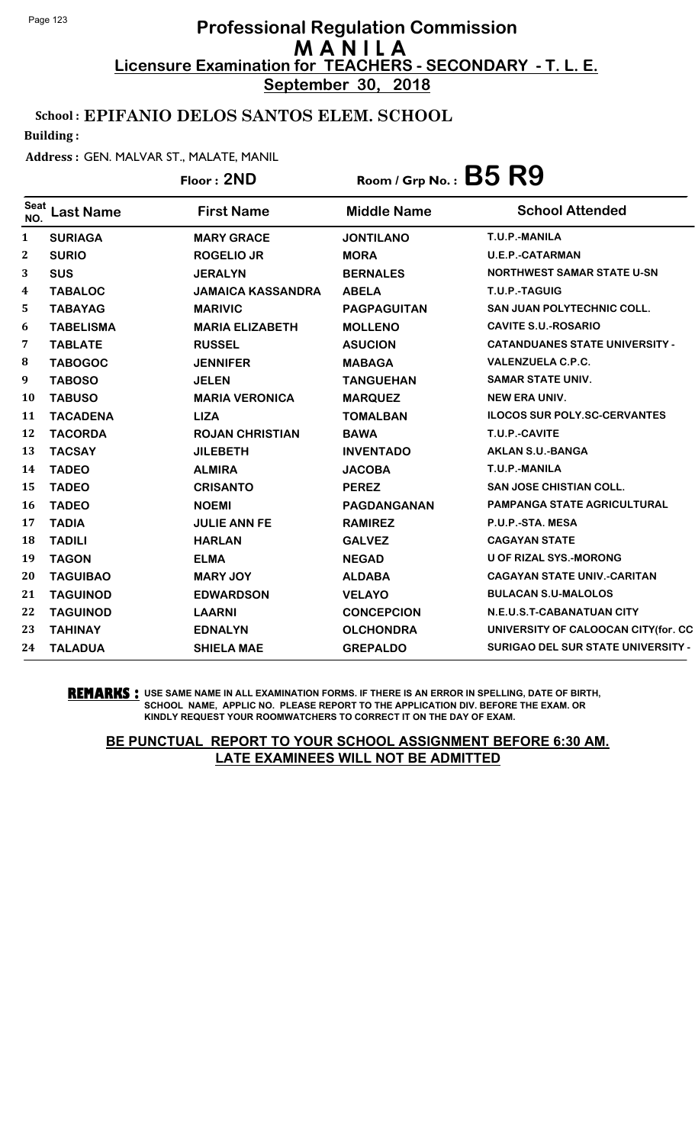**September 30, 2018**

### School : EPIFANIO DELOS SANTOS ELEM. SCHOOL

Building :

#### Address : GEN. MALVAR ST., MALATE, MANIL

|                    |                  | Floor: 2ND               | Room / Grp No.: $B5$ $R9$ |                                           |
|--------------------|------------------|--------------------------|---------------------------|-------------------------------------------|
| <b>Seat</b><br>NO. | <b>Last Name</b> | <b>First Name</b>        | <b>Middle Name</b>        | <b>School Attended</b>                    |
| $\mathbf{1}$       | <b>SURIAGA</b>   | <b>MARY GRACE</b>        | <b>JONTILANO</b>          | T.U.P.-MANILA                             |
| $\mathbf{2}$       | <b>SURIO</b>     | <b>ROGELIO JR</b>        | <b>MORA</b>               | <b>U.E.P.-CATARMAN</b>                    |
| 3                  | <b>SUS</b>       | <b>JERALYN</b>           | <b>BERNALES</b>           | <b>NORTHWEST SAMAR STATE U-SN</b>         |
| 4                  | <b>TABALOC</b>   | <b>JAMAICA KASSANDRA</b> | <b>ABELA</b>              | T.U.P.-TAGUIG                             |
| 5.                 | <b>TABAYAG</b>   | <b>MARIVIC</b>           | <b>PAGPAGUITAN</b>        | <b>SAN JUAN POLYTECHNIC COLL.</b>         |
| 6                  | <b>TABELISMA</b> | <b>MARIA ELIZABETH</b>   | <b>MOLLENO</b>            | <b>CAVITE S.U.-ROSARIO</b>                |
| 7                  | <b>TABLATE</b>   | <b>RUSSEL</b>            | <b>ASUCION</b>            | <b>CATANDUANES STATE UNIVERSITY -</b>     |
| 8                  | <b>TABOGOC</b>   | <b>JENNIFER</b>          | <b>MABAGA</b>             | <b>VALENZUELA C.P.C.</b>                  |
| 9                  | <b>TABOSO</b>    | <b>JELEN</b>             | <b>TANGUEHAN</b>          | <b>SAMAR STATE UNIV.</b>                  |
| <b>10</b>          | <b>TABUSO</b>    | <b>MARIA VERONICA</b>    | <b>MARQUEZ</b>            | <b>NEW ERA UNIV.</b>                      |
| 11                 | <b>TACADENA</b>  | <b>LIZA</b>              | <b>TOMALBAN</b>           | <b>ILOCOS SUR POLY.SC-CERVANTES</b>       |
| 12                 | <b>TACORDA</b>   | <b>ROJAN CHRISTIAN</b>   | <b>BAWA</b>               | T.U.P.-CAVITE                             |
| 13                 | <b>TACSAY</b>    | <b>JILEBETH</b>          | <b>INVENTADO</b>          | <b>AKLAN S.U.-BANGA</b>                   |
| 14                 | <b>TADEO</b>     | <b>ALMIRA</b>            | <b>JACOBA</b>             | T.U.P.-MANILA                             |
| 15                 | <b>TADEO</b>     | <b>CRISANTO</b>          | <b>PEREZ</b>              | <b>SAN JOSE CHISTIAN COLL.</b>            |
| <b>16</b>          | <b>TADEO</b>     | <b>NOEMI</b>             | PAGDANGANAN               | PAMPANGA STATE AGRICULTURAL               |
| 17                 | <b>TADIA</b>     | <b>JULIE ANN FE</b>      | <b>RAMIREZ</b>            | P.U.P.-STA. MESA                          |
| 18                 | <b>TADILI</b>    | <b>HARLAN</b>            | <b>GALVEZ</b>             | <b>CAGAYAN STATE</b>                      |
| 19                 | <b>TAGON</b>     | <b>ELMA</b>              | <b>NEGAD</b>              | U OF RIZAL SYS.-MORONG                    |
| 20                 | <b>TAGUIBAO</b>  | <b>MARY JOY</b>          | <b>ALDABA</b>             | <b>CAGAYAN STATE UNIV.-CARITAN</b>        |
| 21                 | <b>TAGUINOD</b>  | <b>EDWARDSON</b>         | <b>VELAYO</b>             | <b>BULACAN S.U-MALOLOS</b>                |
| 22                 | <b>TAGUINOD</b>  | <b>LAARNI</b>            | <b>CONCEPCION</b>         | N.E.U.S.T-CABANATUAN CITY                 |
| 23                 | <b>TAHINAY</b>   | <b>EDNALYN</b>           | <b>OLCHONDRA</b>          | UNIVERSITY OF CALOOCAN CITY(for. CC       |
| 24                 | <b>TALADUA</b>   | <b>SHIELA MAE</b>        | <b>GREPALDO</b>           | <b>SURIGAO DEL SUR STATE UNIVERSITY -</b> |

**REMARKS :** USE SAME NAME IN ALL EXAMINATION FORMS. IF THERE IS AN ERROR IN SPELLING, DATE OF BIRTH, SCHOOL NAME, APPLIC NO. PLEASE REPORT TO THE APPLICATION DIV. BEFORE THE EXAM. OR KINDLY REQUEST YOUR ROOMWATCHERS TO CORRECT IT ON THE DAY OF EXAM.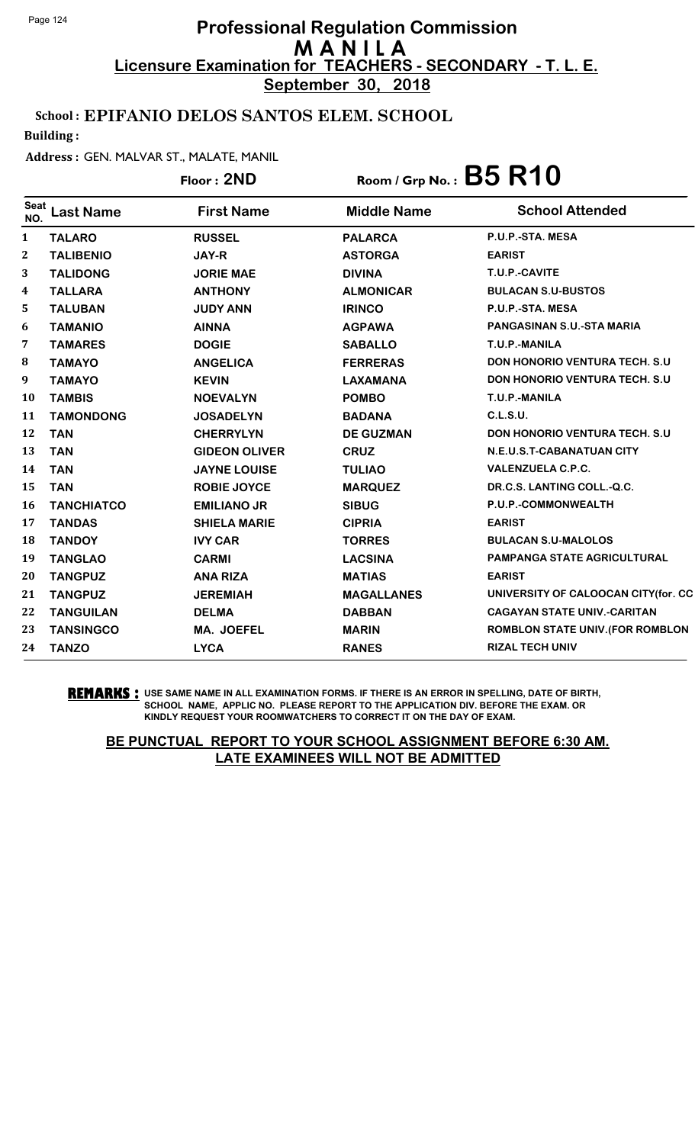**September 30, 2018**

## School : EPIFANIO DELOS SANTOS ELEM. SCHOOL

Building :

### Address : GEN. MALVAR ST., MALATE, MANIL

# Floor : **2ND** Room / Grp No. : **B5 R10**

| <b>Seat</b><br>NO. | <b>Last Name</b>  | <b>First Name</b>    | <b>Middle Name</b> | <b>School Attended</b>                  |
|--------------------|-------------------|----------------------|--------------------|-----------------------------------------|
| $\mathbf{1}$       | <b>TALARO</b>     | <b>RUSSEL</b>        | <b>PALARCA</b>     | P.U.P.-STA. MESA                        |
| 2                  | <b>TALIBENIO</b>  | <b>JAY-R</b>         | <b>ASTORGA</b>     | <b>EARIST</b>                           |
| 3                  | <b>TALIDONG</b>   | <b>JORIE MAE</b>     | <b>DIVINA</b>      | T.U.P.-CAVITE                           |
| 4                  | <b>TALLARA</b>    | <b>ANTHONY</b>       | <b>ALMONICAR</b>   | <b>BULACAN S.U-BUSTOS</b>               |
| 5                  | <b>TALUBAN</b>    | <b>JUDY ANN</b>      | <b>IRINCO</b>      | P.U.P.-STA. MESA                        |
| 6                  | <b>TAMANIO</b>    | <b>AINNA</b>         | <b>AGPAWA</b>      | <b>PANGASINAN S.U.-STA MARIA</b>        |
| 7                  | <b>TAMARES</b>    | <b>DOGIE</b>         | <b>SABALLO</b>     | T.U.P.-MANILA                           |
| 8                  | <b>TAMAYO</b>     | <b>ANGELICA</b>      | <b>FERRERAS</b>    | <b>DON HONORIO VENTURA TECH. S.U.</b>   |
| $\boldsymbol{9}$   | <b>TAMAYO</b>     | <b>KEVIN</b>         | <b>LAXAMANA</b>    | <b>DON HONORIO VENTURA TECH. S.U.</b>   |
| 10                 | <b>TAMBIS</b>     | <b>NOEVALYN</b>      | <b>POMBO</b>       | T.U.P.-MANILA                           |
| 11                 | <b>TAMONDONG</b>  | <b>JOSADELYN</b>     | <b>BADANA</b>      | C.L.S.U.                                |
| 12                 | <b>TAN</b>        | <b>CHERRYLYN</b>     | <b>DE GUZMAN</b>   | <b>DON HONORIO VENTURA TECH. S.U.</b>   |
| 13                 | <b>TAN</b>        | <b>GIDEON OLIVER</b> | <b>CRUZ</b>        | N.E.U.S.T-CABANATUAN CITY               |
| 14                 | <b>TAN</b>        | <b>JAYNE LOUISE</b>  | <b>TULIAO</b>      | <b>VALENZUELA C.P.C.</b>                |
| 15                 | <b>TAN</b>        | <b>ROBIE JOYCE</b>   | <b>MARQUEZ</b>     | DR.C.S. LANTING COLL.-Q.C.              |
| 16                 | <b>TANCHIATCO</b> | <b>EMILIANO JR</b>   | <b>SIBUG</b>       | P.U.P.-COMMONWEALTH                     |
| 17                 | <b>TANDAS</b>     | <b>SHIELA MARIE</b>  | <b>CIPRIA</b>      | <b>EARIST</b>                           |
| 18                 | <b>TANDOY</b>     | <b>IVY CAR</b>       | <b>TORRES</b>      | <b>BULACAN S.U-MALOLOS</b>              |
| 19                 | <b>TANGLAO</b>    | <b>CARMI</b>         | <b>LACSINA</b>     | <b>PAMPANGA STATE AGRICULTURAL</b>      |
| 20                 | <b>TANGPUZ</b>    | <b>ANA RIZA</b>      | <b>MATIAS</b>      | <b>EARIST</b>                           |
| 21                 | <b>TANGPUZ</b>    | <b>JEREMIAH</b>      | <b>MAGALLANES</b>  | UNIVERSITY OF CALOOCAN CITY (for. CC    |
| 22                 | <b>TANGUILAN</b>  | <b>DELMA</b>         | <b>DABBAN</b>      | <b>CAGAYAN STATE UNIV.-CARITAN</b>      |
| 23                 | <b>TANSINGCO</b>  | <b>MA. JOEFEL</b>    | <b>MARIN</b>       | <b>ROMBLON STATE UNIV. (FOR ROMBLON</b> |
| 24                 | <b>TANZO</b>      | <b>LYCA</b>          | <b>RANES</b>       | <b>RIZAL TECH UNIV</b>                  |
|                    |                   |                      |                    |                                         |

**REMARKS :** USE SAME NAME IN ALL EXAMINATION FORMS. IF THERE IS AN ERROR IN SPELLING, DATE OF BIRTH, SCHOOL NAME, APPLIC NO. PLEASE REPORT TO THE APPLICATION DIV. BEFORE THE EXAM. OR KINDLY REQUEST YOUR ROOMWATCHERS TO CORRECT IT ON THE DAY OF EXAM.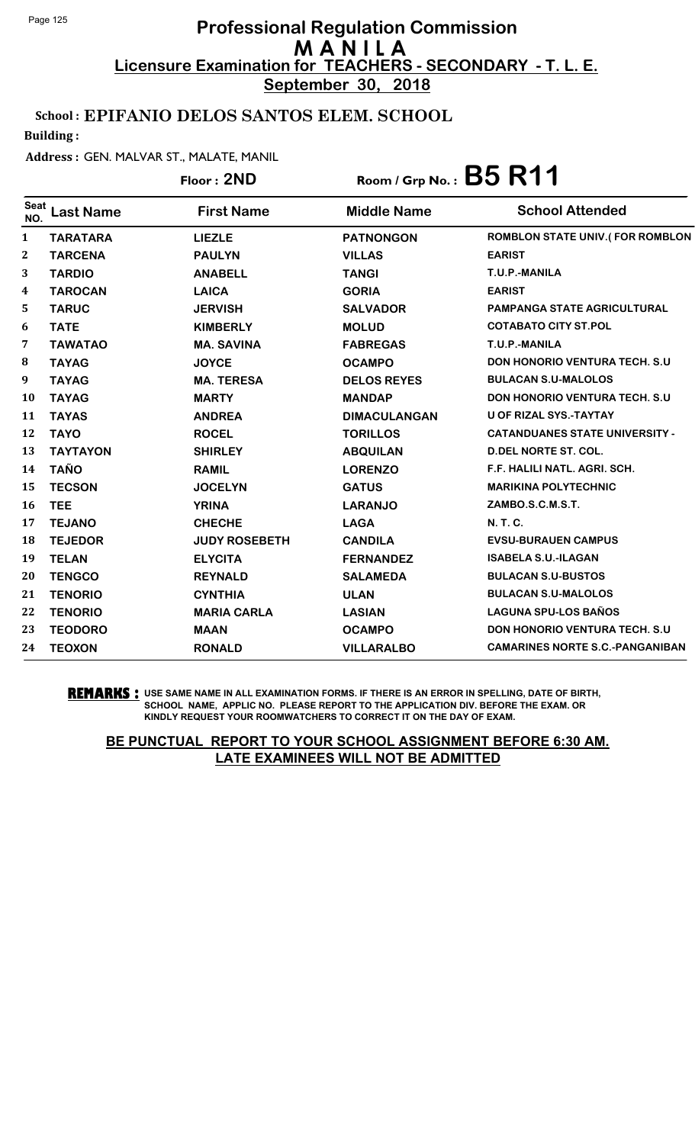**September 30, 2018**

## School : EPIFANIO DELOS SANTOS ELEM. SCHOOL

Building :

#### Address : GEN. MALVAR ST., MALATE, MANIL

## Floor : **2ND** Room / Grp No. : **B5 R11**

| <b>Seat</b><br>NO.      | Last Name       | <b>First Name</b>    | <b>Middle Name</b>  | <b>School Attended</b>                 |
|-------------------------|-----------------|----------------------|---------------------|----------------------------------------|
| $\mathbf{1}$            | <b>TARATARA</b> | <b>LIEZLE</b>        | <b>PATNONGON</b>    | ROMBLON STATE UNIV.(FOR ROMBLON        |
| $\boldsymbol{2}$        | <b>TARCENA</b>  | <b>PAULYN</b>        | <b>VILLAS</b>       | <b>EARIST</b>                          |
| 3                       | <b>TARDIO</b>   | <b>ANABELL</b>       | <b>TANGI</b>        | T.U.P.-MANILA                          |
| $\overline{\mathbf{4}}$ | <b>TAROCAN</b>  | <b>LAICA</b>         | <b>GORIA</b>        | <b>EARIST</b>                          |
| 5                       | <b>TARUC</b>    | <b>JERVISH</b>       | <b>SALVADOR</b>     | <b>PAMPANGA STATE AGRICULTURAL</b>     |
| 6                       | <b>TATE</b>     | <b>KIMBERLY</b>      | <b>MOLUD</b>        | <b>COTABATO CITY ST.POL</b>            |
| 7                       | <b>TAWATAO</b>  | <b>MA. SAVINA</b>    | <b>FABREGAS</b>     | T.U.P.-MANILA                          |
| 8                       | <b>TAYAG</b>    | <b>JOYCE</b>         | <b>OCAMPO</b>       | <b>DON HONORIO VENTURA TECH. S.U.</b>  |
| 9                       | <b>TAYAG</b>    | <b>MA. TERESA</b>    | <b>DELOS REYES</b>  | <b>BULACAN S.U-MALOLOS</b>             |
| <b>10</b>               | <b>TAYAG</b>    | <b>MARTY</b>         | <b>MANDAP</b>       | <b>DON HONORIO VENTURA TECH. S.U.</b>  |
| 11                      | <b>TAYAS</b>    | <b>ANDREA</b>        | <b>DIMACULANGAN</b> | <b>U OF RIZAL SYS.-TAYTAY</b>          |
| 12                      | <b>TAYO</b>     | <b>ROCEL</b>         | <b>TORILLOS</b>     | <b>CATANDUANES STATE UNIVERSITY -</b>  |
| 13                      | <b>TAYTAYON</b> | <b>SHIRLEY</b>       | <b>ABQUILAN</b>     | <b>D.DEL NORTE ST. COL.</b>            |
| 14                      | <b>TAÑO</b>     | <b>RAMIL</b>         | <b>LORENZO</b>      | F.F. HALILI NATL. AGRI. SCH.           |
| 15                      | <b>TECSON</b>   | <b>JOCELYN</b>       | <b>GATUS</b>        | <b>MARIKINA POLYTECHNIC</b>            |
| <b>16</b>               | <b>TEE</b>      | <b>YRINA</b>         | <b>LARANJO</b>      | ZAMBO.S.C.M.S.T.                       |
| 17                      | <b>TEJANO</b>   | <b>CHECHE</b>        | <b>LAGA</b>         | <b>N. T. C.</b>                        |
| 18                      | <b>TEJEDOR</b>  | <b>JUDY ROSEBETH</b> | <b>CANDILA</b>      | <b>EVSU-BURAUEN CAMPUS</b>             |
| 19                      | <b>TELAN</b>    | <b>ELYCITA</b>       | <b>FERNANDEZ</b>    | <b>ISABELA S.U.-ILAGAN</b>             |
| 20                      | <b>TENGCO</b>   | <b>REYNALD</b>       | <b>SALAMEDA</b>     | <b>BULACAN S.U-BUSTOS</b>              |
| 21                      | <b>TENORIO</b>  | <b>CYNTHIA</b>       | <b>ULAN</b>         | <b>BULACAN S.U-MALOLOS</b>             |
| 22                      | <b>TENORIO</b>  | <b>MARIA CARLA</b>   | <b>LASIAN</b>       | <b>LAGUNA SPU-LOS BAÑOS</b>            |
| 23                      | <b>TEODORO</b>  | <b>MAAN</b>          | <b>OCAMPO</b>       | <b>DON HONORIO VENTURA TECH. S.U.</b>  |
| 24                      | <b>TEOXON</b>   | <b>RONALD</b>        | <b>VILLARALBO</b>   | <b>CAMARINES NORTE S.C.-PANGANIBAN</b> |
|                         |                 |                      |                     |                                        |

**REMARKS :** USE SAME NAME IN ALL EXAMINATION FORMS. IF THERE IS AN ERROR IN SPELLING, DATE OF BIRTH, SCHOOL NAME, APPLIC NO. PLEASE REPORT TO THE APPLICATION DIV. BEFORE THE EXAM. OR KINDLY REQUEST YOUR ROOMWATCHERS TO CORRECT IT ON THE DAY OF EXAM.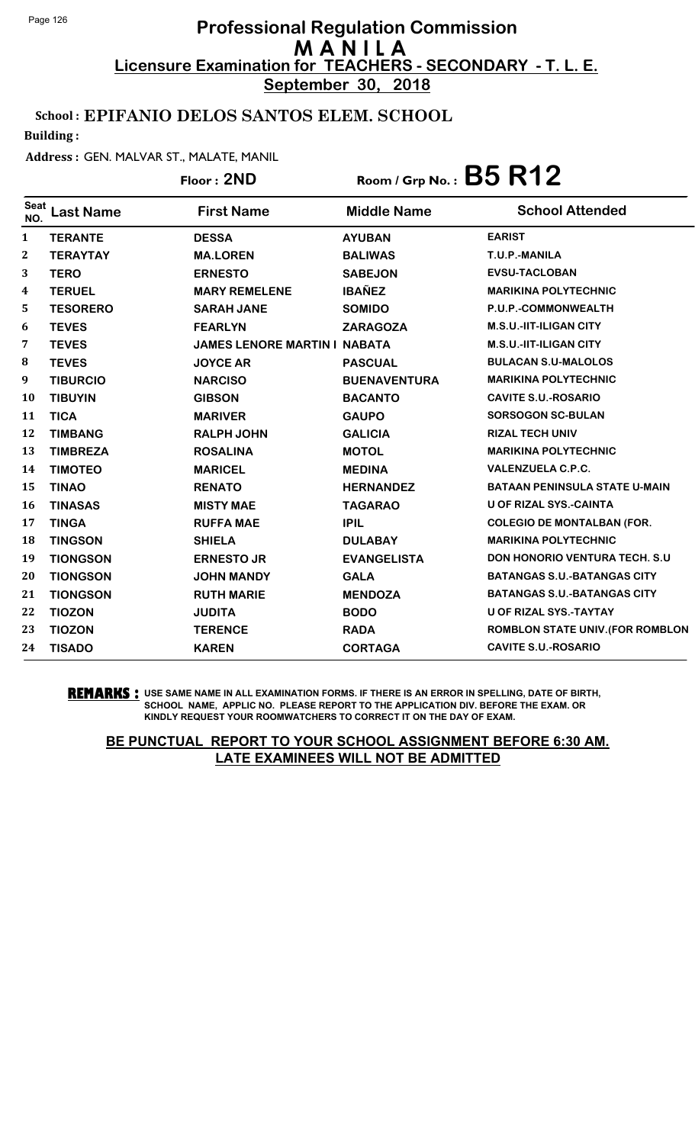**September 30, 2018**

### School : EPIFANIO DELOS SANTOS ELEM. SCHOOL

Building :

#### Address : GEN. MALVAR ST., MALATE, MANIL

## Floor : **2ND** Room / Grp No. : **B5 R12**

| <b>Seat</b><br>NO. | Last Name       | <b>First Name</b>                   | <b>Middle Name</b>  | <b>School Attended</b>                |
|--------------------|-----------------|-------------------------------------|---------------------|---------------------------------------|
| 1                  | <b>TERANTE</b>  | <b>DESSA</b>                        | <b>AYUBAN</b>       | <b>EARIST</b>                         |
| $\mathbf{2}$       | <b>TERAYTAY</b> | <b>MA.LOREN</b>                     | <b>BALIWAS</b>      | T.U.P.-MANILA                         |
| 3                  | <b>TERO</b>     | <b>ERNESTO</b>                      | <b>SABEJON</b>      | <b>EVSU-TACLOBAN</b>                  |
| $\boldsymbol{4}$   | <b>TERUEL</b>   | <b>MARY REMELENE</b>                | <b>IBAÑEZ</b>       | <b>MARIKINA POLYTECHNIC</b>           |
| 5                  | <b>TESORERO</b> | <b>SARAH JANE</b>                   | <b>SOMIDO</b>       | P.U.P.-COMMONWEALTH                   |
| 6                  | <b>TEVES</b>    | <b>FEARLYN</b>                      | <b>ZARAGOZA</b>     | <b>M.S.U.-IIT-ILIGAN CITY</b>         |
| 7                  | <b>TEVES</b>    | <b>JAMES LENORE MARTIN I NABATA</b> |                     | <b>M.S.U.-IIT-ILIGAN CITY</b>         |
| 8                  | <b>TEVES</b>    | <b>JOYCE AR</b>                     | <b>PASCUAL</b>      | <b>BULACAN S.U-MALOLOS</b>            |
| 9                  | <b>TIBURCIO</b> | <b>NARCISO</b>                      | <b>BUENAVENTURA</b> | <b>MARIKINA POLYTECHNIC</b>           |
| 10                 | <b>TIBUYIN</b>  | <b>GIBSON</b>                       | <b>BACANTO</b>      | <b>CAVITE S.U.-ROSARIO</b>            |
| 11                 | <b>TICA</b>     | <b>MARIVER</b>                      | <b>GAUPO</b>        | <b>SORSOGON SC-BULAN</b>              |
| 12                 | <b>TIMBANG</b>  | <b>RALPH JOHN</b>                   | <b>GALICIA</b>      | <b>RIZAL TECH UNIV</b>                |
| 13                 | <b>TIMBREZA</b> | <b>ROSALINA</b>                     | <b>MOTOL</b>        | <b>MARIKINA POLYTECHNIC</b>           |
| 14                 | <b>TIMOTEO</b>  | <b>MARICEL</b>                      | <b>MEDINA</b>       | <b>VALENZUELA C.P.C.</b>              |
| 15                 | <b>TINAO</b>    | <b>RENATO</b>                       | <b>HERNANDEZ</b>    | <b>BATAAN PENINSULA STATE U-MAIN</b>  |
| 16                 | <b>TINASAS</b>  | <b>MISTY MAE</b>                    | <b>TAGARAO</b>      | <b>U OF RIZAL SYS.-CAINTA</b>         |
| 17                 | <b>TINGA</b>    | <b>RUFFA MAE</b>                    | <b>IPIL</b>         | <b>COLEGIO DE MONTALBAN (FOR.</b>     |
| 18                 | <b>TINGSON</b>  | <b>SHIELA</b>                       | <b>DULABAY</b>      | <b>MARIKINA POLYTECHNIC</b>           |
| 19                 | <b>TIONGSON</b> | <b>ERNESTO JR</b>                   | <b>EVANGELISTA</b>  | <b>DON HONORIO VENTURA TECH. S.U.</b> |
| 20                 | <b>TIONGSON</b> | <b>JOHN MANDY</b>                   | <b>GALA</b>         | <b>BATANGAS S.U.-BATANGAS CITY</b>    |
| 21                 | <b>TIONGSON</b> | <b>RUTH MARIE</b>                   | <b>MENDOZA</b>      | <b>BATANGAS S.U.-BATANGAS CITY</b>    |
| 22                 | <b>TIOZON</b>   | <b>JUDITA</b>                       | <b>BODO</b>         | <b>U OF RIZAL SYS.-TAYTAY</b>         |
| 23                 | <b>TIOZON</b>   | <b>TERENCE</b>                      | <b>RADA</b>         | ROMBLON STATE UNIV. (FOR ROMBLON      |
| 24                 | <b>TISADO</b>   | <b>KAREN</b>                        | <b>CORTAGA</b>      | <b>CAVITE S.U.-ROSARIO</b>            |

**REMARKS :** USE SAME NAME IN ALL EXAMINATION FORMS. IF THERE IS AN ERROR IN SPELLING, DATE OF BIRTH, SCHOOL NAME, APPLIC NO. PLEASE REPORT TO THE APPLICATION DIV. BEFORE THE EXAM. OR KINDLY REQUEST YOUR ROOMWATCHERS TO CORRECT IT ON THE DAY OF EXAM.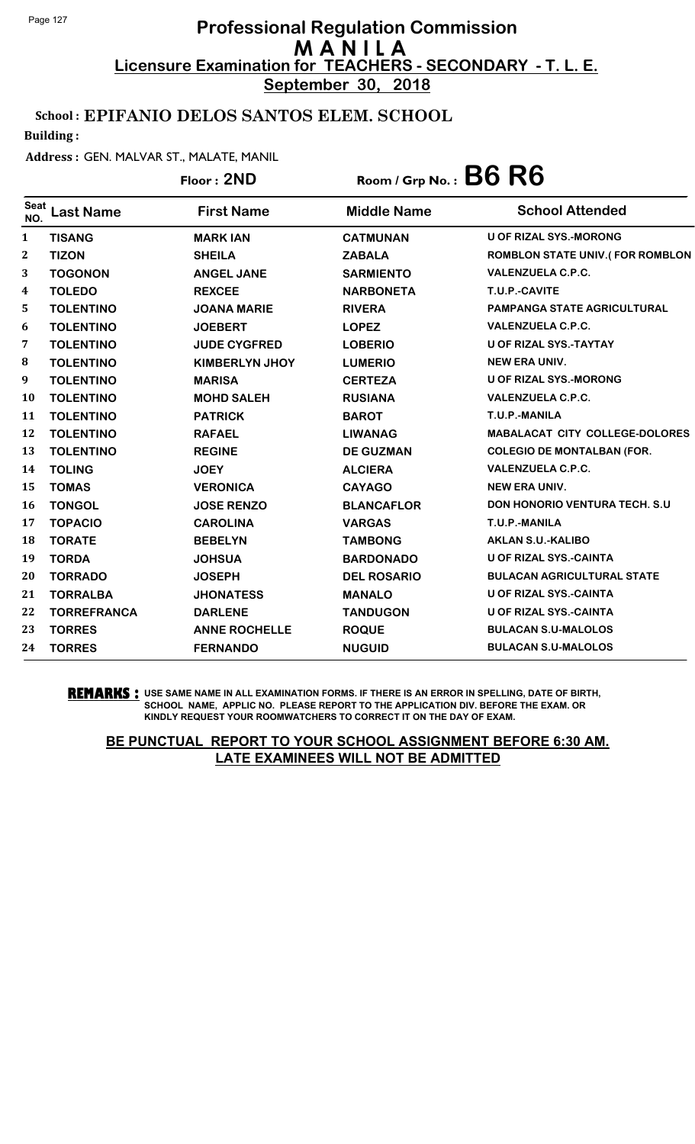**September 30, 2018**

## School : EPIFANIO DELOS SANTOS ELEM. SCHOOL

Building :

### Address : GEN. MALVAR ST., MALATE, MANIL

## Floor : **2ND** Room / Grp No. : **B6 R6**

| <b>Seat</b><br>NO. | <b>Last Name</b>   | <b>First Name</b>     | <b>Middle Name</b> | <b>School Attended</b>                  |
|--------------------|--------------------|-----------------------|--------------------|-----------------------------------------|
| $\mathbf{1}$       | <b>TISANG</b>      | <b>MARK IAN</b>       | <b>CATMUNAN</b>    | <b>U OF RIZAL SYS.-MORONG</b>           |
| $\boldsymbol{2}$   | <b>TIZON</b>       | <b>SHEILA</b>         | <b>ZABALA</b>      | <b>ROMBLON STATE UNIV. (FOR ROMBLON</b> |
| 3                  | <b>TOGONON</b>     | <b>ANGEL JANE</b>     | <b>SARMIENTO</b>   | <b>VALENZUELA C.P.C.</b>                |
| 4                  | <b>TOLEDO</b>      | <b>REXCEE</b>         | <b>NARBONETA</b>   | T.U.P.-CAVITE                           |
| 5                  | <b>TOLENTINO</b>   | <b>JOANA MARIE</b>    | <b>RIVERA</b>      | <b>PAMPANGA STATE AGRICULTURAL</b>      |
| 6                  | <b>TOLENTINO</b>   | <b>JOEBERT</b>        | <b>LOPEZ</b>       | <b>VALENZUELA C.P.C.</b>                |
| 7                  | <b>TOLENTINO</b>   | <b>JUDE CYGFRED</b>   | <b>LOBERIO</b>     | U OF RIZAL SYS.-TAYTAY                  |
| 8                  | <b>TOLENTINO</b>   | <b>KIMBERLYN JHOY</b> | <b>LUMERIO</b>     | <b>NEW ERA UNIV.</b>                    |
| 9                  | <b>TOLENTINO</b>   | <b>MARISA</b>         | <b>CERTEZA</b>     | <b>U OF RIZAL SYS.-MORONG</b>           |
| 10                 | <b>TOLENTINO</b>   | <b>MOHD SALEH</b>     | <b>RUSIANA</b>     | <b>VALENZUELA C.P.C.</b>                |
| 11                 | <b>TOLENTINO</b>   | <b>PATRICK</b>        | <b>BAROT</b>       | T.U.P.-MANILA                           |
| 12                 | <b>TOLENTINO</b>   | <b>RAFAEL</b>         | <b>LIWANAG</b>     | <b>MABALACAT CITY COLLEGE-DOLORES</b>   |
| 13                 | <b>TOLENTINO</b>   | <b>REGINE</b>         | <b>DE GUZMAN</b>   | <b>COLEGIO DE MONTALBAN (FOR.</b>       |
| 14                 | <b>TOLING</b>      | <b>JOEY</b>           | <b>ALCIERA</b>     | <b>VALENZUELA C.P.C.</b>                |
| 15                 | <b>TOMAS</b>       | <b>VERONICA</b>       | <b>CAYAGO</b>      | <b>NEW ERA UNIV.</b>                    |
| 16                 | <b>TONGOL</b>      | <b>JOSE RENZO</b>     | <b>BLANCAFLOR</b>  | <b>DON HONORIO VENTURA TECH. S.U.</b>   |
| 17                 | <b>TOPACIO</b>     | <b>CAROLINA</b>       | <b>VARGAS</b>      | T.U.P.-MANILA                           |
| 18                 | <b>TORATE</b>      | <b>BEBELYN</b>        | <b>TAMBONG</b>     | <b>AKLAN S.U.-KALIBO</b>                |
| 19                 | <b>TORDA</b>       | <b>JOHSUA</b>         | <b>BARDONADO</b>   | <b>U OF RIZAL SYS.-CAINTA</b>           |
| 20                 | <b>TORRADO</b>     | <b>JOSEPH</b>         | <b>DEL ROSARIO</b> | <b>BULACAN AGRICULTURAL STATE</b>       |
| 21                 | <b>TORRALBA</b>    | <b>JHONATESS</b>      | <b>MANALO</b>      | U OF RIZAL SYS.-CAINTA                  |
| 22                 | <b>TORREFRANCA</b> | <b>DARLENE</b>        | <b>TANDUGON</b>    | <b>U OF RIZAL SYS.-CAINTA</b>           |
| 23                 | <b>TORRES</b>      | <b>ANNE ROCHELLE</b>  | <b>ROQUE</b>       | <b>BULACAN S.U-MALOLOS</b>              |
| 24                 | <b>TORRES</b>      | <b>FERNANDO</b>       | <b>NUGUID</b>      | <b>BULACAN S.U-MALOLOS</b>              |

**REMARKS :** USE SAME NAME IN ALL EXAMINATION FORMS. IF THERE IS AN ERROR IN SPELLING, DATE OF BIRTH, SCHOOL NAME, APPLIC NO. PLEASE REPORT TO THE APPLICATION DIV. BEFORE THE EXAM. OR KINDLY REQUEST YOUR ROOMWATCHERS TO CORRECT IT ON THE DAY OF EXAM.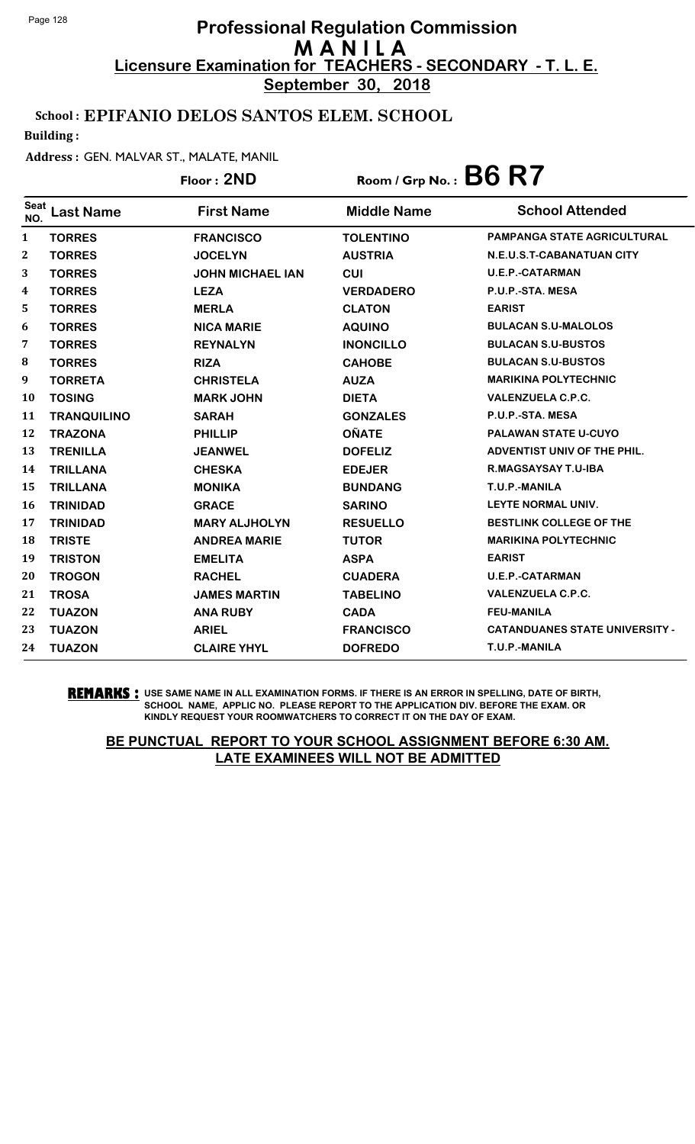**September 30, 2018**

## School : EPIFANIO DELOS SANTOS ELEM. SCHOOL

Building :

#### Address : GEN. MALVAR ST., MALATE, MANIL

## Floor : **2ND** Room / Grp No. : **B6 R7**

| <b>Seat</b><br>NO. | Last Name          | <b>First Name</b>       | <b>Middle Name</b> | <b>School Attended</b>                |
|--------------------|--------------------|-------------------------|--------------------|---------------------------------------|
| 1                  | <b>TORRES</b>      | <b>FRANCISCO</b>        | <b>TOLENTINO</b>   | <b>PAMPANGA STATE AGRICULTURAL</b>    |
| $\boldsymbol{2}$   | <b>TORRES</b>      | <b>JOCELYN</b>          | <b>AUSTRIA</b>     | N.E.U.S.T-CABANATUAN CITY             |
| 3                  | <b>TORRES</b>      | <b>JOHN MICHAEL IAN</b> | <b>CUI</b>         | <b>U.E.P.-CATARMAN</b>                |
| 4                  | <b>TORRES</b>      | <b>LEZA</b>             | <b>VERDADERO</b>   | P.U.P.-STA. MESA                      |
| 5                  | <b>TORRES</b>      | <b>MERLA</b>            | <b>CLATON</b>      | <b>EARIST</b>                         |
| 6                  | <b>TORRES</b>      | <b>NICA MARIE</b>       | <b>AQUINO</b>      | <b>BULACAN S.U-MALOLOS</b>            |
| 7                  | <b>TORRES</b>      | <b>REYNALYN</b>         | <b>INONCILLO</b>   | <b>BULACAN S.U-BUSTOS</b>             |
| 8                  | <b>TORRES</b>      | <b>RIZA</b>             | <b>CAHOBE</b>      | <b>BULACAN S.U-BUSTOS</b>             |
| 9                  | <b>TORRETA</b>     | <b>CHRISTELA</b>        | <b>AUZA</b>        | <b>MARIKINA POLYTECHNIC</b>           |
| 10                 | <b>TOSING</b>      | <b>MARK JOHN</b>        | <b>DIETA</b>       | <b>VALENZUELA C.P.C.</b>              |
| 11                 | <b>TRANQUILINO</b> | <b>SARAH</b>            | <b>GONZALES</b>    | P.U.P.-STA. MESA                      |
| 12                 | <b>TRAZONA</b>     | <b>PHILLIP</b>          | <b>OÑATE</b>       | <b>PALAWAN STATE U-CUYO</b>           |
| 13                 | <b>TRENILLA</b>    | <b>JEANWEL</b>          | <b>DOFELIZ</b>     | ADVENTIST UNIV OF THE PHIL.           |
| 14                 | <b>TRILLANA</b>    | <b>CHESKA</b>           | <b>EDEJER</b>      | R.MAGSAYSAY T.U-IBA                   |
| 15                 | <b>TRILLANA</b>    | <b>MONIKA</b>           | <b>BUNDANG</b>     | T.U.P.-MANILA                         |
| 16                 | <b>TRINIDAD</b>    | <b>GRACE</b>            | <b>SARINO</b>      | LEYTE NORMAL UNIV.                    |
| 17                 | <b>TRINIDAD</b>    | <b>MARY ALJHOLYN</b>    | <b>RESUELLO</b>    | <b>BESTLINK COLLEGE OF THE</b>        |
| 18                 | <b>TRISTE</b>      | <b>ANDREA MARIE</b>     | <b>TUTOR</b>       | <b>MARIKINA POLYTECHNIC</b>           |
| 19                 | <b>TRISTON</b>     | <b>EMELITA</b>          | <b>ASPA</b>        | <b>EARIST</b>                         |
| 20                 | <b>TROGON</b>      | <b>RACHEL</b>           | <b>CUADERA</b>     | <b>U.E.P.-CATARMAN</b>                |
| 21                 | <b>TROSA</b>       | <b>JAMES MARTIN</b>     | <b>TABELINO</b>    | <b>VALENZUELA C.P.C.</b>              |
| 22                 | <b>TUAZON</b>      | <b>ANA RUBY</b>         | <b>CADA</b>        | <b>FEU-MANILA</b>                     |
| 23                 | <b>TUAZON</b>      | <b>ARIEL</b>            | <b>FRANCISCO</b>   | <b>CATANDUANES STATE UNIVERSITY -</b> |
| 24                 | <b>TUAZON</b>      | <b>CLAIRE YHYL</b>      | <b>DOFREDO</b>     | T.U.P.-MANILA                         |

**REMARKS :** USE SAME NAME IN ALL EXAMINATION FORMS. IF THERE IS AN ERROR IN SPELLING, DATE OF BIRTH, SCHOOL NAME, APPLIC NO. PLEASE REPORT TO THE APPLICATION DIV. BEFORE THE EXAM. OR KINDLY REQUEST YOUR ROOMWATCHERS TO CORRECT IT ON THE DAY OF EXAM.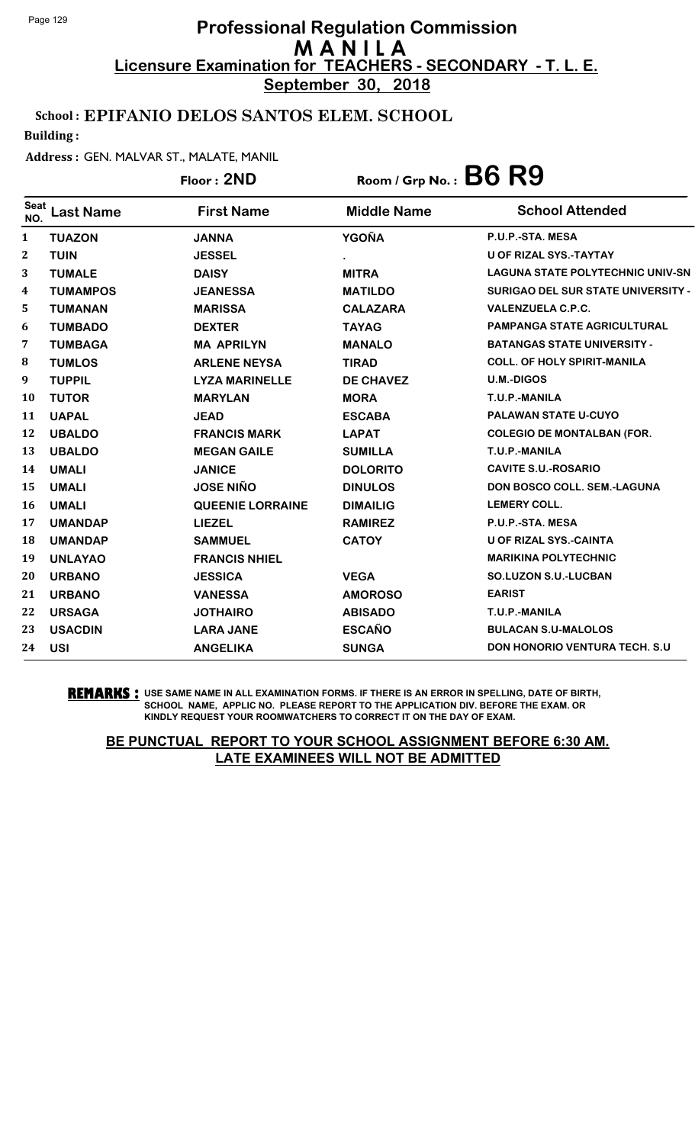**September 30, 2018**

## School : EPIFANIO DELOS SANTOS ELEM. SCHOOL

Building :

#### Address : GEN. MALVAR ST., MALATE, MANIL

|                    |                  | Floor: 2ND              | Room / Grp No.: $B6$ $R9$ |                                           |
|--------------------|------------------|-------------------------|---------------------------|-------------------------------------------|
| <b>Seat</b><br>NO. | <b>Last Name</b> | <b>First Name</b>       | <b>Middle Name</b>        | <b>School Attended</b>                    |
| 1                  | <b>TUAZON</b>    | <b>JANNA</b>            | <b>YGOÑA</b>              | P.U.P.-STA. MESA                          |
| 2                  | <b>TUIN</b>      | <b>JESSEL</b>           |                           | U OF RIZAL SYS.-TAYTAY                    |
| 3                  | <b>TUMALE</b>    | <b>DAISY</b>            | <b>MITRA</b>              | <b>LAGUNA STATE POLYTECHNIC UNIV-SN</b>   |
| 4                  | <b>TUMAMPOS</b>  | <b>JEANESSA</b>         | <b>MATILDO</b>            | <b>SURIGAO DEL SUR STATE UNIVERSITY -</b> |
| 5                  | <b>TUMANAN</b>   | <b>MARISSA</b>          | <b>CALAZARA</b>           | <b>VALENZUELA C.P.C.</b>                  |
| 6                  | <b>TUMBADO</b>   | <b>DEXTER</b>           | <b>TAYAG</b>              | <b>PAMPANGA STATE AGRICULTURAL</b>        |
| 7                  | <b>TUMBAGA</b>   | <b>MA APRILYN</b>       | <b>MANALO</b>             | <b>BATANGAS STATE UNIVERSITY -</b>        |
| 8                  | <b>TUMLOS</b>    | <b>ARLENE NEYSA</b>     | <b>TIRAD</b>              | <b>COLL. OF HOLY SPIRIT-MANILA</b>        |
| 9                  | <b>TUPPIL</b>    | <b>LYZA MARINELLE</b>   | <b>DE CHAVEZ</b>          | <b>U.M.-DIGOS</b>                         |
| 10                 | <b>TUTOR</b>     | <b>MARYLAN</b>          | <b>MORA</b>               | T.U.P.-MANILA                             |
| 11                 | <b>UAPAL</b>     | <b>JEAD</b>             | <b>ESCABA</b>             | PALAWAN STATE U-CUYO                      |
| 12                 | <b>UBALDO</b>    | <b>FRANCIS MARK</b>     | <b>LAPAT</b>              | <b>COLEGIO DE MONTALBAN (FOR.</b>         |
| 13                 | <b>UBALDO</b>    | <b>MEGAN GAILE</b>      | <b>SUMILLA</b>            | T.U.P.-MANILA                             |
| 14                 | <b>UMALI</b>     | <b>JANICE</b>           | <b>DOLORITO</b>           | <b>CAVITE S.U.-ROSARIO</b>                |
| 15                 | <b>UMALI</b>     | <b>JOSE NIÑO</b>        | <b>DINULOS</b>            | DON BOSCO COLL. SEM.-LAGUNA               |
| 16                 | <b>UMALI</b>     | <b>QUEENIE LORRAINE</b> | <b>DIMAILIG</b>           | <b>LEMERY COLL.</b>                       |
| 17                 | <b>UMANDAP</b>   | <b>LIEZEL</b>           | <b>RAMIREZ</b>            | P.U.P.-STA. MESA                          |
| 18                 | <b>UMANDAP</b>   | <b>SAMMUEL</b>          | <b>CATOY</b>              | U OF RIZAL SYS.-CAINTA                    |
| 19                 | <b>UNLAYAO</b>   | <b>FRANCIS NHIEL</b>    |                           | <b>MARIKINA POLYTECHNIC</b>               |
| 20                 | <b>URBANO</b>    | <b>JESSICA</b>          | <b>VEGA</b>               | <b>SO.LUZON S.U.-LUCBAN</b>               |
| 21                 | <b>URBANO</b>    | <b>VANESSA</b>          | <b>AMOROSO</b>            | <b>EARIST</b>                             |
| 22                 | <b>URSAGA</b>    | <b>JOTHAIRO</b>         | <b>ABISADO</b>            | T.U.P.-MANILA                             |
| 23                 | <b>USACDIN</b>   | <b>LARA JANE</b>        | <b>ESCAÑO</b>             | <b>BULACAN S.U-MALOLOS</b>                |
| 24                 | <b>USI</b>       | <b>ANGELIKA</b>         | <b>SUNGA</b>              | <b>DON HONORIO VENTURA TECH. S.U.</b>     |

**REMARKS :** USE SAME NAME IN ALL EXAMINATION FORMS. IF THERE IS AN ERROR IN SPELLING, DATE OF BIRTH, SCHOOL NAME, APPLIC NO. PLEASE REPORT TO THE APPLICATION DIV. BEFORE THE EXAM. OR KINDLY REQUEST YOUR ROOMWATCHERS TO CORRECT IT ON THE DAY OF EXAM.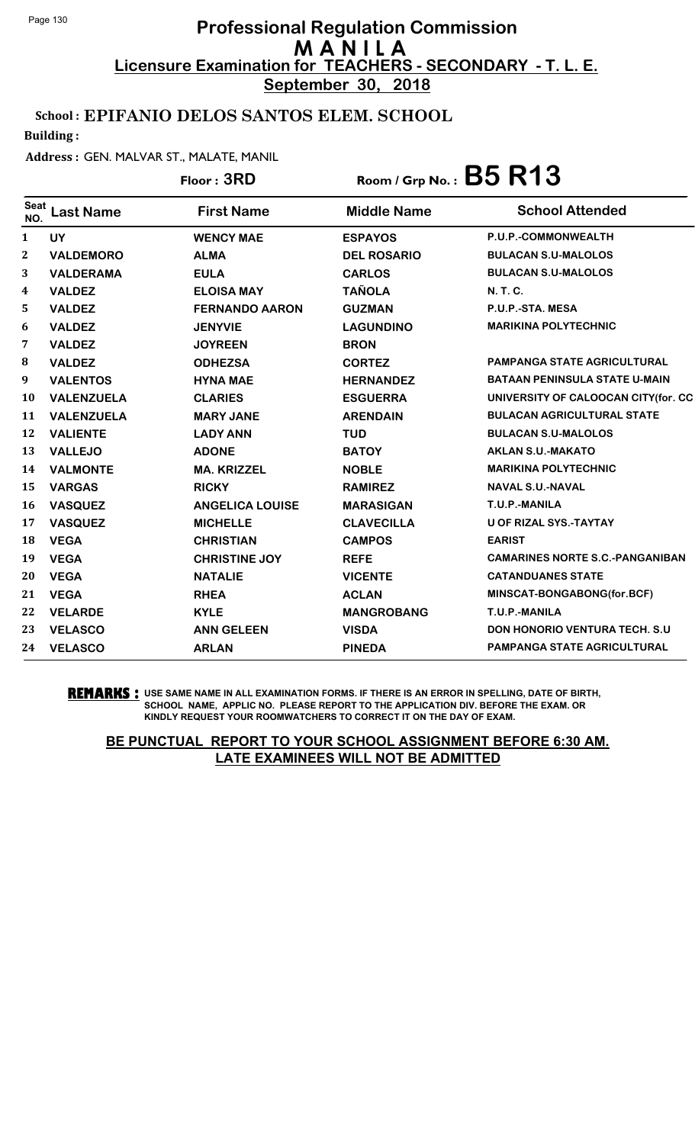**September 30, 2018**

## School : EPIFANIO DELOS SANTOS ELEM. SCHOOL

Building :

#### Address : GEN. MALVAR ST., MALATE, MANIL

## Floor : **3RD** Room / Grp No. : **B5 R13**

| <b>Seat</b><br>NO. | Last Name         | <b>First Name</b>      | <b>Middle Name</b> | <b>School Attended</b>                 |
|--------------------|-------------------|------------------------|--------------------|----------------------------------------|
| $\mathbf{1}$       | <b>UY</b>         | <b>WENCY MAE</b>       | <b>ESPAYOS</b>     | P.U.P.-COMMONWEALTH                    |
| $\mathbf{2}$       | <b>VALDEMORO</b>  | <b>ALMA</b>            | <b>DEL ROSARIO</b> | <b>BULACAN S.U-MALOLOS</b>             |
| 3                  | <b>VALDERAMA</b>  | <b>EULA</b>            | <b>CARLOS</b>      | <b>BULACAN S.U-MALOLOS</b>             |
| 4                  | <b>VALDEZ</b>     | <b>ELOISA MAY</b>      | <b>TAÑOLA</b>      | <b>N.T.C.</b>                          |
| 5                  | <b>VALDEZ</b>     | <b>FERNANDO AARON</b>  | <b>GUZMAN</b>      | P.U.P.-STA. MESA                       |
| 6                  | <b>VALDEZ</b>     | <b>JENYVIE</b>         | <b>LAGUNDINO</b>   | <b>MARIKINA POLYTECHNIC</b>            |
| 7                  | <b>VALDEZ</b>     | <b>JOYREEN</b>         | <b>BRON</b>        |                                        |
| 8                  | <b>VALDEZ</b>     | <b>ODHEZSA</b>         | <b>CORTEZ</b>      | PAMPANGA STATE AGRICULTURAL            |
| 9                  | <b>VALENTOS</b>   | <b>HYNA MAE</b>        | <b>HERNANDEZ</b>   | <b>BATAAN PENINSULA STATE U-MAIN</b>   |
| 10                 | <b>VALENZUELA</b> | <b>CLARIES</b>         | <b>ESGUERRA</b>    | UNIVERSITY OF CALOOCAN CITY(for. CC    |
| 11                 | <b>VALENZUELA</b> | <b>MARY JANE</b>       | <b>ARENDAIN</b>    | <b>BULACAN AGRICULTURAL STATE</b>      |
| 12                 | <b>VALIENTE</b>   | <b>LADY ANN</b>        | <b>TUD</b>         | <b>BULACAN S.U-MALOLOS</b>             |
| 13                 | <b>VALLEJO</b>    | <b>ADONE</b>           | <b>BATOY</b>       | <b>AKLAN S.U.-MAKATO</b>               |
| 14                 | <b>VALMONTE</b>   | <b>MA. KRIZZEL</b>     | <b>NOBLE</b>       | <b>MARIKINA POLYTECHNIC</b>            |
| 15                 | <b>VARGAS</b>     | <b>RICKY</b>           | <b>RAMIREZ</b>     | <b>NAVAL S.U.-NAVAL</b>                |
| 16                 | <b>VASQUEZ</b>    | <b>ANGELICA LOUISE</b> | <b>MARASIGAN</b>   | T.U.P.-MANILA                          |
| 17                 | <b>VASQUEZ</b>    | <b>MICHELLE</b>        | <b>CLAVECILLA</b>  | <b>U OF RIZAL SYS.-TAYTAY</b>          |
| 18                 | <b>VEGA</b>       | <b>CHRISTIAN</b>       | <b>CAMPOS</b>      | <b>EARIST</b>                          |
| 19                 | <b>VEGA</b>       | <b>CHRISTINE JOY</b>   | <b>REFE</b>        | <b>CAMARINES NORTE S.C.-PANGANIBAN</b> |
| 20                 | <b>VEGA</b>       | <b>NATALIE</b>         | <b>VICENTE</b>     | <b>CATANDUANES STATE</b>               |
| 21                 | <b>VEGA</b>       | <b>RHEA</b>            | <b>ACLAN</b>       | MINSCAT-BONGABONG(for.BCF)             |
| 22                 | <b>VELARDE</b>    | <b>KYLE</b>            | <b>MANGROBANG</b>  | T.U.P.-MANILA                          |
| 23                 | <b>VELASCO</b>    | <b>ANN GELEEN</b>      | <b>VISDA</b>       | <b>DON HONORIO VENTURA TECH. S.U.</b>  |
| 24                 | <b>VELASCO</b>    | <b>ARLAN</b>           | <b>PINEDA</b>      | <b>PAMPANGA STATE AGRICULTURAL</b>     |

**REMARKS :** USE SAME NAME IN ALL EXAMINATION FORMS. IF THERE IS AN ERROR IN SPELLING, DATE OF BIRTH, SCHOOL NAME, APPLIC NO. PLEASE REPORT TO THE APPLICATION DIV. BEFORE THE EXAM. OR KINDLY REQUEST YOUR ROOMWATCHERS TO CORRECT IT ON THE DAY OF EXAM.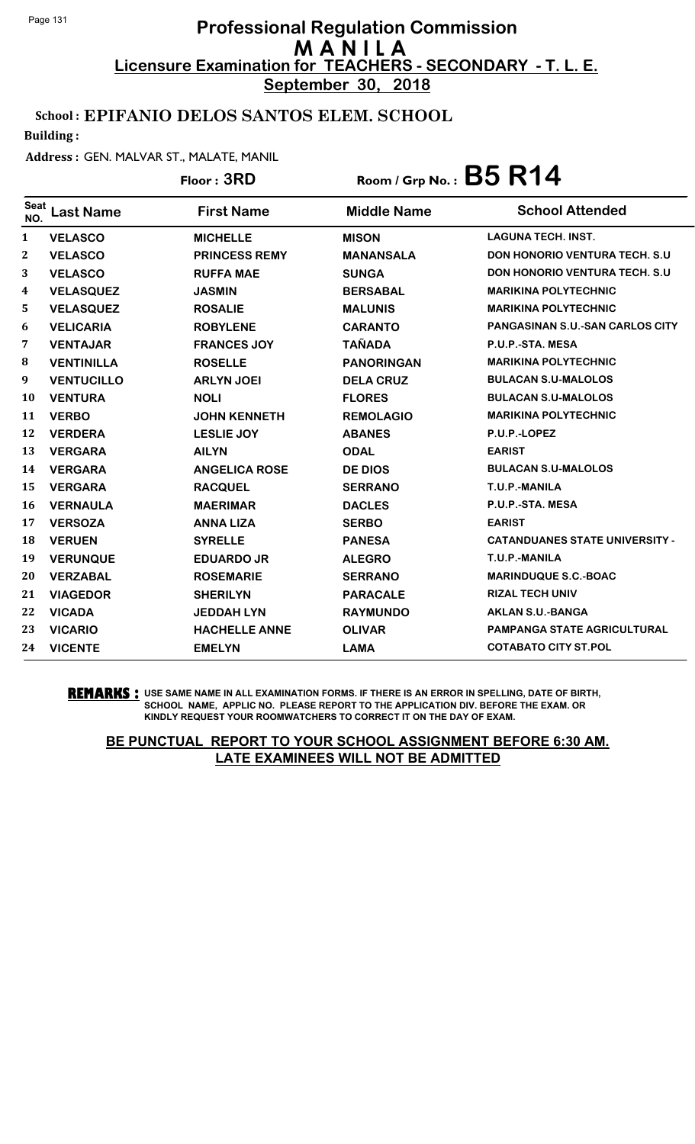**September 30, 2018**

## School : EPIFANIO DELOS SANTOS ELEM. SCHOOL

Building :

#### Address : GEN. MALVAR ST., MALATE, MANIL

# <sup>Seat</sup> Last Name First Name Middle Name School Attended Floor : **3RD** Room / Grp No. : **B5 R14**

| NU.          |                   |                      |                   |                                        |
|--------------|-------------------|----------------------|-------------------|----------------------------------------|
| $\mathbf{1}$ | <b>VELASCO</b>    | <b>MICHELLE</b>      | <b>MISON</b>      | <b>LAGUNA TECH. INST.</b>              |
| $\mathbf{2}$ | <b>VELASCO</b>    | <b>PRINCESS REMY</b> | <b>MANANSALA</b>  | <b>DON HONORIO VENTURA TECH. S.U.</b>  |
| 3            | <b>VELASCO</b>    | <b>RUFFA MAE</b>     | <b>SUNGA</b>      | <b>DON HONORIO VENTURA TECH. S.U.</b>  |
| 4            | <b>VELASQUEZ</b>  | <b>JASMIN</b>        | <b>BERSABAL</b>   | <b>MARIKINA POLYTECHNIC</b>            |
| 5            | <b>VELASQUEZ</b>  | <b>ROSALIE</b>       | <b>MALUNIS</b>    | <b>MARIKINA POLYTECHNIC</b>            |
| 6            | <b>VELICARIA</b>  | <b>ROBYLENE</b>      | <b>CARANTO</b>    | <b>PANGASINAN S.U.-SAN CARLOS CITY</b> |
| 7            | <b>VENTAJAR</b>   | <b>FRANCES JOY</b>   | <b>TAÑADA</b>     | P.U.P.-STA. MESA                       |
| 8            | <b>VENTINILLA</b> | <b>ROSELLE</b>       | <b>PANORINGAN</b> | <b>MARIKINA POLYTECHNIC</b>            |
| 9            | <b>VENTUCILLO</b> | <b>ARLYN JOEI</b>    | <b>DELA CRUZ</b>  | <b>BULACAN S.U-MALOLOS</b>             |
| 10           | <b>VENTURA</b>    | <b>NOLI</b>          | <b>FLORES</b>     | <b>BULACAN S.U-MALOLOS</b>             |
| 11           | <b>VERBO</b>      | <b>JOHN KENNETH</b>  | <b>REMOLAGIO</b>  | <b>MARIKINA POLYTECHNIC</b>            |
| 12           | <b>VERDERA</b>    | <b>LESLIE JOY</b>    | <b>ABANES</b>     | P.U.P.-LOPEZ                           |
| 13           | <b>VERGARA</b>    | <b>AILYN</b>         | <b>ODAL</b>       | <b>EARIST</b>                          |
| 14           | <b>VERGARA</b>    | <b>ANGELICA ROSE</b> | <b>DE DIOS</b>    | <b>BULACAN S.U-MALOLOS</b>             |
| 15           | <b>VERGARA</b>    | <b>RACQUEL</b>       | <b>SERRANO</b>    | T.U.P.-MANILA                          |
| 16           | <b>VERNAULA</b>   | <b>MAERIMAR</b>      | <b>DACLES</b>     | P.U.P.-STA. MESA                       |
| 17           | <b>VERSOZA</b>    | <b>ANNA LIZA</b>     | <b>SERBO</b>      | <b>EARIST</b>                          |
| 18           | <b>VERUEN</b>     | <b>SYRELLE</b>       | <b>PANESA</b>     | <b>CATANDUANES STATE UNIVERSITY -</b>  |
| 19           | <b>VERUNQUE</b>   | <b>EDUARDO JR</b>    | <b>ALEGRO</b>     | T.U.P.-MANILA                          |
| 20           | <b>VERZABAL</b>   | <b>ROSEMARIE</b>     | <b>SERRANO</b>    | <b>MARINDUQUE S.C.-BOAC</b>            |
| 21           | <b>VIAGEDOR</b>   | <b>SHERILYN</b>      | <b>PARACALE</b>   | <b>RIZAL TECH UNIV</b>                 |
| 22           | <b>VICADA</b>     | <b>JEDDAH LYN</b>    | <b>RAYMUNDO</b>   | <b>AKLAN S.U.-BANGA</b>                |
| 23           | <b>VICARIO</b>    | <b>HACHELLE ANNE</b> | <b>OLIVAR</b>     | <b>PAMPANGA STATE AGRICULTURAL</b>     |
| 24           | <b>VICENTE</b>    | <b>EMELYN</b>        | <b>LAMA</b>       | <b>COTABATO CITY ST.POL</b>            |
|              |                   |                      |                   |                                        |

**REMARKS :** USE SAME NAME IN ALL EXAMINATION FORMS. IF THERE IS AN ERROR IN SPELLING, DATE OF BIRTH, SCHOOL NAME, APPLIC NO. PLEASE REPORT TO THE APPLICATION DIV. BEFORE THE EXAM. OR KINDLY REQUEST YOUR ROOMWATCHERS TO CORRECT IT ON THE DAY OF EXAM.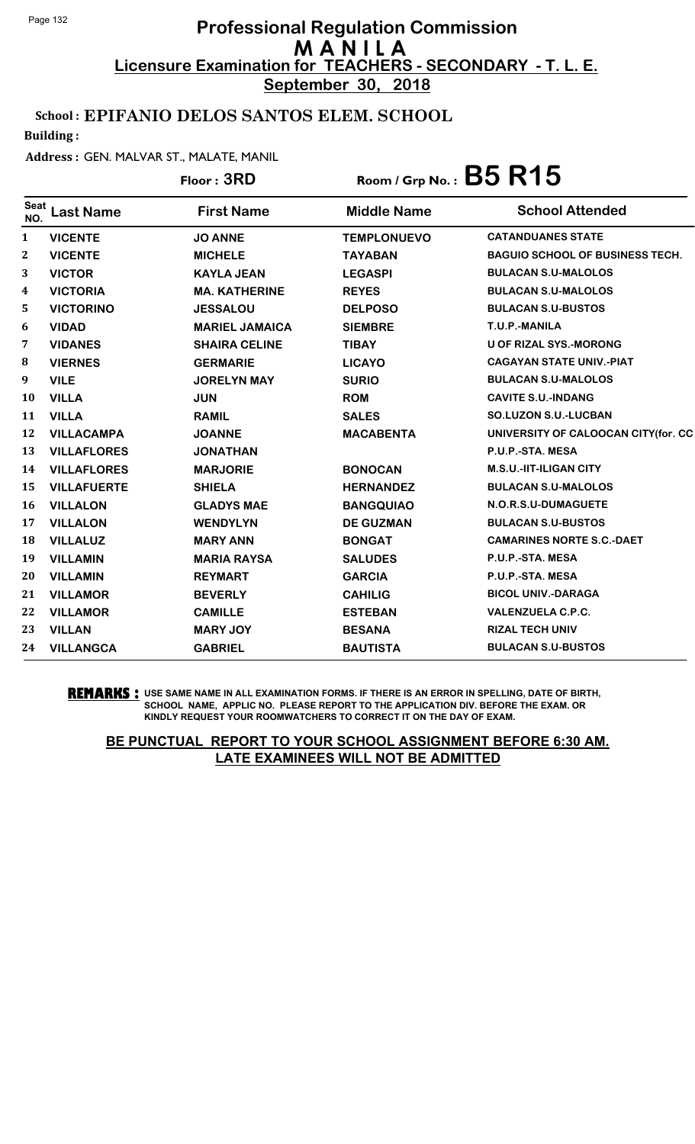**September 30, 2018**

## School : EPIFANIO DELOS SANTOS ELEM. SCHOOL

Building :

### Address : GEN. MALVAR ST., MALATE, MANIL

## Floor : **3RD** Room / Grp No. : **B5 R15**

| <b>Seat</b><br>NO. | <b>Last Name</b>   | <b>First Name</b>     | <b>Middle Name</b> | <b>School Attended</b>                 |
|--------------------|--------------------|-----------------------|--------------------|----------------------------------------|
| 1                  | <b>VICENTE</b>     | <b>JO ANNE</b>        | <b>TEMPLONUEVO</b> | <b>CATANDUANES STATE</b>               |
| $\boldsymbol{2}$   | <b>VICENTE</b>     | <b>MICHELE</b>        | <b>TAYABAN</b>     | <b>BAGUIO SCHOOL OF BUSINESS TECH.</b> |
| 3                  | <b>VICTOR</b>      | <b>KAYLA JEAN</b>     | <b>LEGASPI</b>     | <b>BULACAN S.U-MALOLOS</b>             |
| $\boldsymbol{4}$   | <b>VICTORIA</b>    | <b>MA. KATHERINE</b>  | <b>REYES</b>       | <b>BULACAN S.U-MALOLOS</b>             |
| 5                  | <b>VICTORINO</b>   | <b>JESSALOU</b>       | <b>DELPOSO</b>     | <b>BULACAN S.U-BUSTOS</b>              |
| 6                  | <b>VIDAD</b>       | <b>MARIEL JAMAICA</b> | <b>SIEMBRE</b>     | T.U.P.-MANILA                          |
| 7                  | <b>VIDANES</b>     | <b>SHAIRA CELINE</b>  | <b>TIBAY</b>       | <b>U OF RIZAL SYS.-MORONG</b>          |
| 8                  | <b>VIERNES</b>     | <b>GERMARIE</b>       | <b>LICAYO</b>      | <b>CAGAYAN STATE UNIV.-PIAT</b>        |
| 9                  | <b>VILE</b>        | <b>JORELYN MAY</b>    | <b>SURIO</b>       | <b>BULACAN S.U-MALOLOS</b>             |
| 10                 | <b>VILLA</b>       | <b>JUN</b>            | <b>ROM</b>         | <b>CAVITE S.U.-INDANG</b>              |
| 11                 | <b>VILLA</b>       | <b>RAMIL</b>          | <b>SALES</b>       | <b>SO.LUZON S.U.-LUCBAN</b>            |
| 12                 | <b>VILLACAMPA</b>  | <b>JOANNE</b>         | <b>MACABENTA</b>   | UNIVERSITY OF CALOOCAN CITY(for. CC    |
| 13                 | <b>VILLAFLORES</b> | <b>JONATHAN</b>       |                    | P.U.P.-STA. MESA                       |
| 14                 | <b>VILLAFLORES</b> | <b>MARJORIE</b>       | <b>BONOCAN</b>     | <b>M.S.U.-IIT-ILIGAN CITY</b>          |
| 15                 | <b>VILLAFUERTE</b> | <b>SHIELA</b>         | <b>HERNANDEZ</b>   | <b>BULACAN S.U-MALOLOS</b>             |
| 16                 | <b>VILLALON</b>    | <b>GLADYS MAE</b>     | <b>BANGQUIAO</b>   | N.O.R.S.U-DUMAGUETE                    |
| 17                 | <b>VILLALON</b>    | <b>WENDYLYN</b>       | <b>DE GUZMAN</b>   | <b>BULACAN S.U-BUSTOS</b>              |
| 18                 | <b>VILLALUZ</b>    | <b>MARY ANN</b>       | <b>BONGAT</b>      | <b>CAMARINES NORTE S.C.-DAET</b>       |
| 19                 | <b>VILLAMIN</b>    | <b>MARIA RAYSA</b>    | <b>SALUDES</b>     | P.U.P.-STA. MESA                       |
| 20                 | <b>VILLAMIN</b>    | <b>REYMART</b>        | <b>GARCIA</b>      | P.U.P.-STA. MESA                       |
| 21                 | <b>VILLAMOR</b>    | <b>BEVERLY</b>        | <b>CAHILIG</b>     | <b>BICOL UNIV.-DARAGA</b>              |
| 22                 | <b>VILLAMOR</b>    | <b>CAMILLE</b>        | <b>ESTEBAN</b>     | <b>VALENZUELA C.P.C.</b>               |
| 23                 | <b>VILLAN</b>      | <b>MARY JOY</b>       | <b>BESANA</b>      | <b>RIZAL TECH UNIV</b>                 |
| 24                 | <b>VILLANGCA</b>   | <b>GABRIEL</b>        | <b>BAUTISTA</b>    | <b>BULACAN S.U-BUSTOS</b>              |

**REMARKS :** USE SAME NAME IN ALL EXAMINATION FORMS. IF THERE IS AN ERROR IN SPELLING, DATE OF BIRTH, SCHOOL NAME, APPLIC NO. PLEASE REPORT TO THE APPLICATION DIV. BEFORE THE EXAM. OR KINDLY REQUEST YOUR ROOMWATCHERS TO CORRECT IT ON THE DAY OF EXAM.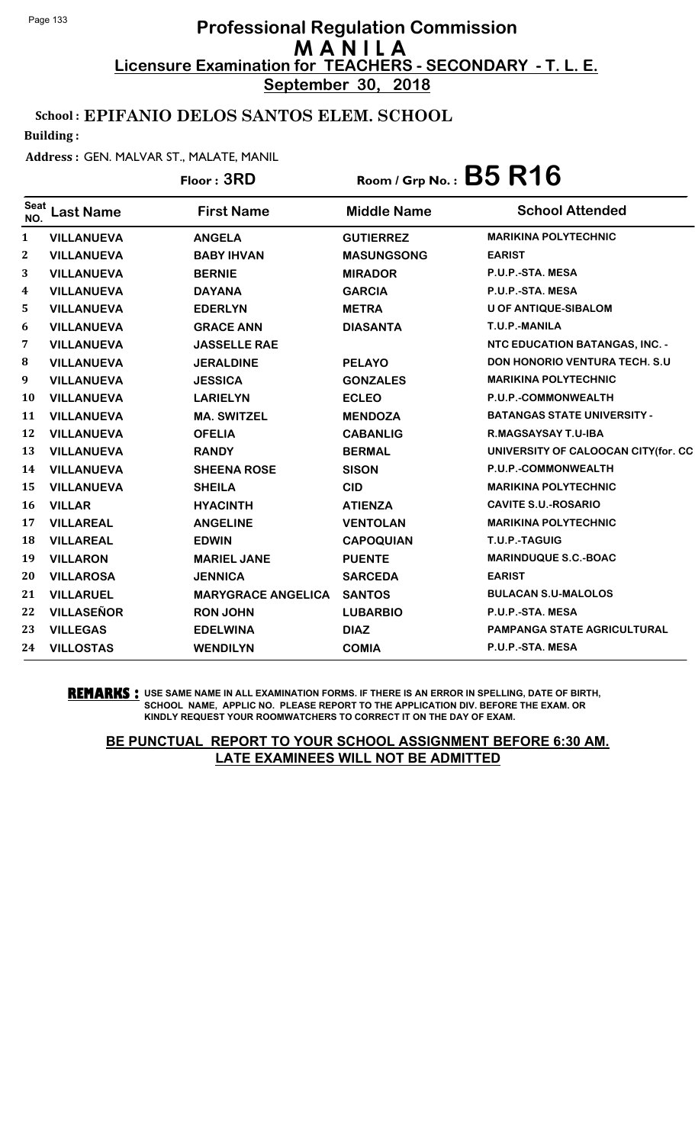**September 30, 2018**

## School : EPIFANIO DELOS SANTOS ELEM. SCHOOL

Building :

#### Address : GEN. MALVAR ST., MALATE, MANIL

|                  |                   | Floor: 3RD                | Room / Grp No.: $B5 R16$ |                                       |  |
|------------------|-------------------|---------------------------|--------------------------|---------------------------------------|--|
| Seat<br>NO.      | <b>Last Name</b>  | <b>First Name</b>         | <b>Middle Name</b>       | <b>School Attended</b>                |  |
| 1                | <b>VILLANUEVA</b> | <b>ANGELA</b>             | <b>GUTIERREZ</b>         | <b>MARIKINA POLYTECHNIC</b>           |  |
| $\boldsymbol{2}$ | <b>VILLANUEVA</b> | <b>BABY IHVAN</b>         | <b>MASUNGSONG</b>        | <b>EARIST</b>                         |  |
| 3                | <b>VILLANUEVA</b> | <b>BERNIE</b>             | <b>MIRADOR</b>           | P.U.P.-STA. MESA                      |  |
| 4                | <b>VILLANUEVA</b> | <b>DAYANA</b>             | <b>GARCIA</b>            | P.U.P.-STA. MESA                      |  |
| 5                | <b>VILLANUEVA</b> | <b>EDERLYN</b>            | <b>METRA</b>             | <b>U OF ANTIQUE-SIBALOM</b>           |  |
| 6                | <b>VILLANUEVA</b> | <b>GRACE ANN</b>          | <b>DIASANTA</b>          | T.U.P.-MANILA                         |  |
| 7                | <b>VILLANUEVA</b> | <b>JASSELLE RAE</b>       |                          | NTC EDUCATION BATANGAS, INC. -        |  |
| 8                | <b>VILLANUEVA</b> | <b>JERALDINE</b>          | <b>PELAYO</b>            | <b>DON HONORIO VENTURA TECH. S.U.</b> |  |
| 9                | <b>VILLANUEVA</b> | <b>JESSICA</b>            | <b>GONZALES</b>          | <b>MARIKINA POLYTECHNIC</b>           |  |
| 10               | <b>VILLANUEVA</b> | <b>LARIELYN</b>           | <b>ECLEO</b>             | P.U.P.-COMMONWEALTH                   |  |
| 11               | <b>VILLANUEVA</b> | <b>MA. SWITZEL</b>        | <b>MENDOZA</b>           | <b>BATANGAS STATE UNIVERSITY -</b>    |  |
| 12               | <b>VILLANUEVA</b> | <b>OFELIA</b>             | <b>CABANLIG</b>          | <b>R.MAGSAYSAY T.U-IBA</b>            |  |
| 13               | <b>VILLANUEVA</b> | <b>RANDY</b>              | <b>BERMAL</b>            | UNIVERSITY OF CALOOCAN CITY(for. CC   |  |
| 14               | <b>VILLANUEVA</b> | <b>SHEENA ROSE</b>        | <b>SISON</b>             | P.U.P.-COMMONWEALTH                   |  |
| 15               | <b>VILLANUEVA</b> | <b>SHEILA</b>             | <b>CID</b>               | <b>MARIKINA POLYTECHNIC</b>           |  |
| 16               | <b>VILLAR</b>     | <b>HYACINTH</b>           | <b>ATIENZA</b>           | <b>CAVITE S.U.-ROSARIO</b>            |  |
| 17               | <b>VILLAREAL</b>  | <b>ANGELINE</b>           | <b>VENTOLAN</b>          | <b>MARIKINA POLYTECHNIC</b>           |  |
| 18               | <b>VILLAREAL</b>  | <b>EDWIN</b>              | <b>CAPOQUIAN</b>         | T.U.P.-TAGUIG                         |  |
| 19               | <b>VILLARON</b>   | <b>MARIEL JANE</b>        | <b>PUENTE</b>            | <b>MARINDUQUE S.C.-BOAC</b>           |  |
| 20               | <b>VILLAROSA</b>  | <b>JENNICA</b>            | <b>SARCEDA</b>           | <b>EARIST</b>                         |  |
| 21               | <b>VILLARUEL</b>  | <b>MARYGRACE ANGELICA</b> | <b>SANTOS</b>            | <b>BULACAN S.U-MALOLOS</b>            |  |
| 22               | <b>VILLASEÑOR</b> | <b>RON JOHN</b>           | <b>LUBARBIO</b>          | P.U.P.-STA. MESA                      |  |
| 23               | <b>VILLEGAS</b>   | <b>EDELWINA</b>           | <b>DIAZ</b>              | PAMPANGA STATE AGRICULTURAL           |  |
| 24               | <b>VILLOSTAS</b>  | <b>WENDILYN</b>           | <b>COMIA</b>             | P.U.P.-STA. MESA                      |  |

**REMARKS :** USE SAME NAME IN ALL EXAMINATION FORMS. IF THERE IS AN ERROR IN SPELLING, DATE OF BIRTH, SCHOOL NAME, APPLIC NO. PLEASE REPORT TO THE APPLICATION DIV. BEFORE THE EXAM. OR KINDLY REQUEST YOUR ROOMWATCHERS TO CORRECT IT ON THE DAY OF EXAM.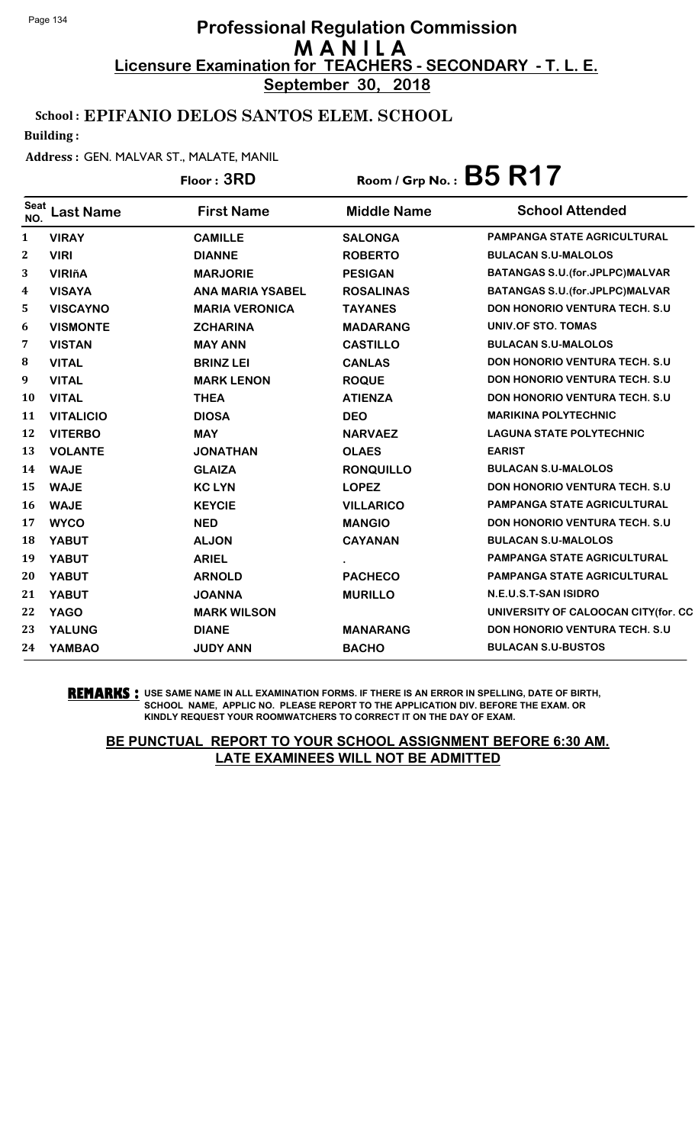**September 30, 2018**

### School : EPIFANIO DELOS SANTOS ELEM. SCHOOL

Building :

#### Address : GEN. MALVAR ST., MALATE, MANIL

|                         |                  | Floor: 3RD              | Room / Grp No.: $B5 R17$ |                                          |
|-------------------------|------------------|-------------------------|--------------------------|------------------------------------------|
| Seat<br>NO.             | <b>Last Name</b> | <b>First Name</b>       | <b>Middle Name</b>       | <b>School Attended</b>                   |
| 1                       | <b>VIRAY</b>     | <b>CAMILLE</b>          | <b>SALONGA</b>           | PAMPANGA STATE AGRICULTURAL              |
| $\overline{\mathbf{2}}$ | <b>VIRI</b>      | <b>DIANNE</b>           | <b>ROBERTO</b>           | <b>BULACAN S.U-MALOLOS</b>               |
| 3                       | <b>VIRIñA</b>    | <b>MARJORIE</b>         | <b>PESIGAN</b>           | <b>BATANGAS S.U. (for. JPLPC)MALVAR</b>  |
| 4                       | <b>VISAYA</b>    | <b>ANA MARIA YSABEL</b> | <b>ROSALINAS</b>         | <b>BATANGAS S.U. (for. JPLPC) MALVAR</b> |
| 5                       | <b>VISCAYNO</b>  | <b>MARIA VERONICA</b>   | <b>TAYANES</b>           | <b>DON HONORIO VENTURA TECH. S.U</b>     |
| 6                       | <b>VISMONTE</b>  | <b>ZCHARINA</b>         | <b>MADARANG</b>          | UNIV.OF STO. TOMAS                       |
| 7                       | <b>VISTAN</b>    | <b>MAY ANN</b>          | <b>CASTILLO</b>          | <b>BULACAN S.U-MALOLOS</b>               |
| 8                       | <b>VITAL</b>     | <b>BRINZ LEI</b>        | <b>CANLAS</b>            | <b>DON HONORIO VENTURA TECH. S.U.</b>    |
| 9                       | <b>VITAL</b>     | <b>MARK LENON</b>       | <b>ROQUE</b>             | <b>DON HONORIO VENTURA TECH. S.U.</b>    |
| 10                      | <b>VITAL</b>     | <b>THEA</b>             | <b>ATIENZA</b>           | <b>DON HONORIO VENTURA TECH. S.U.</b>    |
| 11                      | <b>VITALICIO</b> | <b>DIOSA</b>            | <b>DEO</b>               | <b>MARIKINA POLYTECHNIC</b>              |
| 12                      | <b>VITERBO</b>   | <b>MAY</b>              | <b>NARVAEZ</b>           | <b>LAGUNA STATE POLYTECHNIC</b>          |
| 13                      | <b>VOLANTE</b>   | <b>JONATHAN</b>         | <b>OLAES</b>             | <b>EARIST</b>                            |
| 14                      | <b>WAJE</b>      | <b>GLAIZA</b>           | <b>RONQUILLO</b>         | <b>BULACAN S.U-MALOLOS</b>               |
| 15                      | <b>WAJE</b>      | <b>KC LYN</b>           | <b>LOPEZ</b>             | <b>DON HONORIO VENTURA TECH. S.U.</b>    |
| 16                      | <b>WAJE</b>      | <b>KEYCIE</b>           | <b>VILLARICO</b>         | <b>PAMPANGA STATE AGRICULTURAL</b>       |
| 17                      | <b>WYCO</b>      | <b>NED</b>              | <b>MANGIO</b>            | <b>DON HONORIO VENTURA TECH. S.U</b>     |
| 18                      | <b>YABUT</b>     | <b>ALJON</b>            | <b>CAYANAN</b>           | <b>BULACAN S.U-MALOLOS</b>               |
| 19                      | <b>YABUT</b>     | <b>ARIEL</b>            |                          | <b>PAMPANGA STATE AGRICULTURAL</b>       |
| 20                      | <b>YABUT</b>     | <b>ARNOLD</b>           | <b>PACHECO</b>           | <b>PAMPANGA STATE AGRICULTURAL</b>       |
| 21                      | <b>YABUT</b>     | <b>JOANNA</b>           | <b>MURILLO</b>           | N.E.U.S.T-SAN ISIDRO                     |
| 22                      | <b>YAGO</b>      | <b>MARK WILSON</b>      |                          | UNIVERSITY OF CALOOCAN CITY(for. CC      |
| 23                      | <b>YALUNG</b>    | <b>DIANE</b>            | <b>MANARANG</b>          | <b>DON HONORIO VENTURA TECH. S.U</b>     |
| 24                      | <b>YAMBAO</b>    | <b>JUDY ANN</b>         | <b>BACHO</b>             | <b>BULACAN S.U-BUSTOS</b>                |

#### **REMARKS :** USE SAME NAME IN ALL EXAMINATION FORMS. IF THERE IS AN ERROR IN SPELLING, DATE OF BIRTH, SCHOOL NAME, APPLIC NO. PLEASE REPORT TO THE APPLICATION DIV. BEFORE THE EXAM. OR KINDLY REQUEST YOUR ROOMWATCHERS TO CORRECT IT ON THE DAY OF EXAM.